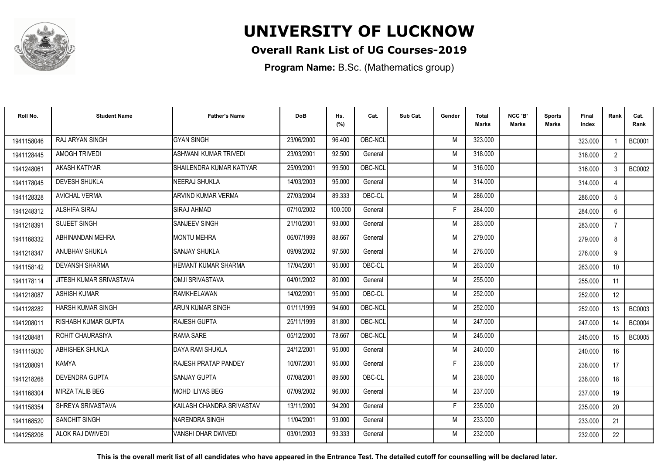

## **Overall Rank List of UG Courses-2019**

**Program Name:** B.Sc. (Mathematics group)

| Roll No.   | <b>Student Name</b>        | <b>Father's Name</b>         | <b>DoB</b> | Hs.<br>(%) | Cat.    | Sub Cat. | Gender | <b>Total</b><br>Marks | NCC 'B'<br><b>Marks</b> | Sports<br>Marks | Final<br>Index | Rank            | Cat.<br>Rank  |
|------------|----------------------------|------------------------------|------------|------------|---------|----------|--------|-----------------------|-------------------------|-----------------|----------------|-----------------|---------------|
| 1941158046 | RAJ ARYAN SINGH            | <b>GYAN SINGH</b>            | 23/06/2000 | 96.400     | OBC-NCL |          | M      | 323.000               |                         |                 | 323.000        |                 | <b>BC0001</b> |
| 1941128445 | AMOGH TRIVEDI              | <b>ASHWANI KUMAR TRIVEDI</b> | 23/03/2001 | 92.500     | General |          | M      | 318.000               |                         |                 | 318.000        | $\overline{2}$  |               |
| 1941248061 | AKASH KATIYAR              | SHAILENDRA KUMAR KATIYAR     | 25/09/2001 | 99.500     | OBC-NCL |          | M      | 316.000               |                         |                 | 316.000        | 3               | <b>BC0002</b> |
| 1941178045 | <b>DEVESH SHUKLA</b>       | NEERAJ SHUKLA                | 14/03/2003 | 95.000     | General |          | M      | 314.000               |                         |                 | 314.000        |                 |               |
| 1941128328 | <b>AVICHAL VERMA</b>       | ARVIND KUMAR VERMA           | 27/03/2004 | 89.333     | OBC-CL  |          | M      | 286.000               |                         |                 | 286.000        | 5               |               |
| 1941248312 | ALSHIFA SIRAJ              | <b>SIRAJ AHMAD</b>           | 07/10/2002 | 100.000    | General |          | Е      | 284.000               |                         |                 | 284.000        | 6               |               |
| 1941218391 | <b>SUJEET SINGH</b>        | <b>SANJEEV SINGH</b>         | 21/10/2001 | 93.000     | General |          | M      | 283.000               |                         |                 | 283.000        | $\overline{7}$  |               |
| 1941168332 | ABHINANDAN MEHRA           | <b>MONTU MEHRA</b>           | 06/07/1999 | 88.667     | General |          | M      | 279.000               |                         |                 | 279.000        | 8               |               |
| 1941218347 | ANUBHAV SHUKLA             | <b>SANJAY SHUKLA</b>         | 09/09/2002 | 97.500     | General |          | M      | 276.000               |                         |                 | 276.000        | 9               |               |
| 1941158142 | <b>DEVANSH SHARMA</b>      | <b>HEMANT KUMAR SHARMA</b>   | 17/04/2001 | 95.000     | OBC-CL  |          | M      | 263.000               |                         |                 | 263.000        | 10 <sup>°</sup> |               |
| 1941178114 | JITESH KUMAR SRIVASTAVA    | <b>OMJI SRIVASTAVA</b>       | 04/01/2002 | 80.000     | General |          | M      | 255.000               |                         |                 | 255.000        | 11              |               |
| 1941218087 | <b>ASHISH KUMAR</b>        | <b>RAMKHELAWAN</b>           | 14/02/2001 | 95.000     | OBC-CL  |          | M      | 252.000               |                         |                 | 252.000        | 12 <sup>°</sup> |               |
| 1941128282 | <b>HARSH KUMAR SINGH</b>   | ARUN KUMAR SINGH             | 01/11/1999 | 94.600     | OBC-NCL |          | M      | 252.000               |                         |                 | 252.000        | 13              | BC0003        |
| 1941208011 | <b>RISHABH KUMAR GUPTA</b> | <b>RAJESH GUPTA</b>          | 25/11/1999 | 81.800     | OBC-NCL |          | M      | 247.000               |                         |                 | 247.000        | 14              | <b>BC0004</b> |
| 1941208481 | ROHIT CHAURASIYA           | RAMA SARE                    | 05/12/2000 | 78.667     | OBC-NCL |          | M      | 245.000               |                         |                 | 245.000        | 15              | <b>BC0005</b> |
| 1941115030 | ABHISHEK SHUKLA            | DAYA RAM SHUKLA              | 24/12/2001 | 95.000     | General |          | M      | 240.000               |                         |                 | 240.000        | 16              |               |
| 1941208091 | <b>KAMYA</b>               | <b>RAJESH PRATAP PANDEY</b>  | 10/07/2001 | 95.000     | General |          | Е      | 238.000               |                         |                 | 238.000        | 17              |               |
| 1941218268 | <b>DEVENDRA GUPTA</b>      | <b>SANJAY GUPTA</b>          | 07/08/2001 | 89.500     | OBC-CL  |          | M      | 238.000               |                         |                 | 238.000        | 18              |               |
| 1941168304 | <b>MIRZA TALIB BEG</b>     | <b>MOHD ILIYAS BEG</b>       | 07/09/2002 | 96.000     | General |          | M      | 237.000               |                         |                 | 237.000        | 19              |               |
| 1941158354 | SHREYA SRIVASTAVA          | KAILASH CHANDRA SRIVASTAV    | 13/11/2000 | 94.200     | General |          | F      | 235.000               |                         |                 | 235.000        | 20              |               |
| 1941168520 | <b>SANCHIT SINGH</b>       | INARENDRA SINGH              | 11/04/2001 | 93.000     | General |          | M      | 233.000               |                         |                 | 233.000        | 21              |               |
| 1941258206 | ALOK RAJ DWIVEDI           | <b>VANSHI DHAR DWIVEDI</b>   | 03/01/2003 | 93.333     | General |          | M      | 232.000               |                         |                 | 232.000        | 22              |               |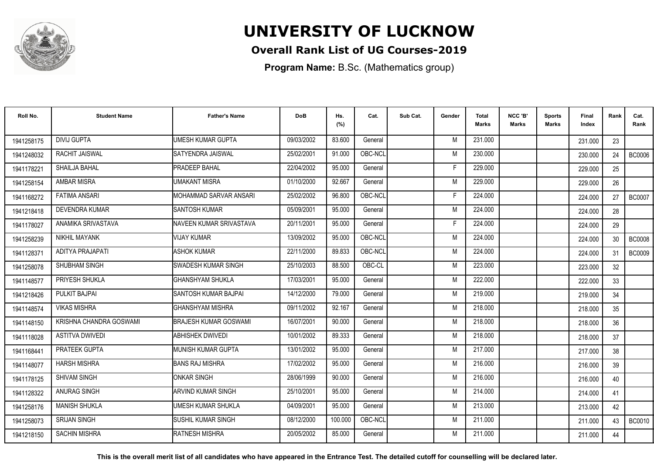

## **Overall Rank List of UG Courses-2019**

**Program Name:** B.Sc. (Mathematics group)

| Roll No.   | <b>Student Name</b>     | <b>Father's Name</b>      | <b>DoB</b> | Hs.<br>(%) | Cat.    | Sub Cat. | Gender | Total<br><b>Marks</b> | NCC 'B'<br><b>Marks</b> | <b>Sports</b><br>Marks | Final<br>Index | Rank            | Cat.<br>Rank  |
|------------|-------------------------|---------------------------|------------|------------|---------|----------|--------|-----------------------|-------------------------|------------------------|----------------|-----------------|---------------|
| 1941258175 | <b>DIVIJ GUPTA</b>      | <b>UMESH KUMAR GUPTA</b>  | 09/03/2002 | 83.600     | General |          | M      | 231.000               |                         |                        | 231.000        | 23              |               |
| 1941248032 | RACHIT JAISWAL          | SATYENDRA JAISWAL         | 25/02/2001 | 91.000     | OBC-NCL |          | M      | 230.000               |                         |                        | 230.000        | 24              | <b>BC0006</b> |
| 1941178221 | SHAILJA BAHAL           | <b>PRADEEP BAHAL</b>      | 22/04/2002 | 95.000     | General |          | E      | 229,000               |                         |                        | 229.000        | 25              |               |
| 1941258154 | <b>AMBAR MISRA</b>      | <b>UMAKANT MISRA</b>      | 01/10/2000 | 92.667     | General |          | M      | 229,000               |                         |                        | 229.000        | 26              |               |
| 1941168272 | <b>FATIMA ANSARI</b>    | MOHAMMAD SARVAR ANSARI    | 25/02/2002 | 96.800     | OBC-NCL |          | E      | 224.000               |                         |                        | 224.000        | 27              | <b>BC0007</b> |
| 1941218418 | DEVENDRA KUMAR          | <b>SANTOSH KUMAR</b>      | 05/09/2001 | 95.000     | General |          | M      | 224.000               |                         |                        | 224.000        | 28              |               |
| 1941178027 | ANAMIKA SRIVASTAVA      | NAVEEN KUMAR SRIVASTAVA   | 20/11/2001 | 95.000     | General |          | F      | 224.000               |                         |                        | 224.000        | 29              |               |
| 1941258239 | NIKHIL MAYANK           | <b>VIJAY KUMAR</b>        | 13/09/2002 | 95.000     | OBC-NCL |          | M      | 224.000               |                         |                        | 224.000        | 30 <sup>°</sup> | <b>BC0008</b> |
| 1941128371 | ADITYA PRAJAPATI        | <b>ASHOK KUMAR</b>        | 22/11/2000 | 89.833     | OBC-NCL |          | M      | 224.000               |                         |                        | 224.000        | 31              | <b>BC0009</b> |
| 1941258078 | SHUBHAM SINGH           | SWADESH KUMAR SINGH       | 25/10/2003 | 88.500     | OBC-CL  |          | M      | 223.000               |                         |                        | 223.000        | 32              |               |
| 1941148577 | PRIYESH SHUKLA          | <b>I</b> GHANSHYAM SHUKLA | 17/03/2001 | 95.000     | General |          | M      | 222.000               |                         |                        | 222.000        | 33              |               |
| 1941218426 | PULKIT BAJPAI           | SANTOSH KUMAR BAJPAI      | 14/12/2000 | 79.000     | General |          | M      | 219.000               |                         |                        | 219,000        | 34              |               |
| 1941148574 | <b>VIKAS MISHRA</b>     | IGHANSHYAM MISHRA         | 09/11/2002 | 92.167     | General |          | M      | 218.000               |                         |                        | 218.000        | 35              |               |
| 1941148150 | KRISHNA CHANDRA GOSWAMI | BRAJESH KUMAR GOSWAMI     | 16/07/2001 | 90.000     | General |          | M      | 218.000               |                         |                        | 218.000        | 36              |               |
| 1941118028 | <b>ASTITVA DWIVEDI</b>  | ABHISHEK DWIVEDI          | 10/01/2002 | 89.333     | General |          | M      | 218.000               |                         |                        | 218.000        | 37              |               |
| 1941168441 | <b>PRATEEK GUPTA</b>    | MUNISH KUMAR GUPTA        | 13/01/2002 | 95.000     | General |          | M      | 217.000               |                         |                        | 217.000        | 38              |               |
| 1941148077 | <b>HARSH MISHRA</b>     | <b>BANS RAJ MISHRA</b>    | 17/02/2002 | 95.000     | General |          | M      | 216.000               |                         |                        | 216.000        | 39              |               |
| 1941178125 | SHIVAM SINGH            | ONKAR SINGH               | 28/06/1999 | 90.000     | General |          | M      | 216,000               |                         |                        | 216.000        | 40              |               |
| 1941128322 | ANURAG SINGH            | <b>ARVIND KUMAR SINGH</b> | 25/10/2001 | 95.000     | General |          | M      | 214.000               |                         |                        | 214.000        | 41              |               |
| 1941258176 | <b>MANISH SHUKLA</b>    | UMESH KUMAR SHUKLA        | 04/09/2001 | 95.000     | General |          | M      | 213.000               |                         |                        | 213.000        | 42              |               |
| 1941258073 | <b>SRIJAN SINGH</b>     | <b>SUSHIL KUMAR SINGH</b> | 08/12/2000 | 100.000    | OBC-NCL |          | M      | 211.000               |                         |                        | 211.000        | 43              | <b>BC0010</b> |
| 1941218150 | <b>SACHIN MISHRA</b>    | <b>RATNESH MISHRA</b>     | 20/05/2002 | 85.000     | General |          | M      | 211.000               |                         |                        | 211.000        | 44              |               |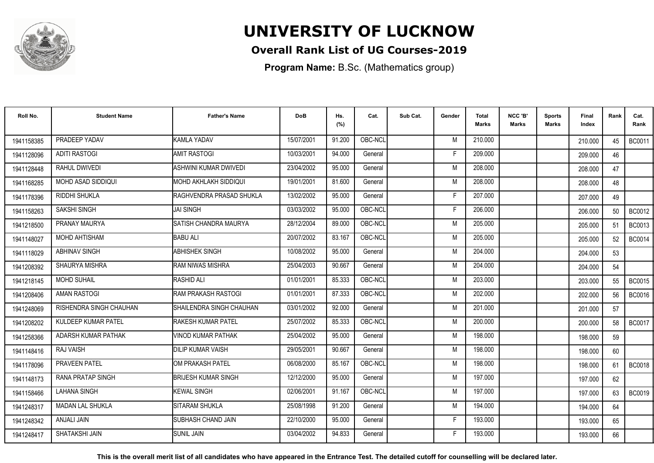

## **Overall Rank List of UG Courses-2019**

**Program Name:** B.Sc. (Mathematics group)

| Roll No.   | <b>Student Name</b>     | <b>Father's Name</b>       | <b>DoB</b> | Hs.<br>(%) | Cat.    | Sub Cat. | Gender | Total<br><b>Marks</b> | NCC 'B'<br><b>Marks</b> | Sports<br>Marks | Final<br>Index | Rank | Cat.<br>Rank  |
|------------|-------------------------|----------------------------|------------|------------|---------|----------|--------|-----------------------|-------------------------|-----------------|----------------|------|---------------|
| 1941158385 | PRADEEP YADAV           | KAMLA YADAV                | 15/07/2001 | 91.200     | OBC-NCL |          | M      | 210.000               |                         |                 | 210.000        | 45   | <b>BC0011</b> |
| 1941128096 | <b>ADITI RASTOGI</b>    | <b>AMIT RASTOGI</b>        | 10/03/2001 | 94.000     | General |          | F      | 209.000               |                         |                 | 209.000        | 46   |               |
| 1941128448 | RAHUL DWIVEDI           | ASHWINI KUMAR DWIVEDI      | 23/04/2002 | 95.000     | General |          | M      | 208.000               |                         |                 | 208.000        | 47   |               |
| 1941168285 | MOHD ASAD SIDDIQUI      | IMOHD AKHLAKH SIDDIQUI     | 19/01/2001 | 81.600     | General |          | M      | 208.000               |                         |                 | 208.000        | 48   |               |
| 1941178396 | RIDDHI SHUKLA           | IRAGHVENDRA PRASAD SHUKLA  | 13/02/2002 | 95.000     | General |          | E      | 207.000               |                         |                 | 207.000        | 49   |               |
| 1941158263 | <b>SAKSHI SINGH</b>     | <b>JAI SINGH</b>           | 03/03/2002 | 95.000     | OBC-NCL |          | E      | 206.000               |                         |                 | 206.000        | 50   | <b>BC0012</b> |
| 1941218500 | PRANAY MAURYA           | SATISH CHANDRA MAURYA      | 28/12/2004 | 89.000     | OBC-NCL |          | M      | 205.000               |                         |                 | 205.000        | 51   | BC0013        |
| 1941148027 | MOHD AHTISHAM           | <b>BABU ALI</b>            | 20/07/2002 | 83.167     | OBC-NCL |          | M      | 205.000               |                         |                 | 205.000        | 52   | <b>BC0014</b> |
| 1941118029 | <b>ABHINAV SINGH</b>    | <b>ABHISHEK SINGH</b>      | 10/08/2002 | 95.000     | General |          | M      | 204.000               |                         |                 | 204.000        | 53   |               |
| 1941208392 | SHAURYA MISHRA          | RAM NIWAS MISHRA           | 25/04/2003 | 90.667     | General |          | M      | 204.000               |                         |                 | 204.000        | 54   |               |
| 1941218145 | <b>MOHD SUHAIL</b>      | <b>RASHID ALI</b>          | 01/01/2001 | 85.333     | OBC-NCL |          | M      | 203.000               |                         |                 | 203.000        | 55   | <b>BC0015</b> |
| 1941208406 | <b>AMAN RASTOGI</b>     | <b>RAM PRAKASH RASTOGI</b> | 01/01/2001 | 87.333     | OBC-NCL |          | M      | 202.000               |                         |                 | 202.000        | 56   | <b>BC0016</b> |
| 1941248069 | RISHENDRA SINGH CHAUHAN | ISHAILENDRA SINGH CHAUHAN  | 03/01/2002 | 92.000     | General |          | M      | 201.000               |                         |                 | 201.000        | 57   |               |
| 1941208202 | KULDEEP KUMAR PATEL     | <b>RAKESH KUMAR PATEL</b>  | 25/07/2002 | 85.333     | OBC-NCL |          | M      | 200.000               |                         |                 | 200.000        | 58   | <b>BC0017</b> |
| 1941258366 | ADARSH KUMAR PATHAK     | VINOD KUMAR PATHAK         | 25/04/2002 | 95.000     | General |          | M      | 198.000               |                         |                 | 198.000        | 59   |               |
| 1941148416 | <b>RAJ VAISH</b>        | <b>DILIP KUMAR VAISH</b>   | 29/05/2001 | 90.667     | General |          | M      | 198.000               |                         |                 | 198.000        | 60   |               |
| 1941178096 | PRAVEEN PATEL           | OM PRAKASH PATEL           | 06/08/2000 | 85.167     | OBC-NCL |          | M      | 198.000               |                         |                 | 198.000        | 61   | <b>BC0018</b> |
| 1941148173 | RANA PRATAP SINGH       | <b>BRIJESH KUMAR SINGH</b> | 12/12/2000 | 95.000     | General |          | M      | 197.000               |                         |                 | 197.000        | 62   |               |
| 1941158466 | <b>LAHANA SINGH</b>     | <b>KEWAL SINGH</b>         | 02/06/2001 | 91.167     | OBC-NCL |          | M      | 197.000               |                         |                 | 197.000        | 63   | <b>BC0019</b> |
| 1941248317 | <b>MADAN LAL SHUKLA</b> | SITARAM SHUKLA             | 25/08/1998 | 91.200     | General |          | M      | 194.000               |                         |                 | 194.000        | 64   |               |
| 1941248342 | ANJALI JAIN             | SUBHASH CHAND JAIN         | 22/10/2000 | 95.000     | General |          | F.     | 193.000               |                         |                 | 193.000        | 65   |               |
| 1941248417 | SHATAKSHI JAIN          | <b>SUNIL JAIN</b>          | 03/04/2002 | 94.833     | General |          | F      | 193.000               |                         |                 | 193.000        | 66   |               |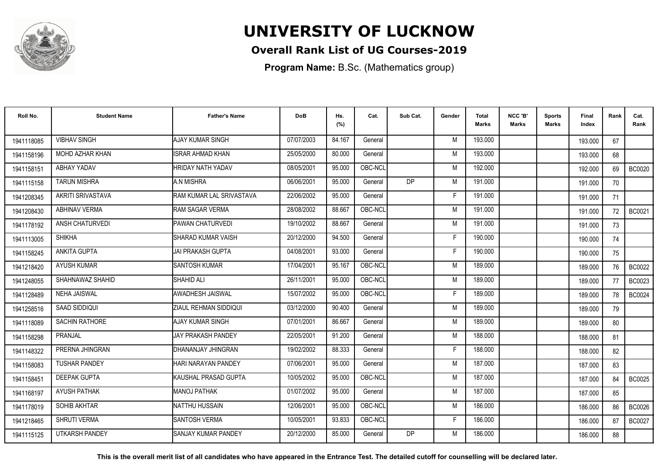

## **Overall Rank List of UG Courses-2019**

**Program Name:** B.Sc. (Mathematics group)

| Roll No.   | <b>Student Name</b>   | <b>Father's Name</b>       | <b>DoB</b> | Hs.<br>(%) | Cat.    | Sub Cat.  | Gender | <b>Total</b><br><b>Marks</b> | NCC 'B'<br><b>Marks</b> | <b>Sports</b><br>Marks | Final<br>Index | Rank | Cat.<br>Rank  |
|------------|-----------------------|----------------------------|------------|------------|---------|-----------|--------|------------------------------|-------------------------|------------------------|----------------|------|---------------|
| 1941118085 | <b>VIBHAV SINGH</b>   | <b>AJAY KUMAR SINGH</b>    | 07/07/2003 | 84.167     | General |           | M      | 193.000                      |                         |                        | 193.000        | 67   |               |
| 1941158196 | MOHD AZHAR KHAN       | <b>ISRAR AHMAD KHAN</b>    | 25/05/2000 | 80.000     | General |           | M      | 193.000                      |                         |                        | 193.000        | 68   |               |
| 1941158151 | ABHAY YADAV           | <b>HRIDAY NATH YADAV</b>   | 08/05/2001 | 95.000     | OBC-NCL |           | M      | 192.000                      |                         |                        | 192.000        | 69   | <b>BC0020</b> |
| 1941115158 | <b>TARUN MISHRA</b>   | A.N MISHRA                 | 06/06/2001 | 95.000     | General | <b>DP</b> | M      | 191.000                      |                         |                        | 191.000        | 70   |               |
| 1941208345 | AKRITI SRIVASTAVA     | RAM KUMAR LAL SRIVASTAVA   | 22/06/2002 | 95.000     | General |           | F      | 191.000                      |                         |                        | 191.000        | 71   |               |
| 1941208430 | <b>ABHINAV VERMA</b>  | RAM SAGAR VERMA            | 28/08/2002 | 88.667     | OBC-NCL |           | M      | 191.000                      |                         |                        | 191.000        | 72   | BC0021        |
| 1941178192 | ANSH CHATURVEDI       | PAWAN CHATURVEDI           | 19/10/2002 | 88.667     | General |           | M      | 191.000                      |                         |                        | 191.000        | 73   |               |
| 1941113005 | <b>SHIKHA</b>         | <b>SHARAD KUMAR VAISH</b>  | 20/12/2000 | 94.500     | General |           | F      | 190.000                      |                         |                        | 190.000        | 74   |               |
| 1941158245 | <b>ANKITA GUPTA</b>   | JAI PRAKASH GUPTA          | 04/08/2001 | 93.000     | General |           | F      | 190.000                      |                         |                        | 190.000        | 75   |               |
| 1941218420 | <b>AYUSH KUMAR</b>    | <b>SANTOSH KUMAR</b>       | 17/04/2001 | 95.167     | OBC-NCL |           | M      | 189.000                      |                         |                        | 189.000        | 76   | <b>BC0022</b> |
| 1941248055 | SHAHNAWAZ SHAHID      | SHAHID ALI                 | 26/11/2001 | 95.000     | OBC-NCL |           | M      | 189.000                      |                         |                        | 189.000        | 77   | BC0023        |
| 1941128489 | <b>NEHA JAISWAL</b>   | AWADHESH JAISWAL           | 15/07/2002 | 95.000     | OBC-NCL |           | F      | 189.000                      |                         |                        | 189.000        | 78   | <b>BC0024</b> |
| 1941258516 | SAAD SIDDIQUI         | ZIAUL REHMAN SIDDIQUI      | 03/12/2000 | 90.400     | General |           | M      | 189.000                      |                         |                        | 189.000        | 79   |               |
| 1941118089 | <b>SACHIN RATHORE</b> | AJAY KUMAR SINGH           | 07/01/2001 | 86.667     | General |           | M      | 189.000                      |                         |                        | 189.000        | 80   |               |
| 1941158298 | PRANJAL               | <b>JAY PRAKASH PANDEY</b>  | 22/05/2001 | 91.200     | General |           | M      | 188.000                      |                         |                        | 188.000        | 81   |               |
| 1941148322 | PRERNA JHINGRAN       | DHANANJAY JHINGRAN         | 19/02/2002 | 88.333     | General |           | F      | 188.000                      |                         |                        | 188.000        | 82   |               |
| 1941158083 | <b>TUSHAR PANDEY</b>  | HARI NARAYAN PANDEY        | 07/06/2001 | 95.000     | General |           | M      | 187.000                      |                         |                        | 187.000        | 83   |               |
| 1941158451 | <b>DEEPAK GUPTA</b>   | KAUSHAL PRASAD GUPTA       | 10/05/2002 | 95.000     | OBC-NCL |           | M      | 187,000                      |                         |                        | 187.000        | 84   | <b>BC0025</b> |
| 1941168197 | <b>AYUSH PATHAK</b>   | <b>MANOJ PATHAK</b>        | 01/07/2002 | 95.000     | General |           | M      | 187.000                      |                         |                        | 187.000        | 85   |               |
| 1941178019 | <b>SOHIB AKHTAR</b>   | <b>NATTHU HUSSAIN</b>      | 12/06/2001 | 95.000     | OBC-NCL |           | M      | 186.000                      |                         |                        | 186.000        | 86   | <b>BC0026</b> |
| 1941218465 | <b>SHRUTI VERMA</b>   | <b>SANTOSH VERMA</b>       | 10/05/2001 | 93.833     | OBC-NCL |           | F      | 186.000                      |                         |                        | 186.000        | 87   | <b>BC0027</b> |
| 1941115125 | <b>UTKARSH PANDEY</b> | <b>SANJAY KUMAR PANDEY</b> | 20/12/2000 | 85.000     | General | DP        | M      | 186.000                      |                         |                        | 186.000        | 88   |               |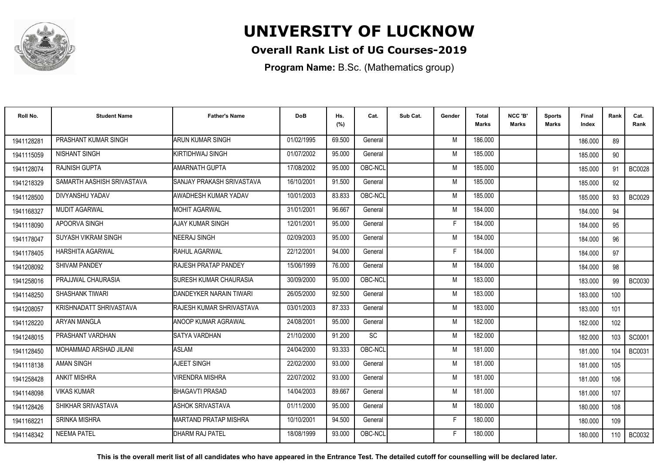

## **Overall Rank List of UG Courses-2019**

**Program Name:** B.Sc. (Mathematics group)

| Roll No.   | <b>Student Name</b>        | <b>Father's Name</b>             | <b>DoB</b> | Hs.<br>(%) | Cat.    | Sub Cat. | Gender | Total<br>Marks | NCC 'B'<br><b>Marks</b> | Sports<br>Marks | Final<br>Index | Rank | Cat.<br>Rank  |
|------------|----------------------------|----------------------------------|------------|------------|---------|----------|--------|----------------|-------------------------|-----------------|----------------|------|---------------|
| 1941128281 | PRASHANT KUMAR SINGH       | ARUN KUMAR SINGH                 | 01/02/1995 | 69.500     | General |          | M      | 186.000        |                         |                 | 186.000        | 89   |               |
| 1941115059 | NISHANT SINGH              | KIRTIDHWAJ SINGH                 | 01/07/2002 | 95.000     | General |          | M      | 185.000        |                         |                 | 185.000        | 90   |               |
| 1941128074 | RAJNISH GUPTA              | <b>AMARNATH GUPTA</b>            | 17/08/2002 | 95.000     | OBC-NCL |          | M      | 185.000        |                         |                 | 185.000        | 91   | <b>BC0028</b> |
| 1941218329 | SAMARTH AASHISH SRIVASTAVA | ISANJAY PRAKASH SRIVASTAVA       | 16/10/2001 | 91.500     | General |          | M      | 185.000        |                         |                 | 185.000        | 92   |               |
| 1941128500 | DIVYANSHU YADAV            | AWADHESH KUMAR YADAV             | 10/01/2003 | 83.833     | OBC-NCL |          | M      | 185.000        |                         |                 | 185.000        | 93   | <b>BC0029</b> |
| 1941168327 | <b>MUDIT AGARWAL</b>       | <b>MOHIT AGARWAL</b>             | 31/01/2001 | 96.667     | General |          | M      | 184.000        |                         |                 | 184.000        | 94   |               |
| 1941118090 | APOORVA SINGH              | AJAY KUMAR SINGH                 | 12/01/2001 | 95.000     | General |          | F      | 184.000        |                         |                 | 184.000        | 95   |               |
| 1941178047 | <b>SUYASH VIKRAM SINGH</b> | <b>NEERAJ SINGH</b>              | 02/09/2003 | 95.000     | General |          | M      | 184.000        |                         |                 | 184.000        | 96   |               |
| 1941178405 | <b>HARSHITA AGARWAL</b>    | RAHUL AGARWAL                    | 22/12/2001 | 94.000     | General |          | E      | 184.000        |                         |                 | 184.000        | 97   |               |
| 1941208092 | SHIVAM PANDEY              | RAJESH PRATAP PANDEY             | 15/06/1999 | 76.000     | General |          | M      | 184.000        |                         |                 | 184.000        | 98   |               |
| 1941258016 | PRAJJWAL CHAURASIA         | <b>SURESH KUMAR CHAURASIA</b>    | 30/09/2000 | 95.000     | OBC-NCL |          | M      | 183.000        |                         |                 | 183.000        | 99   | <b>BC0030</b> |
| 1941148250 | <b>SHASHANK TIWARI</b>     | DANDEYKER NARAIN TIWARI          | 26/05/2000 | 92.500     | General |          | M      | 183.000        |                         |                 | 183.000        | 100  |               |
| 1941208057 | KRISHNADATT SHRIVASTAVA    | <b>IRAJESH KUMAR SHRIVASTAVA</b> | 03/01/2003 | 87.333     | General |          | M      | 183.000        |                         |                 | 183.000        | 101  |               |
| 1941128220 | ARYAN MANGLA               | ANOOP KUMAR AGRAWAL              | 24/08/2001 | 95.000     | General |          | M      | 182.000        |                         |                 | 182.000        | 102  |               |
| 1941248015 | PRASHANT VARDHAN           | <b>SATYA VARDHAN</b>             | 21/10/2000 | 91.200     | SC      |          | M      | 182.000        |                         |                 | 182.000        | 103  | SC0001        |
| 1941128450 | MOHAMMAD ARSHAD JILANI     | <b>ASLAM</b>                     | 24/04/2000 | 93.333     | OBC-NCL |          | M      | 181.000        |                         |                 | 181.000        | 104  | <b>BC0031</b> |
| 1941118138 | AMAN SINGH                 | AJEET SINGH                      | 22/02/2000 | 93.000     | General |          | M      | 181.000        |                         |                 | 181.000        | 105  |               |
| 1941258428 | <b>ANKIT MISHRA</b>        | VIRENDRA MISHRA                  | 22/07/2002 | 93.000     | General |          | M      | 181.000        |                         |                 | 181.000        | 106  |               |
| 1941148098 | <b>VIKAS KUMAR</b>         | BHAGAVTI PRASAD                  | 14/04/2003 | 89.667     | General |          | M      | 181.000        |                         |                 | 181.000        | 107  |               |
| 1941128426 | SHIKHAR SRIVASTAVA         | <b>ASHOK SRIVASTAVA</b>          | 01/11/2000 | 95.000     | General |          | M      | 180.000        |                         |                 | 180.000        | 108  |               |
| 1941168221 | <b>SRINKA MISHRA</b>       | MARTAND PRATAP MISHRA            | 10/10/2001 | 94.500     | General |          | F      | 180.000        |                         |                 | 180.000        | 109  |               |
| 1941148342 | <b>NEEMA PATEL</b>         | DHARM RAJ PATEL                  | 18/08/1999 | 93.000     | OBC-NCL |          |        | 180.000        |                         |                 | 180.000        | 110  | BC0032        |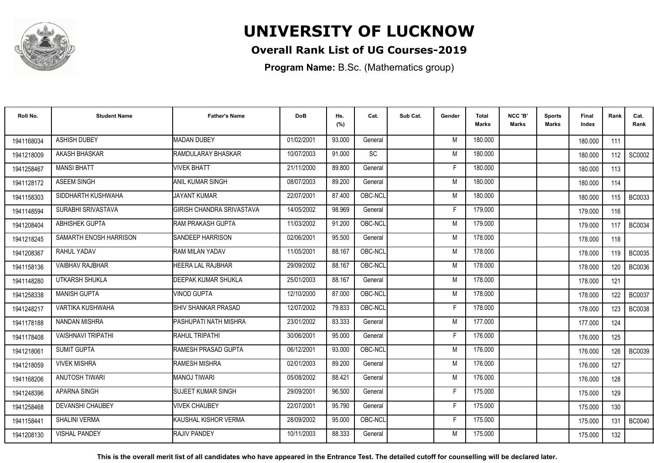

## **Overall Rank List of UG Courses-2019**

**Program Name:** B.Sc. (Mathematics group)

| Roll No.   | <b>Student Name</b>       | <b>Father's Name</b>             | <b>DoB</b> | Hs.<br>(%) | Cat.      | Sub Cat. | Gender | Total<br>Marks | NCC 'B'<br><b>Marks</b> | Sports<br>Marks | Final<br>Index | Rank  | Cat.<br>Rank  |
|------------|---------------------------|----------------------------------|------------|------------|-----------|----------|--------|----------------|-------------------------|-----------------|----------------|-------|---------------|
| 1941168034 | <b>ASHISH DUBEY</b>       | <b>MADAN DUBEY</b>               | 01/02/2001 | 93.000     | General   |          | M      | 180.000        |                         |                 | 180.000        | 111   |               |
| 1941218009 | AKASH BHASKAR             | RAMDULARAY BHASKAR               | 10/07/2003 | 91.000     | <b>SC</b> |          | M      | 180.000        |                         |                 | 180.000        | 112   | SC0002        |
| 1941258467 | <b>MANSI BHATT</b>        | <b>VIVEK BHATT</b>               | 21/11/2000 | 89.800     | General   |          | F      | 180.000        |                         |                 | 180.000        | 113   |               |
| 1941128172 | <b>ASEEM SINGH</b>        | <b>ANIL KUMAR SINGH</b>          | 08/07/2003 | 89.200     | General   |          | M      | 180.000        |                         |                 | 180.000        | 114   |               |
| 1941158303 | SIDDHARTH KUSHWAHA        | <b>JAYANT KUMAR</b>              | 22/07/2001 | 87.400     | OBC-NCL   |          | M      | 180.000        |                         |                 | 180.000        | 115   | BC0033        |
| 1941148594 | SURABHI SRIVASTAVA        | <b>GIRISH CHANDRA SRIVASTAVA</b> | 14/05/2002 | 98.969     | General   |          | Е      | 179.000        |                         |                 | 179.000        | 116   |               |
| 1941208404 | <b>ABHISHEK GUPTA</b>     | <b>IRAM PRAKASH GUPTA</b>        | 11/03/2002 | 91.200     | OBC-NCL   |          | M      | 179.000        |                         |                 | 179.000        | 117   | BC0034        |
| 1941218245 | SAMARTH ENOSH HARRISON    | <b>SANDEEP HARRISON</b>          | 02/06/2001 | 95.500     | General   |          | M      | 178.000        |                         |                 | 178.000        | 118   |               |
| 1941208367 | RAHUL YADAV               | <b>RAM MILAN YADAV</b>           | 11/05/2001 | 88.167     | OBC-NCL   |          | M      | 178.000        |                         |                 | 178.000        | 119 I | <b>BC0035</b> |
| 1941158136 | <b>VAIBHAV RAJBHAR</b>    | HEERA LAL RAJBHAR                | 29/09/2002 | 88.167     | OBC-NCL   |          | M      | 178.000        |                         |                 | 178.000        | 120   | <b>BC0036</b> |
| 1941148280 | UTKARSH SHUKLA            | DEEPAK KUMAR SHUKLA              | 25/01/2003 | 88.167     | General   |          | M      | 178.000        |                         |                 | 178.000        | 121   |               |
| 1941258338 | <b>MANISH GUPTA</b>       | <b>VINOD GUPTA</b>               | 12/10/2000 | 87.000     | OBC-NCL   |          | M      | 178.000        |                         |                 | 178.000        | 122   | <b>BC0037</b> |
| 1941248217 | VARTIKA KUSHWAHA          | <b>SHIV SHANKAR PRASAD</b>       | 12/07/2002 | 79.833     | OBC-NCL   |          |        | 178.000        |                         |                 | 178,000        | 123   | <b>BC0038</b> |
| 1941178188 | NANDAN MISHRA             | PASHUPATI NATH MISHRA            | 23/01/2002 | 83.333     | General   |          | M      | 177.000        |                         |                 | 177.000        | 124   |               |
| 1941178408 | <b>VAISHNAVI TRIPATHI</b> | RAHUL TRIPATHI                   | 30/06/2001 | 95.000     | General   |          | Е      | 176.000        |                         |                 | 176.000        | 125   |               |
| 1941218061 | <b>SUMIT GUPTA</b>        | RAMESH PRASAD GUPTA              | 06/12/2001 | 93.000     | OBC-NCL   |          | M      | 176.000        |                         |                 | 176,000        | 126   | <b>BC0039</b> |
| 1941218059 | <b>VIVEK MISHRA</b>       | <b>RAMESH MISHRA</b>             | 02/01/2003 | 89.200     | General   |          | M      | 176.000        |                         |                 | 176.000        | 127   |               |
| 1941168206 | <b>ANUTOSH TIWARI</b>     | <b>MANOJ TIWARI</b>              | 05/08/2002 | 88.421     | General   |          | M      | 176.000        |                         |                 | 176.000        | 128   |               |
| 1941248396 | <b>APARNA SINGH</b>       | <b>I</b> SUJEET KUMAR SINGH      | 29/09/2001 | 96.500     | General   |          | F      | 175.000        |                         |                 | 175.000        | 129   |               |
| 1941258468 | <b>DEVANSHI CHAUBEY</b>   | <b>VIVEK CHAUBEY</b>             | 22/07/2001 | 95.790     | General   |          | E      | 175.000        |                         |                 | 175.000        | 130   |               |
| 1941158441 | SHALINI VERMA             | İKAUSHAL KISHOR VERMA            | 28/09/2002 | 95.000     | OBC-NCL   |          | F      | 175.000        |                         |                 | 175.000        | 131   | <b>BC0040</b> |
| 1941208130 | <b>VISHAL PANDEY</b>      | <b>RAJIV PANDEY</b>              | 10/11/2003 | 88.333     | General   |          | M      | 175.000        |                         |                 | 175.000        | 132   |               |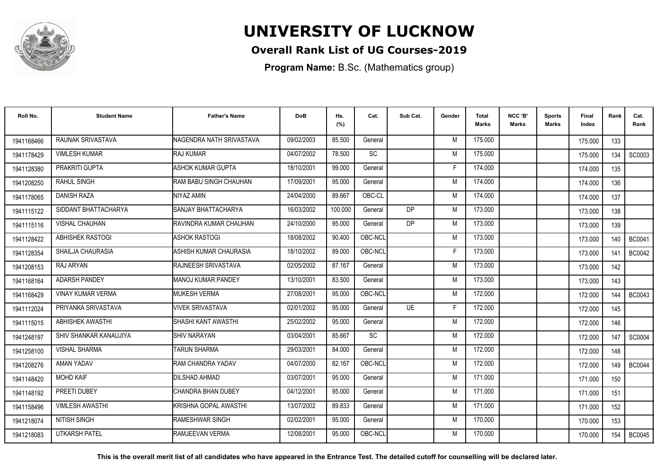

## **Overall Rank List of UG Courses-2019**

**Program Name:** B.Sc. (Mathematics group)

| Roll No.   | <b>Student Name</b>      | <b>Father's Name</b>     | <b>DoB</b> | Hs.<br>(%) | Cat.      | Sub Cat.       | Gender | <b>Total</b><br><b>Marks</b> | NCC 'B'<br><b>Marks</b> | <b>Sports</b><br>Marks | Final<br>Index | Rank  | Cat.<br>Rank  |
|------------|--------------------------|--------------------------|------------|------------|-----------|----------------|--------|------------------------------|-------------------------|------------------------|----------------|-------|---------------|
| 1941168466 | RAUNAK SRIVASTAVA        | NAGENDRA NATH SRIVASTAVA | 09/02/2003 | 85.500     | General   |                | M      | 175.000                      |                         |                        | 175.000        | 133   |               |
| 1941178429 | <b>VIMLESH KUMAR</b>     | RAJ KUMAR                | 04/07/2002 | 78.500     | SC        |                | M      | 175.000                      |                         |                        | 175.000        | 134   | SC0003        |
| 1941128380 | <b>PRAKRITI GUPTA</b>    | ASHOK KUMAR GUPTA        | 18/10/2001 | 99.000     | General   |                | F      | 174.000                      |                         |                        | 174.000        | 135   |               |
| 1941208250 | <b>RAHUL SINGH</b>       | RAM BABU SINGH CHAUHAN   | 17/09/2001 | 95.000     | General   |                | M      | 174.000                      |                         |                        | 174.000        | 136   |               |
| 1941178065 | <b>DANISH RAZA</b>       | NIYAZ AMIN               | 24/04/2000 | 89.667     | OBC-CL    |                | M      | 174.000                      |                         |                        | 174.000        | 137   |               |
| 1941115122 | SIDDANT BHATTACHARYA     | SANJAY BHATTACHARYA      | 16/03/2002 | 100.000    | General   | D <sub>P</sub> | M      | 173.000                      |                         |                        | 173.000        | 138   |               |
| 1941115116 | <b>VISHAL CHAUHAN</b>    | RAVINDRA KUMAR CHAUHAN   | 24/10/2000 | 95.000     | General   | DP             | M      | 173.000                      |                         |                        | 173.000        | 139   |               |
| 1941128422 | ABHISHEK RASTOGI         | <b>ASHOK RASTOGI</b>     | 18/08/2002 | 90.400     | OBC-NCL   |                | M      | 173.000                      |                         |                        | 173.000        | 140   | <b>BC0041</b> |
| 1941128354 | <b>SHAILJA CHAURASIA</b> | ASHISH KUMAR CHAURASIA   | 18/10/2002 | 89.000     | OBC-NCL   |                | E      | 173.000                      |                         |                        | 173.000        | 141   | <b>BC0042</b> |
| 1941208153 | RAJ ARYAN                | RAJNEESH SRIVASTAVA      | 02/05/2002 | 87.167     | General   |                | M      | 173.000                      |                         |                        | 173.000        | 142   |               |
| 1941168164 | <b>ADARSH PANDEY</b>     | MANOJ KUMAR PANDEY       | 13/10/2001 | 83.500     | General   |                | M      | 173.000                      |                         |                        | 173.000        | 143   |               |
| 1941168429 | <b>VINAY KUMAR VERMA</b> | <b>MUKESH VERMA</b>      | 27/08/2001 | 95.000     | OBC-NCL   |                | M      | 172.000                      |                         |                        | 172.000        | 144   | <b>BC0043</b> |
| 1941112024 | PRIYANKA SRIVASTAVA      | <b>VIVEK SRIVASTAVA</b>  | 02/01/2002 | 95.000     | General   | <b>UE</b>      | F      | 172.000                      |                         |                        | 172.000        | 145   |               |
| 1941115015 | <b>ABHISHEK AWASTHI</b>  | ISHASHI KANT AWASTHI     | 25/02/2002 | 95.000     | General   |                | M      | 172.000                      |                         |                        | 172.000        | 146   |               |
| 1941248197 | SHIV SHANKAR KANAUJIYA   | <b>SHIV NARAYAN</b>      | 03/04/2001 | 85.667     | <b>SC</b> |                | M      | 172.000                      |                         |                        | 172.000        | 147   | SC0004        |
| 1941258100 | <b>VISHAL SHARMA</b>     | <b>TARUN SHARMA</b>      | 29/03/2001 | 84.000     | General   |                | M      | 172.000                      |                         |                        | 172.000        | 148   |               |
| 1941208276 | AMAN YADAV               | RAM CHANDRA YADAV        | 04/07/2000 | 82.167     | OBC-NCL   |                | M      | 172.000                      |                         |                        | 172.000        | 149 l | <b>BC0044</b> |
| 1941148420 | <b>MOHD KAIF</b>         | DILSHAD AHMAD            | 03/07/2001 | 95.000     | General   |                | M      | 171.000                      |                         |                        | 171.000        | 150   |               |
| 1941148192 | PREETI DUBEY             | CHANDRA BHAN DUBEY       | 04/12/2001 | 95.000     | General   |                | M      | 171.000                      |                         |                        | 171.000        | 151   |               |
| 1941158496 | <b>VIMLESH AWASTHI</b>   | İKRISHNA GOPAL AWASTHI   | 13/07/2002 | 89.833     | General   |                | M      | 171.000                      |                         |                        | 171.000        | 152   |               |
| 1941218074 | <b>NITISH SINGH</b>      | <b>RAMESHWAR SINGH</b>   | 02/02/2001 | 95.000     | General   |                | M      | 170.000                      |                         |                        | 170.000        | 153   |               |
| 1941218083 | <b>UTKARSH PATEL</b>     | RAMJEEVAN VERMA          | 12/08/2001 | 95.000     | OBC-NCL   |                | M      | 170.000                      |                         |                        | 170.000        | 154   | <b>BC0045</b> |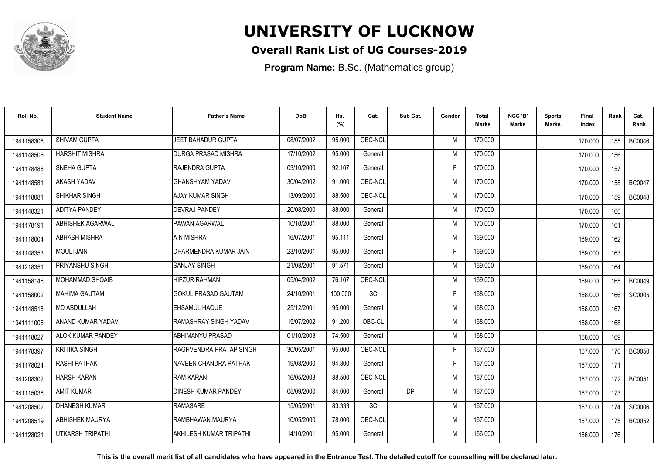

## **Overall Rank List of UG Courses-2019**

**Program Name:** B.Sc. (Mathematics group)

| Roll No.   | <b>Student Name</b>     | <b>Father's Name</b>           | <b>DoB</b> | Hs.<br>(%) | Cat.      | Sub Cat. | Gender | <b>Total</b><br><b>Marks</b> | NCC 'B'<br><b>Marks</b> | Sports<br>Marks | <b>Final</b><br>Index | Rank             | Cat.<br>Rank  |
|------------|-------------------------|--------------------------------|------------|------------|-----------|----------|--------|------------------------------|-------------------------|-----------------|-----------------------|------------------|---------------|
| 1941158308 | SHIVAM GUPTA            | JEET BAHADUR GUPTA             | 08/07/2002 | 95.000     | OBC-NCL   |          | M      | 170.000                      |                         |                 | 170.000               | 155              | <b>BC0046</b> |
| 1941148506 | <b>HARSHIT MISHRA</b>   | <b>DURGA PRASAD MISHRA</b>     | 17/10/2002 | 95.000     | General   |          | M      | 170.000                      |                         |                 | 170.000               | 156              |               |
| 1941178488 | <b>SNEHA GUPTA</b>      | <b>IRAJENDRA GUPTA</b>         | 03/10/2000 | 92.167     | General   |          | F      | 170.000                      |                         |                 | 170.000               | 157              |               |
| 194114858  | AKASH YADAV             | <b>GHANSHYAM YADAV</b>         | 30/04/2002 | 91.000     | OBC-NCL   |          | M      | 170.000                      |                         |                 | 170.000               | 158              | <b>BC0047</b> |
| 1941118081 | SHIKHAR SINGH           | AJAY KUMAR SINGH               | 13/09/2000 | 88.500     | OBC-NCL   |          | M      | 170.000                      |                         |                 | 170.000               | 159              | <b>BC0048</b> |
| 1941148321 | <b>ADITYA PANDEY</b>    | <b>DEVRAJ PANDEY</b>           | 20/08/2000 | 88.000     | General   |          | M      | 170.000                      |                         |                 | 170.000               | 160              |               |
| 1941178191 | ABHISHEK AGARWAL        | <b>PAWAN AGARWAL</b>           | 10/10/2001 | 88.000     | General   |          | M      | 170.000                      |                         |                 | 170.000               | 161              |               |
| 1941118004 | <b>ABHASH MISHRA</b>    | A N MISHRA                     | 16/07/2001 | 95.111     | General   |          | M      | 169.000                      |                         |                 | 169.000               | 162              |               |
| 1941148353 | <b>MOULI JAIN</b>       | DHARMENDRA KUMAR JAIN          | 23/10/2001 | 95.000     | General   |          | F      | 169.000                      |                         |                 | 169.000               | 163              |               |
| 1941218351 | PRIYANSHU SINGH         | <b>SANJAY SINGH</b>            | 21/08/2001 | 91.571     | General   |          | M      | 169.000                      |                         |                 | 169.000               | 164              |               |
| 1941158146 | <b>MOHAMMAD SHOAIB</b>  | <b>HIFZUR RAHMAN</b>           | 05/04/2002 | 76.167     | OBC-NCL   |          | M      | 169,000                      |                         |                 | 169.000               | 165              | <b>BC0049</b> |
| 1941158002 | <b>MAHIMA GAUTAM</b>    | <b>GOKUL PRASAD GAUTAM</b>     | 24/10/2001 | 100.000    | SC        |          | F      | 168.000                      |                         |                 | 168.000               | 166              | SC0005        |
| 1941148518 | MD ABDULLAH             | EHSAMUL HAQUE                  | 25/12/2001 | 95.000     | General   |          | M      | 168.000                      |                         |                 | 168.000               | 167              |               |
| 1941111006 | ANAND KUMAR YADAV       | RAMASHRAY SINGH YADAV          | 15/07/2002 | 91.200     | OBC-CL    |          | M      | 168.000                      |                         |                 | 168.000               | 168              |               |
| 1941118027 | ALOK KUMAR PANDEY       | ABHIMANYU PRASAD               | 01/10/2003 | 74.500     | General   |          | M      | 168,000                      |                         |                 | 168.000               | 169              |               |
| 1941178397 | <b>KRITIKA SINGH</b>    | RAGHVENDRA PRATAP SINGH        | 30/05/2001 | 95.000     | OBC-NCL   |          | F      | 167.000                      |                         |                 | 167.000               | 170              | <b>BC0050</b> |
| 1941178024 | <b>RASHI PATHAK</b>     | NAVEEN CHANDRA PATHAK          | 19/08/2000 | 94.800     | General   |          | F      | 167.000                      |                         |                 | 167.000               | 171              |               |
| 1941208302 | <b>HARSH KARAN</b>      | <b>RAM KARAN</b>               | 16/05/2003 | 88.500     | OBC-NCL   |          | M      | 167.000                      |                         |                 | 167.000               | 172 <sub>1</sub> | <b>BC0051</b> |
| 1941115036 | <b>AMIT KUMAR</b>       | <b>DINESH KUMAR PANDEY</b>     | 05/09/2000 | 84.000     | General   | DP       | M      | 167.000                      |                         |                 | 167.000               | 173              |               |
| 1941208502 | <b>DHANESH KUMAR</b>    | <b>RAMASARE</b>                | 15/05/2001 | 83.333     | <b>SC</b> |          | M      | 167.000                      |                         |                 | 167.000               | 174              | SC0006        |
| 1941208519 | <b>ABHISHEK MAURYA</b>  | <b>RAMBHAWAN MAURYA</b>        | 10/05/2000 | 78.000     | OBC-NCL   |          | M      | 167.000                      |                         |                 | 167.000               | 175              | <b>BC0052</b> |
| 194112802  | <b>UTKARSH TRIPATHI</b> | <b>AKHILESH KUMAR TRIPATHI</b> | 14/10/2001 | 95.000     | General   |          | M      | 166.000                      |                         |                 | 166.000               | 176              |               |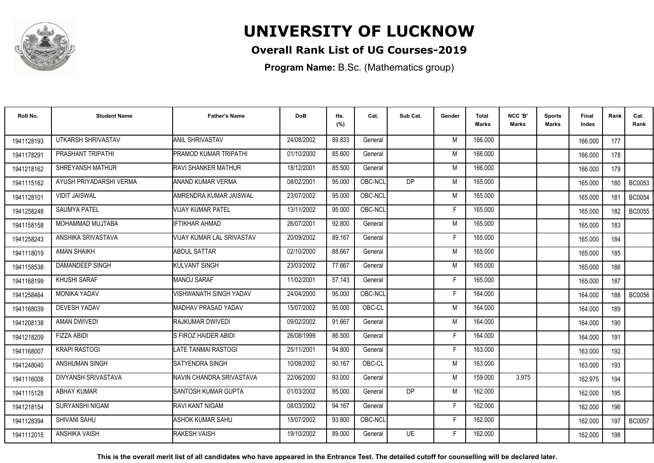

## **Overall Rank List of UG Courses-2019**

**Program Name:** B.Sc. (Mathematics group)

| Roll No.   | <b>Student Name</b>     | <b>Father's Name</b>       | <b>DoB</b> | Hs.<br>(%) | Cat.    | Sub Cat.       | Gender | <b>Total</b><br>Marks | NCC 'B'<br><b>Marks</b> | Sports<br><b>Marks</b> | Final<br>Index | Rank | Cat.<br>Rank  |
|------------|-------------------------|----------------------------|------------|------------|---------|----------------|--------|-----------------------|-------------------------|------------------------|----------------|------|---------------|
| 1941128193 | UTKARSH SHRIVASTAV      | <b>ANIL SHRIVASTAV</b>     | 24/08/2002 | 89.833     | General |                | M      | 166.000               |                         |                        | 166.000        | 177  |               |
| 1941178291 | PRASHANT TRIPATHI       | PRAMOD KUMAR TRIPATHI      | 01/10/2000 | 85.600     | General |                | M      | 166.000               |                         |                        | 166.000        | 178  |               |
| 1941218162 | SHREYANSH MATHUR        | <b>RAVI SHANKER MATHUR</b> | 18/12/2001 | 85.500     | General |                | M      | 166.000               |                         |                        | 166.000        | 179  |               |
| 1941115162 | AYUSH PRIYADARSHI VERMA | ANAND KUMAR VERMA          | 08/02/2001 | 95.000     | OBC-NCL | D <sub>P</sub> | M      | 165.000               |                         |                        | 165.000        | 180  | <b>BC0053</b> |
| 1941128101 | <b>VIDIT JAISWAL</b>    | AMRENDRA KUMAR JAISWAL     | 23/07/2002 | 95.000     | OBC-NCL |                | M      | 165.000               |                         |                        | 165.000        | 181  | <b>BC0054</b> |
| 1941258248 | <b>SAUMYA PATEL</b>     | <b>VIJAY KUMAR PATEL</b>   | 13/11/2002 | 95.000     | OBC-NCL |                | Е      | 165.000               |                         |                        | 165.000        | 182  | <b>BC0055</b> |
| 1941158158 | MOHAMMAD MUJTABA        | <b>IFTIKHAR AHMAD</b>      | 26/07/2001 | 92.800     | General |                | M      | 165.000               |                         |                        | 165.000        | 183  |               |
| 1941258243 | ANSHIKA SRIVASTAVA      | VIJAY KUMAR LAL SRIVASTAV  | 20/09/2002 | 89.167     | General |                | Е      | 165.000               |                         |                        | 165.000        | 184  |               |
| 1941118019 | <b>AMAN SHAIKH</b>      | ABDUL SATTAR               | 02/10/2000 | 88.667     | General |                | M      | 165.000               |                         |                        | 165.000        | 185  |               |
| 1941158538 | DAMANDEEP SINGH         | <b>KULVANT SINGH</b>       | 23/03/2002 | 77.667     | General |                | M      | 165.000               |                         |                        | 165.000        | 186  |               |
| 1941168199 | KHUSHI SARAF            | MANOJ SARAF                | 11/02/2001 | 57.143     | General |                | Е      | 165.000               |                         |                        | 165.000        | 187  |               |
| 1941258464 | <b>MONIKA YADAV</b>     | VISHWANATH SINGH YADAV     | 24/04/2000 | 95.000     | OBC-NCL |                | F      | 164.000               |                         |                        | 164.000        | 188  | <b>BC0056</b> |
| 1941168039 | <b>DEVESH YADAV</b>     | MADHAV PRASAD YADAV        | 15/07/2002 | 95.000     | OBC-CL  |                | M      | 164.000               |                         |                        | 164.000        | 189  |               |
| 1941208138 | AMAN DWIVEDI            | RAJKUMAR DWIVEDI           | 09/02/2002 | 91.667     | General |                | M      | 164.000               |                         |                        | 164.000        | 190  |               |
| 1941218209 | <b>FIZZA ABIDI</b>      | IS FIROZ HAIDER ABIDI      | 26/08/1999 | 86.500     | General |                |        | 164.000               |                         |                        | 164.000        | 191  |               |
| 1941168007 | <b>KRAPI RASTOGI</b>    | LATE TANMAI RASTOGI        | 25/11/2001 | 94.800     | General |                | E      | 163.000               |                         |                        | 163.000        | 192  |               |
| 1941248040 | <b>ANSHUMAN SINGH</b>   | <b>ISATYENDRA SINGH</b>    | 10/08/2002 | 90.167     | OBC-CL  |                | M      | 163.000               |                         |                        | 163.000        | 193  |               |
| 1941116008 | DIVYANSH SRIVASTAVA     | NAVIN CHANDRA SRIVASTAVA   | 22/06/2000 | 93.000     | General |                | M      | 159.000               | 3.975                   |                        | 162.975        | 194  |               |
| 1941115128 | <b>ABHAY KUMAR</b>      | SANTOSH KUMAR GUPTA        | 01/03/2002 | 95.000     | General | DP.            | M      | 162.000               |                         |                        | 162.000        | 195  |               |
| 1941218154 | SURYANSHI NIGAM         | <b>RAVI KANT NIGAM</b>     | 08/03/2002 | 94.167     | General |                | F      | 162.000               |                         |                        | 162.000        | 196  |               |
| 1941128394 | SHIVANI SAHU            | <b>ASHOK KUMAR SAHU</b>    | 15/07/2002 | 93.800     | OBC-NCL |                | F.     | 162.000               |                         |                        | 162.000        | 197  | <b>BC0057</b> |
| 1941112015 | <b>ANSHIKA VAISH</b>    | <b>RAKESH VAISH</b>        | 19/10/2002 | 89.000     | General | <b>UE</b>      | F      | 162.000               |                         |                        | 162.000        | 198  |               |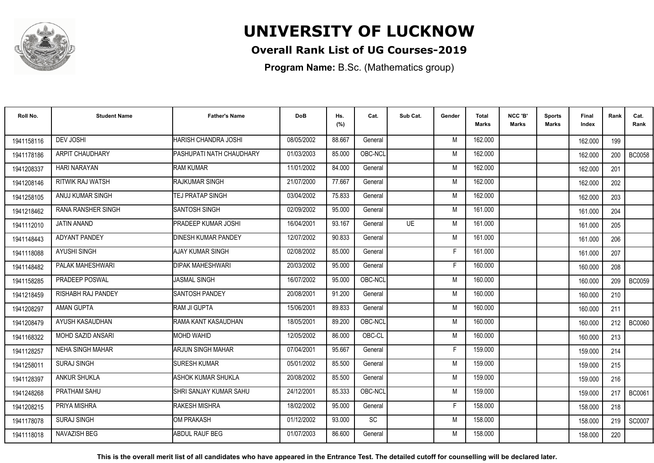

## **Overall Rank List of UG Courses-2019**

**Program Name:** B.Sc. (Mathematics group)

| Roll No.   | <b>Student Name</b>       | <b>Father's Name</b>          | <b>DoB</b> | Hs.<br>(%) | Cat.      | Sub Cat.  | Gender | <b>Total</b><br><b>Marks</b> | NCC 'B'<br><b>Marks</b> | <b>Sports</b><br>Marks | Final<br>Index | Rank | Cat.<br>Rank  |
|------------|---------------------------|-------------------------------|------------|------------|-----------|-----------|--------|------------------------------|-------------------------|------------------------|----------------|------|---------------|
| 1941158116 | <b>DEV JOSHI</b>          | HARISH CHANDRA JOSHI          | 08/05/2002 | 88.667     | General   |           | M      | 162.000                      |                         |                        | 162.000        | 199  |               |
| 1941178186 | <b>ARPIT CHAUDHARY</b>    | PASHUPATI NATH CHAUDHARY      | 01/03/2003 | 85.000     | OBC-NCL   |           | M      | 162.000                      |                         |                        | 162.000        | 200  | <b>BC0058</b> |
| 1941208337 | <b>HARI NARAYAN</b>       | <b>RAM KUMAR</b>              | 11/01/2002 | 84.000     | General   |           | M      | 162.000                      |                         |                        | 162.000        | 201  |               |
| 1941208146 | RITWIK RAJ WATSH          | RAJKUMAR SINGH                | 21/07/2000 | 77.667     | General   |           | M      | 162.000                      |                         |                        | 162.000        | 202  |               |
| 1941258105 | ANUJ KUMAR SINGH          | <b>ITEJ PRATAP SINGH</b>      | 03/04/2002 | 75.833     | General   |           | M      | 162.000                      |                         |                        | 162.000        | 203  |               |
| 1941218462 | <b>RANA RANSHER SINGH</b> | <b>SANTOSH SINGH</b>          | 02/09/2002 | 95.000     | General   |           | M      | 161.000                      |                         |                        | 161.000        | 204  |               |
| 1941112010 | JATIN ANAND               | PRADEEP KUMAR JOSHI           | 16/04/2001 | 93.167     | General   | <b>UE</b> | M      | 161.000                      |                         |                        | 161.000        | 205  |               |
| 1941148443 | <b>ADYANT PANDEY</b>      | <b>DINESH KUMAR PANDEY</b>    | 12/07/2002 | 90.833     | General   |           | M      | 161.000                      |                         |                        | 161.000        | 206  |               |
| 1941118088 | <b>AYUSHI SINGH</b>       | AJAY KUMAR SINGH              | 02/08/2002 | 85.000     | General   |           | E      | 161.000                      |                         |                        | 161.000        | 207  |               |
| 1941148482 | PALAK MAHESHWARI          | <b>DIPAK MAHESHWARI</b>       | 20/03/2002 | 95.000     | General   |           | F      | 160.000                      |                         |                        | 160.000        | 208  |               |
| 1941158285 | PRADEEP POSWAL            | JASMAL SINGH                  | 16/07/2002 | 95.000     | OBC-NCL   |           | M      | 160.000                      |                         |                        | 160.000        | 209  | <b>BC0059</b> |
| 1941218459 | <b>RISHABH RAJ PANDEY</b> | <b>SANTOSH PANDEY</b>         | 20/08/2001 | 91.200     | General   |           | M      | 160.000                      |                         |                        | 160.000        | 210  |               |
| 1941208297 | AMAN GUPTA                | <b>RAM JI GUPTA</b>           | 15/06/2001 | 89.833     | General   |           | M      | 160.000                      |                         |                        | 160.000        | 211  |               |
| 1941208479 | AYUSH KASAUDHAN           | IRAMA KANT KASAUDHAN          | 18/05/2001 | 89.200     | OBC-NCL   |           | M      | 160.000                      |                         |                        | 160.000        | 212  | <b>BC0060</b> |
| 1941168322 | <b>MOHD SAZID ANSARI</b>  | <b>MOHD WAHID</b>             | 12/05/2002 | 86.000     | OBC-CL    |           | M      | 160.000                      |                         |                        | 160,000        | 213  |               |
| 1941128257 | <b>NEHA SINGH MAHAR</b>   | <b>ARJUN SINGH MAHAR</b>      | 07/04/2001 | 95.667     | General   |           | F      | 159.000                      |                         |                        | 159.000        | 214  |               |
| 1941258011 | <b>SURAJ SINGH</b>        | <b>SURESH KUMAR</b>           | 05/01/2002 | 85.500     | General   |           | M      | 159.000                      |                         |                        | 159.000        | 215  |               |
| 1941128397 | <b>ANKUR SHUKLA</b>       | ASHOK KUMAR SHUKLA            | 20/08/2002 | 85.500     | General   |           | M      | 159.000                      |                         |                        | 159.000        | 216  |               |
| 1941248268 | PRATHAM SAHU              | <b>SHRI SANJAY KUMAR SAHU</b> | 24/12/2001 | 85.333     | OBC-NCL   |           | M      | 159.000                      |                         |                        | 159,000        | 217  | <b>BC0061</b> |
| 1941208215 | PRIYA MISHRA              | <b>RAKESH MISHRA</b>          | 18/02/2002 | 95.000     | General   |           | F      | 158.000                      |                         |                        | 158,000        | 218  |               |
| 1941178078 | <b>SURAJ SINGH</b>        | OM PRAKASH                    | 01/12/2002 | 93.000     | <b>SC</b> |           | M      | 158,000                      |                         |                        | 158.000        | 219  | SC0007        |
| 1941118018 | NAVAZISH BEG              | <b>ABDUL RAUF BEG</b>         | 01/07/2003 | 86.600     | General   |           | M      | 158.000                      |                         |                        | 158.000        | 220  |               |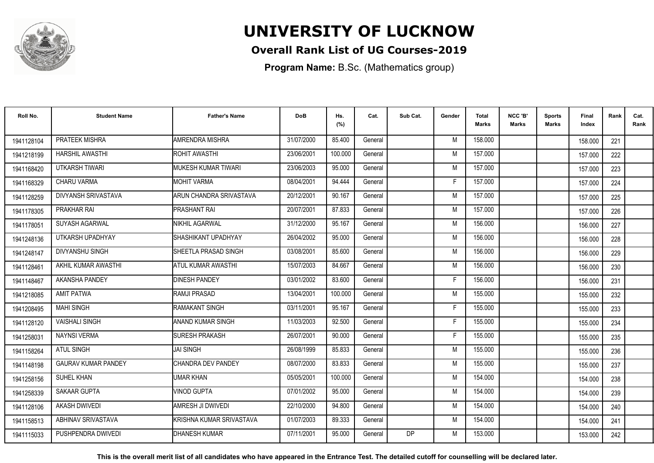

## **Overall Rank List of UG Courses-2019**

**Program Name:** B.Sc. (Mathematics group)

| Roll No.   | <b>Student Name</b>        | <b>Father's Name</b>     | <b>DoB</b> | Hs.<br>(%) | Cat.    | Sub Cat.  | Gender | <b>Total</b><br><b>Marks</b> | NCC 'B'<br>Marks | <b>Sports</b><br>Marks | <b>Final</b><br>Index | Rank | Cat.<br>Rank |
|------------|----------------------------|--------------------------|------------|------------|---------|-----------|--------|------------------------------|------------------|------------------------|-----------------------|------|--------------|
| 1941128104 | PRATEEK MISHRA             | AMRENDRA MISHRA          | 31/07/2000 | 85.400     | General |           | M      | 158.000                      |                  |                        | 158.000               | 221  |              |
| 1941218199 | <b>HARSHIL AWASTHI</b>     | ROHIT AWASTHI            | 23/06/2001 | 100.000    | General |           | M      | 157.000                      |                  |                        | 157.000               | 222  |              |
| 1941168420 | UTKARSH TIWARI             | MUKESH KUMAR TIWARI      | 23/06/2003 | 95.000     | General |           | M      | 157.000                      |                  |                        | 157.000               | 223  |              |
| 1941168329 | <b>CHARU VARMA</b>         | <b>MOHIT VARMA</b>       | 08/04/2001 | 94.444     | General |           | F.     | 157.000                      |                  |                        | 157.000               | 224  |              |
| 1941128259 | DIVYANSH SRIVASTAVA        | ARUN CHANDRA SRIVASTAVA  | 20/12/2001 | 90.167     | General |           | M      | 157.000                      |                  |                        | 157.000               | 225  |              |
| 1941178305 | PRAKHAR RAI                | <b>PRASHANT RAI</b>      | 20/07/2001 | 87.833     | General |           | M      | 157.000                      |                  |                        | 157.000               | 226  |              |
| 1941178051 | SUYASH AGARWAL             | NIKHIL AGARWAL           | 31/12/2000 | 95.167     | General |           | M      | 156.000                      |                  |                        | 156.000               | 227  |              |
| 1941248136 | UTKARSH UPADHYAY           | SHASHIKANT UPADHYAY      | 26/04/2002 | 95.000     | General |           | M      | 156.000                      |                  |                        | 156.000               | 228  |              |
| 1941248147 | <b>DIVYANSHU SINGH</b>     | SHEETLA PRASAD SINGH     | 03/08/2001 | 85.600     | General |           | M      | 156.000                      |                  |                        | 156.000               | 229  |              |
| 1941128461 | AKHIL KUMAR AWASTHI        | ATUL KUMAR AWASTHI       | 15/07/2003 | 84.667     | General |           | M      | 156.000                      |                  |                        | 156.000               | 230  |              |
| 1941148467 | <b>AKANSHA PANDEY</b>      | <b>DINESH PANDEY</b>     | 03/01/2002 | 83.600     | General |           | F.     | 156.000                      |                  |                        | 156.000               | 231  |              |
| 1941218085 | <b>AMIT PATWA</b>          | <b>RAMJI PRASAD</b>      | 13/04/2001 | 100.000    | General |           | M      | 155.000                      |                  |                        | 155.000               | 232  |              |
| 1941208495 | <b>MAHI SINGH</b>          | RAMAKANT SINGH           | 03/11/2001 | 95.167     | General |           | F.     | 155.000                      |                  |                        | 155.000               | 233  |              |
| 1941128120 | <b>VAISHALI SINGH</b>      | ANAND KUMAR SINGH        | 11/03/2003 | 92.500     | General |           | F.     | 155.000                      |                  |                        | 155.000               | 234  |              |
| 1941258031 | <b>NAYNSI VERMA</b>        | <b>SURESH PRAKASH</b>    | 26/07/2001 | 90.000     | General |           | F.     | 155.000                      |                  |                        | 155.000               | 235  |              |
| 1941158264 | <b>ATUL SINGH</b>          | <b>JAI SINGH</b>         | 26/08/1999 | 85.833     | General |           | M      | 155.000                      |                  |                        | 155.000               | 236  |              |
| 1941148198 | <b>GAURAV KUMAR PANDEY</b> | CHANDRA DEV PANDEY       | 08/07/2000 | 83.833     | General |           | M      | 155.000                      |                  |                        | 155.000               | 237  |              |
| 1941258156 | SUHEL KHAN                 | UMAR KHAN                | 05/05/2001 | 100.000    | General |           | M      | 154.000                      |                  |                        | 154.000               | 238  |              |
| 1941258339 | <b>SAKAAR GUPTA</b>        | <b>VINOD GUPTA</b>       | 07/01/2002 | 95.000     | General |           | M      | 154.000                      |                  |                        | 154.000               | 239  |              |
| 1941128106 | <b>AKASH DWIVEDI</b>       | AMRESH JI DWIVEDI        | 22/10/2000 | 94.800     | General |           | M      | 154.000                      |                  |                        | 154.000               | 240  |              |
| 1941158513 | ABHINAV SRIVASTAVA         | KRISHNA KUMAR SRIVASTAVA | 01/07/2003 | 89.333     | General |           | M      | 154.000                      |                  |                        | 154.000               | 241  |              |
| 1941115033 | PUSHPENDRA DWIVEDI         | <b>DHANESH KUMAR</b>     | 07/11/2001 | 95.000     | General | <b>DP</b> | M      | 153.000                      |                  |                        | 153.000               | 242  |              |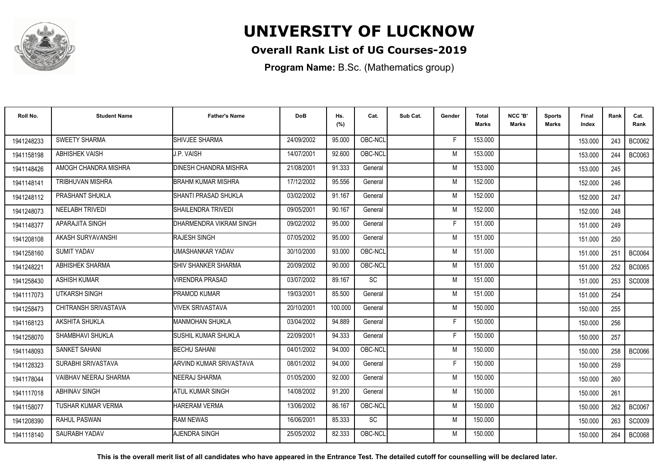

## **Overall Rank List of UG Courses-2019**

**Program Name:** B.Sc. (Mathematics group)

| Roll No.   | <b>Student Name</b>       | <b>Father's Name</b>         | <b>DoB</b> | Hs.<br>(%) | Cat.      | Sub Cat. | Gender | <b>Total</b><br><b>Marks</b> | NCC 'B'<br><b>Marks</b> | <b>Sports</b><br>Marks | Final<br>Index | Rank | Cat.<br>Rank  |
|------------|---------------------------|------------------------------|------------|------------|-----------|----------|--------|------------------------------|-------------------------|------------------------|----------------|------|---------------|
| 1941248233 | <b>SWEETY SHARMA</b>      | SHIVJEE SHARMA               | 24/09/2002 | 95.000     | OBC-NCL   |          | F      | 153.000                      |                         |                        | 153.000        | 243  | <b>BC0062</b> |
| 1941158198 | <b>ABHISHEK VAISH</b>     | J.P. VAISH                   | 14/07/2001 | 92.600     | OBC-NCL   |          | M      | 153.000                      |                         |                        | 153.000        | 244  | <b>BC0063</b> |
| 1941148426 | AMOGH CHANDRA MISHRA      | <b>DINESH CHANDRA MISHRA</b> | 21/08/2001 | 91.333     | General   |          | M      | 153.000                      |                         |                        | 153.000        | 245  |               |
| 1941148141 | <b>TRIBHUVAN MISHRA</b>   | <b>BRAHM KUMAR MISHRA</b>    | 17/12/2002 | 95.556     | General   |          | M      | 152.000                      |                         |                        | 152.000        | 246  |               |
| 1941248112 | PRASHANT SHUKLA           | SHANTI PRASAD SHUKLA         | 03/02/2002 | 91.167     | General   |          | M      | 152.000                      |                         |                        | 152.000        | 247  |               |
| 1941248073 | <b>NEELABH TRIVEDI</b>    | SHAILENDRA TRIVEDI           | 09/05/2001 | 90.167     | General   |          | M      | 152.000                      |                         |                        | 152.000        | 248  |               |
| 1941148377 | APARAJITA SINGH           | DHARMENDRA VIKRAM SINGH      | 09/02/2002 | 95.000     | General   |          | F      | 151.000                      |                         |                        | 151.000        | 249  |               |
| 1941208108 | AKASH SURYAVANSHI         | <b>RAJESH SINGH</b>          | 07/05/2002 | 95.000     | General   |          | M      | 151.000                      |                         |                        | 151.000        | 250  |               |
| 1941258160 | <b>SUMIT YADAV</b>        | UMASHANKAR YADAV             | 30/10/2000 | 93.000     | OBC-NCL   |          | M      | 151.000                      |                         |                        | 151.000        | 251  | <b>BC0064</b> |
| 1941248221 | <b>ABHISHEK SHARMA</b>    | <b>SHIV SHANKER SHARMA</b>   | 20/09/2002 | 90.000     | OBC-NCL   |          | M      | 151.000                      |                         |                        | 151.000        | 252  | <b>BC0065</b> |
| 1941258430 | <b>ASHISH KUMAR</b>       | <b>JIRENDRA PRASAD</b>       | 03/07/2002 | 89.167     | SC        |          | M      | 151.000                      |                         |                        | 151.000        | 253  | <b>SC0008</b> |
| 1941117073 | <b>UTKARSH SINGH</b>      | PRAMOD KUMAR                 | 19/03/2001 | 85.500     | General   |          | M      | 151.000                      |                         |                        | 151.000        | 254  |               |
| 1941258473 | CHITRANSH SRIVASTAVA      | VIVEK SRIVASTAVA             | 20/10/2001 | 100.000    | General   |          | M      | 150.000                      |                         |                        | 150.000        | 255  |               |
| 1941168123 | AKSHITA SHUKLA            | <b>MANMOHAN SHUKLA</b>       | 03/04/2002 | 94.889     | General   |          | E      | 150.000                      |                         |                        | 150.000        | 256  |               |
| 1941258070 | SHAMBHAVI SHUKLA          | SUSHIL KUMAR SHUKLA          | 22/09/2001 | 94.333     | General   |          | F      | 150.000                      |                         |                        | 150.000        | 257  |               |
| 1941148093 | <b>SANKET SAHANI</b>      | <b>BECHU SAHANI</b>          | 04/01/2002 | 94.000     | OBC-NCL   |          | M      | 150.000                      |                         |                        | 150.000        | 258  | <b>BC0066</b> |
| 1941128323 | SURABHI SRIVASTAVA        | ARVIND KUMAR SRIVASTAVA      | 08/01/2002 | 94.000     | General   |          | F      | 150.000                      |                         |                        | 150.000        | 259  |               |
| 1941178044 | VAIBHAV NEERAJ SHARMA     | <b>NEERAJ SHARMA</b>         | 01/05/2000 | 92.000     | General   |          | M      | 150.000                      |                         |                        | 150.000        | 260  |               |
| 1941117018 | <b>ABHINAV SINGH</b>      | <b>ATUL KUMAR SINGH</b>      | 14/08/2002 | 91.200     | General   |          | M      | 150.000                      |                         |                        | 150.000        | 261  |               |
| 1941158077 | <b>TUSHAR KUMAR VERMA</b> | <b>HARERAM VERMA</b>         | 13/06/2002 | 86.167     | OBC-NCL   |          | M      | 150.000                      |                         |                        | 150.000        | 262  | <b>BC0067</b> |
| 1941208390 | <b>RAHUL PASWAN</b>       | <b>RAM NEWAS</b>             | 16/06/2001 | 85.333     | <b>SC</b> |          | M      | 150.000                      |                         |                        | 150.000        | 263  | SC0009        |
| 1941118140 | SAURABH YADAV             | AJENDRA SINGH                | 25/05/2002 | 82.333     | OBC-NCL   |          | M      | 150.000                      |                         |                        | 150.000        | 264  | <b>BC0068</b> |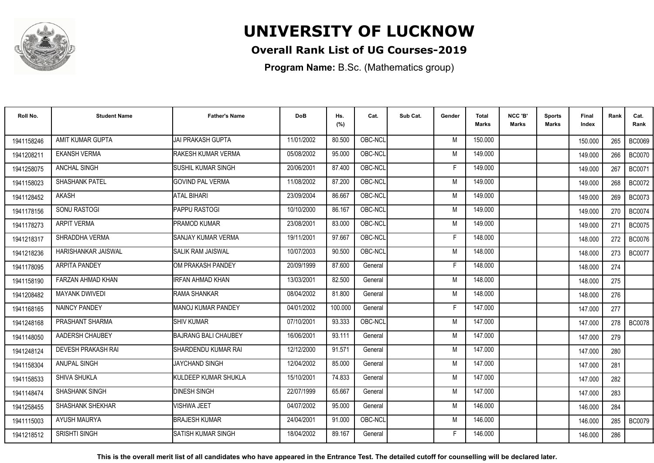

## **Overall Rank List of UG Courses-2019**

**Program Name:** B.Sc. (Mathematics group)

| Roll No.   | <b>Student Name</b>        | <b>Father's Name</b>        | <b>DoB</b> | Hs.<br>(%) | Cat.    | Sub Cat. | Gender | <b>Total</b><br><b>Marks</b> | NCC 'B'<br><b>Marks</b> | Sports<br>Marks | <b>Final</b><br>Index | Rank  | Cat.<br>Rank  |
|------------|----------------------------|-----------------------------|------------|------------|---------|----------|--------|------------------------------|-------------------------|-----------------|-----------------------|-------|---------------|
| 1941158246 | AMIT KUMAR GUPTA           | <b>JAI PRAKASH GUPTA</b>    | 11/01/2002 | 80.500     | OBC-NCL |          | M      | 150.000                      |                         |                 | 150,000               | 265   | <b>BC0069</b> |
| 1941208211 | <b>EKANSH VERMA</b>        | RAKESH KUMAR VERMA          | 05/08/2002 | 95.000     | OBC-NCL |          | M      | 149.000                      |                         |                 | 149.000               | 266   | <b>BC0070</b> |
| 1941258075 | ANCHAL SINGH               | <b>SUSHIL KUMAR SINGH</b>   | 20/06/2001 | 87.400     | OBC-NCL |          | F      | 149.000                      |                         |                 | 149.000               | 267   | <b>BC0071</b> |
| 1941158023 | SHASHANK PATEL             | <b>GOVIND PAL VERMA</b>     | 11/08/2002 | 87.200     | OBC-NCL |          | M      | 149.000                      |                         |                 | 149.000               | 268   | <b>BC0072</b> |
| 1941128452 | <b>AKASH</b>               | <b>ATAL BIHARI</b>          | 23/09/2004 | 86.667     | OBC-NCL |          | M      | 149.000                      |                         |                 | 149.000               | 269   | <b>BC0073</b> |
| 1941178156 | <b>SONU RASTOGI</b>        | PAPPU RASTOGI               | 10/10/2000 | 86.167     | OBC-NCL |          | M      | 149.000                      |                         |                 | 149.000               | 270   | <b>BC0074</b> |
| 1941178273 | <b>ARPIT VERMA</b>         | PRAMOD KUMAR                | 23/08/2001 | 83.000     | OBC-NCL |          | M      | 149.000                      |                         |                 | 149.000               | 271   | <b>BC0075</b> |
| 1941218317 | SHRADDHA VERMA             | SANJAY KUMAR VERMA          | 19/11/2001 | 97.667     | OBC-NCL |          | F      | 148.000                      |                         |                 | 148.000               | 272   | <b>BC0076</b> |
| 1941218236 | <b>HARISHANKAR JAISWAL</b> | <b>SALIK RAM JAISWAL</b>    | 10/07/2003 | 90.500     | OBC-NCL |          | M      | 148.000                      |                         |                 | 148.000               | 273 l | <b>BC0077</b> |
| 1941178095 | <b>ARPITA PANDEY</b>       | OM PRAKASH PANDEY           | 20/09/1999 | 87.600     | General |          | F      | 148,000                      |                         |                 | 148.000               | 274   |               |
| 1941158190 | FARZAN AHMAD KHAN          | IRFAN AHMAD KHAN            | 13/03/2001 | 82.500     | General |          | M      | 148.000                      |                         |                 | 148.000               | 275   |               |
| 1941208482 | <b>MAYANK DWIVEDI</b>      | RAMA SHANKAR                | 08/04/2002 | 81.800     | General |          | M      | 148,000                      |                         |                 | 148.000               | 276   |               |
| 1941168165 | <b>NAINCY PANDEY</b>       | <b>MANOJ KUMAR PANDEY</b>   | 04/01/2002 | 100.000    | General |          | F      | 147.000                      |                         |                 | 147.000               | 277   |               |
| 1941248168 | PRASHANT SHARMA            | <b>SHIV KUMAR</b>           | 07/10/2001 | 93.333     | OBC-NCL |          | M      | 147.000                      |                         |                 | 147.000               | 278   | <b>BC0078</b> |
| 1941148050 | AADERSH CHAUBEY            | <b>BAJRANG BALI CHAUBEY</b> | 16/06/2001 | 93.111     | General |          | M      | 147.000                      |                         |                 | 147.000               | 279   |               |
| 1941248124 | DEVESH PRAKASH RAI         | SHARDENDU KUMAR RAI         | 12/12/2000 | 91.571     | General |          | M      | 147.000                      |                         |                 | 147.000               | 280   |               |
| 1941158304 | <b>ANUPAL SINGH</b>        | <b>JAYCHAND SINGH</b>       | 12/04/2002 | 85.000     | General |          | M      | 147.000                      |                         |                 | 147.000               | 281   |               |
| 1941158533 | <b>SHIVA SHUKLA</b>        | KULDEEP KUMAR SHUKLA        | 15/10/2001 | 74.833     | General |          | M      | 147.000                      |                         |                 | 147.000               | 282   |               |
| 1941148474 | <b>SHASHANK SINGH</b>      | <b>DINESH SINGH</b>         | 22/07/1999 | 65.667     | General |          | M      | 147.000                      |                         |                 | 147.000               | 283   |               |
| 1941258455 | <b>SHASHANK SHEKHAR</b>    | <b>/ISHWA JEET</b>          | 04/07/2002 | 95.000     | General |          | M      | 146.000                      |                         |                 | 146.000               | 284   |               |
| 1941115003 | AYUSH MAURYA               | <b>BRAJESH KUMAR</b>        | 24/04/2001 | 91.000     | OBC-NCL |          | M      | 146.000                      |                         |                 | 146.000               | 285   | <b>BC0079</b> |
| 1941218512 | <b>SRISHTI SINGH</b>       | <b>SATISH KUMAR SINGH</b>   | 18/04/2002 | 89.167     | General |          |        | 146.000                      |                         |                 | 146.000               | 286   |               |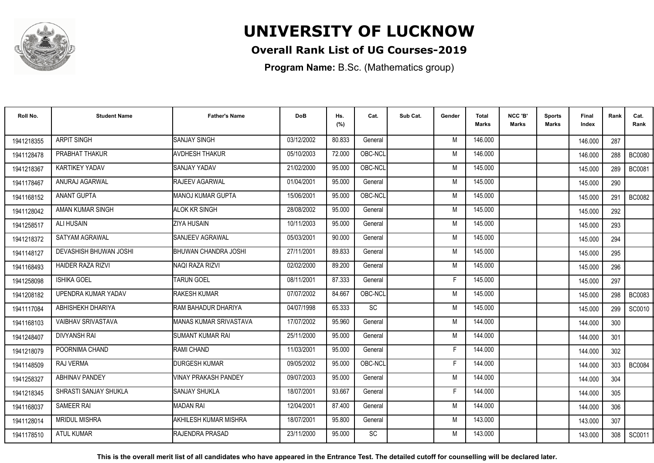

## **Overall Rank List of UG Courses-2019**

**Program Name:** B.Sc. (Mathematics group)

| Roll No.   | <b>Student Name</b>       | <b>Father's Name</b>            | <b>DoB</b> | Hs.<br>(%) | Cat.      | Sub Cat. | Gender | Total<br><b>Marks</b> | NCC 'B'<br><b>Marks</b> | <b>Sports</b><br>Marks | Final<br>Index | Rank             | Cat.<br>Rank  |
|------------|---------------------------|---------------------------------|------------|------------|-----------|----------|--------|-----------------------|-------------------------|------------------------|----------------|------------------|---------------|
| 1941218355 | <b>ARPIT SINGH</b>        | <b>SANJAY SINGH</b>             | 03/12/2002 | 80.833     | General   |          | M      | 146.000               |                         |                        | 146.000        | 287              |               |
| 1941128478 | PRABHAT THAKUR            | <b>AVDHESH THAKUR</b>           | 05/10/2003 | 72.000     | OBC-NCL   |          | M      | 146.000               |                         |                        | 146.000        | 288              | <b>BC0080</b> |
| 1941218367 | KARTIKEY YADAV            | <b>SANJAY YADAV</b>             | 21/02/2000 | 95.000     | OBC-NCL   |          | M      | 145.000               |                         |                        | 145.000        | 289              | <b>BC0081</b> |
| 1941178467 | ANURAJ AGARWAL            | RAJEEV AGARWAL                  | 01/04/2001 | 95.000     | General   |          | M      | 145.000               |                         |                        | 145.000        | 290              |               |
| 1941168152 | <b>ANANT GUPTA</b>        | IMANOJ KUMAR GUPTA              | 15/06/2001 | 95.000     | OBC-NCL   |          | M      | 145.000               |                         |                        | 145.000        | 291              | <b>BC0082</b> |
| 1941128042 | AMAN KUMAR SINGH          | <b>ALOK KR SINGH</b>            | 28/08/2002 | 95.000     | General   |          | M      | 145.000               |                         |                        | 145.000        | 292              |               |
| 1941258517 | ALI HUSAIN                | <b>ZIYA HUSAIN</b>              | 10/11/2003 | 95.000     | General   |          | M      | 145.000               |                         |                        | 145.000        | 293              |               |
| 1941218372 | SATYAM AGRAWAL            | SANJEEV AGRAWAL                 | 05/03/2001 | 90.000     | General   |          | M      | 145.000               |                         |                        | 145.000        | 294              |               |
| 1941148127 | DEVASHISH BHUWAN JOSHI    | BHUWAN CHANDRA JOSHI            | 27/11/2001 | 89.833     | General   |          | M      | 145.000               |                         |                        | 145.000        | 295              |               |
| 1941168493 | <b>HAIDER RAZA RIZVI</b>  | NAQI RAZA RIZVI                 | 02/02/2000 | 89.200     | General   |          | M      | 145.000               |                         |                        | 145.000        | 296              |               |
| 1941258098 | <b>ISHIKA GOEL</b>        | <b>TARUN GOEL</b>               | 08/11/2001 | 87.333     | General   |          | F      | 145.000               |                         |                        | 145.000        | 297              |               |
| 1941208182 | UPENDRA KUMAR YADAV       | <b>RAKESH KUMAR</b>             | 07/07/2002 | 84.667     | OBC-NCL   |          | M      | 145.000               |                         |                        | 145.000        | 298              | <b>BC0083</b> |
| 1941117084 | ABHISHEKH DHARIYA         | RAM BAHADUR DHARIYA             | 04/07/1998 | 65.333     | SC        |          | M      | 145.000               |                         |                        | 145.000        | 299              | SC0010        |
| 1941168103 | <b>VAIBHAV SRIVASTAVA</b> | <b>I</b> MANAS KUMAR SRIVASTAVA | 17/07/2002 | 95.960     | General   |          | M      | 144.000               |                         |                        | 144.000        | 300              |               |
| 1941248407 | <b>DIVYANSH RAI</b>       | <b>ISUMANT KUMAR RAI</b>        | 25/11/2000 | 95.000     | General   |          | M      | 144.000               |                         |                        | 144.000        | 301              |               |
| 1941218079 | POORNIMA CHAND            | RAMI CHAND                      | 11/03/2001 | 95.000     | General   |          | F      | 144.000               |                         |                        | 144.000        | 302              |               |
| 1941148509 | RAJ VERMA                 | <b>DURGESH KUMAR</b>            | 09/05/2002 | 95.000     | OBC-NCL   |          | F      | 144.000               |                         |                        | 144.000        | 303 <sup>1</sup> | <b>BC0084</b> |
| 1941258327 | <b>ABHINAV PANDEY</b>     | <b>VINAY PRAKASH PANDEY</b>     | 09/07/2003 | 95.000     | General   |          | M      | 144.000               |                         |                        | 144.000        | 304              |               |
| 1941218345 | SHRASTI SANJAY SHUKLA     | <b>SANJAY SHUKLA</b>            | 18/07/2001 | 93.667     | General   |          | F      | 144.000               |                         |                        | 144.000        | 305              |               |
| 1941168037 | <b>SAMEER RAI</b>         | <b>MADAN RAI</b>                | 12/04/2001 | 87.400     | General   |          | M      | 144.000               |                         |                        | 144.000        | 306              |               |
| 1941128014 | <b>MRIDUL MISHRA</b>      | AKHILESH KUMAR MISHRA           | 18/07/2001 | 95.800     | General   |          | M      | 143.000               |                         |                        | 143.000        | 307              |               |
| 1941178510 | <b>ATUL KUMAR</b>         | RAJENDRA PRASAD                 | 23/11/2000 | 95.000     | <b>SC</b> |          | M      | 143.000               |                         |                        | 143.000        | 308              | SC0011        |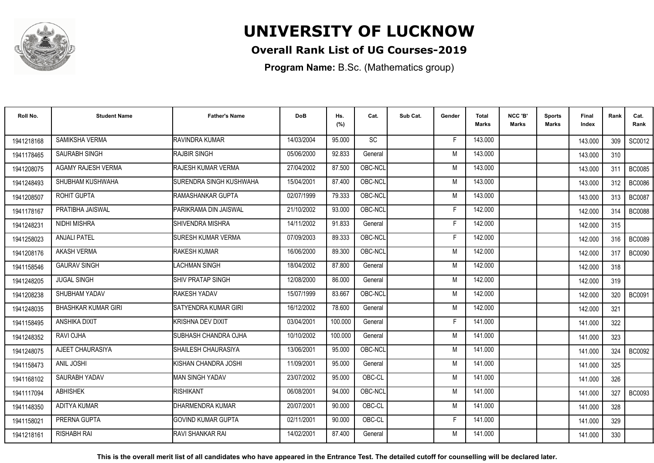

## **Overall Rank List of UG Courses-2019**

**Program Name:** B.Sc. (Mathematics group)

| Roll No.   | <b>Student Name</b>        | <b>Father's Name</b>      | <b>DoB</b> | Hs.<br>(%) | Cat.      | Sub Cat. | Gender | <b>Total</b><br><b>Marks</b> | NCC 'B'<br><b>Marks</b> | Sports<br>Marks | <b>Final</b><br>Index | Rank | Cat.<br>Rank  |
|------------|----------------------------|---------------------------|------------|------------|-----------|----------|--------|------------------------------|-------------------------|-----------------|-----------------------|------|---------------|
| 1941218168 | SAMIKSHA VERMA             | RAVINDRA KUMAR            | 14/03/2004 | 95.000     | <b>SC</b> |          | F      | 143.000                      |                         |                 | 143.000               | 309  | SC0012        |
| 1941178465 | <b>SAURABH SINGH</b>       | <b>RAJBIR SINGH</b>       | 05/06/2000 | 92.833     | General   |          | M      | 143.000                      |                         |                 | 143.000               | 310  |               |
| 1941208075 | <b>AGAMY RAJESH VERMA</b>  | RAJESH KUMAR VERMA        | 27/04/2002 | 87.500     | OBC-NCL   |          | M      | 143.000                      |                         |                 | 143.000               | 311  | <b>BC0085</b> |
| 1941248493 | SHUBHAM KUSHWAHA           | SURENDRA SINGH KUSHWAHA   | 15/04/2001 | 87.400     | OBC-NCL   |          | M      | 143.000                      |                         |                 | 143.000               | 312  | <b>BC0086</b> |
| 1941208507 | ROHIT GUPTA                | RAMASHANKAR GUPTA         | 02/07/1999 | 79.333     | OBC-NCL   |          | M      | 143.000                      |                         |                 | 143.000               | 313  | <b>BC0087</b> |
| 1941178167 | PRATIBHA JAISWAL           | PARIKRAMA DIN JAISWAL     | 21/10/2002 | 93.000     | OBC-NCL   |          | E      | 142.000                      |                         |                 | 142.000               | 314  | <b>BC0088</b> |
| 1941248231 | <b>NIDHI MISHRA</b>        | <b>SHIVENDRA MISHRA</b>   | 14/11/2002 | 91.833     | General   |          | Е      | 142.000                      |                         |                 | 142.000               | 315  |               |
| 1941258023 | <b>ANJALI PATEL</b>        | <b>SURESH KUMAR VERMA</b> | 07/09/2003 | 89.333     | OBC-NCL   |          | E      | 142.000                      |                         |                 | 142.000               | 316  | <b>BC0089</b> |
| 1941208176 | <b>AKASH VERMA</b>         | <b>RAKESH KUMAR</b>       | 16/06/2000 | 89.300     | OBC-NCL   |          | M      | 142.000                      |                         |                 | 142.000               | 317  | <b>BC0090</b> |
| 1941158546 | <b>GAURAV SINGH</b>        | <b>LACHMAN SINGH</b>      | 18/04/2002 | 87.800     | General   |          | M      | 142.000                      |                         |                 | 142.000               | 318  |               |
| 1941248205 | <b>JUGAL SINGH</b>         | <b>SHIV PRATAP SINGH</b>  | 12/08/2000 | 86.000     | General   |          | M      | 142.000                      |                         |                 | 142.000               | 319  |               |
| 1941208238 | SHUBHAM YADAV              | RAKESH YADAV              | 15/07/1999 | 83.667     | OBC-NCL   |          | M      | 142.000                      |                         |                 | 142.000               | 320  | <b>BC0091</b> |
| 1941248035 | <b>BHASHKAR KUMAR GIRI</b> | SATYENDRA KUMAR GIRI      | 16/12/2002 | 78.600     | General   |          | M      | 142.000                      |                         |                 | 142.000               | 321  |               |
| 1941158495 | ANSHIKA DIXIT              | KRISHNA DEV DIXIT         | 03/04/2001 | 100.000    | General   |          | F      | 141.000                      |                         |                 | 141.000               | 322  |               |
| 1941248352 | RAVI OJHA                  | SUBHASH CHANDRA OJHA      | 10/10/2002 | 100.000    | General   |          | M      | 141.000                      |                         |                 | 141.000               | 323  |               |
| 1941248075 | AJEET CHAURASIYA           | SHAILESH CHAURASIYA       | 13/06/2001 | 95.000     | OBC-NCL   |          | M      | 141.000                      |                         |                 | 141.000               | 324  | <b>BC0092</b> |
| 1941158473 | ANIL JOSHI                 | KISHAN CHANDRA JOSHI      | 11/09/2001 | 95.000     | General   |          | M      | 141.000                      |                         |                 | 141.000               | 325  |               |
| 1941168102 | SAURABH YADAV              | <b>MAN SINGH YADAV</b>    | 23/07/2002 | 95.000     | OBC-CL    |          | M      | 141.000                      |                         |                 | 141.000               | 326  |               |
| 1941117094 | <b>ABHISHEK</b>            | <b>RISHIKANT</b>          | 06/08/2001 | 94.000     | OBC-NCL   |          | M      | 141.000                      |                         |                 | 141.000               | 327  | <b>BC0093</b> |
| 1941148350 | <b>ADITYA KUMAR</b>        | DHARMENDRA KUMAR          | 20/07/2001 | 90.000     | OBC-CL    |          | M      | 141.000                      |                         |                 | 141.000               | 328  |               |
| 194115802  | PRERNA GUPTA               | <b>GOVIND KUMAR GUPTA</b> | 02/11/2001 | 90.000     | OBC-CL    |          | F      | 141.000                      |                         |                 | 141.000               | 329  |               |
| 1941218161 | <b>RISHABH RAI</b>         | RAVI SHANKAR RAI          | 14/02/2001 | 87.400     | General   |          | M      | 141.000                      |                         |                 | 141.000               | 330  |               |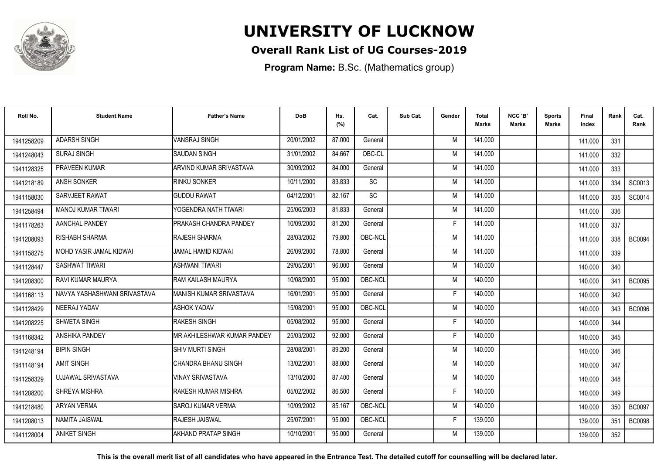

## **Overall Rank List of UG Courses-2019**

**Program Name:** B.Sc. (Mathematics group)

| Roll No.   | <b>Student Name</b>          | <b>Father's Name</b>          | <b>DoB</b> | Hs.<br>(%) | Cat.      | Sub Cat. | Gender | <b>Total</b><br><b>Marks</b> | NCC 'B'<br><b>Marks</b> | <b>Sports</b><br>Marks | Final<br>Index | Rank | Cat.<br>Rank  |
|------------|------------------------------|-------------------------------|------------|------------|-----------|----------|--------|------------------------------|-------------------------|------------------------|----------------|------|---------------|
| 1941258209 | <b>ADARSH SINGH</b>          | VANSRAJ SINGH                 | 20/01/2002 | 87.000     | General   |          | M      | 141.000                      |                         |                        | 141.000        | 331  |               |
| 1941248043 | <b>SURAJ SINGH</b>           | <b>SAUDAN SINGH</b>           | 31/01/2002 | 84.667     | OBC-CL    |          | M      | 141.000                      |                         |                        | 141.000        | 332  |               |
| 1941128325 | PRAVEEN KUMAR                | IARVIND KUMAR SRIVASTAVA      | 30/09/2002 | 84.000     | General   |          | M      | 141.000                      |                         |                        | 141.000        | 333  |               |
| 1941218189 | <b>ANSH SONKER</b>           | RINKU SONKER                  | 10/11/2000 | 83.833     | <b>SC</b> |          | M      | 141.000                      |                         |                        | 141.000        | 334  | SC0013        |
| 1941158030 | SARVJEET RAWAT               | <b>GUDDU RAWAT</b>            | 04/12/2001 | 82.167     | <b>SC</b> |          | M      | 141.000                      |                         |                        | 141.000        | 335  | SC0014        |
| 1941258494 | <b>MANOJ KUMAR TIWARI</b>    | YOGENDRA NATH TIWARI          | 25/06/2003 | 81.833     | General   |          | M      | 141.000                      |                         |                        | 141.000        | 336  |               |
| 1941178263 | AANCHAL PANDEY               | <b>PRAKASH CHANDRA PANDEY</b> | 10/09/2000 | 81.200     | General   |          | F      | 141.000                      |                         |                        | 141.000        | 337  |               |
| 1941208093 | RISHABH SHARMA               | RAJESH SHARMA                 | 28/03/2002 | 79.800     | OBC-NCL   |          | M      | 141.000                      |                         |                        | 141.000        | 338  | <b>BC0094</b> |
| 1941158275 | MOHD YASIR JAMAL KIDWAI      | JAMAL HAMID KIDWAI            | 26/09/2000 | 78.800     | General   |          | M      | 141.000                      |                         |                        | 141.000        | 339  |               |
| 1941128447 | SASHWAT TIWARI               | <b>ASHWANI TIWARI</b>         | 29/05/2001 | 96.000     | General   |          | M      | 140.000                      |                         |                        | 140.000        | 340  |               |
| 1941208300 | RAVI KUMAR MAURYA            | RAM KAILASH MAURYA            | 10/08/2000 | 95.000     | OBC-NCL   |          | M      | 140.000                      |                         |                        | 140.000        | 341  | <b>BC0095</b> |
| 1941168113 | NAVYA YASHASHWANI SRIVASTAVA | MANISH KUMAR SRIVASTAVA       | 16/01/2001 | 95.000     | General   |          | F      | 140.000                      |                         |                        | 140.000        | 342  |               |
| 1941128429 | NEERAJ YADAV                 | <b>ASHOK YADAV</b>            | 15/08/2001 | 95.000     | OBC-NCL   |          | M      | 140.000                      |                         |                        | 140.000        | 343  | <b>BC0096</b> |
| 1941208225 | SHWETA SINGH                 | <b>RAKESH SINGH</b>           | 05/08/2002 | 95.000     | General   |          | Е      | 140.000                      |                         |                        | 140.000        | 344  |               |
| 1941168342 | ANSHIKA PANDEY               | IMR AKHILESHWAR KUMAR PANDEY  | 25/03/2002 | 92.000     | General   |          | Е      | 140.000                      |                         |                        | 140.000        | 345  |               |
| 1941248194 | <b>BIPIN SINGH</b>           | <b>SHIV MURTI SINGH</b>       | 28/08/2001 | 89.200     | General   |          | M      | 140.000                      |                         |                        | 140.000        | 346  |               |
| 1941148194 | <b>AMIT SINGH</b>            | CHANDRA BHANU SINGH           | 13/02/2001 | 88.000     | General   |          | M      | 140.000                      |                         |                        | 140.000        | 347  |               |
| 1941258329 | <b>UJJAWAL SRIVASTAVA</b>    | <b>VINAY SRIVASTAVA</b>       | 13/10/2000 | 87.400     | General   |          | M      | 140.000                      |                         |                        | 140.000        | 348  |               |
| 1941208200 | SHREYA MISHRA                | <b>RAKESH KUMAR MISHRA</b>    | 05/02/2002 | 86.500     | General   |          | F      | 140.000                      |                         |                        | 140.000        | 349  |               |
| 1941218480 | <b>ARYAN VERMA</b>           | <b>I</b> SAROJ KUMAR VERMA    | 10/09/2002 | 85.167     | OBC-NCL   |          | M      | 140.000                      |                         |                        | 140.000        | 350  | <b>BC0097</b> |
| 1941208013 | NAMITA JAISWAL               | IRAJESH JAISWAL               | 25/07/2001 | 95.000     | OBC-NCL   |          | F      | 139.000                      |                         |                        | 139.000        | 351  | <b>BC0098</b> |
| 1941128004 | <b>ANIKET SINGH</b>          | AKHAND PRATAP SINGH           | 10/10/2001 | 95.000     | General   |          | M      | 139.000                      |                         |                        | 139.000        | 352  |               |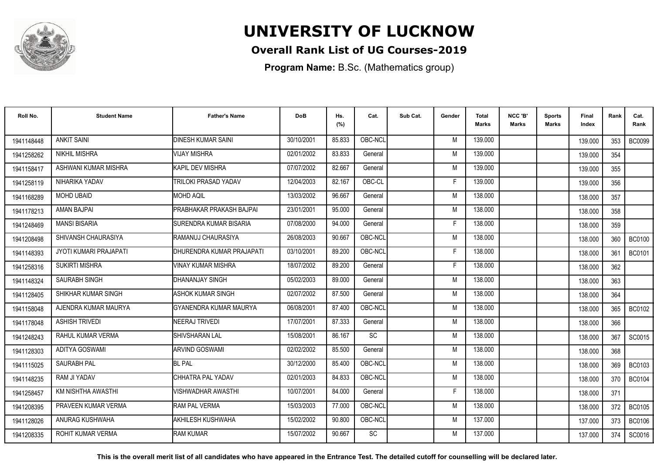

## **Overall Rank List of UG Courses-2019**

**Program Name:** B.Sc. (Mathematics group)

| Roll No.   | <b>Student Name</b>      | <b>Father's Name</b>      | <b>DoB</b> | Hs.<br>(%) | Cat.      | Sub Cat. | Gender | Total<br><b>Marks</b> | NCC 'B'<br><b>Marks</b> | Sports<br>Marks | Final<br>Index | Rank | Cat.<br>Rank  |
|------------|--------------------------|---------------------------|------------|------------|-----------|----------|--------|-----------------------|-------------------------|-----------------|----------------|------|---------------|
| 1941148448 | <b>ANKIT SAINI</b>       | <b>DINESH KUMAR SAINI</b> | 30/10/2001 | 85.833     | OBC-NCL   |          | M      | 139,000               |                         |                 | 139.000        | 353  | <b>BC0099</b> |
| 1941258262 | <b>NIKHIL MISHRA</b>     | <b>VIJAY MISHRA</b>       | 02/01/2002 | 83.833     | General   |          | M      | 139.000               |                         |                 | 139.000        | 354  |               |
| 1941158417 | ASHWANI KUMAR MISHRA     | KAPIL DEV MISHRA          | 07/07/2002 | 82.667     | General   |          | M      | 139.000               |                         |                 | 139.000        | 355  |               |
| 1941258119 | NIHARIKA YADAV           | TRILOKI PRASAD YADAV      | 12/04/2003 | 82.167     | OBC-CL    |          | F      | 139.000               |                         |                 | 139.000        | 356  |               |
| 1941168289 | <b>MOHD UBAID</b>        | <b>MOHD AQIL</b>          | 13/03/2002 | 96.667     | General   |          | M      | 138.000               |                         |                 | 138.000        | 357  |               |
| 1941178213 | AMAN BAJPAI              | PRABHAKAR PRAKASH BAJPAI  | 23/01/2001 | 95.000     | General   |          | M      | 138.000               |                         |                 | 138.000        | 358  |               |
| 1941248469 | <b>MANSI BISARIA</b>     | SURENDRA KUMAR BISARIA    | 07/08/2000 | 94.000     | General   |          | F      | 138.000               |                         |                 | 138.000        | 359  |               |
| 1941208498 | SHIVANSH CHAURASIYA      | RAMANUJ CHAURASIYA        | 26/08/2003 | 90.667     | OBC-NCL   |          | M      | 138.000               |                         |                 | 138.000        | 360  | <b>BC0100</b> |
| 1941148393 | JYOTI KUMARI PRAJAPATI   | DHURENDRA KUMAR PRAJAPATI | 03/10/2001 | 89.200     | OBC-NCL   |          | F      | 138.000               |                         |                 | 138.000        | 361  | <b>BC0101</b> |
| 1941258316 | <b>SUKIRTI MISHRA</b>    | VINAY KUMAR MISHRA        | 18/07/2002 | 89.200     | General   |          | F      | 138.000               |                         |                 | 138.000        | 362  |               |
| 1941148324 | <b>SAURABH SINGH</b>     | DHANANJAY SINGH           | 05/02/2003 | 89.000     | General   |          | M      | 138.000               |                         |                 | 138.000        | 363  |               |
| 1941128405 | SHIKHAR KUMAR SINGH      | <b>ASHOK KUMAR SINGH</b>  | 02/07/2002 | 87.500     | General   |          | M      | 138.000               |                         |                 | 138.000        | 364  |               |
| 1941158048 | AJENDRA KUMAR MAURYA     | GYANENDRA KUMAR MAURYA    | 06/08/2001 | 87.400     | OBC-NCL   |          | M      | 138.000               |                         |                 | 138.000        | 365  | <b>BC0102</b> |
| 1941178048 | <b>ASHISH TRIVEDI</b>    | NEERAJ TRIVEDI            | 17/07/2001 | 87.333     | General   |          | M      | 138.000               |                         |                 | 138.000        | 366  |               |
| 1941248243 | RAHUL KUMAR VERMA        | SHIVSHARAN LAL            | 15/08/2001 | 86.167     | SC        |          | M      | 138.000               |                         |                 | 138.000        | 367  | SC0015        |
| 1941128303 | <b>ADITYA GOSWAMI</b>    | <b>ARVIND GOSWAMI</b>     | 02/02/2002 | 85.500     | General   |          | M      | 138.000               |                         |                 | 138.000        | 368  |               |
| 1941115025 | <b>SAURABH PAL</b>       | <b>BL PAL</b>             | 30/12/2000 | 85.400     | OBC-NCL   |          | M      | 138.000               |                         |                 | 138.000        | 369  | <b>BC0103</b> |
| 1941148235 | RAM JI YADAV             | CHHATRA PAL YADAV         | 02/01/2003 | 84.833     | OBC-NCL   |          | M      | 138.000               |                         |                 | 138.000        | 370  | <b>BC0104</b> |
| 1941258457 | KM NISHTHA AWASTHI       | VISHWADHAR AWASTHI        | 10/07/2001 | 84.000     | General   |          | F      | 138.000               |                         |                 | 138.000        | 371  |               |
| 1941208395 | PRAVEEN KUMAR VERMA      | <b>RAM PAL VERMA</b>      | 15/03/2003 | 77.000     | OBC-NCL   |          | M      | 138.000               |                         |                 | 138.000        | 372  | <b>BC0105</b> |
| 1941128026 | ANURAG KUSHWAHA          | AKHILESH KUSHWAHA         | 15/02/2002 | 90.800     | OBC-NCL   |          | M      | 137.000               |                         |                 | 137.000        | 373  | <b>BC0106</b> |
| 1941208335 | <b>ROHIT KUMAR VERMA</b> | <b>RAM KUMAR</b>          | 15/07/2002 | 90.667     | <b>SC</b> |          | M      | 137.000               |                         |                 | 137.000        | 374  | SC0016        |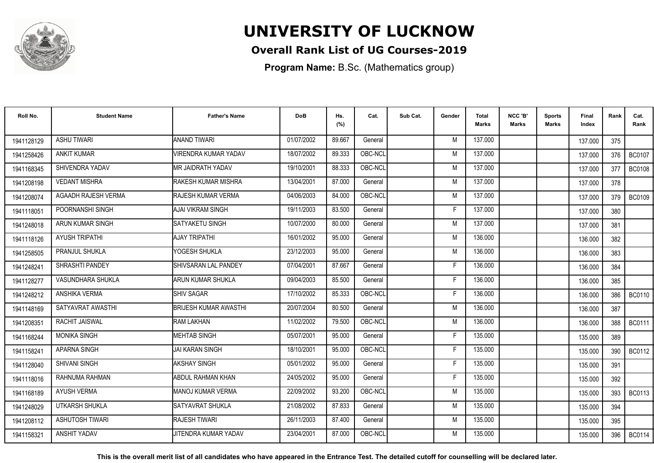

## **Overall Rank List of UG Courses-2019**

**Program Name:** B.Sc. (Mathematics group)

| Roll No.   | <b>Student Name</b>   | <b>Father's Name</b>         | <b>DoB</b> | Hs.<br>(%) | Cat.    | Sub Cat. | Gender | <b>Total</b><br><b>Marks</b> | NCC 'B'<br><b>Marks</b> | <b>Sports</b><br>Marks | Final<br>Index | Rank | Cat.<br>Rank  |
|------------|-----------------------|------------------------------|------------|------------|---------|----------|--------|------------------------------|-------------------------|------------------------|----------------|------|---------------|
| 1941128129 | <b>ASHU TIWARI</b>    | <b>ANAND TIWARI</b>          | 01/07/2002 | 89.667     | General |          | M      | 137.000                      |                         |                        | 137.000        | 375  |               |
| 1941258426 | <b>ANKIT KUMAR</b>    | <b>JIRENDRA KUMAR YADAV</b>  | 18/07/2002 | 89.333     | OBC-NCL |          | M      | 137.000                      |                         |                        | 137.000        | 376  | <b>BC0107</b> |
| 1941168345 | SHIVENDRA YADAV       | <b>MR JAIDRATH YADAV</b>     | 19/10/2001 | 88.333     | OBC-NCL |          | M      | 137.000                      |                         |                        | 137.000        | 377  | <b>BC0108</b> |
| 1941208198 | <b>VEDANT MISHRA</b>  | RAKESH KUMAR MISHRA          | 13/04/2001 | 87.000     | General |          | M      | 137.000                      |                         |                        | 137.000        | 378  |               |
| 1941208074 | AGAADH RAJESH VERMA   | <b>RAJESH KUMAR VERMA</b>    | 04/06/2003 | 84.000     | OBC-NCL |          | M      | 137.000                      |                         |                        | 137.000        | 379  | <b>BC0109</b> |
| 194111805  | POORNANSHI SINGH      | <b>AJAI VIKRAM SINGH</b>     | 19/11/2003 | 83.500     | General |          | F      | 137.000                      |                         |                        | 137.000        | 380  |               |
| 1941248018 | ARUN KUMAR SINGH      | SATYAKETU SINGH              | 10/07/2000 | 80.000     | General |          | M      | 137.000                      |                         |                        | 137.000        | 381  |               |
| 1941118126 | <b>AYUSH TRIPATHI</b> | <b>AJAY TRIPATHI</b>         | 16/01/2002 | 95.000     | General |          | M      | 136.000                      |                         |                        | 136.000        | 382  |               |
| 1941258505 | <b>PRANJUL SHUKLA</b> | YOGESH SHUKLA                | 23/12/2003 | 95.000     | General |          | M      | 136.000                      |                         |                        | 136.000        | 383  |               |
| 1941248241 | SHRASHTI PANDEY       | SHIVSARAN LAL PANDEY         | 07/04/2001 | 87.667     | General |          | F      | 136.000                      |                         |                        | 136.000        | 384  |               |
| 1941128277 | VASUNDHARA SHUKLA     | <b>ARUN KUMAR SHUKLA</b>     | 09/04/2003 | 85.500     | General |          | F      | 136.000                      |                         |                        | 136.000        | 385  |               |
| 1941248212 | ANSHIKA VERMA         | <b>SHIV SAGAR</b>            | 17/10/2002 | 85.333     | OBC-NCL |          | F      | 136,000                      |                         |                        | 136.000        | 386  | <b>BC0110</b> |
| 1941148169 | SATYAVRAT AWASTHI     | <b>BRIJESH KUMAR AWASTHI</b> | 20/07/2004 | 80.500     | General |          | M      | 136.000                      |                         |                        | 136.000        | 387  |               |
| 1941208351 | RACHIT JAISWAL        | <b>RAM LAKHAN</b>            | 11/02/2002 | 79.500     | OBC-NCL |          | M      | 136.000                      |                         |                        | 136.000        | 388  | BC0111        |
| 1941168244 | <b>MONIKA SINGH</b>   | <b>MEHTAB SINGH</b>          | 05/07/2001 | 95.000     | General |          |        | 135.000                      |                         |                        | 135.000        | 389  |               |
| 1941158241 | APARNA SINGH          | <b>JAI KARAN SINGH</b>       | 18/10/2001 | 95.000     | OBC-NCL |          | F      | 135.000                      |                         |                        | 135.000        | 390  | <b>BC0112</b> |
| 1941128040 | <b>SHIVANI SINGH</b>  | AKSHAY SINGH                 | 05/01/2002 | 95.000     | General |          | F      | 135.000                      |                         |                        | 135.000        | 391  |               |
| 1941118016 | RAHNUMA RAHMAN        | ABDUL RAHMAN KHAN            | 24/05/2002 | 95.000     | General |          | F      | 135.000                      |                         |                        | 135.000        | 392  |               |
| 1941168189 | AYUSH VERMA           | MANOJ KUMAR VERMA            | 22/09/2002 | 93.200     | OBC-NCL |          | M      | 135.000                      |                         |                        | 135.000        | 393  | <b>BC0113</b> |
| 1941248029 | UTKARSH SHUKLA        | <b>SATYAVRAT SHUKLA</b>      | 21/08/2002 | 87.833     | General |          | M      | 135.000                      |                         |                        | 135.000        | 394  |               |
| 1941208112 | ASHUTOSH TIWARI       | RAJESH TIWARI                | 26/11/2003 | 87.400     | General |          | M      | 135.000                      |                         |                        | 135.000        | 395  |               |
| 1941158321 | ANSHIT YADAV          | JITENDRA KUMAR YADAV         | 23/04/2001 | 87.000     | OBC-NCL |          | M      | 135.000                      |                         |                        | 135.000        | 396  | BC0114        |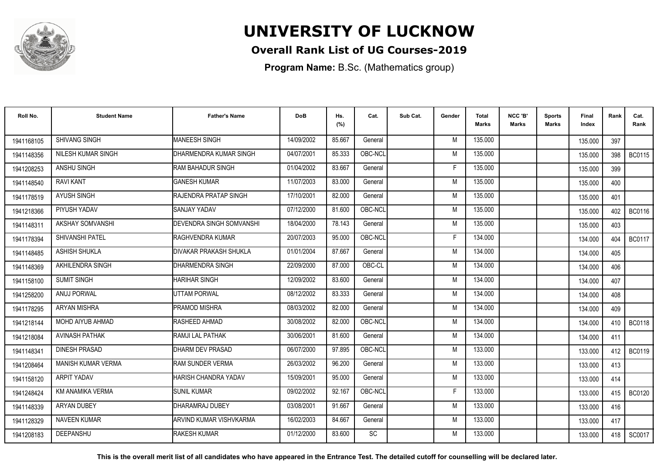

## **Overall Rank List of UG Courses-2019**

**Program Name:** B.Sc. (Mathematics group)

| Roll No.   | <b>Student Name</b>     | <b>Father's Name</b>              | <b>DoB</b> | Hs.<br>(%) | Cat.      | Sub Cat. | Gender | <b>Total</b><br>Marks | NCC 'B'<br><b>Marks</b> | Sports<br>Marks | Final<br>Index | Rank | Cat.<br>Rank  |
|------------|-------------------------|-----------------------------------|------------|------------|-----------|----------|--------|-----------------------|-------------------------|-----------------|----------------|------|---------------|
| 1941168105 | SHIVANG SINGH           | <b>MANEESH SINGH</b>              | 14/09/2002 | 85.667     | General   |          | M      | 135.000               |                         |                 | 135.000        | 397  |               |
| 1941148356 | NILESH KUMAR SINGH      | DHARMENDRA KUMAR SINGH            | 04/07/2001 | 85.333     | OBC-NCL   |          | M      | 135.000               |                         |                 | 135.000        | 398  | <b>BC0115</b> |
| 1941208253 | ANSHU SINGH             | <b>RAM BAHADUR SINGH</b>          | 01/04/2002 | 83.667     | General   |          | F      | 135.000               |                         |                 | 135.000        | 399  |               |
| 1941148540 | <b>RAVI KANT</b>        | <b>GANESH KUMAR</b>               | 11/07/2003 | 83.000     | General   |          | M      | 135.000               |                         |                 | 135.000        | 400  |               |
| 1941178519 | <b>AYUSH SINGH</b>      | RAJENDRA PRATAP SINGH             | 17/10/2001 | 82.000     | General   |          | M      | 135.000               |                         |                 | 135.000        | 401  |               |
| 1941218366 | PIYUSH YADAV            | <b>SANJAY YADAV</b>               | 07/12/2000 | 81.600     | OBC-NCL   |          | M      | 135.000               |                         |                 | 135.000        | 402  | <b>BC0116</b> |
| 1941148311 | AKSHAY SOMVANSHI        | <b>I</b> DEVENDRA SINGH SOMVANSHI | 18/04/2000 | 78.143     | General   |          | M      | 135.000               |                         |                 | 135.000        | 403  |               |
| 1941178394 | SHIVANSHI PATEL         | <b>RAGHVENDRA KUMAR</b>           | 20/07/2003 | 95.000     | OBC-NCL   |          | F      | 134.000               |                         |                 | 134.000        | 404  | <b>BC0117</b> |
| 1941148485 | <b>ASHISH SHUKLA</b>    | IDIVAKAR PRAKASH SHUKLA           | 01/01/2004 | 87.667     | General   |          | M      | 134.000               |                         |                 | 134.000        | 405  |               |
| 1941148369 | AKHILENDRA SINGH        | DHARMENDRA SINGH                  | 22/09/2000 | 87.000     | OBC-CL    |          | M      | 134.000               |                         |                 | 134.000        | 406  |               |
| 1941158100 | <b>SUMIT SINGH</b>      | <b>HARIHAR SINGH</b>              | 12/09/2002 | 83.600     | General   |          | M      | 134.000               |                         |                 | 134.000        | 407  |               |
| 1941258200 | <b>ANUJ PORWAL</b>      | <b>UTTAM PORWAL</b>               | 08/12/2002 | 83.333     | General   |          | M      | 134.000               |                         |                 | 134.000        | 408  |               |
| 1941178295 | <b>ARYAN MISHRA</b>     | <b>PRAMOD MISHRA</b>              | 08/03/2002 | 82.000     | General   |          | M      | 134.000               |                         |                 | 134.000        | 409  |               |
| 1941218144 | <b>MOHD AIYUB AHMAD</b> | RASHEED AHMAD                     | 30/08/2002 | 82.000     | OBC-NCL   |          | M      | 134.000               |                         |                 | 134.000        | 410  | <b>BC0118</b> |
| 1941218084 | <b>AVINASH PATHAK</b>   | RAMJI LAL PATHAK                  | 30/06/2001 | 81.600     | General   |          | M      | 134.000               |                         |                 | 134.000        | 411  |               |
| 1941148341 | <b>DINESH PRASAD</b>    | DHARM DEV PRASAD                  | 06/07/2000 | 97.895     | OBC-NCL   |          | M      | 133.000               |                         |                 | 133.000        | 412  | <b>BC0119</b> |
| 1941208464 | MANISH KUMAR VERMA      | <b>RAM SUNDER VERMA</b>           | 26/03/2002 | 96.200     | General   |          | M      | 133.000               |                         |                 | 133.000        | 413  |               |
| 1941158120 | <b>ARPIT YADAV</b>      | HARISH CHANDRA YADAV              | 15/09/2001 | 95.000     | General   |          | M      | 133.000               |                         |                 | 133.000        | 414  |               |
| 1941248424 | KM ANAMIKA VERMA        | <b>SUNIL KUMAR</b>                | 09/02/2002 | 92.167     | OBC-NCL   |          | F      | 133.000               |                         |                 | 133.000        | 415  | <b>BC0120</b> |
| 1941148339 | ARYAN DUBEY             | DHARAMRAJ DUBEY                   | 03/08/2001 | 91.667     | General   |          | M      | 133.000               |                         |                 | 133.000        | 416  |               |
| 1941128329 | <b>NAVEEN KUMAR</b>     | IARVIND KUMAR VISHVKARMA          | 16/02/2003 | 84.667     | General   |          | M      | 133.000               |                         |                 | 133.000        | 417  |               |
| 1941208183 | <b>DEEPANSHU</b>        | <b>RAKESH KUMAR</b>               | 01/12/2000 | 83.600     | <b>SC</b> |          | M      | 133.000               |                         |                 | 133.000        | 418  | SC0017        |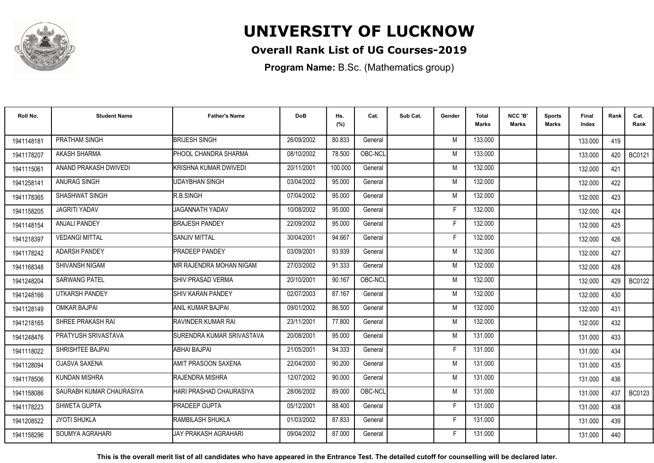

## **Overall Rank List of UG Courses-2019**

**Program Name:** B.Sc. (Mathematics group)

| Roll No.   | <b>Student Name</b>      | <b>Father's Name</b>       | <b>DoB</b> | Hs.<br>(%) | Cat.    | Sub Cat. | Gender | Total<br>Marks | NCC 'B'<br><b>Marks</b> | Sports<br>Marks | Final<br>Index | Rank | Cat.<br>Rank  |
|------------|--------------------------|----------------------------|------------|------------|---------|----------|--------|----------------|-------------------------|-----------------|----------------|------|---------------|
| 1941148181 | PRATHAM SINGH            | <b>BRIJESH SINGH</b>       | 26/09/2002 | 80.833     | General |          | M      | 133.000        |                         |                 | 133.000        | 419  |               |
| 1941178207 | <b>AKASH SHARMA</b>      | PHOOL CHANDRA SHARMA       | 08/10/2002 | 78.500     | OBC-NCL |          | M      | 133.000        |                         |                 | 133.000        | 420  | <b>BC0121</b> |
| 1941115061 | ANAND PRAKASH DWIVEDI    | KRISHNA KUMAR DWIVEDI      | 20/11/2001 | 100.000    | General |          | M      | 132.000        |                         |                 | 132.000        | 421  |               |
| 1941258141 | ANURAG SINGH             | <b>UDAYBHAN SINGH</b>      | 03/04/2002 | 95.000     | General |          | M      | 132.000        |                         |                 | 132.000        | 422  |               |
| 1941178365 | SHASHWAT SINGH           | R.B.SINGH                  | 07/04/2002 | 95.000     | General |          | M      | 132.000        |                         |                 | 132.000        | 423  |               |
| 1941158205 | <b>JAGRITI YADAV</b>     | <b>JAGANNATH YADAV</b>     | 10/08/2002 | 95.000     | General |          | Е      | 132.000        |                         |                 | 132.000        | 424  |               |
| 1941148154 | <b>ANJALI PANDEY</b>     | <b>BRAJESH PANDEY</b>      | 22/09/2002 | 95.000     | General |          | F      | 132.000        |                         |                 | 132.000        | 425  |               |
| 1941218397 | <b>VEDANGI MITTAL</b>    | <b>SANJIV MITTAL</b>       | 30/04/2001 | 94.667     | General |          | F      | 132.000        |                         |                 | 132.000        | 426  |               |
| 1941178242 | <b>ADARSH PANDEY</b>     | <b>PRADEEP PANDEY</b>      | 03/09/2001 | 93.939     | General |          | M      | 132.000        |                         |                 | 132.000        | 427  |               |
| 1941168348 | <b>SHIVANSH NIGAM</b>    | MR RAJENDRA MOHAN NIGAM    | 27/03/2002 | 91.333     | General |          | M      | 132.000        |                         |                 | 132.000        | 428  |               |
| 1941248204 | <b>SARWANG PATEL</b>     | <b>I</b> SHIV PRASAD VERMA | 20/10/2001 | 90.167     | OBC-NCL |          | M      | 132.000        |                         |                 | 132.000        | 429  | <b>BC0122</b> |
| 1941248166 | <b>UTKARSH PANDEY</b>    | <b>ISHIV KARAN PANDEY</b>  | 02/07/2003 | 87.167     | General |          | M      | 132.000        |                         |                 | 132.000        | 430  |               |
| 1941128149 | <b>OMKAR BAJPAI</b>      | ANIL KUMAR BAJPAI          | 09/01/2002 | 86.500     | General |          | M      | 132.000        |                         |                 | 132.000        | 431  |               |
| 1941218165 | SHREE PRAKASH RAI        | RAVINDER KUMAR RAI         | 23/11/2001 | 77.800     | General |          | M      | 132.000        |                         |                 | 132.000        | 432  |               |
| 1941248476 | PRATYUSH SRIVASTAVA      | ISURENDRA KUMAR SRIVASTAVA | 20/08/2001 | 95.000     | General |          | M      | 131.000        |                         |                 | 131.000        | 433  |               |
| 1941118022 | SHRISHTEE BAJPAI         | ABHAI BAJPAI               | 21/05/2001 | 94.333     | General |          | F      | 131.000        |                         |                 | 131.000        | 434  |               |
| 1941128094 | OJASVA SAXENA            | AMIT PRASOON SAXENA        | 22/04/2000 | 90.200     | General |          | M      | 131.000        |                         |                 | 131.000        | 435  |               |
| 1941178506 | <b>KUNDAN MISHRA</b>     | RAJENDRA MISHRA            | 12/07/2002 | 90.000     | General |          | M      | 131.000        |                         |                 | 131.000        | 436  |               |
| 1941158086 | SAURABH KUMAR CHAURASIYA | HARI PRASHAD CHAURASIYA    | 28/06/2002 | 89.000     | OBC-NCL |          | M      | 131.000        |                         |                 | 131.000        | 437  | <b>BC0123</b> |
| 1941178223 | SHWETA GUPTA             | <b>PRADEEP GUPTA</b>       | 05/12/2001 | 88.400     | General |          | F      | 131.000        |                         |                 | 131.000        | 438  |               |
| 1941208522 | <b>JYOTI SHUKLA</b>      | <b>IRAMBILASH SHUKLA</b>   | 01/03/2002 | 87.833     | General |          | F.     | 131.000        |                         |                 | 131.000        | 439  |               |
| 1941158296 | SOUMYA AGRAHARI          | JAY PRAKASH AGRAHARI       | 09/04/2002 | 87.000     | General |          | F      | 131.000        |                         |                 | 131.000        | 440  |               |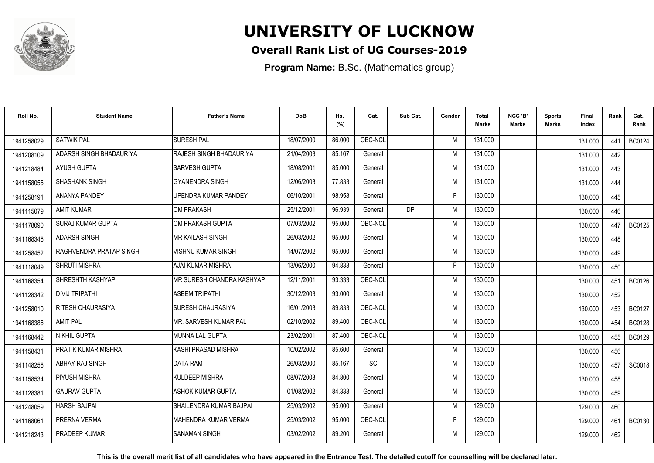

## **Overall Rank List of UG Courses-2019**

**Program Name:** B.Sc. (Mathematics group)

| Roll No.   | <b>Student Name</b>     | <b>Father's Name</b>        | <b>DoB</b> | Hs.<br>(%) | Cat.      | Sub Cat.  | Gender | <b>Total</b><br><b>Marks</b> | NCC 'B'<br><b>Marks</b> | Sports<br><b>Marks</b> | Final<br>Index | Rank | Cat.<br>Rank  |
|------------|-------------------------|-----------------------------|------------|------------|-----------|-----------|--------|------------------------------|-------------------------|------------------------|----------------|------|---------------|
| 1941258029 | <b>SATWIK PAL</b>       | <b>SURESH PAL</b>           | 18/07/2000 | 86.000     | OBC-NCL   |           | M      | 131.000                      |                         |                        | 131.000        | 441  | <b>BC0124</b> |
| 1941208109 | ADARSH SINGH BHADAURIYA | RAJESH SINGH BHADAURIYA     | 21/04/2003 | 85.167     | General   |           | M      | 131.000                      |                         |                        | 131.000        | 442  |               |
| 1941218484 | <b>AYUSH GUPTA</b>      | SARVESH GUPTA               | 18/08/2001 | 85.000     | General   |           | M      | 131.000                      |                         |                        | 131.000        | 443  |               |
| 1941158055 | <b>SHASHANK SINGH</b>   | <b>GYANENDRA SINGH</b>      | 12/06/2003 | 77.833     | General   |           | M      | 131.000                      |                         |                        | 131.000        | 444  |               |
| 1941258191 | ANANYA PANDEY           | UPENDRA KUMAR PANDEY        | 06/10/2001 | 98.958     | General   |           | F      | 130.000                      |                         |                        | 130.000        | 445  |               |
| 1941115079 | <b>AMIT KUMAR</b>       | <b>OM PRAKASH</b>           | 25/12/2001 | 96.939     | General   | <b>DP</b> | M      | 130.000                      |                         |                        | 130.000        | 446  |               |
| 1941178090 | SURAJ KUMAR GUPTA       | OM PRAKASH GUPTA            | 07/03/2002 | 95.000     | OBC-NCL   |           | M      | 130.000                      |                         |                        | 130.000        | 447  | <b>BC0125</b> |
| 1941168346 | <b>ADARSH SINGH</b>     | <b>MR KAILASH SINGH</b>     | 26/03/2002 | 95.000     | General   |           | M      | 130.000                      |                         |                        | 130.000        | 448  |               |
| 1941258452 | RAGHVENDRA PRATAP SINGH | VISHNU KUMAR SINGH          | 14/07/2002 | 95.000     | General   |           | M      | 130.000                      |                         |                        | 130.000        | 449  |               |
| 1941118049 | SHRUTI MISHRA           | AJAI KUMAR MISHRA           | 13/06/2000 | 94.833     | General   |           | F      | 130.000                      |                         |                        | 130.000        | 450  |               |
| 1941168354 | SHRESHTH KASHYAP        | MR SURESH CHANDRA KASHYAP   | 12/11/2001 | 93.333     | OBC-NCL   |           | M      | 130.000                      |                         |                        | 130.000        | 451  | <b>BC0126</b> |
| 1941128342 | <b>DIVIJ TRIPATHI</b>   | <b>ASEEM TRIPATHI</b>       | 30/12/2003 | 93.000     | General   |           | M      | 130.000                      |                         |                        | 130.000        | 452  |               |
| 1941258010 | RITESH CHAURASIYA       | <b>SURESH CHAURASIYA</b>    | 16/01/2003 | 89.833     | OBC-NCL   |           | M      | 130.000                      |                         |                        | 130.000        | 453  | <b>BC0127</b> |
| 1941168386 | <b>AMIT PAL</b>         | MR. SARVESH KUMAR PAL       | 02/10/2002 | 89.400     | OBC-NCL   |           | M      | 130.000                      |                         |                        | 130.000        | 454  | <b>BC0128</b> |
| 1941168442 | NIKHIL GUPTA            | IMUNNA LAL GUPTA            | 23/02/2001 | 87.400     | OBC-NCL   |           | M      | 130.000                      |                         |                        | 130.000        | 455  | <b>BC0129</b> |
| 1941158431 | PRATIK KUMAR MISHRA     | KASHI PRASAD MISHRA         | 10/02/2002 | 85.600     | General   |           | M      | 130.000                      |                         |                        | 130.000        | 456  |               |
| 1941148256 | ABHAY RAJ SINGH         | <b>DATA RAM</b>             | 26/03/2000 | 85.167     | <b>SC</b> |           | M      | 130.000                      |                         |                        | 130.000        | 457  | SC0018        |
| 1941158534 | PIYUSH MISHRA           | KULDEEP MISHRA              | 08/07/2003 | 84.800     | General   |           | M      | 130.000                      |                         |                        | 130.000        | 458  |               |
| 1941128381 | <b>GAURAV GUPTA</b>     | <b>ASHOK KUMAR GUPTA</b>    | 01/08/2002 | 84.333     | General   |           | M      | 130.000                      |                         |                        | 130.000        | 459  |               |
| 1941248059 | <b>HARSH BAJPAL</b>     | SHAILENDRA KUMAR BAJPAI     | 25/03/2002 | 95.000     | General   |           | M      | 129,000                      |                         |                        | 129.000        | 460  |               |
| 194116806  | PRERNA VERMA            | <b>MAHENDRA KUMAR VERMA</b> | 25/03/2002 | 95.000     | OBC-NCL   |           | F      | 129.000                      |                         |                        | 129.000        | 461  | BC0130        |
| 1941218243 | PRADEEP KUMAR           | <b>SANAMAN SINGH</b>        | 03/02/2002 | 89.200     | General   |           | M      | 129.000                      |                         |                        | 129.000        | 462  |               |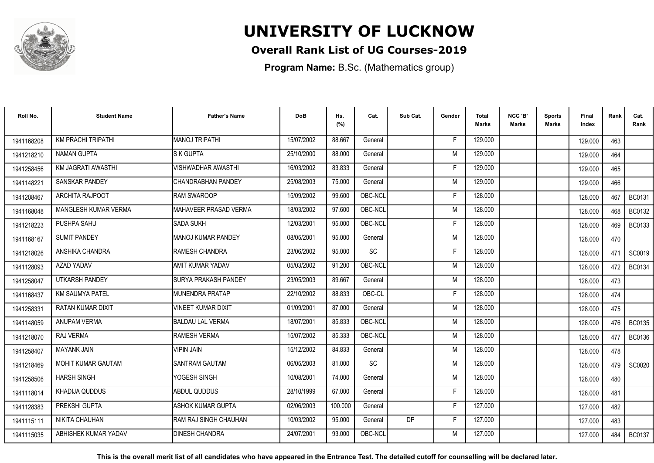

## **Overall Rank List of UG Courses-2019**

**Program Name:** B.Sc. (Mathematics group)

| Roll No.   | <b>Student Name</b>    | <b>Father's Name</b>         | <b>DoB</b> | Hs.<br>(%) | Cat.    | Sub Cat.  | Gender | <b>Total</b><br><b>Marks</b> | NCC 'B'<br><b>Marks</b> | <b>Sports</b><br>Marks | Final<br>Index | Rank | Cat.<br>Rank  |
|------------|------------------------|------------------------------|------------|------------|---------|-----------|--------|------------------------------|-------------------------|------------------------|----------------|------|---------------|
| 1941168208 | KM PRACHI TRIPATHI     | <b>MANOJ TRIPATHI</b>        | 15/07/2002 | 88.667     | General |           | F      | 129.000                      |                         |                        | 129.000        | 463  |               |
| 1941218210 | <b>NAMAN GUPTA</b>     | <b>S K GUPTA</b>             | 25/10/2000 | 88.000     | General |           | M      | 129.000                      |                         |                        | 129.000        | 464  |               |
| 1941258456 | KM JAGRATI AWASTHI     | <b>VISHWADHAR AWASTHI</b>    | 16/03/2002 | 83.833     | General |           | F      | 129.000                      |                         |                        | 129.000        | 465  |               |
| 1941148221 | SANSKAR PANDEY         | CHANDRABHAN PANDEY           | 25/08/2003 | 75.000     | General |           | M      | 129.000                      |                         |                        | 129.000        | 466  |               |
| 1941208467 | <b>ARCHITA RAJPOOT</b> | <b>RAM SWAROOP</b>           | 15/09/2002 | 99.600     | OBC-NCL |           | F      | 128.000                      |                         |                        | 128.000        | 467  | <b>BC0131</b> |
| 1941168048 | MANGLESH KUMAR VERMA   | MAHAVEER PRASAD VERMA        | 18/03/2002 | 97.600     | OBC-NCL |           | M      | 128.000                      |                         |                        | 128.000        | 468  | <b>BC0132</b> |
| 1941218223 | PUSHPA SAHU            | <b>SADA SUKH</b>             | 12/03/2001 | 95.000     | OBC-NCL |           | F      | 128.000                      |                         |                        | 128.000        | 469  | BC0133        |
| 1941168167 | <b>SUMIT PANDEY</b>    | MANOJ KUMAR PANDEY           | 08/05/2001 | 95.000     | General |           | M      | 128.000                      |                         |                        | 128.000        | 470  |               |
| 1941218026 | ANSHIKA CHANDRA        | RAMESH CHANDRA               | 23/06/2002 | 95.000     | SC      |           | F      | 128.000                      |                         |                        | 128.000        | 471  | SC0019        |
| 1941128093 | AZAD YADAV             | AMIT KUMAR YADAV             | 05/03/2002 | 91.200     | OBC-NCL |           | M      | 128.000                      |                         |                        | 128.000        | 472  | <b>BC0134</b> |
| 1941258047 | <b>UTKARSH PANDEY</b>  | <b>ISURYA PRAKASH PANDEY</b> | 23/05/2003 | 89.667     | General |           | M      | 128.000                      |                         |                        | 128.000        | 473  |               |
| 1941168437 | <b>KM SAUMYA PATEL</b> | <b>IMUNENDRA PRATAP</b>      | 22/10/2002 | 88.833     | OBC-CL  |           | F      | 128.000                      |                         |                        | 128.000        | 474  |               |
| 1941258331 | RATAN KUMAR DIXIT      | <b>VINEET KUMAR DIXIT</b>    | 01/09/2001 | 87.000     | General |           | M      | 128.000                      |                         |                        | 128.000        | 475  |               |
| 1941148059 | ANUPAM VERMA           | <b>BALDAU LAL VERMA</b>      | 18/07/2001 | 85.833     | OBC-NCL |           | M      | 128.000                      |                         |                        | 128.000        | 476  | <b>BC0135</b> |
| 1941218070 | RAJ VERMA              | <b>RAMESH VERMA</b>          | 15/07/2002 | 85.333     | OBC-NCL |           | M      | 128,000                      |                         |                        | 128.000        | 477  | <b>BC0136</b> |
| 1941258407 | <b>MAYANK JAIN</b>     | <b>VIPIN JAIN</b>            | 15/12/2002 | 84.833     | General |           | M      | 128.000                      |                         |                        | 128.000        | 478  |               |
| 1941218469 | MOHIT KUMAR GAUTAM     | <b>SANTRAM GAUTAM</b>        | 06/05/2003 | 81.000     | SC      |           | M      | 128.000                      |                         |                        | 128.000        | 479  | SC0020        |
| 1941258506 | <b>HARSH SINGH</b>     | YOGESH SINGH                 | 10/08/2001 | 74.000     | General |           | M      | 128.000                      |                         |                        | 128.000        | 480  |               |
| 1941118014 | KHADIJA QUDDUS         | <b>ABDUL QUDDUS</b>          | 28/10/1999 | 67.000     | General |           | F      | 128.000                      |                         |                        | 128.000        | 481  |               |
| 1941128383 | PREKSHI GUPTA          | ASHOK KUMAR GUPTA            | 02/06/2003 | 100.000    | General |           | F      | 127.000                      |                         |                        | 127.000        | 482  |               |
| 1941115111 | <b>NIKITA CHAUHAN</b>  | IRAM RAJ SINGH CHAUHAN       | 10/03/2002 | 95.000     | General | <b>DP</b> | F.     | 127.000                      |                         |                        | 127.000        | 483  |               |
| 1941115035 | ABHISHEK KUMAR YADAV   | <b>DINESH CHANDRA</b>        | 24/07/2001 | 93.000     | OBC-NCL |           | M      | 127.000                      |                         |                        | 127.000        | 484  | <b>BC0137</b> |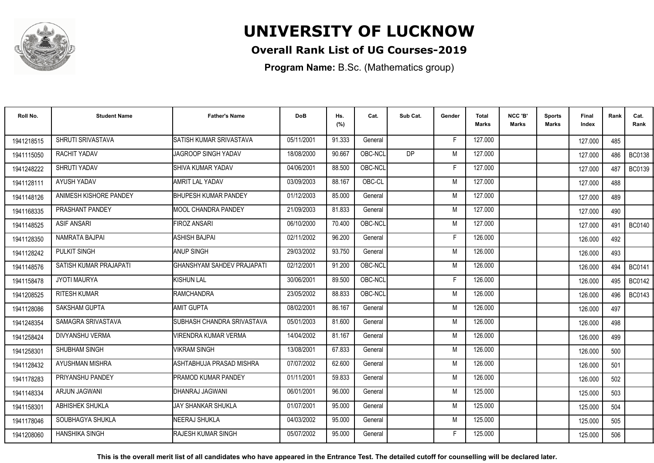

## **Overall Rank List of UG Courses-2019**

**Program Name:** B.Sc. (Mathematics group)

| Roll No.   | <b>Student Name</b>    | <b>Father's Name</b>            | <b>DoB</b> | Hs.<br>(%) | Cat.    | Sub Cat.  | Gender | <b>Total</b><br>Marks | NCC 'B'<br><b>Marks</b> | <b>Sports</b><br>Marks | Final<br>Index | Rank | Cat.<br>Rank  |
|------------|------------------------|---------------------------------|------------|------------|---------|-----------|--------|-----------------------|-------------------------|------------------------|----------------|------|---------------|
| 1941218515 | SHRUTI SRIVASTAVA      | <b>ISATISH KUMAR SRIVASTAVA</b> | 05/11/2001 | 91.333     | General |           | F      | 127.000               |                         |                        | 127.000        | 485  |               |
| 1941115050 | RACHIT YADAV           | JAGROOP SINGH YADAV             | 18/08/2000 | 90.667     | OBC-NCL | <b>DP</b> | M      | 127.000               |                         |                        | 127.000        | 486  | <b>BC0138</b> |
| 1941248222 | SHRUTI YADAV           | SHIVA KUMAR YADAV               | 04/06/2001 | 88.500     | OBC-NCL |           | F      | 127.000               |                         |                        | 127.000        | 487  | <b>BC0139</b> |
| 1941128111 | AYUSH YADAV            | <b>AMRIT LAL YADAV</b>          | 03/09/2003 | 88.167     | OBC-CL  |           | M      | 127.000               |                         |                        | 127.000        | 488  |               |
| 1941148126 | ANIMESH KISHORE PANDEY | <b>IBHUPESH KUMAR PANDEY</b>    | 01/12/2003 | 85.000     | General |           | M      | 127.000               |                         |                        | 127.000        | 489  |               |
| 1941168335 | PRASHANT PANDEY        | <b>IMOOL CHANDRA PANDEY</b>     | 21/09/2003 | 81.833     | General |           | M      | 127.000               |                         |                        | 127.000        | 490  |               |
| 1941148525 | <b>ASIF ANSARI</b>     | <b>FIROZ ANSARI</b>             | 06/10/2000 | 70.400     | OBC-NCL |           | M      | 127.000               |                         |                        | 127.000        | 491  | <b>BC0140</b> |
| 1941128350 | NAMRATA BAJPAI         | <b>ASHISH BAJPAI</b>            | 02/11/2002 | 96.200     | General |           | F      | 126.000               |                         |                        | 126.000        | 492  |               |
| 1941128242 | PULKIT SINGH           | <b>ANUP SINGH</b>               | 29/03/2002 | 93.750     | General |           | M      | 126.000               |                         |                        | 126.000        | 493  |               |
| 1941148576 | SATISH KUMAR PRAJAPATI | GHANSHYAM SAHDEV PRAJAPATI      | 02/12/2001 | 91.200     | OBC-NCL |           | M      | 126.000               |                         |                        | 126.000        | 494  | <b>BC0141</b> |
| 1941158478 | <b>JYOTI MAURYA</b>    | <b>I</b> KISHUN LAL             | 30/06/2001 | 89.500     | OBC-NCL |           | F      | 126.000               |                         |                        | 126.000        | 495  | <b>BC0142</b> |
| 1941208525 | <b>RITESH KUMAR</b>    | RAMCHANDRA                      | 23/05/2002 | 88.833     | OBC-NCL |           | M      | 126.000               |                         |                        | 126.000        | 496  | <b>BC0143</b> |
| 1941128086 | SAKSHAM GUPTA          | <b>AMIT GUPTA</b>               | 08/02/2001 | 86.167     | General |           | M      | 126.000               |                         |                        | 126.000        | 497  |               |
| 1941248354 | SAMAGRA SRIVASTAVA     | SUBHASH CHANDRA SRIVASTAVA      | 05/01/2003 | 81.600     | General |           | M      | 126.000               |                         |                        | 126.000        | 498  |               |
| 1941258424 | DIVYANSHU VERMA        | VIRENDRA KUMAR VERMA            | 14/04/2002 | 81.167     | General |           | M      | 126.000               |                         |                        | 126.000        | 499  |               |
| 1941258301 | SHUBHAM SINGH          | <b>VIKRAM SINGH</b>             | 13/08/2001 | 67.833     | General |           | M      | 126.000               |                         |                        | 126.000        | 500  |               |
| 1941128432 | AYUSHMAN MISHRA        | ASHTABHUJA PRASAD MISHRA        | 07/07/2002 | 62.600     | General |           | M      | 126.000               |                         |                        | 126.000        | 501  |               |
| 1941178283 | PRIYANSHU PANDEY       | <b>PRAMOD KUMAR PANDEY</b>      | 01/11/2001 | 59.833     | General |           | M      | 126.000               |                         |                        | 126.000        | 502  |               |
| 1941148334 | ARJUN JAGWANI          | IDHANRAJ JAGWANI                | 06/01/2001 | 96.000     | General |           | M      | 125.000               |                         |                        | 125.000        | 503  |               |
| 1941158301 | <b>ABHISHEK SHUKLA</b> | IJAY SHANKAR SHUKLA             | 01/07/2001 | 95.000     | General |           | M      | 125.000               |                         |                        | 125.000        | 504  |               |
| 1941178046 | SOUBHAGYA SHUKLA       | NEERAJ SHUKLA                   | 04/03/2002 | 95.000     | General |           | M      | 125.000               |                         |                        | 125.000        | 505  |               |
| 1941208060 | <b>HANSHIKA SINGH</b>  | RAJESH KUMAR SINGH              | 05/07/2002 | 95.000     | General |           |        | 125.000               |                         |                        | 125.000        | 506  |               |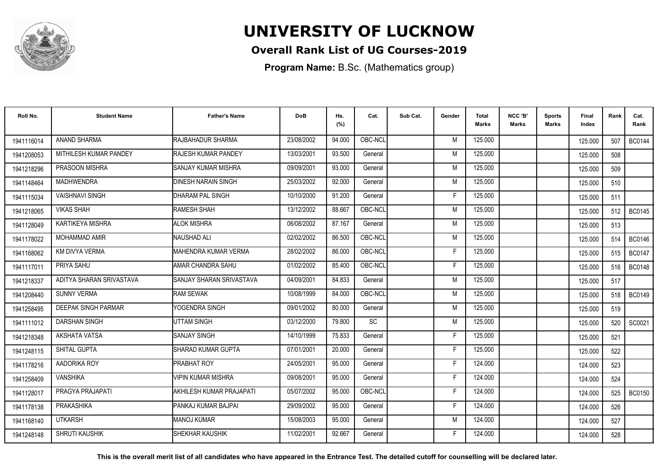

## **Overall Rank List of UG Courses-2019**

**Program Name:** B.Sc. (Mathematics group)

| Roll No.   | <b>Student Name</b>        | <b>Father's Name</b>       | <b>DoB</b> | Hs.<br>(%) | Cat.      | Sub Cat. | Gender | <b>Total</b><br>Marks | NCC 'B'<br><b>Marks</b> | Sports<br><b>Marks</b> | Final<br>Index | Rank | Cat.<br>Rank  |
|------------|----------------------------|----------------------------|------------|------------|-----------|----------|--------|-----------------------|-------------------------|------------------------|----------------|------|---------------|
| 1941116014 | ANAND SHARMA               | RAJBAHADUR SHARMA          | 23/08/2002 | 94.000     | OBC-NCL   |          | M      | 125.000               |                         |                        | 125.000        | 507  | <b>BC0144</b> |
| 1941208053 | MITHILESH KUMAR PANDEY     | <b>RAJESH KUMAR PANDEY</b> | 13/03/2001 | 93.500     | General   |          | M      | 125.000               |                         |                        | 125.000        | 508  |               |
| 1941218296 | PRASOON MISHRA             | ISANJAY KUMAR MISHRA       | 09/09/2001 | 93.000     | General   |          | M      | 125.000               |                         |                        | 125.000        | 509  |               |
| 1941148464 | <b>MADHWENDRA</b>          | <b>DINESH NARAIN SINGH</b> | 25/03/2002 | 92.000     | General   |          | M      | 125.000               |                         |                        | 125.000        | 510  |               |
| 1941115034 | <b>VAISHNAVI SINGH</b>     | DHARAM PAL SINGH           | 10/10/2000 | 91.200     | General   |          | Е      | 125.000               |                         |                        | 125.000        | 511  |               |
| 1941218065 | <b>VIKAS SHAH</b>          | RAMESH SHAH                | 13/12/2002 | 88.667     | OBC-NCL   |          | M      | 125.000               |                         |                        | 125.000        | 512  | <b>BC0145</b> |
| 1941128049 | KARTIKEYA MISHRA           | <b>ALOK MISHRA</b>         | 06/08/2002 | 87.167     | General   |          | M      | 125.000               |                         |                        | 125.000        | 513  |               |
| 1941178022 | MOHAMMAD AMIR              | NAUSHAD ALI                | 02/02/2002 | 86.500     | OBC-NCL   |          | M      | 125.000               |                         |                        | 125.000        | 514  | <b>BC0146</b> |
| 1941168062 | KM DIVYA VERMA             | MAHENDRA KUMAR VERMA       | 28/02/2002 | 86.000     | OBC-NCL   |          | F      | 125.000               |                         |                        | 125.000        | 515  | <b>BC0147</b> |
| 1941117011 | PRIYA SAHU                 | AMAR CHANDRA SAHU          | 01/02/2002 | 85.400     | OBC-NCL   |          | F      | 125.000               |                         |                        | 125.000        | 516  | <b>BC0148</b> |
| 1941218337 | ADITYA SHARAN SRIVASTAVA   | SANJAY SHARAN SRIVASTAVA   | 04/09/2001 | 84.833     | General   |          | M      | 125.000               |                         |                        | 125.000        | 517  |               |
| 1941208440 | <b>SUNNY VERMA</b>         | <b>RAM SEWAK</b>           | 10/08/1999 | 84.000     | OBC-NCL   |          | M      | 125.000               |                         |                        | 125.000        | 518  | <b>BC0149</b> |
| 1941258495 | <b>DEEPAK SINGH PARMAR</b> | YOGENDRA SINGH             | 09/01/2002 | 80.000     | General   |          | M      | 125.000               |                         |                        | 125.000        | 519  |               |
| 1941111012 | <b>DARSHAN SINGH</b>       | UTTAM SINGH                | 03/12/2000 | 79.800     | <b>SC</b> |          | M      | 125.000               |                         |                        | 125.000        | 520  | SC0021        |
| 1941218348 | AKSHATA VATSA              | <b>SANJAY SINGH</b>        | 14/10/1999 | 75.833     | General   |          |        | 125.000               |                         |                        | 125.000        | 521  |               |
| 1941248115 | SHITAL GUPTA               | ISHARAD KUMAR GUPTA        | 07/01/2001 | 20.000     | General   |          | E      | 125.000               |                         |                        | 125.000        | 522  |               |
| 1941178216 | AADORIKA ROY               | <b>PRABHAT ROY</b>         | 24/05/2001 | 95.000     | General   |          | F      | 124.000               |                         |                        | 124.000        | 523  |               |
| 1941258409 | <b>VANSHIKA</b>            | <b>VIPIN KUMAR MISHRA</b>  | 09/08/2001 | 95.000     | General   |          | F      | 124.000               |                         |                        | 124.000        | 524  |               |
| 1941128017 | PRAGYA PRAJAPATI           | AKHILESH KUMAR PRAJAPATI   | 05/07/2002 | 95.000     | OBC-NCL   |          | E      | 124.000               |                         |                        | 124.000        | 525  | <b>BC0150</b> |
| 1941178138 | PRAKASHIKA                 | PANKAJ KUMAR BAJPAI        | 29/09/2002 | 95.000     | General   |          | F      | 124.000               |                         |                        | 124.000        | 526  |               |
| 1941168140 | <b>UTKARSH</b>             | <b>MANOJ KUMAR</b>         | 15/08/2003 | 95.000     | General   |          | M      | 124.000               |                         |                        | 124.000        | 527  |               |
| 1941248148 | SHRUTI KAUSHIK             | ISHEKHAR KAUSHIK           | 11/02/2001 | 92.667     | General   |          | F      | 124.000               |                         |                        | 124.000        | 528  |               |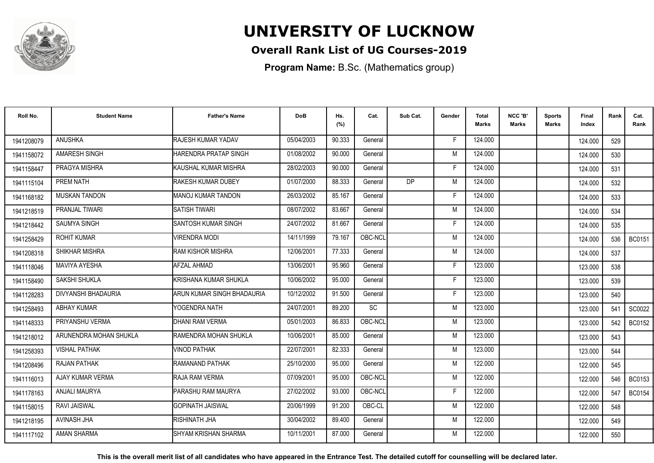

## **Overall Rank List of UG Courses-2019**

**Program Name:** B.Sc. (Mathematics group)

| Roll No.   | <b>Student Name</b>    | <b>Father's Name</b>       | <b>DoB</b> | Hs.<br>(%) | Cat.    | Sub Cat.  | Gender | <b>Total</b><br><b>Marks</b> | NCC 'B'<br><b>Marks</b> | Sports<br>Marks | Final<br>Index | Rank | Cat.<br>Rank  |
|------------|------------------------|----------------------------|------------|------------|---------|-----------|--------|------------------------------|-------------------------|-----------------|----------------|------|---------------|
| 1941208079 | <b>ANUSHKA</b>         | RAJESH KUMAR YADAV         | 05/04/2003 | 90.333     | General |           | E      | 124.000                      |                         |                 | 124.000        | 529  |               |
| 1941158072 | AMARESH SINGH          | HARENDRA PRATAP SINGH      | 01/08/2002 | 90.000     | General |           | M      | 124.000                      |                         |                 | 124.000        | 530  |               |
| 1941158447 | PRAGYA MISHRA          | KAUSHAL KUMAR MISHRA       | 28/02/2003 | 90.000     | General |           | F      | 124.000                      |                         |                 | 124.000        | 531  |               |
| 1941115104 | PREM NATH              | RAKESH KUMAR DUBEY         | 01/07/2000 | 88.333     | General | <b>DP</b> | M      | 124.000                      |                         |                 | 124.000        | 532  |               |
| 1941168182 | <b>MUSKAN TANDON</b>   | <b>MANOJ KUMAR TANDON</b>  | 26/03/2002 | 85.167     | General |           |        | 124.000                      |                         |                 | 124.000        | 533  |               |
| 1941218519 | PRANJAL TIWARI         | <b>SATISH TIWARI</b>       | 08/07/2002 | 83.667     | General |           | M      | 124.000                      |                         |                 | 124.000        | 534  |               |
| 1941218442 | SAUMYA SINGH           | <b>SANTOSH KUMAR SINGH</b> | 24/07/2002 | 81.667     | General |           | F      | 124.000                      |                         |                 | 124.000        | 535  |               |
| 1941258429 | <b>ROHIT KUMAR</b>     | VIRENDRA MODI              | 14/11/1999 | 79.167     | OBC-NCL |           | M      | 124.000                      |                         |                 | 124.000        | 536  | BC0151        |
| 1941208318 | SHIKHAR MISHRA         | <b>RAM KISHOR MISHRA</b>   | 12/06/2001 | 77.333     | General |           | M      | 124.000                      |                         |                 | 124.000        | 537  |               |
| 1941118046 | <b>MAVIYA AYESHA</b>   | AFZAL AHMAD                | 13/06/2001 | 95.960     | General |           | F      | 123.000                      |                         |                 | 123.000        | 538  |               |
| 1941158490 | SAKSHI SHUKLA          | KRISHANA KUMAR SHUKLA      | 10/06/2002 | 95.000     | General |           | F      | 123.000                      |                         |                 | 123.000        | 539  |               |
| 1941128283 | DIVYANSHI BHADAURIA    | ARUN KUMAR SINGH BHADAURIA | 10/12/2002 | 91.500     | General |           | E      | 123.000                      |                         |                 | 123.000        | 540  |               |
| 1941258493 | <b>ABHAY KUMAR</b>     | YOGENDRA NATH              | 24/07/2001 | 89.200     | SC      |           | M      | 123.000                      |                         |                 | 123.000        | 541  | SC0022        |
| 1941148333 | PRIYANSHU VERMA        | DHANI RAM VERMA            | 05/01/2003 | 86.833     | OBC-NCL |           | M      | 123.000                      |                         |                 | 123.000        | 542  | <b>BC0152</b> |
| 1941218012 | ARUNENDRA MOHAN SHUKLA | RAMENDRA MOHAN SHUKLA      | 10/06/2001 | 85.000     | General |           | M      | 123.000                      |                         |                 | 123.000        | 543  |               |
| 1941258393 | <b>VISHAL PATHAK</b>   | <b>VINOD PATHAK</b>        | 22/07/2001 | 82.333     | General |           | M      | 123.000                      |                         |                 | 123.000        | 544  |               |
| 1941208496 | <b>RAJAN PATHAK</b>    | RAMANAND PATHAK            | 25/10/2000 | 95.000     | General |           | M      | 122.000                      |                         |                 | 122.000        | 545  |               |
| 1941116013 | AJAY KUMAR VERMA       | RAJA RAM VERMA             | 07/09/2001 | 95.000     | OBC-NCL |           | M      | 122.000                      |                         |                 | 122.000        | 546  | <b>BC0153</b> |
| 1941178163 | ANJALI MAURYA          | PARASHU RAM MAURYA         | 27/02/2002 | 93.000     | OBC-NCL |           | F      | 122.000                      |                         |                 | 122.000        | 547  | <b>BC0154</b> |
| 1941158015 | <b>RAVI JAISWAL</b>    | <b>GOPINATH JAISWAL</b>    | 20/06/1999 | 91.200     | OBC-CL  |           | M      | 122.000                      |                         |                 | 122.000        | 548  |               |
| 1941218195 | AVINASH JHA            | <b>RISHINATH JHA</b>       | 30/04/2002 | 89.400     | General |           | M      | 122.000                      |                         |                 | 122.000        | 549  |               |
| 1941117102 | <b>AMAN SHARMA</b>     | SHYAM KRISHAN SHARMA       | 10/11/2001 | 87.000     | General |           | M      | 122.000                      |                         |                 | 122.000        | 550  |               |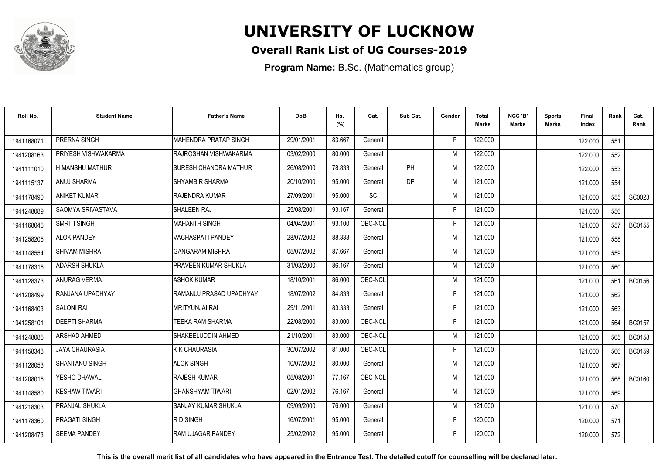

## **Overall Rank List of UG Courses-2019**

**Program Name:** B.Sc. (Mathematics group)

| Roll No.   | <b>Student Name</b>    | <b>Father's Name</b>         | <b>DoB</b> | Hs.<br>(%) | Cat.      | Sub Cat.  | Gender | Total<br>Marks | NCC 'B'<br><b>Marks</b> | Sports<br>Marks | Final<br>Index | Rank | Cat.<br>Rank  |
|------------|------------------------|------------------------------|------------|------------|-----------|-----------|--------|----------------|-------------------------|-----------------|----------------|------|---------------|
| 1941168071 | PRERNA SINGH           | MAHENDRA PRATAP SINGH        | 29/01/2001 | 83.667     | General   |           | F.     | 122.000        |                         |                 | 122.000        | 551  |               |
| 1941208163 | PRIYESH VISHWAKARMA    | RAJROSHAN VISHWAKARMA        | 03/02/2000 | 80.000     | General   |           | M      | 122.000        |                         |                 | 122.000        | 552  |               |
| 1941111010 | <b>HIMANSHU MATHUR</b> | <b>SURESH CHANDRA MATHUR</b> | 26/08/2000 | 78.833     | General   | <b>PH</b> | M      | 122.000        |                         |                 | 122.000        | 553  |               |
| 1941115137 | ANUJ SHARMA            | <b>I</b> SHYAMBIR SHARMA     | 20/10/2000 | 95.000     | General   | <b>DP</b> | M      | 121.000        |                         |                 | 121.000        | 554  |               |
| 1941178490 | <b>ANIKET KUMAR</b>    | <b>RAJENDRA KUMAR</b>        | 27/09/2001 | 95.000     | <b>SC</b> |           | M      | 121.000        |                         |                 | 121.000        | 555  | SC0023        |
| 1941248089 | SAOMYA SRIVASTAVA      | <b>SHALEEN RAJ</b>           | 25/08/2001 | 93.167     | General   |           | Е      | 121.000        |                         |                 | 121.000        | 556  |               |
| 1941168046 | SMRITI SINGH           | <b>MAHANTH SINGH</b>         | 04/04/2001 | 93.100     | OBC-NCL   |           | F      | 121.000        |                         |                 | 121.000        | 557  | <b>BC0155</b> |
| 1941258205 | <b>ALOK PANDEY</b>     | <b>VACHASPATI PANDEY</b>     | 28/07/2002 | 88.333     | General   |           | M      | 121.000        |                         |                 | 121.000        | 558  |               |
| 1941148554 | SHIVAM MISHRA          | <b>GANGARAM MISHRA</b>       | 05/07/2002 | 87.667     | General   |           | M      | 121.000        |                         |                 | 121.000        | 559  |               |
| 1941178315 | <b>ADARSH SHUKLA</b>   | <b>PRAVEEN KUMAR SHUKLA</b>  | 31/03/2000 | 86.167     | General   |           | M      | 121.000        |                         |                 | 121.000        | 560  |               |
| 1941128373 | <b>ANURAG VERMA</b>    | <b>ASHOK KUMAR</b>           | 18/10/2001 | 86.000     | OBC-NCL   |           | M      | 121.000        |                         |                 | 121.000        | 561  | <b>BC0156</b> |
| 1941208499 | RANJANA UPADHYAY       | RAMANUJ PRASAD UPADHYAY      | 18/07/2002 | 84.833     | General   |           | F      | 121.000        |                         |                 | 121.000        | 562  |               |
| 1941168403 | <b>SALONI RAI</b>      | <b>MRITYUNJAI RAI</b>        | 29/11/2001 | 83.333     | General   |           |        | 121.000        |                         |                 | 121.000        | 563  |               |
| 1941258101 | <b>DEEPTI SHARMA</b>   | ITEEKA RAM SHARMA            | 22/08/2000 | 83.000     | OBC-NCL   |           | F      | 121.000        |                         |                 | 121.000        | 564  | <b>BC0157</b> |
| 1941248085 | ARSHAD AHMED           | SHAKEELUDDIN AHMED           | 21/10/2001 | 83.000     | OBC-NCL   |           | M      | 121.000        |                         |                 | 121.000        | 565  | <b>BC0158</b> |
| 1941158348 | <b>JAYA CHAURASIA</b>  | K K CHAURASIA                | 30/07/2002 | 81.000     | OBC-NCL   |           | F      | 121.000        |                         |                 | 121.000        | 566  | <b>BC0159</b> |
| 1941128053 | SHANTANU SINGH         | <b>ALOK SINGH</b>            | 10/07/2002 | 80.000     | General   |           | M      | 121.000        |                         |                 | 121.000        | 567  |               |
| 1941208015 | YESHO DHAWAL           | <b>RAJESH KUMAR</b>          | 05/08/2001 | 77.167     | OBC-NCL   |           | M      | 121.000        |                         |                 | 121.000        | 568  | <b>BC0160</b> |
| 1941148580 | <b>KESHAW TIWARI</b>   | IGHANSHYAM TIWARI            | 02/01/2002 | 76.167     | General   |           | M      | 121.000        |                         |                 | 121.000        | 569  |               |
| 1941218303 | <b>PRANJAL SHUKLA</b>  | ISANJAY KUMAR SHUKLA         | 09/09/2000 | 76.000     | General   |           | M      | 121.000        |                         |                 | 121.000        | 570  |               |
| 1941178360 | PRAGATI SINGH          | <b>RD SINGH</b>              | 16/07/2001 | 95.000     | General   |           | F.     | 120.000        |                         |                 | 120.000        | 571  |               |
| 1941208473 | <b>SEEMA PANDEY</b>    | <b>RAM UJAGAR PANDEY</b>     | 25/02/2002 | 95.000     | General   |           |        | 120.000        |                         |                 | 120.000        | 572  |               |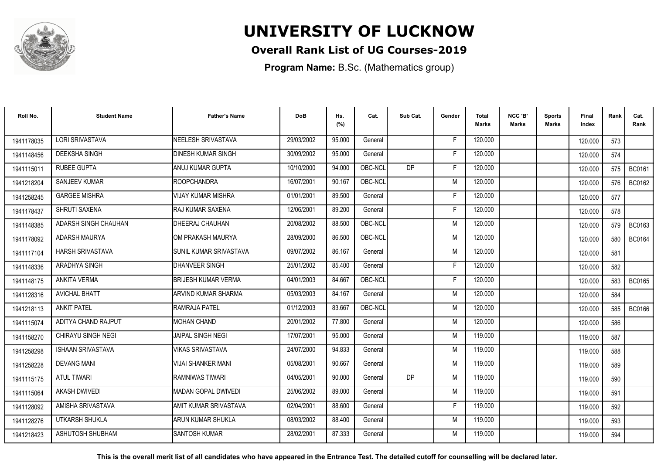

## **Overall Rank List of UG Courses-2019**

**Program Name:** B.Sc. (Mathematics group)

| Roll No.   | <b>Student Name</b>      | <b>Father's Name</b>       | <b>DoB</b> | Hs.<br>(%) | Cat.    | Sub Cat.  | Gender | <b>Total</b><br>Marks | NCC 'B'<br><b>Marks</b> | Sports<br>Marks | Final<br>Index | Rank | Cat.<br>Rank  |
|------------|--------------------------|----------------------------|------------|------------|---------|-----------|--------|-----------------------|-------------------------|-----------------|----------------|------|---------------|
| 1941178035 | <b>LORI SRIVASTAVA</b>   | NEELESH SRIVASTAVA         | 29/03/2002 | 95.000     | General |           | -F     | 120.000               |                         |                 | 120.000        | 573  |               |
| 1941148456 | <b>DEEKSHA SINGH</b>     | <b>DINESH KUMAR SINGH</b>  | 30/09/2002 | 95.000     | General |           | F      | 120.000               |                         |                 | 120.000        | 574  |               |
| 1941115011 | <b>RUBEE GUPTA</b>       | ANUJ KUMAR GUPTA           | 10/10/2000 | 94.000     | OBC-NCL | <b>DP</b> | F      | 120.000               |                         |                 | 120.000        | 575  | <b>BC0161</b> |
| 1941218204 | SANJEEV KUMAR            | <b>ROOPCHANDRA</b>         | 16/07/2001 | 90.167     | OBC-NCL |           | M      | 120.000               |                         |                 | 120.000        | 576  | BC0162        |
| 1941258245 | <b>GARGEE MISHRA</b>     | <b>VIJAY KUMAR MISHRA</b>  | 01/01/2001 | 89.500     | General |           | F      | 120.000               |                         |                 | 120.000        | 577  |               |
| 1941178437 | SHRUTI SAXENA            | <b>IRAJ KUMAR SAXENA</b>   | 12/06/2001 | 89.200     | General |           | Е      | 120.000               |                         |                 | 120.000        | 578  |               |
| 1941148385 | ADARSH SINGH CHAUHAN     | DHEERAJ CHAUHAN            | 20/08/2002 | 88.500     | OBC-NCL |           | M      | 120.000               |                         |                 | 120.000        | 579  | BC0163        |
| 1941178092 | <b>ADARSH MAURYA</b>     | IOM PRAKASH MAURYA         | 28/09/2000 | 86.500     | OBC-NCL |           | M      | 120.000               |                         |                 | 120.000        | 580  | BC0164        |
| 1941117104 | <b>HARSH SRIVASTAVA</b>  | İSUNIL KUMAR SRIVASTAVA    | 09/07/2002 | 86.167     | General |           | M      | 120.000               |                         |                 | 120.000        | 581  |               |
| 1941148336 | ARADHYA SINGH            | DHANVEER SINGH             | 25/01/2002 | 85.400     | General |           | F      | 120.000               |                         |                 | 120.000        | 582  |               |
| 1941148175 | ANKITA VERMA             | <b>BRIJESH KUMAR VERMA</b> | 04/01/2003 | 84.667     | OBC-NCL |           | Е      | 120.000               |                         |                 | 120.000        | 583  | <b>BC0165</b> |
| 1941128316 | <b>AVICHAL BHATT</b>     | ARVIND KUMAR SHARMA        | 05/03/2003 | 84.167     | General |           | M      | 120.000               |                         |                 | 120.000        | 584  |               |
| 1941218113 | <b>ANKIT PATEL</b>       | RAMRAJA PATEL              | 01/12/2003 | 83.667     | OBC-NCL |           | M      | 120.000               |                         |                 | 120.000        | 585  | <b>BC0166</b> |
| 1941115074 | ADITYA CHAND RAJPUT      | <b>MOHAN CHAND</b>         | 20/01/2002 | 77.800     | General |           | M      | 120.000               |                         |                 | 120.000        | 586  |               |
| 1941158270 | CHIRAYU SINGH NEGI       | <b>JAIPAL SINGH NEGI</b>   | 17/07/2001 | 95.000     | General |           | M      | 119.000               |                         |                 | 119.000        | 587  |               |
| 1941258298 | <b>ISHAAN SRIVASTAVA</b> | <b>VIKAS SRIVASTAVA</b>    | 24/07/2000 | 94.833     | General |           | M      | 119.000               |                         |                 | 119.000        | 588  |               |
| 1941258228 | <b>DEVANG MANI</b>       | <b>VIJAI SHANKER MANI</b>  | 05/08/2001 | 90.667     | General |           | M      | 119.000               |                         |                 | 119.000        | 589  |               |
| 1941115175 | <b>ATUL TIWARI</b>       | <b>RAMNIWAS TIWARI</b>     | 04/05/2001 | 90.000     | General | <b>DP</b> | M      | 119.000               |                         |                 | 119.000        | 590  |               |
| 1941115064 | <b>AKASH DWIVEDI</b>     | MADAN GOPAL DWIVEDI        | 25/06/2002 | 89.000     | General |           | M      | 119.000               |                         |                 | 119.000        | 591  |               |
| 1941128092 | AMISHA SRIVASTAVA        | AMIT KUMAR SRIVASTAVA      | 02/04/2001 | 88.600     | General |           | F      | 119.000               |                         |                 | 119.000        | 592  |               |
| 1941128276 | UTKARSH SHUKLA           | ARUN KUMAR SHUKLA          | 08/03/2002 | 88.400     | General |           | M      | 119.000               |                         |                 | 119.000        | 593  |               |
| 1941218423 | ASHUTOSH SHUBHAM         | <b>SANTOSH KUMAR</b>       | 28/02/2001 | 87.333     | General |           | M      | 119.000               |                         |                 | 119.000        | 594  |               |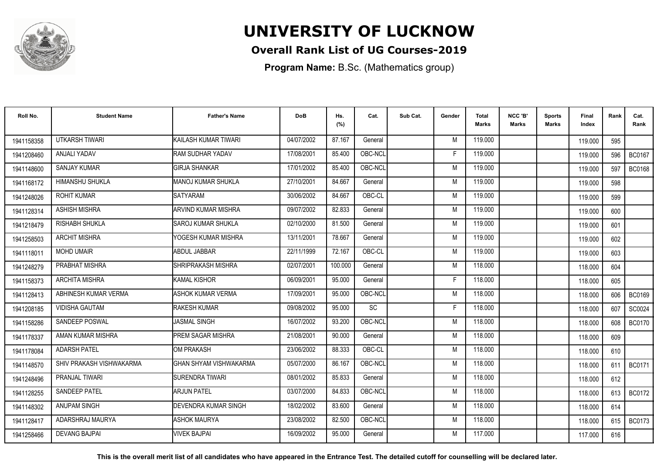

## **Overall Rank List of UG Courses-2019**

**Program Name:** B.Sc. (Mathematics group)

| Roll No.   | <b>Student Name</b>      | <b>Father's Name</b>          | <b>DoB</b> | Hs.<br>(%) | Cat.      | Sub Cat. | Gender | <b>Total</b><br>Marks | NCC 'B'<br><b>Marks</b> | Sports<br>Marks | Final<br>Index | Rank  | Cat.<br>Rank  |
|------------|--------------------------|-------------------------------|------------|------------|-----------|----------|--------|-----------------------|-------------------------|-----------------|----------------|-------|---------------|
| 1941158358 | <b>UTKARSH TIWARI</b>    | KAILASH KUMAR TIWARI          | 04/07/2002 | 87.167     | General   |          | M      | 119.000               |                         |                 | 119.000        | 595   |               |
| 1941208460 | ANJALI YADAV             | <b>RAM SUDHAR YADAV</b>       | 17/08/2001 | 85.400     | OBC-NCL   |          | F      | 119.000               |                         |                 | 119.000        | 596   | <b>BC0167</b> |
| 1941148600 | SANJAY KUMAR             | <b>GIRJA SHANKAR</b>          | 17/01/2002 | 85.400     | OBC-NCL   |          | M      | 119.000               |                         |                 | 119.000        | 597   | <b>BC0168</b> |
| 1941168172 | HIMANSHU SHUKLA          | MANOJ KUMAR SHUKLA            | 27/10/2001 | 84.667     | General   |          | M      | 119.000               |                         |                 | 119.000        | 598   |               |
| 1941248026 | <b>ROHIT KUMAR</b>       | <b>SATYARAM</b>               | 30/06/2002 | 84.667     | OBC-CL    |          | M      | 119.000               |                         |                 | 119.000        | 599   |               |
| 1941128314 | <b>ASHISH MISHRA</b>     | <b>ARVIND KUMAR MISHRA</b>    | 09/07/2002 | 82.833     | General   |          | M      | 119.000               |                         |                 | 119.000        | 600   |               |
| 1941218479 | RISHABH SHUKLA           | <b>I</b> SAROJ KUMAR SHUKLA   | 02/10/2000 | 81.500     | General   |          | M      | 119.000               |                         |                 | 119.000        | 601   |               |
| 1941258503 | <b>ARCHIT MISHRA</b>     | YOGESH KUMAR MISHRA           | 13/11/2001 | 78.667     | General   |          | M      | 119.000               |                         |                 | 119.000        | 602   |               |
| 1941118011 | <b>MOHD UMAIR</b>        | <b>ABDUL JABBAR</b>           | 22/11/1999 | 72.167     | OBC-CL    |          | M      | 119.000               |                         |                 | 119.000        | 603   |               |
| 1941248279 | PRABHAT MISHRA           | SHRIPRAKASH MISHRA            | 02/07/2001 | 100.000    | General   |          | M      | 118,000               |                         |                 | 118.000        | 604   |               |
| 1941158373 | <b>ARCHITA MISHRA</b>    | KAMAL KISHOR                  | 06/09/2001 | 95.000     | General   |          | F      | 118.000               |                         |                 | 118.000        | 605   |               |
| 1941128413 | ABHINESH KUMAR VERMA     | <b>ASHOK KUMAR VERMA</b>      | 17/09/2001 | 95.000     | OBC-NCL   |          | M      | 118,000               |                         |                 | 118.000        | 606   | <b>BC0169</b> |
| 1941208185 | <b>VIDISHA GAUTAM</b>    | <b>RAKESH KUMAR</b>           | 09/08/2002 | 95.000     | <b>SC</b> |          | F      | 118.000               |                         |                 | 118,000        | 607   | SC0024        |
| 1941158286 | <b>SANDEEP POSWAL</b>    | <b>JASMAL SINGH</b>           | 16/07/2002 | 93.200     | OBC-NCL   |          | M      | 118.000               |                         |                 | 118.000        | 608   | <b>BC0170</b> |
| 1941178337 | AMAN KUMAR MISHRA        | PREM SAGAR MISHRA             | 21/08/2001 | 90.000     | General   |          | M      | 118.000               |                         |                 | 118.000        | 609   |               |
| 1941178084 | <b>ADARSH PATEL</b>      | OM PRAKASH                    | 23/06/2002 | 88.333     | OBC-CL    |          | M      | 118.000               |                         |                 | 118.000        | 610   |               |
| 1941148570 | SHIV PRAKASH VISHWAKARMA | <b>GHAN SHYAM VISHWAKARMA</b> | 05/07/2000 | 86.167     | OBC-NCL   |          | M      | 118.000               |                         |                 | 118.000        | 611   | <b>BC0171</b> |
| 1941248496 | PRANJAL TIWARI           | <b>ISURENDRA TIWARI</b>       | 08/01/2002 | 85.833     | General   |          | M      | 118.000               |                         |                 | 118.000        | 612   |               |
| 1941128255 | <b>SANDEEP PATEL</b>     | <b>ARJUN PATEL</b>            | 03/07/2000 | 84.833     | OBC-NCL   |          | M      | 118.000               |                         |                 | 118.000        | 613 I | <b>BC0172</b> |
| 1941148302 | <b>ANUPAM SINGH</b>      | DEVENDRA KUMAR SINGH          | 18/02/2002 | 83.600     | General   |          | M      | 118.000               |                         |                 | 118.000        | 614   |               |
| 1941128417 | ADARSHRAJ MAURYA         | <b>ASHOK MAURYA</b>           | 23/08/2002 | 82.500     | OBC-NCL   |          | M      | 118.000               |                         |                 | 118.000        | 615   | <b>BC0173</b> |
| 1941258466 | <b>DEVANG BAJPAI</b>     | <b>VIVEK BAJPAI</b>           | 16/09/2002 | 95.000     | General   |          | M      | 117.000               |                         |                 | 117.000        | 616   |               |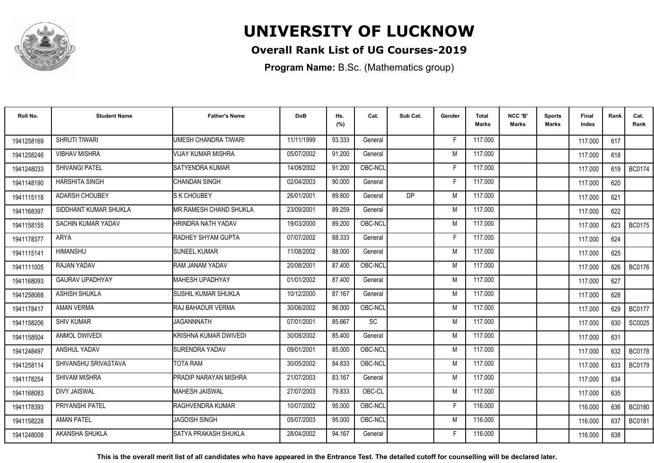

## **Overall Rank List of UG Courses-2019**

**Program Name:** B.Sc. (Mathematics group)

| Roll No.   | <b>Student Name</b>    | <b>Father's Name</b>    | <b>DoB</b> | Hs.<br>(%) | Cat.    | Sub Cat. | Gender | Total<br>Marks | NCC 'B'<br><b>Marks</b> | Sports<br>Marks | Final<br>Index | Rank | Cat.<br>Rank  |
|------------|------------------------|-------------------------|------------|------------|---------|----------|--------|----------------|-------------------------|-----------------|----------------|------|---------------|
| 1941258169 | <b>SHRUTI TIWARI</b>   | UMESH CHANDRA TIWARI    | 11/11/1999 | 93.333     | General |          | F.     | 117,000        |                         |                 | 117.000        | 617  |               |
| 1941258246 | <b>VIBHAV MISHRA</b>   | VIJAY KUMAR MISHRA      | 05/07/2002 | 91.200     | General |          | M      | 117.000        |                         |                 | 117.000        | 618  |               |
| 1941248033 | <b>SHIVANGI PATEL</b>  | <b>SATYENDRA KUMAR</b>  | 14/08/2002 | 91.200     | OBC-NCL |          | F.     | 117.000        |                         |                 | 117.000        | 619  | <b>BC0174</b> |
| 1941148190 | <b>HARSHITA SINGH</b>  | CHANDAN SINGH           | 02/04/2003 | 90.000     | General |          | E      | 117.000        |                         |                 | 117.000        | 620  |               |
| 1941115118 | <b>ADARSH CHOUBEY</b>  | <b>S K CHOUBEY</b>      | 26/01/2001 | 89.800     | General | DP       | M      | 117.000        |                         |                 | 117.000        | 621  |               |
| 1941168397 | SIDDHANT KUMAR SHUKLA  | IMR.RAMESH CHAND SHUKLA | 23/09/2001 | 89.259     | General |          | M      | 117.000        |                         |                 | 117.000        | 622  |               |
| 1941158155 | SACHIN KUMAR YADAV     | HRINDRA NATH YADAV      | 19/03/2000 | 89.200     | OBC-NCL |          | M      | 117.000        |                         |                 | 117.000        | 623  | <b>BC0175</b> |
| 1941178377 | ARYA                   | RADHEY SHYAM GUPTA      | 07/07/2002 | 88.333     | General |          | Е      | 117.000        |                         |                 | 117.000        | 624  |               |
| 1941115141 | <b>HIMANSHU</b>        | <b>SUNEEL KUMAR</b>     | 11/08/2002 | 88.000     | General |          | M      | 117.000        |                         |                 | 117.000        | 625  |               |
| 1941111005 | RAJAN YADAV            | RAM JANAM YADAV         | 20/08/2001 | 87.400     | OBC-NCL |          | M      | 117.000        |                         |                 | 117.000        | 626  | <b>BC0176</b> |
| 1941168093 | <b>GAURAV UPADHYAY</b> | MAHESH UPADHYAY         | 01/01/2002 | 87.400     | General |          | M      | 117.000        |                         |                 | 117.000        | 627  |               |
| 1941258068 | <b>ASHISH SHUKLA</b>   | İSUSHIL KUMAR SHUKLA    | 10/12/2000 | 87.167     | General |          | M      | 117.000        |                         |                 | 117.000        | 628  |               |
| 1941178417 | <b>AMAN VERMA</b>      | RAJ BAHADUR VERMA       | 30/06/2002 | 86.000     | OBC-NCL |          | M      | 117.000        |                         |                 | 117.000        | 629  | <b>BC0177</b> |
| 1941158206 | <b>SHIV KUMAR</b>      | <b>JAGANNNATH</b>       | 07/01/2001 | 85.667     | SC      |          | M      | 117.000        |                         |                 | 117.000        | 630  | SC0025        |
| 1941158504 | <b>ANMOL DWIVEDI</b>   | KRISHNA KUMAR DWIVEDI   | 30/08/2002 | 85.400     | General |          | M      | 117.000        |                         |                 | 117.000        | 631  |               |
| 1941248497 | ANSHUL YADAV           | SURENDRA YADAV          | 09/01/2001 | 85.000     | OBC-NCL |          | M      | 117.000        |                         |                 | 117.000        | 632  | <b>BC0178</b> |
| 1941258114 | SHIVANSHU SRIVASTAVA   | TOTA RAM                | 30/05/2002 | 84.833     | OBC-NCL |          | M      | 117.000        |                         |                 | 117.000        | 633  | <b>BC0179</b> |
| 1941178254 | <b>SHIVAM MISHRA</b>   | PRADIP NARAYAN MISHRA   | 21/07/2003 | 83.167     | General |          | M      | 117.000        |                         |                 | 117.000        | 634  |               |
| 1941168083 | <b>DIVY JAISWAL</b>    | <b>MAHESH JAISWAL</b>   | 27/07/2003 | 79.833     | OBC-CL  |          | M      | 117.000        |                         |                 | 117.000        | 635  |               |
| 1941178393 | PRIYANSHI PATEL        | RAGHVENDRA KUMAR        | 10/07/2002 | 95.000     | OBC-NCL |          | F      | 116.000        |                         |                 | 116.000        | 636  | <b>BC0180</b> |
| 1941158228 | <b>AMAN PATEL</b>      | <b>JAGDISH SINGH</b>    | 05/07/2003 | 95.000     | OBC-NCL |          | M      | 116.000        |                         |                 | 116.000        | 637  | <b>BC0181</b> |
| 1941248008 | AKANSHA SHUKLA         | ISATYA PRAKASH SHUKLA   | 28/04/2002 | 94.167     | General |          | F      | 116.000        |                         |                 | 116.000        | 638  |               |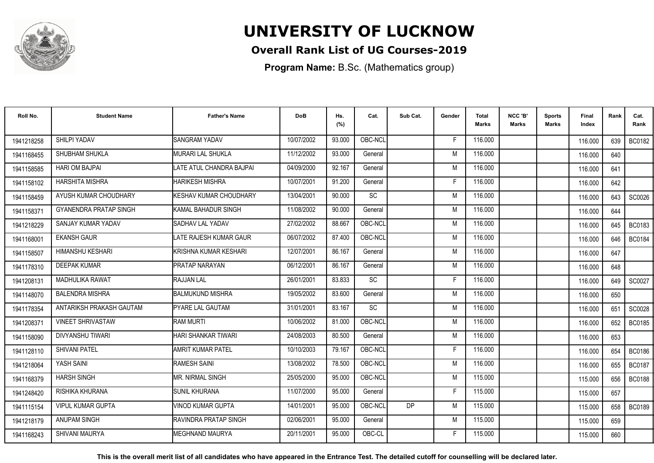

## **Overall Rank List of UG Courses-2019**

**Program Name:** B.Sc. (Mathematics group)

| Roll No.   | <b>Student Name</b>           | <b>Father's Name</b>         | <b>DoB</b> | Hs.<br>(%) | Cat.      | Sub Cat.  | Gender | <b>Total</b><br>Marks | NCC 'B'<br><b>Marks</b> | Sports<br><b>Marks</b> | Final<br>Index | Rank | Cat.<br>Rank  |
|------------|-------------------------------|------------------------------|------------|------------|-----------|-----------|--------|-----------------------|-------------------------|------------------------|----------------|------|---------------|
| 1941218258 | SHILPI YADAV                  | <b>SANGRAM YADAV</b>         | 10/07/2002 | 93.000     | OBC-NCL   |           | -F     | 116.000               |                         |                        | 116.000        | 639  | BC0182        |
| 1941168455 | SHUBHAM SHUKLA                | MURARI LAL SHUKLA            | 11/12/2002 | 93.000     | General   |           | M      | 116.000               |                         |                        | 116.000        | 640  |               |
| 1941158585 | <b>HARI OM BAJPAI</b>         | LATE ATUL CHANDRA BAJPAI     | 04/09/2000 | 92.167     | General   |           | M      | 116.000               |                         |                        | 116.000        | 641  |               |
| 1941158102 | <b>HARSHITA MISHRA</b>        | <b>HARIKESH MISHRA</b>       | 10/07/2001 | 91.200     | General   |           | E      | 116.000               |                         |                        | 116.000        | 642  |               |
| 1941158459 | AYUSH KUMAR CHOUDHARY         | KESHAV KUMAR CHOUDHARY       | 13/04/2001 | 90.000     | <b>SC</b> |           | M      | 116.000               |                         |                        | 116.000        | 643  | SC0026        |
| 1941158371 | <b>GYANENDRA PRATAP SINGH</b> | KAMAL BAHADUR SINGH          | 11/08/2002 | 90.000     | General   |           | M      | 116,000               |                         |                        | 116.000        | 644  |               |
| 1941218229 | SANJAY KUMAR YADAV            | SADHAV LAL YADAV             | 27/02/2002 | 88.667     | OBC-NCL   |           | M      | 116.000               |                         |                        | 116.000        | 645  | <b>BC0183</b> |
| 1941168001 | <b>EKANSH GAUR</b>            | LATE RAJESH KUMAR GAUR       | 06/07/2002 | 87.400     | OBC-NCL   |           | M      | 116.000               |                         |                        | 116.000        | 646  | <b>BC0184</b> |
| 1941158507 | HIMANSHU KESHARI              | KRISHNA KUMAR KESHARI        | 12/07/2001 | 86.167     | General   |           | M      | 116.000               |                         |                        | 116.000        | 647  |               |
| 1941178310 | <b>DEEPAK KUMAR</b>           | <b>PRATAP NARAYAN</b>        | 06/12/2001 | 86.167     | General   |           | M      | 116.000               |                         |                        | 116.000        | 648  |               |
| 1941208131 | <b>MADHULIKA RAWAT</b>        | RAJJAN LAL                   | 26/01/2001 | 83.833     | <b>SC</b> |           | Е      | 116.000               |                         |                        | 116.000        | 649  | SC0027        |
| 1941148070 | <b>BALENDRA MISHRA</b>        | <b>BALMUKUND MISHRA</b>      | 19/05/2002 | 83.600     | General   |           | M      | 116.000               |                         |                        | 116.000        | 650  |               |
| 1941178354 | ANTARIKSH PRAKASH GAUTAM      | <b>PYARE LAL GAUTAM</b>      | 31/01/2001 | 83.167     | <b>SC</b> |           | M      | 116.000               |                         |                        | 116.000        | 651  | SC0028        |
| 1941208371 | <b>VINEET SHRIVASTAW</b>      | <b>RAM MURTI</b>             | 10/06/2002 | 81.000     | OBC-NCL   |           | M      | 116.000               |                         |                        | 116.000        | 652  | <b>BC0185</b> |
| 1941158090 | <b>DIVYANSHU TIWARI</b>       | HARI SHANKAR TIWARI          | 24/08/2003 | 80.500     | General   |           | M      | 116.000               |                         |                        | 116.000        | 653  |               |
| 1941128110 | <b>SHIVANI PATEL</b>          | AMRIT KUMAR PATEL            | 10/10/2003 | 79.167     | OBC-NCL   |           | E      | 116.000               |                         |                        | 116.000        | 654  | <b>BC0186</b> |
| 1941218064 | YASH SAINI                    | <b>RAMESH SAINI</b>          | 13/08/2002 | 78.500     | OBC-NCL   |           | M      | 116.000               |                         |                        | 116.000        | 655  | <b>BC0187</b> |
| 1941168379 | <b>HARSH SINGH</b>            | IMR. NIRMAL SINGH            | 25/05/2000 | 95.000     | OBC-NCL   |           | M      | 115.000               |                         |                        | 115.000        | 656  | <b>BC0188</b> |
| 1941248420 | RISHIKA KHURANA               | <b>SUNIL KHURANA</b>         | 11/07/2000 | 95.000     | General   |           | E      | 115.000               |                         |                        | 115.000        | 657  |               |
| 1941115154 | <b>VIPUL KUMAR GUPTA</b>      | VINOD KUMAR GUPTA            | 14/01/2001 | 95.000     | OBC-NCL   | <b>DP</b> | M      | 115.000               |                         |                        | 115.000        | 658  | <b>BC0189</b> |
| 1941218179 | <b>ANUPAM SINGH</b>           | <b>RAVINDRA PRATAP SINGH</b> | 02/06/2001 | 95.000     | General   |           | M      | 115.000               |                         |                        | 115.000        | 659  |               |
| 1941168243 | SHIVANI MAURYA                | IMEGHNAND MAURYA             | 20/11/2001 | 95.000     | OBC-CL    |           | F      | 115.000               |                         |                        | 115.000        | 660  |               |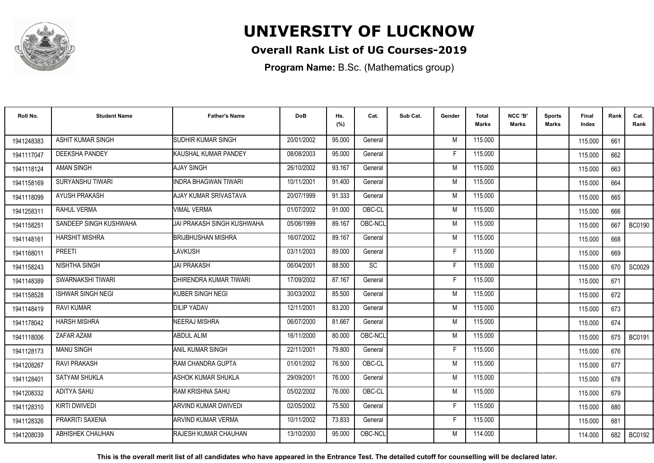

## **Overall Rank List of UG Courses-2019**

**Program Name:** B.Sc. (Mathematics group)

| Roll No.   | <b>Student Name</b>      | <b>Father's Name</b>          | <b>DoB</b> | Hs.<br>(%) | Cat.    | Sub Cat. | Gender | <b>Total</b><br>Marks | NCC 'B'<br><b>Marks</b> | <b>Sports</b><br>Marks | Final<br>Index | Rank | Cat.<br>Rank  |
|------------|--------------------------|-------------------------------|------------|------------|---------|----------|--------|-----------------------|-------------------------|------------------------|----------------|------|---------------|
| 1941248383 | <b>ASHIT KUMAR SINGH</b> | <b>ISUDHIR KUMAR SINGH</b>    | 20/01/2002 | 95.000     | General |          | M      | 115.000               |                         |                        | 115.000        | 661  |               |
| 1941117047 | <b>DEEKSHA PANDEY</b>    | <b>I</b> KAUSHAL KUMAR PANDEY | 08/08/2003 | 95.000     | General |          | F      | 115.000               |                         |                        | 115.000        | 662  |               |
| 1941118124 | <b>AMAN SINGH</b>        | AJAY SINGH                    | 26/10/2002 | 93.167     | General |          | M      | 115.000               |                         |                        | 115.000        | 663  |               |
| 1941158169 | SURYANSHU TIWARI         | <b>INDRA BHAGWAN TIWARI</b>   | 10/11/2001 | 91.400     | General |          | M      | 115.000               |                         |                        | 115.000        | 664  |               |
| 1941118099 | <b>AYUSH PRAKASH</b>     | AJAY KUMAR SRIVASTAVA         | 20/07/1999 | 91.333     | General |          | M      | 115.000               |                         |                        | 115.000        | 665  |               |
| 1941258311 | <b>RAHUL VERMA</b>       | <b>VIMAL VERMA</b>            | 01/07/2002 | 91.000     | OBC-CL  |          | M      | 115.000               |                         |                        | 115.000        | 666  |               |
| 1941158251 | SANDEEP SINGH KUSHWAHA   | JAI PRAKASH SINGH KUSHWAHA    | 05/06/1999 | 89.167     | OBC-NCL |          | M      | 115.000               |                         |                        | 115.000        | 667  | <b>BC0190</b> |
| 1941148161 | <b>HARSHIT MISHRA</b>    | <b>BRIJBHUSHAN MISHRA</b>     | 16/07/2002 | 89.167     | General |          | M      | 115.000               |                         |                        | 115.000        | 668  |               |
| 1941168011 | <b>PREETI</b>            | LAVKUSH                       | 03/11/2003 | 89.000     | General |          | F      | 115.000               |                         |                        | 115.000        | 669  |               |
| 1941158243 | NISHTHA SINGH            | <b>JAI PRAKASH</b>            | 06/04/2001 | 88.500     | SC      |          | F      | 115.000               |                         |                        | 115.000        | 670  | SC0029        |
| 1941148389 | SWARNAKSHI TIWARI        | DHIRENDRA KUMAR TIWARI        | 17/09/2002 | 87.167     | General |          | F      | 115.000               |                         |                        | 115.000        | 671  |               |
| 1941158528 | <b>ISHWAR SINGH NEGI</b> | <b>I</b> KUBER SINGH NEGI     | 30/03/2002 | 85.500     | General |          | M      | 115.000               |                         |                        | 115.000        | 672  |               |
| 1941148419 | <b>RAVI KUMAR</b>        | <b>DILIP YADAV</b>            | 12/11/2001 | 83.200     | General |          | M      | 115.000               |                         |                        | 115.000        | 673  |               |
| 1941178042 | <b>HARSH MISHRA</b>      | <b>NEERAJ MISHRA</b>          | 06/07/2000 | 81.667     | General |          | M      | 115.000               |                         |                        | 115.000        | 674  |               |
| 1941118006 | ZAFAR AZAM               | <b>ABDUL ALIM</b>             | 16/11/2000 | 80.000     | OBC-NCL |          | M      | 115.000               |                         |                        | 115.000        | 675  | <b>BC0191</b> |
| 1941128173 | <b>MANU SINGH</b>        | ANIL KUMAR SINGH              | 22/11/2001 | 79.800     | General |          | F      | 115.000               |                         |                        | 115.000        | 676  |               |
| 1941208267 | <b>RAVI PRAKASH</b>      | <b>IRAM CHANDRA GUPTA</b>     | 01/01/2002 | 76.500     | OBC-CL  |          | M      | 115.000               |                         |                        | 115.000        | 677  |               |
| 1941128401 | <b>SATYAM SHUKLA</b>     | ASHOK KUMAR SHUKLA            | 29/09/2001 | 76.000     | General |          | M      | 115.000               |                         |                        | 115.000        | 678  |               |
| 1941208332 | <b>ADITYA SAHU</b>       | IRAM KRISHNA SAHU             | 05/02/2002 | 76.000     | OBC-CL  |          | M      | 115.000               |                         |                        | 115.000        | 679  |               |
| 1941128310 | <b>KIRTI DWIVEDI</b>     | IARVIND KUMAR DWIVEDI         | 02/05/2002 | 75.500     | General |          | E      | 115.000               |                         |                        | 115.000        | 680  |               |
| 1941128326 | PRAKRITI SAXENA          | <b>I</b> ARVIND KUMAR VERMA   | 10/11/2002 | 73.833     | General |          | F      | 115.000               |                         |                        | 115.000        | 681  |               |
| 1941208039 | ABHISHEK CHAUHAN         | <b>IRAJESH KUMAR CHAUHAN</b>  | 13/10/2000 | 95.000     | OBC-NCL |          | M      | 114.000               |                         |                        | 114.000        | 682  | <b>BC0192</b> |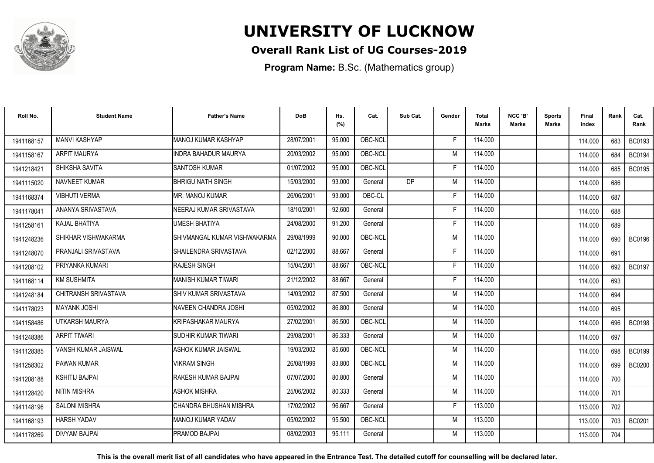

## **Overall Rank List of UG Courses-2019**

**Program Name:** B.Sc. (Mathematics group)

| Roll No.   | <b>Student Name</b>   | <b>Father's Name</b>           | <b>DoB</b> | Hs.<br>(%) | Cat.    | Sub Cat.  | Gender | <b>Total</b><br>Marks | NCC 'B'<br><b>Marks</b> | Sports<br>Marks | Final<br>Index | Rank | Cat.<br>Rank  |
|------------|-----------------------|--------------------------------|------------|------------|---------|-----------|--------|-----------------------|-------------------------|-----------------|----------------|------|---------------|
| 1941168157 | <b>MANVI KASHYAP</b>  | MANOJ KUMAR KASHYAP            | 28/07/2001 | 95.000     | OBC-NCL |           | E      | 114.000               |                         |                 | 114.000        | 683  | <b>BC0193</b> |
| 1941158167 | <b>ARPIT MAURYA</b>   | <b>INDRA BAHADUR MAURYA</b>    | 20/03/2002 | 95.000     | OBC-NCL |           | M      | 114.000               |                         |                 | 114.000        | 684  | <b>BC0194</b> |
| 1941218421 | SHIKSHA SAVITA        | <b>SANTOSH KUMAR</b>           | 01/07/2002 | 95.000     | OBC-NCL |           | F.     | 114.000               |                         |                 | 114.000        | 685  | <b>BC0195</b> |
| 1941115020 | NAVNEET KUMAR         | BHRIGU NATH SINGH              | 15/03/2000 | 93.000     | General | <b>DP</b> | M      | 114.000               |                         |                 | 114.000        | 686  |               |
| 1941168374 | <b>VIBHUTI VERMA</b>  | IMR. MANOJ KUMAR               | 26/06/2001 | 93.000     | OBC-CL  |           | F      | 114.000               |                         |                 | 114.000        | 687  |               |
| 1941178041 | ANANYA SRIVASTAVA     | NEERAJ KUMAR SRIVASTAVA        | 18/10/2001 | 92.600     | General |           | Е      | 114.000               |                         |                 | 114.000        | 688  |               |
| 1941258161 | KAJAL BHATIYA         | UMESH BHATIYA                  | 24/08/2000 | 91.200     | General |           | F      | 114.000               |                         |                 | 114.000        | 689  |               |
| 1941248236 | SHIKHAR VISHWAKARMA   | SHIVMANGAL KUMAR VISHWAKARMA   | 29/08/1999 | 90.000     | OBC-NCL |           | M      | 114.000               |                         |                 | 114.000        | 690  | <b>BC0196</b> |
| 1941248070 | PRANJALI SRIVASTAVA   | ISHAILENDRA SRIVASTAVA         | 02/12/2000 | 88.667     | General |           | E      | 114.000               |                         |                 | 114.000        | 691  |               |
| 1941208102 | PRIYANKA KUMARI       | <b>RAJESH SINGH</b>            | 15/04/2001 | 88.667     | OBC-NCL |           | F      | 114.000               |                         |                 | 114.000        | 692  | <b>BC0197</b> |
| 1941168114 | <b>KM SUSHMITA</b>    | MANISH KUMAR TIWARI            | 21/12/2002 | 88.667     | General |           | E      | 114.000               |                         |                 | 114.000        | 693  |               |
| 1941248184 | CHITRANSH SRIVASTAVA  | <b>I</b> SHIV KUMAR SRIVASTAVA | 14/03/2002 | 87.500     | General |           | M      | 114.000               |                         |                 | 114.000        | 694  |               |
| 1941178023 | <b>MAYANK JOSHI</b>   | <b>NAVEEN CHANDRA JOSHI</b>    | 05/02/2002 | 86.800     | General |           | M      | 114.000               |                         |                 | 114.000        | 695  |               |
| 1941158486 | UTKARSH MAURYA        | <b>I</b> KRIPASHAKAR MAURYA    | 27/02/2001 | 86.500     | OBC-NCL |           | M      | 114.000               |                         |                 | 114.000        | 696  | <b>BC0198</b> |
| 1941248386 | <b>ARPIT TIWARI</b>   | SUDHIR KUMAR TIWARI            | 29/08/2001 | 86.333     | General |           | M      | 114.000               |                         |                 | 114.000        | 697  |               |
| 1941128385 | VANSH KUMAR JAISWAL   | IASHOK KUMAR JAISWAL           | 19/03/2002 | 85.600     | OBC-NCL |           | M      | 114.000               |                         |                 | 114.000        | 698  | <b>BC0199</b> |
| 1941258302 | <b>PAWAN KUMAR</b>    | <b>VIKRAM SINGH</b>            | 26/08/1999 | 83.800     | OBC-NCL |           | M      | 114.000               |                         |                 | 114.000        | 699  | <b>BC0200</b> |
| 1941208188 | <b>KSHITIJ BAJPAI</b> | RAKESH KUMAR BAJPAI            | 07/07/2000 | 80.800     | General |           | M      | 114.000               |                         |                 | 114.000        | 700  |               |
| 1941128420 | <b>NITIN MISHRA</b>   | <b>ASHOK MISHRA</b>            | 25/06/2002 | 80.333     | General |           | M      | 114.000               |                         |                 | 114.000        | 701  |               |
| 1941148196 | <b>SALONI MISHRA</b>  | CHANDRA BHUSHAN MISHRA         | 17/02/2002 | 96.667     | General |           | F      | 113.000               |                         |                 | 113.000        | 702  |               |
| 1941168193 | <b>HARSH YADAV</b>    | IMANOJ KUMAR YADAV             | 05/02/2002 | 95.500     | OBC-NCL |           | M      | 113.000               |                         |                 | 113.000        | 703  | <b>BC0201</b> |
| 1941178269 | <b>DIVYAM BAJPAI</b>  | <b>PRAMOD BAJPAI</b>           | 08/02/2003 | 95.111     | General |           | М      | 113.000               |                         |                 | 113.000        | 704  |               |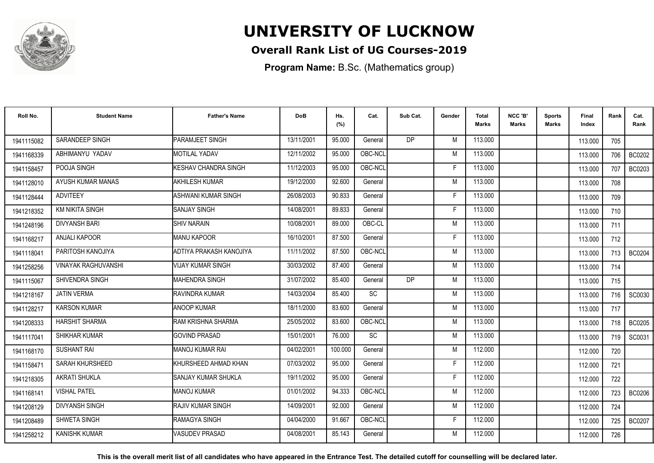

## **Overall Rank List of UG Courses-2019**

**Program Name:** B.Sc. (Mathematics group)

| Roll No.   | <b>Student Name</b>        | <b>Father's Name</b>      | <b>DoB</b> | Hs.<br>(%) | Cat.      | Sub Cat.       | Gender | <b>Total</b><br>Marks | NCC 'B'<br><b>Marks</b> | Sports<br>Marks | Final<br>Index | Rank  | Cat.<br>Rank  |
|------------|----------------------------|---------------------------|------------|------------|-----------|----------------|--------|-----------------------|-------------------------|-----------------|----------------|-------|---------------|
| 1941115082 | SARANDEEP SINGH            | PARAMJEET SINGH           | 13/11/2001 | 95.000     | General   | D <sub>P</sub> | M      | 113.000               |                         |                 | 113.000        | 705   |               |
| 1941168339 | ABHIMANYU YADAV            | <b>MOTILAL YADAV</b>      | 12/11/2002 | 95.000     | OBC-NCL   |                | M      | 113.000               |                         |                 | 113.000        | 706   | <b>BC0202</b> |
| 1941158457 | POOJA SINGH                | KESHAV CHANDRA SINGH      | 11/12/2003 | 95.000     | OBC-NCL   |                | F      | 113.000               |                         |                 | 113.000        | 707   | BC0203        |
| 1941128010 | AYUSH KUMAR MANAS          | <b>AKHILESH KUMAR</b>     | 19/12/2000 | 92.600     | General   |                | M      | 113.000               |                         |                 | 113.000        | 708   |               |
| 1941128444 | <b>ADVITEEY</b>            | ASHWANI KUMAR SINGH       | 26/08/2003 | 90.833     | General   |                | F      | 113.000               |                         |                 | 113.000        | 709   |               |
| 1941218352 | <b>KM NIKITA SINGH</b>     | <b>SANJAY SINGH</b>       | 14/08/2001 | 89.833     | General   |                | E      | 113.000               |                         |                 | 113.000        | 710   |               |
| 1941248196 | <b>DIVYANSH BARI</b>       | <b>SHIV NARAIN</b>        | 10/08/2001 | 89.000     | OBC-CL    |                | M      | 113.000               |                         |                 | 113.000        | 711   |               |
| 1941168217 | <b>ANJALI KAPOOR</b>       | <b>MANU KAPOOR</b>        | 16/10/2001 | 87.500     | General   |                | F      | 113.000               |                         |                 | 113.000        | 712   |               |
| 1941118041 | PARITOSH KANOJIYA          | ADTIYA PRAKASH KANOJIYA   | 11/11/2002 | 87.500     | OBC-NCL   |                | M      | 113.000               |                         |                 | 113.000        | 713 I | <b>BC0204</b> |
| 1941258256 | <b>VINAYAK RAGHUVANSHI</b> | <b>VIJAY KUMAR SINGH</b>  | 30/03/2002 | 87.400     | General   |                | M      | 113.000               |                         |                 | 113.000        | 714   |               |
| 1941115067 | <b>SHIVENDRA SINGH</b>     | MAHENDRA SINGH            | 31/07/2002 | 85.400     | General   | D <sub>P</sub> | M      | 113.000               |                         |                 | 113.000        | 715   |               |
| 1941218167 | <b>JATIN VERMA</b>         | <b>RAVINDRA KUMAR</b>     | 14/03/2004 | 85.400     | <b>SC</b> |                | M      | 113.000               |                         |                 | 113.000        | 716   | SC0030        |
| 1941128217 | <b>KARSON KUMAR</b>        | <b>ANOOP KUMAR</b>        | 18/11/2000 | 83.600     | General   |                | M      | 113.000               |                         |                 | 113.000        | 717   |               |
| 1941208333 | <b>HARSHIT SHARMA</b>      | IRAM KRISHNA SHARMA       | 25/05/2002 | 83.600     | OBC-NCL   |                | M      | 113.000               |                         |                 | 113.000        | 718   | <b>BC0205</b> |
| 1941117041 | <b>SHIKHAR KUMAR</b>       | <b>GOVIND PRASAD</b>      | 15/01/2001 | 76.000     | SC        |                | M      | 113.000               |                         |                 | 113.000        | 719   | SC0031        |
| 1941168170 | <b>SUSHANT RAI</b>         | MANOJ KUMAR RAI           | 04/02/2001 | 100.000    | General   |                | M      | 112.000               |                         |                 | 112.000        | 720   |               |
| 1941158471 | SARAH KHURSHEED            | KHURSHEED AHMAD KHAN      | 07/03/2002 | 95.000     | General   |                | F      | 112.000               |                         |                 | 112.000        | 721   |               |
| 1941218305 | <b>AKRATI SHUKLA</b>       | SANJAY KUMAR SHUKLA       | 19/11/2002 | 95.000     | General   |                | E      | 112.000               |                         |                 | 112.000        | 722   |               |
| 1941168141 | <b>VISHAL PATEL</b>        | <b>MANOJ KUMAR</b>        | 01/01/2002 | 94.333     | OBC-NCL   |                | M      | 112.000               |                         |                 | 112.000        | 723   | <b>BC0206</b> |
| 1941208129 | <b>DIVYANSH SINGH</b>      | <b>IRAJIV KUMAR SINGH</b> | 14/09/2001 | 92.000     | General   |                | M      | 112.000               |                         |                 | 112.000        | 724   |               |
| 1941208489 | SHWETA SINGH               | <b>RAMAGYA SINGH</b>      | 04/04/2000 | 91.667     | OBC-NCL   |                | F      | 112.000               |                         |                 | 112.000        | 725   | <b>BC0207</b> |
| 1941258212 | <b>KANISHK KUMAR</b>       | <b>VASUDEV PRASAD</b>     | 04/08/2001 | 85.143     | General   |                | M      | 112.000               |                         |                 | 112.000        | 726   |               |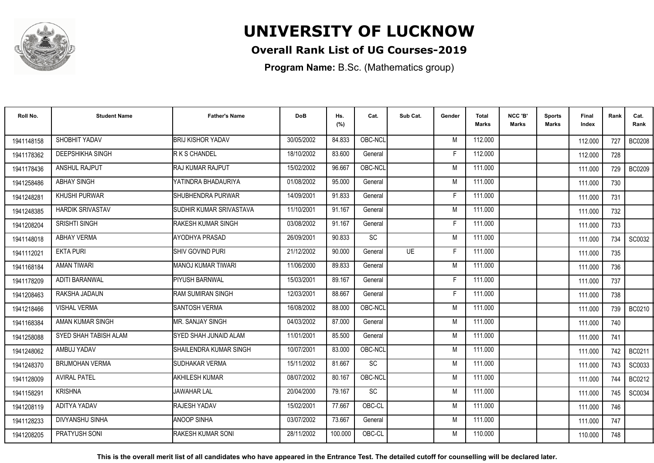

## **Overall Rank List of UG Courses-2019**

**Program Name:** B.Sc. (Mathematics group)

| Roll No.   | <b>Student Name</b>     | <b>Father's Name</b>       | <b>DoB</b> | Hs.<br>(%) | Cat.      | Sub Cat.  | Gender | <b>Total</b><br><b>Marks</b> | NCC 'B'<br><b>Marks</b> | <b>Sports</b><br>Marks | Final<br>Index | Rank | Cat.<br>Rank  |
|------------|-------------------------|----------------------------|------------|------------|-----------|-----------|--------|------------------------------|-------------------------|------------------------|----------------|------|---------------|
| 1941148158 | SHOBHIT YADAV           | <b>BRIJ KISHOR YADAV</b>   | 30/05/2002 | 84.833     | OBC-NCL   |           | M      | 112.000                      |                         |                        | 112.000        | 727  | <b>BC0208</b> |
| 1941178362 | <b>DEEPSHIKHA SINGH</b> | R K S CHANDEL              | 18/10/2002 | 83.600     | General   |           | E      | 112.000                      |                         |                        | 112.000        | 728  |               |
| 1941178436 | <b>ANSHUL RAJPUT</b>    | <b>IRAJ KUMAR RAJPUT</b>   | 15/02/2002 | 96.667     | OBC-NCL   |           | M      | 111.000                      |                         |                        | 111.000        | 729  | <b>BC0209</b> |
| 1941258486 | <b>ABHAY SINGH</b>      | YATINDRA BHADAURIYA        | 01/08/2002 | 95.000     | General   |           | M      | 111.000                      |                         |                        | 111.000        | 730  |               |
| 1941248281 | <b>KHUSHI PURWAR</b>    | <b>I</b> SHUBHENDRA PURWAR | 14/09/2001 | 91.833     | General   |           | F      | 111.000                      |                         |                        | 111.000        | 731  |               |
| 1941248385 | <b>HARDIK SRIVASTAV</b> | İSUDHIR KUMAR SRIVASTAVA   | 11/10/2001 | 91.167     | General   |           | M      | 111.000                      |                         |                        | 111.000        | 732  |               |
| 1941208204 | SRISHTI SINGH           | RAKESH KUMAR SINGH         | 03/08/2002 | 91.167     | General   |           | F      | 111.000                      |                         |                        | 111.000        | 733  |               |
| 1941148018 | <b>ABHAY VERMA</b>      | AYODHYA PRASAD             | 26/09/2001 | 90.833     | SC        |           | M      | 111.000                      |                         |                        | 111.000        | 734  | SC0032        |
| 1941112021 | <b>EKTA PURI</b>        | ISHIV GOVIND PURI          | 21/12/2002 | 90.000     | General   | <b>UE</b> | E      | 111.000                      |                         |                        | 111.000        | 735  |               |
| 1941168184 | <b>AMAN TIWARI</b>      | MANOJ KUMAR TIWARI         | 11/06/2000 | 89.833     | General   |           | M      | 111.000                      |                         |                        | 111.000        | 736  |               |
| 1941178209 | <b>ADITI BARANWAL</b>   | <b>PIYUSH BARNWAL</b>      | 15/03/2001 | 89.167     | General   |           | Е      | 111.000                      |                         |                        | 111.000        | 737  |               |
| 1941208463 | RAKSHA JADAUN           | <b>RAM SUMIRAN SINGH</b>   | 12/03/2001 | 88.667     | General   |           | F.     | 111.000                      |                         |                        | 111.000        | 738  |               |
| 1941218466 | <b>VISHAL VERMA</b>     | <b>SANTOSH VERMA</b>       | 16/08/2002 | 88.000     | OBC-NCL   |           | M      | 111.000                      |                         |                        | 111.000        | 739  | <b>BC0210</b> |
| 1941168384 | AMAN KUMAR SINGH        | IMR. SANJAY SINGH          | 04/03/2002 | 87.000     | General   |           | M      | 111.000                      |                         |                        | 111.000        | 740  |               |
| 1941258088 | SYED SHAH TABISH ALAM   | SYED SHAH JUNAID ALAM      | 11/01/2001 | 85.500     | General   |           | M      | 111.000                      |                         |                        | 111.000        | 741  |               |
| 1941248062 | AMBUJ YADAV             | SHAILENDRA KUMAR SINGH     | 10/07/2001 | 83.000     | OBC-NCL   |           | M      | 111.000                      |                         |                        | 111.000        | 742  | BC0211        |
| 1941248370 | <b>BRIJMOHAN VERMA</b>  | SUDHAKAR VERMA             | 15/11/2002 | 81.667     | <b>SC</b> |           | M      | 111.000                      |                         |                        | 111.000        | 743  | SC0033        |
| 1941128009 | <b>AVIRAL PATEL</b>     | <b>AKHILESH KUMAR</b>      | 08/07/2002 | 80.167     | OBC-NCL   |           | M      | 111.000                      |                         |                        | 111.000        | 744  | BC0212        |
| 1941158291 | <b>KRISHNA</b>          | <b>JAWAHAR LAL</b>         | 20/04/2000 | 79.167     | <b>SC</b> |           | M      | 111.000                      |                         |                        | 111.000        | 745  | SC0034        |
| 1941208119 | ADITYA YADAV            | RAJESH YADAV               | 15/02/2001 | 77.667     | OBC-CL    |           | M      | 111.000                      |                         |                        | 111.000        | 746  |               |
| 1941128233 | <b>DIVYANSHU SINHA</b>  | <b>ANOOP SINHA</b>         | 03/07/2002 | 73.667     | General   |           | M      | 111.000                      |                         |                        | 111.000        | 747  |               |
| 1941208205 | PRATYUSH SONI           | <b>RAKESH KUMAR SONI</b>   | 28/11/2002 | 100.000    | OBC-CL    |           | M      | 110.000                      |                         |                        | 110.000        | 748  |               |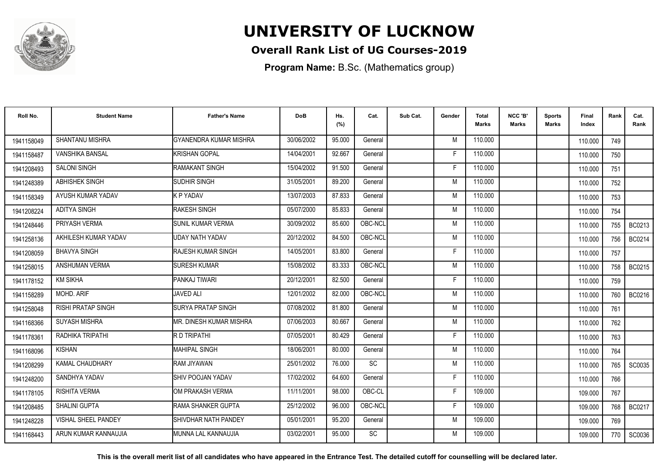

## **Overall Rank List of UG Courses-2019**

**Program Name:** B.Sc. (Mathematics group)

| Roll No.   | <b>Student Name</b>        | <b>Father's Name</b>          | <b>DoB</b> | Hs.<br>(%) | Cat.      | Sub Cat. | Gender | Total<br>Marks | NCC 'B'<br><b>Marks</b> | Sports<br>Marks | Final<br>Index | Rank  | Cat.<br>Rank |
|------------|----------------------------|-------------------------------|------------|------------|-----------|----------|--------|----------------|-------------------------|-----------------|----------------|-------|--------------|
| 1941158049 | <b>SHANTANU MISHRA</b>     | GYANENDRA KUMAR MISHRA        | 30/06/2002 | 95.000     | General   |          | M      | 110.000        |                         |                 | 110.000        | 749   |              |
| 1941158487 | VANSHIKA BANSAL            | <b>KRISHAN GOPAL</b>          | 14/04/2001 | 92.667     | General   |          | F      | 110.000        |                         |                 | 110.000        | 750   |              |
| 1941208493 | <b>SALONI SINGH</b>        | RAMAKANT SINGH                | 15/04/2002 | 91.500     | General   |          | F      | 110.000        |                         |                 | 110.000        | 751   |              |
| 1941248389 | <b>ABHISHEK SINGH</b>      | <b>SUDHIR SINGH</b>           | 31/05/2001 | 89.200     | General   |          | M      | 110.000        |                         |                 | 110.000        | 752   |              |
| 1941158349 | AYUSH KUMAR YADAV          | <b>K P YADAV</b>              | 13/07/2003 | 87.833     | General   |          | M      | 110.000        |                         |                 | 110.000        | 753   |              |
| 1941208224 | ADITYA SINGH               | <b>RAKESH SINGH</b>           | 05/07/2000 | 85.833     | General   |          | M      | 110.000        |                         |                 | 110.000        | 754   |              |
| 1941248446 | PRIYASH VERMA              | SUNIL KUMAR VERMA             | 30/09/2002 | 85.600     | OBC-NCL   |          | M      | 110.000        |                         |                 | 110.000        | 755   | BC0213       |
| 1941258136 | AKHILESH KUMAR YADAV       | UDAY NATH YADAV               | 20/12/2002 | 84.500     | OBC-NCL   |          | M      | 110.000        |                         |                 | 110.000        | 756   | BC0214       |
| 1941208059 | <b>BHAVYA SINGH</b>        | <b>RAJESH KUMAR SINGH</b>     | 14/05/2001 | 83.800     | General   |          | E      | 110.000        |                         |                 | 110.000        | 757   |              |
| 1941258015 | ANSHUMAN VERMA             | <b>SURESH KUMAR</b>           | 15/08/2002 | 83.333     | OBC-NCL   |          | M      | 110.000        |                         |                 | 110.000        | 758 I | BC0215       |
| 1941178152 | <b>KM SIKHA</b>            | PANKAJ TIWARI                 | 20/12/2001 | 82.500     | General   |          | F      | 110.000        |                         |                 | 110.000        | 759   |              |
| 1941158289 | MOHD. ARIF                 | <b>JAVED ALI</b>              | 12/01/2002 | 82.000     | OBC-NCL   |          | M      | 110.000        |                         |                 | 110.000        | 760   | BC0216       |
| 1941258048 | RISHI PRATAP SINGH         | <b>ISURYA PRATAP SINGH</b>    | 07/08/2002 | 81.800     | General   |          | M      | 110.000        |                         |                 | 110.000        | 761   |              |
| 1941168366 | <b>SUYASH MISHRA</b>       | IMR. DINESH KUMAR MISHRA      | 07/06/2003 | 80.667     | General   |          | M      | 110.000        |                         |                 | 110.000        | 762   |              |
| 1941178361 | RADHIKA TRIPATHI           | R D TRIPATHI                  | 07/05/2001 | 80.429     | General   |          | F      | 110.000        |                         |                 | 110.000        | 763   |              |
| 1941168096 | <b>KISHAN</b>              | MAHIPAL SINGH                 | 18/06/2001 | 80.000     | General   |          | M      | 110.000        |                         |                 | 110.000        | 764   |              |
| 1941208299 | KAMAL CHAUDHARY            | RAM JIYAWAN                   | 25/01/2002 | 76.000     | SC        |          | M      | 110.000        |                         |                 | 110.000        | 765 I | SC0035       |
| 1941248200 | SANDHYA YADAV              | SHIV POOJAN YADAV             | 17/02/2002 | 64.600     | General   |          | F      | 110.000        |                         |                 | 110.000        | 766   |              |
| 1941178105 | RISHITA VERMA              | IOM PRAKASH VERMA             | 11/11/2001 | 98.000     | OBC-CL    |          | E      | 109.000        |                         |                 | 109.000        | 767   |              |
| 1941208485 | <b>SHALINI GUPTA</b>       | <b>IRAMA SHANKER GUPTA</b>    | 25/12/2002 | 96.000     | OBC-NCL   |          | F      | 109.000        |                         |                 | 109.000        | 768   | BC0217       |
| 1941248228 | <b>VISHAL SHEEL PANDEY</b> | <b>I</b> SHIVDHAR NATH PANDEY | 05/01/2001 | 95.200     | General   |          | M      | 109.000        |                         |                 | 109.000        | 769   |              |
| 1941168443 | ARUN KUMAR KANNAUJIA       | IMUNNA LAL KANNAUJIA          | 03/02/2001 | 95.000     | <b>SC</b> |          | M      | 109.000        |                         |                 | 109.000        | 770   | SC0036       |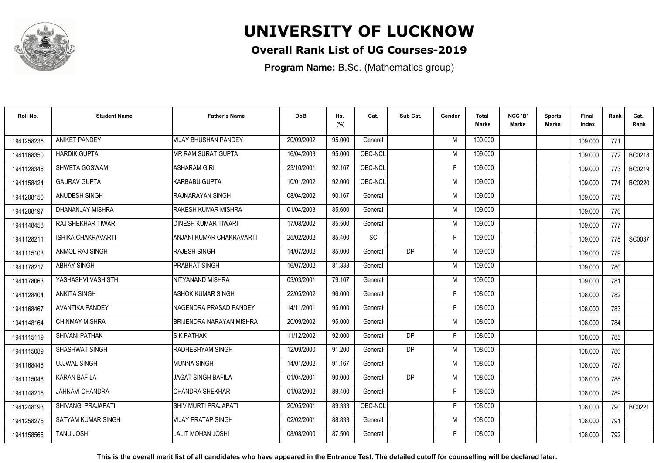

## **Overall Rank List of UG Courses-2019**

**Program Name:** B.Sc. (Mathematics group)

| Roll No.   | <b>Student Name</b>       | <b>Father's Name</b>        | <b>DoB</b> | Hs.<br>(%) | Cat.    | Sub Cat.  | Gender | <b>Total</b><br><b>Marks</b> | NCC 'B'<br><b>Marks</b> | <b>Sports</b><br>Marks | Final<br>Index | Rank  | Cat.<br>Rank  |
|------------|---------------------------|-----------------------------|------------|------------|---------|-----------|--------|------------------------------|-------------------------|------------------------|----------------|-------|---------------|
| 1941258235 | <b>ANIKET PANDEY</b>      | <b>VIJAY BHUSHAN PANDEY</b> | 20/09/2002 | 95.000     | General |           | M      | 109.000                      |                         |                        | 109.000        | 771   |               |
| 1941168350 | <b>HARDIK GUPTA</b>       | IMR RAM SURAT GUPTA         | 16/04/2003 | 95.000     | OBC-NCL |           | M      | 109.000                      |                         |                        | 109.000        | 772   | BC0218        |
| 1941128346 | SHWETA GOSWAMI            | <b>ASHARAM GIRI</b>         | 23/10/2001 | 92.167     | OBC-NCL |           | F.     | 109.000                      |                         |                        | 109.000        | 773   | BC0219        |
| 1941158424 | <b>GAURAV GUPTA</b>       | KARBABU GUPTA               | 10/01/2002 | 92.000     | OBC-NCL |           | M      | 109.000                      |                         |                        | 109.000        | 774   | <b>BC0220</b> |
| 1941208150 | ANUDESH SINGH             | IRAJNARAYAN SINGH           | 08/04/2002 | 90.167     | General |           | M      | 109.000                      |                         |                        | 109.000        | 775   |               |
| 1941208197 | DHANANJAY MISHRA          | <b>RAKESH KUMAR MISHRA</b>  | 01/04/2003 | 85.600     | General |           | M      | 109.000                      |                         |                        | 109.000        | 776   |               |
| 1941148458 | <b>RAJ SHEKHAR TIWARI</b> | DINESH KUMAR TIWARI         | 17/08/2002 | 85.500     | General |           | M      | 109.000                      |                         |                        | 109.000        | 777   |               |
| 1941128211 | <b>ISHIKA CHAKRAVARTI</b> | ANJANI KUMAR CHAKRAVARTI    | 25/02/2002 | 85.400     | SC      |           | E      | 109.000                      |                         |                        | 109.000        | 778 l | SC0037        |
| 1941115103 | ANMOL RAJ SINGH           | <b>RAJESH SINGH</b>         | 14/07/2002 | 85.000     | General | <b>DP</b> | M      | 109.000                      |                         |                        | 109.000        | 779   |               |
| 1941178217 | <b>ABHAY SINGH</b>        | <b>PRABHAT SINGH</b>        | 16/07/2002 | 81.333     | General |           | M      | 109.000                      |                         |                        | 109.000        | 780   |               |
| 1941178063 | YASHASHVI VASHISTH        | NITYANAND MISHRA            | 03/03/2001 | 79.167     | General |           | M      | 109.000                      |                         |                        | 109.000        | 781   |               |
| 1941128404 | <b>ANKITA SINGH</b>       | <b>ASHOK KUMAR SINGH</b>    | 22/05/2002 | 96.000     | General |           | F.     | 108.000                      |                         |                        | 108.000        | 782   |               |
| 1941168467 | <b>AVANTIKA PANDEY</b>    | INAGENDRA PRASAD PANDEY     | 14/11/2001 | 95.000     | General |           | E      | 108.000                      |                         |                        | 108.000        | 783   |               |
| 1941148164 | <b>CHINMAY MISHRA</b>     | BRIJENDRA NARAYAN MISHRA    | 20/09/2002 | 95.000     | General |           | M      | 108.000                      |                         |                        | 108.000        | 784   |               |
| 1941115119 | SHIVANI PATHAK            | <b>S K PATHAK</b>           | 11/12/2002 | 92.000     | General | <b>DP</b> | F      | 108.000                      |                         |                        | 108.000        | 785   |               |
| 1941115089 | SHASHWAT SINGH            | RADHESHYAM SINGH            | 12/09/2000 | 91.200     | General | DP        | M      | 108.000                      |                         |                        | 108.000        | 786   |               |
| 1941168448 | <b>UJJWAL SINGH</b>       | <b>IMUNNA SINGH</b>         | 14/01/2002 | 91.167     | General |           | M      | 108.000                      |                         |                        | 108.000        | 787   |               |
| 1941115048 | <b>KARAN BAFILA</b>       | <b>JAGAT SINGH BAFILA</b>   | 01/04/2001 | 90.000     | General | <b>DP</b> | M      | 108.000                      |                         |                        | 108.000        | 788   |               |
| 1941148215 | <b>JAHNAVI CHANDRA</b>    | CHANDRA SHEKHAR             | 01/03/2002 | 89.400     | General |           | F      | 108.000                      |                         |                        | 108.000        | 789   |               |
| 1941248193 | <b>SHIVANGI PRAJAPATI</b> | <b>SHIV MURTI PRAJAPATI</b> | 20/05/2001 | 89.333     | OBC-NCL |           | F      | 108.000                      |                         |                        | 108.000        | 790   | <b>BC0221</b> |
| 1941258275 | SATYAM KUMAR SINGH        | VIJAY PRATAP SINGH          | 02/02/2001 | 88.833     | General |           | M      | 108.000                      |                         |                        | 108.000        | 791   |               |
| 1941158566 | <b>TANU JOSHI</b>         | LALIT MOHAN JOSHI           | 08/08/2000 | 87.500     | General |           | F      | 108.000                      |                         |                        | 108.000        | 792   |               |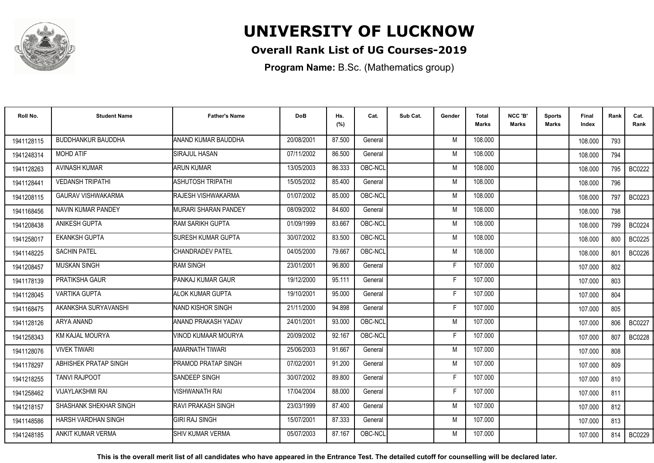

### **Overall Rank List of UG Courses-2019**

**Program Name:** B.Sc. (Mathematics group)

| Roll No.   | <b>Student Name</b>          | <b>Father's Name</b>        | <b>DoB</b> | Hs.<br>(%) | Cat.    | Sub Cat. | Gender | <b>Total</b><br><b>Marks</b> | NCC 'B'<br><b>Marks</b> | <b>Sports</b><br>Marks | Final<br>Index | Rank | Cat.<br>Rank  |
|------------|------------------------------|-----------------------------|------------|------------|---------|----------|--------|------------------------------|-------------------------|------------------------|----------------|------|---------------|
| 1941128115 | <b>BUDDHANKUR BAUDDHA</b>    | ANAND KUMAR BAUDDHA         | 20/08/2001 | 87.500     | General |          | M      | 108.000                      |                         |                        | 108.000        | 793  |               |
| 1941248314 | <b>MOHD ATIF</b>             | SIRAJUL HASAN               | 07/11/2002 | 86.500     | General |          | M      | 108.000                      |                         |                        | 108.000        | 794  |               |
| 1941128263 | <b>AVINASH KUMAR</b>         | ARUN KUMAR                  | 13/05/2003 | 86.333     | OBC-NCL |          | M      | 108.000                      |                         |                        | 108.000        | 795  | <b>BC0222</b> |
| 1941128441 | <b>VEDANSH TRIPATHI</b>      | ASHUTOSH TRIPATHI           | 15/05/2002 | 85.400     | General |          | M      | 108.000                      |                         |                        | 108.000        | 796  |               |
| 1941208115 | <b>GAURAV VISHWAKARMA</b>    | <b>RAJESH VISHWAKARMA</b>   | 01/07/2002 | 85.000     | OBC-NCL |          | M      | 108.000                      |                         |                        | 108.000        | 797  | BC0223        |
| 1941168456 | NAVIN KUMAR PANDEY           | <b>MURARI SHARAN PANDEY</b> | 08/09/2002 | 84.600     | General |          | M      | 108.000                      |                         |                        | 108.000        | 798  |               |
| 1941208438 | <b>ANIKESH GUPTA</b>         | <b>IRAM SARIKH GUPTA</b>    | 01/09/1999 | 83.667     | OBC-NCL |          | M      | 108.000                      |                         |                        | 108.000        | 799  | <b>BC0224</b> |
| 1941258017 | <b>EKANKSH GUPTA</b>         | <b>SURESH KUMAR GUPTA</b>   | 30/07/2002 | 83.500     | OBC-NCL |          | M      | 108.000                      |                         |                        | 108.000        | 800  | BC0225        |
| 1941148225 | <b>SACHIN PATEL</b>          | <b>CHANDRADEV PATEL</b>     | 04/05/2000 | 79.667     | OBC-NCL |          | M      | 108.000                      |                         |                        | 108.000        | 801  | <b>BC0226</b> |
| 1941208457 | <b>MUSKAN SINGH</b>          | <b>IRAM SINGH</b>           | 23/01/2001 | 96.800     | General |          | F      | 107.000                      |                         |                        | 107.000        | 802  |               |
| 1941178139 | PRATIKSHA GAUR               | <b>PANKAJ KUMAR GAUR</b>    | 19/12/2000 | 95.111     | General |          | F      | 107.000                      |                         |                        | 107.000        | 803  |               |
| 1941128045 | <b>VARTIKA GUPTA</b>         | ALOK KUMAR GUPTA            | 19/10/2001 | 95.000     | General |          | F      | 107.000                      |                         |                        | 107.000        | 804  |               |
| 1941168475 | AKANKSHA SURYAVANSHI         | <b>INAND KISHOR SINGH</b>   | 21/11/2000 | 94.898     | General |          | Е      | 107.000                      |                         |                        | 107.000        | 805  |               |
| 1941128126 | ARYA ANAND                   | IANAND PRAKASH YADAV        | 24/01/2001 | 93.000     | OBC-NCL |          | M      | 107.000                      |                         |                        | 107.000        | 806  | <b>BC0227</b> |
| 1941258343 | KM KAJAL MOURYA              | VINOD KUMAAR MOURYA         | 20/09/2002 | 92.167     | OBC-NCL |          | F      | 107.000                      |                         |                        | 107.000        | 807  | <b>BC0228</b> |
| 1941128076 | <b>VIVEK TIWARI</b>          | AMARNATH TIWARI             | 25/06/2003 | 91.667     | General |          | M      | 107.000                      |                         |                        | 107.000        | 808  |               |
| 1941178297 | <b>ABHISHEK PRATAP SINGH</b> | <b>PRAMOD PRATAP SINGH</b>  | 07/02/2001 | 91.200     | General |          | M      | 107.000                      |                         |                        | 107.000        | 809  |               |
| 1941218255 | <b>TANVI RAJPOOT</b>         | <b>I</b> SANDEEP SINGH      | 30/07/2002 | 89.800     | General |          | F      | 107.000                      |                         |                        | 107.000        | 810  |               |
| 1941258462 | <b>VIJAYLAKSHMI RAI</b>      | VISHWANATH RAI              | 17/04/2004 | 88.000     | General |          | F      | 107.000                      |                         |                        | 107.000        | 811  |               |
| 1941218157 | SHASHANK SHEKHAR SINGH       | <b>IRAVI PRAKASH SINGH</b>  | 23/03/1999 | 87.400     | General |          | M      | 107.000                      |                         |                        | 107.000        | 812  |               |
| 1941148586 | HARSH VARDHAN SINGH          | GIRI RAJ SINGH              | 15/07/2001 | 87.333     | General |          | M      | 107.000                      |                         |                        | 107.000        | 813  |               |
| 1941248185 | ANKIT KUMAR VERMA            | ISHIV KUMAR VERMA           | 05/07/2003 | 87.167     | OBC-NCL |          | M      | 107.000                      |                         |                        | 107.000        | 814  | BC0229        |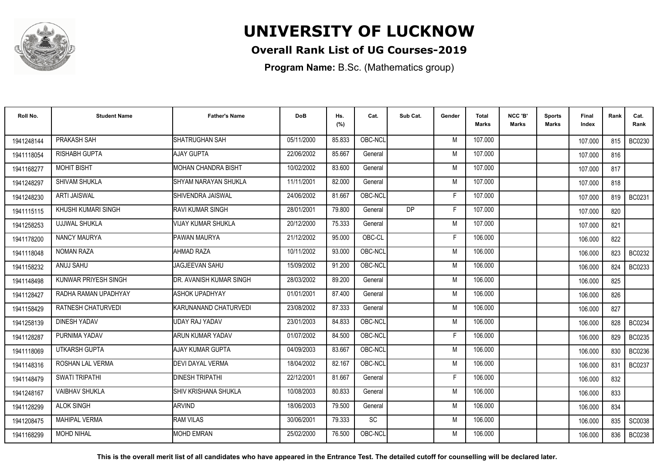

### **Overall Rank List of UG Courses-2019**

**Program Name:** B.Sc. (Mathematics group)

| Roll No.   | <b>Student Name</b>       | <b>Father's Name</b>       | <b>DoB</b> | Hs.<br>(%) | Cat.      | Sub Cat.  | Gender | <b>Total</b><br>Marks | NCC 'B'<br><b>Marks</b> | Sports<br>Marks | Final<br>Index | Rank | Cat.<br>Rank  |
|------------|---------------------------|----------------------------|------------|------------|-----------|-----------|--------|-----------------------|-------------------------|-----------------|----------------|------|---------------|
| 1941248144 | PRAKASH SAH               | SHATRUGHAN SAH             | 05/11/2000 | 85.833     | OBC-NCL   |           | M      | 107.000               |                         |                 | 107.000        | 815  | BC0230        |
| 1941118054 | RISHABH GUPTA             | <b>AJAY GUPTA</b>          | 22/06/2002 | 85.667     | General   |           | M      | 107.000               |                         |                 | 107.000        | 816  |               |
| 1941168277 | <b>MOHIT BISHT</b>        | <b>MOHAN CHANDRA BISHT</b> | 10/02/2002 | 83.600     | General   |           | M      | 107.000               |                         |                 | 107.000        | 817  |               |
| 1941248297 | SHIVAM SHUKLA             | SHYAM NARAYAN SHUKLA       | 11/11/2001 | 82.000     | General   |           | M      | 107.000               |                         |                 | 107.000        | 818  |               |
| 1941248230 | <b>ARTI JAISWAL</b>       | <b>I</b> SHIVENDRA JAISWAL | 24/06/2002 | 81.667     | OBC-NCL   |           | F      | 107.000               |                         |                 | 107.000        | 819  | BC0231        |
| 1941115115 | KHUSHI KUMARI SINGH       | IRAVI KUMAR SINGH          | 28/01/2001 | 79.800     | General   | <b>DP</b> | F      | 107.000               |                         |                 | 107.000        | 820  |               |
| 1941258253 | UJJWAL SHUKLA             | <b>VIJAY KUMAR SHUKLA</b>  | 20/12/2000 | 75.333     | General   |           | M      | 107.000               |                         |                 | 107.000        | 821  |               |
| 1941178200 | <b>NANCY MAURYA</b>       | <b>PAWAN MAURYA</b>        | 21/12/2002 | 95.000     | OBC-CL    |           | F      | 106.000               |                         |                 | 106.000        | 822  |               |
| 1941118048 | <b>NOMAN RAZA</b>         | AHMAD RAZA                 | 10/11/2002 | 93.000     | OBC-NCL   |           | M      | 106.000               |                         |                 | 106.000        | 823  | BC0232        |
| 1941158232 | ANUJ SAHU                 | JAGJEEVAN SAHU             | 15/09/2002 | 91.200     | OBC-NCL   |           | M      | 106.000               |                         |                 | 106.000        | 824  | BC0233        |
| 1941148498 | KUNWAR PRIYESH SINGH      | DR. AVANISH KUMAR SINGH    | 28/03/2002 | 89.200     | General   |           | M      | 106.000               |                         |                 | 106.000        | 825  |               |
| 1941128427 | RADHA RAMAN UPADHYAY      | <b>ASHOK UPADHYAY</b>      | 01/01/2001 | 87.400     | General   |           | M      | 106.000               |                         |                 | 106.000        | 826  |               |
| 1941158429 | <b>RATNESH CHATURVEDI</b> | KARUNANAND CHATURVEDI      | 23/08/2002 | 87.333     | General   |           | M      | 106.000               |                         |                 | 106.000        | 827  |               |
| 1941258139 | <b>DINESH YADAV</b>       | UDAY RAJ YADAV             | 23/01/2003 | 84.833     | OBC-NCL   |           | M      | 106.000               |                         |                 | 106.000        | 828  | <b>BC0234</b> |
| 1941128287 | PURNIMA YADAV             | <b>ARUN KUMAR YADAV</b>    | 01/07/2002 | 84.500     | OBC-NCL   |           | Е      | 106.000               |                         |                 | 106.000        | 829  | BC0235        |
| 1941118069 | UTKARSH GUPTA             | AJAY KUMAR GUPTA           | 04/09/2003 | 83.667     | OBC-NCL   |           | M      | 106.000               |                         |                 | 106.000        | 830  | BC0236        |
| 1941148316 | ROSHAN LAL VERMA          | <b>DEVI DAYAL VERMA</b>    | 18/04/2002 | 82.167     | OBC-NCL   |           | M      | 106.000               |                         |                 | 106.000        | 831  | BC0237        |
| 1941148479 | <b>SWATI TRIPATHI</b>     | <b>DINESH TRIPATHI</b>     | 22/12/2001 | 81.667     | General   |           | F      | 106.000               |                         |                 | 106.000        | 832  |               |
| 1941248167 | <b>VAIBHAV SHUKLA</b>     | ISHIV KRISHANA SHUKLA      | 10/08/2003 | 80.833     | General   |           | M      | 106.000               |                         |                 | 106.000        | 833  |               |
| 1941128299 | <b>ALOK SINGH</b>         | <b>ARVIND</b>              | 18/06/2003 | 79.500     | General   |           | M      | 106.000               |                         |                 | 106.000        | 834  |               |
| 1941208475 | <b>MAHIPAL VERMA</b>      | <b>RAM VILAS</b>           | 30/06/2001 | 79.333     | <b>SC</b> |           | M      | 106.000               |                         |                 | 106.000        | 835  | SC0038        |
| 1941168299 | <b>MOHD NIHAL</b>         | <b>MOHD EMRAN</b>          | 25/02/2000 | 76.500     | OBC-NCL   |           | M      | 106.000               |                         |                 | 106.000        | 836  | <b>BC0238</b> |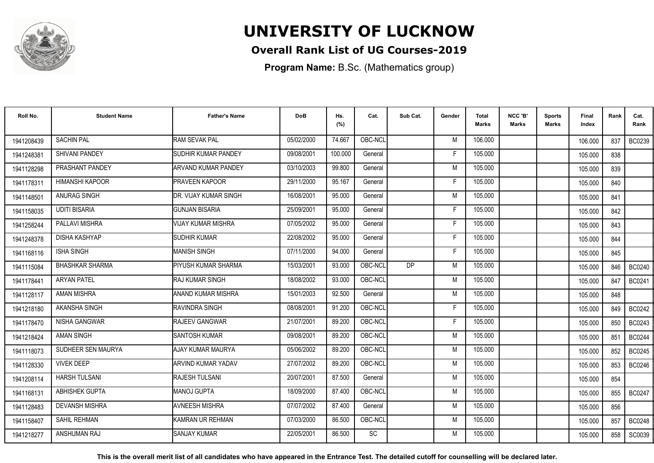

### **Overall Rank List of UG Courses-2019**

**Program Name:** B.Sc. (Mathematics group)

| Roll No.   | <b>Student Name</b>    | <b>Father's Name</b>      | <b>DoB</b> | Hs.<br>(%) | Cat.      | Sub Cat. | Gender | <b>Total</b><br>Marks | NCC 'B'<br><b>Marks</b> | Sports<br>Marks | Final<br>Index | Rank | Cat.<br>Rank  |
|------------|------------------------|---------------------------|------------|------------|-----------|----------|--------|-----------------------|-------------------------|-----------------|----------------|------|---------------|
| 1941208439 | <b>SACHIN PAL</b>      | <b>RAM SEVAK PAL</b>      | 05/02/2000 | 74.667     | OBC-NCL   |          | M      | 106.000               |                         |                 | 106.000        | 837  | BC0239        |
| 1941248381 | SHIVANI PANDEY         | SUDHIR KUMAR PANDEY       | 09/08/2001 | 100.000    | General   |          | F      | 105.000               |                         |                 | 105.000        | 838  |               |
| 1941128298 | PRASHANT PANDEY        | ARVAND KUMAR PANDEY       | 03/10/2003 | 99.800     | General   |          | M      | 105.000               |                         |                 | 105.000        | 839  |               |
| 1941178311 | <b>HIMANSHI KAPOOR</b> | <b>PRAVEEN KAPOOR</b>     | 29/11/2000 | 95.167     | General   |          | E      | 105.000               |                         |                 | 105.000        | 840  |               |
| 1941148501 | <b>ANURAG SINGH</b>    | IDR. VIJAY KUMAR SINGH    | 16/08/2001 | 95.000     | General   |          | M      | 105.000               |                         |                 | 105.000        | 841  |               |
| 1941158035 | <b>UDITI BISARIA</b>   | <b>GUNJAN BISARIA</b>     | 25/09/2001 | 95.000     | General   |          | Е      | 105.000               |                         |                 | 105.000        | 842  |               |
| 1941258244 | PALLAVI MISHRA         | <b>VIJAY KUMAR MISHRA</b> | 07/05/2002 | 95.000     | General   |          | Е      | 105.000               |                         |                 | 105.000        | 843  |               |
| 1941248378 | <b>DISHA KASHYAP</b>   | <b>SUDHIR KUMAR</b>       | 22/08/2002 | 95.000     | General   |          | F      | 105.000               |                         |                 | 105.000        | 844  |               |
| 1941168116 | <b>ISHA SINGH</b>      | <b>MANISH SINGH</b>       | 07/11/2000 | 94.000     | General   |          | F      | 105.000               |                         |                 | 105.000        | 845  |               |
| 1941115084 | <b>BHASHKAR SHARMA</b> | PIYUSH KUMAR SHARMA       | 15/03/2001 | 93.000     | OBC-NCL   | DP.      | M      | 105.000               |                         |                 | 105.000        | 846  | <b>BC0240</b> |
| 1941178441 | <b>ARYAN PATEL</b>     | IRAJ KUMAR SINGH          | 18/08/2002 | 93.000     | OBC-NCL   |          | M      | 105.000               |                         |                 | 105.000        | 847  | BC0241        |
| 1941128117 | <b>AMAN MISHRA</b>     | ANAND KUMAR MISHRA        | 15/01/2003 | 92.500     | General   |          | M      | 105.000               |                         |                 | 105.000        | 848  |               |
| 1941218180 | AKANSHA SINGH          | RAVINDRA SINGH            | 08/08/2001 | 91.200     | OBC-NCL   |          | Е      | 105.000               |                         |                 | 105.000        | 849  | <b>BC0242</b> |
| 1941178470 | NISHA GANGWAR          | <b>RAJEEV GANGWAR</b>     | 21/07/2001 | 89.200     | OBC-NCL   |          | F      | 105.000               |                         |                 | 105.000        | 850  | BC0243        |
| 1941218424 | <b>AMAN SINGH</b>      | <b>SANTOSH KUMAR</b>      | 09/08/2001 | 89.200     | OBC-NCL   |          | M      | 105.000               |                         |                 | 105.000        | 851  | <b>BC0244</b> |
| 1941118073 | SUDHEER SEN MAURYA     | AJAY KUMAR MAURYA         | 05/06/2002 | 89.200     | OBC-NCL   |          | M      | 105.000               |                         |                 | 105.000        | 852  | <b>BC0245</b> |
| 1941128330 | <b>VIVEK DEEP</b>      | <b>ARVIND KUMAR YADAV</b> | 27/07/2002 | 89.200     | OBC-NCL   |          | M      | 105.000               |                         |                 | 105.000        | 853  | <b>BC0246</b> |
| 1941208114 | <b>HARSH TULSANI</b>   | <b>RAJESH TULSANI</b>     | 20/07/2001 | 87.500     | General   |          | M      | 105.000               |                         |                 | 105.000        | 854  |               |
| 1941168131 | <b>ABHISHEK GUPTA</b>  | MANOJ GUPTA               | 18/09/2000 | 87.400     | OBC-NCL   |          | M      | 105.000               |                         |                 | 105.000        | 855  | <b>BC0247</b> |
| 1941128483 | <b>DEVANSH MISHRA</b>  | <b>AVNEESH MISHRA</b>     | 07/07/2002 | 87.400     | General   |          | M      | 105.000               |                         |                 | 105.000        | 856  |               |
| 1941158407 | <b>SAHIL REHMAN</b>    | IKAMRAN UR REHMAN         | 07/03/2000 | 86.500     | OBC-NCL   |          | M      | 105.000               |                         |                 | 105.000        | 857  | <b>BC0248</b> |
| 1941218277 | ANSHUMAN RAJ           | <b>SANJAY KUMAR</b>       | 22/05/2001 | 86.500     | <b>SC</b> |          | М      | 105.000               |                         |                 | 105.000        | 858  | SC0039        |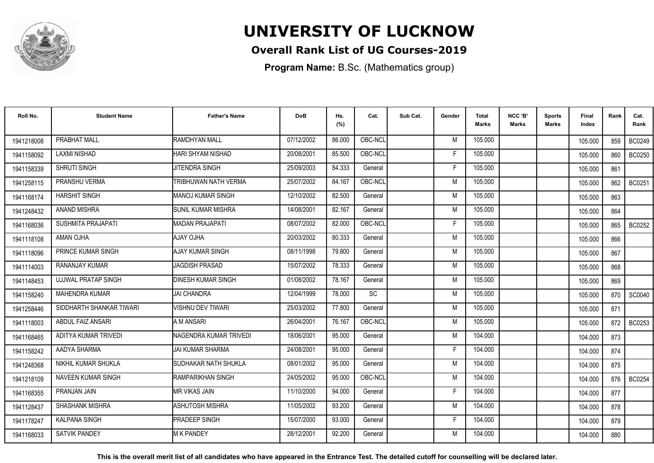

### **Overall Rank List of UG Courses-2019**

**Program Name:** B.Sc. (Mathematics group)

| Roll No.   | <b>Student Name</b>        | <b>Father's Name</b>      | <b>DoB</b> | Hs.<br>(%) | Cat.    | Sub Cat. | Gender | Total<br><b>Marks</b> | NCC 'B'<br><b>Marks</b> | Sports<br>Marks | Final<br>Index | Rank | Cat.<br>Rank  |
|------------|----------------------------|---------------------------|------------|------------|---------|----------|--------|-----------------------|-------------------------|-----------------|----------------|------|---------------|
| 1941218008 | PRABHAT MALL               | RAMDHYAN MALL             | 07/12/2002 | 86.000     | OBC-NCL |          | M      | 105.000               |                         |                 | 105.000        | 859  | <b>BC0249</b> |
| 1941158092 | <b>LAXMI NISHAD</b>        | HARI SHYAM NISHAD         | 20/08/2001 | 85.500     | OBC-NCL |          | F      | 105.000               |                         |                 | 105.000        | 860  | <b>BC0250</b> |
| 1941158339 | SHRUTI SINGH               | JITENDRA SINGH            | 25/09/2003 | 84.333     | General |          | F      | 105.000               |                         |                 | 105.000        | 861  |               |
| 1941258115 | PRANSHU VERMA              | TRIBHUWAN NATH VERMA      | 25/07/2002 | 84.167     | OBC-NCL |          | M      | 105.000               |                         |                 | 105.000        | 862  | <b>BC0251</b> |
| 1941168174 | <b>HARSHIT SINGH</b>       | <b>MANOJ KUMAR SINGH</b>  | 12/10/2002 | 82.500     | General |          | M      | 105.000               |                         |                 | 105.000        | 863  |               |
| 1941248432 | <b>ANAND MISHRA</b>        | <b>SUNIL KUMAR MISHRA</b> | 14/08/2001 | 82.167     | General |          | M      | 105.000               |                         |                 | 105.000        | 864  |               |
| 1941168036 | <b>SUSHMITA PRAJAPATI</b>  | MADAN PRAJAPATI           | 08/07/2002 | 82.000     | OBC-NCL |          | F      | 105.000               |                         |                 | 105.000        | 865  | <b>BC0252</b> |
| 1941118108 | AMAN OJHA                  | AJAY OJHA                 | 20/03/2002 | 80.333     | General |          | M      | 105.000               |                         |                 | 105.000        | 866  |               |
| 1941118096 | PRINCE KUMAR SINGH         | AJAY KUMAR SINGH          | 08/11/1998 | 79.800     | General |          | M      | 105.000               |                         |                 | 105.000        | 867  |               |
| 1941114003 | <b>RANANJAY KUMAR</b>      | <b>JAGDISH PRASAD</b>     | 15/07/2002 | 78.333     | General |          | M      | 105.000               |                         |                 | 105.000        | 868  |               |
| 1941148453 | <b>UJJWAL PRATAP SINGH</b> | <b>DINESH KUMAR SINGH</b> | 01/08/2002 | 78.167     | General |          | M      | 105.000               |                         |                 | 105.000        | 869  |               |
| 1941158240 | <b>MAHENDRA KUMAR</b>      | <b>JAI CHANDRA</b>        | 12/04/1999 | 78.000     | SC      |          | M      | 105.000               |                         |                 | 105.000        | 870  | SC0040        |
| 1941258446 | SIDDHARTH SHANKAR TIWARI   | VISHNU DEV TIWARI         | 25/03/2002 | 77.800     | General |          | M      | 105.000               |                         |                 | 105.000        | 871  |               |
| 1941118003 | ABDUL FAIZ ANSARI          | A M ANSARI                | 26/04/2001 | 76.167     | OBC-NCL |          | M      | 105.000               |                         |                 | 105.000        | 872  | BC0253        |
| 1941168465 | ADITYA KUMAR TRIVEDI       | NAGENDRA KUMAR TRIVEDI    | 18/06/2001 | 95.000     | General |          | M      | 104.000               |                         |                 | 104.000        | 873  |               |
| 1941158242 | AADYA SHARMA               | <b>JAI KUMAR SHARMA</b>   | 24/08/2001 | 95.000     | General |          | F      | 104.000               |                         |                 | 104.000        | 874  |               |
| 1941248368 | NIKHIL KUMAR SHUKLA        | SUDHAKAR NATH SHUKLA      | 08/01/2002 | 95.000     | General |          | M      | 104.000               |                         |                 | 104.000        | 875  |               |
| 1941218109 | <b>NAVEEN KUMAR SINGH</b>  | RAMPARIKHAN SINGH         | 24/05/2002 | 95.000     | OBC-NCL |          | M      | 104.000               |                         |                 | 104.000        | 876  | <b>BC0254</b> |
| 1941168355 | PRANJAN JAIN               | <b>MR VIKAS JAIN</b>      | 11/10/2000 | 94.000     | General |          | F      | 104.000               |                         |                 | 104.000        | 877  |               |
| 1941128437 | SHASHANK MISHRA            | <b>ASHUTOSH MISHRA</b>    | 11/05/2002 | 93.200     | General |          | M      | 104.000               |                         |                 | 104.000        | 878  |               |
| 1941178247 | <b>KALPANA SINGH</b>       | PRADEEP SINGH             | 15/07/2000 | 93.000     | General |          | F      | 104.000               |                         |                 | 104.000        | 879  |               |
| 1941168033 | <b>SATVIK PANDEY</b>       | <b>M K PANDEY</b>         | 28/12/2001 | 92.200     | General |          | M      | 104.000               |                         |                 | 104.000        | 880  |               |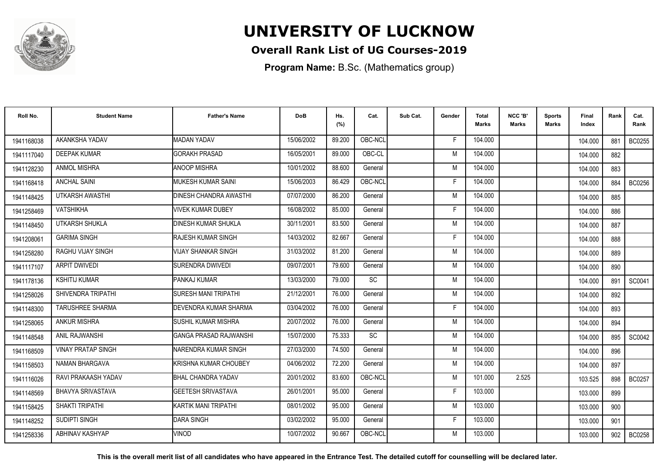

### **Overall Rank List of UG Courses-2019**

**Program Name:** B.Sc. (Mathematics group)

| Roll No.   | <b>Student Name</b>       | <b>Father's Name</b>          | <b>DoB</b> | Hs.<br>(%) | Cat.    | Sub Cat. | Gender | <b>Total</b><br>Marks | NCC 'B'<br><b>Marks</b> | Sports<br>Marks | <b>Final</b><br>Index | Rank | Cat.<br>Rank  |
|------------|---------------------------|-------------------------------|------------|------------|---------|----------|--------|-----------------------|-------------------------|-----------------|-----------------------|------|---------------|
| 1941168038 | AKANKSHA YADAV            | <b>MADAN YADAV</b>            | 15/06/2002 | 89.200     | OBC-NCL |          | F      | 104.000               |                         |                 | 104.000               | 881  | BC0255        |
| 1941117040 | <b>DEEPAK KUMAR</b>       | <b>GORAKH PRASAD</b>          | 16/05/2001 | 89.000     | OBC-CL  |          | M      | 104.000               |                         |                 | 104.000               | 882  |               |
| 1941128230 | ANMOL MISHRA              | <b>ANOOP MISHRA</b>           | 10/01/2002 | 88.600     | General |          | M      | 104.000               |                         |                 | 104.000               | 883  |               |
| 1941168418 | <b>ANCHAL SAINI</b>       | <b>MUKESH KUMAR SAINI</b>     | 15/06/2003 | 86.429     | OBC-NCL |          | Е      | 104.000               |                         |                 | 104.000               | 884  | <b>BC0256</b> |
| 1941148425 | UTKARSH AWASTHI           | <b>DINESH CHANDRA AWASTHI</b> | 07/07/2000 | 86.200     | General |          | M      | 104.000               |                         |                 | 104.000               | 885  |               |
| 1941258469 | <b>VATSHIKHA</b>          | VIVEK KUMAR DUBEY             | 16/08/2002 | 85.000     | General |          | E      | 104.000               |                         |                 | 104.000               | 886  |               |
| 1941148450 | UTKARSH SHUKLA            | <b>IDINESH KUMAR SHUKLA</b>   | 30/11/2001 | 83.500     | General |          | M      | 104.000               |                         |                 | 104.000               | 887  |               |
| 1941208061 | <b>GARIMA SINGH</b>       | <b>IRAJESH KUMAR SINGH</b>    | 14/03/2002 | 82.667     | General |          | F      | 104.000               |                         |                 | 104.000               | 888  |               |
| 1941258280 | RAGHU VIJAY SINGH         | <b>VIJAY SHANKAR SINGH</b>    | 31/03/2002 | 81.200     | General |          | M      | 104.000               |                         |                 | 104.000               | 889  |               |
| 1941117107 | <b>ARPIT DWIVEDI</b>      | <b>SURENDRA DWIVEDI</b>       | 09/07/2001 | 79.600     | General |          | M      | 104.000               |                         |                 | 104.000               | 890  |               |
| 1941178136 | <b>KSHITIJ KUMAR</b>      | PANKAJ KUMAR                  | 13/03/2000 | 79.000     | SC      |          | M      | 104.000               |                         |                 | 104.000               | 891  | SC0041        |
| 1941258026 | SHIVENDRA TRIPATHI        | <b>SURESH MANI TRIPATHI</b>   | 21/12/2001 | 76.000     | General |          | M      | 104.000               |                         |                 | 104.000               | 892  |               |
| 1941148300 | <b>TARUSHREE SHARMA</b>   | DEVENDRA KUMAR SHARMA         | 03/04/2002 | 76.000     | General |          | F      | 104.000               |                         |                 | 104.000               | 893  |               |
| 1941258065 | <b>ANKUR MISHRA</b>       | <b>SUSHIL KUMAR MISHRA</b>    | 20/07/2002 | 76.000     | General |          | M      | 104.000               |                         |                 | 104.000               | 894  |               |
| 1941148548 | <b>ANIL RAJWANSHI</b>     | <b>GANGA PRASAD RAJWANSHI</b> | 15/07/2000 | 75.333     | SC      |          | M      | 104.000               |                         |                 | 104.000               | 895  | SC0042        |
| 1941168509 | <b>VINAY PRATAP SINGH</b> | <b>NARENDRA KUMAR SINGH</b>   | 27/03/2000 | 74.500     | General |          | M      | 104.000               |                         |                 | 104.000               | 896  |               |
| 1941158503 | <b>NAMAN BHARGAVA</b>     | KRISHNA KUMAR CHOUBEY         | 04/06/2002 | 72.200     | General |          | M      | 104.000               |                         |                 | 104.000               | 897  |               |
| 1941116026 | RAVI PRAKAASH YADAV       | <b>BHAL CHANDRA YADAV</b>     | 20/01/2002 | 83.600     | OBC-NCL |          | M      | 101.000               | 2.525                   |                 | 103.525               | 898  | <b>BC0257</b> |
| 1941148569 | BHAVYA SRIVASTAVA         | GEETESH SRIVASTAVA            | 26/01/2001 | 95.000     | General |          | F      | 103.000               |                         |                 | 103.000               | 899  |               |
| 1941158425 | <b>SHAKTI TRIPATHI</b>    | KARTIK MANI TRIPATHI          | 08/01/2002 | 95.000     | General |          | M      | 103.000               |                         |                 | 103.000               | 900  |               |
| 1941148252 | SUDIPTI SINGH             | <b>DARA SINGH</b>             | 03/02/2002 | 95.000     | General |          | F      | 103.000               |                         |                 | 103.000               | 901  |               |
| 1941258336 | ABHINAV KASHYAP           | VINOD                         | 10/07/2002 | 90.667     | OBC-NCL |          | M      | 103.000               |                         |                 | 103.000               | 902  | <b>BC0258</b> |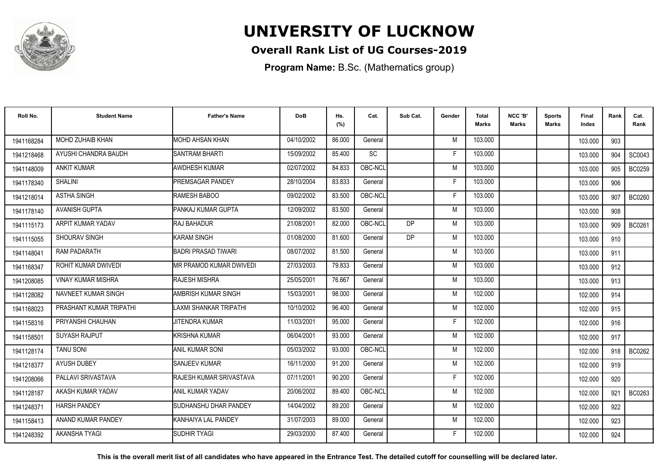

### **Overall Rank List of UG Courses-2019**

**Program Name:** B.Sc. (Mathematics group)

| Roll No.   | <b>Student Name</b>       | <b>Father's Name</b>       | <b>DoB</b> | Hs.<br>(%) | Cat.    | Sub Cat.  | Gender | <b>Total</b><br>Marks | NCC 'B'<br><b>Marks</b> | Sports<br><b>Marks</b> | Final<br>Index | Rank | Cat.<br>Rank  |
|------------|---------------------------|----------------------------|------------|------------|---------|-----------|--------|-----------------------|-------------------------|------------------------|----------------|------|---------------|
| 1941168284 | <b>MOHD ZUHAIB KHAN</b>   | MOHD AHSAN KHAN            | 04/10/2002 | 86.000     | General |           | M      | 103.000               |                         |                        | 103.000        | 903  |               |
| 1941218468 | AYUSHI CHANDRA BAUDH      | <b>SANTRAM BHARTI</b>      | 15/09/2002 | 85.400     | SC      |           | F      | 103.000               |                         |                        | 103.000        | 904  | SC0043        |
| 1941148009 | <b>ANKIT KUMAR</b>        | <b>AWDHESH KUMAR</b>       | 02/07/2002 | 84.833     | OBC-NCL |           | M      | 103.000               |                         |                        | 103.000        | 905  | BC0259        |
| 1941178340 | <b>SHALINI</b>            | <b>PREMSAGAR PANDEY</b>    | 28/10/2004 | 83.833     | General |           | E      | 103.000               |                         |                        | 103.000        | 906  |               |
| 1941218014 | <b>ASTHA SINGH</b>        | RAMESH BABOO               | 09/02/2002 | 83.500     | OBC-NCL |           | F      | 103.000               |                         |                        | 103.000        | 907  | <b>BC0260</b> |
| 1941178140 | <b>AVANISH GUPTA</b>      | PANKAJ KUMAR GUPTA         | 12/09/2002 | 83.500     | General |           | M      | 103.000               |                         |                        | 103.000        | 908  |               |
| 1941115173 | ARPIT KUMAR YADAV         | RAJ BAHADUR                | 21/08/2001 | 82.000     | OBC-NCL | <b>DP</b> | M      | 103.000               |                         |                        | 103.000        | 909  | <b>BC0261</b> |
| 1941115055 | SHOURAV SINGH             | KARAM SINGH                | 01/08/2000 | 81.600     | General | <b>DP</b> | M      | 103.000               |                         |                        | 103.000        | 910  |               |
| 1941148041 | RAM PADARATH              | <b>BADRI PRASAD TIWARI</b> | 08/07/2002 | 81.500     | General |           | M      | 103.000               |                         |                        | 103.000        | 911  |               |
| 1941168347 | ROHIT KUMAR DWIVEDI       | MR PRAMOD KUMAR DWIVEDI    | 27/03/2003 | 79.833     | General |           | M      | 103.000               |                         |                        | 103.000        | 912  |               |
| 1941208085 | <b>VINAY KUMAR MISHRA</b> | <b>RAJESH MISHRA</b>       | 25/05/2001 | 76.667     | General |           | M      | 103.000               |                         |                        | 103.000        | 913  |               |
| 1941128082 | NAVNEET KUMAR SINGH       | AMBRISH KUMAR SINGH        | 15/03/2001 | 98.000     | General |           | M      | 102.000               |                         |                        | 102.000        | 914  |               |
| 1941168023 | PRASHANT KUMAR TRIPATHI   | LAXMI SHANKAR TRIPATHI     | 10/10/2002 | 96.400     | General |           | M      | 102.000               |                         |                        | 102.000        | 915  |               |
| 1941158316 | PRIYANSHI CHAUHAN         | JITENDRA KUMAR             | 11/03/2001 | 95.000     | General |           | F      | 102.000               |                         |                        | 102.000        | 916  |               |
| 1941158501 | <b>SUYASH RAJPUT</b>      | KRISHNA KUMAR              | 06/04/2001 | 93.000     | General |           | M      | 102.000               |                         |                        | 102.000        | 917  |               |
| 1941128174 | <b>TANU SONI</b>          | <b>ANIL KUMAR SONI</b>     | 05/03/2002 | 93.000     | OBC-NCL |           | M      | 102.000               |                         |                        | 102.000        | 918  | BC0262        |
| 1941218377 | <b>AYUSH DUBEY</b>        | <b>SANJEEV KUMAR</b>       | 16/11/2000 | 91.200     | General |           | M      | 102.000               |                         |                        | 102.000        | 919  |               |
| 1941208066 | PALLAVI SRIVASTAVA        | RAJESH KUMAR SRIVASTAVA    | 07/11/2001 | 90.200     | General |           | F      | 102.000               |                         |                        | 102.000        | 920  |               |
| 1941128187 | AKASH KUMAR YADAV         | ANIL KUMAR YADAV           | 20/06/2002 | 89.400     | OBC-NCL |           | M      | 102.000               |                         |                        | 102.000        | 921  | BC0263        |
| 1941248371 | <b>HARSH PANDEY</b>       | SUDHANSHU DHAR PANDEY      | 14/04/2002 | 89.200     | General |           | M      | 102.000               |                         |                        | 102.000        | 922  |               |
| 1941158413 | ANAND KUMAR PANDEY        | KANHAIYA LAL PANDEY        | 31/07/2003 | 89.000     | General |           | M      | 102.000               |                         |                        | 102.000        | 923  |               |
| 1941248392 | <b>AKANSHA TYAGI</b>      | <b>SUDHIR TYAGI</b>        | 29/03/2000 | 87.400     | General |           | F      | 102.000               |                         |                        | 102.000        | 924  |               |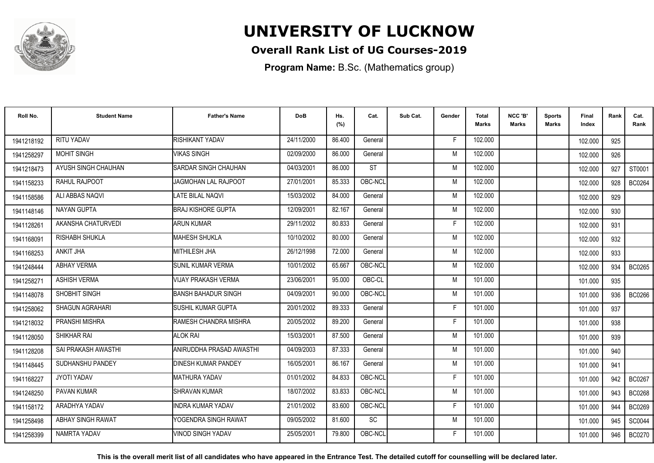

### **Overall Rank List of UG Courses-2019**

**Program Name:** B.Sc. (Mathematics group)

| Roll No.               | <b>Student Name</b>  | <b>Father's Name</b>          | <b>DoB</b> | Hs.<br>(%) | Cat.      | Sub Cat. | Gender | <b>Total</b><br><b>Marks</b> | NCC 'B'<br><b>Marks</b> | <b>Sports</b><br>Marks | Final<br>Index | Rank | Cat.<br>Rank  |
|------------------------|----------------------|-------------------------------|------------|------------|-----------|----------|--------|------------------------------|-------------------------|------------------------|----------------|------|---------------|
| 1941218192             | <b>RITU YADAV</b>    | RISHIKANT YADAV               | 24/11/2000 | 86.400     | General   |          | F      | 102.000                      |                         |                        | 102.000        | 925  |               |
| 1941258297             | <b>MOHIT SINGH</b>   | <b>VIKAS SINGH</b>            | 02/09/2000 | 86.000     | General   |          | M      | 102.000                      |                         |                        | 102.000        | 926  |               |
| 1941218473             | AYUSH SINGH CHAUHAN  | SARDAR SINGH CHAUHAN          | 04/03/2001 | 86.000     | <b>ST</b> |          | M      | 102.000                      |                         |                        | 102.000        | 927  | ST0001        |
| 1941158233             | <b>RAHUL RAJPOOT</b> | <b>JAGMOHAN LAL RAJPOOT</b>   | 27/01/2001 | 85.333     | OBC-NCL   |          | M      | 102.000                      |                         |                        | 102.000        | 928  | <b>BC0264</b> |
| 1941158586             | ALI ABBAS NAOVI      | LATE BILAL NAQVI              | 15/03/2002 | 84.000     | General   |          | M      | 102.000                      |                         |                        | 102.000        | 929  |               |
| 1941148146             | <b>NAYAN GUPTA</b>   | <b>BRAJ KISHORE GUPTA</b>     | 12/09/2001 | 82.167     | General   |          | M      | 102.000                      |                         |                        | 102.000        | 930  |               |
| 194112826              | AKANSHA CHATURVEDI   | <b>ARUN KUMAR</b>             | 29/11/2002 | 80.833     | General   |          | F      | 102.000                      |                         |                        | 102.000        | 931  |               |
| 194116809 <sup>-</sup> | RISHABH SHUKLA       | <b>MAHESH SHUKLA</b>          | 10/10/2002 | 80.000     | General   |          | M      | 102.000                      |                         |                        | 102.000        | 932  |               |
| 1941168253             | <b>ANKIT JHA</b>     | <b>MITHILESH JHA</b>          | 26/12/1998 | 72.000     | General   |          | M      | 102.000                      |                         |                        | 102.000        | 933  |               |
| 1941248444             | <b>ABHAY VERMA</b>   | <b>SUNIL KUMAR VERMA</b>      | 10/01/2002 | 65.667     | OBC-NCL   |          | M      | 102.000                      |                         |                        | 102.000        | 934  | BC0265        |
| 1941258271             | <b>ASHISH VERMA</b>  | VIJAY PRAKASH VERMA           | 23/06/2001 | 95.000     | OBC-CL    |          | M      | 101.000                      |                         |                        | 101.000        | 935  |               |
| 1941148078             | SHOBHIT SINGH        | <b>BANSH BAHADUR SINGH</b>    | 04/09/2001 | 90.000     | OBC-NCL   |          | M      | 101.000                      |                         |                        | 101.000        | 936  | <b>BC0266</b> |
| 1941258062             | SHAGUN AGRAHARI      | <b>SUSHIL KUMAR GUPTA</b>     | 20/01/2002 | 89.333     | General   |          | F      | 101.000                      |                         |                        | 101.000        | 937  |               |
| 1941218032             | PRANSHI MISHRA       | <b>IRAMESH CHANDRA MISHRA</b> | 20/05/2002 | 89.200     | General   |          | F      | 101.000                      |                         |                        | 101.000        | 938  |               |
| 1941128050             | SHIKHAR RAI          | <b>ALOK RAI</b>               | 15/03/2001 | 87.500     | General   |          | M      | 101.000                      |                         |                        | 101.000        | 939  |               |
| 1941128208             | SAI PRAKASH AWASTHI  | ANIRUDDHA PRASAD AWASTHI      | 04/09/2003 | 87.333     | General   |          | M      | 101.000                      |                         |                        | 101.000        | 940  |               |
| 1941148445             | SUDHANSHU PANDEY     | <b>DINESH KUMAR PANDEY</b>    | 16/05/2001 | 86.167     | General   |          | M      | 101.000                      |                         |                        | 101.000        | 941  |               |
| 1941168227             | JYOTI YADAV          | <b>MATHURA YADAV</b>          | 01/01/2002 | 84.833     | OBC-NCL   |          | F      | 101.000                      |                         |                        | 101.000        | 942  | <b>BC0267</b> |
| 1941248250             | PAVAN KUMAR          | SHRAVAN KUMAR                 | 18/07/2002 | 83.833     | OBC-NCL   |          | M      | 101.000                      |                         |                        | 101.000        | 943  | <b>BC0268</b> |
| 1941158172             | ARADHYA YADAV        | INDRA KUMAR YADAV             | 21/01/2002 | 83.600     | OBC-NCL   |          | F      | 101.000                      |                         |                        | 101.000        | 944  | BC0269        |
| 1941258498             | ABHAY SINGH RAWAT    | YOGENDRA SINGH RAWAT          | 09/05/2002 | 81.600     | SC        |          | M      | 101.000                      |                         |                        | 101.000        | 945  | SC0044        |
| 1941258399             | NAMRTA YADAV         | VINOD SINGH YADAV             | 25/05/2001 | 79.800     | OBC-NCL   |          | F      | 101.000                      |                         |                        | 101.000        | 946  | <b>BC0270</b> |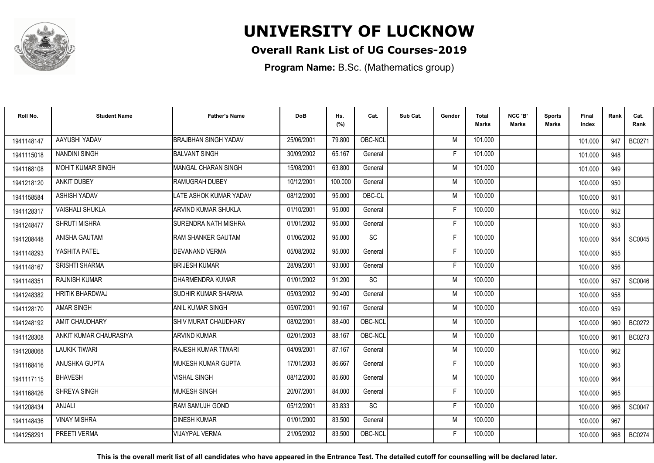

### **Overall Rank List of UG Courses-2019**

**Program Name:** B.Sc. (Mathematics group)

| Roll No.   | <b>Student Name</b>      | <b>Father's Name</b>         | <b>DoB</b> | Hs.<br>(%) | Cat.      | Sub Cat. | Gender | Total<br>Marks | NCC 'B'<br><b>Marks</b> | Sports<br>Marks | Final<br>Index | Rank | Cat.<br>Rank  |
|------------|--------------------------|------------------------------|------------|------------|-----------|----------|--------|----------------|-------------------------|-----------------|----------------|------|---------------|
| 1941148147 | AAYUSHI YADAV            | <b>BRAJBHAN SINGH YADAV</b>  | 25/06/2001 | 79.800     | OBC-NCL   |          | M      | 101.000        |                         |                 | 101.000        | 947  | <b>BC0271</b> |
| 1941115018 | <b>NANDINI SINGH</b>     | <b>BALVANT SINGH</b>         | 30/09/2002 | 65.167     | General   |          | F      | 101.000        |                         |                 | 101.000        | 948  |               |
| 1941168108 | <b>MOHIT KUMAR SINGH</b> | MANGAL CHARAN SINGH          | 15/08/2001 | 63.800     | General   |          | M      | 101.000        |                         |                 | 101.000        | 949  |               |
| 1941218120 | ANKIT DUBEY              | <b>RAMUGRAH DUBEY</b>        | 10/12/2001 | 100.000    | General   |          | M      | 100.000        |                         |                 | 100.000        | 950  |               |
| 1941158584 | <b>ASHISH YADAV</b>      | LATE ASHOK KUMAR YADAV       | 08/12/2000 | 95.000     | OBC-CL    |          | M      | 100.000        |                         |                 | 100.000        | 951  |               |
| 1941128317 | <b>VAISHALI SHUKLA</b>   | ARVIND KUMAR SHUKLA          | 01/10/2001 | 95.000     | General   |          | Е      | 100.000        |                         |                 | 100.000        | 952  |               |
| 1941248477 | <b>SHRUTI MISHRA</b>     | <b>SURENDRA NATH MISHRA</b>  | 01/01/2002 | 95.000     | General   |          | F      | 100.000        |                         |                 | 100.000        | 953  |               |
| 1941208448 | ANISHA GAUTAM            | RAM SHANKER GAUTAM           | 01/06/2002 | 95.000     | SC        |          | F      | 100.000        |                         |                 | 100.000        | 954  | SC0045        |
| 1941148293 | YASHITA PATEL            | <b>DEVANAND VERMA</b>        | 05/08/2002 | 95.000     | General   |          | F      | 100.000        |                         |                 | 100.000        | 955  |               |
| 1941148167 | <b>SRISHTI SHARMA</b>    | <b>BRIJESH KUMAR</b>         | 28/09/2001 | 93.000     | General   |          | F      | 100.000        |                         |                 | 100.000        | 956  |               |
| 1941148351 | <b>RAJNISH KUMAR</b>     | DHARMENDRA KUMAR             | 01/01/2002 | 91.200     | <b>SC</b> |          | M      | 100.000        |                         |                 | 100.000        | 957  | SC0046        |
| 1941248382 | <b>HRITIK BHARDWAJ</b>   | <b>I</b> SUDHIR KUMAR SHARMA | 05/03/2002 | 90.400     | General   |          | M      | 100.000        |                         |                 | 100.000        | 958  |               |
| 1941128170 | <b>AMAR SINGH</b>        | IANIL KUMAR SINGH            | 05/07/2001 | 90.167     | General   |          | M      | 100.000        |                         |                 | 100.000        | 959  |               |
| 1941248192 | AMIT CHAUDHARY           | SHIV MURAT CHAUDHARY         | 08/02/2001 | 88.400     | OBC-NCL   |          | M      | 100.000        |                         |                 | 100.000        | 960  | <b>BC0272</b> |
| 1941128308 | ANKIT KUMAR CHAURASIYA   | <b>ARVIND KUMAR</b>          | 02/01/2003 | 88.167     | OBC-NCL   |          | M      | 100.000        |                         |                 | 100.000        | 961  | BC0273        |
| 1941208068 | <b>LAUKIK TIWARI</b>     | RAJESH KUMAR TIWARI          | 04/09/2001 | 87.167     | General   |          | M      | 100.000        |                         |                 | 100.000        | 962  |               |
| 1941168416 | ANUSHKA GUPTA            | IMUKESH KUMAR GUPTA          | 17/01/2003 | 86.667     | General   |          | F      | 100.000        |                         |                 | 100.000        | 963  |               |
| 1941117115 | <b>BHAVESH</b>           | <b>VISHAL SINGH</b>          | 08/12/2000 | 85.600     | General   |          | M      | 100.000        |                         |                 | 100.000        | 964  |               |
| 1941168426 | SHREYA SINGH             | <b>MUKESH SINGH</b>          | 20/07/2001 | 84.000     | General   |          | F      | 100.000        |                         |                 | 100.000        | 965  |               |
| 1941208434 | <b>ANJALI</b>            | RAM SAMUJH GOND              | 05/12/2001 | 83.833     | <b>SC</b> |          | E      | 100.000        |                         |                 | 100.000        | 966  | SC0047        |
| 1941148436 | <b>VINAY MISHRA</b>      | <b>DINESH KUMAR</b>          | 01/01/2000 | 83.500     | General   |          | M      | 100.000        |                         |                 | 100.000        | 967  |               |
| 1941258291 | PREETI VERMA             | <b>VIJAYPAL VERMA</b>        | 21/05/2002 | 83.500     | OBC-NCL   |          | F      | 100.000        |                         |                 | 100.000        | 968  | <b>BC0274</b> |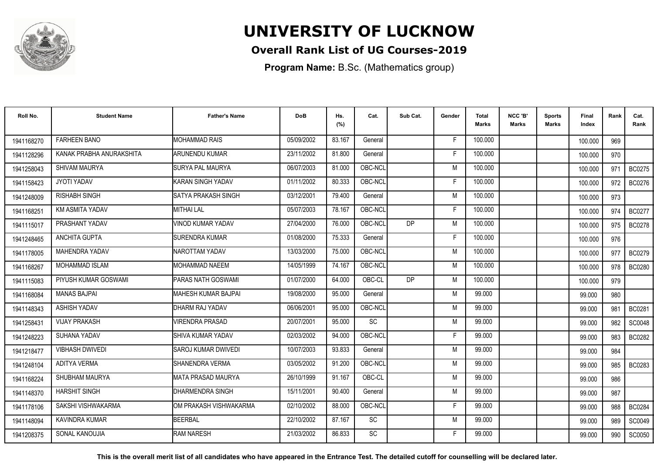

### **Overall Rank List of UG Courses-2019**

**Program Name:** B.Sc. (Mathematics group)

| Roll No.   | <b>Student Name</b>      | <b>Father's Name</b>       | <b>DoB</b> | Hs.<br>(%) | Cat.      | Sub Cat.  | Gender | <b>Total</b><br><b>Marks</b> | NCC 'B'<br><b>Marks</b> | <b>Sports</b><br>Marks | Final<br>Index | Rank | Cat.<br>Rank  |
|------------|--------------------------|----------------------------|------------|------------|-----------|-----------|--------|------------------------------|-------------------------|------------------------|----------------|------|---------------|
| 1941168270 | <b>FARHEEN BANO</b>      | <b>MOHAMMAD RAIS</b>       | 05/09/2002 | 83.167     | General   |           | F.     | 100.000                      |                         |                        | 100.000        | 969  |               |
| 1941128296 | KANAK PRABHA ANURAKSHITA | <b>ARUNENDU KUMAR</b>      | 23/11/2002 | 81.800     | General   |           | F      | 100.000                      |                         |                        | 100.000        | 970  |               |
| 1941258043 | SHIVAM MAURYA            | <b>SURYA PAL MAURYA</b>    | 06/07/2003 | 81.000     | OBC-NCL   |           | M      | 100.000                      |                         |                        | 100.000        | 971  | <b>BC0275</b> |
| 1941158423 | JYOTI YADAV              | KARAN SINGH YADAV          | 01/11/2002 | 80.333     | OBC-NCL   |           | F      | 100.000                      |                         |                        | 100.000        | 972  | <b>BC0276</b> |
| 1941248009 | <b>RISHABH SINGH</b>     | ISATYA PRAKASH SINGH       | 03/12/2001 | 79.400     | General   |           | M      | 100.000                      |                         |                        | 100.000        | 973  |               |
| 1941168251 | <b>KM ASMITA YADAV</b>   | <b>MITHAI LAL</b>          | 05/07/2003 | 78.167     | OBC-NCL   |           | F      | 100.000                      |                         |                        | 100.000        | 974  | <b>BC0277</b> |
| 1941115017 | PRASHANT YADAV           | VINOD KUMAR YADAV          | 27/04/2000 | 76.000     | OBC-NCL   | <b>DP</b> | M      | 100.000                      |                         |                        | 100.000        | 975  | <b>BC0278</b> |
| 1941248465 | ANCHITA GUPTA            | <b>SURENDRA KUMAR</b>      | 01/08/2000 | 75.333     | General   |           | F      | 100.000                      |                         |                        | 100.000        | 976  |               |
| 1941178005 | MAHENDRA YADAV           | NAROTTAM YADAV             | 13/03/2000 | 75.000     | OBC-NCL   |           | M      | 100.000                      |                         |                        | 100.000        | 977  | BC0279        |
| 1941168267 | MOHAMMAD ISLAM           | <b>MOHAMMAD NAEEM</b>      | 14/05/1999 | 74.167     | OBC-NCL   |           | M      | 100.000                      |                         |                        | 100.000        | 978  | <b>BC0280</b> |
| 1941115083 | PIYUSH KUMAR GOSWAMI     | PARAS NATH GOSWAMI         | 01/07/2000 | 64.000     | OBC-CL    | <b>DP</b> | M      | 100.000                      |                         |                        | 100.000        | 979  |               |
| 1941168084 | <b>MANAS BAJPAL</b>      | IMAHESH KUMAR BAJPAI       | 19/08/2000 | 95.000     | General   |           | M      | 99.000                       |                         |                        | 99.000         | 980  |               |
| 1941148343 | ASHISH YADAV             | DHARM RAJ YADAV            | 06/06/2001 | 95.000     | OBC-NCL   |           | M      | 99.000                       |                         |                        | 99.000         | 981  | BC0281        |
| 1941258431 | <b>VIJAY PRAKASH</b>     | <b>VIRENDRA PRASAD</b>     | 20/07/2001 | 95.000     | <b>SC</b> |           | M      | 99.000                       |                         |                        | 99.000         | 982  | SC0048        |
| 1941248223 | SUHANA YADAV             | ISHIVA KUMAR YADAV         | 02/03/2002 | 94.000     | OBC-NCL   |           | Е      | 99.000                       |                         |                        | 99.000         | 983  | BC0282        |
| 1941218477 | <b>VIBHASH DWIVEDI</b>   | <b>SAROJ KUMAR DWIVEDI</b> | 10/07/2003 | 93.833     | General   |           | M      | 99.000                       |                         |                        | 99.000         | 984  |               |
| 1941248104 | <b>ADITYA VERMA</b>      | SHANENDRA VERMA            | 03/05/2002 | 91.200     | OBC-NCL   |           | M      | 99.000                       |                         |                        | 99.000         | 985  | BC0283        |
| 1941168224 | SHUBHAM MAURYA           | IMATA PRASAD MAURYA        | 26/10/1999 | 91.167     | OBC-CL    |           | M      | 99.000                       |                         |                        | 99.000         | 986  |               |
| 1941148370 | <b>HARSHIT SINGH</b>     | DHARMENDRA SINGH           | 15/11/2001 | 90.400     | General   |           | M      | 99.000                       |                         |                        | 99.000         | 987  |               |
| 1941178106 | SAKSHI VISHWAKARMA       | IOM PRAKASH VISHWAKARMA    | 02/10/2002 | 88.000     | OBC-NCL   |           | F      | 99.000                       |                         |                        | 99.000         | 988  | <b>BC0284</b> |
| 1941148094 | KAVINDRA KUMAR           | <b>BEERBAL</b>             | 22/10/2002 | 87.167     | <b>SC</b> |           | M      | 99.000                       |                         |                        | 99.000         | 989  | SC0049        |
| 1941208375 | SONAL KANOUJIA           | <b>RAM NARESH</b>          | 21/03/2002 | 86.833     | <b>SC</b> |           |        | 99.000                       |                         |                        | 99.000         | 990  | SC0050        |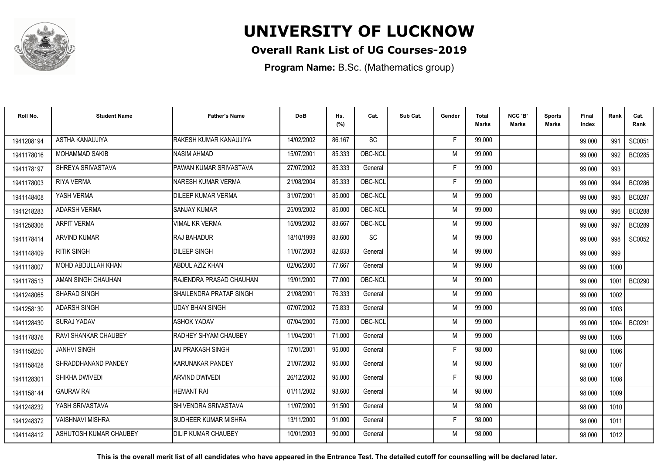

### **Overall Rank List of UG Courses-2019**

**Program Name:** B.Sc. (Mathematics group)

| Roll No.   | <b>Student Name</b>         | <b>Father's Name</b>         | <b>DoB</b> | Hs.<br>(%) | Cat.      | Sub Cat. | Gender | <b>Total</b><br><b>Marks</b> | NCC 'B'<br><b>Marks</b> | <b>Sports</b><br>Marks | Final<br>Index | Rank | Cat.<br>Rank  |
|------------|-----------------------------|------------------------------|------------|------------|-----------|----------|--------|------------------------------|-------------------------|------------------------|----------------|------|---------------|
| 1941208194 | ASTHA KANAUJIYA             | RAKESH KUMAR KANAUJIYA       | 14/02/2002 | 86.167     | SC        |          | F      | 99.000                       |                         |                        | 99.000         | 991  | SC0051        |
| 1941178016 | <b>MOHAMMAD SAKIB</b>       | <b>NASIM AHMAD</b>           | 15/07/2001 | 85.333     | OBC-NCL   |          | M      | 99.000                       |                         |                        | 99.000         | 992  | <b>BC0285</b> |
| 1941178197 | SHREYA SRIVASTAVA           | PAWAN KUMAR SRIVASTAVA       | 27/07/2002 | 85.333     | General   |          | F      | 99.000                       |                         |                        | 99.000         | 993  |               |
| 1941178003 | <b>RIYA VERMA</b>           | INARESH KUMAR VERMA          | 21/08/2004 | 85.333     | OBC-NCL   |          | F      | 99.000                       |                         |                        | 99.000         | 994  | <b>BC0286</b> |
| 1941148408 | YASH VERMA                  | DILEEP KUMAR VERMA           | 31/07/2001 | 85.000     | OBC-NCL   |          | M      | 99.000                       |                         |                        | 99.000         | 995  | <b>BC0287</b> |
| 1941218283 | <b>ADARSH VERMA</b>         | <b>SANJAY KUMAR</b>          | 25/09/2002 | 85.000     | OBC-NCL   |          | M      | 99.000                       |                         |                        | 99.000         | 996  | <b>BC0288</b> |
| 1941258306 | <b>ARPIT VERMA</b>          | <b>VIMAL KR VERMA</b>        | 15/09/2002 | 83.667     | OBC-NCL   |          | M      | 99.000                       |                         |                        | 99.000         | 997  | <b>BC0289</b> |
| 1941178414 | <b>ARVIND KUMAR</b>         | <b>RAJ BAHADUR</b>           | 18/10/1999 | 83.600     | <b>SC</b> |          | M      | 99.000                       |                         |                        | 99.000         | 998  | SC0052        |
| 1941148409 | <b>RITIK SINGH</b>          | <b>DILEEP SINGH</b>          | 11/07/2003 | 82.833     | General   |          | M      | 99.000                       |                         |                        | 99.000         | 999  |               |
| 1941118007 | MOHD ABDULLAH KHAN          | <b>ABDUL AZIZ KHAN</b>       | 02/06/2000 | 77.667     | General   |          | M      | 99.000                       |                         |                        | 99.000         | 1000 |               |
| 1941178513 | AMAN SINGH CHAUHAN          | RAJENDRA PRASAD CHAUHAN      | 19/01/2000 | 77.000     | OBC-NCL   |          | M      | 99.000                       |                         |                        | 99.000         | 1001 | <b>BC0290</b> |
| 1941248065 | SHARAD SINGH                | ISHAILENDRA PRATAP SINGH     | 21/08/2001 | 76.333     | General   |          | M      | 99.000                       |                         |                        | 99.000         | 1002 |               |
| 1941258130 | <b>ADARSH SINGH</b>         | <b>UDAY BHAN SINGH</b>       | 07/07/2002 | 75.833     | General   |          | M      | 99.000                       |                         |                        | 99.000         | 1003 |               |
| 1941128430 | SURAJ YADAV                 | <b>ASHOK YADAV</b>           | 07/04/2000 | 75.000     | OBC-NCL   |          | M      | 99.000                       |                         |                        | 99.000         | 1004 | BC0291        |
| 1941178376 | <b>RAVI SHANKAR CHAUBEY</b> | <b>RADHEY SHYAM CHAUBEY</b>  | 11/04/2001 | 71.000     | General   |          | M      | 99.000                       |                         |                        | 99.000         | 1005 |               |
| 1941158250 | <b>JANHVI SINGH</b>         | JAI PRAKASH SINGH            | 17/01/2001 | 95.000     | General   |          | F      | 98.000                       |                         |                        | 98.000         | 1006 |               |
| 1941158428 | SHRADDHANAND PANDEY         | <b>KARUNAKAR PANDEY</b>      | 21/07/2002 | 95.000     | General   |          | M      | 98.000                       |                         |                        | 98.000         | 1007 |               |
| 1941128301 | SHIKHA DWIVEDI              | <b>ARVIND DWIVEDI</b>        | 26/12/2002 | 95.000     | General   |          | F      | 98.000                       |                         |                        | 98.000         | 1008 |               |
| 1941158144 | <b>GAURAV RAI</b>           | HEMANT RAI                   | 01/11/2002 | 93.600     | General   |          | M      | 98.000                       |                         |                        | 98.000         | 1009 |               |
| 1941248232 | YASH SRIVASTAVA             | SHIVENDRA SRIVASTAVA         | 11/07/2000 | 91.500     | General   |          | M      | 98.000                       |                         |                        | 98.000         | 1010 |               |
| 1941248372 | <b>VAISHNAVI MISHRA</b>     | <b>ISUDHEER KUMAR MISHRA</b> | 13/11/2000 | 91.000     | General   |          | F      | 98.000                       |                         |                        | 98.000         | 1011 |               |
| 1941148412 | ASHUTOSH KUMAR CHAUBEY      | <b>DILIP KUMAR CHAUBEY</b>   | 10/01/2003 | 90.000     | General   |          | M      | 98.000                       |                         |                        | 98.000         | 1012 |               |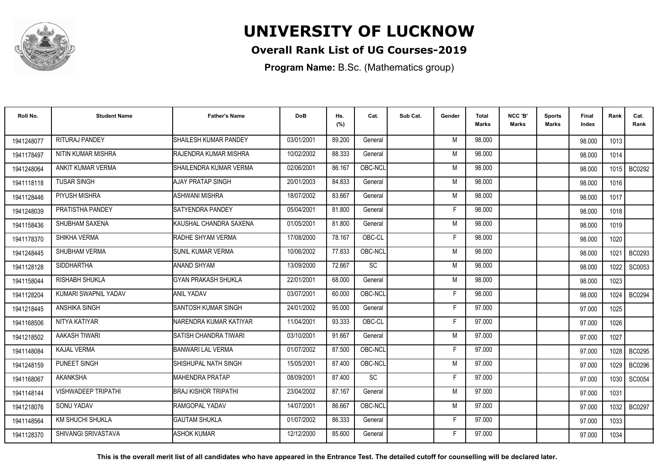

### **Overall Rank List of UG Courses-2019**

**Program Name:** B.Sc. (Mathematics group)

| Roll No.   | <b>Student Name</b>     | <b>Father's Name</b>        | <b>DoB</b> | Hs.<br>(%) | Cat.      | Sub Cat. | Gender | <b>Total</b><br>Marks | NCC 'B'<br><b>Marks</b> | Sports<br>Marks | <b>Final</b><br>Index | Rank | Cat.<br>Rank  |
|------------|-------------------------|-----------------------------|------------|------------|-----------|----------|--------|-----------------------|-------------------------|-----------------|-----------------------|------|---------------|
| 1941248077 | RITURAJ PANDEY          | SHAILESH KUMAR PANDEY       | 03/01/2001 | 89.200     | General   |          | M      | 98.000                |                         |                 | 98.000                | 1013 |               |
| 1941178497 | NITIN KUMAR MISHRA      | RAJENDRA KUMAR MISHRA       | 10/02/2002 | 88.333     | General   |          | M      | 98.000                |                         |                 | 98.000                | 1014 |               |
| 1941248064 | ANKIT KUMAR VERMA       | SHAILENDRA KUMAR VERMA      | 02/06/2001 | 86.167     | OBC-NCL   |          | M      | 98.000                |                         |                 | 98.000                | 1015 | BC0292        |
| 1941118118 | <b>TUSAR SINGH</b>      | AJAY PRATAP SINGH           | 20/01/2003 | 84.833     | General   |          | M      | 98.000                |                         |                 | 98.000                | 1016 |               |
| 1941128446 | PIYUSH MISHRA           | ASHWANI MISHRA              | 18/07/2002 | 83.667     | General   |          | M      | 98.000                |                         |                 | 98.000                | 1017 |               |
| 1941248039 | PRATISTHA PANDEY        | <b>SATYENDRA PANDEY</b>     | 05/04/2001 | 81.800     | General   |          | E      | 98.000                |                         |                 | 98.000                | 1018 |               |
| 1941158436 | SHUBHAM SAXENA          | KAUSHAL CHANDRA SAXENA      | 01/05/2001 | 81.800     | General   |          | M      | 98.000                |                         |                 | 98.000                | 1019 |               |
| 1941178370 | <b>SHIKHA VERMA</b>     | <b>RADHE SHYAM VERMA</b>    | 17/08/2000 | 78.167     | OBC-CL    |          | F      | 98.000                |                         |                 | 98.000                | 1020 |               |
| 1941248445 | SHUBHAM VERMA           | <b>SUNIL KUMAR VERMA</b>    | 10/06/2002 | 77.833     | OBC-NCL   |          | M      | 98.000                |                         |                 | 98.000                | 1021 | BC0293        |
| 1941128128 | <b>SIDDHARTHA</b>       | ANAND SHYAM                 | 13/09/2000 | 72.667     | <b>SC</b> |          | M      | 98.000                |                         |                 | 98.000                | 1022 | SC0053        |
| 1941158044 | RISHABH SHUKLA          | <b>GYAN PRAKASH SHUKLA</b>  | 22/01/2001 | 68.000     | General   |          | M      | 98.000                |                         |                 | 98.000                | 1023 |               |
| 1941128204 | KUMARI SWAPNIL YADAV    | <b>ANIL YADAV</b>           | 03/07/2001 | 60.000     | OBC-NCL   |          | F.     | 98.000                |                         |                 | 98.000                | 1024 | <b>BC0294</b> |
| 1941218445 | ANSHIKA SINGH           | <b>SANTOSH KUMAR SINGH</b>  | 24/01/2002 | 95.000     | General   |          | F      | 97.000                |                         |                 | 97.000                | 1025 |               |
| 1941168506 | NITYA KATIYAR           | NARENDRA KUMAR KATIYAR      | 11/04/2001 | 93.333     | OBC-CL    |          | F      | 97.000                |                         |                 | 97.000                | 1026 |               |
| 1941218502 | AAKASH TIWARI           | SATISH CHANDRA TIWARI       | 03/10/2001 | 91.667     | General   |          | M      | 97.000                |                         |                 | 97.000                | 1027 |               |
| 1941148084 | <b>KAJAL VERMA</b>      | <b>BANWARI LAL VERMA</b>    | 01/07/2002 | 87.500     | OBC-NCL   |          | F      | 97.000                |                         |                 | 97.000                | 1028 | <b>BC0295</b> |
| 1941248159 | PUNEET SINGH            | SHISHUPAL NATH SINGH        | 15/05/2001 | 87.400     | OBC-NCL   |          | M      | 97.000                |                         |                 | 97.000                | 1029 | <b>BC0296</b> |
| 1941168067 | <b>AKANKSHA</b>         | <b>MAHENDRA PRATAP</b>      | 08/09/2001 | 87.400     | <b>SC</b> |          | F      | 97.000                |                         |                 | 97.000                | 1030 | SC0054        |
| 1941148144 | VISHWADEEP TRIPATHI     | <b>BRAJ KISHOR TRIPATHI</b> | 23/04/2002 | 87.167     | General   |          | M      | 97.000                |                         |                 | 97.000                | 1031 |               |
| 1941218076 | <b>SONU YADAV</b>       | <b>RAMGOPAL YADAV</b>       | 14/07/2001 | 86.667     | OBC-NCL   |          | M      | 97.000                |                         |                 | 97.000                | 1032 | <b>BC0297</b> |
| 1941148564 | <b>KM SHUCHI SHUKLA</b> | <b>GAUTAM SHUKLA</b>        | 01/07/2002 | 86.333     | General   |          | F      | 97.000                |                         |                 | 97.000                | 1033 |               |
| 1941128370 | SHIVANGI SRIVASTAVA     | <b>ASHOK KUMAR</b>          | 12/12/2000 | 85.600     | General   |          | F      | 97.000                |                         |                 | 97.000                | 1034 |               |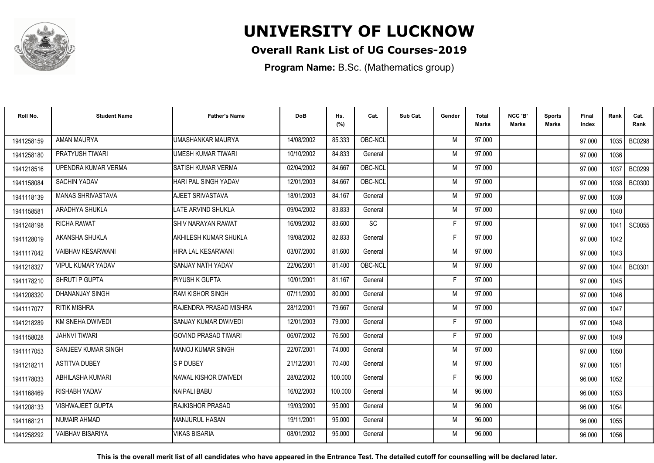

### **Overall Rank List of UG Courses-2019**

**Program Name:** B.Sc. (Mathematics group)

| Roll No.   | <b>Student Name</b>      | <b>Father's Name</b>         | <b>DoB</b> | Hs.<br>(%) | Cat.      | Sub Cat. | Gender | <b>Total</b><br><b>Marks</b> | NCC 'B'<br><b>Marks</b> | <b>Sports</b><br>Marks | Final<br>Index | Rank   | Cat.<br>Rank  |
|------------|--------------------------|------------------------------|------------|------------|-----------|----------|--------|------------------------------|-------------------------|------------------------|----------------|--------|---------------|
| 1941258159 | AMAN MAURYA              | UMASHANKAR MAURYA            | 14/08/2002 | 85.333     | OBC-NCL   |          | M      | 97.000                       |                         |                        | 97.000         | 1035 l | <b>BC0298</b> |
| 1941258180 | <b>PRATYUSH TIWARI</b>   | UMESH KUMAR TIWARI           | 10/10/2002 | 84.833     | General   |          | M      | 97.000                       |                         |                        | 97.000         | 1036   |               |
| 1941218516 | UPENDRA KUMAR VERMA      | <b>I</b> SATISH KUMAR VERMA  | 02/04/2002 | 84.667     | OBC-NCL   |          | M      | 97.000                       |                         |                        | 97.000         | 1037   | <b>BC0299</b> |
| 1941158084 | <b>SACHIN YADAV</b>      | HARI PAL SINGH YADAV         | 12/01/2003 | 84.667     | OBC-NCL   |          | M      | 97.000                       |                         |                        | 97.000         | 1038   | <b>BC0300</b> |
| 1941118139 | <b>MANAS SHRIVASTAVA</b> | AJEET SRIVASTAVA             | 18/01/2003 | 84.167     | General   |          | M      | 97.000                       |                         |                        | 97.000         | 1039   |               |
| 1941158581 | ARADHYA SHUKLA           | LATE ARVIND SHUKLA           | 09/04/2002 | 83.833     | General   |          | M      | 97.000                       |                         |                        | 97.000         | 1040   |               |
| 1941248198 | RICHA RAWAT              | <b>ISHIV NARAYAN RAWAT</b>   | 16/09/2002 | 83.600     | <b>SC</b> |          | F      | 97.000                       |                         |                        | 97.000         | 1041   | SC0055        |
| 1941128019 | AKANSHA SHUKLA           | AKHILESH KUMAR SHUKLA        | 19/08/2002 | 82.833     | General   |          | E      | 97.000                       |                         |                        | 97.000         | 1042   |               |
| 1941117042 | <b>VAIBHAV KESARWANI</b> | <b>HIRA LAL KESARWANI</b>    | 03/07/2000 | 81.600     | General   |          | M      | 97.000                       |                         |                        | 97.000         | 1043   |               |
| 1941218327 | <b>VIPUL KUMAR YADAV</b> | ISANJAY NATH YADAV           | 22/06/2001 | 81.400     | OBC-NCL   |          | M      | 97.000                       |                         |                        | 97.000         | 1044   | <b>BC0301</b> |
| 1941178210 | SHRUTI P GUPTA           | PIYUSH K GUPTA               | 10/01/2001 | 81.167     | General   |          | Е      | 97.000                       |                         |                        | 97.000         | 1045   |               |
| 1941208320 | <b>DHANANJAY SINGH</b>   | <b>RAM KISHOR SINGH</b>      | 07/11/2000 | 80.000     | General   |          | M      | 97.000                       |                         |                        | 97.000         | 1046   |               |
| 1941117077 | <b>RITIK MISHRA</b>      | IRAJENDRA PRASAD MISHRA      | 28/12/2001 | 79.667     | General   |          | M      | 97.000                       |                         |                        | 97.000         | 1047   |               |
| 1941218289 | KM SNEHA DWIVEDI         | <b>ISANJAY KUMAR DWIVEDI</b> | 12/01/2003 | 79.000     | General   |          | F      | 97.000                       |                         |                        | 97.000         | 1048   |               |
| 1941158028 | <b>JAHNVI TIWARI</b>     | <b>GOVIND PRASAD TIWARI</b>  | 06/07/2002 | 76.500     | General   |          | Е      | 97.000                       |                         |                        | 97.000         | 1049   |               |
| 1941117053 | SANJEEV KUMAR SINGH      | <b>MANOJ KUMAR SINGH</b>     | 22/07/2001 | 74.000     | General   |          | M      | 97.000                       |                         |                        | 97.000         | 1050   |               |
| 1941218211 | <b>ASTITVA DUBEY</b>     | <b>SP DUBEY</b>              | 21/12/2001 | 70.400     | General   |          | M      | 97.000                       |                         |                        | 97.000         | 1051   |               |
| 1941178033 | <b>ABHILASHA KUMARI</b>  | INAWAL KISHOR DWIVEDI        | 28/02/2002 | 100.000    | General   |          | F      | 96.000                       |                         |                        | 96.000         | 1052   |               |
| 1941168469 | <b>RISHABH YADAV</b>     | NAIPALI BABU                 | 16/02/2003 | 100.000    | General   |          | M      | 96.000                       |                         |                        | 96.000         | 1053   |               |
| 1941208133 | VISHWAJEET GUPTA         | <b>RAJKISHOR PRASAD</b>      | 19/03/2000 | 95.000     | General   |          | M      | 96.000                       |                         |                        | 96.000         | 1054   |               |
| 1941168121 | <b>NUMAIR AHMAD</b>      | <b>I</b> MANJURUL HASAN      | 19/11/2001 | 95.000     | General   |          | M      | 96.000                       |                         |                        | 96.000         | 1055   |               |
| 1941258292 | <b>VAIBHAV BISARIYA</b>  | <b>VIKAS BISARIA</b>         | 08/01/2002 | 95.000     | General   |          | M      | 96.000                       |                         |                        | 96.000         | 1056   |               |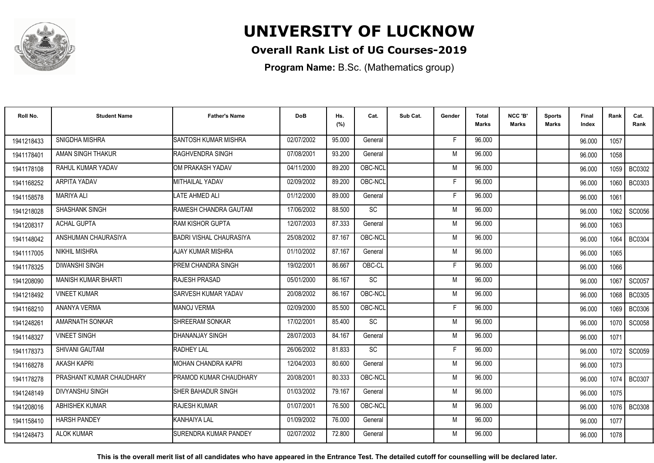

### **Overall Rank List of UG Courses-2019**

**Program Name:** B.Sc. (Mathematics group)

| Roll No.   | <b>Student Name</b>        | <b>Father's Name</b>           | <b>DoB</b> | Hs.<br>(%) | Cat.      | Sub Cat. | Gender | <b>Total</b><br>Marks | NCC 'B'<br><b>Marks</b> | Sports<br><b>Marks</b> | Final<br>Index | Rank   | Cat.<br>Rank  |
|------------|----------------------------|--------------------------------|------------|------------|-----------|----------|--------|-----------------------|-------------------------|------------------------|----------------|--------|---------------|
| 1941218433 | SNIGDHA MISHRA             | <b>SANTOSH KUMAR MISHRA</b>    | 02/07/2002 | 95.000     | General   |          | -F     | 96.000                |                         |                        | 96.000         | 1057   |               |
| 1941178401 | AMAN SINGH THAKUR          | <b>RAGHVENDRA SINGH</b>        | 07/08/2001 | 93.200     | General   |          | M      | 96.000                |                         |                        | 96.000         | 1058   |               |
| 1941178108 | RAHUL KUMAR YADAV          | IOM PRAKASH YADAV              | 04/11/2000 | 89.200     | OBC-NCL   |          | M      | 96.000                |                         |                        | 96.000         | 1059   | BC0302        |
| 1941168252 | ARPITA YADAV               | <b>MITHAILAL YADAV</b>         | 02/09/2002 | 89.200     | OBC-NCL   |          | E      | 96.000                |                         |                        | 96.000         | 1060   | <b>BC0303</b> |
| 1941158578 | <b>MARIYA ALI</b>          | <b>LATE AHMED ALI</b>          | 01/12/2000 | 89.000     | General   |          | F      | 96.000                |                         |                        | 96.000         | 1061   |               |
| 1941218028 | <b>SHASHANK SINGH</b>      | RAMESH CHANDRA GAUTAM          | 17/06/2002 | 88.500     | <b>SC</b> |          | M      | 96.000                |                         |                        | 96.000         | 1062   | SC0056        |
| 1941208317 | <b>ACHAL GUPTA</b>         | <b>RAM KISHOR GUPTA</b>        | 12/07/2003 | 87.333     | General   |          | M      | 96.000                |                         |                        | 96.000         | 1063   |               |
| 1941148042 | ANSHUMAN CHAURASIYA        | <b>BADRI VISHAL CHAURASIYA</b> | 25/08/2002 | 87.167     | OBC-NCL   |          | M      | 96.000                |                         |                        | 96.000         | 1064   | <b>BC0304</b> |
| 1941117005 | NIKHIL MISHRA              | AJAY KUMAR MISHRA              | 01/10/2002 | 87.167     | General   |          | M      | 96.000                |                         |                        | 96.000         | 1065   |               |
| 1941178325 | <b>DIWANSHI SINGH</b>      | <b>PREM CHANDRA SINGH</b>      | 19/02/2001 | 86.667     | OBC-CL    |          | F      | 96.000                |                         |                        | 96.000         | 1066   |               |
| 1941208090 | <b>MANISH KUMAR BHARTI</b> | RAJESH PRASAD                  | 05/01/2000 | 86.167     | <b>SC</b> |          | M      | 96.000                |                         |                        | 96.000         | 1067   | SC0057        |
| 1941218492 | <b>VINEET KUMAR</b>        | <b>ISARVESH KUMAR YADAV</b>    | 20/08/2002 | 86.167     | OBC-NCL   |          | M      | 96.000                |                         |                        | 96.000         | 1068   | <b>BC0305</b> |
| 1941168210 | ANANYA VERMA               | <b>MANOJ VERMA</b>             | 02/09/2000 | 85.500     | OBC-NCL   |          | Е      | 96.000                |                         |                        | 96.000         | 1069   | <b>BC0306</b> |
| 1941248261 | AMARNATH SONKAR            | <b>ISHREERAM SONKAR</b>        | 17/02/2001 | 85.400     | <b>SC</b> |          | M      | 96.000                |                         |                        | 96.000         | 1070   | SC0058        |
| 1941148327 | <b>VINEET SINGH</b>        | DHANANJAY SINGH                | 28/07/2003 | 84.167     | General   |          | M      | 96.000                |                         |                        | 96.000         | 1071   |               |
| 1941178373 | SHIVANI GAUTAM             | <b>RADHEY LAL</b>              | 26/06/2002 | 81.833     | <b>SC</b> |          | F      | 96.000                |                         |                        | 96.000         | 1072   | SC0059        |
| 1941168278 | <b>AKASH KAPRI</b>         | IMOHAN CHANDRA KAPRI           | 12/04/2003 | 80.600     | General   |          | M      | 96.000                |                         |                        | 96.000         | 1073   |               |
| 1941178278 | PRASHANT KUMAR CHAUDHARY   | PRAMOD KUMAR CHAUDHARY         | 20/08/2001 | 80.333     | OBC-NCL   |          | M      | 96.000                |                         |                        | 96.000         | 1074 l | <b>BC0307</b> |
| 1941248149 | <b>DIVYANSHU SINGH</b>     | <b>ISHER BAHADUR SINGH</b>     | 01/03/2002 | 79.167     | General   |          | M      | 96.000                |                         |                        | 96.000         | 1075   |               |
| 1941208016 | <b>ABHISHEK KUMAR</b>      | <b>RAJESH KUMAR</b>            | 01/07/2001 | 76.500     | OBC-NCL   |          | M      | 96.000                |                         |                        | 96.000         | 1076 I | <b>BC0308</b> |
| 1941158410 | <b>HARSH PANDEY</b>        | KANHAIYA LAL                   | 01/09/2002 | 76.000     | General   |          | M      | 96.000                |                         |                        | 96.000         | 1077   |               |
| 1941248473 | <b>ALOK KUMAR</b>          | <b>I</b> SURENDRA KUMAR PANDEY | 02/07/2002 | 72.800     | General   |          | M      | 96.000                |                         |                        | 96.000         | 1078   |               |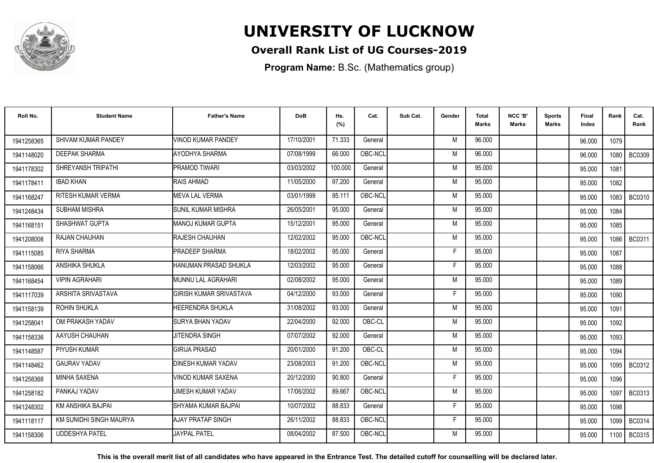

### **Overall Rank List of UG Courses-2019**

**Program Name:** B.Sc. (Mathematics group)

| Roll No.   | <b>Student Name</b>       | <b>Father's Name</b>           | <b>DoB</b> | Hs.<br>(%) | Cat.    | Sub Cat. | Gender | <b>Total</b><br><b>Marks</b> | NCC 'B'<br><b>Marks</b> | Sports<br>Marks | Final<br>Index | Rank   | Cat.<br>Rank  |
|------------|---------------------------|--------------------------------|------------|------------|---------|----------|--------|------------------------------|-------------------------|-----------------|----------------|--------|---------------|
| 1941258365 | SHIVAM KUMAR PANDEY       | <b>VINOD KUMAR PANDEY</b>      | 17/10/2001 | 71.333     | General |          | M      | 96.000                       |                         |                 | 96.000         | 1079   |               |
| 1941148020 | <b>DEEPAK SHARMA</b>      | AYODHYA SHARMA                 | 07/08/1999 | 66.000     | OBC-NCL |          | M      | 96.000                       |                         |                 | 96.000         | 1080 l | <b>BC0309</b> |
| 1941178302 | SHREYANSH TRIPATHI        | PRAMOD TIWARI                  | 03/03/2002 | 100.000    | General |          | M      | 95.000                       |                         |                 | 95.000         | 1081   |               |
| 1941178411 | <b>IBAD KHAN</b>          | RAIS AHMAD                     | 11/05/2000 | 97.200     | General |          | M      | 95.000                       |                         |                 | 95.000         | 1082   |               |
| 1941168247 | RITESH KUMAR VERMA        | <b>MEVA LAL VERMA</b>          | 03/01/1999 | 95.111     | OBC-NCL |          | M      | 95.000                       |                         |                 | 95.000         | 1083   | BC0310        |
| 1941248434 | <b>SUBHAM MISHRA</b>      | <b>SUNIL KUMAR MISHRA</b>      | 26/05/2001 | 95.000     | General |          | M      | 95.000                       |                         |                 | 95.000         | 1084   |               |
| 1941168151 | SHASHWAT GUPTA            | IMANOJ KUMAR GUPTA             | 15/12/2001 | 95.000     | General |          | M      | 95.000                       |                         |                 | 95.000         | 1085   |               |
| 1941208008 | <b>RAJAN CHAUHAN</b>      | <b>IRAJESH CHAUHAN</b>         | 12/02/2002 | 95.000     | OBC-NCL |          | M      | 95.000                       |                         |                 | 95.000         |        | 1086   BC0311 |
| 1941115085 | <b>RIYA SHARMA</b>        | <b>PRADEEP SHARMA</b>          | 18/02/2002 | 95.000     | General |          | F      | 95.000                       |                         |                 | 95.000         | 1087   |               |
| 1941158066 | ANSHIKA SHUKLA            | HANUMAN PRASAD SHUKLA          | 12/03/2002 | 95.000     | General |          | F      | 95.000                       |                         |                 | 95.000         | 1088   |               |
| 1941168454 | <b>VIPIN AGRAHARI</b>     | <b>MUNNU LAL AGRAHARI</b>      | 02/08/2002 | 95.000     | General |          | M      | 95.000                       |                         |                 | 95.000         | 1089   |               |
| 1941117039 | <b>ARSHITA SRIVASTAVA</b> | <b>GIRISH KUMAR SRIVASTAVA</b> | 04/12/2000 | 93.000     | General |          | F      | 95.000                       |                         |                 | 95.000         | 1090   |               |
| 1941158139 | <b>ROHIN SHUKLA</b>       | <b>HEERENDRA SHUKLA</b>        | 31/08/2002 | 93.000     | General |          | M      | 95.000                       |                         |                 | 95.000         | 1091   |               |
| 1941258041 | OM PRAKASH YADAV          | <b>SURYA BHAN YADAV</b>        | 22/04/2000 | 92.000     | OBC-CL  |          | M      | 95.000                       |                         |                 | 95.000         | 1092   |               |
| 1941158336 | AAYUSH CHAUHAN            | <b>JITENDRA SINGH</b>          | 07/07/2002 | 92.000     | General |          | M      | 95.000                       |                         |                 | 95.000         | 1093   |               |
| 1941148587 | PIYUSH KUMAR              | <b>GIRIJA PRASAD</b>           | 20/01/2000 | 91.200     | OBC-CL  |          | M      | 95.000                       |                         |                 | 95.000         | 1094   |               |
| 1941148462 | <b>GAURAV YADAV</b>       | <b>DINESH KUMAR YADAV</b>      | 23/08/2003 | 91.200     | OBC-NCL |          | M      | 95.000                       |                         |                 | 95.000         |        | 1095   BC0312 |
| 1941258368 | <b>MINHA SAXENA</b>       | VINOD KUMAR SAXENA             | 20/12/2000 | 90.800     | General |          | F      | 95.000                       |                         |                 | 95.000         | 1096   |               |
| 1941258182 | PANKAJ YADAV              | UMESH KUMAR YADAV              | 17/06/2002 | 89.667     | OBC-NCL |          | M      | 95.000                       |                         |                 | 95.000         | 1097   | BC0313        |
| 1941248302 | KM ANSHIKA BAJPAI         | SHYAMA KUMAR BAJPAI            | 10/07/2002 | 88.833     | General |          | F      | 95.000                       |                         |                 | 95.000         | 1098   |               |
| 1941118117 | KM SUNIDHI SINGH MAURYA   | AJAY PRATAP SINGH              | 26/11/2002 | 88.833     | OBC-NCL |          | F      | 95.000                       |                         |                 | 95.000         | 1099   | BC0314        |
| 1941158306 | <b>UDDESHYA PATEL</b>     | <b>JAYPAL PATEL</b>            | 08/04/2002 | 87.500     | OBC-NCL |          | M      | 95.000                       |                         |                 | 95.000         | 1100   | BC0315        |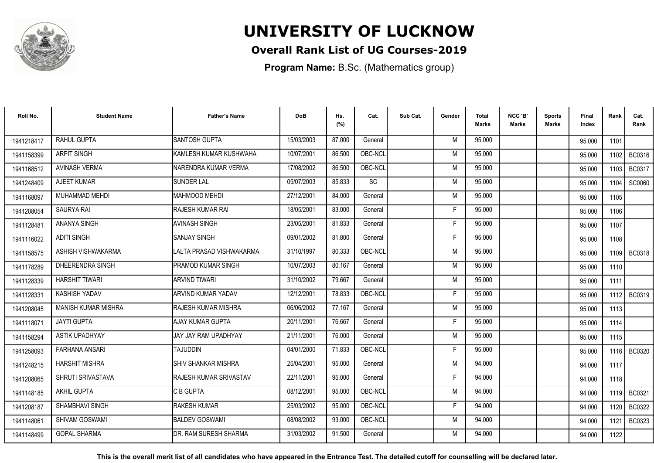

### **Overall Rank List of UG Courses-2019**

**Program Name:** B.Sc. (Mathematics group)

| Roll No.   | <b>Student Name</b>        | <b>Father's Name</b>          | <b>DoB</b> | Hs.<br>(%) | Cat.    | Sub Cat. | Gender | <b>Total</b><br>Marks | NCC 'B'<br><b>Marks</b> | Sports<br>Marks | Final<br>Index | Rank   | Cat.<br>Rank  |
|------------|----------------------------|-------------------------------|------------|------------|---------|----------|--------|-----------------------|-------------------------|-----------------|----------------|--------|---------------|
| 1941218417 | RAHUL GUPTA                | <b>SANTOSH GUPTA</b>          | 15/03/2003 | 87.000     | General |          | M      | 95.000                |                         |                 | 95.000         | 1101   |               |
| 1941158399 | <b>ARPIT SINGH</b>         | KAMLESH KUMAR KUSHWAHA        | 10/07/2001 | 86.500     | OBC-NCL |          | M      | 95.000                |                         |                 | 95.000         | 1102   | BC0316        |
| 1941168512 | <b>AVINASH VERMA</b>       | NARENDRA KUMAR VERMA          | 17/08/2002 | 86.500     | OBC-NCL |          | M      | 95.000                |                         |                 | 95.000         | 1103   | BC0317        |
| 1941248409 | AJEET KUMAR                | <b>SUNDER LAL</b>             | 05/07/2003 | 85.833     | SC      |          | M      | 95.000                |                         |                 | 95.000         | 1104   | <b>SC0060</b> |
| 1941168097 | MUHAMMAD MEHDI             | <b>MAHMOOD MEHDI</b>          | 27/12/2001 | 84.000     | General |          | M      | 95.000                |                         |                 | 95.000         | 1105   |               |
| 1941208054 | <b>SAURYA RAI</b>          | RAJESH KUMAR RAI              | 18/05/2001 | 83.000     | General |          | Е      | 95.000                |                         |                 | 95.000         | 1106   |               |
| 1941128481 | <b>ANANYA SINGH</b>        | <b>AVINASH SINGH</b>          | 23/05/2001 | 81.833     | General |          | F      | 95.000                |                         |                 | 95.000         | 1107   |               |
| 1941116022 | <b>ADITI SINGH</b>         | <b>SANJAY SINGH</b>           | 09/01/2002 | 81.800     | General |          | E      | 95.000                |                         |                 | 95.000         | 1108   |               |
| 1941158575 | ASHISH VISHWAKARMA         | LALTA PRASAD VISHWAKARMA      | 31/10/1997 | 80.333     | OBC-NCL |          | M      | 95.000                |                         |                 | 95.000         |        | 1109   BC0318 |
| 1941178289 | DHEERENDRA SINGH           | <b>PRAMOD KUMAR SINGH</b>     | 10/07/2003 | 80.167     | General |          | M      | 95.000                |                         |                 | 95.000         | 1110   |               |
| 1941128339 | <b>HARSHIT TIWARI</b>      | <b>ARVIND TIWARI</b>          | 31/10/2002 | 79.667     | General |          | M      | 95.000                |                         |                 | 95.000         | 1111   |               |
| 1941128331 | <b>KASHISH YADAV</b>       | <b>ARVIND KUMAR YADAV</b>     | 12/12/2001 | 78.833     | OBC-NCL |          | F.     | 95.000                |                         |                 | 95.000         | 1112 l | BC0319        |
| 1941208045 | <b>MANISH KUMAR MISHRA</b> | RAJESH KUMAR MISHRA           | 06/06/2002 | 77.167     | General |          | M      | 95.000                |                         |                 | 95.000         | 1113   |               |
| 1941118071 | <b>JAYTI GUPTA</b>         | AJAY KUMAR GUPTA              | 20/11/2001 | 76.667     | General |          | F      | 95.000                |                         |                 | 95.000         | 1114   |               |
| 1941158294 | ASTIK UPADHYAY             | JAY JAY RAM UPADHYAY          | 21/11/2001 | 76.000     | General |          | M      | 95.000                |                         |                 | 95.000         | 1115   |               |
| 1941258093 | <b>FARHANA ANSARI</b>      | <b>TAJUDDIN</b>               | 04/01/2000 | 71.833     | OBC-NCL |          | F      | 95.000                |                         |                 | 95.000         | 1116   | <b>BC0320</b> |
| 1941248215 | <b>HARSHIT MISHRA</b>      | <b>SHIV SHANKAR MISHRA</b>    | 25/04/2001 | 95.000     | General |          | M      | 94.000                |                         |                 | 94.000         | 1117   |               |
| 1941208065 | SHRUTI SRIVASTAVA          | <b>RAJESH KUMAR SRIVASTAV</b> | 22/11/2001 | 95.000     | General |          | F      | 94.000                |                         |                 | 94.000         | 1118   |               |
| 1941148185 | AKHIL GUPTA                | C B GUPTA                     | 08/12/2001 | 95.000     | OBC-NCL |          | M      | 94.000                |                         |                 | 94.000         |        | 1119   BC0321 |
| 1941208187 | <b>SHAMBHAVI SINGH</b>     | <b>RAKESH KUMAR</b>           | 25/03/2002 | 95.000     | OBC-NCL |          | F      | 94.000                |                         |                 | 94.000         | 1120   | <b>BC0322</b> |
| 1941148061 | SHIVAM GOSWAMI             | <b>BALDEV GOSWAMI</b>         | 08/08/2002 | 93.000     | OBC-NCL |          | M      | 94.000                |                         |                 | 94.000         | 1121   | <b>BC0323</b> |
| 1941148499 | <b>GOPAL SHARMA</b>        | DR. RAM SURESH SHARMA         | 31/03/2002 | 91.500     | General |          | M      | 94.000                |                         |                 | 94.000         | 1122   |               |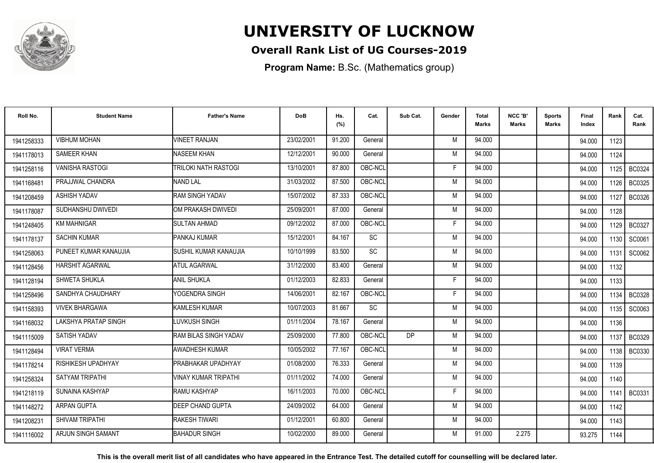

### **Overall Rank List of UG Courses-2019**

**Program Name:** B.Sc. (Mathematics group)

| Roll No.   | <b>Student Name</b>       | <b>Father's Name</b>        | <b>DoB</b> | Hs.<br>(%) | Cat.      | Sub Cat.  | Gender | <b>Total</b><br><b>Marks</b> | NCC 'B'<br><b>Marks</b> | <b>Sports</b><br>Marks | Final<br>Index | Rank   | Cat.<br>Rank  |
|------------|---------------------------|-----------------------------|------------|------------|-----------|-----------|--------|------------------------------|-------------------------|------------------------|----------------|--------|---------------|
| 1941258333 | <b>VIBHUM MOHAN</b>       | <b>VINEET RANJAN</b>        | 23/02/2001 | 91.200     | General   |           | M      | 94.000                       |                         |                        | 94.000         | 1123   |               |
| 1941178013 | SAMEER KHAN               | <b>NASEEM KHAN</b>          | 12/12/2001 | 90.000     | General   |           | M      | 94.000                       |                         |                        | 94.000         | 1124   |               |
| 1941258116 | <b>VANISHA RASTOGI</b>    | ITRILOKI NATH RASTOGI       | 13/10/2001 | 87.800     | OBC-NCL   |           | F      | 94.000                       |                         |                        | 94.000         | 1125   | BC0324        |
| 1941168481 | PRAJJWAL CHANDRA          | <b>NAND LAL</b>             | 31/03/2002 | 87.500     | OBC-NCL   |           | M      | 94.000                       |                         |                        | 94.000         | 1126   | <b>BC0325</b> |
| 1941208459 | <b>ASHISH YADAV</b>       | <b>RAM SINGH YADAV</b>      | 15/07/2002 | 87.333     | OBC-NCL   |           | M      | 94.000                       |                         |                        | 94.000         | 1127   | <b>BC0326</b> |
| 1941178087 | SUDHANSHU DWIVEDI         | OM PRAKASH DWIVEDI          | 25/09/2001 | 87.000     | General   |           | M      | 94.000                       |                         |                        | 94.000         | 1128   |               |
| 1941248405 | <b>KM MAHNIGAR</b>        | <b>SULTAN AHMAD</b>         | 09/12/2002 | 87.000     | OBC-NCL   |           | F      | 94.000                       |                         |                        | 94.000         | 1129   | <b>BC0327</b> |
| 1941178137 | <b>SACHIN KUMAR</b>       | PANKAJ KUMAR                | 15/12/2001 | 84.167     | <b>SC</b> |           | M      | 94.000                       |                         |                        | 94.000         | 1130   | SC0061        |
| 1941258063 | PUNEET KUMAR KANAUJIA     | İSUSHIL KUMAR KANAUJIA      | 10/10/1999 | 83.500     | <b>SC</b> |           | M      | 94.000                       |                         |                        | 94.000         | 1131   | SC0062        |
| 1941128456 | <b>HARSHIT AGARWAL</b>    | <b>ATUL AGARWAL</b>         | 31/12/2000 | 83.400     | General   |           | M      | 94.000                       |                         |                        | 94.000         | 1132   |               |
| 1941128194 | SHWETA SHUKLA             | <b>ANIL SHUKLA</b>          | 01/12/2003 | 82.833     | General   |           | Е      | 94.000                       |                         |                        | 94.000         | 1133   |               |
| 1941258496 | SANDHYA CHAUDHARY         | YOGENDRA SINGH              | 14/06/2001 | 82.167     | OBC-NCL   |           | F      | 94.000                       |                         |                        | 94.000         | 1134   | <b>BC0328</b> |
| 1941158393 | <b>VIVEK BHARGAWA</b>     | KAMLESH KUMAR               | 10/07/2003 | 81.667     | SC        |           | M      | 94.000                       |                         |                        | 94.000         | 1135 I | SC0063        |
| 1941168032 | LAKSHYA PRATAP SINGH      | LUVKUSH SINGH               | 01/11/2004 | 78.167     | General   |           | M      | 94.000                       |                         |                        | 94.000         | 1136   |               |
| 1941115009 | SATISH YADAV              | RAM BILAS SINGH YADAV       | 25/09/2000 | 77.800     | OBC-NCL   | <b>DP</b> | M      | 94.000                       |                         |                        | 94.000         | 1137   | <b>BC0329</b> |
| 1941128494 | <b>VIRAT VERMA</b>        | AWADHESH KUMAR              | 10/05/2002 | 77.167     | OBC-NCL   |           | M      | 94.000                       |                         |                        | 94.000         | 1138   | <b>BC0330</b> |
| 1941178214 | RISHIKESH UPADHYAY        | <b>PRABHAKAR UPADHYAY</b>   | 01/08/2000 | 76.333     | General   |           | M      | 94.000                       |                         |                        | 94.000         | 1139   |               |
| 1941258324 | SATYAM TRIPATHI           | <b>VINAY KUMAR TRIPATHI</b> | 01/11/2002 | 74.000     | General   |           | M      | 94.000                       |                         |                        | 94.000         | 1140   |               |
| 1941218119 | SUNAINA KASHYAP           | RAMU KASHYAP                | 16/11/2003 | 70.000     | OBC-NCL   |           | F      | 94.000                       |                         |                        | 94.000         | 1141   | <b>BC0331</b> |
| 1941148272 | <b>ARPAN GUPTA</b>        | <b>DEEP CHAND GUPTA</b>     | 24/09/2002 | 64.000     | General   |           | M      | 94.000                       |                         |                        | 94.000         | 1142   |               |
| 1941208231 | SHIVAM TRIPATHI           | <b>IRAKESH TIWARI</b>       | 01/12/2001 | 60.800     | General   |           | M      | 94.000                       |                         |                        | 94.000         | 1143   |               |
| 1941116002 | <b>ARJUN SINGH SAMANT</b> | <b>BAHADUR SINGH</b>        | 10/02/2000 | 89.000     | General   |           | M      | 91.000                       | 2.275                   |                        | 93.275         | 1144   |               |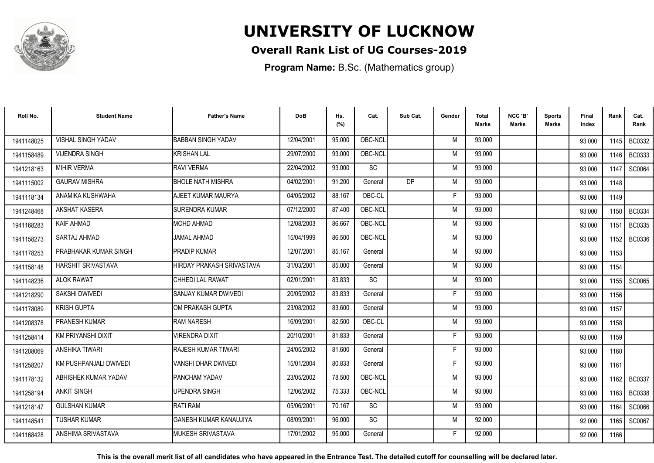

### **Overall Rank List of UG Courses-2019**

**Program Name:** B.Sc. (Mathematics group)

| Roll No.   | <b>Student Name</b>       | <b>Father's Name</b>      | <b>DoB</b> | Hs.<br>(%) | Cat.      | Sub Cat.  | Gender | Total<br><b>Marks</b> | NCC 'B'<br><b>Marks</b> | Sports<br>Marks | Final<br>Index | Rank   | Cat.<br>Rank  |
|------------|---------------------------|---------------------------|------------|------------|-----------|-----------|--------|-----------------------|-------------------------|-----------------|----------------|--------|---------------|
| 1941148025 | <b>VISHAL SINGH YADAV</b> | <b>BABBAN SINGH YADAV</b> | 12/04/2001 | 95.000     | OBC-NCL   |           | M      | 93.000                |                         |                 | 93.000         | 1145 l | BC0332        |
| 1941158489 | <b>VIJENDRA SINGH</b>     | KRISHAN LAL               | 29/07/2000 | 93.000     | OBC-NCL   |           | M      | 93.000                |                         |                 | 93.000         | 1146 l | BC0333        |
| 1941218163 | <b>MIHIR VERMA</b>        | RAVI VERMA                | 22/04/2002 | 93.000     | SC        |           | M      | 93.000                |                         |                 | 93.000         | 1147   | SC0064        |
| 1941115002 | <b>GAURAV MISHRA</b>      | <b>BHOLE NATH MISHRA</b>  | 04/02/2001 | 91.200     | General   | <b>DP</b> | M      | 93.000                |                         |                 | 93.000         | 1148   |               |
| 1941118134 | ANAMIKA KUSHWAHA          | AJEET KUMAR MAURYA        | 04/05/2002 | 88.167     | OBC-CL    |           | F      | 93.000                |                         |                 | 93.000         | 1149   |               |
| 1941248468 | <b>AKSHAT KASERA</b>      | <b>SURENDRA KUMAR</b>     | 07/12/2000 | 87.400     | OBC-NCL   |           | M      | 93.000                |                         |                 | 93.000         | 1150   | BC0334        |
| 1941168283 | <b>KAIF AHMAD</b>         | <b>MOHD AHMAD</b>         | 12/08/2003 | 86.667     | OBC-NCL   |           | M      | 93.000                |                         |                 | 93.000         | 1151   | BC0335        |
| 1941158273 | SARTAJ AHMAD              | <b>JAMAL AHMAD</b>        | 15/04/1999 | 86.500     | OBC-NCL   |           | M      | 93.000                |                         |                 | 93.000         | 1152   | <b>BC0336</b> |
| 1941178253 | PRABHAKAR KUMAR SINGH     | <b>PRADIP KUMAR</b>       | 12/07/2001 | 85.167     | General   |           | M      | 93.000                |                         |                 | 93.000         | 1153   |               |
| 1941158148 | HARSHIT SRIVASTAVA        | HIRDAY PRAKASH SRIVASTAVA | 31/03/2001 | 85.000     | General   |           | M      | 93.000                |                         |                 | 93.000         | 1154   |               |
| 1941148236 | <b>ALOK RAWAT</b>         | CHHEDI LAL RAWAT          | 02/01/2001 | 83.833     | SC        |           | M      | 93.000                |                         |                 | 93.000         | 1155 l | SC0065        |
| 1941218290 | SAKSHI DWIVEDI            | SANJAY KUMAR DWIVEDI      | 20/05/2002 | 83.833     | General   |           | F      | 93.000                |                         |                 | 93.000         | 1156   |               |
| 1941178089 | <b>KRISH GUPTA</b>        | OM PRAKASH GUPTA          | 23/08/2002 | 83.600     | General   |           | м      | 93.000                |                         |                 | 93.000         | 1157   |               |
| 1941208378 | PRANESH KUMAR             | <b>RAM NARESH</b>         | 16/09/2001 | 82.500     | OBC-CL    |           | M      | 93.000                |                         |                 | 93.000         | 1158   |               |
| 1941258414 | KM PRIYANSHI DIXIT        | <b>JIRENDRA DIXIT</b>     | 20/10/2001 | 81.833     | General   |           | Е      | 93.000                |                         |                 | 93.000         | 1159   |               |
| 1941208069 | ANSHIKA TIWARI            | RAJESH KUMAR TIWARI       | 24/05/2002 | 81.600     | General   |           | F      | 93.000                |                         |                 | 93.000         | 1160   |               |
| 1941258207 | KM PUSHPANJALI DWIVEDI    | VANSHI DHAR DWIVEDI       | 15/01/2004 | 80.833     | General   |           | F      | 93.000                |                         |                 | 93.000         | 1161   |               |
| 1941178132 | ABHISHEK KUMAR YADAV      | PANCHAM YADAV             | 23/05/2002 | 78.500     | OBC-NCL   |           | M      | 93.000                |                         |                 | 93.000         | 1162   | <b>BC0337</b> |
| 1941258194 | <b>ANKIT SINGH</b>        | UPENDRA SINGH             | 12/06/2002 | 75.333     | OBC-NCL   |           | M      | 93.000                |                         |                 | 93.000         | 1163   | <b>BC0338</b> |
| 1941218147 | <b>GULSHAN KUMAR</b>      | RATI RAM                  | 05/06/2001 | 70.167     | <b>SC</b> |           | M      | 93.000                |                         |                 | 93.000         | 1164   | SC0066        |
| 1941148541 | <b>TUSHAR KUMAR</b>       | GANESH KUMAR KANAUJIYA    | 08/09/2001 | 96.000     | <b>SC</b> |           | M      | 92.000                |                         |                 | 92.000         | 1165   | SC0067        |
| 1941168428 | ANSHIMA SRIVASTAVA        | <b>MUKESH SRIVASTAVA</b>  | 17/01/2002 | 95.000     | General   |           | F      | 92.000                |                         |                 | 92.000         | 1166   |               |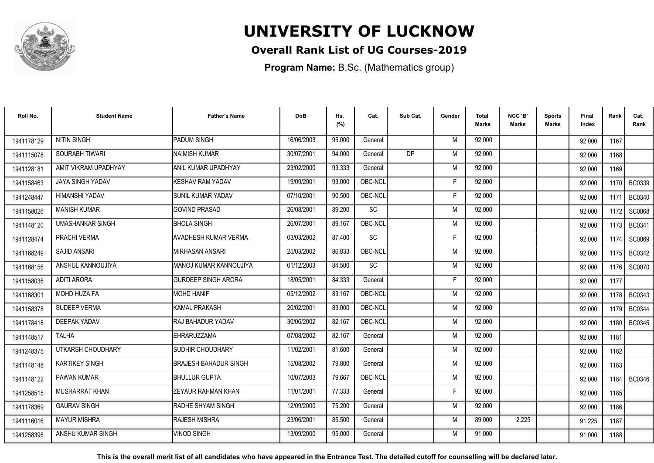

### **Overall Rank List of UG Courses-2019**

**Program Name:** B.Sc. (Mathematics group)

| Roll No.   | <b>Student Name</b>     | <b>Father's Name</b>         | <b>DoB</b> | Hs.<br>(%) | Cat.      | Sub Cat.  | Gender | <b>Total</b><br><b>Marks</b> | NCC 'B'<br><b>Marks</b> | <b>Sports</b><br>Marks | Final<br>Index | Rank   | Cat.<br>Rank  |
|------------|-------------------------|------------------------------|------------|------------|-----------|-----------|--------|------------------------------|-------------------------|------------------------|----------------|--------|---------------|
| 1941178129 | <b>NITIN SINGH</b>      | PADUM SINGH                  | 16/06/2003 | 95.000     | General   |           | M      | 92.000                       |                         |                        | 92.000         | 1167   |               |
| 1941115078 | SOURABH TIWARI          | <b>NAIMISH KUMAR</b>         | 30/07/2001 | 94.000     | General   | <b>DP</b> | M      | 92.000                       |                         |                        | 92.000         | 1168   |               |
| 1941128181 | AMIT VIKRAM UPADHYAY    | ANIL KUMAR UPADHYAY          | 23/02/2000 | 93.333     | General   |           | M      | 92.000                       |                         |                        | 92.000         | 1169   |               |
| 1941158463 | <b>JAYA SINGH YADAV</b> | <b>I</b> KESHAV RAM YADAV    | 19/09/2001 | 93.000     | OBC-NCL   |           | F      | 92.000                       |                         |                        | 92.000         | 1170 I | BC0339        |
| 1941248447 | HIMANSHI YADAV          | <b>I</b> SUNIL KUMAR YADAV   | 07/10/2001 | 90.500     | OBC-NCL   |           | F      | 92.000                       |                         |                        | 92.000         | 1171   | <b>BC0340</b> |
| 1941158026 | <b>MANISH KUMAR</b>     | <b>GOVIND PRASAD</b>         | 26/08/2001 | 89.200     | SC        |           | M      | 92.000                       |                         |                        | 92.000         | 1172   | SC0068        |
| 1941148120 | <b>UMASHANKAR SINGH</b> | <b>BHOLA SINGH</b>           | 26/07/2001 | 89.167     | OBC-NCL   |           | M      | 92.000                       |                         |                        | 92.000         | 1173   | <b>BC0341</b> |
| 1941128474 | PRACHI VERMA            | <b>AVADHESH KUMAR VERMA</b>  | 03/03/2002 | 87.400     | <b>SC</b> |           | F      | 92.000                       |                         |                        | 92.000         | 1174   | <b>SC0069</b> |
| 1941168249 | <b>SAJID ANSARI</b>     | IMIRHASAN ANSARI             | 25/03/2002 | 86.833     | OBC-NCL   |           | M      | 92.000                       |                         |                        | 92.000         | 1175 l | <b>BC0342</b> |
| 1941168156 | ANSHUL KANNOUJIYA       | MANOJ KUMAR KANNOUJIYA       | 01/12/2003 | 84.500     | <b>SC</b> |           | M      | 92.000                       |                         |                        | 92.000         | 1176   | SC0070        |
| 1941158036 | <b>ADITI ARORA</b>      | <b>GURDEEP SINGH ARORA</b>   | 18/05/2001 | 84.333     | General   |           | F      | 92.000                       |                         |                        | 92.000         | 1177   |               |
| 1941168301 | <b>MOHD HUZAIFA</b>     | <b>MOHD HANIF</b>            | 05/12/2002 | 83.167     | OBC-NCL   |           | M      | 92.000                       |                         |                        | 92.000         | 1178 l | <b>BC0343</b> |
| 1941158378 | SUDEEP VERMA            | <b>KAMAL PRAKASH</b>         | 20/02/2001 | 83.000     | OBC-NCL   |           | M      | 92.000                       |                         |                        | 92.000         | 1179 I | <b>BC0344</b> |
| 1941178418 | <b>DEEPAK YADAV</b>     | RAJ BAHADUR YADAV            | 30/06/2002 | 82.167     | OBC-NCL   |           | M      | 92.000                       |                         |                        | 92.000         | 1180   | <b>BC0345</b> |
| 1941148517 | <b>TALHA</b>            | EHRARUZZAMA                  | 07/08/2002 | 82.167     | General   |           | M      | 92.000                       |                         |                        | 92.000         | 1181   |               |
| 1941248375 | UTKARSH CHOUDHARY       | SUDHIR CHOUDHARY             | 11/02/2001 | 81.600     | General   |           | M      | 92.000                       |                         |                        | 92.000         | 1182   |               |
| 1941148148 | <b>KARTIKEY SINGH</b>   | <b>BRAJESH BAHADUR SINGH</b> | 15/08/2002 | 79.800     | General   |           | M      | 92.000                       |                         |                        | 92.000         | 1183   |               |
| 1941148122 | PAWAN KUMAR             | <b>BHULLUR GUPTA</b>         | 10/07/2003 | 79.667     | OBC-NCL   |           | M      | 92.000                       |                         |                        | 92.000         | 1184   | <b>BC0346</b> |
| 1941258515 | MUSHARRAT KHAN          | <b>ZEYAUR RAHMAN KHAN</b>    | 11/01/2001 | 77.333     | General   |           | F      | 92.000                       |                         |                        | 92.000         | 1185   |               |
| 1941178369 | <b>GAURAV SINGH</b>     | RADHE SHYAM SINGH            | 12/09/2000 | 75.200     | General   |           | M      | 92.000                       |                         |                        | 92.000         | 1186   |               |
| 1941116016 | <b>MAYUR MISHRA</b>     | <b>RAJESH MISHRA</b>         | 23/06/2001 | 85.500     | General   |           | M      | 89.000                       | 2.225                   |                        | 91.225         | 1187   |               |
| 1941258396 | ANSHU KUMAR SINGH       | <b>VINOD SINGH</b>           | 13/09/2000 | 95.000     | General   |           | M      | 91.000                       |                         |                        | 91.000         | 1188   |               |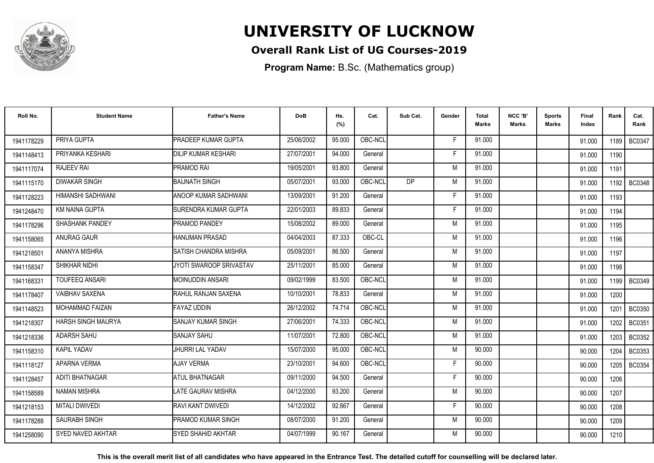

### **Overall Rank List of UG Courses-2019**

**Program Name:** B.Sc. (Mathematics group)

| Roll No.   | <b>Student Name</b>    | <b>Father's Name</b>       | <b>DoB</b> | Hs.<br>(%) | Cat.    | Sub Cat.  | Gender | Total<br><b>Marks</b> | NCC 'B'<br><b>Marks</b> | Sports<br>Marks | Final<br>Index | Rank   | Cat.<br>Rank  |
|------------|------------------------|----------------------------|------------|------------|---------|-----------|--------|-----------------------|-------------------------|-----------------|----------------|--------|---------------|
| 1941178229 | PRIYA GUPTA            | PRADEEP KUMAR GUPTA        | 25/06/2002 | 95.000     | OBC-NCL |           | E      | 91.000                |                         |                 | 91.000         | 1189 I | <b>BC0347</b> |
| 1941148413 | PRIYANKA KESHARI       | <b>DILIP KUMAR KESHARI</b> | 27/07/2001 | 94.000     | General |           | F      | 91.000                |                         |                 | 91.000         | 1190   |               |
| 1941117074 | <b>RAJEEV RAI</b>      | PRAMOD RAI                 | 19/05/2001 | 93.800     | General |           | M      | 91.000                |                         |                 | 91.000         | 1191   |               |
| 1941115170 | <b>DIWAKAR SINGH</b>   | <b>BAIJNATH SINGH</b>      | 05/07/2001 | 93.000     | OBC-NCL | <b>DP</b> | M      | 91.000                |                         |                 | 91.000         | 1192 l | <b>BC0348</b> |
| 1941128223 | HIMANSHI SADHWANI      | ANOOP KUMAR SADHWANI       | 13/09/2001 | 91.200     | General |           | F      | 91.000                |                         |                 | 91.000         | 1193   |               |
| 1941248470 | <b>KM NAINA GUPTA</b>  | SURENDRA KUMAR GUPTA       | 22/01/2003 | 89.833     | General |           | F      | 91.000                |                         |                 | 91.000         | 1194   |               |
| 1941178296 | <b>SHASHANK PANDEY</b> | PRAMOD PANDEY              | 15/08/2002 | 89.000     | General |           | M      | 91.000                |                         |                 | 91.000         | 1195   |               |
| 1941158065 | <b>ANURAG GAUR</b>     | HANUMAN PRASAD             | 04/04/2003 | 87.333     | OBC-CL  |           | M      | 91.000                |                         |                 | 91.000         | 1196   |               |
| 1941218501 | ANANYA MISHRA          | SATISH CHANDRA MISHRA      | 05/09/2001 | 86.500     | General |           | M      | 91.000                |                         |                 | 91.000         | 1197   |               |
| 1941158347 | SHIKHAR NIDHI          | JYOTI SWAROOP SRIVASTAV    | 25/11/2001 | 85.000     | General |           | M      | 91.000                |                         |                 | 91.000         | 1198   |               |
| 1941168331 | <b>TOUFEEQ ANSARI</b>  | <b>MOINUDDIN ANSARI</b>    | 09/02/1999 | 83.500     | OBC-NCL |           | M      | 91.000                |                         |                 | 91.000         | 1199 l | <b>BC0349</b> |
| 1941178407 | <b>VAIBHAV SAXENA</b>  | RAHUL RANJAN SAXENA        | 10/10/2001 | 78.833     | General |           | M      | 91.000                |                         |                 | 91.000         | 1200   |               |
| 1941148523 | <b>MOHAMMAD FAIZAN</b> | <b>FAYAZ UDDIN</b>         | 26/12/2002 | 74.714     | OBC-NCL |           | M      | 91.000                |                         |                 | 91.000         | 1201   | <b>BC0350</b> |
| 1941218307 | HARSH SINGH MAURYA     | <b>SANJAY KUMAR SINGH</b>  | 27/06/2001 | 74.333     | OBC-NCL |           | M      | 91.000                |                         |                 | 91.000         | 1202   | BC0351        |
| 1941218336 | ADARSH SAHU            | SANJAY SAHU                | 11/07/2001 | 72.800     | OBC-NCL |           | M      | 91.000                |                         |                 | 91.000         | 1203   | BC0352        |
| 1941158310 | KAPIL YADAV            | JHURRI LAL YADAV           | 15/07/2000 | 95.000     | OBC-NCL |           | M      | 90.000                |                         |                 | 90.000         | 1204   | BC0353        |
| 1941118127 | APARNA VERMA           | <b>AJAY VERMA</b>          | 23/10/2001 | 94.600     | OBC-NCL |           | F      | 90.000                |                         |                 | 90.000         | 1205   | <b>BC0354</b> |
| 1941128457 | <b>ADITI BHATNAGAR</b> | <b>ATUL BHATNAGAR</b>      | 09/11/2000 | 94.500     | General |           | F      | 90.000                |                         |                 | 90.000         | 1206   |               |
| 1941158589 | <b>NAMAN MISHRA</b>    | LATE GAURAV MISHRA         | 04/12/2000 | 93.200     | General |           | M      | 90.000                |                         |                 | 90.000         | 1207   |               |
| 1941218153 | <b>MITALI DWIVEDI</b>  | RAVI KANT DWIVEDI          | 14/12/2002 | 92.667     | General |           | F      | 90.000                |                         |                 | 90.000         | 1208   |               |
| 1941178288 | <b>SAURABH SINGH</b>   | <b>PRAMOD KUMAR SINGH</b>  | 08/07/2000 | 91.200     | General |           | M      | 90.000                |                         |                 | 90.000         | 1209   |               |
| 1941258090 | SYED NAVED AKHTAR      | <b>SYED SHAHID AKHTAR</b>  | 04/07/1999 | 90.167     | General |           | M      | 90.000                |                         |                 | 90.000         | 1210   |               |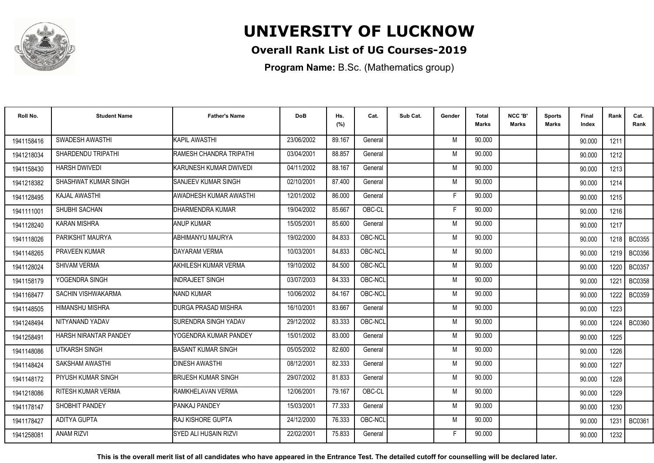

### **Overall Rank List of UG Courses-2019**

**Program Name:** B.Sc. (Mathematics group)

| Roll No.   | <b>Student Name</b>   | <b>Father's Name</b>        | <b>DoB</b> | Hs.<br>(%) | Cat.    | Sub Cat. | Gender | <b>Total</b><br><b>Marks</b> | NCC 'B'<br><b>Marks</b> | <b>Sports</b><br>Marks | Final<br>Index | Rank   | Cat.<br>Rank  |
|------------|-----------------------|-----------------------------|------------|------------|---------|----------|--------|------------------------------|-------------------------|------------------------|----------------|--------|---------------|
| 1941158416 | SWADESH AWASTHI       | KAPIL AWASTHI               | 23/06/2002 | 89.167     | General |          | M      | 90.000                       |                         |                        | 90.000         | 1211   |               |
| 1941218034 | SHARDENDU TRIPATHI    | RAMESH CHANDRA TRIPATHI     | 03/04/2001 | 88.857     | General |          | M      | 90.000                       |                         |                        | 90.000         | 1212   |               |
| 1941158430 | <b>HARSH DWIVEDI</b>  | KARUNESH KUMAR DWIVEDI      | 04/11/2002 | 88.167     | General |          | M      | 90.000                       |                         |                        | 90.000         | 1213   |               |
| 1941218382 | SHASHWAT KUMAR SINGH  | <b>SANJEEV KUMAR SINGH</b>  | 02/10/2001 | 87.400     | General |          | M      | 90.000                       |                         |                        | 90.000         | 1214   |               |
| 1941128495 | <b>KAJAL AWASTHI</b>  | AWADHESH KUMAR AWASTHI      | 12/01/2002 | 86.000     | General |          | F      | 90.000                       |                         |                        | 90.000         | 1215   |               |
| 1941111001 | SHUBHI SACHAN         | DHARMENDRA KUMAR            | 19/04/2002 | 85.667     | OBC-CL  |          | F      | 90.000                       |                         |                        | 90.000         | 1216   |               |
| 1941128240 | <b>KARAN MISHRA</b>   | <b>ANUP KUMAR</b>           | 15/05/2001 | 85.600     | General |          | M      | 90.000                       |                         |                        | 90.000         | 1217   |               |
| 1941118026 | PARIKSHIT MAURYA      | ABHIMANYU MAURYA            | 19/02/2000 | 84.833     | OBC-NCL |          | M      | 90.000                       |                         |                        | 90.000         |        | 1218   BC0355 |
| 1941148265 | <b>PRAVEEN KUMAR</b>  | <b>DAYARAM VERMA</b>        | 10/03/2001 | 84.833     | OBC-NCL |          | M      | 90.000                       |                         |                        | 90.000         | 1219 l | <b>BC0356</b> |
| 1941128024 | <b>SHIVAM VERMA</b>   | AKHILESH KUMAR VERMA        | 19/10/2002 | 84.500     | OBC-NCL |          | M      | 90.000                       |                         |                        | 90.000         | 1220   | <b>BC0357</b> |
| 1941158179 | YOGENDRA SINGH        | <b>INDRAJEET SINGH</b>      | 03/07/2003 | 84.333     | OBC-NCL |          | M      | 90.000                       |                         |                        | 90.000         | 1221   | <b>BC0358</b> |
| 1941168477 | SACHIN VISHWAKARMA    | <b>NAND KUMAR</b>           | 10/06/2002 | 84.167     | OBC-NCL |          | M      | 90.000                       |                         |                        | 90.000         | 1222   | <b>BC0359</b> |
| 1941148505 | HIMANSHU MISHRA       | <b>DURGA PRASAD MISHRA</b>  | 16/10/2001 | 83.667     | General |          | M      | 90.000                       |                         |                        | 90.000         | 1223   |               |
| 1941248494 | NITYANAND YADAV       | <b>SURENDRA SINGH YADAV</b> | 29/12/2002 | 83.333     | OBC-NCL |          | M      | 90.000                       |                         |                        | 90.000         | 1224   | <b>BC0360</b> |
| 1941258491 | HARSH NIRANTAR PANDEY | YOGENDRA KUMAR PANDEY       | 15/01/2002 | 83.000     | General |          | M      | 90.000                       |                         |                        | 90.000         | 1225   |               |
| 1941148086 | <b>UTKARSH SINGH</b>  | BASANT KUMAR SINGH          | 05/05/2002 | 82.600     | General |          | M      | 90.000                       |                         |                        | 90.000         | 1226   |               |
| 1941148424 | SAKSHAM AWASTHI       | <b>DINESH AWASTHI</b>       | 08/12/2001 | 82.333     | General |          | M      | 90.000                       |                         |                        | 90.000         | 1227   |               |
| 1941148172 | PIYUSH KUMAR SINGH    | <b>BRIJESH KUMAR SINGH</b>  | 29/07/2002 | 81.833     | General |          | M      | 90.000                       |                         |                        | 90.000         | 1228   |               |
| 1941218086 | RITESH KUMAR VERMA    | RAMKHELAVAN VERMA           | 12/06/2001 | 79.167     | OBC-CL  |          | M      | 90.000                       |                         |                        | 90.000         | 1229   |               |
| 1941178147 | SHOBHIT PANDEY        | PANKAJ PANDEY               | 15/03/2001 | 77.333     | General |          | M      | 90.000                       |                         |                        | 90.000         | 1230   |               |
| 1941178427 | ADITYA GUPTA          | IRAJ KISHORE GUPTA          | 24/12/2000 | 76.333     | OBC-NCL |          | M      | 90.000                       |                         |                        | 90.000         | 1231   | <b>BC0361</b> |
| 1941258081 | <b>ANAM RIZVI</b>     | SYED ALI HUSAIN RIZVI       | 22/02/2001 | 75.833     | General |          | Е      | 90.000                       |                         |                        | 90.000         | 1232   |               |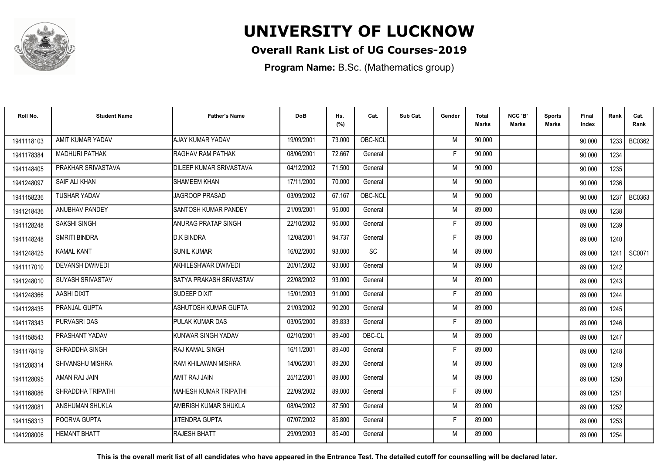

### **Overall Rank List of UG Courses-2019**

**Program Name:** B.Sc. (Mathematics group)

| Roll No.   | <b>Student Name</b>    | <b>Father's Name</b>         | <b>DoB</b> | Hs.<br>(%) | Cat.      | Sub Cat. | Gender | <b>Total</b><br><b>Marks</b> | NCC 'B'<br><b>Marks</b> | <b>Sports</b><br>Marks | Final<br>Index | Rank   | Cat.<br>Rank |
|------------|------------------------|------------------------------|------------|------------|-----------|----------|--------|------------------------------|-------------------------|------------------------|----------------|--------|--------------|
| 1941118103 | AMIT KUMAR YADAV       | AJAY KUMAR YADAV             | 19/09/2001 | 73.000     | OBC-NCL   |          | M      | 90.000                       |                         |                        | 90.000         | 1233 I | BC0362       |
| 1941178384 | <b>MADHURI PATHAK</b>  | RAGHAV RAM PATHAK            | 08/06/2001 | 72.667     | General   |          | F      | 90.000                       |                         |                        | 90.000         | 1234   |              |
| 1941148405 | PRAKHAR SRIVASTAVA     | DILEEP KUMAR SRIVASTAVA      | 04/12/2002 | 71.500     | General   |          | M      | 90.000                       |                         |                        | 90.000         | 1235   |              |
| 1941248097 | SAIF ALI KHAN          | <b>SHAMEEM KHAN</b>          | 17/11/2000 | 70.000     | General   |          | M      | 90.000                       |                         |                        | 90.000         | 1236   |              |
| 1941158236 | <b>TUSHAR YADAV</b>    | JAGROOP PRASAD               | 03/09/2002 | 67.167     | OBC-NCL   |          | M      | 90.000                       |                         |                        | 90.000         | 1237   | BC0363       |
| 1941218436 | <b>ANUBHAV PANDEY</b>  | <b>ISANTOSH KUMAR PANDEY</b> | 21/09/2001 | 95.000     | General   |          | M      | 89.000                       |                         |                        | 89.000         | 1238   |              |
| 1941128248 | SAKSHI SINGH           | ANURAG PRATAP SINGH          | 22/10/2002 | 95.000     | General   |          | F      | 89.000                       |                         |                        | 89.000         | 1239   |              |
| 1941148248 | SMRITI BINDRA          | <b>D.K BINDRA</b>            | 12/08/2001 | 94.737     | General   |          | F      | 89.000                       |                         |                        | 89.000         | 1240   |              |
| 1941248425 | <b>KAMAL KANT</b>      | <b>SUNIL KUMAR</b>           | 16/02/2000 | 93.000     | <b>SC</b> |          | M      | 89.000                       |                         |                        | 89.000         | 1241   | SC0071       |
| 1941117010 | <b>DEVANSH DWIVEDI</b> | AKHILESHWAR DWIVEDI          | 20/01/2002 | 93.000     | General   |          | M      | 89.000                       |                         |                        | 89.000         | 1242   |              |
| 1941248010 | SUYASH SRIVASTAV       | SATYA PRAKASH SRIVASTAV      | 22/08/2002 | 93.000     | General   |          | M      | 89.000                       |                         |                        | 89.000         | 1243   |              |
| 1941248366 | AASHI DIXIT            | SUDEEP DIXIT                 | 15/01/2003 | 91.000     | General   |          | F      | 89.000                       |                         |                        | 89.000         | 1244   |              |
| 1941128435 | PRANJAL GUPTA          | ASHUTOSH KUMAR GUPTA         | 21/03/2002 | 90.200     | General   |          | M      | 89.000                       |                         |                        | 89.000         | 1245   |              |
| 1941178343 | <b>PURVASRI DAS</b>    | PULAK KUMAR DAS              | 03/05/2000 | 89.833     | General   |          | F      | 89.000                       |                         |                        | 89.000         | 1246   |              |
| 1941158543 | PRASHANT YADAV         | KUNWAR SINGH YADAV           | 02/10/2001 | 89.400     | OBC-CL    |          | M      | 89.000                       |                         |                        | 89.000         | 1247   |              |
| 1941178419 | SHRADDHA SINGH         | IRAJ KAMAL SINGH             | 16/11/2001 | 89.400     | General   |          | F      | 89.000                       |                         |                        | 89.000         | 1248   |              |
| 1941208314 | SHIVANSHU MISHRA       | RAM KHILAWAN MISHRA          | 14/06/2001 | 89.200     | General   |          | M      | 89.000                       |                         |                        | 89.000         | 1249   |              |
| 1941128095 | AMAN RAJ JAIN          | AMIT RAJ JAIN                | 25/12/2001 | 89.000     | General   |          | M      | 89.000                       |                         |                        | 89.000         | 1250   |              |
| 1941168086 | SHRADDHA TRIPATHI      | MAHESH KUMAR TRIPATHI        | 22/09/2002 | 89.000     | General   |          | F      | 89.000                       |                         |                        | 89.000         | 1251   |              |
| 1941128081 | ANSHUMAN SHUKLA        | AMBRISH KUMAR SHUKLA         | 08/04/2002 | 87.500     | General   |          | M      | 89.000                       |                         |                        | 89.000         | 1252   |              |
| 1941158313 | POORVA GUPTA           | IJITENDRA GUPTA              | 07/07/2002 | 85.800     | General   |          | F.     | 89.000                       |                         |                        | 89.000         | 1253   |              |
| 1941208006 | <b>HEMANT BHATT</b>    | <b>RAJESH BHATT</b>          | 29/09/2003 | 85.400     | General   |          | M      | 89.000                       |                         |                        | 89.000         | 1254   |              |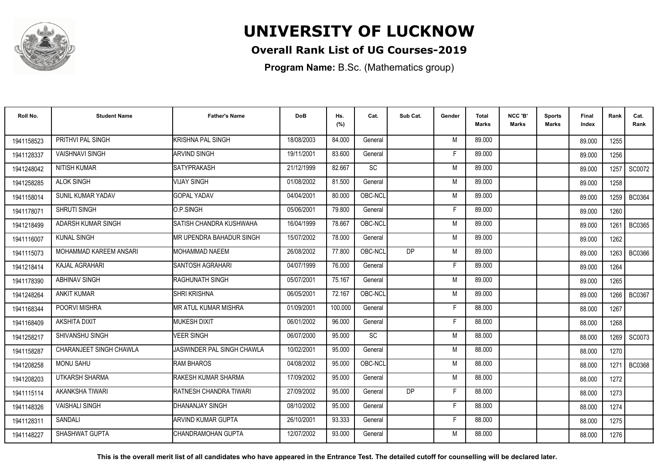

### **Overall Rank List of UG Courses-2019**

**Program Name:** B.Sc. (Mathematics group)

| Roll No.   | <b>Student Name</b>     | <b>Father's Name</b>            | <b>DoB</b> | Hs.<br>(%) | Cat.      | Sub Cat.  | Gender | <b>Total</b><br><b>Marks</b> | NCC 'B'<br><b>Marks</b> | <b>Sports</b><br>Marks | Final<br>Index | Rank   | Cat.<br>Rank  |
|------------|-------------------------|---------------------------------|------------|------------|-----------|-----------|--------|------------------------------|-------------------------|------------------------|----------------|--------|---------------|
| 1941158523 | PRITHVI PAL SINGH       | KRISHNA PAL SINGH               | 18/08/2003 | 84.000     | General   |           | M      | 89.000                       |                         |                        | 89.000         | 1255   |               |
| 1941128337 | <b>VAISHNAVI SINGH</b>  | <b>ARVIND SINGH</b>             | 19/11/2001 | 83.600     | General   |           | F      | 89.000                       |                         |                        | 89.000         | 1256   |               |
| 1941248042 | <b>NITISH KUMAR</b>     | <b>I</b> SATYPRAKASH            | 21/12/1999 | 82.667     | <b>SC</b> |           | M      | 89.000                       |                         |                        | 89.000         | 1257   | SC0072        |
| 1941258285 | <b>ALOK SINGH</b>       | VIJAY SINGH                     | 01/08/2002 | 81.500     | General   |           | M      | 89.000                       |                         |                        | 89.000         | 1258   |               |
| 1941158014 | SUNIL KUMAR YADAV       | <b>GOPAL YADAV</b>              | 04/04/2001 | 80.000     | OBC-NCL   |           | M      | 89.000                       |                         |                        | 89.000         | 1259   | BC0364        |
| 1941178071 | <b>SHRUTI SINGH</b>     | O.P.SINGH                       | 05/06/2001 | 79.800     | General   |           | F      | 89.000                       |                         |                        | 89.000         | 1260   |               |
| 1941218499 | ADARSH KUMAR SINGH      | SATISH CHANDRA KUSHWAHA         | 16/04/1999 | 78.667     | OBC-NCL   |           | M      | 89.000                       |                         |                        | 89.000         | 1261   | <b>BC0365</b> |
| 1941116007 | <b>KUNAL SINGH</b>      | <b>MR UPENDRA BAHADUR SINGH</b> | 15/07/2002 | 78.000     | General   |           | M      | 89.000                       |                         |                        | 89.000         | 1262   |               |
| 1941115073 | MOHAMMAD KAREEM ANSARI  | <b>I</b> MOHAMMAD NAEEM         | 26/08/2002 | 77.800     | OBC-NCL   | DP        | M      | 89.000                       |                         |                        | 89.000         | 1263   | <b>BC0366</b> |
| 1941218414 | KAJAL AGRAHARI          | SANTOSH AGRAHARI                | 04/07/1999 | 76.000     | General   |           | F      | 89.000                       |                         |                        | 89.000         | 1264   |               |
| 1941178390 | <b>ABHINAV SINGH</b>    | <b>RAGHUNATH SINGH</b>          | 05/07/2001 | 75.167     | General   |           | M      | 89.000                       |                         |                        | 89.000         | 1265   |               |
| 1941248264 | <b>ANKIT KUMAR</b>      | <b>SHRI KRISHNA</b>             | 06/05/2001 | 72.167     | OBC-NCL   |           | M      | 89.000                       |                         |                        | 89.000         | 1266 l | <b>BC0367</b> |
| 1941168344 | POORVI MISHRA           | MR ATUL KUMAR MISHRA            | 01/09/2001 | 100.000    | General   |           | Е      | 88.000                       |                         |                        | 88.000         | 1267   |               |
| 1941168409 | <b>AKSHITA DIXIT</b>    | <b>MUKESH DIXIT</b>             | 06/01/2002 | 96.000     | General   |           | F      | 88.000                       |                         |                        | 88.000         | 1268   |               |
| 1941258217 | SHIVANSHU SINGH         | <b>VEER SINGH</b>               | 06/07/2000 | 95.000     | <b>SC</b> |           | M      | 88.000                       |                         |                        | 88.000         | 1269   | SC0073        |
| 1941158287 | CHARANJEET SINGH CHAWLA | JASWINDER PAL SINGH CHAWLA      | 10/02/2001 | 95.000     | General   |           | M      | 88.000                       |                         |                        | 88.000         | 1270   |               |
| 1941208258 | <b>MONU SAHU</b>        | <b>RAM BHAROS</b>               | 04/08/2002 | 95.000     | OBC-NCL   |           | M      | 88,000                       |                         |                        | 88.000         | 1271 l | <b>BC0368</b> |
| 1941208203 | UTKARSH SHARMA          | <b>I</b> RAKESH KUMAR SHARMA    | 17/09/2002 | 95.000     | General   |           | M      | 88,000                       |                         |                        | 88.000         | 1272   |               |
| 1941115114 | AKANKSHA TIWARI         | RATNESH CHANDRA TIWARI          | 27/09/2002 | 95.000     | General   | <b>DP</b> | F      | 88.000                       |                         |                        | 88.000         | 1273   |               |
| 1941148326 | <b>VAISHALI SINGH</b>   | IDHANANJAY SINGH                | 08/10/2002 | 95.000     | General   |           | Е      | 88.000                       |                         |                        | 88.000         | 1274   |               |
| 1941128311 | SANDALI                 | IARVIND KUMAR GUPTA             | 26/10/2001 | 93.333     | General   |           | Е      | 88.000                       |                         |                        | 88.000         | 1275   |               |
| 1941148227 | SHASHWAT GUPTA          | ICHANDRAMOHAN GUPTA             | 12/07/2002 | 93.000     | General   |           | M      | 88.000                       |                         |                        | 88.000         | 1276   |               |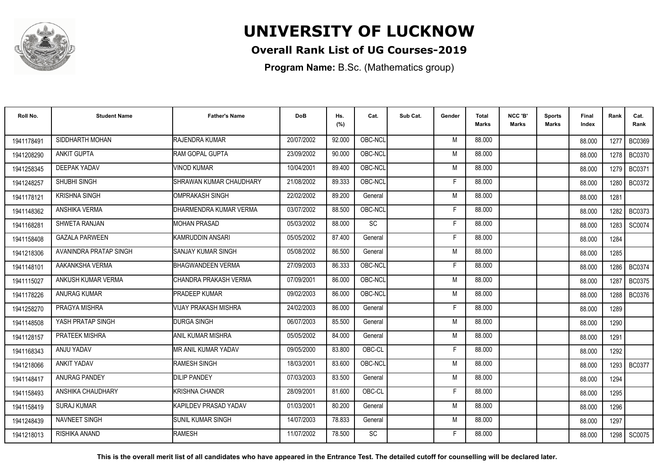

### **Overall Rank List of UG Courses-2019**

**Program Name:** B.Sc. (Mathematics group)

| Roll No.   | <b>Student Name</b>    | <b>Father's Name</b>        | <b>DoB</b> | Hs.<br>(%) | Cat.      | Sub Cat. | Gender | <b>Total</b><br><b>Marks</b> | NCC 'B'<br><b>Marks</b> | <b>Sports</b><br>Marks | Final<br>Index | Rank   | Cat.<br>Rank  |
|------------|------------------------|-----------------------------|------------|------------|-----------|----------|--------|------------------------------|-------------------------|------------------------|----------------|--------|---------------|
| 1941178491 | SIDDHARTH MOHAN        | RAJENDRA KUMAR              | 20/07/2002 | 92.000     | OBC-NCL   |          | M      | 88.000                       |                         |                        | 88.000         | 1277   | <b>BC0369</b> |
| 1941208290 | <b>ANKIT GUPTA</b>     | <b>IRAM GOPAL GUPTA</b>     | 23/09/2002 | 90.000     | OBC-NCL   |          | M      | 88.000                       |                         |                        | 88.000         | 1278   | <b>BC0370</b> |
| 1941258345 | <b>DEEPAK YADAV</b>    | <b>VINOD KUMAR</b>          | 10/04/2001 | 89.400     | OBC-NCL   |          | M      | 88,000                       |                         |                        | 88.000         | 1279   | BC0371        |
| 1941248257 | SHUBHI SINGH           | SHRAWAN KUMAR CHAUDHARY     | 21/08/2002 | 89.333     | OBC-NCL   |          | F      | 88.000                       |                         |                        | 88.000         | 1280   | BC0372        |
| 1941178121 | <b>KRISHNA SINGH</b>   | IOMPRAKASH SINGH            | 22/02/2002 | 89.200     | General   |          | M      | 88.000                       |                         |                        | 88.000         | 1281   |               |
| 1941148362 | ANSHIKA VERMA          | DHARMENDRA KUMAR VERMA      | 03/07/2002 | 88.500     | OBC-NCL   |          | Е      | 88.000                       |                         |                        | 88.000         | 1282   | <b>BC0373</b> |
| 1941168281 | SHWETA RANJAN          | <b>MOHAN PRASAD</b>         | 05/03/2002 | 88.000     | <b>SC</b> |          | F      | 88.000                       |                         |                        | 88.000         | 1283   | SC0074        |
| 1941158408 | <b>GAZALA PARWEEN</b>  | KAMRUDDIN ANSARI            | 05/05/2002 | 87.400     | General   |          | E      | 88.000                       |                         |                        | 88.000         | 1284   |               |
| 1941218306 | AVANINDRA PRATAP SINGH | <b>SANJAY KUMAR SINGH</b>   | 05/08/2002 | 86.500     | General   |          | M      | 88.000                       |                         |                        | 88.000         | 1285   |               |
| 1941148101 | AAKANKSHA VERMA        | <b>BHAGWANDEEN VERMA</b>    | 27/09/2003 | 86.333     | OBC-NCL   |          | F      | 88,000                       |                         |                        | 88.000         | 1286 l | <b>BC0374</b> |
| 1941115027 | ANKUSH KUMAR VERMA     | CHANDRA PRAKASH VERMA       | 07/09/2001 | 86.000     | OBC-NCL   |          | M      | 88.000                       |                         |                        | 88.000         | 1287   | <b>BC0375</b> |
| 1941178226 | <b>ANURAG KUMAR</b>    | <b>PRADEEP KUMAR</b>        | 09/02/2003 | 86.000     | OBC-NCL   |          | M      | 88.000                       |                         |                        | 88.000         | 1288   | <b>BC0376</b> |
| 1941258270 | PRAGYA MISHRA          | <b>VIJAY PRAKASH MISHRA</b> | 24/02/2003 | 86.000     | General   |          | F      | 88.000                       |                         |                        | 88.000         | 1289   |               |
| 1941148508 | YASH PRATAP SINGH      | <b>DURGA SINGH</b>          | 06/07/2003 | 85.500     | General   |          | M      | 88.000                       |                         |                        | 88.000         | 1290   |               |
| 1941128157 | <b>PRATEEK MISHRA</b>  | ANIL KUMAR MISHRA           | 05/05/2002 | 84.000     | General   |          | M      | 88.000                       |                         |                        | 88.000         | 1291   |               |
| 1941168343 | ANJU YADAV             | MR ANIL KUMAR YADAV         | 09/05/2000 | 83.800     | OBC-CL    |          | F      | 88.000                       |                         |                        | 88.000         | 1292   |               |
| 1941218066 | <b>ANKIT YADAV</b>     | <b>RAMESH SINGH</b>         | 18/03/2001 | 83.600     | OBC-NCL   |          | M      | 88.000                       |                         |                        | 88.000         | 1293   | <b>BC0377</b> |
| 1941148417 | <b>ANURAG PANDEY</b>   | <b>DILIP PANDEY</b>         | 07/03/2003 | 83.500     | General   |          | M      | 88.000                       |                         |                        | 88.000         | 1294   |               |
| 1941158493 | ANSHIKA CHAUDHARY      | <b>I</b> KRISHNA CHANDR     | 28/09/2001 | 81.600     | OBC-CL    |          | F.     | 88,000                       |                         |                        | 88.000         | 1295   |               |
| 1941158419 | <b>SURAJ KUMAR</b>     | KAPILDEV PRASAD YADAV       | 01/03/2001 | 80.200     | General   |          | M      | 88.000                       |                         |                        | 88.000         | 1296   |               |
| 1941248439 | <b>NAVNEET SINGH</b>   | <b>I</b> SUNIL KUMAR SINGH  | 14/07/2003 | 78.833     | General   |          | M      | 88.000                       |                         |                        | 88.000         | 1297   |               |
| 1941218013 | RISHIKA ANAND          | <b>RAMESH</b>               | 11/07/2002 | 78.500     | <b>SC</b> |          | F      | 88.000                       |                         |                        | 88.000         | 1298   | SC0075        |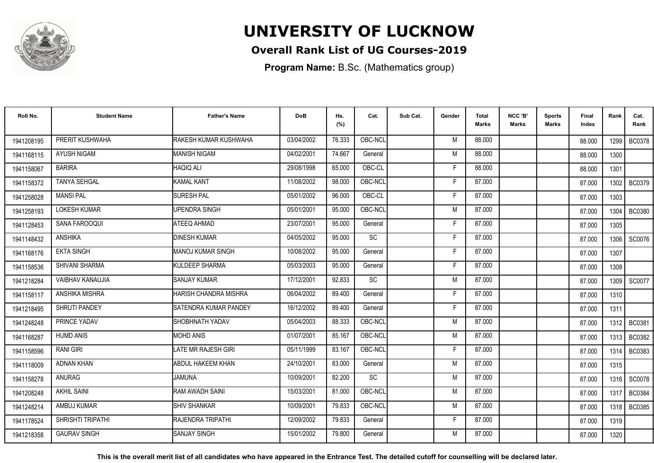

### **Overall Rank List of UG Courses-2019**

**Program Name:** B.Sc. (Mathematics group)

| Roll No.   | <b>Student Name</b>      | <b>Father's Name</b>       | <b>DoB</b> | Hs.<br>(%) | Cat.    | Sub Cat. | Gender | <b>Total</b><br><b>Marks</b> | NCC 'B'<br><b>Marks</b> | <b>Sports</b><br>Marks | Final<br>Index | Rank   | Cat.<br>Rank  |
|------------|--------------------------|----------------------------|------------|------------|---------|----------|--------|------------------------------|-------------------------|------------------------|----------------|--------|---------------|
| 1941208195 | PRERIT KUSHWAHA          | RAKESH KUMAR KUSHWAHA      | 03/04/2002 | 76.333     | OBC-NCL |          | M      | 88,000                       |                         |                        | 88.000         | 1299 I | <b>BC0378</b> |
| 1941168115 | <b>AYUSH NIGAM</b>       | <b>MANISH NIGAM</b>        | 04/02/2001 | 74.667     | General |          | M      | 88,000                       |                         |                        | 88.000         | 1300   |               |
| 1941158067 | <b>BARIRA</b>            | HAQIQ ALI                  | 29/08/1998 | 65.000     | OBC-CL  |          | F      | 88.000                       |                         |                        | 88.000         | 1301   |               |
| 1941158372 | <b>TANYA SEHGAL</b>      | <b>KAMAL KANT</b>          | 11/08/2002 | 98.000     | OBC-NCL |          | F      | 87.000                       |                         |                        | 87.000         | 1302   | <b>BC0379</b> |
| 1941258028 | <b>MANSI PAL</b>         | <b>SURESH PAL</b>          | 05/01/2002 | 96.000     | OBC-CL  |          | F      | 87.000                       |                         |                        | 87.000         | 1303   |               |
| 1941258193 | <b>LOKESH KUMAR</b>      | UPENDRA SINGH              | 05/01/2001 | 95.000     | OBC-NCL |          | M      | 87.000                       |                         |                        | 87.000         | 1304   | <b>BC0380</b> |
| 1941128453 | SANA FAROOQUI            | ATEEQ AHMAD                | 23/07/2001 | 95.000     | General |          | Е      | 87.000                       |                         |                        | 87.000         | 1305   |               |
| 1941148432 | <b>ANSHIKA</b>           | <b>DINESH KUMAR</b>        | 04/05/2002 | 95.000     | SC      |          | F      | 87.000                       |                         |                        | 87.000         | 1306   | SC0076        |
| 1941168176 | <b>EKTA SINGH</b>        | <b>MANOJ KUMAR SINGH</b>   | 10/08/2002 | 95.000     | General |          | F      | 87.000                       |                         |                        | 87.000         | 1307   |               |
| 1941158536 | SHIVANI SHARMA           | KULDEEP SHARMA             | 05/03/2003 | 95.000     | General |          | F      | 87.000                       |                         |                        | 87.000         | 1308   |               |
| 1941218284 | VAIBHAV KANAUJIA         | <b>SANJAY KUMAR</b>        | 17/12/2001 | 92.833     | SC      |          | M      | 87.000                       |                         |                        | 87.000         | 1309   | SC0077        |
| 1941158117 | ANSHIKA MISHRA           | HARISH CHANDRA MISHRA      | 06/04/2002 | 89.400     | General |          | F      | 87.000                       |                         |                        | 87.000         | 1310   |               |
| 1941218495 | <b>SHRUTI PANDEY</b>     | ISATENDRA KUMAR PANDEY     | 16/12/2002 | 89.400     | General |          | F      | 87.000                       |                         |                        | 87.000         | 1311   |               |
| 1941248248 | PRINCE YADAV             | ISHOBHNATH YADAV           | 05/04/2003 | 88.333     | OBC-NCL |          | M      | 87.000                       |                         |                        | 87.000         | 1312   | BC0381        |
| 1941168287 | <b>HUMD ANIS</b>         | <b>MOHD ANIS</b>           | 01/07/2001 | 85.167     | OBC-NCL |          | M      | 87.000                       |                         |                        | 87.000         | 1313   | BC0382        |
| 1941158596 | <b>RANI GIRI</b>         | <b>LATE MR RAJESH GIRI</b> | 05/11/1999 | 83.167     | OBC-NCL |          | F      | 87.000                       |                         |                        | 87.000         | 1314   | BC0383        |
| 1941118009 | ADNAN KHAN               | <b>ABDUL HAKEEM KHAN</b>   | 24/10/2001 | 83.000     | General |          | M      | 87.000                       |                         |                        | 87.000         | 1315   |               |
| 1941158278 | <b>ANURAG</b>            | <b>JAMUNA</b>              | 10/09/2001 | 82.200     | SC      |          | M      | 87.000                       |                         |                        | 87.000         | 1316 I | SC0078        |
| 1941208248 | <b>AKHIL SAINI</b>       | RAM AWADH SAINI            | 15/03/2001 | 81.000     | OBC-NCL |          | M      | 87.000                       |                         |                        | 87.000         | 1317   | <b>BC0384</b> |
| 1941248214 | AMBUJ KUMAR              | <b>SHIV SHANKAR</b>        | 10/09/2001 | 79.833     | OBC-NCL |          | M      | 87.000                       |                         |                        | 87.000         | 1318 l | <b>BC0385</b> |
| 1941178524 | <b>SHRISHTI TRIPATHI</b> | RAJENDRA TRIPATHI          | 12/09/2002 | 79.833     | General |          | F      | 87.000                       |                         |                        | 87.000         | 1319   |               |
| 1941218358 | <b>GAURAV SINGH</b>      | <b>SANJAY SINGH</b>        | 15/01/2002 | 79.800     | General |          | M      | 87.000                       |                         |                        | 87.000         | 1320   |               |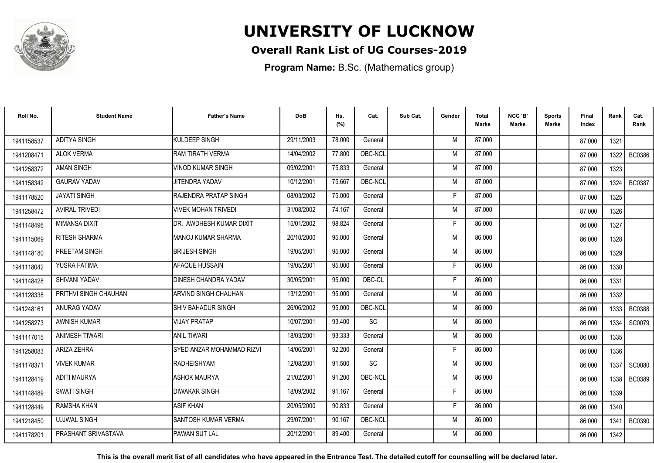

### **Overall Rank List of UG Courses-2019**

**Program Name:** B.Sc. (Mathematics group)

| Roll No.   | <b>Student Name</b>   | <b>Father's Name</b>      | <b>DoB</b> | Hs.<br>(%) | Cat.      | Sub Cat. | Gender | <b>Total</b><br><b>Marks</b> | NCC 'B'<br><b>Marks</b> | <b>Sports</b><br><b>Marks</b> | Final<br>Index | Rank   | Cat.<br>Rank  |
|------------|-----------------------|---------------------------|------------|------------|-----------|----------|--------|------------------------------|-------------------------|-------------------------------|----------------|--------|---------------|
| 1941158537 | <b>ADITYA SINGH</b>   | KULDEEP SINGH             | 29/11/2003 | 78.000     | General   |          | M      | 87.000                       |                         |                               | 87.000         | 1321   |               |
| 1941208471 | <b>ALOK VERMA</b>     | RAM TIRATH VERMA          | 14/04/2002 | 77.800     | OBC-NCL   |          | M      | 87.000                       |                         |                               | 87.000         | 1322   | <b>BC0386</b> |
| 1941258372 | <b>AMAN SINGH</b>     | VINOD KUMAR SINGH         | 09/02/2001 | 75.833     | General   |          | M      | 87.000                       |                         |                               | 87.000         | 1323   |               |
| 1941158342 | <b>GAURAV YADAV</b>   | JITENDRA YADAV            | 10/12/2001 | 75.667     | OBC-NCL   |          | M      | 87.000                       |                         |                               | 87.000         | 1324   | <b>BC0387</b> |
| 1941178520 | <b>JAYATI SINGH</b>   | RAJENDRA PRATAP SINGH     | 08/03/2002 | 75.000     | General   |          | F      | 87.000                       |                         |                               | 87.000         | 1325   |               |
| 1941258472 | <b>AVIRAL TRIVEDI</b> | VIVEK MOHAN TRIVEDI       | 31/08/2002 | 74.167     | General   |          | M      | 87.000                       |                         |                               | 87.000         | 1326   |               |
| 1941148496 | <b>MIMANSA DIXIT</b>  | DR. AWDHESH KUMAR DIXIT   | 15/01/2002 | 98.824     | General   |          | F      | 86.000                       |                         |                               | 86.000         | 1327   |               |
| 1941115069 | RITESH SHARMA         | <b>MANOJ KUMAR SHARMA</b> | 20/10/2000 | 95.000     | General   |          | M      | 86.000                       |                         |                               | 86.000         | 1328   |               |
| 1941148180 | PREETAM SINGH         | <b>BRIJESH SINGH</b>      | 19/05/2001 | 95.000     | General   |          | M      | 86.000                       |                         |                               | 86.000         | 1329   |               |
| 1941118042 | YUSRA FATIMA          | AFAQUE HUSSAIN            | 19/05/2001 | 95.000     | General   |          | F      | 86.000                       |                         |                               | 86.000         | 1330   |               |
| 1941148428 | <b>SHIVANI YADAV</b>  | DINESH CHANDRA YADAV      | 30/05/2001 | 95.000     | OBC-CL    |          | F      | 86.000                       |                         |                               | 86.000         | 1331   |               |
| 1941128338 | PRITHVI SINGH CHAUHAN | ARVIND SINGH CHAUHAN      | 13/12/2001 | 95.000     | General   |          | M      | 86.000                       |                         |                               | 86.000         | 1332   |               |
| 1941248161 | ANURAG YADAV          | SHIV BAHADUR SINGH        | 26/06/2002 | 95.000     | OBC-NCL   |          | M      | 86.000                       |                         |                               | 86.000         | 1333   | <b>BC0388</b> |
| 1941258273 | <b>AWNISH KUMAR</b>   | <b>VIJAY PRATAP</b>       | 10/07/2001 | 93.400     | <b>SC</b> |          | M      | 86.000                       |                         |                               | 86.000         | 1334   | SC0079        |
| 1941117015 | <b>ANIMESH TIWARI</b> | <b>ANIL TIWARI</b>        | 18/03/2001 | 93.333     | General   |          | M      | 86.000                       |                         |                               | 86.000         | 1335   |               |
| 1941258083 | <b>ARIZA ZEHRA</b>    | SYED ANZAR MOHAMMAD RIZVI | 14/06/2001 | 92.200     | General   |          | F      | 86.000                       |                         |                               | 86.000         | 1336   |               |
| 1941178371 | <b>VIVEK KUMAR</b>    | <b>RADHEISHYAM</b>        | 12/08/2001 | 91.500     | <b>SC</b> |          | M      | 86.000                       |                         |                               | 86.000         |        | 1337   SC0080 |
| 1941128419 | <b>ADITI MAURYA</b>   | ASHOK MAURYA              | 21/02/2001 | 91.200     | OBC-NCL   |          | M      | 86.000                       |                         |                               | 86.000         | 1338 I | <b>BC0389</b> |
| 1941148489 | <b>SWATI SINGH</b>    | <b>DIWAKAR SINGH</b>      | 18/09/2002 | 91.167     | General   |          | F.     | 86.000                       |                         |                               | 86.000         | 1339   |               |
| 1941128449 | RAMSHA KHAN           | <b>ASIF KHAN</b>          | 20/05/2000 | 90.833     | General   |          | F      | 86.000                       |                         |                               | 86.000         | 1340   |               |
| 1941218450 | <b>UJJWAL SINGH</b>   | SANTOSH KUMAR VERMA       | 29/07/2001 | 90.167     | OBC-NCL   |          | M      | 86.000                       |                         |                               | 86.000         | 1341   | <b>BC0390</b> |
| 1941178201 | PRASHANT SRIVASTAVA   | PAWAN SUT LAL             | 20/12/2001 | 89.400     | General   |          | M      | 86.000                       |                         |                               | 86.000         | 1342   |               |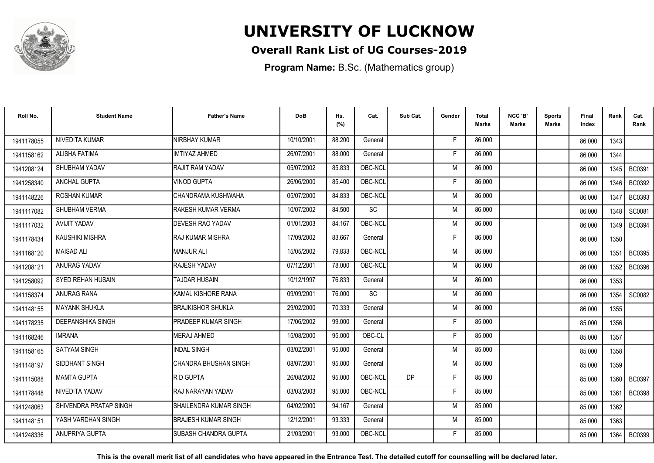

### **Overall Rank List of UG Courses-2019**

**Program Name:** B.Sc. (Mathematics group)

| Roll No.   | <b>Student Name</b>      | <b>Father's Name</b>       | <b>DoB</b> | Hs.<br>(%) | Cat.      | Sub Cat. | Gender | <b>Total</b><br><b>Marks</b> | NCC 'B'<br><b>Marks</b> | Sports<br><b>Marks</b> | Final<br>Index | Rank | Cat.<br>Rank  |
|------------|--------------------------|----------------------------|------------|------------|-----------|----------|--------|------------------------------|-------------------------|------------------------|----------------|------|---------------|
| 1941178055 | NIVEDITA KUMAR           | NIRBHAY KUMAR              | 10/10/2001 | 88.200     | General   |          | F      | 86.000                       |                         |                        | 86.000         | 1343 |               |
| 1941158162 | <b>ALISHA FATIMA</b>     | IMTIYAZ AHMED              | 26/07/2001 | 88.000     | General   |          | F      | 86.000                       |                         |                        | 86.000         | 1344 |               |
| 1941208124 | SHUBHAM YADAV            | RAJIT RAM YADAV            | 05/07/2002 | 85.833     | OBC-NCL   |          | M      | 86.000                       |                         |                        | 86.000         |      | 1345   BC0391 |
| 1941258340 | <b>ANCHAL GUPTA</b>      | VINOD GUPTA                | 26/06/2000 | 85.400     | OBC-NCL   |          | F      | 86.000                       |                         |                        | 86.000         | 1346 | BC0392        |
| 1941148226 | ROSHAN KUMAR             | CHANDRAMA KUSHWAHA         | 05/07/2000 | 84.833     | OBC-NCL   |          | M      | 86.000                       |                         |                        | 86.000         | 1347 | <b>BC0393</b> |
| 1941117082 | SHUBHAM VERMA            | RAKESH KUMAR VERMA         | 10/07/2002 | 84.500     | <b>SC</b> |          | M      | 86.000                       |                         |                        | 86.000         | 1348 | SC0081        |
| 1941117032 | <b>AVIJIT YADAV</b>      | <b>DEVESH RAO YADAV</b>    | 01/01/2003 | 84.167     | OBC-NCL   |          | M      | 86.000                       |                         |                        | 86.000         | 1349 | <b>BC0394</b> |
| 1941178434 | <b>KAUSHIKI MISHRA</b>   | <b>RAJ KUMAR MISHRA</b>    | 17/09/2002 | 83.667     | General   |          | F      | 86.000                       |                         |                        | 86.000         | 1350 |               |
| 1941168120 | <b>MAISAD ALI</b>        | <b>MANJUR ALI</b>          | 15/05/2002 | 79.833     | OBC-NCL   |          | M      | 86.000                       |                         |                        | 86.000         | 1351 | <b>BC0395</b> |
| 1941208121 | ANURAG YADAV             | RAJESH YADAV               | 07/12/2001 | 78.000     | OBC-NCL   |          | M      | 86.000                       |                         |                        | 86.000         | 1352 | <b>BC0396</b> |
| 1941258092 | <b>SYED REHAN HUSAIN</b> | <b>TAJDAR HUSAIN</b>       | 10/12/1997 | 76.833     | General   |          | M      | 86.000                       |                         |                        | 86.000         | 1353 |               |
| 1941158374 | ANURAG RANA              | KAMAL KISHORE RANA         | 09/09/2001 | 76.000     | <b>SC</b> |          | M      | 86.000                       |                         |                        | 86.000         | 1354 | SC0082        |
| 1941148155 | <b>MAYANK SHUKLA</b>     | <b>BRAJKISHOR SHUKLA</b>   | 29/02/2000 | 70.333     | General   |          | M      | 86.000                       |                         |                        | 86.000         | 1355 |               |
| 1941178235 | <b>DEEPANSHIKA SINGH</b> | PRADEEP KUMAR SINGH        | 17/06/2002 | 99.000     | General   |          | F      | 85.000                       |                         |                        | 85.000         | 1356 |               |
| 1941168246 | <b>IMRANA</b>            | <b>MERAJ AHMED</b>         | 15/08/2000 | 95.000     | OBC-CL    |          | F      | 85.000                       |                         |                        | 85.000         | 1357 |               |
| 1941158165 | <b>SATYAM SINGH</b>      | <b>INDAL SINGH</b>         | 03/02/2001 | 95.000     | General   |          | M      | 85.000                       |                         |                        | 85.000         | 1358 |               |
| 1941148197 | SIDDHANT SINGH           | CHANDRA BHUSHAN SINGH      | 08/07/2001 | 95.000     | General   |          | M      | 85.000                       |                         |                        | 85.000         | 1359 |               |
| 1941115088 | <b>MAMTA GUPTA</b>       | R D GUPTA                  | 26/08/2002 | 95.000     | OBC-NCL   | DP       | F      | 85.000                       |                         |                        | 85.000         |      | 1360   BC0397 |
| 1941178448 | NIVEDITA YADAV           | RAJ NARAYAN YADAV          | 03/03/2003 | 95.000     | OBC-NCL   |          | F      | 85.000                       |                         |                        | 85.000         | 1361 | <b>BC0398</b> |
| 1941248063 | SHIVENDRA PRATAP SINGH   | SHAILENDRA KUMAR SINGH     | 04/02/2000 | 94.167     | General   |          | M      | 85.000                       |                         |                        | 85.000         | 1362 |               |
| 1941148151 | YASH VARDHAN SINGH       | <b>BRAJESH KUMAR SINGH</b> | 12/12/2001 | 93.333     | General   |          | M      | 85.000                       |                         |                        | 85.000         | 1363 |               |
| 1941248336 | ANUPRIYA GUPTA           | SUBASH CHANDRA GUPTA       | 21/03/2001 | 93.000     | OBC-NCL   |          | F      | 85.000                       |                         |                        | 85.000         | 1364 | <b>BC0399</b> |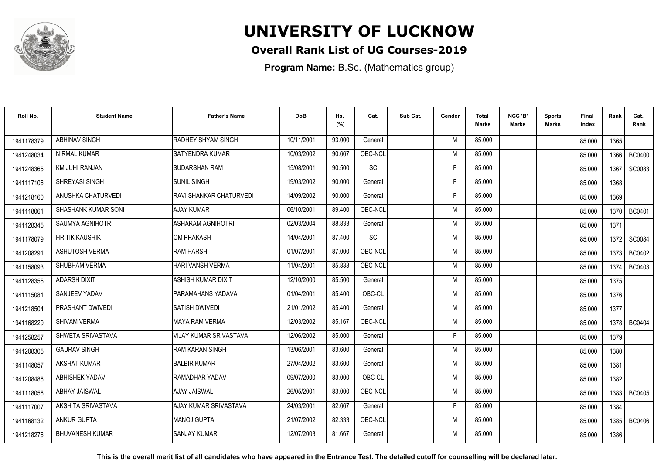

### **Overall Rank List of UG Courses-2019**

**Program Name:** B.Sc. (Mathematics group)

| Roll No.   | <b>Student Name</b>        | <b>Father's Name</b>    | <b>DoB</b> | Hs.<br>(%) | Cat.      | Sub Cat. | Gender | Total<br><b>Marks</b> | NCC 'B'<br><b>Marks</b> | <b>Sports</b><br>Marks | Final<br>Index | Rank   | Cat.<br>Rank  |
|------------|----------------------------|-------------------------|------------|------------|-----------|----------|--------|-----------------------|-------------------------|------------------------|----------------|--------|---------------|
| 1941178379 | <b>ABHINAV SINGH</b>       | RADHEY SHYAM SINGH      | 10/11/2001 | 93.000     | General   |          | M      | 85.000                |                         |                        | 85.000         | 1365   |               |
| 1941248034 | NIRMAL KUMAR               | <b>ISATYENDRA KUMAR</b> | 10/03/2002 | 90.667     | OBC-NCL   |          | M      | 85.000                |                         |                        | 85.000         | 1366   | <b>BC0400</b> |
| 1941248365 | KM JUHI RANJAN             | <b>SUDARSHAN RAM</b>    | 15/08/2001 | 90.500     | <b>SC</b> |          | F      | 85.000                |                         |                        | 85.000         | 1367   | SC0083        |
| 1941117106 | SHREYASI SINGH             | <b>SUNIL SINGH</b>      | 19/03/2002 | 90.000     | General   |          | F      | 85.000                |                         |                        | 85.000         | 1368   |               |
| 1941218160 | ANUSHKA CHATURVEDI         | RAVI SHANKAR CHATURVEDI | 14/09/2002 | 90.000     | General   |          | F      | 85.000                |                         |                        | 85.000         | 1369   |               |
| 1941118061 | <b>SHASHANK KUMAR SONI</b> | <b>AJAY KUMAR</b>       | 06/10/2001 | 89.400     | OBC-NCL   |          | M      | 85.000                |                         |                        | 85.000         | 1370   | <b>BC0401</b> |
| 1941128345 | <b>SAUMYA AGNIHOTRI</b>    | ASHARAM AGNIHOTRI       | 02/03/2004 | 88.833     | General   |          | M      | 85.000                |                         |                        | 85.000         | 1371   |               |
| 1941178079 | <b>HRITIK KAUSHIK</b>      | OM PRAKASH              | 14/04/2001 | 87.400     | <b>SC</b> |          | M      | 85.000                |                         |                        | 85.000         | 1372   | SC0084        |
| 1941208291 | <b>ASHUTOSH VERMA</b>      | <b>RAM HARSH</b>        | 01/07/2001 | 87.000     | OBC-NCL   |          | M      | 85.000                |                         |                        | 85.000         | 1373 I | BC0402        |
| 1941158093 | SHUBHAM VERMA              | HARI VANSH VERMA        | 11/04/2001 | 85.833     | OBC-NCL   |          | M      | 85.000                |                         |                        | 85.000         | 1374   | <b>BC0403</b> |
| 1941128355 | <b>ADARSH DIXIT</b>        | ASHISH KUMAR DIXIT      | 12/10/2000 | 85.500     | General   |          | M      | 85.000                |                         |                        | 85.000         | 1375   |               |
| 1941115081 | SANJEEV YADAV              | PARAMAHANS YADAVA       | 01/04/2001 | 85.400     | OBC-CL    |          | M      | 85.000                |                         |                        | 85.000         | 1376   |               |
| 1941218504 | PRASHANT DWIVEDI           | <b>SATISH DWIVEDI</b>   | 21/01/2002 | 85.400     | General   |          | M      | 85.000                |                         |                        | 85.000         | 1377   |               |
| 1941168229 | <b>SHIVAM VERMA</b>        | IMAYA RAM VERMA         | 12/03/2002 | 85.167     | OBC-NCL   |          | M      | 85.000                |                         |                        | 85.000         | 1378   | <b>BC0404</b> |
| 1941258257 | SHWETA SRIVASTAVA          | VIJAY KUMAR SRIVASTAVA  | 12/06/2002 | 85.000     | General   |          | Е      | 85.000                |                         |                        | 85.000         | 1379   |               |
| 1941208305 | <b>GAURAV SINGH</b>        | RAM KARAN SINGH         | 13/06/2001 | 83.600     | General   |          | M      | 85.000                |                         |                        | 85.000         | 1380   |               |
| 1941148057 | <b>AKSHAT KUMAR</b>        | <b>BALBIR KUMAR</b>     | 27/04/2002 | 83.600     | General   |          | M      | 85.000                |                         |                        | 85.000         | 1381   |               |
| 1941208486 | ABHISHEK YADAV             | RAMADHAR YADAV          | 09/07/2000 | 83.000     | OBC-CL    |          | M      | 85.000                |                         |                        | 85.000         | 1382   |               |
| 1941118056 | <b>ABHAY JAISWAL</b>       | AJAY JAISWAL            | 26/05/2001 | 83.000     | OBC-NCL   |          | M      | 85.000                |                         |                        | 85.000         | 1383 l | <b>BC0405</b> |
| 1941117007 | AKSHITA SRIVASTAVA         | AJAY KUMAR SRIVASTAVA   | 24/03/2001 | 82.667     | General   |          | F      | 85.000                |                         |                        | 85.000         | 1384   |               |
| 1941168132 | <b>ANKUR GUPTA</b>         | MANOJ GUPTA             | 21/07/2002 | 82.333     | OBC-NCL   |          | M      | 85.000                |                         |                        | 85.000         | 1385   | <b>BC0406</b> |
| 1941218276 | <b>BHUVANESH KUMAR</b>     | <b>SANJAY KUMAR</b>     | 12/07/2003 | 81.667     | General   |          | M      | 85.000                |                         |                        | 85.000         | 1386   |               |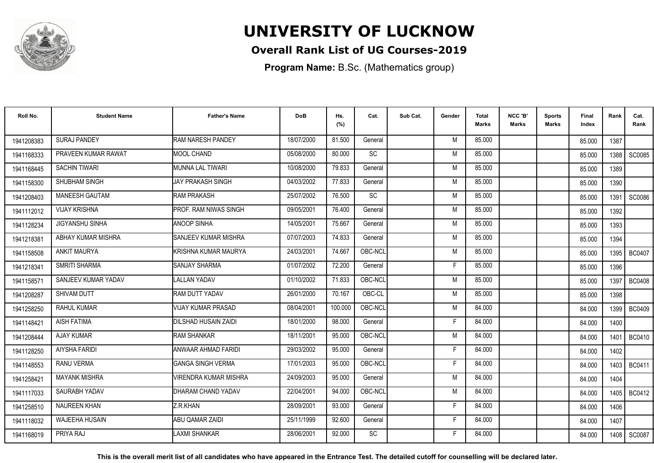

### **Overall Rank List of UG Courses-2019**

**Program Name:** B.Sc. (Mathematics group)

| Roll No.   | <b>Student Name</b>    | <b>Father's Name</b>         | <b>DoB</b> | Hs.<br>(%) | Cat.      | Sub Cat. | Gender | <b>Total</b><br><b>Marks</b> | NCC 'B'<br><b>Marks</b> | <b>Sports</b><br>Marks | Final<br>Index | Rank   | Cat.<br>Rank  |
|------------|------------------------|------------------------------|------------|------------|-----------|----------|--------|------------------------------|-------------------------|------------------------|----------------|--------|---------------|
| 1941208383 | <b>SURAJ PANDEY</b>    | <b>RAM NARESH PANDEY</b>     | 18/07/2000 | 81.500     | General   |          | M      | 85.000                       |                         |                        | 85.000         | 1387   |               |
| 1941168333 | PRAVEEN KUMAR RAWAT    | <b>MOOL CHAND</b>            | 05/08/2000 | 80.000     | <b>SC</b> |          | M      | 85.000                       |                         |                        | 85.000         | 1388 l | SC0085        |
| 1941168445 | <b>SACHIN TIWARI</b>   | MUNNA LAL TIWARI             | 10/08/2000 | 79.833     | General   |          | M      | 85.000                       |                         |                        | 85.000         | 1389   |               |
| 1941158300 | SHUBHAM SINGH          | <b>JAY PRAKASH SINGH</b>     | 04/03/2002 | 77.833     | General   |          | M      | 85.000                       |                         |                        | 85.000         | 1390   |               |
| 1941208403 | <b>MANEESH GAUTAM</b>  | <b>RAM PRAKASH</b>           | 25/07/2002 | 76.500     | <b>SC</b> |          | M      | 85.000                       |                         |                        | 85.000         | 1391   | SC0086        |
| 1941112012 | <b>VIJAY KRISHNA</b>   | PROF. RAM NIWAS SINGH        | 09/05/2001 | 76.400     | General   |          | M      | 85.000                       |                         |                        | 85.000         | 1392   |               |
| 1941128234 | <b>JIGYANSHU SINHA</b> | <b>ANOOP SINHA</b>           | 14/05/2001 | 75.667     | General   |          | M      | 85.000                       |                         |                        | 85.000         | 1393   |               |
| 1941218381 | ABHAY KUMAR MISHRA     | SANJEEV KUMAR MISHRA         | 07/07/2003 | 74.833     | General   |          | M      | 85.000                       |                         |                        | 85.000         | 1394   |               |
| 1941158508 | <b>ANKIT MAURYA</b>    | KRISHNA KUMAR MAURYA         | 24/03/2001 | 74.667     | OBC-NCL   |          | M      | 85.000                       |                         |                        | 85.000         | 1395   | BC0407        |
| 1941218341 | <b>SMRITI SHARMA</b>   | <b>SANJAY SHARMA</b>         | 01/07/2002 | 72.200     | General   |          | F      | 85.000                       |                         |                        | 85.000         | 1396   |               |
| 1941158571 | SANJEEV KUMAR YADAV    | <b>LALLAN YADAV</b>          | 01/10/2002 | 71.833     | OBC-NCL   |          | M      | 85.000                       |                         |                        | 85.000         | 1397   | <b>BC0408</b> |
| 1941208287 | <b>SHIVAM DUTT</b>     | RAM DUTT YADAV               | 26/01/2000 | 70.167     | OBC-CL    |          | M      | 85.000                       |                         |                        | 85.000         | 1398   |               |
| 1941258250 | RAHUL KUMAR            | <b>VIJAY KUMAR PRASAD</b>    | 08/04/2001 | 100.000    | OBC-NCL   |          | M      | 84.000                       |                         |                        | 84.000         | 1399   | <b>BC0409</b> |
| 1941148421 | <b>AISH FATIMA</b>     | DILSHAD HUSAIN ZAIDI         | 18/01/2000 | 98.000     | General   |          | F      | 84.000                       |                         |                        | 84.000         | 1400   |               |
| 1941208444 | <b>AJAY KUMAR</b>      | <b>RAM SHANKAR</b>           | 18/11/2001 | 95.000     | OBC-NCL   |          | M      | 84.000                       |                         |                        | 84.000         | 1401   | <b>BC0410</b> |
| 1941128250 | <b>AIYSHA FARIDI</b>   | ANWAAR AHMAD FARIDI          | 29/03/2002 | 95.000     | General   |          | F      | 84.000                       |                         |                        | 84.000         | 1402   |               |
| 1941148553 | RANU VERMA             | <b>GANGA SINGH VERMA</b>     | 17/01/2003 | 95.000     | OBC-NCL   |          | F      | 84.000                       |                         |                        | 84.000         | 1403   | BC0411        |
| 194125842  | <b>MAYANK MISHRA</b>   | <b>/IRENDRA KUMAR MISHRA</b> | 24/09/2003 | 95.000     | General   |          | M      | 84.000                       |                         |                        | 84.000         | 1404   |               |
| 1941117033 | SAURABH YADAV          | DHARAM CHAND YADAV           | 22/04/2001 | 94.000     | OBC-NCL   |          | M      | 84.000                       |                         |                        | 84.000         |        | 1405   BC0412 |
| 1941258510 | <b>NAUREEN KHAN</b>    | Z.R.KHAN                     | 28/09/2001 | 93.000     | General   |          | F      | 84.000                       |                         |                        | 84.000         | 1406   |               |
| 1941118032 | <b>WAJEEHA HUSAIN</b>  | <b>ABU QAMAR ZAIDI</b>       | 25/11/1999 | 92.600     | General   |          | F.     | 84.000                       |                         |                        | 84.000         | 1407   |               |
| 1941168019 | PRIYA RAJ              | LAXMI SHANKAR                | 28/06/2001 | 92.000     | SC        |          | F      | 84.000                       |                         |                        | 84.000         | 1408   | SC0087        |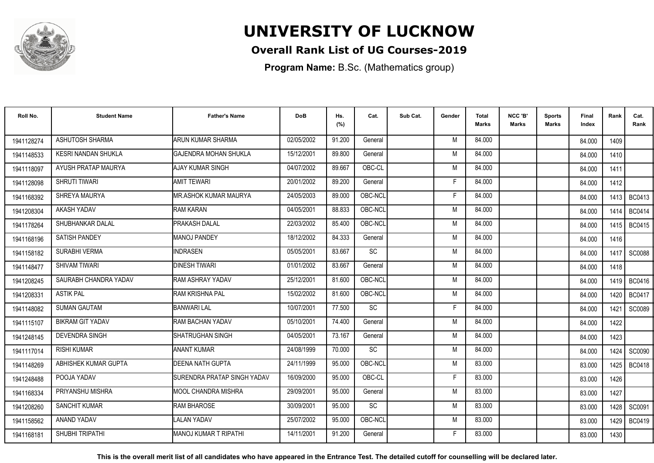

### **Overall Rank List of UG Courses-2019**

**Program Name:** B.Sc. (Mathematics group)

| Roll No.   | <b>Student Name</b>        | <b>Father's Name</b>         | <b>DoB</b> | Hs.<br>(%) | Cat.    | Sub Cat. | Gender | <b>Total</b><br><b>Marks</b> | NCC 'B'<br><b>Marks</b> | Sports<br><b>Marks</b> | <b>Final</b><br>Index | Rank   | Cat.<br>Rank  |
|------------|----------------------------|------------------------------|------------|------------|---------|----------|--------|------------------------------|-------------------------|------------------------|-----------------------|--------|---------------|
| 1941128274 | ASHUTOSH SHARMA            | <b>ARUN KUMAR SHARMA</b>     | 02/05/2002 | 91.200     | General |          | M      | 84.000                       |                         |                        | 84.000                | 1409   |               |
| 1941148533 | <b>KESRI NANDAN SHUKLA</b> | <b>GAJENDRA MOHAN SHUKLA</b> | 15/12/2001 | 89.800     | General |          | M      | 84.000                       |                         |                        | 84.000                | 1410   |               |
| 1941118097 | AYUSH PRATAP MAURYA        | <b>AJAY KUMAR SINGH</b>      | 04/07/2002 | 89.667     | OBC-CL  |          | M      | 84.000                       |                         |                        | 84.000                | 1411   |               |
| 1941128098 | <b>SHRUTI TIWARI</b>       | <b>AMIT TEWARI</b>           | 20/01/2002 | 89.200     | General |          | F      | 84.000                       |                         |                        | 84.000                | 1412   |               |
| 1941168392 | SHREYA MAURYA              | <b>MR.ASHOK KUMAR MAURYA</b> | 24/05/2003 | 89.000     | OBC-NCL |          | F      | 84.000                       |                         |                        | 84.000                | 1413 I | BC0413        |
| 1941208304 | AKASH YADAV                | <b>RAM KARAN</b>             | 04/05/2001 | 88.833     | OBC-NCL |          | M      | 84.000                       |                         |                        | 84.000                | 1414   | <b>BC0414</b> |
| 1941178264 | SHUBHANKAR DALAL           | PRAKASH DALAL                | 22/03/2002 | 85.400     | OBC-NCL |          | M      | 84.000                       |                         |                        | 84.000                | 1415   | <b>BC0415</b> |
| 1941168196 | <b>SATISH PANDEY</b>       | <b>MANOJ PANDEY</b>          | 18/12/2002 | 84.333     | General |          | M      | 84.000                       |                         |                        | 84.000                | 1416   |               |
| 1941158182 | SURABHI VERMA              | <b>INDRASEN</b>              | 05/05/2001 | 83.667     | SC      |          | M      | 84.000                       |                         |                        | 84.000                | 1417 l | SC0088        |
| 1941148477 | SHIVAM TIWARI              | <b>DINESH TIWARI</b>         | 01/01/2002 | 83.667     | General |          | M      | 84.000                       |                         |                        | 84.000                | 1418   |               |
| 1941208245 | SAURABH CHANDRA YADAV      | RAM ASHRAY YADAV             | 25/12/2001 | 81.600     | OBC-NCL |          | M      | 84.000                       |                         |                        | 84.000                | 1419 l | <b>BC0416</b> |
| 1941208331 | <b>ASTIK PAL</b>           | IRAM KRISHNA PAL             | 15/02/2002 | 81.600     | OBC-NCL |          | M      | 84.000                       |                         |                        | 84.000                | 1420 l | <b>BC0417</b> |
| 1941148082 | <b>SUMAN GAUTAM</b>        | <b>BANWARI LAL</b>           | 10/07/2001 | 77.500     | SC      |          |        | 84.000                       |                         |                        | 84.000                | 1421   | <b>SC0089</b> |
| 1941115107 | <b>BIKRAM GIT YADAV</b>    | RAM BACHAN YADAV             | 05/10/2001 | 74.400     | General |          | M      | 84.000                       |                         |                        | 84.000                | 1422   |               |
| 1941248145 | <b>DEVENDRA SINGH</b>      | <b>SHATRUGHAN SINGH</b>      | 04/05/2001 | 73.167     | General |          | M      | 84.000                       |                         |                        | 84.000                | 1423   |               |
| 1941117014 | <b>RISHI KUMAR</b>         | <b>ANANT KUMAR</b>           | 24/08/1999 | 70.000     | SC      |          | M      | 84.000                       |                         |                        | 84.000                | 1424   | <b>SC0090</b> |
| 1941148269 | ABHISHEK KUMAR GUPTA       | DEENA NATH GUPTA             | 24/11/1999 | 95.000     | OBC-NCL |          | M      | 83.000                       |                         |                        | 83.000                |        | 1425   BC0418 |
| 1941248488 | POOJA YADAV                | SURENDRA PRATAP SINGH YADAV  | 16/09/2000 | 95.000     | OBC-CL  |          | F      | 83.000                       |                         |                        | 83.000                | 1426   |               |
| 1941168334 | PRIYANSHU MISHRA           | IMOOL CHANDRA MISHRA         | 29/09/2001 | 95.000     | General |          | M      | 83.000                       |                         |                        | 83.000                | 1427   |               |
| 1941208260 | <b>SANCHIT KUMAR</b>       | <b>RAM BHAROSE</b>           | 30/09/2001 | 95.000     | SC      |          | M      | 83.000                       |                         |                        | 83.000                | 1428 l | SC0091        |
| 1941158562 | ANAND YADAV                | <b>LALAN YADAV</b>           | 25/07/2002 | 95.000     | OBC-NCL |          | M      | 83.000                       |                         |                        | 83.000                | 1429   | <b>BC0419</b> |
| 1941168181 | SHUBHI TRIPATHI            | <b>MANOJ KUMAR T RIPATHI</b> | 14/11/2001 | 91.200     | General |          | F      | 83.000                       |                         |                        | 83.000                | 1430   |               |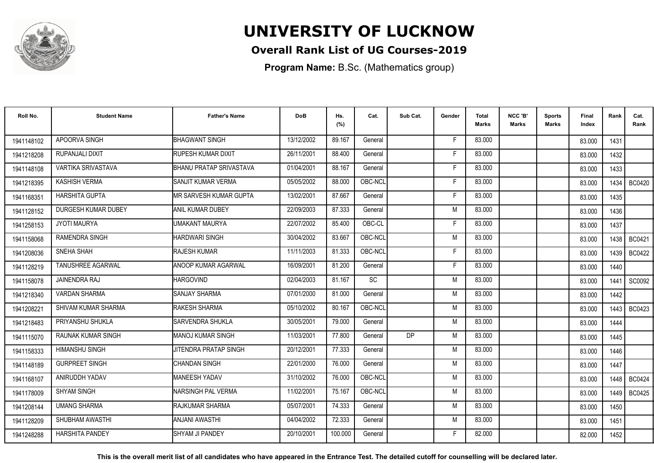

### **Overall Rank List of UG Courses-2019**

**Program Name:** B.Sc. (Mathematics group)

| Roll No.   | <b>Student Name</b>       | <b>Father's Name</b>           | <b>DoB</b> | Hs.<br>(%) | Cat.    | Sub Cat.  | Gender | <b>Total</b><br>Marks | NCC 'B'<br><b>Marks</b> | Sports<br>Marks | Final<br>Index | Rank   | Cat.<br>Rank  |
|------------|---------------------------|--------------------------------|------------|------------|---------|-----------|--------|-----------------------|-------------------------|-----------------|----------------|--------|---------------|
| 1941148102 | APOORVA SINGH             | <b>BHAGWANT SINGH</b>          | 13/12/2002 | 89.167     | General |           | -F     | 83.000                |                         |                 | 83.000         | 1431   |               |
| 1941218208 | RUPANJALI DIXIT           | <b>RUPESH KUMAR DIXIT</b>      | 26/11/2001 | 88.400     | General |           | F      | 83.000                |                         |                 | 83.000         | 1432   |               |
| 1941148108 | VARTIKA SRIVASTAVA        | <b>BHANU PRATAP SRIVASTAVA</b> | 01/04/2001 | 88.167     | General |           | F      | 83.000                |                         |                 | 83.000         | 1433   |               |
| 1941218395 | KASHISH VERMA             | SANJIT KUMAR VERMA             | 05/05/2002 | 88.000     | OBC-NCL |           | F      | 83.000                |                         |                 | 83.000         | 1434   | <b>BC0420</b> |
| 1941168351 | <b>HARSHITA GUPTA</b>     | IMR SARVESH KUMAR GUPTA        | 13/02/2001 | 87.667     | General |           | F      | 83.000                |                         |                 | 83.000         | 1435   |               |
| 1941128152 | DURGESH KUMAR DUBEY       | ANIL KUMAR DUBEY               | 22/09/2003 | 87.333     | General |           | M      | 83.000                |                         |                 | 83.000         | 1436   |               |
| 1941258153 | <b>JYOTI MAURYA</b>       | UMAKANT MAURYA                 | 22/07/2002 | 85.400     | OBC-CL  |           | F      | 83.000                |                         |                 | 83.000         | 1437   |               |
| 1941158068 | <b>RAMENDRA SINGH</b>     | <b>HARDWARI SINGH</b>          | 30/04/2002 | 83.667     | OBC-NCL |           | M      | 83.000                |                         |                 | 83.000         | 1438 I | BC0421        |
| 1941208036 | SNEHA SHAH                | <b>RAJESH KUMAR</b>            | 11/11/2003 | 81.333     | OBC-NCL |           | F      | 83.000                |                         |                 | 83.000         | 1439 I | BC0422        |
| 1941128219 | <b>TANUSHREE AGARWAL</b>  | <b>ANOOP KUMAR AGARWAL</b>     | 16/09/2001 | 81.200     | General |           | F      | 83.000                |                         |                 | 83.000         | 1440   |               |
| 1941158078 | <b>JAINENDRA RAJ</b>      | <b>HARGOVIND</b>               | 02/04/2003 | 81.167     | SC      |           | M      | 83.000                |                         |                 | 83.000         | 1441   | SC0092        |
| 1941218340 | <b>VARDAN SHARMA</b>      | <b>SANJAY SHARMA</b>           | 07/01/2000 | 81.000     | General |           | M      | 83.000                |                         |                 | 83.000         | 1442   |               |
| 1941208221 | SHIVAM KUMAR SHARMA       | RAKESH SHARMA                  | 05/10/2002 | 80.167     | OBC-NCL |           | M      | 83.000                |                         |                 | 83.000         | 1443 l | BC0423        |
| 1941218483 | PRIYANSHU SHUKLA          | <b>ISARVENDRA SHUKLA</b>       | 30/05/2001 | 79.000     | General |           | M      | 83.000                |                         |                 | 83.000         | 1444   |               |
| 1941115070 | <b>RAUNAK KUMAR SINGH</b> | <b>MANOJ KUMAR SINGH</b>       | 11/03/2001 | 77.800     | General | <b>DP</b> | M      | 83.000                |                         |                 | 83.000         | 1445   |               |
| 1941158333 | <b>HIMANSHU SINGH</b>     | <b>JITENDRA PRATAP SINGH</b>   | 20/12/2001 | 77.333     | General |           | M      | 83.000                |                         |                 | 83.000         | 1446   |               |
| 1941148189 | <b>GURPREET SINGH</b>     | <b>CHANDAN SINGH</b>           | 22/01/2000 | 76.000     | General |           | M      | 83.000                |                         |                 | 83.000         | 1447   |               |
| 1941168107 | ANIRUDDH YADAV            | <b>MANEESH YADAV</b>           | 31/10/2002 | 76.000     | OBC-NCL |           | M      | 83.000                |                         |                 | 83.000         | 1448 I | <b>BC0424</b> |
| 1941178009 | <b>SHYAM SINGH</b>        | <b>INARSINGH PAL VERMA</b>     | 11/02/2001 | 75.167     | OBC-NCL |           | M      | 83.000                |                         |                 | 83.000         | 1449 I | BC0425        |
| 1941208144 | <b>UMANG SHARMA</b>       | <b>IRAJKUMAR SHARMA</b>        | 05/07/2001 | 74.333     | General |           | M      | 83.000                |                         |                 | 83.000         | 1450   |               |
| 1941128209 | SHUBHAM AWASTHI           | <b>ANJANI AWASTHI</b>          | 04/04/2002 | 72.333     | General |           | M      | 83.000                |                         |                 | 83.000         | 1451   |               |
| 1941248288 | <b>HARSHITA PANDEY</b>    | SHYAM JI PANDEY                | 20/10/2001 | 100.000    | General |           | F      | 82.000                |                         |                 | 82.000         | 1452   |               |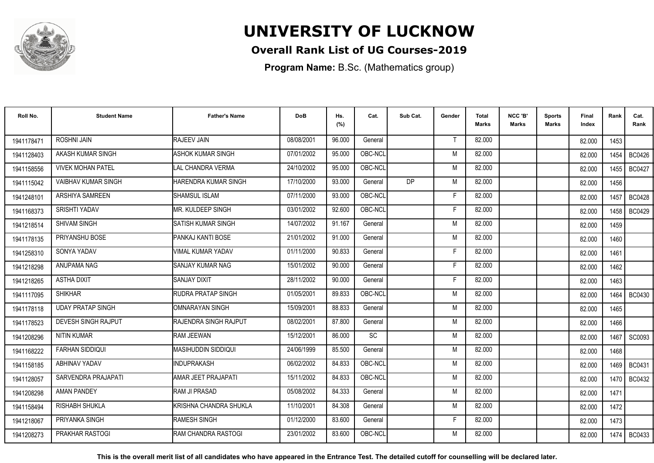

### **Overall Rank List of UG Courses-2019**

**Program Name:** B.Sc. (Mathematics group)

| Roll No.   | <b>Student Name</b>        | <b>Father's Name</b>          | <b>DoB</b> | Hs.<br>(%) | Cat.      | Sub Cat.  | Gender | <b>Total</b><br><b>Marks</b> | NCC 'B'<br><b>Marks</b> | Sports<br>Marks | Final<br>Index | Rank | Cat.<br>Rank  |
|------------|----------------------------|-------------------------------|------------|------------|-----------|-----------|--------|------------------------------|-------------------------|-----------------|----------------|------|---------------|
| 1941178471 | <b>ROSHNI JAIN</b>         | RAJEEV JAIN                   | 08/08/2001 | 96.000     | General   |           |        | 82.000                       |                         |                 | 82.000         | 1453 |               |
| 1941128403 | AKASH KUMAR SINGH          | <b>ASHOK KUMAR SINGH</b>      | 07/01/2002 | 95.000     | OBC-NCL   |           | M      | 82.000                       |                         |                 | 82.000         | 1454 | <b>BC0426</b> |
| 1941158556 | <b>VIVEK MOHAN PATEL</b>   | LAL CHANDRA VERMA             | 24/10/2002 | 95.000     | OBC-NCL   |           | M      | 82.000                       |                         |                 | 82.000         | 1455 | <b>BC0427</b> |
| 1941115042 | <b>VAIBHAV KUMAR SINGH</b> | HARENDRA KUMAR SINGH          | 17/10/2000 | 93.000     | General   | <b>DP</b> | M      | 82.000                       |                         |                 | 82.000         | 1456 |               |
| 1941248101 | <b>ARSHIYA SAMREEN</b>     | <b>SHAMSUL ISLAM</b>          | 07/11/2000 | 93.000     | OBC-NCL   |           | F      | 82.000                       |                         |                 | 82.000         | 1457 | BC0428        |
| 1941168373 | <b>SRISHTI YADAV</b>       | MR. KULDEEP SINGH             | 03/01/2002 | 92.600     | OBC-NCL   |           | Е      | 82.000                       |                         |                 | 82.000         | 1458 | <b>BC0429</b> |
| 1941218514 | SHIVAM SINGH               | <b>SATISH KUMAR SINGH</b>     | 14/07/2002 | 91.167     | General   |           | M      | 82.000                       |                         |                 | 82.000         | 1459 |               |
| 1941178135 | PRIYANSHU BOSE             | PANKAJ KANTI BOSE             | 21/01/2002 | 91.000     | General   |           | M      | 82.000                       |                         |                 | 82.000         | 1460 |               |
| 1941258310 | SONYA YADAV                | <b>VIMAL KUMAR YADAV</b>      | 01/11/2000 | 90.833     | General   |           | F      | 82.000                       |                         |                 | 82.000         | 1461 |               |
| 1941218298 | ANUPAMA NAG                | <b>SANJAY KUMAR NAG</b>       | 15/01/2002 | 90.000     | General   |           | F      | 82.000                       |                         |                 | 82.000         | 1462 |               |
| 1941218265 | <b>ASTHA DIXIT</b>         | <b>SANJAY DIXIT</b>           | 28/11/2002 | 90.000     | General   |           | Е      | 82.000                       |                         |                 | 82.000         | 1463 |               |
| 1941117095 | <b>SHIKHAR</b>             | <b>RUDRA PRATAP SINGH</b>     | 01/05/2001 | 89.833     | OBC-NCL   |           | M      | 82.000                       |                         |                 | 82.000         | 1464 | <b>BC0430</b> |
| 1941178118 | <b>UDAY PRATAP SINGH</b>   | IOMNARAYAN SINGH              | 15/09/2001 | 88.833     | General   |           | M      | 82.000                       |                         |                 | 82.000         | 1465 |               |
| 1941178523 | <b>DEVESH SINGH RAJPUT</b> | <b>IRAJENDRA SINGH RAJPUT</b> | 08/02/2001 | 87.800     | General   |           | M      | 82.000                       |                         |                 | 82.000         | 1466 |               |
| 1941208296 | NITIN KUMAR                | <b>RAM JEEWAN</b>             | 15/12/2001 | 86.000     | <b>SC</b> |           | M      | 82.000                       |                         |                 | 82.000         | 1467 | SC0093        |
| 1941168222 | <b>FARHAN SIDDIQUI</b>     | IMASIHUDDIN SIDDIQUI          | 24/06/1999 | 85.500     | General   |           | M      | 82.000                       |                         |                 | 82.000         | 1468 |               |
| 1941158185 | <b>ABHINAV YADAV</b>       | INDUPRAKASH                   | 06/02/2002 | 84.833     | OBC-NCL   |           | M      | 82.000                       |                         |                 | 82.000         |      | 1469   BC0431 |
| 1941128057 | SARVENDRA PRAJAPATI        | AMAR JEET PRAJAPATI           | 15/11/2002 | 84.833     | OBC-NCL   |           | M      | 82.000                       |                         |                 | 82.000         |      | 1470   BC0432 |
| 1941208298 | AMAN PANDEY                | <b>RAM JI PRASAD</b>          | 05/08/2002 | 84.333     | General   |           | M      | 82.000                       |                         |                 | 82.000         | 1471 |               |
| 1941158494 | RISHABH SHUKLA             | KRISHNA CHANDRA SHUKLA        | 11/10/2001 | 84.308     | General   |           | M      | 82.000                       |                         |                 | 82.000         | 1472 |               |
| 1941218067 | PRIYANKA SINGH             | RAMESH SINGH                  | 01/12/2000 | 83.600     | General   |           | F      | 82.000                       |                         |                 | 82.000         | 1473 |               |
| 1941208273 | PRAKHAR RASTOGI            | IRAM CHANDRA RASTOGI          | 23/01/2002 | 83.600     | OBC-NCL   |           | M      | 82.000                       |                         |                 | 82.000         | 1474 | BC0433        |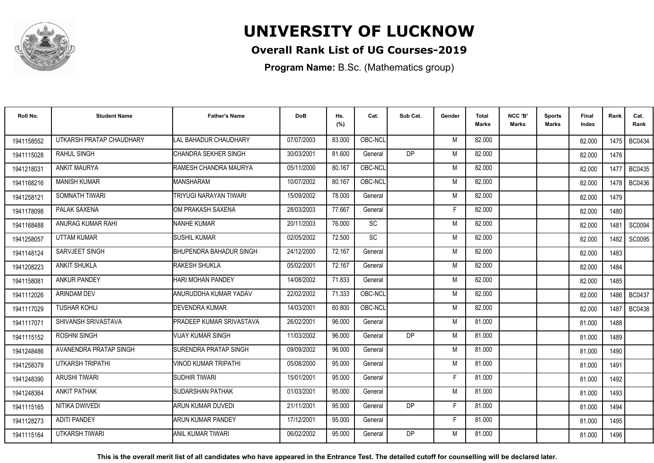

### **Overall Rank List of UG Courses-2019**

**Program Name:** B.Sc. (Mathematics group)

| Roll No.   | <b>Student Name</b>      | <b>Father's Name</b>         | <b>DoB</b> | Hs.<br>(%) | Cat.      | Sub Cat.  | Gender | <b>Total</b><br>Marks | NCC 'B'<br><b>Marks</b> | Sports<br>Marks | <b>Final</b><br>Index | Rank   | Cat.<br>Rank  |
|------------|--------------------------|------------------------------|------------|------------|-----------|-----------|--------|-----------------------|-------------------------|-----------------|-----------------------|--------|---------------|
| 1941158552 | UTKARSH PRATAP CHAUDHARY | LAL BAHADUR CHAUDHARY        | 07/07/2003 | 83.000     | OBC-NCL   |           | M      | 82.000                |                         |                 | 82.000                |        | 1475   BC0434 |
| 1941115028 | RAHUL SINGH              | CHANDRA SEKHER SINGH         | 30/03/2001 | 81.600     | General   | <b>DP</b> | M      | 82.000                |                         |                 | 82.000                | 1476   |               |
| 1941218031 | <b>ANKIT MAURYA</b>      | RAMESH CHANDRA MAURYA        | 05/11/2000 | 80.167     | OBC-NCL   |           | M      | 82.000                |                         |                 | 82.000                | 1477   | <b>BC0435</b> |
| 1941168216 | <b>MANISH KUMAR</b>      | <b>MANSHARAM</b>             | 10/07/2002 | 80.167     | OBC-NCL   |           | M      | 82.000                |                         |                 | 82.000                | 1478 l | <b>BC0436</b> |
| 1941258121 | SOMNATH TIWARI           | TRIYUGI NARAYAN TIWARI       | 15/09/2002 | 78.000     | General   |           | M      | 82.000                |                         |                 | 82.000                | 1479   |               |
| 1941178098 | PALAK SAXENA             | OM PRAKASH SAXENA            | 28/03/2003 | 77.667     | General   |           | E      | 82.000                |                         |                 | 82.000                | 1480   |               |
| 1941168488 | ANURAG KUMAR RAHI        | <b>NANHE KUMAR</b>           | 20/11/2003 | 76.000     | <b>SC</b> |           | M      | 82.000                |                         |                 | 82.000                | 1481   | SC0094        |
| 1941258057 | <b>UTTAM KUMAR</b>       | <b>SUSHIL KUMAR</b>          | 02/05/2002 | 72.500     | SC        |           | M      | 82.000                |                         |                 | 82.000                | 1482   | <b>SC0095</b> |
| 1941148124 | SARVJEET SINGH           | BHUPENDRA BAHADUR SINGH      | 24/12/2000 | 72.167     | General   |           | M      | 82.000                |                         |                 | 82.000                | 1483   |               |
| 1941208223 | <b>ANKIT SHUKLA</b>      | RAKESH SHUKLA                | 05/02/2001 | 72.167     | General   |           | M      | 82.000                |                         |                 | 82.000                | 1484   |               |
| 194115808  | <b>ANKUR PANDEY</b>      | HARI MOHAN PANDEY            | 14/08/2002 | 71.833     | General   |           | M      | 82.000                |                         |                 | 82.000                | 1485   |               |
| 1941112026 | ARINDAM DEV              | ANURUDDHA KUMAR YADAV        | 22/02/2002 | 71.333     | OBC-NCL   |           | M      | 82.000                |                         |                 | 82.000                | 1486 I | <b>BC0437</b> |
| 1941117029 | <b>TUSHAR KOHLI</b>      | DEVENDRA KUMAR               | 14/03/2001 | 60.800     | OBC-NCL   |           | M      | 82.000                |                         |                 | 82.000                | 1487   | <b>BC0438</b> |
| 1941117071 | SHIVANSH SRIVASTAVA      | PRADEEP KUMAR SRIVASTAVA     | 26/02/2001 | 96.000     | General   |           | M      | 81.000                |                         |                 | 81.000                | 1488   |               |
| 1941115152 | ROSHNI SINGH             | <b>VIJAY KUMAR SINGH</b>     | 11/03/2002 | 96.000     | General   | <b>DP</b> | M      | 81.000                |                         |                 | 81.000                | 1489   |               |
| 1941248486 | AVANENDRA PRATAP SINGH   | <b>SURENDRA PRATAP SINGH</b> | 09/09/2002 | 96.000     | General   |           | M      | 81.000                |                         |                 | 81.000                | 1490   |               |
| 1941258379 | UTKARSH TRIPATHI         | VINOD KUMAR TRIPATHI         | 05/08/2000 | 95.000     | General   |           | M      | 81.000                |                         |                 | 81.000                | 1491   |               |
| 1941248390 | <b>ARUSHI TIWARI</b>     | SUDHIR TIWARI                | 15/01/2001 | 95.000     | General   |           | F      | 81.000                |                         |                 | 81.000                | 1492   |               |
| 1941248364 | <b>ANKIT PATHAK</b>      | <b>SUDARSHAN PATHAK</b>      | 01/03/2001 | 95.000     | General   |           | M      | 81.000                |                         |                 | 81.000                | 1493   |               |
| 1941115165 | NITIKA DWIVEDI           | ARUN KUMAR DUVEDI            | 21/11/2001 | 95.000     | General   | DP        | F      | 81.000                |                         |                 | 81.000                | 1494   |               |
| 1941128273 | ADITI PANDEY             | ARUN KUMAR PANDEY            | 17/12/2001 | 95.000     | General   |           | F      | 81.000                |                         |                 | 81.000                | 1495   |               |
| 1941115164 | UTKARSH TIWARI           | <b>ANIL KUMAR TIWARI</b>     | 06/02/2002 | 95.000     | General   | DP        | M      | 81.000                |                         |                 | 81.000                | 1496   |               |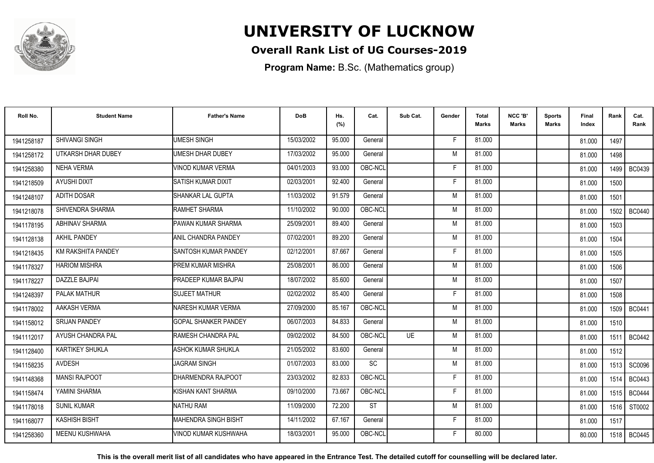

### **Overall Rank List of UG Courses-2019**

**Program Name:** B.Sc. (Mathematics group)

| Roll No.   | <b>Student Name</b>    | <b>Father's Name</b>         | <b>DoB</b> | Hs.<br>(%) | Cat.      | Sub Cat.  | Gender | Total<br><b>Marks</b> | NCC 'B'<br><b>Marks</b> | <b>Sports</b><br>Marks | Final<br>Index | Rank   | Cat.<br>Rank  |
|------------|------------------------|------------------------------|------------|------------|-----------|-----------|--------|-----------------------|-------------------------|------------------------|----------------|--------|---------------|
| 1941258187 | SHIVANGI SINGH         | <b>UMESH SINGH</b>           | 15/03/2002 | 95.000     | General   |           | E      | 81.000                |                         |                        | 81.000         | 1497   |               |
| 1941258172 | UTKARSH DHAR DUBEY     | <b>UMESH DHAR DUBEY</b>      | 17/03/2002 | 95.000     | General   |           | M      | 81.000                |                         |                        | 81.000         | 1498   |               |
| 1941258380 | <b>NEHA VERMA</b>      | <b>VINOD KUMAR VERMA</b>     | 04/01/2003 | 93.000     | OBC-NCL   |           | F      | 81.000                |                         |                        | 81.000         | 1499   | <b>BC0439</b> |
| 1941218509 | <b>AYUSHI DIXIT</b>    | İSATISH KUMAR DIXIT          | 02/03/2001 | 92.400     | General   |           | F      | 81.000                |                         |                        | 81.000         | 1500   |               |
| 1941248107 | <b>ADITH DOSAR</b>     | ISHANKAR LAL GUPTA           | 11/03/2002 | 91.579     | General   |           | M      | 81.000                |                         |                        | 81.000         | 1501   |               |
| 1941218078 | SHIVENDRA SHARMA       | RAMHET SHARMA                | 11/10/2002 | 90.000     | OBC-NCL   |           | M      | 81.000                |                         |                        | 81.000         | 1502   | <b>BC0440</b> |
| 1941178195 | <b>ABHINAV SHARMA</b>  | PAWAN KUMAR SHARMA           | 25/09/2001 | 89.400     | General   |           | M      | 81.000                |                         |                        | 81.000         | 1503   |               |
| 1941128138 | <b>AKHIL PANDEY</b>    | <b>ANIL CHANDRA PANDEY</b>   | 07/02/2001 | 89.200     | General   |           | M      | 81.000                |                         |                        | 81.000         | 1504   |               |
| 1941218435 | KM RAKSHITA PANDEY     | <b>ISANTOSH KUMAR PANDEY</b> | 02/12/2001 | 87.667     | General   |           | F      | 81.000                |                         |                        | 81.000         | 1505   |               |
| 1941178327 | <b>HARIOM MISHRA</b>   | <b>PREM KUMAR MISHRA</b>     | 25/08/2001 | 86.000     | General   |           | M      | 81.000                |                         |                        | 81.000         | 1506   |               |
| 1941178227 | DAZZLE BAJPAI          | <b>PRADEEP KUMAR BAJPAL</b>  | 18/07/2002 | 85.600     | General   |           | M      | 81.000                |                         |                        | 81.000         | 1507   |               |
| 1941248397 | PALAK MATHUR           | <b>SUJEET MATHUR</b>         | 02/02/2002 | 85.400     | General   |           | F      | 81.000                |                         |                        | 81.000         | 1508   |               |
| 1941178002 | AAKASH VERMA           | NARESH KUMAR VERMA           | 27/09/2000 | 85.167     | OBC-NCL   |           | M      | 81.000                |                         |                        | 81.000         |        | 1509   BC0441 |
| 1941158012 | <b>SRIJAN PANDEY</b>   | <b>GOPAL SHANKER PANDEY</b>  | 06/07/2003 | 84.833     | General   |           | M      | 81.000                |                         |                        | 81.000         | 1510   |               |
| 1941112017 | AYUSH CHANDRA PAL      | <b>RAMESH CHANDRA PAL</b>    | 09/02/2002 | 84.500     | OBC-NCL   | <b>UE</b> | M      | 81.000                |                         |                        | 81.000         | 1511   | <b>BC0442</b> |
| 1941128400 | <b>KARTIKEY SHUKLA</b> | <b>ASHOK KUMAR SHUKLA</b>    | 21/05/2002 | 83.600     | General   |           | M      | 81.000                |                         |                        | 81.000         | 1512   |               |
| 1941158235 | <b>AVDESH</b>          | <b>JAGRAM SINGH</b>          | 01/07/2003 | 83.000     | <b>SC</b> |           | M      | 81.000                |                         |                        | 81.000         |        | 1513   SC0096 |
| 1941148368 | <b>MANSI RAJPOOT</b>   | DHARMENDRA RAJPOOT           | 23/03/2002 | 82.833     | OBC-NCL   |           | F      | 81.000                |                         |                        | 81.000         | 1514 I | BC0443        |
| 1941158474 | YAMINI SHARMA          | KISHAN KANT SHARMA           | 09/10/2000 | 73.667     | OBC-NCL   |           | F      | 81.000                |                         |                        | 81.000         | 1515   | <b>BC0444</b> |
| 1941178018 | <b>SUNIL KUMAR</b>     | NATHU RAM                    | 11/09/2000 | 72.200     | <b>ST</b> |           | M      | 81.000                |                         |                        | 81.000         | 1516   | ST0002        |
| 1941168077 | <b>KASHISH BISHT</b>   | IMAHENDRA SINGH BISHT        | 14/11/2002 | 67.167     | General   |           | F.     | 81.000                |                         |                        | 81.000         | 1517   |               |
| 1941258360 | <b>MEENU KUSHWAHA</b>  | VINOD KUMAR KUSHWAHA         | 18/03/2001 | 95.000     | OBC-NCL   |           | Е      | 80.000                |                         |                        | 80.000         |        | 1518   BC0445 |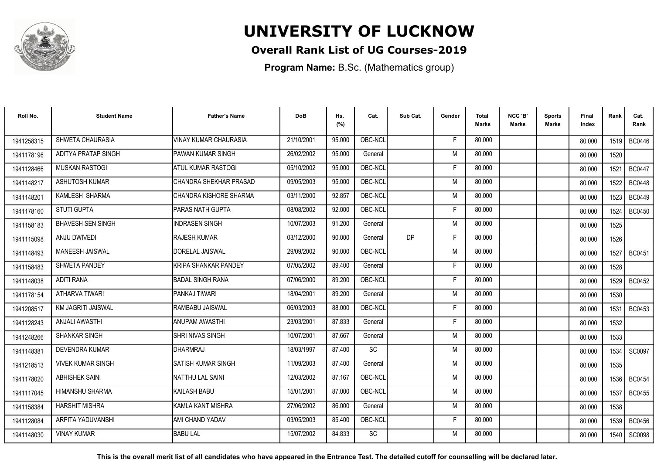

### **Overall Rank List of UG Courses-2019**

**Program Name:** B.Sc. (Mathematics group)

| Roll No.   | <b>Student Name</b>       | <b>Father's Name</b>    | <b>DoB</b> | Hs.<br>(%) | Cat.      | Sub Cat.  | Gender | <b>Total</b><br><b>Marks</b> | NCC 'B'<br><b>Marks</b> | <b>Sports</b><br>Marks | Final<br>Index | Rank   | Cat.<br>Rank  |
|------------|---------------------------|-------------------------|------------|------------|-----------|-----------|--------|------------------------------|-------------------------|------------------------|----------------|--------|---------------|
| 1941258315 | SHWETA CHAURASIA          | VINAY KUMAR CHAURASIA   | 21/10/2001 | 95.000     | OBC-NCL   |           | F      | 80.000                       |                         |                        | 80.000         |        | 1519   BC0446 |
| 1941178196 | ADITYA PRATAP SINGH       | PAWAN KUMAR SINGH       | 26/02/2002 | 95.000     | General   |           | M      | 80.000                       |                         |                        | 80.000         | 1520   |               |
| 1941128466 | <b>MUSKAN RASTOGI</b>     | ATUL KUMAR RASTOGI      | 05/10/2002 | 95.000     | OBC-NCL   |           | F      | 80.000                       |                         |                        | 80.000         | 1521   | <b>BC0447</b> |
| 1941148217 | ASHUTOSH KUMAR            | CHANDRA SHEKHAR PRASAD  | 09/05/2003 | 95.000     | OBC-NCL   |           | M      | 80.000                       |                         |                        | 80.000         | 1522   | <b>BC0448</b> |
| 1941148201 | KAMLESH SHARMA            | CHANDRA KISHORE SHARMA  | 03/11/2000 | 92.857     | OBC-NCL   |           | M      | 80.000                       |                         |                        | 80.000         | 1523   | <b>BC0449</b> |
| 1941178160 | <b>STUTI GUPTA</b>        | <b>PARAS NATH GUPTA</b> | 08/08/2002 | 92.000     | OBC-NCL   |           | F      | 80.000                       |                         |                        | 80.000         | 1524   | <b>BC0450</b> |
| 1941158183 | <b>BHAVESH SEN SINGH</b>  | <b>INDRASEN SINGH</b>   | 10/07/2003 | 91.200     | General   |           | M      | 80.000                       |                         |                        | 80.000         | 1525   |               |
| 1941115098 | <b>ANJU DWIVEDI</b>       | <b>RAJESH KUMAR</b>     | 03/12/2000 | 90.000     | General   | <b>DP</b> | F      | 80.000                       |                         |                        | 80.000         | 1526   |               |
| 1941148493 | <b>MANEESH JAISWAL</b>    | DORELAL JAISWAL         | 29/09/2002 | 90.000     | OBC-NCL   |           | M      | 80.000                       |                         |                        | 80.000         | 1527   | BC0451        |
| 1941158483 | <b>SHWETA PANDEY</b>      | KRIPA SHANKAR PANDEY    | 07/05/2002 | 89.400     | General   |           | F      | 80.000                       |                         |                        | 80.000         | 1528   |               |
| 1941148038 | <b>ADITI RANA</b>         | <b>BADAL SINGH RANA</b> | 07/06/2000 | 89.200     | OBC-NCL   |           | F      | 80.000                       |                         |                        | 80.000         | 1529   | <b>BC0452</b> |
| 1941178154 | ATHARVA TIWARI            | PANKAJ TIWARI           | 18/04/2001 | 89.200     | General   |           | M      | 80.000                       |                         |                        | 80.000         | 1530   |               |
| 1941208517 | <b>KM JAGRITI JAISWAL</b> | RAMBABU JAISWAL         | 06/03/2003 | 88.000     | OBC-NCL   |           | F      | 80.000                       |                         |                        | 80.000         | 1531   | <b>BC0453</b> |
| 1941128243 | ANJALI AWASTHI            | <b>ANUPAM AWASTHI</b>   | 23/03/2001 | 87.833     | General   |           | F      | 80.000                       |                         |                        | 80.000         | 1532   |               |
| 1941248266 | <b>SHANKAR SINGH</b>      | <b>SHRI NIVAS SINGH</b> | 10/07/2001 | 87.667     | General   |           | M      | 80.000                       |                         |                        | 80.000         | 1533   |               |
| 194114838  | DEVENDRA KUMAR            | DHARMRAJ                | 18/03/1997 | 87.400     | SC        |           | M      | 80.000                       |                         |                        | 80.000         | 1534   | SC0097        |
| 1941218513 | <b>VIVEK KUMAR SINGH</b>  | SATISH KUMAR SINGH      | 11/09/2003 | 87.400     | General   |           | M      | 80.000                       |                         |                        | 80.000         | 1535   |               |
| 1941178020 | <b>ABHISHEK SAINI</b>     | <b>NATTHU LAL SAINI</b> | 12/03/2002 | 87.167     | OBC-NCL   |           | M      | 80.000                       |                         |                        | 80.000         |        | 1536   BC0454 |
| 1941117045 | HIMANSHU SHARMA           | <b>KAILASH BABU</b>     | 15/01/2001 | 87.000     | OBC-NCL   |           | M      | 80.000                       |                         |                        | 80.000         | 1537 l | <b>BC0455</b> |
| 1941158384 | <b>HARSHIT MISHRA</b>     | KAMLA KANT MISHRA       | 27/06/2002 | 86.000     | General   |           | M      | 80.000                       |                         |                        | 80.000         | 1538   |               |
| 1941128084 | ARPITA YADUVANSHI         | AMI CHAND YADAV         | 03/05/2003 | 85.400     | OBC-NCL   |           | F.     | 80.000                       |                         |                        | 80.000         | 1539   | <b>BC0456</b> |
| 1941148030 | <b>VINAY KUMAR</b>        | <b>BABU LAL</b>         | 15/07/2002 | 84.833     | <b>SC</b> |           | M      | 80.000                       |                         |                        | 80.000         | 1540   | SC0098        |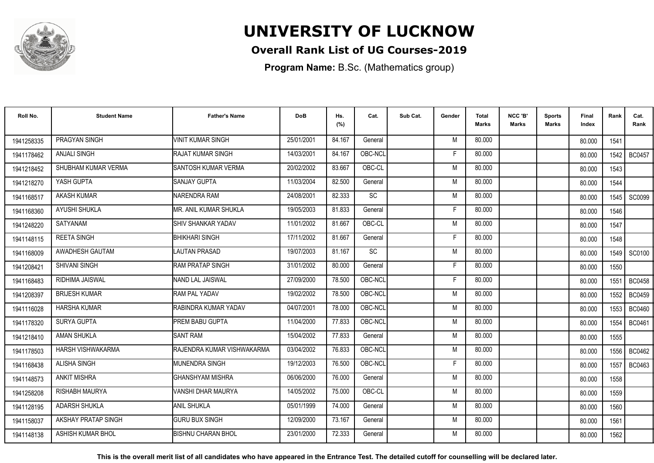

### **Overall Rank List of UG Courses-2019**

**Program Name:** B.Sc. (Mathematics group)

| Roll No.   | <b>Student Name</b>   | <b>Father's Name</b>         | <b>DoB</b> | Hs.<br>(%) | Cat.    | Sub Cat. | Gender | Total<br><b>Marks</b> | NCC 'B'<br><b>Marks</b> | Sports<br>Marks | Final<br>Index | Rank | Cat.<br>Rank  |
|------------|-----------------------|------------------------------|------------|------------|---------|----------|--------|-----------------------|-------------------------|-----------------|----------------|------|---------------|
| 1941258335 | PRAGYAN SINGH         | VINIT KUMAR SINGH            | 25/01/2001 | 84.167     | General |          | M      | 80.000                |                         |                 | 80.000         | 1541 |               |
| 1941178462 | <b>ANJALI SINGH</b>   | RAJAT KUMAR SINGH            | 14/03/2001 | 84.167     | OBC-NCL |          | F      | 80.000                |                         |                 | 80.000         | 1542 | <b>BC0457</b> |
| 1941218452 | SHUBHAM KUMAR VERMA   | <b>SANTOSH KUMAR VERMA</b>   | 20/02/2002 | 83.667     | OBC-CL  |          | M      | 80.000                |                         |                 | 80.000         | 1543 |               |
| 1941218270 | YASH GUPTA            | SANJAY GUPTA                 | 11/03/2004 | 82.500     | General |          | M      | 80.000                |                         |                 | 80.000         | 1544 |               |
| 1941168517 | <b>AKASH KUMAR</b>    | NARENDRA RAM                 | 24/08/2001 | 82.333     | SC      |          | M      | 80.000                |                         |                 | 80.000         | 1545 | <b>SC0099</b> |
| 1941168360 | <b>AYUSHI SHUKLA</b>  | <b>MR. ANIL KUMAR SHUKLA</b> | 19/05/2003 | 81.833     | General |          | F      | 80.000                |                         |                 | 80.000         | 1546 |               |
| 1941248220 | <b>SATYANAM</b>       | <b>SHIV SHANKAR YADAV</b>    | 11/01/2002 | 81.667     | OBC-CL  |          | M      | 80.000                |                         |                 | 80.000         | 1547 |               |
| 1941148115 | <b>REETA SINGH</b>    | <b>BHIKHARI SINGH</b>        | 17/11/2002 | 81.667     | General |          | F      | 80.000                |                         |                 | 80.000         | 1548 |               |
| 1941168009 | AWADHESH GAUTAM       | LAUTAN PRASAD                | 19/07/2003 | 81.167     | SC      |          | M      | 80.000                |                         |                 | 80.000         |      | 1549   SC0100 |
| 1941208421 | <b>SHIVANI SINGH</b>  | <b>RAM PRATAP SINGH</b>      | 31/01/2002 | 80.000     | General |          | F      | 80.000                |                         |                 | 80.000         | 1550 |               |
| 1941168483 | RIDHIMA JAISWAL       | NAND LAL JAISWAL             | 27/09/2000 | 78.500     | OBC-NCL |          | F      | 80.000                |                         |                 | 80.000         | 1551 | <b>BC0458</b> |
| 1941208397 | <b>BRIJESH KUMAR</b>  | <b>RAM PAL YADAV</b>         | 19/02/2002 | 78.500     | OBC-NCL |          | M      | 80.000                |                         |                 | 80.000         | 1552 | <b>BC0459</b> |
| 1941116028 | <b>HARSHA KUMAR</b>   | RABINDRA KUMAR YADAV         | 04/07/2001 | 78.000     | OBC-NCL |          | M      | 80.000                |                         |                 | 80.000         | 1553 | <b>BC0460</b> |
| 1941178320 | <b>SURYA GUPTA</b>    | PREM BABU GUPTA              | 11/04/2000 | 77.833     | OBC-NCL |          | M      | 80.000                |                         |                 | 80.000         | 1554 | BC0461        |
| 1941218410 | <b>AMAN SHUKLA</b>    | <b>SANT RAM</b>              | 15/04/2002 | 77.833     | General |          | M      | 80.000                |                         |                 | 80.000         | 1555 |               |
| 1941178503 | HARSH VISHWAKARMA     | RAJENDRA KUMAR VISHWAKARMA   | 03/04/2002 | 76.833     | OBC-NCL |          | M      | 80.000                |                         |                 | 80.000         | 1556 | BC0462        |
| 1941168438 | ALISHA SINGH          | <b>MUNENDRA SINGH</b>        | 19/12/2003 | 76.500     | OBC-NCL |          | F      | 80.000                |                         |                 | 80.000         | 1557 | BC0463        |
| 1941148573 | <b>ANKIT MISHRA</b>   | <b>GHANSHYAM MISHRA</b>      | 06/06/2000 | 76.000     | General |          | M      | 80.000                |                         |                 | 80.000         | 1558 |               |
| 1941258208 | <b>RISHABH MAURYA</b> | VANSHI DHAR MAURYA           | 14/05/2002 | 75.000     | OBC-CL  |          | M      | 80.000                |                         |                 | 80.000         | 1559 |               |
| 1941128195 | <b>ADARSH SHUKLA</b>  | <b>ANIL SHUKLA</b>           | 05/01/1999 | 74.000     | General |          | M      | 80.000                |                         |                 | 80.000         | 1560 |               |
| 1941158037 | AKSHAY PRATAP SINGH   | <b>GURU BUX SINGH</b>        | 12/09/2000 | 73.167     | General |          | M      | 80.000                |                         |                 | 80.000         | 1561 |               |
| 1941148138 | ASHISH KUMAR BHOL     | <b>BISHNU CHARAN BHOL</b>    | 23/01/2000 | 72.333     | General |          | M      | 80.000                |                         |                 | 80.000         | 1562 |               |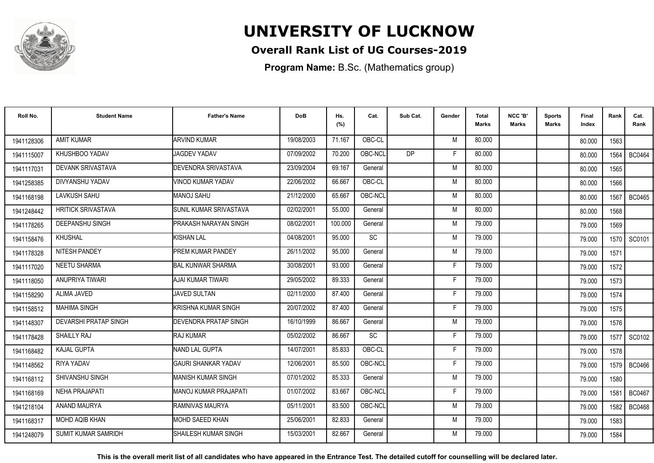

### **Overall Rank List of UG Courses-2019**

**Program Name:** B.Sc. (Mathematics group)

| Roll No.   | <b>Student Name</b>          | <b>Father's Name</b>          | <b>DoB</b> | Hs.<br>(%) | Cat.      | Sub Cat.  | Gender | Total<br><b>Marks</b> | NCC 'B'<br><b>Marks</b> | <b>Sports</b><br>Marks | Final<br>Index | Rank | Cat.<br>Rank  |
|------------|------------------------------|-------------------------------|------------|------------|-----------|-----------|--------|-----------------------|-------------------------|------------------------|----------------|------|---------------|
| 1941128306 | <b>AMIT KUMAR</b>            | <b>ARVIND KUMAR</b>           | 19/08/2003 | 71.167     | OBC-CL    |           | M      | 80.000                |                         |                        | 80.000         | 1563 |               |
| 1941115007 | KHUSHBOO YADAV               | <b>JAGDEV YADAV</b>           | 07/09/2002 | 70.200     | OBC-NCL   | <b>DP</b> | Е      | 80.000                |                         |                        | 80.000         | 1564 | <b>BC0464</b> |
| 1941117031 | DEVANK SRIVASTAVA            | <b>DEVENDRA SRIVASTAVA</b>    | 23/09/2004 | 69.167     | General   |           | M      | 80.000                |                         |                        | 80.000         | 1565 |               |
| 1941258385 | DIVYANSHU YADAV              | VINOD KUMAR YADAV             | 22/06/2002 | 66.667     | OBC-CL    |           | M      | 80.000                |                         |                        | 80.000         | 1566 |               |
| 1941168198 | <b>LAVKUSH SAHU</b>          | MANOJ SAHU                    | 21/12/2000 | 65.667     | OBC-NCL   |           | M      | 80.000                |                         |                        | 80.000         | 1567 | <b>BC0465</b> |
| 1941248442 | <b>HRITICK SRIVASTAVA</b>    | <b>SUNIL KUMAR SRIVASTAVA</b> | 02/02/2001 | 55.000     | General   |           | M      | 80.000                |                         |                        | 80.000         | 1568 |               |
| 1941178265 | <b>DEEPANSHU SINGH</b>       | <b>PRAKASH NARAYAN SINGH</b>  | 08/02/2001 | 100.000    | General   |           | M      | 79.000                |                         |                        | 79.000         | 1569 |               |
| 1941158476 | <b>KHUSHAL</b>               | <b>KISHAN LAL</b>             | 04/08/2001 | 95.000     | <b>SC</b> |           | M      | 79.000                |                         |                        | 79.000         |      | 1570   SC0101 |
| 1941178328 | <b>NITESH PANDEY</b>         | <b>PREM KUMAR PANDEY</b>      | 26/11/2002 | 95.000     | General   |           | M      | 79.000                |                         |                        | 79.000         | 1571 |               |
| 1941117020 | <b>NEETU SHARMA</b>          | <b>BAL KUNWAR SHARMA</b>      | 30/08/2001 | 93.000     | General   |           | F      | 79.000                |                         |                        | 79.000         | 1572 |               |
| 1941118050 | <b>ANUPRIYA TIWARI</b>       | AJAI KUMAR TIWARI             | 29/05/2002 | 89.333     | General   |           | F.     | 79.000                |                         |                        | 79.000         | 1573 |               |
| 1941158290 | ALIMA JAVED                  | JAVED SULTAN                  | 02/11/2000 | 87.400     | General   |           | F      | 79.000                |                         |                        | 79.000         | 1574 |               |
| 1941158512 | <b>MAHIMA SINGH</b>          | KRISHNA KUMAR SINGH           | 20/07/2002 | 87.400     | General   |           | Е      | 79.000                |                         |                        | 79.000         | 1575 |               |
| 1941148307 | <b>DEVARSHI PRATAP SINGH</b> | DEVENDRA PRATAP SINGH         | 16/10/1999 | 86.667     | General   |           | M      | 79.000                |                         |                        | 79.000         | 1576 |               |
| 1941178428 | <b>SHAILLY RAJ</b>           | <b>RAJ KUMAR</b>              | 05/02/2002 | 86.667     | <b>SC</b> |           | F      | 79.000                |                         |                        | 79.000         | 1577 | SC0102        |
| 1941168482 | <b>KAJAL GUPTA</b>           | NAND LAL GUPTA                | 14/07/2001 | 85.833     | OBC-CL    |           | F      | 79.000                |                         |                        | 79.000         | 1578 |               |
| 1941148562 | RIYA YADAV                   | <b>GAURI SHANKAR YADAV</b>    | 12/06/2001 | 85.500     | OBC-NCL   |           | F      | 79.000                |                         |                        | 79.000         |      | 1579   BC0466 |
| 1941168112 | SHIVANSHU SINGH              | MANISH KUMAR SINGH            | 07/01/2002 | 85.333     | General   |           | M      | 79.000                |                         |                        | 79.000         | 1580 |               |
| 1941168169 | <b>NEHA PRAJAPATI</b>        | MANOJ KUMAR PRAJAPATI         | 01/07/2002 | 83.667     | OBC-NCL   |           | F      | 79.000                |                         |                        | 79.000         | 1581 | <b>BC0467</b> |
| 1941218104 | ANAND MAURYA                 | IRAMNIVAS MAURYA              | 05/11/2001 | 83.500     | OBC-NCL   |           | M      | 79.000                |                         |                        | 79.000         | 1582 | <b>BC0468</b> |
| 1941168317 | <b>MOHD AQIB KHAN</b>        | IMOHD SAEED KHAN              | 25/06/2001 | 82.833     | General   |           | M      | 79.000                |                         |                        | 79.000         | 1583 |               |
| 1941248079 | <b>SUMIT KUMAR SAMRIDH</b>   | ISHAILESH KUMAR SINGH         | 15/03/2001 | 82.667     | General   |           | M      | 79.000                |                         |                        | 79.000         | 1584 |               |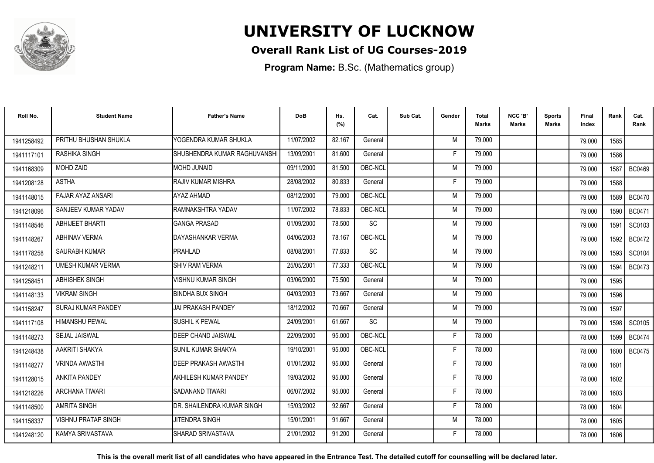

### **Overall Rank List of UG Courses-2019**

**Program Name:** B.Sc. (Mathematics group)

| Roll No.   | <b>Student Name</b>        | <b>Father's Name</b>         | <b>DoB</b> | Hs.<br>(%) | Cat.      | Sub Cat. | Gender | <b>Total</b><br>Marks | NCC 'B'<br><b>Marks</b> | Sports<br>Marks | Final<br>Index | Rank | Cat.<br>Rank  |
|------------|----------------------------|------------------------------|------------|------------|-----------|----------|--------|-----------------------|-------------------------|-----------------|----------------|------|---------------|
| 1941258492 | PRITHU BHUSHAN SHUKLA      | YOGENDRA KUMAR SHUKLA        | 11/07/2002 | 82.167     | General   |          | M      | 79.000                |                         |                 | 79.000         | 1585 |               |
| 1941117101 | <b>RASHIKA SINGH</b>       | SHUBHENDRA KUMAR RAGHUVANSHI | 13/09/2001 | 81.600     | General   |          | F      | 79.000                |                         |                 | 79.000         | 1586 |               |
| 1941168309 | <b>MOHD ZAID</b>           | MOHD JUNAID                  | 09/11/2000 | 81.500     | OBC-NCL   |          | M      | 79.000                |                         |                 | 79.000         | 1587 | <b>BC0469</b> |
| 1941208128 | <b>ASTHA</b>               | RAJIV KUMAR MISHRA           | 28/08/2002 | 80.833     | General   |          | F      | 79.000                |                         |                 | 79.000         | 1588 |               |
| 1941148015 | FAJAR AYAZ ANSARI          | AYAZ AHMAD                   | 08/12/2000 | 79.000     | OBC-NCL   |          | M      | 79.000                |                         |                 | 79.000         | 1589 | <b>BC0470</b> |
| 1941218096 | SANJEEV KUMAR YADAV        | <b>IRAMNAKSHTRA YADAV</b>    | 11/07/2002 | 78.833     | OBC-NCL   |          | M      | 79.000                |                         |                 | 79.000         | 1590 | <b>BC0471</b> |
| 1941148546 | <b>ABHIJEET BHARTI</b>     | <b>GANGA PRASAD</b>          | 01/09/2000 | 78.500     | <b>SC</b> |          | M      | 79.000                |                         |                 | 79.000         | 1591 | SC0103        |
| 1941148267 | <b>ABHINAV VERMA</b>       | DAYASHANKAR VERMA            | 04/06/2003 | 78.167     | OBC-NCL   |          | M      | 79.000                |                         |                 | 79.000         | 1592 | <b>BC0472</b> |
| 1941178258 | <b>SAURABH KUMAR</b>       | PRAHLAD                      | 08/08/2001 | 77.833     | <b>SC</b> |          | M      | 79.000                |                         |                 | 79.000         | 1593 | SC0104        |
| 1941248211 | <b>UMESH KUMAR VERMA</b>   | <b>SHIV RAM VERMA</b>        | 25/05/2001 | 77.333     | OBC-NCL   |          | M      | 79.000                |                         |                 | 79.000         | 1594 | <b>BC0473</b> |
| 1941258451 | ABHISHEK SINGH             | <b>VISHNU KUMAR SINGH</b>    | 03/06/2000 | 75.500     | General   |          | M      | 79.000                |                         |                 | 79.000         | 1595 |               |
| 1941148133 | <b>VIKRAM SINGH</b>        | <b>BINDHA BUX SINGH</b>      | 04/03/2003 | 73.667     | General   |          | M      | 79.000                |                         |                 | 79.000         | 1596 |               |
| 1941158247 | <b>SURAJ KUMAR PANDEY</b>  | IJAI PRAKASH PANDEY          | 18/12/2002 | 70.667     | General   |          | M      | 79.000                |                         |                 | 79.000         | 1597 |               |
| 1941117108 | <b>HIMANSHU PEWAL</b>      | <b>SUSHIL K PEWAL</b>        | 24/09/2001 | 61.667     | <b>SC</b> |          | M      | 79.000                |                         |                 | 79.000         | 1598 | SC0105        |
| 1941148273 | SEJAL JAISWAL              | <b>DEEP CHAND JAISWAL</b>    | 22/09/2000 | 95.000     | OBC-NCL   |          | Е      | 78.000                |                         |                 | 78,000         | 1599 | <b>BC0474</b> |
| 1941248438 | AAKRITI SHAKYA             | <b>SUNIL KUMAR SHAKYA</b>    | 19/10/2001 | 95.000     | OBC-NCL   |          | F      | 78.000                |                         |                 | 78.000         | 1600 | <b>BC0475</b> |
| 1941148277 | <b>VRINDA AWASTHI</b>      | DEEP PRAKASH AWASTHI         | 01/01/2002 | 95.000     | General   |          | F      | 78.000                |                         |                 | 78.000         | 1601 |               |
| 1941128015 | <b>ANKITA PANDEY</b>       | AKHILESH KUMAR PANDEY        | 19/03/2002 | 95.000     | General   |          | F      | 78.000                |                         |                 | 78.000         | 1602 |               |
| 1941218226 | <b>ARCHANA TIWARI</b>      | ISADANAND TIWARI             | 06/07/2002 | 95.000     | General   |          | F      | 78.000                |                         |                 | 78.000         | 1603 |               |
| 1941148500 | <b>AMRITA SINGH</b>        | IDR. SHAILENDRA KUMAR SINGH  | 15/03/2002 | 92.667     | General   |          | F      | 78.000                |                         |                 | 78.000         | 1604 |               |
| 1941158337 | <b>VISHNU PRATAP SINGH</b> | <b>JITENDRA SINGH</b>        | 15/01/2001 | 91.667     | General   |          | M      | 78.000                |                         |                 | 78.000         | 1605 |               |
| 1941248120 | KAMYA SRIVASTAVA           | SHARAD SRIVASTAVA            | 21/01/2002 | 91.200     | General   |          | F      | 78.000                |                         |                 | 78.000         | 1606 |               |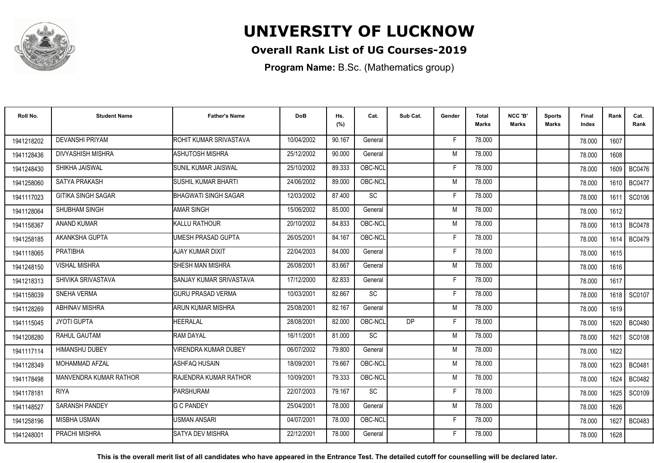

### **Overall Rank List of UG Courses-2019**

**Program Name:** B.Sc. (Mathematics group)

| Roll No.   | <b>Student Name</b>           | <b>Father's Name</b>        | <b>DoB</b> | Hs.<br>(%) | Cat.    | Sub Cat.  | Gender | Total<br><b>Marks</b> | NCC 'B'<br><b>Marks</b> | Sports<br>Marks | Final<br>Index | Rank   | Cat.<br>Rank  |
|------------|-------------------------------|-----------------------------|------------|------------|---------|-----------|--------|-----------------------|-------------------------|-----------------|----------------|--------|---------------|
| 1941218202 | <b>DEVANSHI PRIYAM</b>        | ROHIT KUMAR SRIVASTAVA      | 10/04/2002 | 90.167     | General |           | E      | 78.000                |                         |                 | 78,000         | 1607   |               |
| 1941128436 | <b>DIVYASHISH MISHRA</b>      | <b>ASHUTOSH MISHRA</b>      | 25/12/2002 | 90.000     | General |           | M      | 78.000                |                         |                 | 78.000         | 1608   |               |
| 1941248430 | SHIKHA JAISWAL                | SUNIL KUMAR JAISWAL         | 25/10/2002 | 89.333     | OBC-NCL |           | F.     | 78.000                |                         |                 | 78.000         | 1609   | <b>BC0476</b> |
| 1941258060 | SATYA PRAKASH                 | SUSHIL KUMAR BHARTI         | 24/06/2002 | 89.000     | OBC-NCL |           | M      | 78.000                |                         |                 | 78,000         | 1610   | BC0477        |
| 1941117023 | <b>GITIKA SINGH SAGAR</b>     | <b>BHAGWATI SINGH SAGAR</b> | 12/03/2002 | 87.400     | SC      |           | F      | 78.000                |                         |                 | 78.000         | 1611   | SC0106        |
| 1941128064 | SHUBHAM SINGH                 | <b>AMAR SINGH</b>           | 15/06/2002 | 85.000     | General |           | M      | 78.000                |                         |                 | 78.000         | 1612   |               |
| 1941158367 | <b>ANAND KUMAR</b>            | KALLU RATHOUR               | 20/10/2002 | 84.833     | OBC-NCL |           | M      | 78.000                |                         |                 | 78.000         | 1613   | <b>BC0478</b> |
| 1941258185 | AKANKSHA GUPTA                | UMESH PRASAD GUPTA          | 26/05/2001 | 84.167     | OBC-NCL |           | F      | 78.000                |                         |                 | 78.000         | 1614 l | <b>BC0479</b> |
| 1941118065 | <b>PRATIBHA</b>               | AJAY KUMAR DIXIT            | 22/04/2003 | 84.000     | General |           | F      | 78.000                |                         |                 | 78.000         | 1615   |               |
| 1941248150 | <b>VISHAL MISHRA</b>          | SHESH MAN MISHRA            | 26/08/2001 | 83.667     | General |           | M      | 78.000                |                         |                 | 78.000         | 1616   |               |
| 1941218313 | SHIVIKA SRIVASTAVA            | SANJAY KUMAR SRIVASTAVA     | 17/12/2000 | 82.833     | General |           | F      | 78.000                |                         |                 | 78.000         | 1617   |               |
| 1941158039 | SNEHA VERMA                   | <b>GURU PRASAD VERMA</b>    | 10/03/2001 | 82.667     | SC      |           | F      | 78.000                |                         |                 | 78.000         | 1618   | SC0107        |
| 1941128269 | ABHINAV MISHRA                | <b>ARUN KUMAR MISHRA</b>    | 25/08/2001 | 82.167     | General |           | M      | 78.000                |                         |                 | 78,000         | 1619   |               |
| 1941115045 | <b>JYOTI GUPTA</b>            | HEERALAL                    | 28/08/2001 | 82.000     | OBC-NCL | <b>DP</b> | F      | 78.000                |                         |                 | 78.000         | 1620   | <b>BC0480</b> |
| 1941208280 | RAHUL GAUTAM                  | RAM DAYAL                   | 16/11/2001 | 81.000     | SC      |           | M      | 78.000                |                         |                 | 78.000         | 1621   | SC0108        |
| 1941117114 | <b>HIMANSHU DUBEY</b>         | <b>VIRENDRA KUMAR DUBEY</b> | 06/07/2002 | 79.800     | General |           | M      | 78.000                |                         |                 | 78.000         | 1622   |               |
| 1941128349 | <b>MOHAMMAD AFZAL</b>         | ASHFAQ HUSAIN               | 18/09/2001 | 79.667     | OBC-NCL |           | M      | 78.000                |                         |                 | 78.000         |        | 1623   BC0481 |
| 1941178498 | <b>MANVENDRA KUMAR RATHOR</b> | RAJENDRA KUMAR RATHOR       | 10/09/2001 | 79.333     | OBC-NCL |           | M      | 78.000                |                         |                 | 78.000         | 1624   | <b>BC0482</b> |
| 1941178181 | <b>RIYA</b>                   | <b>PARSHURAM</b>            | 22/07/2003 | 79.167     | SC      |           | F      | 78.000                |                         |                 | 78.000         | 1625   | SC0109        |
| 1941148527 | SARANSH PANDEY                | <b>G C PANDEY</b>           | 25/04/2001 | 78.000     | General |           | M      | 78.000                |                         |                 | 78.000         | 1626   |               |
| 1941258196 | MISBHA USMAN                  | <b>USMAN ANSARI</b>         | 04/07/2001 | 78.000     | OBC-NCL |           | F      | 78.000                |                         |                 | 78.000         | 1627   | BC0483        |
| 1941248001 | PRACHI MISHRA                 | SATYA DEV MISHRA            | 22/12/2001 | 78.000     | General |           | F      | 78.000                |                         |                 | 78.000         | 1628   |               |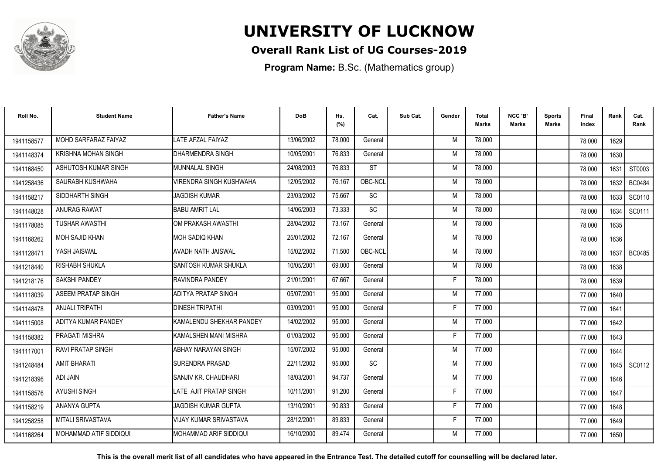

### **Overall Rank List of UG Courses-2019**

**Program Name:** B.Sc. (Mathematics group)

| Roll No.   | <b>Student Name</b>        | <b>Father's Name</b>           | <b>DoB</b> | Hs.<br>(%) | Cat.      | Sub Cat. | Gender | <b>Total</b><br>Marks | NCC 'B'<br><b>Marks</b> | Sports<br><b>Marks</b> | Final<br>Index | Rank   | Cat.<br>Rank  |
|------------|----------------------------|--------------------------------|------------|------------|-----------|----------|--------|-----------------------|-------------------------|------------------------|----------------|--------|---------------|
| 1941158577 | MOHD SARFARAZ FAIYAZ       | LATE AFZAL FAIYAZ              | 13/06/2002 | 78.000     | General   |          | M      | 78.000                |                         |                        | 78.000         | 1629   |               |
| 1941148374 | <b>KRISHNA MOHAN SINGH</b> | DHARMENDRA SINGH               | 10/05/2001 | 76.833     | General   |          | M      | 78.000                |                         |                        | 78.000         | 1630   |               |
| 1941168450 | ASHUTOSH KUMAR SINGH       | <b>I</b> MUNNALAL SINGH        | 24/08/2003 | 76.833     | <b>ST</b> |          | M      | 78.000                |                         |                        | 78.000         | 1631   | ST0003        |
| 1941258436 | SAURABH KUSHWAHA           | <b>VIRENDRA SINGH KUSHWAHA</b> | 12/05/2002 | 76.167     | OBC-NCL   |          | M      | 78.000                |                         |                        | 78.000         | 1632   | <b>BC0484</b> |
| 1941158217 | SIDDHARTH SINGH            | <b>JAGDISH KUMAR</b>           | 23/03/2002 | 75.667     | <b>SC</b> |          | M      | 78.000                |                         |                        | 78.000         | 1633   | SC0110        |
| 1941148028 | ANURAG RAWAT               | <b>BABU AMRIT LAL</b>          | 14/06/2003 | 73.333     | <b>SC</b> |          | M      | 78.000                |                         |                        | 78,000         | 1634   | SC0111        |
| 1941178085 | <b>TUSHAR AWASTHI</b>      | OM PRAKASH AWASTHI             | 28/04/2002 | 73.167     | General   |          | M      | 78.000                |                         |                        | 78.000         | 1635   |               |
| 1941168262 | MOH SAJID KHAN             | <b>MOH SADIQ KHAN</b>          | 25/01/2002 | 72.167     | General   |          | M      | 78.000                |                         |                        | 78.000         | 1636   |               |
| 1941128471 | YASH JAISWAL               | <b>AVADH NATH JAISWAL</b>      | 15/02/2002 | 71.500     | OBC-NCL   |          | M      | 78.000                |                         |                        | 78,000         | 1637 l | <b>BC0485</b> |
| 1941218440 | RISHABH SHUKLA             | <b>SANTOSH KUMAR SHUKLA</b>    | 10/05/2001 | 69.000     | General   |          | M      | 78.000                |                         |                        | 78.000         | 1638   |               |
| 1941218176 | <b>SAKSHI PANDEY</b>       | RAVINDRA PANDEY                | 21/01/2001 | 67.667     | General   |          | Е      | 78.000                |                         |                        | 78.000         | 1639   |               |
| 1941118039 | <b>ASEEM PRATAP SINGH</b>  | ADITYA PRATAP SINGH            | 05/07/2001 | 95.000     | General   |          | M      | 77.000                |                         |                        | 77.000         | 1640   |               |
| 1941148478 | <b>ANJALI TRIPATHI</b>     | <b>DINESH TRIPATHI</b>         | 03/09/2001 | 95.000     | General   |          |        | 77.000                |                         |                        | 77.000         | 1641   |               |
| 1941115008 | ADITYA KUMAR PANDEY        | KAMALENDU SHEKHAR PANDEY       | 14/02/2002 | 95.000     | General   |          | M      | 77.000                |                         |                        | 77.000         | 1642   |               |
| 1941158382 | <b>PRAGATI MISHRA</b>      | İKAMALSHEN MANI MISHRA         | 01/03/2002 | 95.000     | General   |          | Е      | 77.000                |                         |                        | 77.000         | 1643   |               |
| 1941117001 | <b>RAVI PRATAP SINGH</b>   | ABHAY NARAYAN SINGH            | 15/07/2002 | 95.000     | General   |          | M      | 77.000                |                         |                        | 77.000         | 1644   |               |
| 1941248484 | <b>AMIT BHARATI</b>        | <b>ISURENDRA PRASAD</b>        | 22/11/2002 | 95.000     | <b>SC</b> |          | M      | 77.000                |                         |                        | 77.000         |        | 1645   SC0112 |
| 1941218396 | ADI JAIN                   | SANJIV KR. CHAUDHARI           | 18/03/2001 | 94.737     | General   |          | M      | 77.000                |                         |                        | 77.000         | 1646   |               |
| 1941158576 | <b>AYUSHI SINGH</b>        | LATE AJIT PRATAP SINGH         | 10/11/2001 | 91.200     | General   |          | F      | 77.000                |                         |                        | 77.000         | 1647   |               |
| 1941158219 | ANANYA GUPTA               | <b>JAGDISH KUMAR GUPTA</b>     | 13/10/2001 | 90.833     | General   |          | F      | 77.000                |                         |                        | 77.000         | 1648   |               |
| 1941258258 | <b>MITALI SRIVASTAVA</b>   | VIJAY KUMAR SRIVASTAVA         | 28/12/2001 | 89.833     | General   |          | F      | 77.000                |                         |                        | 77.000         | 1649   |               |
| 1941168264 | MOHAMMAD ATIF SIDDIQUI     | IMOHAMMAD ARIF SIDDIQUI        | 16/10/2000 | 89.474     | General   |          | M      | 77.000                |                         |                        | 77.000         | 1650   |               |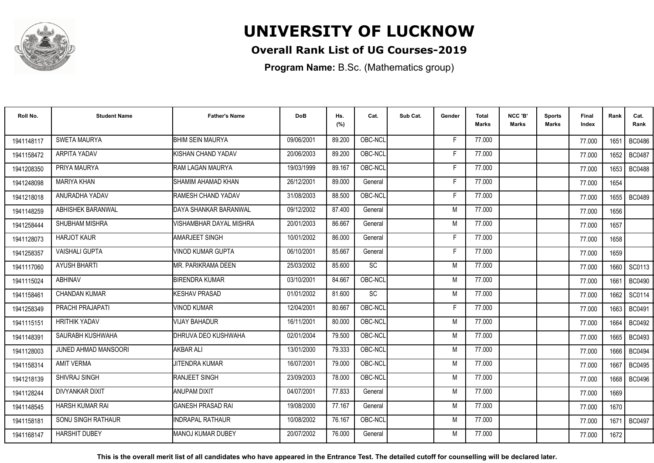

### **Overall Rank List of UG Courses-2019**

**Program Name:** B.Sc. (Mathematics group)

| Roll No.   | <b>Student Name</b>         | <b>Father's Name</b>     | <b>DoB</b> | Hs.<br>(%) | Cat.            | Sub Cat. | Gender | Total<br><b>Marks</b> | NCC 'B'<br><b>Marks</b> | <b>Sports</b><br>Marks | Final<br>Index | Rank   | Cat.<br>Rank  |
|------------|-----------------------------|--------------------------|------------|------------|-----------------|----------|--------|-----------------------|-------------------------|------------------------|----------------|--------|---------------|
| 1941148117 | SWETA MAURYA                | <b>BHIM SEIN MAURYA</b>  | 09/06/2001 | 89.200     | OBC-NCL         |          | F      | 77.000                |                         |                        | 77.000         | 1651   | <b>BC0486</b> |
| 1941158472 | ARPITA YADAV                | KISHAN CHAND YADAV       | 20/06/2003 | 89.200     | OBC-NCL         |          | F      | 77.000                |                         |                        | 77.000         | 1652   | <b>BC0487</b> |
| 1941208350 | PRIYA MAURYA                | IRAM LAGAN MAURYA        | 19/03/1999 | 89.167     | OBC-NCL         |          | F      | 77.000                |                         |                        | 77.000         | 1653   | <b>BC0488</b> |
| 1941248098 | <b>MARIYA KHAN</b>          | SHAMIM AHAMAD KHAN       | 26/12/2001 | 89.000     | General         |          |        | 77.000                |                         |                        | 77.000         | 1654   |               |
| 1941218018 | ANURADHA YADAV              | RAMESH CHAND YADAV       | 31/08/2003 | 88.500     | OBC-NCL         |          | F      | 77.000                |                         |                        | 77.000         | 1655   | <b>BC0489</b> |
| 1941148259 | ABHISHEK BARANWAL           | DAYA SHANKAR BARANWAL    | 09/12/2002 | 87.400     | General         |          | M      | 77.000                |                         |                        | 77.000         | 1656   |               |
| 1941258444 | SHUBHAM MISHRA              | VISHAMBHAR DAYAL MISHRA  | 20/01/2003 | 86.667     | General         |          | M      | 77.000                |                         |                        | 77.000         | 1657   |               |
| 1941128073 | <b>HARJOT KAUR</b>          | <b>AMARJEET SINGH</b>    | 10/01/2002 | 86.000     | General         |          | F      | 77.000                |                         |                        | 77.000         | 1658   |               |
| 1941258357 | <b>VAISHALI GUPTA</b>       | VINOD KUMAR GUPTA        | 06/10/2001 | 85.667     | General         |          | F      | 77.000                |                         |                        | 77.000         | 1659   |               |
| 1941117060 | <b>AYUSH BHARTI</b>         | MR. PARIKRAMA DEEN       | 25/03/2002 | 85.600     | <b>SC</b>       |          | M      | 77.000                |                         |                        | 77.000         | 1660 l | SC0113        |
| 1941115024 | <b>ABHINAV</b>              | <b>BIRENDRA KUMAR</b>    | 03/10/2001 | 84.667     | OBC-NCL         |          | M      | 77.000                |                         |                        | 77.000         | 1661   | <b>BC0490</b> |
| 1941158461 | <b>CHANDAN KUMAR</b>        | KESHAV PRASAD            | 01/01/2002 | 81.600     | $\overline{SC}$ |          | M      | 77.000                |                         |                        | 77.000         | 1662   | SC0114        |
| 1941258349 | PRACHI PRAJAPATI            | VINOD KUMAR              | 12/04/2001 | 80.667     | OBC-NCL         |          | E      | 77.000                |                         |                        | 77.000         | 1663   | <b>BC0491</b> |
| 1941115151 | <b>HRITHIK YADAV</b>        | <b>VIJAY BAHADUR</b>     | 16/11/2001 | 80.000     | OBC-NCL         |          | M      | 77.000                |                         |                        | 77.000         | 1664   | <b>BC0492</b> |
| 1941148391 | SAURABH KUSHWAHA            | DHRUVA DEO KUSHWAHA      | 02/01/2004 | 79.500     | OBC-NCL         |          | M      | 77.000                |                         |                        | 77.000         | 1665   | <b>BC0493</b> |
| 1941128003 | <b>JUNED AHMAD MANSOORI</b> | <b>AKBAR ALI</b>         | 13/01/2000 | 79.333     | OBC-NCL         |          | M      | 77.000                |                         |                        | 77.000         | 1666   | <b>BC0494</b> |
| 1941158314 | <b>AMIT VERMA</b>           | <b>JITENDRA KUMAR</b>    | 16/07/2001 | 79.000     | OBC-NCL         |          | M      | 77.000                |                         |                        | 77.000         | 1667   | <b>BC0495</b> |
| 1941218139 | SHIVRAJ SINGH               | <b>RANJEET SINGH</b>     | 23/09/2003 | 78.000     | OBC-NCL         |          | M      | 77.000                |                         |                        | 77.000         | 1668   | BC0496        |
| 1941128244 | <b>DIVYANKAR DIXIT</b>      | <b>ANUPAM DIXIT</b>      | 04/07/2001 | 77.833     | General         |          | M      | 77.000                |                         |                        | 77.000         | 1669   |               |
| 1941148545 | <b>HARSH KUMAR RAI</b>      | <b>GANESH PRASAD RAI</b> | 19/08/2000 | 77.167     | General         |          | M      | 77.000                |                         |                        | 77.000         | 1670   |               |
| 1941158181 | SONU SINGH RATHAUR          | INDRAPAL RATHAUR         | 10/08/2002 | 76.167     | OBC-NCL         |          | M      | 77.000                |                         |                        | 77.000         | 1671   | <b>BC0497</b> |
| 1941168147 | <b>HARSHIT DUBEY</b>        | <b>MANOJ KUMAR DUBEY</b> | 20/07/2002 | 76.000     | General         |          | M      | 77.000                |                         |                        | 77.000         | 1672   |               |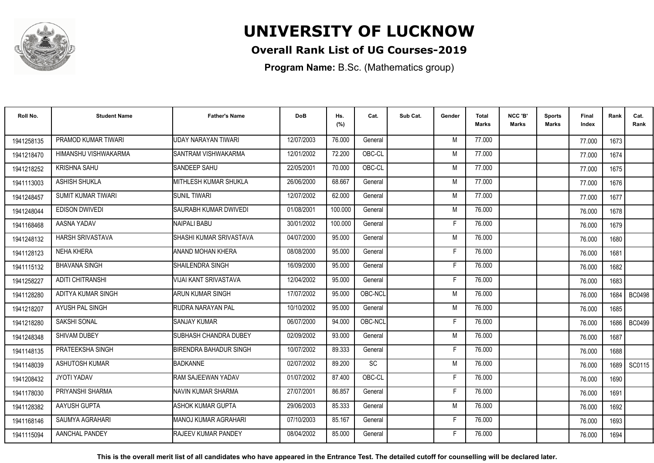

### **Overall Rank List of UG Courses-2019**

**Program Name:** B.Sc. (Mathematics group)

| Roll No.   | <b>Student Name</b>       | <b>Father's Name</b>           | <b>DoB</b> | Hs.<br>(%) | Cat.      | Sub Cat. | Gender | <b>Total</b><br><b>Marks</b> | NCC 'B'<br><b>Marks</b> | <b>Sports</b><br>Marks | Final<br>Index | Rank | Cat.<br>Rank  |
|------------|---------------------------|--------------------------------|------------|------------|-----------|----------|--------|------------------------------|-------------------------|------------------------|----------------|------|---------------|
| 1941258135 | PRAMOD KUMAR TIWARI       | <b>UDAY NARAYAN TIWARI</b>     | 12/07/2003 | 76.000     | General   |          | M      | 77.000                       |                         |                        | 77.000         | 1673 |               |
| 1941218470 | HIMANSHU VISHWAKARMA      | SANTRAM VISHWAKARMA            | 12/01/2002 | 72.200     | OBC-CL    |          | M      | 77.000                       |                         |                        | 77.000         | 1674 |               |
| 1941218252 | <b>KRISHNA SAHU</b>       | <b>SANDEEP SAHU</b>            | 22/05/2001 | 70.000     | OBC-CL    |          | M      | 77.000                       |                         |                        | 77.000         | 1675 |               |
| 1941113003 | <b>ASHISH SHUKLA</b>      | MITHLESH KUMAR SHUKLA          | 26/06/2000 | 68.667     | General   |          | M      | 77.000                       |                         |                        | 77.000         | 1676 |               |
| 1941248457 | <b>SUMIT KUMAR TIWARI</b> | <b>SUNIL TIWARI</b>            | 12/07/2002 | 62.000     | General   |          | M      | 77.000                       |                         |                        | 77.000         | 1677 |               |
| 1941248044 | <b>EDISON DWIVEDI</b>     | SAURABH KUMAR DWIVEDI          | 01/08/2001 | 100.000    | General   |          | M      | 76.000                       |                         |                        | 76.000         | 1678 |               |
| 1941168468 | AASNA YADAV               | NAIPALI BABU                   | 30/01/2002 | 100.000    | General   |          | F      | 76.000                       |                         |                        | 76.000         | 1679 |               |
| 1941248132 | <b>HARSH SRIVASTAVA</b>   | SHASHI KUMAR SRIVASTAVA        | 04/07/2000 | 95.000     | General   |          | M      | 76.000                       |                         |                        | 76.000         | 1680 |               |
| 1941128123 | <b>NEHA KHERA</b>         | ANAND MOHAN KHERA              | 08/08/2000 | 95.000     | General   |          | F      | 76.000                       |                         |                        | 76.000         | 1681 |               |
| 1941115132 | <b>BHAVANA SINGH</b>      | SHAILENDRA SINGH               | 16/09/2000 | 95.000     | General   |          | F      | 76.000                       |                         |                        | 76.000         | 1682 |               |
| 1941258227 | ADITI CHITRANSHI          | VIJAI KANT SRIVASTAVA          | 12/04/2002 | 95.000     | General   |          | F.     | 76.000                       |                         |                        | 76.000         | 1683 |               |
| 1941128280 | ADITYA KUMAR SINGH        | ARUN KUMAR SINGH               | 17/07/2002 | 95.000     | OBC-NCL   |          | M      | 76.000                       |                         |                        | 76.000         | 1684 | <b>BC0498</b> |
| 1941218207 | AYUSH PAL SINGH           | <b>RUDRA NARAYAN PAL</b>       | 10/10/2002 | 95.000     | General   |          | M      | 76.000                       |                         |                        | 76.000         | 1685 |               |
| 1941218280 | <b>SAKSHI SONAL</b>       | <b>SANJAY KUMAR</b>            | 06/07/2000 | 94.000     | OBC-NCL   |          | F      | 76.000                       |                         |                        | 76.000         | 1686 | <b>BC0499</b> |
| 1941248348 | <b>SHIVAM DUBEY</b>       | <b>I</b> SUBHASH CHANDRA DUBEY | 02/09/2002 | 93.000     | General   |          | M      | 76.000                       |                         |                        | 76.000         | 1687 |               |
| 1941148135 | PRATEEKSHA SINGH          | <b>BIRENDRA BAHADUR SINGH</b>  | 10/07/2002 | 89.333     | General   |          | F      | 76.000                       |                         |                        | 76.000         | 1688 |               |
| 1941148039 | ASHUTOSH KUMAR            | <b>BADKANNE</b>                | 02/07/2002 | 89.200     | <b>SC</b> |          | M      | 76.000                       |                         |                        | 76.000         |      | 1689   SC0115 |
| 1941208432 | JYOTI YADAV               | RAM SAJEEWAN YADAV             | 01/07/2002 | 87.400     | OBC-CL    |          | F      | 76.000                       |                         |                        | 76.000         | 1690 |               |
| 1941178030 | PRIYANSHI SHARMA          | NAVIN KUMAR SHARMA             | 27/07/2001 | 86.857     | General   |          | F      | 76.000                       |                         |                        | 76.000         | 1691 |               |
| 1941128382 | AAYUSH GUPTA              | IASHOK KUMAR GUPTA             | 29/06/2003 | 85.333     | General   |          | M      | 76.000                       |                         |                        | 76.000         | 1692 |               |
| 1941168146 | SAUMYA AGRAHARI           | IMANOJ KUMAR AGRAHARI          | 07/10/2003 | 85.167     | General   |          | F.     | 76.000                       |                         |                        | 76.000         | 1693 |               |
| 1941115094 | AANCHAL PANDEY            | <b>RAJEEV KUMAR PANDEY</b>     | 08/04/2002 | 85.000     | General   |          | F      | 76.000                       |                         |                        | 76.000         | 1694 |               |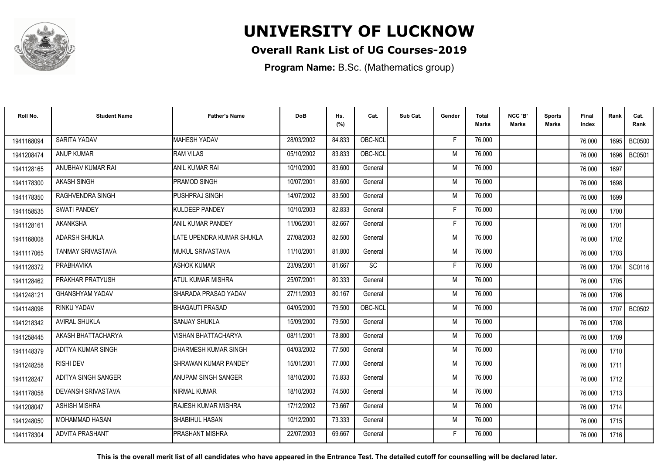

### **Overall Rank List of UG Courses-2019**

**Program Name:** B.Sc. (Mathematics group)

| Roll No.   | <b>Student Name</b>       | <b>Father's Name</b>         | <b>DoB</b> | Hs.<br>(%) | Cat.    | Sub Cat. | Gender | Total<br>Marks | NCC 'B'<br><b>Marks</b> | Sports<br>Marks | Final<br>Index | Rank | Cat.<br>Rank  |
|------------|---------------------------|------------------------------|------------|------------|---------|----------|--------|----------------|-------------------------|-----------------|----------------|------|---------------|
| 1941168094 | SARITA YADAV              | <b>MAHESH YADAV</b>          | 28/03/2002 | 84.833     | OBC-NCL |          | E      | 76.000         |                         |                 | 76.000         | 1695 | <b>BC0500</b> |
| 1941208474 | <b>ANUP KUMAR</b>         | <b>RAM VILAS</b>             | 05/10/2002 | 83.833     | OBC-NCL |          | M      | 76.000         |                         |                 | 76.000         | 1696 | <b>BC0501</b> |
| 1941128165 | ANUBHAV KUMAR RAI         | <b>ANIL KUMAR RAI</b>        | 10/10/2000 | 83.600     | General |          | M      | 76.000         |                         |                 | 76.000         | 1697 |               |
| 1941178300 | <b>AKASH SINGH</b>        | <b>PRAMOD SINGH</b>          | 10/07/2001 | 83.600     | General |          | M      | 76.000         |                         |                 | 76.000         | 1698 |               |
| 1941178350 | <b>RAGHVENDRA SINGH</b>   | <b>PUSHPRAJ SINGH</b>        | 14/07/2002 | 83.500     | General |          | M      | 76.000         |                         |                 | 76.000         | 1699 |               |
| 1941158535 | <b>SWATI PANDEY</b>       | KULDEEP PANDEY               | 10/10/2003 | 82.833     | General |          | Е      | 76.000         |                         |                 | 76.000         | 1700 |               |
| 1941128161 | <b>AKANKSHA</b>           | ANIL KUMAR PANDEY            | 11/06/2001 | 82.667     | General |          | F      | 76.000         |                         |                 | 76.000         | 1701 |               |
| 1941168008 | <b>ADARSH SHUKLA</b>      | LATE UPENDRA KUMAR SHUKLA    | 27/08/2003 | 82.500     | General |          | M      | 76.000         |                         |                 | 76.000         | 1702 |               |
| 1941117065 | TANMAY SRIVASTAVA         | <b>I</b> MUKUL SRIVASTAVA    | 11/10/2001 | 81.800     | General |          | M      | 76.000         |                         |                 | 76.000         | 1703 |               |
| 1941128372 | PRABHAVIKA                | <b>ASHOK KUMAR</b>           | 23/09/2001 | 81.667     | SC      |          | F.     | 76.000         |                         |                 | 76.000         | 1704 | SC0116        |
| 1941128462 | PRAKHAR PRATYUSH          | <b>ATUL KUMAR MISHRA</b>     | 25/07/2001 | 80.333     | General |          | M      | 76.000         |                         |                 | 76.000         | 1705 |               |
| 1941248121 | <b>GHANSHYAM YADAV</b>    | SHARADA PRASAD YADAV         | 27/11/2003 | 80.167     | General |          | M      | 76.000         |                         |                 | 76.000         | 1706 |               |
| 1941148096 | <b>RINKU YADAV</b>        | <b>BHAGAUTI PRASAD</b>       | 04/05/2000 | 79.500     | OBC-NCL |          | M      | 76.000         |                         |                 | 76.000         | 1707 | <b>BC0502</b> |
| 1941218342 | <b>AVIRAL SHUKLA</b>      | <b>SANJAY SHUKLA</b>         | 15/09/2000 | 79.500     | General |          | M      | 76.000         |                         |                 | 76.000         | 1708 |               |
| 1941258445 | AKASH BHATTACHARYA        | <b>VISHAN BHATTACHARYA</b>   | 08/11/2001 | 78.800     | General |          | M      | 76.000         |                         |                 | 76.000         | 1709 |               |
| 1941148379 | ADITYA KUMAR SINGH        | DHARMESH KUMAR SINGH         | 04/03/2002 | 77.500     | General |          | M      | 76.000         |                         |                 | 76.000         | 1710 |               |
| 1941248258 | <b>RISHI DEV</b>          | <b>ISHRAWAN KUMAR PANDEY</b> | 15/01/2001 | 77.000     | General |          | M      | 76.000         |                         |                 | 76.000         | 1711 |               |
| 1941128247 | ADITYA SINGH SANGER       | ANUPAM SINGH SANGER          | 18/10/2000 | 75.833     | General |          | M      | 76.000         |                         |                 | 76.000         | 1712 |               |
| 1941178058 | <b>DEVANSH SRIVASTAVA</b> | NIRMAL KUMAR                 | 18/10/2003 | 74.500     | General |          | M      | 76.000         |                         |                 | 76.000         | 1713 |               |
| 1941208047 | <b>ASHISH MISHRA</b>      | RAJESH KUMAR MISHRA          | 17/12/2002 | 73.667     | General |          | M      | 76.000         |                         |                 | 76.000         | 1714 |               |
| 1941248050 | <b>MOHAMMAD HASAN</b>     | <b>SHABIHUL HASAN</b>        | 10/12/2000 | 73.333     | General |          | M      | 76.000         |                         |                 | 76.000         | 1715 |               |
| 1941178304 | <b>ADVITA PRASHANT</b>    | <b>IPRASHANT MISHRA</b>      | 22/07/2003 | 69.667     | General |          | F      | 76.000         |                         |                 | 76.000         | 1716 |               |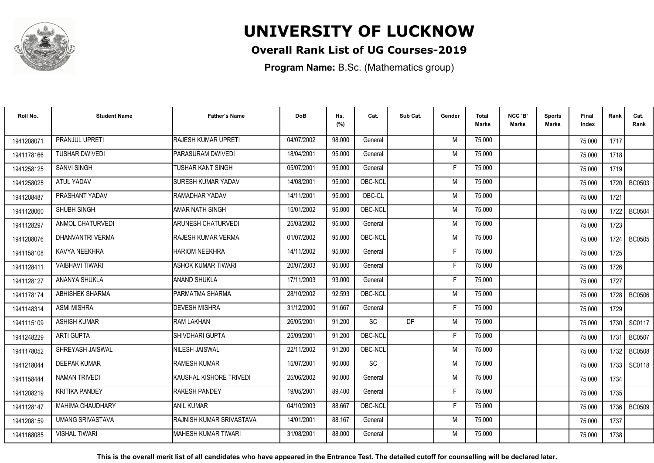

### **Overall Rank List of UG Courses-2019**

**Program Name:** B.Sc. (Mathematics group)

| Roll No.   | <b>Student Name</b>     | <b>Father's Name</b>       | <b>DoB</b> | Hs.<br>(%) | Cat.      | Sub Cat.  | Gender | <b>Total</b><br>Marks | NCC 'B'<br><b>Marks</b> | Sports<br><b>Marks</b> | Final<br>Index | Rank   | Cat.<br>Rank  |
|------------|-------------------------|----------------------------|------------|------------|-----------|-----------|--------|-----------------------|-------------------------|------------------------|----------------|--------|---------------|
| 1941208071 | PRANJUL UPRETI          | <b>RAJESH KUMAR UPRETI</b> | 04/07/2002 | 98.000     | General   |           | M      | 75.000                |                         |                        | 75.000         | 1717   |               |
| 1941178166 | <b>TUSHAR DWIVEDI</b>   | <b>PARASURAM DWIVEDI</b>   | 18/04/2001 | 95.000     | General   |           | M      | 75.000                |                         |                        | 75.000         | 1718   |               |
| 1941258125 | <b>SANVI SINGH</b>      | <b>TUSHAR KANT SINGH</b>   | 05/07/2001 | 95.000     | General   |           | F.     | 75.000                |                         |                        | 75.000         | 1719   |               |
| 1941258025 | <b>ATUL YADAV</b>       | <b>SURESH KUMAR YADAV</b>  | 14/08/2001 | 95.000     | OBC-NCL   |           | M      | 75.000                |                         |                        | 75.000         | 1720   | BC0503        |
| 1941208487 | PRASHANT YADAV          | RAMADHAR YADAV             | 14/11/2001 | 95.000     | OBC-CL    |           | M      | 75.000                |                         |                        | 75.000         | 1721   |               |
| 1941128060 | SHUBH SINGH             | AMAR NATH SINGH            | 15/01/2002 | 95.000     | OBC-NCL   |           | M      | 75.000                |                         |                        | 75.000         | 1722   | <b>BC0504</b> |
| 1941128297 | ANMOL CHATURVEDI        | <b>ARUNESH CHATURVEDI</b>  | 25/03/2002 | 95.000     | General   |           | M      | 75.000                |                         |                        | 75.000         | 1723   |               |
| 1941208076 | <b>DHANVANTRI VERMA</b> | RAJESH KUMAR VERMA         | 01/07/2002 | 95.000     | OBC-NCL   |           | M      | 75.000                |                         |                        | 75.000         | 1724 l | <b>BC0505</b> |
| 1941158108 | KAVYA NEEKHRA           | <b>HARIOM NEEKHRA</b>      | 14/11/2002 | 95.000     | General   |           | E      | 75.000                |                         |                        | 75.000         | 1725   |               |
| 1941128411 | <b>VAIBHAVI TIWARI</b>  | <b>ASHOK KUMAR TIWARI</b>  | 20/07/2003 | 95.000     | General   |           | F      | 75.000                |                         |                        | 75.000         | 1726   |               |
| 1941128127 | ANANYA SHUKLA           | <b>ANAND SHUKLA</b>        | 17/11/2003 | 93.000     | General   |           | Е      | 75.000                |                         |                        | 75.000         | 1727   |               |
| 1941178174 | <b>ABHISHEK SHARMA</b>  | PARMATMA SHARMA            | 28/10/2002 | 92.593     | OBC-NCL   |           | M      | 75.000                |                         |                        | 75.000         | 1728   | <b>BC0506</b> |
| 1941148314 | <b>ASMI MISHRA</b>      | <b>DEVESH MISHRA</b>       | 31/12/2000 | 91.667     | General   |           | Е      | 75.000                |                         |                        | 75.000         | 1729   |               |
| 1941115109 | <b>ASHISH KUMAR</b>     | <b>RAM LAKHAN</b>          | 26/05/2001 | 91.200     | <b>SC</b> | <b>DP</b> | M      | 75.000                |                         |                        | 75.000         | 1730   | SC0117        |
| 1941248229 | <b>ARTI GUPTA</b>       | ISHIVDHARI GUPTA           | 25/09/2001 | 91.200     | OBC-NCL   |           | Е      | 75.000                |                         |                        | 75.000         | 1731   | <b>BC0507</b> |
| 1941178052 | SHREYASH JAISWAL        | <b>NILESH JAISWAL</b>      | 22/11/2002 | 91.200     | OBC-NCL   |           | M      | 75.000                |                         |                        | 75.000         | 1732   | <b>BC0508</b> |
| 1941218044 | <b>DEEPAK KUMAR</b>     | <b>RAMESH KUMAR</b>        | 15/07/2001 | 90.000     | <b>SC</b> |           | M      | 75.000                |                         |                        | 75.000         | 1733 I | SC0118        |
| 1941158444 | <b>NAMAN TRIVEDI</b>    | KAUSHAL KISHORE TRIVEDI    | 25/06/2002 | 90.000     | General   |           | M      | 75.000                |                         |                        | 75.000         | 1734   |               |
| 1941208219 | <b>KRITIKA PANDEY</b>   | <b>RAKESH PANDEY</b>       | 19/05/2001 | 89.400     | General   |           | F      | 75.000                |                         |                        | 75.000         | 1735   |               |
| 1941128147 | MAHIMA CHAUDHARY        | <b>ANIL KUMAR</b>          | 04/10/2003 | 88.667     | OBC-NCL   |           | F      | 75.000                |                         |                        | 75.000         | 1736 l | <b>BC0509</b> |
| 1941208159 | UMANG SRIVASTAVA        | RAJNISH KUMAR SRIVASTAVA   | 14/01/2001 | 88.167     | General   |           | M      | 75.000                |                         |                        | 75.000         | 1737   |               |
| 1941168085 | <b>VISHAL TIWARI</b>    | IMAHESH KUMAR TIWARI       | 31/08/2001 | 88.000     | General   |           | M      | 75.000                |                         |                        | 75.000         | 1738   |               |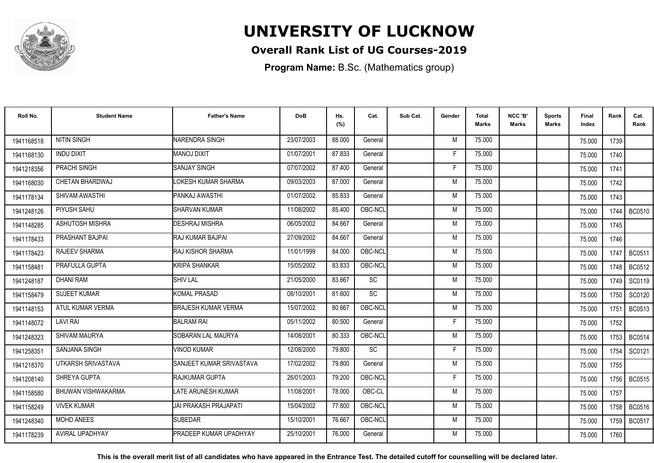

### **Overall Rank List of UG Courses-2019**

**Program Name:** B.Sc. (Mathematics group)

| Roll No.   | <b>Student Name</b>    | <b>Father's Name</b>          | <b>DoB</b> | Hs.<br>(%) | Cat.      | Sub Cat. | Gender | <b>Total</b><br>Marks | NCC 'B'<br><b>Marks</b> | Sports<br>Marks | Final<br>Index | Rank   | Cat.<br>Rank  |
|------------|------------------------|-------------------------------|------------|------------|-----------|----------|--------|-----------------------|-------------------------|-----------------|----------------|--------|---------------|
| 1941168518 | <b>NITIN SINGH</b>     | NARENDRA SINGH                | 23/07/2003 | 88.000     | General   |          | M      | 75.000                |                         |                 | 75.000         | 1739   |               |
| 1941168130 | <b>INDU DIXIT</b>      | <b>MANOJ DIXIT</b>            | 01/07/2001 | 87.833     | General   |          | F      | 75.000                |                         |                 | 75.000         | 1740   |               |
| 1941218356 | PRACHI SINGH           | <b>SANJAY SINGH</b>           | 07/07/2002 | 87.400     | General   |          | F      | 75.000                |                         |                 | 75.000         | 1741   |               |
| 1941168030 | CHETAN BHARDWAJ        | LOKESH KUMAR SHARMA           | 09/03/2003 | 87.000     | General   |          | M      | 75.000                |                         |                 | 75.000         | 1742   |               |
| 1941178134 | SHIVAM AWASTHI         | PANKAJ AWASTHI                | 01/07/2002 | 85.833     | General   |          | M      | 75.000                |                         |                 | 75.000         | 1743   |               |
| 1941248126 | PIYUSH SAHU            | <b>SHARVAN KUMAR</b>          | 11/08/2002 | 85.400     | OBC-NCL   |          | M      | 75.000                |                         |                 | 75.000         | 1744   | <b>BC0510</b> |
| 1941148285 | <b>ASHUTOSH MISHRA</b> | <b>DESHRAJ MISHRA</b>         | 06/05/2002 | 84.667     | General   |          | M      | 75.000                |                         |                 | 75.000         | 1745   |               |
| 1941178433 | PRASHANT BAJPAI        | <b>IRAJ KUMAR BAJPAI</b>      | 27/09/2002 | 84.667     | General   |          | M      | 75.000                |                         |                 | 75.000         | 1746   |               |
| 1941178423 | <b>RAJEEV SHARMA</b>   | IRAJ KISHOR SHARMA            | 11/01/1999 | 84.000     | OBC-NCL   |          | M      | 75.000                |                         |                 | 75.000         | 1747 I | <b>BC0511</b> |
| 1941158481 | PRAFULLA GUPTA         | <b>KRIPA SHANKAR</b>          | 15/05/2002 | 83.833     | OBC-NCL   |          | M      | 75.000                |                         |                 | 75.000         | 1748 I | BC0512        |
| 1941248187 | <b>DHANI RAM</b>       | <b>SHIV LAL</b>               | 21/05/2000 | 83.667     | SC        |          | M      | 75.000                |                         |                 | 75.000         | 1749   | SC0119        |
| 1941158479 | <b>SUJEET KUMAR</b>    | <b>KOMAL PRASAD</b>           | 08/10/2001 | 81.600     | <b>SC</b> |          | M      | 75.000                |                         |                 | 75.000         | 1750   | SC0120        |
| 1941148153 | ATUL KUMAR VERMA       | <b>BRAJESH KUMAR VERMA</b>    | 15/07/2002 | 80.667     | OBC-NCL   |          | M      | 75.000                |                         |                 | 75.000         | 1751   | <b>BC0513</b> |
| 1941148072 | <b>LAVI RAI</b>        | <b>BALRAM RAI</b>             | 05/11/2002 | 80.500     | General   |          | F      | 75.000                |                         |                 | 75.000         | 1752   |               |
| 1941248323 | SHIVAM MAURYA          | SOBARAN LAL MAURYA            | 14/08/2001 | 80.333     | OBC-NCL   |          | M      | 75.000                |                         |                 | 75.000         | 1753   | BC0514        |
| 1941258351 | SANJANA SINGH          | <b>VINOD KUMAR</b>            | 12/08/2000 | 79.800     | SC        |          | F      | 75.000                |                         |                 | 75.000         | 1754   | SC0121        |
| 1941218370 | UTKARSH SRIVASTAVA     | SANJEET KUMAR SRIVASTAVA      | 17/02/2002 | 79.800     | General   |          | M      | 75.000                |                         |                 | 75.000         | 1755   |               |
| 1941208140 | SHREYA GUPTA           | <b>IRAJKUMAR GUPTA</b>        | 26/01/2003 | 79.200     | OBC-NCL   |          | F      | 75.000                |                         |                 | 75.000         | 1756 L | BC0515        |
| 1941158580 | BHUWAN VISHWAKARMA     | LATE ARUNESH KUMAR            | 11/08/2001 | 78.000     | OBC-CL    |          | M      | 75.000                |                         |                 | 75.000         | 1757   |               |
| 1941158249 | <b>VIVEK KUMAR</b>     | IJAI PRAKASH PRAJAPATI        | 15/04/2002 | 77.800     | OBC-NCL   |          | M      | 75.000                |                         |                 | 75.000         | 1758   | <b>BC0516</b> |
| 1941248340 | <b>MOHD ANEES</b>      | <b>SUBEDAR</b>                | 15/10/2001 | 76.667     | OBC-NCL   |          | M      | 75.000                |                         |                 | 75.000         | 1759   | <b>BC0517</b> |
| 1941178239 | <b>AVIRAL UPADHYAY</b> | <b>PRADEEP KUMAR UPADHYAY</b> | 25/10/2001 | 76.000     | General   |          | M      | 75.000                |                         |                 | 75.000         | 1760   |               |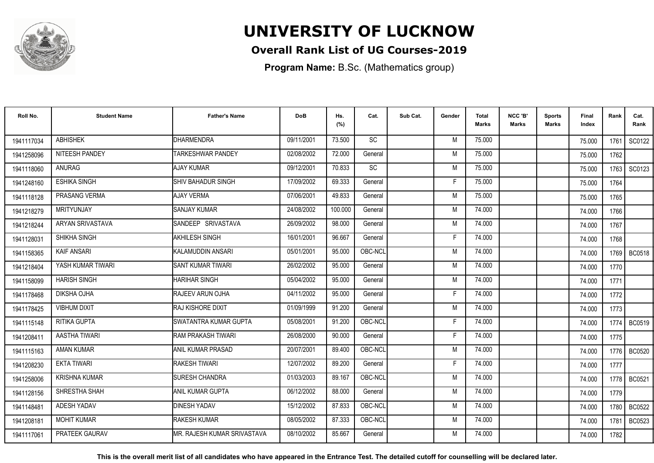

### **Overall Rank List of UG Courses-2019**

**Program Name:** B.Sc. (Mathematics group)

| Roll No.   | <b>Student Name</b>  | <b>Father's Name</b>         | <b>DoB</b> | Hs.<br>(%) | Cat.      | Sub Cat. | Gender | <b>Total</b><br>Marks | NCC 'B'<br><b>Marks</b> | Sports<br><b>Marks</b> | Final<br>Index | Rank   | Cat.<br>Rank  |
|------------|----------------------|------------------------------|------------|------------|-----------|----------|--------|-----------------------|-------------------------|------------------------|----------------|--------|---------------|
| 1941117034 | <b>ABHISHEK</b>      | <b>DHARMENDRA</b>            | 09/11/2001 | 73.500     | <b>SC</b> |          | M      | 75.000                |                         |                        | 75.000         | 1761   | SC0122        |
| 1941258096 | NITEESH PANDEY       | <b>TARKESHWAR PANDEY</b>     | 02/08/2002 | 72.000     | General   |          | M      | 75.000                |                         |                        | 75.000         | 1762   |               |
| 1941118060 | <b>ANURAG</b>        | <b>AJAY KUMAR</b>            | 09/12/2001 | 70.833     | SC        |          | M      | 75.000                |                         |                        | 75.000         | 1763   | SC0123        |
| 1941248160 | ESHIKA SINGH         | <b>SHIV BAHADUR SINGH</b>    | 17/09/2002 | 69.333     | General   |          | E      | 75.000                |                         |                        | 75.000         | 1764   |               |
| 1941118128 | PRASANG VERMA        | <b>AJAY VERMA</b>            | 07/06/2001 | 49.833     | General   |          | M      | 75.000                |                         |                        | 75.000         | 1765   |               |
| 1941218279 | <b>MRITYUNJAY</b>    | <b>SANJAY KUMAR</b>          | 24/08/2002 | 100.000    | General   |          | M      | 74.000                |                         |                        | 74.000         | 1766   |               |
| 1941218244 | ARYAN SRIVASTAVA     | SANDEEP SRIVASTAVA           | 26/09/2002 | 98.000     | General   |          | M      | 74.000                |                         |                        | 74.000         | 1767   |               |
| 1941128031 | SHIKHA SINGH         | <b>AKHILESH SINGH</b>        | 16/01/2001 | 96.667     | General   |          | F      | 74.000                |                         |                        | 74.000         | 1768   |               |
| 1941158365 | <b>KAIF ANSARI</b>   | İKALAMUDDIN ANSARI           | 05/01/2001 | 95.000     | OBC-NCL   |          | M      | 74.000                |                         |                        | 74.000         |        | 1769   BC0518 |
| 1941218404 | YASH KUMAR TIWARI    | <b>SANT KUMAR TIWARI</b>     | 26/02/2002 | 95.000     | General   |          | M      | 74.000                |                         |                        | 74.000         | 1770   |               |
| 1941158099 | <b>HARISH SINGH</b>  | <b>HARIHAR SINGH</b>         | 05/04/2002 | 95.000     | General   |          | M      | 74.000                |                         |                        | 74.000         | 1771   |               |
| 1941178468 | DIKSHA OJHA          | RAJEEV ARUN OJHA             | 04/11/2002 | 95.000     | General   |          | F      | 74.000                |                         |                        | 74.000         | 1772   |               |
| 1941178425 | <b>VIBHUM DIXIT</b>  | IRAJ KISHORE DIXIT           | 01/09/1999 | 91.200     | General   |          | M      | 74.000                |                         |                        | 74.000         | 1773   |               |
| 1941115148 | RITIKA GUPTA         | SWATANTRA KUMAR GUPTA        | 05/08/2001 | 91.200     | OBC-NCL   |          | F      | 74.000                |                         |                        | 74.000         | 1774   | <b>BC0519</b> |
| 1941208411 | AASTHA TIWARI        | RAM PRAKASH TIWARI           | 26/08/2000 | 90.000     | General   |          | Е      | 74.000                |                         |                        | 74.000         | 1775   |               |
| 1941115163 | <b>AMAN KUMAR</b>    | ANIL KUMAR PRASAD            | 20/07/2001 | 89.400     | OBC-NCL   |          | M      | 74.000                |                         |                        | 74.000         | 1776 I | <b>BC0520</b> |
| 1941208230 | <b>EKTA TIWARI</b>   | RAKESH TIWARI                | 12/07/2002 | 89.200     | General   |          | F      | 74.000                |                         |                        | 74.000         | 1777   |               |
| 1941258006 | <b>KRISHNA KUMAR</b> | <b>ISURESH CHANDRA</b>       | 01/03/2003 | 89.167     | OBC-NCL   |          | M      | 74.000                |                         |                        | 74.000         | 1778 l | <b>BC0521</b> |
| 1941128156 | SHRESTHA SHAH        | ANIL KUMAR GUPTA             | 06/12/2002 | 88.000     | General   |          | M      | 74.000                |                         |                        | 74.000         | 1779   |               |
| 1941148481 | ADESH YADAV          | <b>DINESH YADAV</b>          | 15/12/2002 | 87.833     | OBC-NCL   |          | M      | 74.000                |                         |                        | 74.000         | 1780   | <b>BC0522</b> |
| 1941208181 | <b>MOHIT KUMAR</b>   | <b>RAKESH KUMAR</b>          | 08/05/2002 | 87.333     | OBC-NCL   |          | M      | 74.000                |                         |                        | 74.000         | 1781   | BC0523        |
| 1941117061 | PRATEEK GAURAV       | IMR. RAJESH KUMAR SRIVASTAVA | 08/10/2002 | 85.667     | General   |          | M      | 74.000                |                         |                        | 74.000         | 1782   |               |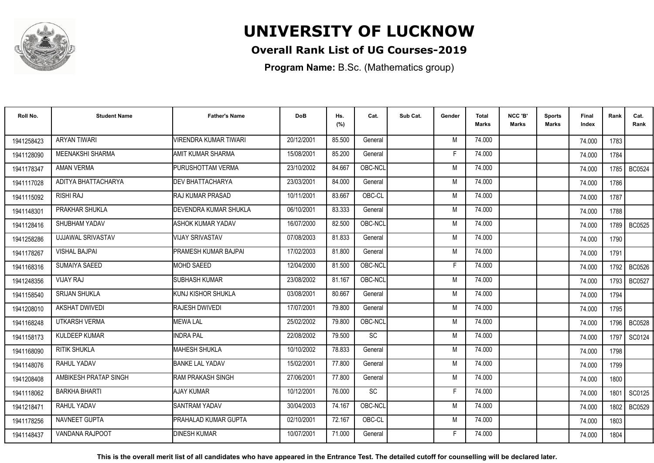

### **Overall Rank List of UG Courses-2019**

**Program Name:** B.Sc. (Mathematics group)

| Roll No.   | <b>Student Name</b>     | <b>Father's Name</b>          | <b>DoB</b> | Hs.<br>(%) | Cat.      | Sub Cat. | Gender | <b>Total</b><br><b>Marks</b> | NCC 'B'<br><b>Marks</b> | <b>Sports</b><br>Marks | Final<br>Index | Rank | Cat.<br>Rank  |
|------------|-------------------------|-------------------------------|------------|------------|-----------|----------|--------|------------------------------|-------------------------|------------------------|----------------|------|---------------|
| 1941258423 | <b>ARYAN TIWARI</b>     | <b>VIRENDRA KUMAR TIWARI</b>  | 20/12/2001 | 85.500     | General   |          | M      | 74.000                       |                         |                        | 74.000         | 1783 |               |
| 1941128090 | <b>MEENAKSHI SHARMA</b> | AMIT KUMAR SHARMA             | 15/08/2001 | 85.200     | General   |          | E      | 74.000                       |                         |                        | 74.000         | 1784 |               |
| 1941178347 | <b>AMAN VERMA</b>       | PURUSHOTTAM VERMA             | 23/10/2002 | 84.667     | OBC-NCL   |          | M      | 74.000                       |                         |                        | 74.000         | 1785 | <b>BC0524</b> |
| 1941117028 | ADITYA BHATTACHARYA     | <b>DEV BHATTACHARYA</b>       | 23/03/2001 | 84.000     | General   |          | M      | 74.000                       |                         |                        | 74.000         | 1786 |               |
| 1941115092 | <b>RISHI RAJ</b>        | <b>IRAJ KUMAR PRASAD</b>      | 10/11/2001 | 83.667     | OBC-CL    |          | M      | 74.000                       |                         |                        | 74.000         | 1787 |               |
| 1941148301 | PRAKHAR SHUKLA          | DEVENDRA KUMAR SHUKLA         | 06/10/2001 | 83.333     | General   |          | M      | 74.000                       |                         |                        | 74.000         | 1788 |               |
| 1941128416 | SHUBHAM YADAV           | ASHOK KUMAR YADAV             | 16/07/2000 | 82.500     | OBC-NCL   |          | M      | 74.000                       |                         |                        | 74.000         | 1789 | <b>BC0525</b> |
| 1941258286 | UJJAWAL SRIVASTAV       | <b>VIJAY SRIVASTAV</b>        | 07/08/2003 | 81.833     | General   |          | M      | 74.000                       |                         |                        | 74.000         | 1790 |               |
| 1941178267 | <b>VISHAL BAJPAI</b>    | PRAMESH KUMAR BAJPAI          | 17/02/2003 | 81.800     | General   |          | M      | 74.000                       |                         |                        | 74.000         | 1791 |               |
| 1941168316 | SUMAIYA SAEED           | <b>MOHD SAEED</b>             | 12/04/2000 | 81.500     | OBC-NCL   |          | F      | 74.000                       |                         |                        | 74.000         | 1792 | BC0526        |
| 1941248356 | <b>VIJAY RAJ</b>        | <b>SUBHASH KUMAR</b>          | 23/08/2002 | 81.167     | OBC-NCL   |          | M      | 74.000                       |                         |                        | 74.000         | 1793 | <b>BC0527</b> |
| 1941158540 | <b>SRIJAN SHUKLA</b>    | KUNJ KISHOR SHUKLA            | 03/08/2001 | 80.667     | General   |          | M      | 74.000                       |                         |                        | 74.000         | 1794 |               |
| 1941208010 | <b>AKSHAT DWIVEDI</b>   | <b>RAJESH DWIVEDI</b>         | 17/07/2001 | 79.800     | General   |          | M      | 74.000                       |                         |                        | 74.000         | 1795 |               |
| 1941168248 | UTKARSH VERMA           | <b>MEWA LAL</b>               | 25/02/2002 | 79.800     | OBC-NCL   |          | M      | 74.000                       |                         |                        | 74.000         | 1796 | <b>BC0528</b> |
| 1941158173 | <b>KULDEEP KUMAR</b>    | <b>INDRA PAL</b>              | 22/08/2002 | 79.500     | <b>SC</b> |          | M      | 74.000                       |                         |                        | 74.000         | 1797 | SC0124        |
| 1941168090 | <b>RITIK SHUKLA</b>     | <b>MAHESH SHUKLA</b>          | 10/10/2002 | 78.833     | General   |          | M      | 74.000                       |                         |                        | 74.000         | 1798 |               |
| 1941148076 | RAHUL YADAV             | <b>BANKE LAL YADAV</b>        | 15/02/2001 | 77.800     | General   |          | M      | 74.000                       |                         |                        | 74.000         | 1799 |               |
| 1941208408 | AMBIKESH PRATAP SINGH   | <b>IRAM PRAKASH SINGH</b>     | 27/06/2001 | 77.800     | General   |          | M      | 74.000                       |                         |                        | 74.000         | 1800 |               |
| 1941118062 | <b>BARKHA BHARTI</b>    | <b>AJAY KUMAR</b>             | 10/12/2001 | 76.000     | <b>SC</b> |          | F      | 74.000                       |                         |                        | 74.000         | 1801 | SC0125        |
| 1941218471 | RAHUL YADAV             | <b>SANTRAM YADAV</b>          | 30/04/2003 | 74.167     | OBC-NCL   |          | M      | 74.000                       |                         |                        | 74.000         | 1802 | <b>BC0529</b> |
| 1941178256 | NAVNEET GUPTA           | <b>I</b> PRAHALAD KUMAR GUPTA | 02/10/2001 | 72.167     | OBC-CL    |          | M      | 74.000                       |                         |                        | 74.000         | 1803 |               |
| 1941148437 | VANDANA RAJPOOT         | <b>DINESH KUMAR</b>           | 10/07/2001 | 71.000     | General   |          | F      | 74.000                       |                         |                        | 74.000         | 1804 |               |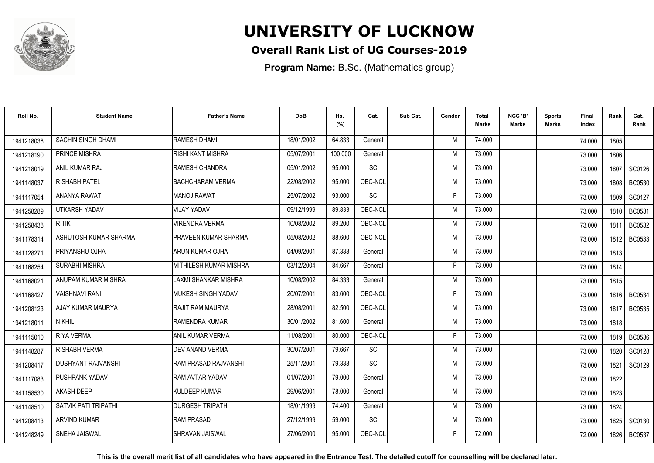

### **Overall Rank List of UG Courses-2019**

**Program Name:** B.Sc. (Mathematics group)

| Roll No.   | <b>Student Name</b>       | <b>Father's Name</b>          | <b>DoB</b> | Hs.<br>(%) | Cat.      | Sub Cat. | Gender | <b>Total</b><br>Marks | NCC 'B'<br><b>Marks</b> | Sports<br><b>Marks</b> | Final<br>Index | Rank   | Cat.<br>Rank  |
|------------|---------------------------|-------------------------------|------------|------------|-----------|----------|--------|-----------------------|-------------------------|------------------------|----------------|--------|---------------|
| 1941218038 | SACHIN SINGH DHAMI        | RAMESH DHAMI                  | 18/01/2002 | 64.833     | General   |          | M      | 74.000                |                         |                        | 74.000         | 1805   |               |
| 1941218190 | PRINCE MISHRA             | RISHI KANT MISHRA             | 05/07/2001 | 100.000    | General   |          | M      | 73.000                |                         |                        | 73.000         | 1806   |               |
| 1941218019 | ANIL KUMAR RAJ            | RAMESH CHANDRA                | 05/01/2002 | 95.000     | SC        |          | M      | 73.000                |                         |                        | 73.000         | 1807   | SC0126        |
| 1941148037 | <b>RISHABH PATEL</b>      | <b>BACHCHARAM VERMA</b>       | 22/08/2002 | 95.000     | OBC-NCL   |          | M      | 73.000                |                         |                        | 73.000         | 1808   | <b>BC0530</b> |
| 1941117054 | <b>ANANYA RAWAT</b>       | MANOJ RAWAT                   | 25/07/2002 | 93.000     | <b>SC</b> |          | F      | 73.000                |                         |                        | 73.000         | 1809   | SC0127        |
| 1941258289 | <b>UTKARSH YADAV</b>      | <b>VIJAY YADAV</b>            | 09/12/1999 | 89.833     | OBC-NCL   |          | M      | 73.000                |                         |                        | 73.000         | 1810   | <b>BC0531</b> |
| 1941258438 | <b>RITIK</b>              | <b>VIRENDRA VERMA</b>         | 10/08/2002 | 89.200     | OBC-NCL   |          | M      | 73.000                |                         |                        | 73.000         | 1811   | BC0532        |
| 1941178314 | ASHUTOSH KUMAR SHARMA     | <b>PRAVEEN KUMAR SHARMA</b>   | 05/08/2002 | 88.600     | OBC-NCL   |          | M      | 73.000                |                         |                        | 73.000         | 1812 l | <b>BC0533</b> |
| 1941128271 | PRIYANSHU OJHA            | ARUN KUMAR OJHA               | 04/09/2001 | 87.333     | General   |          | M      | 73.000                |                         |                        | 73.000         | 1813   |               |
| 1941168254 | SURABHI MISHRA            | <b>MITHILESH KUMAR MISHRA</b> | 03/12/2004 | 84.667     | General   |          | F      | 73.000                |                         |                        | 73.000         | 1814   |               |
| 1941168021 | ANUPAM KUMAR MISHRA       | <b>LAXMI SHANKAR MISHRA</b>   | 10/08/2002 | 84.333     | General   |          | M      | 73.000                |                         |                        | 73.000         | 1815   |               |
| 1941168427 | <b>VAISHNAVI RANI</b>     | <b>I</b> MUKESH SINGH YADAV   | 20/07/2001 | 83.600     | OBC-NCL   |          | Е      | 73.000                |                         |                        | 73.000         | 1816   | <b>BC0534</b> |
| 1941208123 | AJAY KUMAR MAURYA         | RAJIT RAM MAURYA              | 28/08/2001 | 82.500     | OBC-NCL   |          | M      | 73.000                |                         |                        | 73.000         | 1817   | <b>BC0535</b> |
| 1941218011 | <b>NIKHIL</b>             | <b>RAMENDRA KUMAR</b>         | 30/01/2002 | 81.600     | General   |          | M      | 73.000                |                         |                        | 73.000         | 1818   |               |
| 1941115010 | <b>RIYA VERMA</b>         | ANIL KUMAR VERMA              | 11/08/2001 | 80.000     | OBC-NCL   |          | Е      | 73.000                |                         |                        | 73.000         | 1819   | <b>BC0536</b> |
| 1941148287 | <b>RISHABH VERMA</b>      | <b>DEV ANAND VERMA</b>        | 30/07/2001 | 79.667     | SC        |          | M      | 73.000                |                         |                        | 73.000         | 1820   | SC0128        |
| 1941208417 | <b>DUSHYANT RAJVANSHI</b> | RAM PRASAD RAJVANSHI          | 25/11/2001 | 79.333     | <b>SC</b> |          | M      | 73.000                |                         |                        | 73.000         | 1821   | SC0129        |
| 1941117083 | PUSHPANK YADAV            | RAM AVTAR YADAV               | 01/07/2001 | 79.000     | General   |          | M      | 73.000                |                         |                        | 73.000         | 1822   |               |
| 1941158530 | <b>AKASH DEEP</b>         | <b>KULDEEP KUMAR</b>          | 29/06/2001 | 78.000     | General   |          | M      | 73.000                |                         |                        | 73.000         | 1823   |               |
| 1941148510 | SATVIK PATI TRIPATHI      | <b>DURGESH TRIPATHI</b>       | 18/01/1999 | 74.400     | General   |          | M      | 73.000                |                         |                        | 73.000         | 1824   |               |
| 1941208413 | <b>ARVIND KUMAR</b>       | <b>RAM PRASAD</b>             | 27/12/1999 | 59.000     | <b>SC</b> |          | M      | 73.000                |                         |                        | 73.000         | 1825   | SC0130        |
| 1941248249 | <b>SNEHA JAISWAL</b>      | ISHRAVAN JAISWAL              | 27/06/2000 | 95.000     | OBC-NCL   |          | F      | 72.000                |                         |                        | 72.000         | 1826   | <b>BC0537</b> |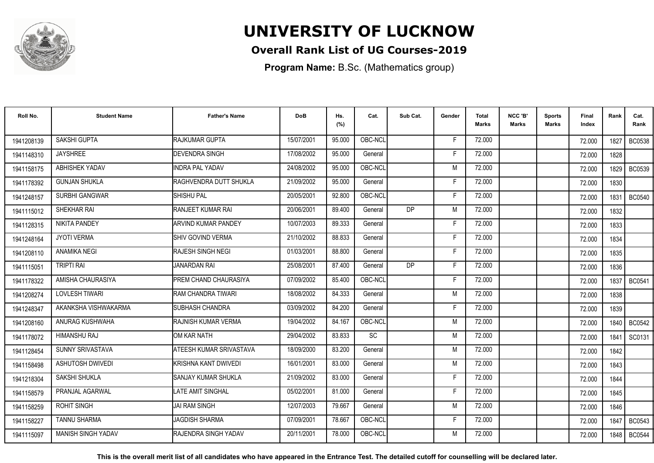

### **Overall Rank List of UG Courses-2019**

**Program Name:** B.Sc. (Mathematics group)

| Roll No.   | <b>Student Name</b>       | <b>Father's Name</b>         | <b>DoB</b> | Hs.<br>(%) | Cat.      | Sub Cat. | Gender | <b>Total</b><br><b>Marks</b> | NCC 'B'<br><b>Marks</b> | Sports<br><b>Marks</b> | Final<br>Index | Rank | Cat.<br>Rank  |
|------------|---------------------------|------------------------------|------------|------------|-----------|----------|--------|------------------------------|-------------------------|------------------------|----------------|------|---------------|
| 1941208139 | SAKSHI GUPTA              | RAJKUMAR GUPTA               | 15/07/2001 | 95.000     | OBC-NCL   |          | F      | 72.000                       |                         |                        | 72.000         | 1827 | <b>BC0538</b> |
| 1941148310 | <b>JAYSHREE</b>           | <b>DEVENDRA SINGH</b>        | 17/08/2002 | 95.000     | General   |          | F      | 72.000                       |                         |                        | 72.000         | 1828 |               |
| 1941158175 | ABHISHEK YADAV            | <b>INDRA PAL YADAV</b>       | 24/08/2002 | 95.000     | OBC-NCL   |          | M      | 72.000                       |                         |                        | 72.000         | 1829 | <b>BC0539</b> |
| 1941178392 | <b>GUNJAN SHUKLA</b>      | RAGHVENDRA DUTT SHUKLA       | 21/09/2002 | 95.000     | General   |          | F      | 72.000                       |                         |                        | 72.000         | 1830 |               |
| 1941248157 | <b>SURBHI GANGWAR</b>     | <b>SHISHU PAL</b>            | 20/05/2001 | 92.800     | OBC-NCL   |          | F      | 72.000                       |                         |                        | 72.000         | 1831 | <b>BC0540</b> |
| 1941115012 | SHEKHAR RAI               | RANJEET KUMAR RAI            | 20/06/2001 | 89.400     | General   | DP       | M      | 72.000                       |                         |                        | 72.000         | 1832 |               |
| 1941128315 | <b>NIKITA PANDEY</b>      | <b>ARVIND KUMAR PANDEY</b>   | 10/07/2003 | 89.333     | General   |          | F      | 72.000                       |                         |                        | 72.000         | 1833 |               |
| 1941248164 | <b>JYOTI VERMA</b>        | <b>SHIV GOVIND VERMA</b>     | 21/10/2002 | 88.833     | General   |          | F      | 72.000                       |                         |                        | 72.000         | 1834 |               |
| 1941208110 | ANAMIKA NEGI              | <b>RAJESH SINGH NEGI</b>     | 01/03/2001 | 88.800     | General   |          | F      | 72.000                       |                         |                        | 72.000         | 1835 |               |
| 1941115051 | <b>TRIPTI RAI</b>         | <b>JANARDAN RAI</b>          | 25/08/2001 | 87.400     | General   | DP       | F      | 72.000                       |                         |                        | 72.000         | 1836 |               |
| 1941178322 | AMISHA CHAURASIYA         | PREM CHAND CHAURASIYA        | 07/09/2002 | 85.400     | OBC-NCL   |          | F      | 72.000                       |                         |                        | 72.000         | 1837 | <b>BC0541</b> |
| 1941208274 | <b>LOVLESH TIWARI</b>     | RAM CHANDRA TIWARI           | 18/08/2002 | 84.333     | General   |          | M      | 72.000                       |                         |                        | 72.000         | 1838 |               |
| 1941248347 | AKANKSHA VISHWAKARMA      | <b>SUBHASH CHANDRA</b>       | 03/09/2002 | 84.200     | General   |          |        | 72.000                       |                         |                        | 72.000         | 1839 |               |
| 1941208160 | ANURAG KUSHWAHA           | <b>IRAJNISH KUMAR VERMA</b>  | 19/04/2002 | 84.167     | OBC-NCL   |          | M      | 72.000                       |                         |                        | 72.000         | 1840 | <b>BC0542</b> |
| 1941178072 | <b>HIMANSHU RAJ</b>       | OM KAR NATH                  | 29/04/2002 | 83.833     | <b>SC</b> |          | M      | 72.000                       |                         |                        | 72.000         | 1841 | SC0131        |
| 1941128454 | SUNNY SRIVASTAVA          | ATEESH KUMAR SRIVASTAVA      | 18/09/2000 | 83.200     | General   |          | M      | 72.000                       |                         |                        | 72.000         | 1842 |               |
| 1941158498 | <b>ASHUTOSH DWIVEDI</b>   | KRISHNA KANT DWIVEDI         | 16/01/2001 | 83.000     | General   |          | M      | 72.000                       |                         |                        | 72.000         | 1843 |               |
| 1941218304 | SAKSHI SHUKLA             | SANJAY KUMAR SHUKLA          | 21/09/2002 | 83.000     | General   |          | F      | 72.000                       |                         |                        | 72.000         | 1844 |               |
| 1941158579 | PRANJAL AGARWAL           | <b>LATE AMIT SINGHAL</b>     | 05/02/2001 | 81.000     | General   |          | F      | 72.000                       |                         |                        | 72.000         | 1845 |               |
| 1941158259 | <b>ROHIT SINGH</b>        | <b>JAI RAM SINGH</b>         | 12/07/2003 | 79.667     | General   |          | M      | 72.000                       |                         |                        | 72.000         | 1846 |               |
| 1941158227 | <b>TANNU SHARMA</b>       | <b>JAGDISH SHARMA</b>        | 07/09/2001 | 78.667     | OBC-NCL   |          | F      | 72.000                       |                         |                        | 72.000         | 1847 | <b>BC0543</b> |
| 1941115097 | <b>MANISH SINGH YADAV</b> | <b>IRAJENDRA SINGH YADAV</b> | 20/11/2001 | 78.000     | OBC-NCL   |          | M      | 72.000                       |                         |                        | 72.000         | 1848 | <b>BC0544</b> |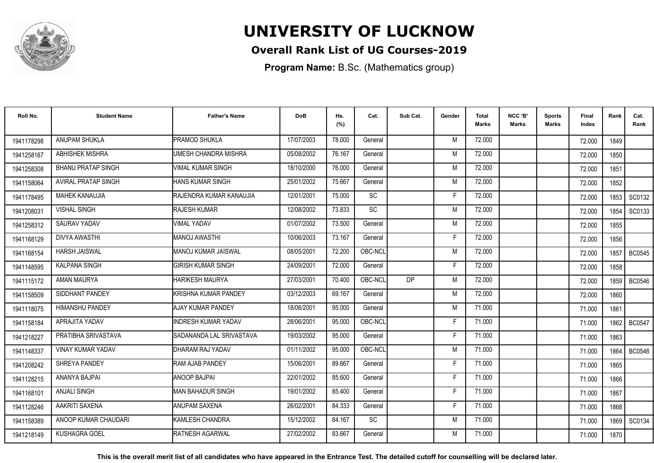

### **Overall Rank List of UG Courses-2019**

**Program Name:** B.Sc. (Mathematics group)

| Roll No.   | <b>Student Name</b>        | <b>Father's Name</b>       | <b>DoB</b> | Hs.<br>(%) | Cat.      | Sub Cat.  | Gender | <b>Total</b><br>Marks | NCC 'B'<br><b>Marks</b> | Sports<br>Marks | Final<br>Index | Rank | Cat.<br>Rank  |
|------------|----------------------------|----------------------------|------------|------------|-----------|-----------|--------|-----------------------|-------------------------|-----------------|----------------|------|---------------|
| 1941178298 | ANUPAM SHUKLA              | <b>PRAMOD SHUKLA</b>       | 17/07/2003 | 78,000     | General   |           | M      | 72.000                |                         |                 | 72.000         | 1849 |               |
| 1941258167 | <b>ABHISHEK MISHRA</b>     | UMESH CHANDRA MISHRA       | 05/08/2002 | 76.167     | General   |           | M      | 72.000                |                         |                 | 72.000         | 1850 |               |
| 1941258308 | <b>BHANU PRATAP SINGH</b>  | <b>VIMAL KUMAR SINGH</b>   | 18/10/2000 | 76.000     | General   |           | M      | 72.000                |                         |                 | 72.000         | 1851 |               |
| 1941158064 | <b>AVIRAL PRATAP SINGH</b> | HANS KUMAR SINGH           | 25/01/2002 | 75.667     | General   |           | M      | 72.000                |                         |                 | 72.000         | 1852 |               |
| 1941178495 | <b>MAHEK KANAUJIA</b>      | RAJENDRA KUMAR KANAUJIA    | 12/01/2001 | 75.000     | <b>SC</b> |           | F      | 72.000                |                         |                 | 72.000         | 1853 | SC0132        |
| 1941208031 | <b>VISHAL SINGH</b>        | <b>RAJESH KUMAR</b>        | 12/08/2002 | 73.833     | <b>SC</b> |           | M      | 72.000                |                         |                 | 72.000         | 1854 | SC0133        |
| 1941258312 | SAURAV YADAV               | <b>VIMAL YADAV</b>         | 01/07/2002 | 73.500     | General   |           | M      | 72.000                |                         |                 | 72.000         | 1855 |               |
| 1941168129 | <b>DIVYA AWASTHI</b>       | MANOJ AWASTHI              | 10/06/2003 | 73.167     | General   |           | F      | 72.000                |                         |                 | 72.000         | 1856 |               |
| 1941168154 | <b>HARSH JAISWAL</b>       | IMANOJ KUMAR JAISWAL       | 08/05/2001 | 72.200     | OBC-NCL   |           | M      | 72.000                |                         |                 | 72.000         | 1857 | BC0545        |
| 1941148595 | <b>KALPANA SINGH</b>       | <b>GIRISH KUMAR SINGH</b>  | 24/09/2001 | 72.000     | General   |           | F.     | 72.000                |                         |                 | 72.000         | 1858 |               |
| 1941115172 | AMAN MAURYA                | <b>HARIKESH MAURYA</b>     | 27/03/2001 | 70.400     | OBC-NCL   | <b>DP</b> | M      | 72.000                |                         |                 | 72.000         | 1859 | <b>BC0546</b> |
| 1941158509 | SIDDHANT PANDEY            | KRISHNA KUMAR PANDEY       | 03/12/2003 | 69.167     | General   |           | M      | 72.000                |                         |                 | 72.000         | 1860 |               |
| 1941118075 | <b>HIMANSHU PANDEY</b>     | AJAY KUMAR PANDEY          | 18/06/2001 | 95.000     | General   |           | M      | 71.000                |                         |                 | 71.000         | 1861 |               |
| 1941158184 | APRAJITA YADAV             | <b>INDRESH KUMAR YADAV</b> | 28/06/2001 | 95.000     | OBC-NCL   |           | F      | 71.000                |                         |                 | 71.000         | 1862 | <b>BC0547</b> |
| 1941218227 | PRATIBHA SRIVASTAVA        | SADANANDA LAL SRIVASTAVA   | 19/03/2002 | 95.000     | General   |           | Е      | 71.000                |                         |                 | 71.000         | 1863 |               |
| 1941148337 | <b>VINAY KUMAR YADAV</b>   | DHARAM RAJ YADAV           | 01/11/2002 | 95.000     | OBC-NCL   |           | M      | 71.000                |                         |                 | 71.000         | 1864 | <b>BC0548</b> |
| 1941208242 | SHREYA PANDEY              | <b>RAM AJAB PANDEY</b>     | 15/06/2001 | 89.667     | General   |           | F      | 71.000                |                         |                 | 71.000         | 1865 |               |
| 1941128215 | ANANYA BAJPAI              | <b>ANOOP BAJPAI</b>        | 22/01/2002 | 85.600     | General   |           | F      | 71.000                |                         |                 | 71.000         | 1866 |               |
| 1941168101 | ANJALI SINGH               | IMAN BAHADUR SINGH         | 19/01/2002 | 85.400     | General   |           | F      | 71.000                |                         |                 | 71.000         | 1867 |               |
| 1941128246 | AAKRITI SAXENA             | <b>ANUPAM SAXENA</b>       | 26/02/2001 | 84.333     | General   |           | F      | 71.000                |                         |                 | 71.000         | 1868 |               |
| 1941158389 | ANOOP KUMAR CHAUDARI       | <b>I</b> KAMLESH CHANDRA   | 15/12/2002 | 84.167     | <b>SC</b> |           | M      | 71.000                |                         |                 | 71.000         | 1869 | SC0134        |
| 1941218149 | <b>KUSHAGRA GOEL</b>       | <b>RATNESH AGARWAL</b>     | 27/02/2002 | 83.667     | General   |           | M      | 71.000                |                         |                 | 71.000         | 1870 |               |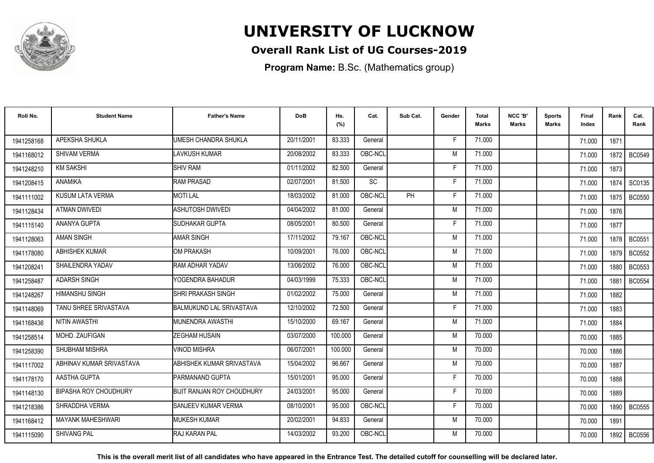

### **Overall Rank List of UG Courses-2019**

**Program Name:** B.Sc. (Mathematics group)

| Roll No.   | <b>Student Name</b>          | <b>Father's Name</b>              | <b>DoB</b> | Hs.<br>(%) | Cat.      | Sub Cat.  | Gender | <b>Total</b><br>Marks | NCC 'B'<br><b>Marks</b> | Sports<br>Marks | Final<br>Index | Rank   | Cat.<br>Rank  |
|------------|------------------------------|-----------------------------------|------------|------------|-----------|-----------|--------|-----------------------|-------------------------|-----------------|----------------|--------|---------------|
| 1941258168 | APEKSHA SHUKLA               | <b>UMESH CHANDRA SHUKLA</b>       | 20/11/2001 | 83.333     | General   |           | F      | 71.000                |                         |                 | 71.000         | 1871   |               |
| 1941168012 | <b>SHIVAM VERMA</b>          | <b>LAVKUSH KUMAR</b>              | 20/08/2002 | 83.333     | OBC-NCL   |           | M      | 71.000                |                         |                 | 71.000         | 1872   | <b>BC0549</b> |
| 1941248210 | <b>KM SAKSHI</b>             | <b>SHIV RAM</b>                   | 01/11/2002 | 82.500     | General   |           | F      | 71.000                |                         |                 | 71.000         | 1873   |               |
| 1941208415 | <b>ANAMIKA</b>               | <b>RAM PRASAD</b>                 | 02/07/2001 | 81.500     | <b>SC</b> |           | F      | 71.000                |                         |                 | 71.000         | 1874   | SC0135        |
| 1941111002 | KUSUM LATA VERMA             | <b>MOTILAL</b>                    | 18/03/2002 | 81.000     | OBC-NCL   | <b>PH</b> | F      | 71.000                |                         |                 | 71.000         | 1875 I | <b>BC0550</b> |
| 1941128434 | <b>ATMAN DWIVEDI</b>         | <b>ASHUTOSH DWIVEDI</b>           | 04/04/2002 | 81.000     | General   |           | M      | 71.000                |                         |                 | 71.000         | 1876   |               |
| 1941115140 | ANANYA GUPTA                 | <b>I</b> SUDHAKAR GUPTA           | 08/05/2001 | 80.500     | General   |           | F      | 71.000                |                         |                 | 71.000         | 1877   |               |
| 1941128063 | <b>AMAN SINGH</b>            | <b>AMAR SINGH</b>                 | 17/11/2002 | 79.167     | OBC-NCL   |           | M      | 71.000                |                         |                 | 71.000         | 1878   | <b>BC0551</b> |
| 1941178080 | <b>ABHISHEK KUMAR</b>        | OM PRAKASH                        | 10/09/2001 | 76.000     | OBC-NCL   |           | M      | 71.000                |                         |                 | 71.000         | 1879   | BC0552        |
| 1941208241 | SHAILENDRA YADAV             | <b>RAM ADHAR YADAV</b>            | 13/06/2002 | 76.000     | OBC-NCL   |           | M      | 71.000                |                         |                 | 71.000         | 1880   | BC0553        |
| 1941258487 | <b>ADARSH SINGH</b>          | YOGENDRA BAHADUR                  | 04/03/1999 | 75.333     | OBC-NCL   |           | M      | 71.000                |                         |                 | 71.000         | 1881   | <b>BC0554</b> |
| 1941248267 | <b>HIMANSHU SINGH</b>        | <b>SHRI PRAKASH SINGH</b>         | 01/02/2002 | 75.000     | General   |           | M      | 71.000                |                         |                 | 71.000         | 1882   |               |
| 1941148069 | TANU SHREE SRIVASTAVA        | <b>BALMUKUND LAL SRIVASTAVA</b>   | 12/10/2002 | 72.500     | General   |           | Е      | 71.000                |                         |                 | 71.000         | 1883   |               |
| 1941168436 | NITIN AWASTHI                | <b>IMUNENDRA AWASTHI</b>          | 15/10/2000 | 69.167     | General   |           | M      | 71.000                |                         |                 | 71.000         | 1884   |               |
| 1941258514 | MOHD. ZAUFIGAN               | <b>ZEGHAM HUSAIN</b>              | 03/07/2000 | 100.000    | General   |           | M      | 70.000                |                         |                 | 70.000         | 1885   |               |
| 1941258390 | <b>SHUBHAM MISHRA</b>        | VINOD MISHRA                      | 06/07/2001 | 100.000    | General   |           | M      | 70.000                |                         |                 | 70.000         | 1886   |               |
| 1941117002 | ABHINAV KUMAR SRIVASTAVA     | ABHISHEK KUMAR SRIVASTAVA         | 15/04/2002 | 96.667     | General   |           | M      | 70.000                |                         |                 | 70.000         | 1887   |               |
| 1941178170 | AASTHA GUPTA                 | PARMANAND GUPTA                   | 15/01/2001 | 95.000     | General   |           | F      | 70.000                |                         |                 | 70.000         | 1888   |               |
| 1941148130 | <b>BIPASHA ROY CHOUDHURY</b> | <b>BIJIT RANJAN ROY CHOUDHURY</b> | 24/03/2001 | 95.000     | General   |           | F.     | 70.000                |                         |                 | 70.000         | 1889   |               |
| 1941218386 | SHRADDHA VERMA               | <b>I</b> SANJEEV KUMAR VERMA      | 08/10/2001 | 95.000     | OBC-NCL   |           | F      | 70.000                |                         |                 | 70.000         | 1890   | <b>BC0555</b> |
| 1941168412 | <b>MAYANK MAHESHWARI</b>     | <b>IMUKESH KUMAR</b>              | 20/02/2001 | 94.833     | General   |           | M      | 70.000                |                         |                 | 70.000         | 1891   |               |
| 1941115090 | <b>SHIVANG PAL</b>           | <b>RAJ KARAN PAL</b>              | 14/03/2002 | 93.200     | OBC-NCL   |           | M      | 70.000                |                         |                 | 70.000         | 1892   | <b>BC0556</b> |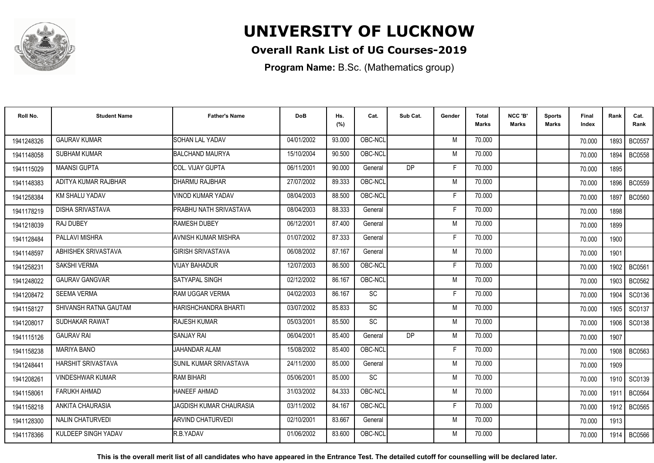

### **Overall Rank List of UG Courses-2019**

**Program Name:** B.Sc. (Mathematics group)

| Roll No.   | <b>Student Name</b>       | <b>Father's Name</b>           | <b>DoB</b> | Hs.<br>(%) | Cat.    | Sub Cat.  | Gender | Total<br><b>Marks</b> | NCC 'B'<br><b>Marks</b> | Sports<br>Marks | Final<br>Index | Rank | Cat.<br>Rank  |
|------------|---------------------------|--------------------------------|------------|------------|---------|-----------|--------|-----------------------|-------------------------|-----------------|----------------|------|---------------|
| 1941248326 | <b>GAURAV KUMAR</b>       | <b>SOHAN LAL YADAV</b>         | 04/01/2002 | 93.000     | OBC-NCL |           | M      | 70.000                |                         |                 | 70.000         | 1893 | <b>BC0557</b> |
| 1941148058 | <b>SUBHAM KUMAR</b>       | <b>BALCHAND MAURYA</b>         | 15/10/2004 | 90.500     | OBC-NCL |           | M      | 70.000                |                         |                 | 70.000         | 1894 | <b>BC0558</b> |
| 1941115029 | <b>MAANSI GUPTA</b>       | <b>COL. VIJAY GUPTA</b>        | 06/11/2001 | 90.000     | General | <b>DP</b> | F.     | 70.000                |                         |                 | 70.000         | 1895 |               |
| 1941148383 | ADITYA KUMAR RAJBHAR      | DHARMU RAJBHAR                 | 27/07/2002 | 89.333     | OBC-NCL |           | M      | 70.000                |                         |                 | 70,000         | 1896 | <b>BC0559</b> |
| 1941258384 | <b>KM SHALU YADAV</b>     | VINOD KUMAR YADAV              | 08/04/2003 | 88.500     | OBC-NCL |           | F      | 70.000                |                         |                 | 70.000         | 1897 | <b>BC0560</b> |
| 1941178219 | <b>DISHA SRIVASTAVA</b>   | PRABHU NATH SRIVASTAVA         | 08/04/2003 | 88.333     | General |           | F      | 70.000                |                         |                 | 70.000         | 1898 |               |
| 1941218039 | RAJ DUBEY                 | <b>RAMESH DUBEY</b>            | 06/12/2001 | 87.400     | General |           | M      | 70.000                |                         |                 | 70.000         | 1899 |               |
| 1941128484 | PALLAVI MISHRA            | <b>AVNISH KUMAR MISHRA</b>     | 01/07/2002 | 87.333     | General |           | F      | 70.000                |                         |                 | 70.000         | 1900 |               |
| 1941148597 | ABHISHEK SRIVASTAVA       | GIRISH SRIVASTAVA              | 06/08/2002 | 87.167     | General |           | M      | 70.000                |                         |                 | 70.000         | 1901 |               |
| 1941258231 | <b>SAKSHI VERMA</b>       | <b>VIJAY BAHADUR</b>           | 12/07/2003 | 86.500     | OBC-NCL |           | F      | 70.000                |                         |                 | 70.000         | 1902 | <b>BC0561</b> |
| 1941248022 | <b>GAURAV GANGVAR</b>     | SATYAPAL SINGH                 | 02/12/2002 | 86.167     | OBC-NCL |           | M      | 70.000                |                         |                 | 70.000         | 1903 | <b>BC0562</b> |
| 1941208472 | <b>SEEMA VERMA</b>        | RAM UGGAR VERMA                | 04/02/2003 | 86.167     | SC      |           | F      | 70.000                |                         |                 | 70.000         | 1904 | SC0136        |
| 1941158127 | SHIVANSH RATNA GAUTAM     | HARISHCHANDRA BHARTI           | 03/07/2002 | 85.833     | SC      |           | M      | 70.000                |                         |                 | 70,000         | 1905 | SC0137        |
| 1941208017 | SUDHAKAR RAWAT            | <b>RAJESH KUMAR</b>            | 05/03/2001 | 85.500     | SC      |           | M      | 70.000                |                         |                 | 70.000         | 1906 | SC0138        |
| 1941115126 | <b>GAURAV RAI</b>         | <b>SANJAY RAI</b>              | 06/04/2001 | 85.400     | General | DP        | M      | 70.000                |                         |                 | 70.000         | 1907 |               |
| 1941158238 | <b>MARIYA BANO</b>        | <b>JAHANDAR ALAM</b>           | 15/08/2002 | 85.400     | OBC-NCL |           | F      | 70.000                |                         |                 | 70.000         | 1908 | <b>BC0563</b> |
| 1941248441 | <b>HARSHIT SRIVASTAVA</b> | SUNIL KUMAR SRIVASTAVA         | 24/11/2000 | 85.000     | General |           | M      | 70.000                |                         |                 | 70.000         | 1909 |               |
| 1941208261 | <b>VINDESHWAR KUMAR</b>   | <b>RAM BIHARI</b>              | 05/06/2001 | 85.000     | SC      |           | M      | 70.000                |                         |                 | 70.000         | 1910 | SC0139        |
| 1941158061 | <b>FARUKH AHMAD</b>       | <b>HANEEF AHMAD</b>            | 31/03/2002 | 84.333     | OBC-NCL |           | M      | 70.000                |                         |                 | 70.000         | 1911 | <b>BC0564</b> |
| 1941158218 | <b>ANKITA CHAURASIA</b>   | <b>JAGDISH KUMAR CHAURASIA</b> | 03/11/2002 | 84.167     | OBC-NCL |           | F      | 70.000                |                         |                 | 70.000         | 1912 | <b>BC0565</b> |
| 1941128300 | NALIN CHATURVEDI          | <b>ARVIND CHATURVEDI</b>       | 02/10/2001 | 83.667     | General |           | M      | 70.000                |                         |                 | 70.000         | 1913 |               |
| 1941178366 | KULDEEP SINGH YADAV       | R.B.YADAV                      | 01/06/2002 | 83.600     | OBC-NCL |           | M      | 70.000                |                         |                 | 70.000         | 1914 | <b>BC0566</b> |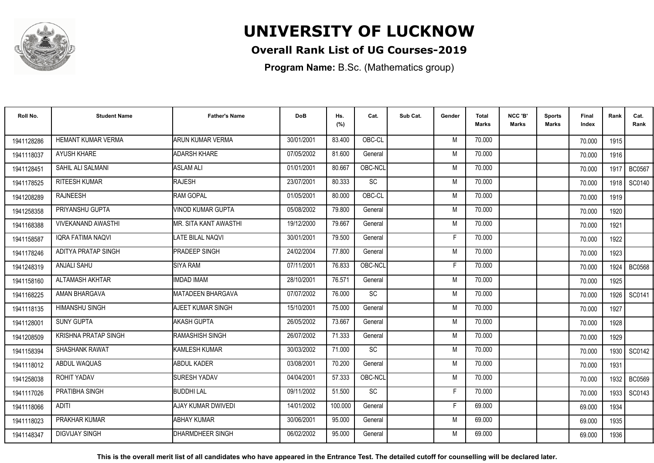

### **Overall Rank List of UG Courses-2019**

**Program Name:** B.Sc. (Mathematics group)

| Roll No.   | <b>Student Name</b>         | <b>Father's Name</b>     | <b>DoB</b> | Hs.<br>(%) | Cat.      | Sub Cat. | Gender | <b>Total</b><br>Marks | NCC 'B'<br><b>Marks</b> | <b>Sports</b><br>Marks | Final<br>Index | Rank   | Cat.<br>Rank  |
|------------|-----------------------------|--------------------------|------------|------------|-----------|----------|--------|-----------------------|-------------------------|------------------------|----------------|--------|---------------|
| 1941128286 | HEMANT KUMAR VERMA          | <b>ARUN KUMAR VERMA</b>  | 30/01/2001 | 83.400     | OBC-CL    |          | M      | 70.000                |                         |                        | 70.000         | 1915   |               |
| 1941118037 | <b>AYUSH KHARE</b>          | <b>ADARSH KHARE</b>      | 07/05/2002 | 81.600     | General   |          | M      | 70.000                |                         |                        | 70.000         | 1916   |               |
| 1941128451 | SAHIL ALI SALMANI           | <b>ASLAM ALI</b>         | 01/01/2001 | 80.667     | OBC-NCL   |          | M      | 70.000                |                         |                        | 70.000         | 1917   | <b>BC0567</b> |
| 1941178525 | RITEESH KUMAR               | RAJESH                   | 23/07/2001 | 80.333     | SC        |          | M      | 70.000                |                         |                        | 70.000         | 1918   | SC0140        |
| 1941208289 | <b>RAJNEESH</b>             | <b>RAM GOPAL</b>         | 01/05/2001 | 80.000     | OBC-CL    |          | M      | 70.000                |                         |                        | 70.000         | 1919   |               |
| 1941258358 | PRIYANSHU GUPTA             | <b>VINOD KUMAR GUPTA</b> | 05/08/2002 | 79.800     | General   |          | M      | 70.000                |                         |                        | 70.000         | 1920   |               |
| 1941168388 | <b>VIVEKANAND AWASTHI</b>   | IMR. SITA KANT AWASTHI   | 19/12/2000 | 79.667     | General   |          | M      | 70.000                |                         |                        | 70.000         | 1921   |               |
| 1941158587 | <b>IQRA FATIMA NAQVI</b>    | <b>LATE BILAL NAQVI</b>  | 30/01/2001 | 79.500     | General   |          | E      | 70.000                |                         |                        | 70.000         | 1922   |               |
| 1941178246 | <b>ADITYA PRATAP SINGH</b>  | <b>PRADEEP SINGH</b>     | 24/02/2004 | 77.800     | General   |          | M      | 70.000                |                         |                        | 70.000         | 1923   |               |
| 1941248319 | <b>ANJALI SAHU</b>          | <b>SIYA RAM</b>          | 07/11/2001 | 76.833     | OBC-NCL   |          | F      | 70.000                |                         |                        | 70.000         | 1924 l | <b>BC0568</b> |
| 1941158160 | ALTAMASH AKHTAR             | <b>IMDAD IMAM</b>        | 28/10/2001 | 76.571     | General   |          | M      | 70.000                |                         |                        | 70.000         | 1925   |               |
| 1941168225 | AMAN BHARGAVA               | MATADEEN BHARGAVA        | 07/07/2002 | 76.000     | <b>SC</b> |          | M      | 70.000                |                         |                        | 70.000         | 1926   | SC0141        |
| 1941118135 | <b>HIMANSHU SINGH</b>       | AJEET KUMAR SINGH        | 15/10/2001 | 75.000     | General   |          | M      | 70.000                |                         |                        | 70.000         | 1927   |               |
| 1941128001 | <b>SUNY GUPTA</b>           | AKASH GUPTA              | 26/05/2002 | 73.667     | General   |          | M      | 70.000                |                         |                        | 70.000         | 1928   |               |
| 1941208509 | <b>KRISHNA PRATAP SINGH</b> | RAMASHISH SINGH          | 26/07/2002 | 71.333     | General   |          | M      | 70.000                |                         |                        | 70.000         | 1929   |               |
| 1941158394 | <b>SHASHANK RAWAT</b>       | KAMLESH KUMAR            | 30/03/2002 | 71.000     | SC        |          | M      | 70.000                |                         |                        | 70.000         | 1930   | SC0142        |
| 1941118012 | ABDUL WAQUAS                | <b>ABDUL KADER</b>       | 03/08/2001 | 70.200     | General   |          | M      | 70.000                |                         |                        | 70.000         | 1931   |               |
| 1941258038 | <b>ROHIT YADAV</b>          | <b>SURESH YADAV</b>      | 04/04/2001 | 57.333     | OBC-NCL   |          | M      | 70.000                |                         |                        | 70.000         | 1932   | <b>BC0569</b> |
| 1941117026 | PRATIBHA SINGH              | <b>BUDDHI LAL</b>        | 09/11/2002 | 51.500     | SC        |          | F      | 70.000                |                         |                        | 70.000         | 1933   | SC0143        |
| 1941118066 | <b>ADITI</b>                | AJAY KUMAR DWIVEDI       | 14/01/2002 | 100.000    | General   |          | F      | 69.000                |                         |                        | 69.000         | 1934   |               |
| 1941118023 | PRAKHAR KUMAR               | <b>ABHAY KUMAR</b>       | 30/06/2001 | 95.000     | General   |          | M      | 69.000                |                         |                        | 69.000         | 1935   |               |
| 1941148347 | <b>DIGVIJAY SINGH</b>       | <b>DHARMDHEER SINGH</b>  | 06/02/2002 | 95.000     | General   |          | M      | 69.000                |                         |                        | 69.000         | 1936   |               |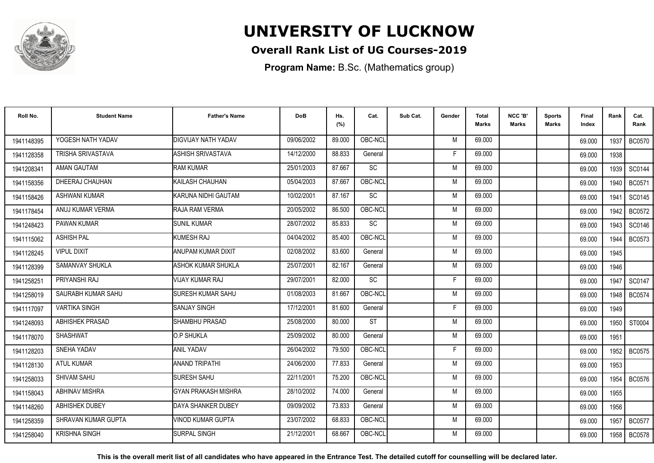

### **Overall Rank List of UG Courses-2019**

**Program Name:** B.Sc. (Mathematics group)

| Roll No.   | <b>Student Name</b>    | <b>Father's Name</b>       | <b>DoB</b> | Hs.<br>(%) | Cat.      | Sub Cat. | Gender | <b>Total</b><br><b>Marks</b> | NCC 'B'<br><b>Marks</b> | Sports<br>Marks | Final<br>Index | Rank   | Cat.<br>Rank  |
|------------|------------------------|----------------------------|------------|------------|-----------|----------|--------|------------------------------|-------------------------|-----------------|----------------|--------|---------------|
| 1941148395 | YOGESH NATH YADAV      | <b>DIGVIJAY NATH YADAV</b> | 09/06/2002 | 89.000     | OBC-NCL   |          | M      | 69.000                       |                         |                 | 69.000         | 1937   | <b>BC0570</b> |
| 1941128358 | TRISHA SRIVASTAVA      | ASHISH SRIVASTAVA          | 14/12/2000 | 88.833     | General   |          | F      | 69.000                       |                         |                 | 69.000         | 1938   |               |
| 1941208341 | <b>AMAN GAUTAM</b>     | <b>RAM KUMAR</b>           | 25/01/2003 | 87.667     | <b>SC</b> |          | M      | 69.000                       |                         |                 | 69.000         | 1939   | SC0144        |
| 1941158356 | DHEERAJ CHAUHAN        | IKAILASH CHAUHAN           | 05/04/2003 | 87.667     | OBC-NCL   |          | M      | 69.000                       |                         |                 | 69.000         | 1940 l | BC0571        |
| 1941158426 | <b>ASHWANI KUMAR</b>   | IKARUNA NIDHI GAUTAM       | 10/02/2001 | 87.167     | <b>SC</b> |          | M      | 69.000                       |                         |                 | 69.000         | 1941   | SC0145        |
| 1941178454 | ANUJ KUMAR VERMA       | RAJA RAM VERMA             | 20/05/2002 | 86.500     | OBC-NCL   |          | M      | 69.000                       |                         |                 | 69.000         | 1942   | <b>BC0572</b> |
| 1941248423 | PAWAN KUMAR            | <b>SUNIL KUMAR</b>         | 28/07/2002 | 85.833     | SC        |          | M      | 69.000                       |                         |                 | 69.000         | 1943   | SC0146        |
| 1941115062 | <b>ASHISH PAL</b>      | KUMESH RAJ                 | 04/04/2002 | 85.400     | OBC-NCL   |          | M      | 69.000                       |                         |                 | 69.000         | 1944   | <b>BC0573</b> |
| 1941128245 | <b>VIPUL DIXIT</b>     | ANUPAM KUMAR DIXIT         | 02/08/2002 | 83.600     | General   |          | M      | 69.000                       |                         |                 | 69.000         | 1945   |               |
| 1941128399 | SAMANVAY SHUKLA        | <b>ASHOK KUMAR SHUKLA</b>  | 25/07/2001 | 82.167     | General   |          | M      | 69.000                       |                         |                 | 69.000         | 1946   |               |
| 1941258251 | PRIYANSHI RAJ          | <b>VIJAY KUMAR RAJ</b>     | 29/07/2001 | 82.000     | SC        |          | F      | 69.000                       |                         |                 | 69.000         | 1947   | SC0147        |
| 1941258019 | SAURABH KUMAR SAHU     | <b>SURESH KUMAR SAHU</b>   | 01/08/2003 | 81.667     | OBC-NCL   |          | M      | 69.000                       |                         |                 | 69.000         | 1948   | <b>BC0574</b> |
| 1941117097 | <b>VARTIKA SINGH</b>   | <b>SANJAY SINGH</b>        | 17/12/2001 | 81.600     | General   |          | Е      | 69.000                       |                         |                 | 69.000         | 1949   |               |
| 1941248093 | <b>ABHISHEK PRASAD</b> | <b>SHAMBHU PRASAD</b>      | 25/08/2000 | 80.000     | <b>ST</b> |          | M      | 69.000                       |                         |                 | 69.000         | 1950   | ST0004        |
| 1941178070 | <b>SHASHWAT</b>        | O.P SHUKLA                 | 25/09/2002 | 80.000     | General   |          | M      | 69.000                       |                         |                 | 69.000         | 1951   |               |
| 1941128203 | SNEHA YADAV            | <b>ANIL YADAV</b>          | 26/04/2002 | 79.500     | OBC-NCL   |          | F      | 69.000                       |                         |                 | 69.000         | 1952   | <b>BC0575</b> |
| 1941128130 | <b>ATUL KUMAR</b>      | <b>ANAND TRIPATHI</b>      | 24/06/2000 | 77.833     | General   |          | M      | 69.000                       |                         |                 | 69.000         | 1953   |               |
| 1941258033 | SHIVAM SAHU            | <b>SURESH SAHU</b>         | 22/11/2001 | 75.200     | OBC-NCL   |          | M      | 69.000                       |                         |                 | 69.000         | 1954   | <b>BC0576</b> |
| 1941158043 | ABHINAV MISHRA         | <b>GYAN PRAKASH MISHRA</b> | 28/10/2002 | 74.000     | General   |          | M      | 69.000                       |                         |                 | 69.000         | 1955   |               |
| 1941148260 | <b>ABHISHEK DUBEY</b>  | DAYA SHANKER DUBEY         | 09/09/2002 | 73.833     | General   |          | M      | 69.000                       |                         |                 | 69.000         | 1956   |               |
| 1941258359 | SHRAVAN KUMAR GUPTA    | <b>VINOD KUMAR GUPTA</b>   | 23/07/2002 | 68.833     | OBC-NCL   |          | M      | 69.000                       |                         |                 | 69.000         | 1957   | <b>BC0577</b> |
| 1941258040 | <b>KRISHNA SINGH</b>   | <b>SURPAL SINGH</b>        | 21/12/2001 | 68.667     | OBC-NCL   |          | М      | 69.000                       |                         |                 | 69.000         | 1958   | <b>BC0578</b> |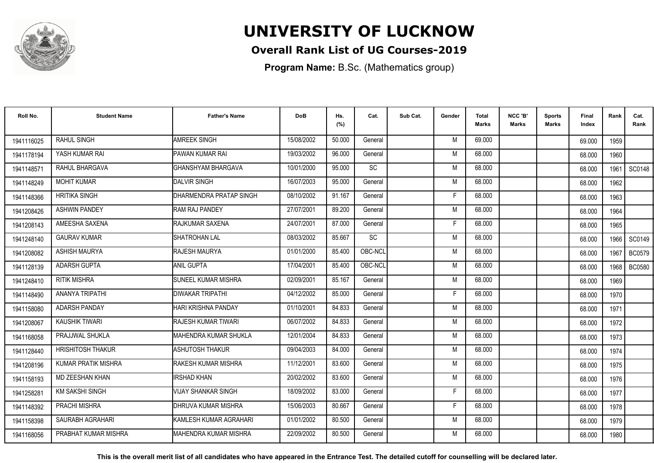

### **Overall Rank List of UG Courses-2019**

**Program Name:** B.Sc. (Mathematics group)

| Roll No.   | <b>Student Name</b>        | <b>Father's Name</b>         | <b>DoB</b> | Hs.<br>(%) | Cat.      | Sub Cat. | Gender | <b>Total</b><br><b>Marks</b> | NCC 'B'<br><b>Marks</b> | <b>Sports</b><br>Marks | Final<br>Index | Rank | Cat.<br>Rank  |
|------------|----------------------------|------------------------------|------------|------------|-----------|----------|--------|------------------------------|-------------------------|------------------------|----------------|------|---------------|
| 1941116025 | <b>RAHUL SINGH</b>         | <b>AMREEK SINGH</b>          | 15/08/2002 | 50.000     | General   |          | M      | 69.000                       |                         |                        | 69.000         | 1959 |               |
| 1941178194 | YASH KUMAR RAI             | PAWAN KUMAR RAI              | 19/03/2002 | 96.000     | General   |          | M      | 68.000                       |                         |                        | 68.000         | 1960 |               |
| 1941148571 | RAHUL BHARGAVA             | IGHANSHYAM BHARGAVA          | 10/01/2000 | 95.000     | <b>SC</b> |          | M      | 68.000                       |                         |                        | 68.000         | 1961 | <b>SC0148</b> |
| 1941148249 | <b>MOHIT KUMAR</b>         | <b>DALVIR SINGH</b>          | 16/07/2003 | 95.000     | General   |          | M      | 68.000                       |                         |                        | 68.000         | 1962 |               |
| 1941148366 | <b>HRITIKA SINGH</b>       | DHARMENDRA PRATAP SINGH      | 08/10/2002 | 91.167     | General   |          | F      | 68.000                       |                         |                        | 68.000         | 1963 |               |
| 1941208426 | <b>ASHWIN PANDEY</b>       | <b>RAM RAJ PANDEY</b>        | 27/07/2001 | 89.200     | General   |          | M      | 68.000                       |                         |                        | 68.000         | 1964 |               |
| 1941208143 | AMEESHA SAXENA             | <b>RAJKUMAR SAXENA</b>       | 24/07/2001 | 87.000     | General   |          | F      | 68.000                       |                         |                        | 68.000         | 1965 |               |
| 1941248140 | <b>GAURAV KUMAR</b>        | SHATROHAN LAL                | 08/03/2002 | 85.667     | <b>SC</b> |          | M      | 68.000                       |                         |                        | 68.000         |      | 1966   SC0149 |
| 1941208082 | <b>ASHISH MAURYA</b>       | <b>RAJESH MAURYA</b>         | 01/01/2000 | 85.400     | OBC-NCL   |          | M      | 68.000                       |                         |                        | 68.000         | 1967 | <b>BC0579</b> |
| 1941128139 | <b>ADARSH GUPTA</b>        | <b>ANIL GUPTA</b>            | 17/04/2001 | 85.400     | OBC-NCL   |          | M      | 68.000                       |                         |                        | 68.000         | 1968 | <b>BC0580</b> |
| 1941248410 | <b>RITIK MISHRA</b>        | <b>SUNEEL KUMAR MISHRA</b>   | 02/09/2001 | 85.167     | General   |          | M      | 68.000                       |                         |                        | 68.000         | 1969 |               |
| 1941148490 | ANANYA TRIPATHI            | DIWAKAR TRIPATHI             | 04/12/2002 | 85.000     | General   |          | F      | 68,000                       |                         |                        | 68.000         | 1970 |               |
| 1941158080 | ADARSH PANDAY              | HARI KRISHNA PANDAY          | 01/10/2001 | 84.833     | General   |          | M      | 68.000                       |                         |                        | 68.000         | 1971 |               |
| 1941208067 | KAUSHIK TIWARI             | RAJESH KUMAR TIWARI          | 06/07/2002 | 84.833     | General   |          | M      | 68.000                       |                         |                        | 68.000         | 1972 |               |
| 1941168058 | PRAJJWAL SHUKLA            | IMAHENDRA KUMAR SHUKLA       | 12/01/2004 | 84.833     | General   |          | M      | 68.000                       |                         |                        | 68.000         | 1973 |               |
| 1941128440 | <b>HRISHITOSH THAKUR</b>   | ASHUTOSH THAKUR              | 09/04/2003 | 84.000     | General   |          | M      | 68.000                       |                         |                        | 68.000         | 1974 |               |
| 1941208196 | <b>KUMAR PRATIK MISHRA</b> | <b>RAKESH KUMAR MISHRA</b>   | 11/12/2001 | 83.600     | General   |          | M      | 68,000                       |                         |                        | 68.000         | 1975 |               |
| 1941158193 | <b>MD ZEESHAN KHAN</b>     | <b>IRSHAD KHAN</b>           | 20/02/2002 | 83.600     | General   |          | M      | 68,000                       |                         |                        | 68.000         | 1976 |               |
| 1941258281 | KM SAKSHI SINGH            | <b>VIJAY SHANKAR SINGH</b>   | 18/09/2002 | 83.000     | General   |          | F      | 68.000                       |                         |                        | 68.000         | 1977 |               |
| 1941148392 | PRACHI MISHRA              | <b>I</b> DHRUVA KUMAR MISHRA | 15/06/2003 | 80.667     | General   |          | F.     | 68.000                       |                         |                        | 68.000         | 1978 |               |
| 1941158398 | SAURABH AGRAHARI           | KAMLESH KUMAR AGRAHARI       | 01/01/2002 | 80.500     | General   |          | M      | 68.000                       |                         |                        | 68.000         | 1979 |               |
| 1941168056 | PRABHAT KUMAR MISHRA       | IMAHENDRA KUMAR MISHRA       | 22/09/2002 | 80.500     | General   |          | M      | 68.000                       |                         |                        | 68.000         | 1980 |               |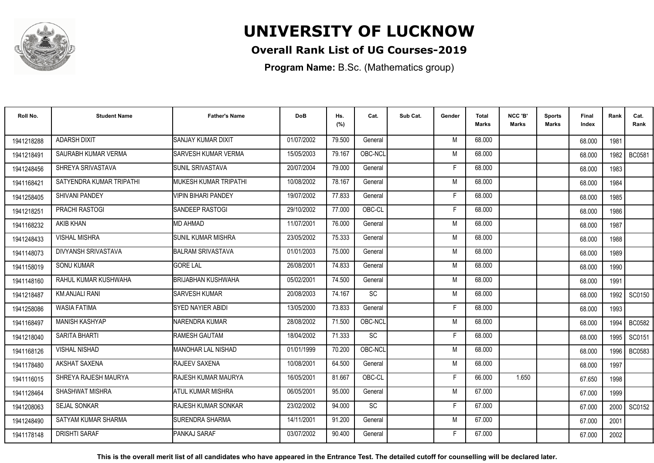

### **Overall Rank List of UG Courses-2019**

**Program Name:** B.Sc. (Mathematics group)

| Roll No.   | <b>Student Name</b>      | <b>Father's Name</b>         | <b>DoB</b> | Hs.<br>(%) | Cat.      | Sub Cat. | Gender | <b>Total</b><br>Marks | NCC 'B'<br><b>Marks</b> | Sports<br>Marks | Final<br>Index | Rank | Cat.<br>Rank  |
|------------|--------------------------|------------------------------|------------|------------|-----------|----------|--------|-----------------------|-------------------------|-----------------|----------------|------|---------------|
| 1941218288 | <b>ADARSH DIXIT</b>      | <b>SANJAY KUMAR DIXIT</b>    | 01/07/2002 | 79.500     | General   |          | M      | 68.000                |                         |                 | 68.000         | 1981 |               |
| 1941218491 | SAURABH KUMAR VERMA      | <b>SARVESH KUMAR VERMA</b>   | 15/05/2003 | 79.167     | OBC-NCL   |          | M      | 68.000                |                         |                 | 68.000         | 1982 | <b>BC0581</b> |
| 1941248456 | SHREYA SRIVASTAVA        | SUNIL SRIVASTAVA             | 20/07/2004 | 79.000     | General   |          | F      | 68.000                |                         |                 | 68.000         | 1983 |               |
| 1941168421 | SATYENDRA KUMAR TRIPATHI | <b>MUKESH KUMAR TRIPATHI</b> | 10/08/2002 | 78.167     | General   |          | M      | 68.000                |                         |                 | 68.000         | 1984 |               |
| 1941258405 | <b>SHIVANI PANDEY</b>    | <b>VIPIN BIHARI PANDEY</b>   | 19/07/2002 | 77.833     | General   |          | F      | 68.000                |                         |                 | 68.000         | 1985 |               |
| 1941218251 | <b>PRACHI RASTOGI</b>    | <b>ISANDEEP RASTOGI</b>      | 29/10/2002 | 77.000     | OBC-CL    |          | Е      | 68.000                |                         |                 | 68.000         | 1986 |               |
| 1941168232 | <b>AKIB KHAN</b>         | <b>MD AHMAD</b>              | 11/07/2001 | 76.000     | General   |          | M      | 68.000                |                         |                 | 68.000         | 1987 |               |
| 1941248433 | <b>VISHAL MISHRA</b>     | <b>SUNIL KUMAR MISHRA</b>    | 23/05/2002 | 75.333     | General   |          | M      | 68.000                |                         |                 | 68.000         | 1988 |               |
| 1941148073 | DIVYANSH SRIVASTAVA      | <b>BALRAM SRIVASTAVA</b>     | 01/01/2003 | 75.000     | General   |          | M      | 68.000                |                         |                 | 68.000         | 1989 |               |
| 1941158019 | <b>SONU KUMAR</b>        | <b>GORE LAL</b>              | 26/08/2001 | 74.833     | General   |          | M      | 68,000                |                         |                 | 68.000         | 1990 |               |
| 1941148160 | RAHUL KUMAR KUSHWAHA     | <b>BRIJABHAN KUSHWAHA</b>    | 05/02/2001 | 74.500     | General   |          | M      | 68.000                |                         |                 | 68.000         | 1991 |               |
| 1941218487 | <b>KM.ANJALI RANI</b>    | <b>SARVESH KUMAR</b>         | 20/08/2003 | 74.167     | <b>SC</b> |          | M      | 68,000                |                         |                 | 68.000         | 1992 | SC0150        |
| 1941258086 | <b>WASIA FATIMA</b>      | SYED NAYIER ABIDI            | 13/05/2000 | 73.833     | General   |          | F      | 68.000                |                         |                 | 68.000         | 1993 |               |
| 1941168497 | <b>MANISH KASHYAP</b>    | INARENDRA KUMAR              | 28/08/2002 | 71.500     | OBC-NCL   |          | M      | 68.000                |                         |                 | 68.000         | 1994 | <b>BC0582</b> |
| 1941218040 | SARITA BHARTI            | RAMESH GAUTAM                | 18/04/2002 | 71.333     | SC        |          | Е      | 68.000                |                         |                 | 68.000         | 1995 | SC0151        |
| 1941168126 | <b>VISHAL NISHAD</b>     | <b>MANOHAR LAL NISHAD</b>    | 01/01/1999 | 70.200     | OBC-NCL   |          | M      | 68.000                |                         |                 | 68.000         | 1996 | BC0583        |
| 1941178480 | AKSHAT SAXENA            | <b>RAJEEV SAXENA</b>         | 10/08/2001 | 64.500     | General   |          | M      | 68.000                |                         |                 | 68.000         | 1997 |               |
| 1941116015 | SHREYA RAJESH MAURYA     | <b>RAJESH KUMAR MAURYA</b>   | 16/05/2001 | 81.667     | OBC-CL    |          | F      | 66.000                | 1.650                   |                 | 67.650         | 1998 |               |
| 1941128464 | <b>SHASHWAT MISHRA</b>   | ATUL KUMAR MISHRA            | 06/05/2001 | 95.000     | General   |          | M      | 67.000                |                         |                 | 67.000         | 1999 |               |
| 1941208063 | <b>SEJAL SONKAR</b>      | <b>IRAJESH KUMAR SONKAR</b>  | 23/02/2002 | 94.000     | <b>SC</b> |          | F      | 67.000                |                         |                 | 67.000         | 2000 | SC0152        |
| 1941248490 | SATYAM KUMAR SHARMA      | <b>ISURENDRA SHARMA</b>      | 14/11/2001 | 91.200     | General   |          | M      | 67.000                |                         |                 | 67.000         | 2001 |               |
| 1941178148 | <b>DRISHTI SARAF</b>     | PANKAJ SARAF                 | 03/07/2002 | 90.400     | General   |          | F      | 67.000                |                         |                 | 67.000         | 2002 |               |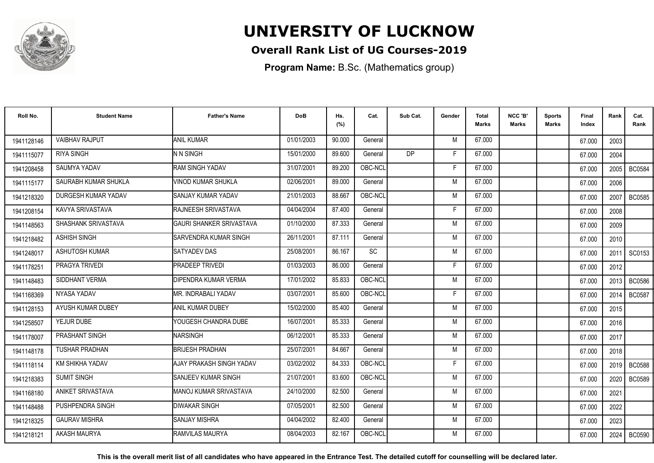

### **Overall Rank List of UG Courses-2019**

**Program Name:** B.Sc. (Mathematics group)

| Roll No.   | <b>Student Name</b>    | <b>Father's Name</b>            | <b>DoB</b> | Hs.<br>(%) | Cat.      | Sub Cat.  | Gender | <b>Total</b><br><b>Marks</b> | NCC 'B'<br><b>Marks</b> | <b>Sports</b><br>Marks | Final<br>Index | Rank   | Cat.<br>Rank  |
|------------|------------------------|---------------------------------|------------|------------|-----------|-----------|--------|------------------------------|-------------------------|------------------------|----------------|--------|---------------|
| 1941128146 | <b>VAIBHAV RAJPUT</b>  | <b>ANIL KUMAR</b>               | 01/01/2003 | 90.000     | General   |           | M      | 67.000                       |                         |                        | 67.000         | 2003   |               |
| 1941115077 | <b>RIYA SINGH</b>      | N N SINGH                       | 15/01/2000 | 89.600     | General   | <b>DP</b> | F      | 67.000                       |                         |                        | 67.000         | 2004   |               |
| 1941208458 | SAUMYA YADAV           | <b>RAM SINGH YADAV</b>          | 31/07/2001 | 89.200     | OBC-NCL   |           | F      | 67.000                       |                         |                        | 67.000         | 2005   | <b>BC0584</b> |
| 1941115177 | SAURABH KUMAR SHUKLA   | IVINOD KUMAR SHUKLA             | 02/06/2001 | 89.000     | General   |           | M      | 67.000                       |                         |                        | 67.000         | 2006   |               |
| 1941218320 | DURGESH KUMAR YADAV    | <b>I</b> SANJAY KUMAR YADAV     | 21/01/2003 | 88.667     | OBC-NCL   |           | M      | 67.000                       |                         |                        | 67.000         | 2007   | <b>BC0585</b> |
| 1941208154 | KAVYA SRIVASTAVA       | <b>RAJNEESH SRIVASTAVA</b>      | 04/04/2004 | 87.400     | General   |           | F      | 67.000                       |                         |                        | 67.000         | 2008   |               |
| 1941148563 | SHASHANK SRIVASTAVA    | <b>GAURI SHANKER SRIVASTAVA</b> | 01/10/2000 | 87.333     | General   |           | M      | 67.000                       |                         |                        | 67.000         | 2009   |               |
| 1941218482 | <b>ASHISH SINGH</b>    | SARVENDRA KUMAR SINGH           | 26/11/2001 | 87.111     | General   |           | M      | 67.000                       |                         |                        | 67.000         | 2010   |               |
| 1941248017 | ASHUTOSH KUMAR         | <b>SATYADEV DAS</b>             | 25/08/2001 | 86.167     | <b>SC</b> |           | M      | 67.000                       |                         |                        | 67.000         | 2011   | SC0153        |
| 1941178251 | PRAGYA TRIVEDI         | <b>PRADEEP TRIVEDI</b>          | 01/03/2003 | 86.000     | General   |           | F      | 67.000                       |                         |                        | 67.000         | 2012   |               |
| 1941148483 | SIDDHANT VERMA         | DIPENDRA KUMAR VERMA            | 17/01/2002 | 85.833     | OBC-NCL   |           | M      | 67.000                       |                         |                        | 67.000         | 2013   | <b>BC0586</b> |
| 1941168369 | NYASA YADAV            | MR. INDRABALI YADAV             | 03/07/2001 | 85.600     | OBC-NCL   |           | F      | 67.000                       |                         |                        | 67.000         | 2014   | <b>BC0587</b> |
| 1941128153 | AYUSH KUMAR DUBEY      | <b>ANIL KUMAR DUBEY</b>         | 15/02/2000 | 85.400     | General   |           | M      | 67.000                       |                         |                        | 67.000         | 2015   |               |
| 1941258507 | YEJUR DUBE             | YOUGESH CHANDRA DUBE            | 16/07/2001 | 85.333     | General   |           | M      | 67.000                       |                         |                        | 67.000         | 2016   |               |
| 1941178007 | PRASHANT SINGH         | <b>INARSINGH</b>                | 06/12/2001 | 85.333     | General   |           | M      | 67.000                       |                         |                        | 67.000         | 2017   |               |
| 1941148178 | <b>TUSHAR PRADHAN</b>  | <b>BRIJESH PRADHAN</b>          | 25/07/2001 | 84.667     | General   |           | M      | 67.000                       |                         |                        | 67.000         | 2018   |               |
| 1941118114 | <b>KM SHIKHA YADAV</b> | AJAY PRAKASH SINGH YADAV        | 03/02/2002 | 84.333     | OBC-NCL   |           | F      | 67.000                       |                         |                        | 67.000         |        | 2019   BC0588 |
| 1941218383 | <b>SUMIT SINGH</b>     | <b>I</b> SANJEEV KUMAR SINGH    | 21/07/2001 | 83.600     | OBC-NCL   |           | M      | 67.000                       |                         |                        | 67.000         | 2020 l | <b>BC0589</b> |
| 1941168180 | ANIKET SRIVASTAVA      | MANOJ KUMAR SRIVASTAVA          | 24/10/2000 | 82.500     | General   |           | M      | 67.000                       |                         |                        | 67.000         | 2021   |               |
| 1941148488 | PUSHPENDRA SINGH       | <b>DIWAKAR SINGH</b>            | 07/05/2001 | 82.500     | General   |           | M      | 67.000                       |                         |                        | 67.000         | 2022   |               |
| 1941218325 | <b>GAURAV MISHRA</b>   | <b>I</b> SANJAY MISHRA          | 04/04/2002 | 82.400     | General   |           | M      | 67.000                       |                         |                        | 67.000         | 2023   |               |
| 1941218121 | AKASH MAURYA           | <b>RAMVILAS MAURYA</b>          | 08/04/2003 | 82.167     | OBC-NCL   |           | M      | 67.000                       |                         |                        | 67.000         | 2024   | <b>BC0590</b> |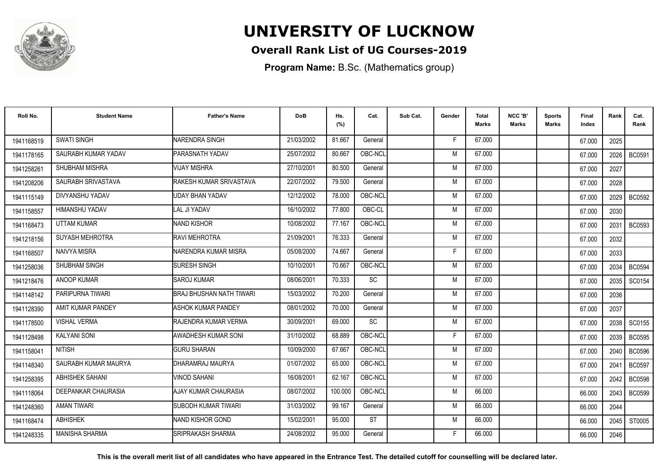

### **Overall Rank List of UG Courses-2019**

**Program Name:** B.Sc. (Mathematics group)

| Roll No.   | <b>Student Name</b>    | <b>Father's Name</b>         | <b>DoB</b> | Hs.<br>(%) | Cat.      | Sub Cat. | Gender | <b>Total</b><br><b>Marks</b> | NCC 'B'<br><b>Marks</b> | <b>Sports</b><br>Marks | Final<br>Index | Rank | Cat.<br>Rank  |
|------------|------------------------|------------------------------|------------|------------|-----------|----------|--------|------------------------------|-------------------------|------------------------|----------------|------|---------------|
| 1941168519 | <b>SWATI SINGH</b>     | NARENDRA SINGH               | 21/03/2002 | 81.667     | General   |          | F      | 67.000                       |                         |                        | 67.000         | 2025 |               |
| 1941178165 | SAURABH KUMAR YADAV    | <b>IPARASNATH YADAV</b>      | 25/07/2002 | 80.667     | OBC-NCL   |          | M      | 67.000                       |                         |                        | 67.000         | 2026 | <b>BC0591</b> |
| 1941258261 | SHUBHAM MISHRA         | VIJAY MISHRA                 | 27/10/2001 | 80.500     | General   |          | M      | 67.000                       |                         |                        | 67.000         | 2027 |               |
| 1941208206 | SAURABH SRIVASTAVA     | RAKESH KUMAR SRIVASTAVA      | 22/07/2002 | 79.500     | General   |          | M      | 67.000                       |                         |                        | 67.000         | 2028 |               |
| 1941115149 | DIVYANSHU YADAV        | <b>UDAY BHAN YADAV</b>       | 12/12/2002 | 78.000     | OBC-NCL   |          | M      | 67.000                       |                         |                        | 67.000         | 2029 | BC0592        |
| 1941158557 | <b>HIMANSHU YADAV</b>  | <b>I</b> LAL JI YADAV        | 16/10/2002 | 77.800     | OBC-CL    |          | M      | 67.000                       |                         |                        | 67.000         | 2030 |               |
| 1941168473 | <b>UTTAM KUMAR</b>     | <b>INAND KISHOR</b>          | 10/08/2002 | 77.167     | OBC-NCL   |          | M      | 67.000                       |                         |                        | 67.000         | 2031 | BC0593        |
| 1941218156 | SUYASH MEHROTRA        | <b>RAVI MEHROTRA</b>         | 21/09/2001 | 76.333     | General   |          | M      | 67.000                       |                         |                        | 67.000         | 2032 |               |
| 1941168507 | NAIVYA MISRA           | NARENDRA KUMAR MISRA         | 05/08/2000 | 74.667     | General   |          | F      | 67.000                       |                         |                        | 67.000         | 2033 |               |
| 1941258036 | SHUBHAM SINGH          | <b>SURESH SINGH</b>          | 10/10/2001 | 70.667     | OBC-NCL   |          | M      | 67.000                       |                         |                        | 67.000         | 2034 | <b>BC0594</b> |
| 1941218476 | ANOOP KUMAR            | <b>SAROJ KUMAR</b>           | 08/06/2001 | 70.333     | <b>SC</b> |          | M      | 67.000                       |                         |                        | 67.000         | 2035 | SC0154        |
| 1941148142 | PARIPURNA TIWARI       | BRAJ BHUSHAN NATH TIWARI     | 15/03/2002 | 70.200     | General   |          | M      | 67.000                       |                         |                        | 67.000         | 2036 |               |
| 1941128390 | AMIT KUMAR PANDEY      | ASHOK KUMAR PANDEY           | 08/01/2002 | 70.000     | General   |          | M      | 67.000                       |                         |                        | 67.000         | 2037 |               |
| 1941178500 | <b>VISHAL VERMA</b>    | <b>IRAJENDRA KUMAR VERMA</b> | 30/09/2001 | 69.000     | SC        |          | M      | 67.000                       |                         |                        | 67.000         | 2038 | SC0155        |
| 1941128498 | <b>KALYANI SONI</b>    | AWADHESH KUMAR SONI          | 31/10/2002 | 68.889     | OBC-NCL   |          | F      | 67.000                       |                         |                        | 67.000         | 2039 | <b>BC0595</b> |
| 1941158041 | <b>NITISH</b>          | IGURU SHARAN                 | 10/09/2000 | 67.667     | OBC-NCL   |          | M      | 67.000                       |                         |                        | 67.000         | 2040 | <b>BC0596</b> |
| 1941148340 | SAURABH KUMAR MAURYA   | DHARAMRAJ MAURYA             | 01/07/2002 | 65.000     | OBC-NCL   |          | M      | 67.000                       |                         |                        | 67.000         | 2041 | <b>BC0597</b> |
| 1941258395 | <b>ABHISHEK SAHANI</b> | <b>VINOD SAHANI</b>          | 16/08/2001 | 62.167     | OBC-NCL   |          | M      | 67.000                       |                         |                        | 67.000         | 2042 | <b>BC0598</b> |
| 1941118064 | DEEPANKAR CHAURASIA    | <b>AJAY KUMAR CHAURASIA</b>  | 08/07/2002 | 100.000    | OBC-NCL   |          | M      | 66.000                       |                         |                        | 66.000         | 2043 | <b>BC0599</b> |
| 1941248360 | <b>AMAN TIWARI</b>     | ISUBODH KUMAR TIWARI         | 31/03/2002 | 99.167     | General   |          | M      | 66.000                       |                         |                        | 66.000         | 2044 |               |
| 1941168474 | <b>ABHISHEK</b>        | <b>INAND KISHOR GOND</b>     | 15/02/2001 | 95.000     | <b>ST</b> |          | M      | 66.000                       |                         |                        | 66.000         | 2045 | ST0005        |
| 1941248335 | <b>MANISHA SHARMA</b>  | ISRIPRAKASH SHARMA           | 24/08/2002 | 95.000     | General   |          | F      | 66.000                       |                         |                        | 66.000         | 2046 |               |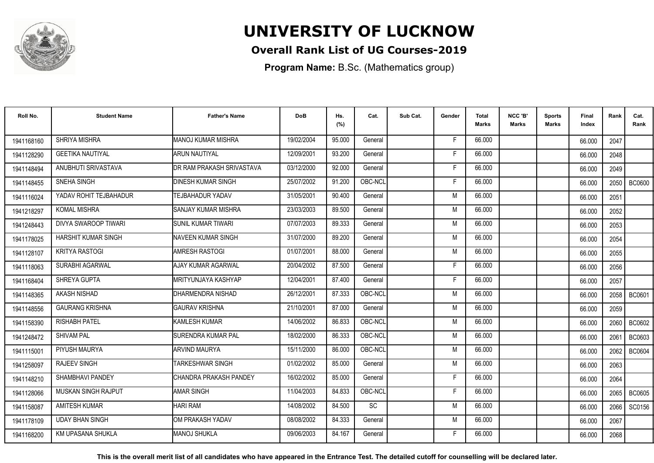

### **Overall Rank List of UG Courses-2019**

**Program Name:** B.Sc. (Mathematics group)

| Roll No.   | <b>Student Name</b>        | <b>Father's Name</b>        | <b>DoB</b> | Hs.<br>(%) | Cat.    | Sub Cat. | Gender | <b>Total</b><br><b>Marks</b> | NCC 'B'<br><b>Marks</b> | <b>Sports</b><br>Marks | Final<br>Index | Rank   | Cat.<br>Rank  |
|------------|----------------------------|-----------------------------|------------|------------|---------|----------|--------|------------------------------|-------------------------|------------------------|----------------|--------|---------------|
| 1941168160 | SHRIYA MISHRA              | <b>MANOJ KUMAR MISHRA</b>   | 19/02/2004 | 95.000     | General |          | E      | 66.000                       |                         |                        | 66.000         | 2047   |               |
| 1941128290 | <b>GEETIKA NAUTIYAL</b>    | IARUN NAUTIYAL              | 12/09/2001 | 93.200     | General |          | E      | 66.000                       |                         |                        | 66.000         | 2048   |               |
| 1941148494 | ANUBHUTI SRIVASTAVA        | DR RAM PRAKASH SRIVASTAVA   | 03/12/2000 | 92.000     | General |          | F.     | 66.000                       |                         |                        | 66.000         | 2049   |               |
| 1941148455 | SNEHA SINGH                | <b>DINESH KUMAR SINGH</b>   | 25/07/2002 | 91.200     | OBC-NCL |          | Е      | 66.000                       |                         |                        | 66.000         | 2050   | <b>BC0600</b> |
| 1941116024 | YADAV ROHIT TEJBAHADUR     | <b>TEJBAHADUR YADAV</b>     | 31/05/2001 | 90.400     | General |          | M      | 66.000                       |                         |                        | 66.000         | 2051   |               |
| 1941218297 | <b>KOMAL MISHRA</b>        | <b>SANJAY KUMAR MISHRA</b>  | 23/03/2003 | 89.500     | General |          | M      | 66.000                       |                         |                        | 66.000         | 2052   |               |
| 1941248443 | DIVYA SWAROOP TIWARI       | ISUNIL KUMAR TIWARI         | 07/07/2003 | 89.333     | General |          | M      | 66.000                       |                         |                        | 66.000         | 2053   |               |
| 1941178025 | HARSHIT KUMAR SINGH        | <b>NAVEEN KUMAR SINGH</b>   | 31/07/2000 | 89.200     | General |          | M      | 66.000                       |                         |                        | 66.000         | 2054   |               |
| 1941128107 | <b>KRITYA RASTOGI</b>      | AMRESH RASTOGI              | 01/07/2001 | 88.000     | General |          | M      | 66.000                       |                         |                        | 66.000         | 2055   |               |
| 1941118063 | SURABHI AGARWAL            | AJAY KUMAR AGARWAL          | 20/04/2002 | 87.500     | General |          | F      | 66,000                       |                         |                        | 66.000         | 2056   |               |
| 1941168404 | SHREYA GUPTA               | <b>IMRITYUNJAYA KASHYAP</b> | 12/04/2001 | 87.400     | General |          | F      | 66.000                       |                         |                        | 66.000         | 2057   |               |
| 1941148365 | AKASH NISHAD               | DHARMENDRA NISHAD           | 26/12/2001 | 87.333     | OBC-NCL |          | M      | 66.000                       |                         |                        | 66.000         | 2058   | BC0601        |
| 1941148556 | <b>GAURANG KRISHNA</b>     | <b>GAURAV KRISHNA</b>       | 21/10/2001 | 87.000     | General |          | M      | 66.000                       |                         |                        | 66.000         | 2059   |               |
| 1941158390 | <b>RISHABH PATEL</b>       | <b>KAMLESH KUMAR</b>        | 14/06/2002 | 86.833     | OBC-NCL |          | M      | 66.000                       |                         |                        | 66.000         | 2060   | BC0602        |
| 1941248472 | <b>SHIVAM PAL</b>          | SURENDRA KUMAR PAL          | 18/02/2000 | 86.333     | OBC-NCL |          | M      | 66.000                       |                         |                        | 66.000         | 2061   | BC0603        |
| 1941115001 | PIYUSH MAURYA              | <b>ARVIND MAURYA</b>        | 15/11/2000 | 86.000     | OBC-NCL |          | M      | 66.000                       |                         |                        | 66.000         | 2062   | BC0604        |
| 1941258097 | <b>RAJEEV SINGH</b>        | <b>TARKESHWAR SINGH</b>     | 01/02/2002 | 85.000     | General |          | M      | 66.000                       |                         |                        | 66.000         | 2063   |               |
| 1941148210 | <b>SHAMBHAVI PANDEY</b>    | CHANDRA PRAKASH PANDEY      | 16/02/2002 | 85.000     | General |          | F      | 66.000                       |                         |                        | 66.000         | 2064   |               |
| 1941128066 | <b>MUSKAN SINGH RAJPUT</b> | <b>AMAR SINGH</b>           | 11/04/2003 | 84.833     | OBC-NCL |          | F      | 66.000                       |                         |                        | 66.000         | 2065 L | <b>BC0605</b> |
| 1941158087 | <b>AMITESH KUMAR</b>       | <b>HARI RAM</b>             | 14/08/2002 | 84.500     | SC      |          | M      | 66.000                       |                         |                        | 66.000         | 2066   | SC0156        |
| 1941178109 | <b>UDAY BHAN SINGH</b>     | IOM PRAKASH YADAV           | 08/08/2002 | 84.333     | General |          | M      | 66.000                       |                         |                        | 66.000         | 2067   |               |
| 1941168200 | KM UPASANA SHUKLA          | <b>MANOJ SHUKLA</b>         | 09/06/2003 | 84.167     | General |          | F      | 66.000                       |                         |                        | 66.000         | 2068   |               |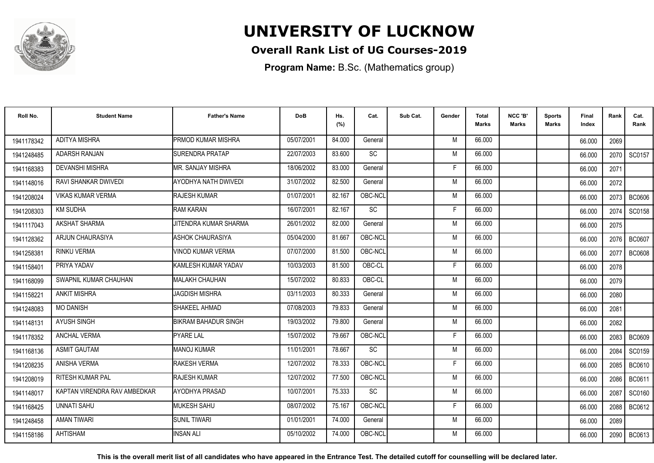

### **Overall Rank List of UG Courses-2019**

**Program Name:** B.Sc. (Mathematics group)

| Roll No.   | <b>Student Name</b>          | <b>Father's Name</b>      | <b>DoB</b> | Hs.<br>(%) | Cat.      | Sub Cat. | Gender | <b>Total</b><br>Marks | NCC 'B'<br><b>Marks</b> | Sports<br>Marks | Final<br>Index | Rank | Cat.<br>Rank  |
|------------|------------------------------|---------------------------|------------|------------|-----------|----------|--------|-----------------------|-------------------------|-----------------|----------------|------|---------------|
| 1941178342 | <b>ADITYA MISHRA</b>         | <b>PRMOD KUMAR MISHRA</b> | 05/07/2001 | 84.000     | General   |          | M      | 66.000                |                         |                 | 66.000         | 2069 |               |
| 1941248485 | <b>ADARSH RANJAN</b>         | SURENDRA PRATAP           | 22/07/2003 | 83.600     | SC        |          | M      | 66.000                |                         |                 | 66.000         | 2070 | SC0157        |
| 1941168383 | <b>DEVANSHI MISHRA</b>       | <b>MR. SANJAY MISHRA</b>  | 18/06/2002 | 83.000     | General   |          | F      | 66.000                |                         |                 | 66.000         | 2071 |               |
| 1941148016 | RAVI SHANKAR DWIVEDI         | AYODHYA NATH DWIVEDI      | 31/07/2002 | 82.500     | General   |          | M      | 66.000                |                         |                 | 66.000         | 2072 |               |
| 1941208024 | <b>VIKAS KUMAR VERMA</b>     | <b>RAJESH KUMAR</b>       | 01/07/2001 | 82.167     | OBC-NCL   |          | M      | 66.000                |                         |                 | 66.000         | 2073 | <b>BC0606</b> |
| 1941208303 | <b>KM SUDHA</b>              | <b>RAM KARAN</b>          | 16/07/2001 | 82.167     | <b>SC</b> |          | Е      | 66.000                |                         |                 | 66.000         | 2074 | SC0158        |
| 1941117043 | AKSHAT SHARMA                | JITENDRA KUMAR SHARMA     | 26/01/2002 | 82.000     | General   |          | M      | 66.000                |                         |                 | 66.000         | 2075 |               |
| 1941128362 | ARJUN CHAURASIYA             | ASHOK CHAURASIYA          | 05/04/2000 | 81.667     | OBC-NCL   |          | M      | 66.000                |                         |                 | 66.000         | 2076 | <b>BC0607</b> |
| 1941258381 | <b>RINKU VERMA</b>           | <b>VINOD KUMAR VERMA</b>  | 07/07/2000 | 81.500     | OBC-NCL   |          | M      | 66.000                |                         |                 | 66.000         | 2077 | <b>BC0608</b> |
| 1941158401 | PRIYA YADAV                  | KAMLESH KUMAR YADAV       | 10/03/2003 | 81.500     | OBC-CL    |          | F      | 66.000                |                         |                 | 66.000         | 2078 |               |
| 1941168099 | SWAPNIL KUMAR CHAUHAN        | <b>MALAKH CHAUHAN</b>     | 15/07/2002 | 80.833     | OBC-CL    |          | M      | 66.000                |                         |                 | 66.000         | 2079 |               |
| 1941158221 | <b>ANKIT MISHRA</b>          | <b>JAGDISH MISHRA</b>     | 03/11/2003 | 80.333     | General   |          | M      | 66,000                |                         |                 | 66.000         | 2080 |               |
| 1941248083 | <b>MO DANISH</b>             | SHAKEEL AHMAD             | 07/08/2003 | 79.833     | General   |          | M      | 66.000                |                         |                 | 66.000         | 2081 |               |
| 1941148131 | <b>AYUSH SINGH</b>           | BIKRAM BAHADUR SINGH      | 19/03/2002 | 79.800     | General   |          | M      | 66.000                |                         |                 | 66.000         | 2082 |               |
| 1941178352 | <b>ANCHAL VERMA</b>          | <b>PYARE LAL</b>          | 15/07/2002 | 79.667     | OBC-NCL   |          | Е      | 66.000                |                         |                 | 66.000         | 2083 | <b>BC0609</b> |
| 1941168136 | <b>ASMIT GAUTAM</b>          | <b>MANOJ KUMAR</b>        | 11/01/2001 | 78.667     | SC        |          | M      | 66.000                |                         |                 | 66.000         | 2084 | SC0159        |
| 1941208235 | <b>ANISHA VERMA</b>          | <b>RAKESH VERMA</b>       | 12/07/2002 | 78.333     | OBC-NCL   |          | F      | 66.000                |                         |                 | 66.000         | 2085 | <b>BC0610</b> |
| 1941208019 | <b>RITESH KUMAR PAL</b>      | <b>RAJESH KUMAR</b>       | 12/07/2002 | 77.500     | OBC-NCL   |          | M      | 66.000                |                         |                 | 66.000         | 2086 | BC0611        |
| 1941148017 | KAPTAN VIRENDRA RAV AMBEDKAR | AYODHYA PRASAD            | 10/07/2001 | 75.333     | SC        |          | M      | 66.000                |                         |                 | 66.000         | 2087 | SC0160        |
| 1941168425 | <b>UNNATI SAHU</b>           | MUKESH SAHU               | 08/07/2002 | 75.167     | OBC-NCL   |          | F      | 66.000                |                         |                 | 66.000         | 2088 | BC0612        |
| 1941248458 | <b>AMAN TIWARI</b>           | <b>SUNIL TIWARI</b>       | 01/01/2001 | 74.000     | General   |          | M      | 66.000                |                         |                 | 66.000         | 2089 |               |
| 1941158186 | <b>AHTISHAM</b>              | <b>INSAN ALI</b>          | 05/10/2002 | 74.000     | OBC-NCL   |          | M      | 66.000                |                         |                 | 66.000         | 2090 | BC0613        |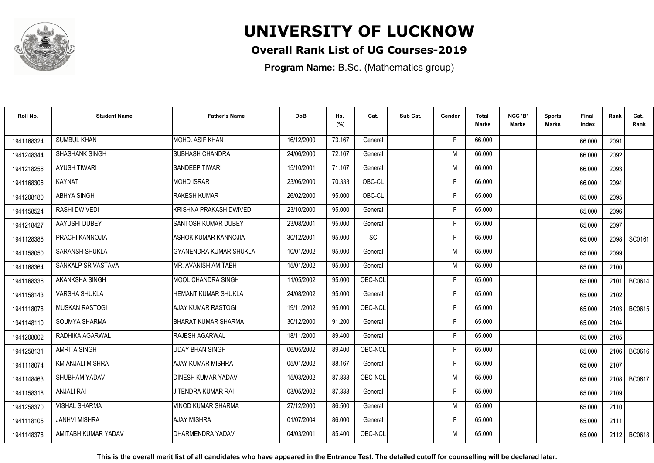

### **Overall Rank List of UG Courses-2019**

**Program Name:** B.Sc. (Mathematics group)

| Roll No.   | <b>Student Name</b>     | <b>Father's Name</b>          | <b>DoB</b> | Hs.<br>(%) | Cat.      | Sub Cat. | Gender | <b>Total</b><br><b>Marks</b> | NCC 'B'<br><b>Marks</b> | <b>Sports</b><br>Marks | Final<br>Index | Rank | Cat.<br>Rank  |
|------------|-------------------------|-------------------------------|------------|------------|-----------|----------|--------|------------------------------|-------------------------|------------------------|----------------|------|---------------|
| 1941168324 | <b>SUMBUL KHAN</b>      | MOHD. ASIF KHAN               | 16/12/2000 | 73.167     | General   |          | F.     | 66.000                       |                         |                        | 66.000         | 2091 |               |
| 1941248344 | SHASHANK SINGH          | <b>SUBHASH CHANDRA</b>        | 24/06/2000 | 72.167     | General   |          | M      | 66.000                       |                         |                        | 66.000         | 2092 |               |
| 1941218256 | <b>AYUSH TIWARI</b>     | <b>SANDEEP TIWARI</b>         | 15/10/2001 | 71.167     | General   |          | M      | 66.000                       |                         |                        | 66.000         | 2093 |               |
| 1941168306 | <b>KAYNAT</b>           | <b>MOHD ISRAR</b>             | 23/06/2000 | 70.333     | OBC-CL    |          | F      | 66.000                       |                         |                        | 66.000         | 2094 |               |
| 1941208180 | ABHYA SINGH             | <b>RAKESH KUMAR</b>           | 26/02/2000 | 95.000     | OBC-CL    |          | F      | 65.000                       |                         |                        | 65.000         | 2095 |               |
| 1941158524 | RASHI DWIVEDI           | İKRISHNA PRAKASH DWIVEDI      | 23/10/2000 | 95.000     | General   |          | F      | 65.000                       |                         |                        | 65.000         | 2096 |               |
| 1941218427 | AAYUSHI DUBEY           | SANTOSH KUMAR DUBEY           | 23/08/2001 | 95.000     | General   |          | F      | 65.000                       |                         |                        | 65.000         | 2097 |               |
| 1941128386 | PRACHI KANNOJIA         | ASHOK KUMAR KANNOJIA          | 30/12/2001 | 95.000     | <b>SC</b> |          | F      | 65.000                       |                         |                        | 65.000         |      | 2098   SC0161 |
| 1941158050 | <b>SARANSH SHUKLA</b>   | <b>GYANENDRA KUMAR SHUKLA</b> | 10/01/2002 | 95.000     | General   |          | M      | 65.000                       |                         |                        | 65.000         | 2099 |               |
| 1941168364 | SANKALP SRIVASTAVA      | <b>MR. AVANISH AMITABH</b>    | 15/01/2002 | 95.000     | General   |          | M      | 65.000                       |                         |                        | 65.000         | 2100 |               |
| 1941168336 | AKANKSHA SINGH          | <b>MOOL CHANDRA SINGH</b>     | 11/05/2002 | 95.000     | OBC-NCL   |          | F      | 65.000                       |                         |                        | 65.000         | 2101 | BC0614        |
| 1941158143 | <b>VARSHA SHUKLA</b>    | <b>HEMANT KUMAR SHUKLA</b>    | 24/08/2002 | 95.000     | General   |          | F      | 65.000                       |                         |                        | 65.000         | 2102 |               |
| 1941118078 | <b>MUSKAN RASTOGI</b>   | AJAY KUMAR RASTOGI            | 19/11/2002 | 95.000     | OBC-NCL   |          | Е      | 65.000                       |                         |                        | 65.000         |      | 2103   BC0615 |
| 1941148110 | SOUMYA SHARMA           | BHARAT KUMAR SHARMA           | 30/12/2000 | 91.200     | General   |          | F      | 65.000                       |                         |                        | 65.000         | 2104 |               |
| 1941208002 | RADHIKA AGARWAL         | <b>RAJESH AGARWAL</b>         | 18/11/2000 | 89.400     | General   |          | F      | 65.000                       |                         |                        | 65.000         | 2105 |               |
| 1941258131 | <b>AMRITA SINGH</b>     | <b>UDAY BHAN SINGH</b>        | 06/05/2002 | 89.400     | OBC-NCL   |          | F      | 65.000                       |                         |                        | 65.000         | 2106 | BC0616        |
| 1941118074 | <b>KM ANJALI MISHRA</b> | AJAY KUMAR MISHRA             | 05/01/2002 | 88.167     | General   |          | F      | 65.000                       |                         |                        | 65.000         | 2107 |               |
| 1941148463 | SHUBHAM YADAV           | <b>DINESH KUMAR YADAV</b>     | 15/03/2002 | 87.833     | OBC-NCL   |          | M      | 65.000                       |                         |                        | 65.000         | 2108 | BC0617        |
| 1941158318 | <b>ANJALI RAI</b>       | JITENDRA KUMAR RAI            | 03/05/2002 | 87.333     | General   |          | F      | 65.000                       |                         |                        | 65.000         | 2109 |               |
| 1941258370 | <b>VISHAL SHARMA</b>    | VINOD KUMAR SHARMA            | 27/12/2000 | 86.500     | General   |          | M      | 65.000                       |                         |                        | 65.000         | 2110 |               |
| 1941118105 | <b>JANHVI MISHRA</b>    | <b>AJAY MISHRA</b>            | 01/07/2004 | 86.000     | General   |          | F.     | 65.000                       |                         |                        | 65.000         | 2111 |               |
| 1941148378 | AMITABH KUMAR YADAV     | DHARMENDRA YADAV              | 04/03/2001 | 85.400     | OBC-NCL   |          | M      | 65.000                       |                         |                        | 65.000         | 2112 | BC0618        |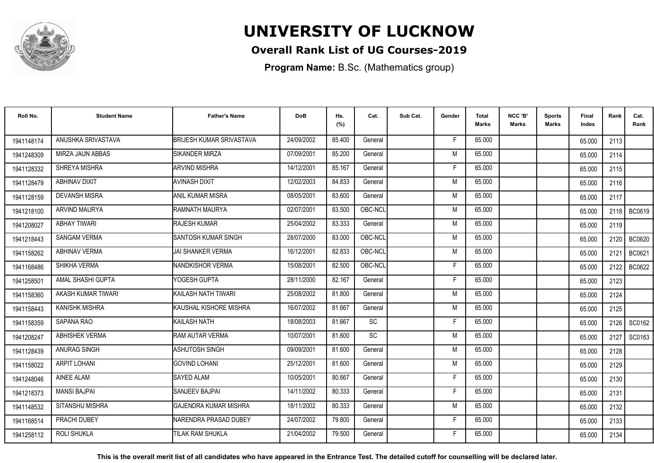

### **Overall Rank List of UG Courses-2019**

**Program Name:** B.Sc. (Mathematics group)

| Roll No.   | <b>Student Name</b>   | <b>Father's Name</b>            | <b>DoB</b> | Hs.<br>(%) | Cat.      | Sub Cat. | Gender | Total<br>Marks | NCC 'B'<br><b>Marks</b> | Sports<br>Marks | Final<br>Index | Rank   | Cat.<br>Rank  |
|------------|-----------------------|---------------------------------|------------|------------|-----------|----------|--------|----------------|-------------------------|-----------------|----------------|--------|---------------|
| 1941148174 | ANUSHKA SRIVASTAVA    | <b>BRIJESH KUMAR SRIVASTAVA</b> | 24/09/2002 | 85.400     | General   |          | F.     | 65.000         |                         |                 | 65.000         | 2113   |               |
| 1941248309 | MIRZA JAUN ABBAS      | <b>SIKANDER MIRZA</b>           | 07/09/2001 | 85.200     | General   |          | M      | 65.000         |                         |                 | 65.000         | 2114   |               |
| 1941128332 | SHREYA MISHRA         | <b>ARVIND MISHRA</b>            | 14/12/2001 | 85.167     | General   |          | F      | 65.000         |                         |                 | 65.000         | 2115   |               |
| 1941128479 | ABHINAV DIXIT         | <b>AVINASH DIXIT</b>            | 12/02/2003 | 84.833     | General   |          | M      | 65.000         |                         |                 | 65.000         | 2116   |               |
| 1941128159 | <b>DEVANSH MISRA</b>  | IANIL KUMAR MISRA               | 08/05/2001 | 83.600     | General   |          | M      | 65.000         |                         |                 | 65.000         | 2117   |               |
| 1941218100 | <b>ARVIND MAURYA</b>  | <b>RAMNATH MAURYA</b>           | 02/07/2001 | 83.500     | OBC-NCL   |          | M      | 65.000         |                         |                 | 65.000         | 2118   | BC0619        |
| 1941208027 | <b>ABHAY TIWARI</b>   | <b>RAJESH KUMAR</b>             | 25/04/2002 | 83.333     | General   |          | M      | 65.000         |                         |                 | 65.000         | 2119   |               |
| 1941218443 | <b>SANGAM VERMA</b>   | SANTOSH KUMAR SINGH             | 28/07/2000 | 83.000     | OBC-NCL   |          | M      | 65.000         |                         |                 | 65.000         | 2120 l | <b>BC0620</b> |
| 1941158262 | <b>ABHINAV VERMA</b>  | <b>JAI SHANKER VERMA</b>        | 16/12/2001 | 82.833     | OBC-NCL   |          | M      | 65.000         |                         |                 | 65.000         | 2121   | BC0621        |
| 1941168486 | SHIKHA VERMA          | NANDKISHOR VERMA                | 15/08/2001 | 82.500     | OBC-NCL   |          | F      | 65.000         |                         |                 | 65.000         | 2122   | BC0622        |
| 1941258501 | AMAL SHASHI GUPTA     | YOGESH GUPTA                    | 28/11/2000 | 82.167     | General   |          | F      | 65.000         |                         |                 | 65.000         | 2123   |               |
| 1941158360 | AKASH KUMAR TIWARI    | İKAILASH NATH TIWARI            | 25/08/2002 | 81.800     | General   |          | M      | 65.000         |                         |                 | 65.000         | 2124   |               |
| 1941158443 | KANISHK MISHRA        | İKAUSHAL KISHORE MISHRA         | 16/07/2002 | 81.667     | General   |          | M      | 65.000         |                         |                 | 65.000         | 2125   |               |
| 1941158359 | SAPANA RAO            | KAILASH NATH                    | 18/08/2003 | 81.667     | <b>SC</b> |          | F      | 65.000         |                         |                 | 65.000         | 2126   | SC0162        |
| 1941208247 | <b>ABHISHEK VERMA</b> | <b>RAM AUTAR VERMA</b>          | 10/07/2001 | 81.600     | SC        |          | M      | 65.000         |                         |                 | 65.000         | 2127   | SC0163        |
| 1941128439 | ANURAG SINGH          | <b>ASHUTOSH SINGH</b>           | 09/09/2001 | 81.600     | General   |          | M      | 65.000         |                         |                 | 65.000         | 2128   |               |
| 1941158022 | <b>ARPIT LOHANI</b>   | <b>GOVIND LOHANI</b>            | 25/12/2001 | 81.600     | General   |          | M      | 65.000         |                         |                 | 65.000         | 2129   |               |
| 1941248046 | <b>AINEE ALAM</b>     | <b>SAYED ALAM</b>               | 10/05/2001 | 80.667     | General   |          | F      | 65.000         |                         |                 | 65.000         | 2130   |               |
| 1941218373 | <b>MANSI BAJPAI</b>   | <b>SANJEEV BAJPAI</b>           | 14/11/2002 | 80.333     | General   |          | F      | 65.000         |                         |                 | 65.000         | 2131   |               |
| 1941148532 | SITANSHU MISHRA       | IGAJENDRA KUMAR MISHRA          | 18/11/2002 | 80.333     | General   |          | M      | 65.000         |                         |                 | 65.000         | 2132   |               |
| 1941168514 | PRACHI DUBEY          | INARENDRA PRASAD DUBEY          | 24/07/2002 | 79.800     | General   |          | F.     | 65.000         |                         |                 | 65.000         | 2133   |               |
| 1941258112 | <b>ROLI SHUKLA</b>    | <b>TILAK RAM SHUKLA</b>         | 21/04/2002 | 79.500     | General   |          | F      | 65.000         |                         |                 | 65.000         | 2134   |               |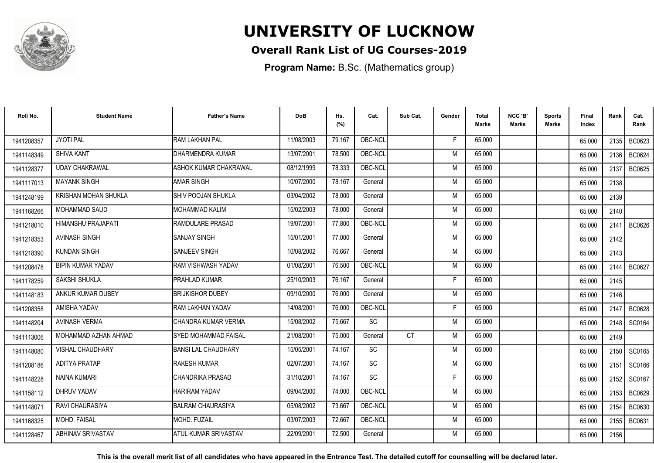

### **Overall Rank List of UG Courses-2019**

**Program Name:** B.Sc. (Mathematics group)

| Roll No.   | <b>Student Name</b>      | <b>Father's Name</b>        | <b>DoB</b> | Hs.<br>(%) | Cat.      | Sub Cat.  | Gender | <b>Total</b><br><b>Marks</b> | NCC 'B'<br><b>Marks</b> | <b>Sports</b><br>Marks | Final<br>Index | Rank   | Cat.<br>Rank  |
|------------|--------------------------|-----------------------------|------------|------------|-----------|-----------|--------|------------------------------|-------------------------|------------------------|----------------|--------|---------------|
| 1941208357 | <b>JYOTI PAL</b>         | RAM LAKHAN PAL              | 11/08/2003 | 79.167     | OBC-NCL   |           | F.     | 65.000                       |                         |                        | 65.000         | 2135 l | BC0623        |
| 1941148349 | <b>SHIVA KANT</b>        | DHARMENDRA KUMAR            | 13/07/2001 | 78.500     | OBC-NCL   |           | M      | 65.000                       |                         |                        | 65.000         | 2136   | BC0624        |
| 1941128377 | <b>UDAY CHAKRAWAL</b>    | IASHOK KUMAR CHAKRAWAL      | 08/12/1999 | 78.333     | OBC-NCL   |           | M      | 65.000                       |                         |                        | 65.000         | 2137   | <b>BC0625</b> |
| 1941117013 | <b>MAYANK SINGH</b>      | <b>AMAR SINGH</b>           | 10/07/2000 | 78.167     | General   |           | M      | 65.000                       |                         |                        | 65.000         | 2138   |               |
| 1941248199 | KRISHAN MOHAN SHUKLA     | SHIV POOJAN SHUKLA          | 03/04/2002 | 78.000     | General   |           | M      | 65.000                       |                         |                        | 65.000         | 2139   |               |
| 1941168266 | <b>MOHAMMAD SAUD</b>     | IMOHAMMAD KALIM             | 15/02/2003 | 78.000     | General   |           | M      | 65.000                       |                         |                        | 65.000         | 2140   |               |
| 1941218010 | HIMANSHU PRAJAPATI       | RAMDULARE PRASAD            | 19/07/2001 | 77.800     | OBC-NCL   |           | M      | 65.000                       |                         |                        | 65.000         | 2141   | BC0626        |
| 1941218353 | <b>AVINASH SINGH</b>     | <b>SANJAY SINGH</b>         | 15/01/2001 | 77.000     | General   |           | M      | 65.000                       |                         |                        | 65.000         | 2142   |               |
| 1941218390 | <b>KUNDAN SINGH</b>      | <b>SANJEEV SINGH</b>        | 10/08/2002 | 76.667     | General   |           | M      | 65.000                       |                         |                        | 65.000         | 2143   |               |
| 1941208478 | <b>BIPIN KUMAR YADAV</b> | RAM VISHWASH YADAV          | 01/08/2001 | 76.500     | OBC-NCL   |           | M      | 65.000                       |                         |                        | 65.000         | 2144   | BC0627        |
| 1941178259 | SAKSHI SHUKLA            | <b>PRAHLAD KUMAR</b>        | 25/10/2003 | 76.167     | General   |           | F      | 65.000                       |                         |                        | 65.000         | 2145   |               |
| 1941148183 | ANKUR KUMAR DUBEY        | <b>BRIJKISHOR DUBEY</b>     | 09/10/2000 | 76.000     | General   |           | M      | 65.000                       |                         |                        | 65.000         | 2146   |               |
| 1941208358 | AMISHA YADAV             | <b>RAM LAKHAN YADAV</b>     | 14/08/2001 | 76.000     | OBC-NCL   |           | Е      | 65.000                       |                         |                        | 65.000         | 2147   | <b>BC0628</b> |
| 1941148204 | <b>AVINASH VERMA</b>     | ICHANDRA KUMAR VERMA        | 15/08/2002 | 75.667     | SC        |           | M      | 65.000                       |                         |                        | 65.000         | 2148   | SC0164        |
| 1941113006 | MOHAMMAD AZHAN AHMAD     | ISYED MOHAMMAD FAISAL       | 21/08/2001 | 75.000     | General   | <b>CT</b> | M      | 65.000                       |                         |                        | 65.000         | 2149   |               |
| 1941148080 | <b>VISHAL CHAUDHARY</b>  | BANSI LAL CHAUDHARY         | 15/05/2001 | 74.167     | <b>SC</b> |           | M      | 65.000                       |                         |                        | 65.000         | 2150   | SC0165        |
| 1941208186 | <b>ADITYA PRATAP</b>     | <b>RAKESH KUMAR</b>         | 02/07/2001 | 74.167     | <b>SC</b> |           | M      | 65.000                       |                         |                        | 65.000         | 2151   | SC0166        |
| 1941148228 | <b>NAINA KUMARI</b>      | CHANDRIKA PRASAD            | 31/10/2001 | 74.167     | <b>SC</b> |           | F      | 65.000                       |                         |                        | 65.000         | 2152   | SC0167        |
| 1941158112 | DHRUV YADAV              | <b>HARIRAM YADAV</b>        | 09/04/2000 | 74.000     | OBC-NCL   |           | M      | 65.000                       |                         |                        | 65.000         | 2153   | BC0629        |
| 1941148071 | <b>RAVI CHAURASIYA</b>   | <b>BALRAM CHAURASIYA</b>    | 05/08/2002 | 73.667     | OBC-NCL   |           | M      | 65.000                       |                         |                        | 65.000         | 2154   | <b>BC0630</b> |
| 1941168325 | MOHD. FAISAL             | <b>MOHD. FUZAIL</b>         | 03/07/2003 | 72.667     | OBC-NCL   |           | M      | 65.000                       |                         |                        | 65.000         | 2155   | BC0631        |
| 1941128467 | ABHINAV SRIVASTAV        | <b>ATUL KUMAR SRIVASTAV</b> | 22/09/2001 | 72.500     | General   |           | M      | 65.000                       |                         |                        | 65.000         | 2156   |               |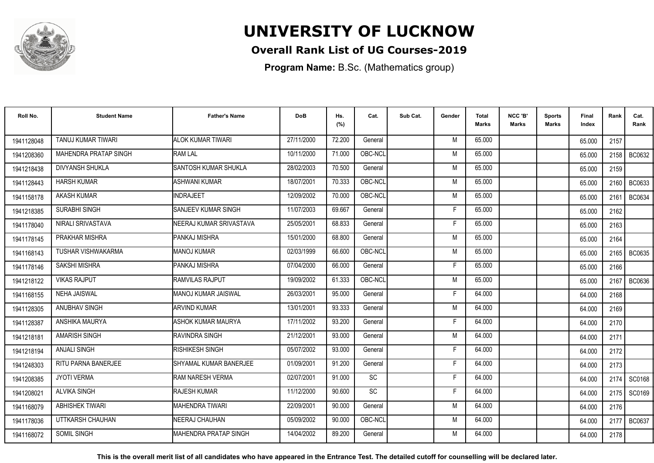

### **Overall Rank List of UG Courses-2019**

**Program Name:** B.Sc. (Mathematics group)

| Roll No.   | <b>Student Name</b>          | <b>Father's Name</b>          | <b>DoB</b> | Hs.<br>(%) | Cat.      | Sub Cat. | Gender | Total<br>Marks | NCC 'B'<br><b>Marks</b> | Sports<br>Marks | Final<br>Index | Rank | Cat.<br>Rank  |
|------------|------------------------------|-------------------------------|------------|------------|-----------|----------|--------|----------------|-------------------------|-----------------|----------------|------|---------------|
| 1941128048 | <b>TANUJ KUMAR TIWARI</b>    | ALOK KUMAR TIWARI             | 27/11/2000 | 72.200     | General   |          | M      | 65.000         |                         |                 | 65.000         | 2157 |               |
| 1941208360 | <b>MAHENDRA PRATAP SINGH</b> | <b>RAM LAL</b>                | 10/11/2000 | 71.000     | OBC-NCL   |          | M      | 65.000         |                         |                 | 65.000         | 2158 | BC0632        |
| 1941218438 | <b>DIVYANSH SHUKLA</b>       | <b>SANTOSH KUMAR SHUKLA</b>   | 28/02/2003 | 70.500     | General   |          | M      | 65.000         |                         |                 | 65.000         | 2159 |               |
| 1941128443 | <b>HARSH KUMAR</b>           | ASHWANI KUMAR                 | 18/07/2001 | 70.333     | OBC-NCL   |          | M      | 65.000         |                         |                 | 65.000         | 2160 | BC0633        |
| 1941158178 | <b>AKASH KUMAR</b>           | <b>INDRAJEET</b>              | 12/09/2002 | 70.000     | OBC-NCL   |          | M      | 65.000         |                         |                 | 65.000         | 2161 | BC0634        |
| 1941218385 | <b>SURABHI SINGH</b>         | <b>I</b> SANJEEV KUMAR SINGH  | 11/07/2003 | 69.667     | General   |          | Е      | 65.000         |                         |                 | 65.000         | 2162 |               |
| 1941178040 | NIRALI SRIVASTAVA            | NEERAJ KUMAR SRIVASTAVA       | 25/05/2001 | 68.833     | General   |          | F      | 65.000         |                         |                 | 65.000         | 2163 |               |
| 1941178145 | PRAKHAR MISHRA               | PANKAJ MISHRA                 | 15/01/2000 | 68.800     | General   |          | M      | 65.000         |                         |                 | 65.000         | 2164 |               |
| 1941168143 | TUSHAR VISHWAKARMA           | <b>MANOJ KUMAR</b>            | 02/03/1999 | 66.600     | OBC-NCL   |          | M      | 65.000         |                         |                 | 65.000         | 2165 | BC0635        |
| 1941178146 | SAKSHI MISHRA                | PANKAJ MISHRA                 | 07/04/2000 | 66.000     | General   |          | F.     | 65.000         |                         |                 | 65.000         | 2166 |               |
| 1941218122 | <b>VIKAS RAJPUT</b>          | <b>RAMVILAS RAJPUT</b>        | 19/09/2002 | 61.333     | OBC-NCL   |          | M      | 65.000         |                         |                 | 65.000         | 2167 | <b>BC0636</b> |
| 1941168155 | <b>NEHA JAISWAL</b>          | IMANOJ KUMAR JAISWAL          | 26/03/2001 | 95.000     | General   |          | F      | 64.000         |                         |                 | 64.000         | 2168 |               |
| 1941128305 | ANUBHAV SINGH                | <b>ARVIND KUMAR</b>           | 13/01/2001 | 93.333     | General   |          | M      | 64.000         |                         |                 | 64.000         | 2169 |               |
| 1941128387 | ANSHIKA MAURYA               | <b>ASHOK KUMAR MAURYA</b>     | 17/11/2002 | 93.200     | General   |          | F      | 64.000         |                         |                 | 64.000         | 2170 |               |
| 1941218181 | <b>AMARISH SINGH</b>         | RAVINDRA SINGH                | 21/12/2001 | 93.000     | General   |          | M      | 64.000         |                         |                 | 64.000         | 2171 |               |
| 1941218194 | <b>ANJALI SINGH</b>          | <b>RISHIKESH SINGH</b>        | 05/07/2002 | 93.000     | General   |          | F      | 64.000         |                         |                 | 64.000         | 2172 |               |
| 1941248303 | RITU PARNA BANERJEE          | <b>SHYAMAL KUMAR BANERJEE</b> | 01/09/2001 | 91.200     | General   |          | F      | 64.000         |                         |                 | 64.000         | 2173 |               |
| 1941208385 | <b>JYOTI VERMA</b>           | <b>RAM NARESH VERMA</b>       | 02/07/2001 | 91.000     | <b>SC</b> |          | F      | 64.000         |                         |                 | 64.000         | 2174 | SC0168        |
| 1941208021 | <b>ALVIKA SINGH</b>          | <b>RAJESH KUMAR</b>           | 11/12/2000 | 90.600     | SC        |          | E      | 64.000         |                         |                 | 64.000         | 2175 | SC0169        |
| 1941168079 | <b>ABHISHEK TIWARI</b>       | <b>MAHENDRA TIWARI</b>        | 22/09/2001 | 90.000     | General   |          | M      | 64.000         |                         |                 | 64.000         | 2176 |               |
| 1941178036 | UTTKARSH CHAUHAN             | NEERAJ CHAUHAN                | 05/09/2002 | 90.000     | OBC-NCL   |          | M      | 64.000         |                         |                 | 64.000         | 2177 | BC0637        |
| 1941168072 | <b>SOMIL SINGH</b>           | IMAHENDRA PRATAP SINGH        | 14/04/2002 | 89.200     | General   |          | M      | 64.000         |                         |                 | 64.000         | 2178 |               |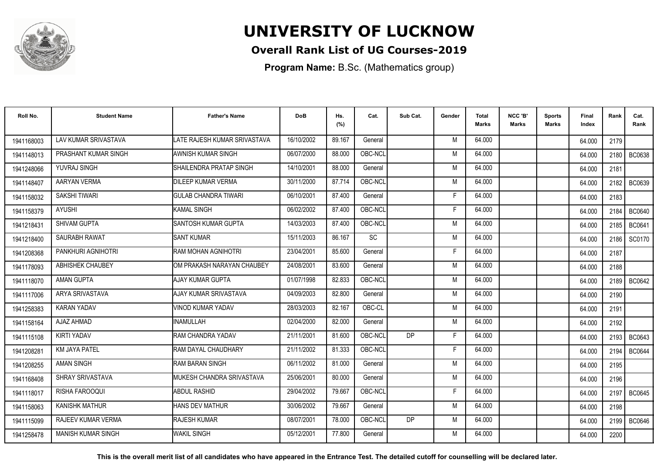

### **Overall Rank List of UG Courses-2019**

**Program Name:** B.Sc. (Mathematics group)

| Roll No.   | <b>Student Name</b>       | <b>Father's Name</b>         | <b>DoB</b> | Hs.<br>(%) | Cat.      | Sub Cat.  | Gender | <b>Total</b><br>Marks | NCC 'B'<br><b>Marks</b> | Sports<br>Marks | <b>Final</b><br>Index | Rank | Cat.<br>Rank  |
|------------|---------------------------|------------------------------|------------|------------|-----------|-----------|--------|-----------------------|-------------------------|-----------------|-----------------------|------|---------------|
| 1941168003 | LAV KUMAR SRIVASTAVA      | LATE RAJESH KUMAR SRIVASTAVA | 16/10/2002 | 89.167     | General   |           | M      | 64.000                |                         |                 | 64.000                | 2179 |               |
| 1941148013 | PRASHANT KUMAR SINGH      | <b>AWNISH KUMAR SINGH</b>    | 06/07/2000 | 88.000     | OBC-NCL   |           | M      | 64.000                |                         |                 | 64.000                | 2180 | <b>BC0638</b> |
| 1941248066 | YUVRAJ SINGH              | SHAILENDRA PRATAP SINGH      | 14/10/2001 | 88.000     | General   |           | M      | 64.000                |                         |                 | 64.000                | 2181 |               |
| 1941148407 | AARYAN VERMA              | <b>DILEEP KUMAR VERMA</b>    | 30/11/2000 | 87.714     | OBC-NCL   |           | M      | 64.000                |                         |                 | 64.000                | 2182 | BC0639        |
| 1941158032 | <b>SAKSHI TIWARI</b>      | <b>GULAB CHANDRA TIWARI</b>  | 06/10/2001 | 87.400     | General   |           | F      | 64.000                |                         |                 | 64.000                | 2183 |               |
| 1941158379 | <b>AYUSHI</b>             | <b>KAMAL SINGH</b>           | 06/02/2002 | 87.400     | OBC-NCL   |           | E      | 64.000                |                         |                 | 64.000                | 2184 | <b>BC0640</b> |
| 1941218431 | <b>SHIVAM GUPTA</b>       | <b>SANTOSH KUMAR GUPTA</b>   | 14/03/2003 | 87.400     | OBC-NCL   |           | M      | 64.000                |                         |                 | 64.000                | 2185 | BC0641        |
| 1941218400 | <b>SAURABH RAWAT</b>      | <b>SANT KUMAR</b>            | 15/11/2003 | 86.167     | <b>SC</b> |           | M      | 64.000                |                         |                 | 64.000                | 2186 | <b>SC0170</b> |
| 1941208368 | PANKHURI AGNIHOTRI        | RAM MOHAN AGNIHOTRI          | 23/04/2001 | 85.600     | General   |           | F      | 64.000                |                         |                 | 64.000                | 2187 |               |
| 1941178093 | ABHISHEK CHAUBEY          | OM PRAKASH NARAYAN CHAUBEY   | 24/08/2001 | 83.600     | General   |           | M      | 64.000                |                         |                 | 64.000                | 2188 |               |
| 1941118070 | AMAN GUPTA                | <b>AJAY KUMAR GUPTA</b>      | 01/07/1998 | 82.833     | OBC-NCL   |           | M      | 64.000                |                         |                 | 64.000                | 2189 | BC0642        |
| 1941117006 | ARYA SRIVASTAVA           | AJAY KUMAR SRIVASTAVA        | 04/09/2003 | 82.800     | General   |           | M      | 64.000                |                         |                 | 64.000                | 2190 |               |
| 1941258383 | <b>KARAN YADAV</b>        | VINOD KUMAR YADAV            | 28/03/2003 | 82.167     | OBC-CL    |           | M      | 64.000                |                         |                 | 64.000                | 2191 |               |
| 1941158164 | <b>AJAZ AHMAD</b>         | <b>INAMULLAH</b>             | 02/04/2000 | 82.000     | General   |           | M      | 64.000                |                         |                 | 64.000                | 2192 |               |
| 1941115108 | <b>KIRTI YADAV</b>        | RAM CHANDRA YADAV            | 21/11/2001 | 81.600     | OBC-NCL   | <b>DP</b> | Е      | 64.000                |                         |                 | 64.000                | 2193 | BC0643        |
| 194120828  | <b>KM JAYA PATEL</b>      | RAM DAYAL CHAUDHARY          | 21/11/2002 | 81.333     | OBC-NCL   |           | F      | 64.000                |                         |                 | 64.000                | 2194 | <b>BC0644</b> |
| 1941208255 | <b>AMAN SINGH</b>         | <b>RAM BARAN SINGH</b>       | 06/11/2002 | 81.000     | General   |           | M      | 64.000                |                         |                 | 64.000                | 2195 |               |
| 1941168408 | SHRAY SRIVASTAVA          | MUKESH CHANDRA SRIVASTAVA    | 25/06/2001 | 80.000     | General   |           | M      | 64.000                |                         |                 | 64.000                | 2196 |               |
| 1941118017 | RISHA FAROOQUI            | <b>ABDUL RASHID</b>          | 29/04/2002 | 79.667     | OBC-NCL   |           | F      | 64.000                |                         |                 | 64.000                | 2197 | BC0645        |
| 1941158063 | <b>KANISHK MATHUR</b>     | <b>HANS DEV MATHUR</b>       | 30/06/2002 | 79.667     | General   |           | M      | 64.000                |                         |                 | 64.000                | 2198 |               |
| 1941115099 | <b>RAJEEV KUMAR VERMA</b> | <b>RAJESH KUMAR</b>          | 08/07/2001 | 78.000     | OBC-NCL   | DP        | M      | 64.000                |                         |                 | 64.000                | 2199 | <b>BC0646</b> |
| 1941258478 | <b>MANISH KUMAR SINGH</b> | WAKIL SINGH                  | 05/12/2001 | 77.800     | General   |           | M      | 64.000                |                         |                 | 64.000                | 2200 |               |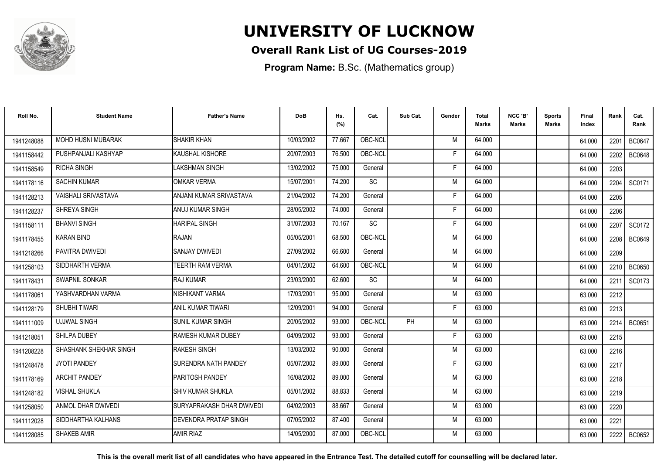

### **Overall Rank List of UG Courses-2019**

**Program Name:** B.Sc. (Mathematics group)

| Roll No.   | <b>Student Name</b>        | <b>Father's Name</b>         | <b>DoB</b> | Hs.<br>(%) | Cat.      | Sub Cat. | Gender | Total<br><b>Marks</b> | NCC 'B'<br><b>Marks</b> | Sports<br>Marks | Final<br>Index | Rank | Cat.<br>Rank  |
|------------|----------------------------|------------------------------|------------|------------|-----------|----------|--------|-----------------------|-------------------------|-----------------|----------------|------|---------------|
| 1941248088 | <b>MOHD HUSNI MUBARAK</b>  | <b>SHAKIR KHAN</b>           | 10/03/2002 | 77.667     | OBC-NCL   |          | M      | 64.000                |                         |                 | 64.000         | 2201 | <b>BC0647</b> |
| 1941158442 | PUSHPANJALI KASHYAP        | KAUSHAL KISHORE              | 20/07/2003 | 76.500     | OBC-NCL   |          | F      | 64.000                |                         |                 | 64.000         | 2202 | <b>BC0648</b> |
| 1941158549 | <b>RICHA SINGH</b>         | LAKSHMAN SINGH               | 13/02/2002 | 75.000     | General   |          | F.     | 64.000                |                         |                 | 64.000         | 2203 |               |
| 1941178116 | <b>SACHIN KUMAR</b>        | <b>OMKAR VERMA</b>           | 15/07/2001 | 74.200     | SC        |          | M      | 64.000                |                         |                 | 64.000         | 2204 | SC0171        |
| 1941128213 | <b>VAISHALI SRIVASTAVA</b> | ANJANI KUMAR SRIVASTAVA      | 21/04/2002 | 74.200     | General   |          | F      | 64.000                |                         |                 | 64.000         | 2205 |               |
| 1941128237 | <b>SHREYA SINGH</b>        | <b>ANUJ KUMAR SINGH</b>      | 28/05/2002 | 74.000     | General   |          | F      | 64.000                |                         |                 | 64.000         | 2206 |               |
| 1941158111 | <b>BHANVI SINGH</b>        | <b>HARIPAL SINGH</b>         | 31/07/2003 | 70.167     | <b>SC</b> |          | F      | 64.000                |                         |                 | 64.000         | 2207 | SC0172        |
| 1941178455 | <b>KARAN BIND</b>          | RAJAN                        | 05/05/2001 | 68.500     | OBC-NCL   |          | M      | 64.000                |                         |                 | 64.000         | 2208 | BC0649        |
| 1941218266 | PAVITRA DWIVEDI            | <b>SANJAY DWIVEDI</b>        | 27/09/2002 | 66.600     | General   |          | M      | 64.000                |                         |                 | 64.000         | 2209 |               |
| 1941258103 | SIDDHARTH VERMA            | TEERTH RAM VERMA             | 04/01/2002 | 64.600     | OBC-NCL   |          | M      | 64.000                |                         |                 | 64.000         | 2210 | <b>BC0650</b> |
| 1941178431 | <b>SWAPNIL SONKAR</b>      | <b>RAJ KUMAR</b>             | 23/03/2000 | 62.600     | <b>SC</b> |          | M      | 64.000                |                         |                 | 64.000         | 2211 | SC0173        |
| 1941178061 | YASHVARDHAN VARMA          | NISHIKANT VARMA              | 17/03/2001 | 95.000     | General   |          | M      | 63.000                |                         |                 | 63.000         | 2212 |               |
| 1941128179 | <b>SHUBHI TIWARI</b>       | <b>ANIL KUMAR TIWARI</b>     | 12/09/2001 | 94.000     | General   |          |        | 63.000                |                         |                 | 63.000         | 2213 |               |
| 1941111009 | <b>UJJWAL SINGH</b>        | <b>SUNIL KUMAR SINGH</b>     | 20/05/2002 | 93.000     | OBC-NCL   | PH       | M      | 63.000                |                         |                 | 63.000         | 2214 | BC0651        |
| 1941218051 | SHILPA DUBEY               | <b>RAMESH KUMAR DUBEY</b>    | 04/09/2002 | 93.000     | General   |          | F      | 63.000                |                         |                 | 63.000         | 2215 |               |
| 1941208228 | SHASHANK SHEKHAR SINGH     | <b>RAKESH SINGH</b>          | 13/03/2002 | 90.000     | General   |          | M      | 63.000                |                         |                 | 63.000         | 2216 |               |
| 1941248478 | <b>JYOTI PANDEY</b>        | SURENDRA NATH PANDEY         | 05/07/2002 | 89.000     | General   |          | F      | 63.000                |                         |                 | 63.000         | 2217 |               |
| 1941178169 | <b>ARCHIT PANDEY</b>       | PARITOSH PANDEY              | 16/08/2002 | 89.000     | General   |          | M      | 63.000                |                         |                 | 63.000         | 2218 |               |
| 1941248182 | <b>VISHAL SHUKLA</b>       | <b>SHIV KUMAR SHUKLA</b>     | 05/01/2002 | 88.833     | General   |          | M      | 63.000                |                         |                 | 63.000         | 2219 |               |
| 1941258050 | ANMOL DHAR DWIVEDI         | SURYAPRAKASH DHAR DWIVEDI    | 04/02/2003 | 88.667     | General   |          | M      | 63.000                |                         |                 | 63.000         | 2220 |               |
| 1941112028 | SIDDHARTHA KALHANS         | <b>DEVENDRA PRATAP SINGH</b> | 07/05/2002 | 87.400     | General   |          | M      | 63.000                |                         |                 | 63.000         | 2221 |               |
| 1941128085 | <b>SHAKEB AMIR</b>         | <b>AMIR RIAZ</b>             | 14/05/2000 | 87.000     | OBC-NCL   |          | M      | 63.000                |                         |                 | 63.000         | 2222 | BC0652        |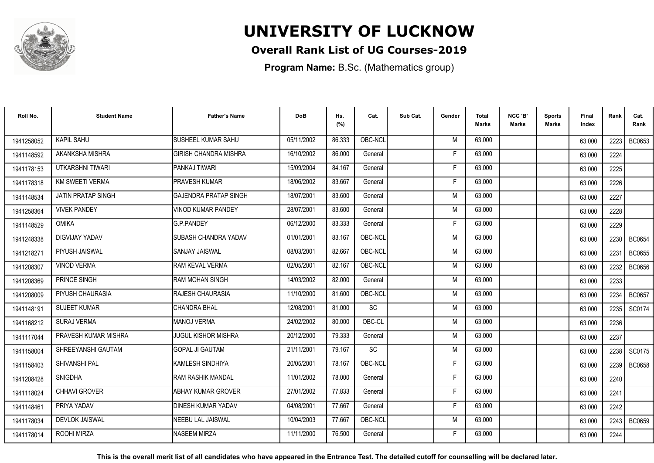

### **Overall Rank List of UG Courses-2019**

**Program Name:** B.Sc. (Mathematics group)

| Roll No.   | <b>Student Name</b>       | <b>Father's Name</b>         | <b>DoB</b> | Hs.<br>(%) | Cat.      | Sub Cat. | Gender | <b>Total</b><br><b>Marks</b> | NCC 'B'<br><b>Marks</b> | <b>Sports</b><br>Marks | Final<br>Index | Rank | Cat.<br>Rank  |
|------------|---------------------------|------------------------------|------------|------------|-----------|----------|--------|------------------------------|-------------------------|------------------------|----------------|------|---------------|
| 1941258052 | <b>KAPIL SAHU</b>         | SUSHEEL KUMAR SAHU           | 05/11/2002 | 86.333     | OBC-NCL   |          | M      | 63.000                       |                         |                        | 63.000         | 2223 | BC0653        |
| 1941148592 | AKANKSHA MISHRA           | <b>GIRISH CHANDRA MISHRA</b> | 16/10/2002 | 86.000     | General   |          | Е      | 63.000                       |                         |                        | 63.000         | 2224 |               |
| 1941178153 | UTKARSHNI TIWARI          | PANKAJ TIWARI                | 15/09/2004 | 84.167     | General   |          | F      | 63.000                       |                         |                        | 63.000         | 2225 |               |
| 1941178318 | <b>KM SWEETI VERMA</b>    | <b>PRAVESH KUMAR</b>         | 18/06/2002 | 83.667     | General   |          | F      | 63.000                       |                         |                        | 63.000         | 2226 |               |
| 1941148534 | <b>JATIN PRATAP SINGH</b> | <b>GAJENDRA PRATAP SINGH</b> | 18/07/2001 | 83.600     | General   |          | M      | 63.000                       |                         |                        | 63.000         | 2227 |               |
| 1941258364 | <b>VIVEK PANDEY</b>       | <b>VINOD KUMAR PANDEY</b>    | 28/07/2001 | 83.600     | General   |          | M      | 63.000                       |                         |                        | 63.000         | 2228 |               |
| 1941148529 | <b>OMIKA</b>              | <b>G.P.PANDEY</b>            | 06/12/2000 | 83.333     | General   |          | F      | 63.000                       |                         |                        | 63.000         | 2229 |               |
| 1941248338 | DIGVIJAY YADAV            | <b>SUBASH CHANDRA YADAV</b>  | 01/01/2001 | 83.167     | OBC-NCL   |          | M      | 63.000                       |                         |                        | 63.000         | 2230 | <b>BC0654</b> |
| 1941218271 | PIYUSH JAISWAL            | <b>SANJAY JAISWAL</b>        | 08/03/2001 | 82.667     | OBC-NCL   |          | M      | 63.000                       |                         |                        | 63.000         | 2231 | <b>BC0655</b> |
| 1941208307 | <b>VINOD VERMA</b>        | RAM KEVAL VERMA              | 02/05/2001 | 82.167     | OBC-NCL   |          | M      | 63.000                       |                         |                        | 63.000         | 2232 | <b>BC0656</b> |
| 1941208369 | PRINCE SINGH              | <b>RAM MOHAN SINGH</b>       | 14/03/2002 | 82.000     | General   |          | M      | 63.000                       |                         |                        | 63.000         | 2233 |               |
| 1941208009 | PIYUSH CHAURASIA          | <b>RAJESH CHAURASIA</b>      | 11/10/2000 | 81.600     | OBC-NCL   |          | M      | 63.000                       |                         |                        | 63.000         | 2234 | <b>BC0657</b> |
| 1941148191 | <b>SUJEET KUMAR</b>       | CHANDRA BHAL                 | 12/08/2001 | 81.000     | SC        |          | M      | 63.000                       |                         |                        | 63.000         | 2235 | SC0174        |
| 1941168212 | <b>SURAJ VERMA</b>        | <b>MANOJ VERMA</b>           | 24/02/2002 | 80.000     | OBC-CL    |          | M      | 63.000                       |                         |                        | 63.000         | 2236 |               |
| 1941117044 | PRAVESH KUMAR MISHRA      | IJUGUL KISHOR MISHRA         | 20/12/2000 | 79.333     | General   |          | M      | 63.000                       |                         |                        | 63.000         | 2237 |               |
| 1941158004 | SHREEYANSHI GAUTAM        | <b>GOPAL JI GAUTAM</b>       | 21/11/2001 | 79.167     | <b>SC</b> |          | M      | 63.000                       |                         |                        | 63.000         | 2238 | SC0175        |
| 1941158403 | SHIVANSHI PAL             | KAMLESH SINDHIYA             | 20/05/2001 | 78.167     | OBC-NCL   |          | F      | 63.000                       |                         |                        | 63.000         | 2239 | <b>BC0658</b> |
| 1941208428 | <b>SNIGDHA</b>            | <b>RAM RASHIK MANDAL</b>     | 11/01/2002 | 78.000     | General   |          | F      | 63.000                       |                         |                        | 63.000         | 2240 |               |
| 1941118024 | CHHAVI GROVER             | <b>ABHAY KUMAR GROVER</b>    | 27/01/2002 | 77.833     | General   |          | F      | 63.000                       |                         |                        | 63.000         | 2241 |               |
| 1941148461 | PRIYA YADAV               | <b>DINESH KUMAR YADAV</b>    | 04/08/2001 | 77.667     | General   |          | F.     | 63.000                       |                         |                        | 63.000         | 2242 |               |
| 1941178034 | <b>DEVLOK JAISWAL</b>     | NEEBU LAL JAISWAL            | 10/04/2003 | 77.667     | OBC-NCL   |          | M      | 63.000                       |                         |                        | 63.000         | 2243 | <b>BC0659</b> |
| 1941178014 | ROOHI MIRZA               | <b>NASEEM MIRZA</b>          | 11/11/2000 | 76.500     | General   |          | Е      | 63.000                       |                         |                        | 63.000         | 2244 |               |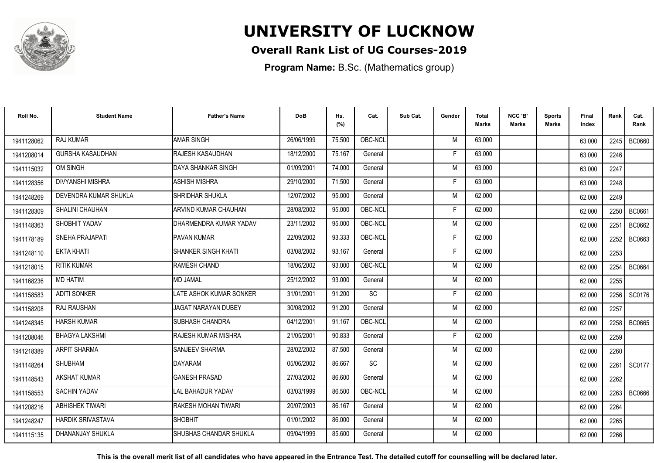

### **Overall Rank List of UG Courses-2019**

**Program Name:** B.Sc. (Mathematics group)

| Roll No.   | <b>Student Name</b>      | <b>Father's Name</b>          | <b>DoB</b> | Hs.<br>(%) | Cat.    | Sub Cat. | Gender | Total<br>Marks | NCC 'B'<br><b>Marks</b> | Sports<br><b>Marks</b> | Final<br>Index | Rank | Cat.<br>Rank  |
|------------|--------------------------|-------------------------------|------------|------------|---------|----------|--------|----------------|-------------------------|------------------------|----------------|------|---------------|
| 1941128062 | <b>RAJ KUMAR</b>         | <b>AMAR SINGH</b>             | 26/06/1999 | 75.500     | OBC-NCL |          | M      | 63.000         |                         |                        | 63.000         | 2245 | <b>BC0660</b> |
| 1941208014 | <b>GURSHA KASAUDHAN</b>  | RAJESH KASAUDHAN              | 18/12/2000 | 75.167     | General |          | F      | 63.000         |                         |                        | 63.000         | 2246 |               |
| 1941115032 | OM SINGH                 | DAYA SHANKAR SINGH            | 01/09/2001 | 74.000     | General |          | M      | 63.000         |                         |                        | 63.000         | 2247 |               |
| 1941128356 | <b>DIVYANSHI MISHRA</b>  | <b>ASHISH MISHRA</b>          | 29/10/2000 | 71.500     | General |          | F      | 63.000         |                         |                        | 63.000         | 2248 |               |
| 1941248269 | DEVENDRA KUMAR SHUKLA    | ISHRIDHAR SHUKLA              | 12/07/2002 | 95.000     | General |          | M      | 62.000         |                         |                        | 62.000         | 2249 |               |
| 1941128309 | <b>SHALINI CHAUHAN</b>   | ARVIND KUMAR CHAUHAN          | 28/08/2002 | 95.000     | OBC-NCL |          | Е      | 62.000         |                         |                        | 62.000         | 2250 | BC0661        |
| 1941148363 | SHOBHIT YADAV            | DHARMENDRA KUMAR YADAV        | 23/11/2002 | 95.000     | OBC-NCL |          | M      | 62.000         |                         |                        | 62.000         | 2251 | BC0662        |
| 1941178189 | SNEHA PRAJAPATI          | PAVAN KUMAR                   | 22/09/2002 | 93.333     | OBC-NCL |          | F      | 62.000         |                         |                        | 62.000         | 2252 | BC0663        |
| 1941248110 | <b>EKTA KHATI</b>        | SHANKER SINGH KHATI           | 03/08/2002 | 93.167     | General |          | F      | 62.000         |                         |                        | 62.000         | 2253 |               |
| 1941218015 | <b>RITIK KUMAR</b>       | RAMESH CHAND                  | 18/06/2002 | 93.000     | OBC-NCL |          | M      | 62.000         |                         |                        | 62.000         | 2254 | <b>BC0664</b> |
| 1941168236 | <b>MD HATIM</b>          | <b>MD JAMAL</b>               | 25/12/2002 | 93.000     | General |          | M      | 62.000         |                         |                        | 62.000         | 2255 |               |
| 1941158583 | <b>ADITI SONKER</b>      | LATE ASHOK KUMAR SONKER       | 31/01/2001 | 91.200     | SC      |          | E      | 62.000         |                         |                        | 62.000         | 2256 | SC0176        |
| 1941158208 | RAJ RAUSHAN              | <b>JAGAT NARAYAN DUBEY</b>    | 30/08/2002 | 91.200     | General |          | M      | 62.000         |                         |                        | 62.000         | 2257 |               |
| 1941248345 | <b>HARSH KUMAR</b>       | <b>ISUBHASH CHANDRA</b>       | 04/12/2001 | 91.167     | OBC-NCL |          | M      | 62.000         |                         |                        | 62.000         | 2258 | <b>BC0665</b> |
| 1941208046 | <b>BHAGYA LAKSHMI</b>    | RAJESH KUMAR MISHRA           | 21/05/2001 | 90.833     | General |          | F      | 62.000         |                         |                        | 62.000         | 2259 |               |
| 1941218389 | <b>ARPIT SHARMA</b>      | <b>SANJEEV SHARMA</b>         | 28/02/2002 | 87.500     | General |          | M      | 62.000         |                         |                        | 62.000         | 2260 |               |
| 1941148264 | <b>SHUBHAM</b>           | <b>DAYARAM</b>                | 05/06/2002 | 86.667     | SC      |          | M      | 62.000         |                         |                        | 62.000         | 2261 | SC0177        |
| 1941148543 | <b>AKSHAT KUMAR</b>      | <b>GANESH PRASAD</b>          | 27/03/2002 | 86.600     | General |          | M      | 62.000         |                         |                        | 62.000         | 2262 |               |
| 1941158553 | <b>SACHIN YADAV</b>      | LAL BAHADUR YADAV             | 03/03/1999 | 86.500     | OBC-NCL |          | M      | 62.000         |                         |                        | 62.000         | 2263 | <b>BC0666</b> |
| 1941208216 | <b>ABHISHEK TIWARI</b>   | RAKESH MOHAN TIWARI           | 20/07/2003 | 86.167     | General |          | M      | 62.000         |                         |                        | 62.000         | 2264 |               |
| 1941248247 | <b>HARDIK SRIVASTAVA</b> | <b>SHOBHIT</b>                | 01/01/2002 | 86.000     | General |          | M      | 62.000         |                         |                        | 62.000         | 2265 |               |
| 1941115135 | DHANANJAY SHUKLA         | <b>SHUBHAS CHANDAR SHUKLA</b> | 09/04/1999 | 85.600     | General |          | M      | 62.000         |                         |                        | 62.000         | 2266 |               |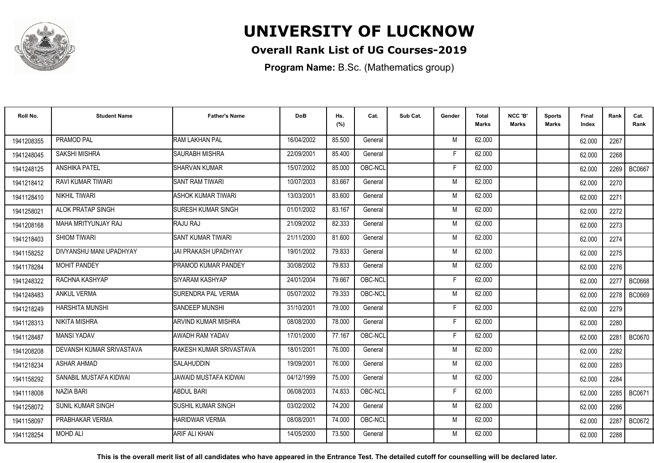

### **Overall Rank List of UG Courses-2019**

**Program Name:** B.Sc. (Mathematics group)

| Roll No.   | <b>Student Name</b>      | <b>Father's Name</b>       | <b>DoB</b> | Hs.<br>(%) | Cat.    | Sub Cat. | Gender | Total<br>Marks | NCC 'B'<br><b>Marks</b> | Sports<br>Marks | Final<br>Index | Rank | Cat.<br>Rank  |
|------------|--------------------------|----------------------------|------------|------------|---------|----------|--------|----------------|-------------------------|-----------------|----------------|------|---------------|
| 1941208355 | PRAMOD PAL               | RAM LAKHAN PAL             | 16/04/2002 | 85.500     | General |          | M      | 62.000         |                         |                 | 62.000         | 2267 |               |
| 1941248045 | SAKSHI MISHRA            | <b>SAURABH MISHRA</b>      | 22/09/2001 | 85.400     | General |          | F      | 62.000         |                         |                 | 62.000         | 2268 |               |
| 1941248125 | <b>ANSHIKA PATEL</b>     | <b>SHARVAN KUMAR</b>       | 15/07/2002 | 85.000     | OBC-NCL |          | F      | 62.000         |                         |                 | 62.000         | 2269 | <b>BC0667</b> |
| 1941218412 | RAVI KUMAR TIWARI        | <b>ISANT RAM TIWARI</b>    | 10/07/2003 | 83.667     | General |          | M      | 62.000         |                         |                 | 62.000         | 2270 |               |
| 1941128410 | NIKHIL TIWARI            | ASHOK KUMAR TIWARI         | 13/03/2001 | 83.600     | General |          | M      | 62.000         |                         |                 | 62.000         | 2271 |               |
| 1941258021 | <b>ALOK PRATAP SINGH</b> | <b>ISURESH KUMAR SINGH</b> | 01/01/2002 | 83.167     | General |          | M      | 62.000         |                         |                 | 62.000         | 2272 |               |
| 1941208168 | MAHA MRITYUNJAY RAJ      | RAJU RAJ                   | 21/09/2002 | 82.333     | General |          | M      | 62.000         |                         |                 | 62.000         | 2273 |               |
| 1941218403 | <b>SHIOM TIWARI</b>      | <b>SANT KUMAR TIWARI</b>   | 21/11/2000 | 81.600     | General |          | M      | 62.000         |                         |                 | 62.000         | 2274 |               |
| 1941158252 | DIVYANSHU MANI UPADHYAY  | JAI PRAKASH UPADHYAY       | 19/01/2002 | 79.833     | General |          | M      | 62.000         |                         |                 | 62.000         | 2275 |               |
| 1941178284 | <b>MOHIT PANDEY</b>      | <b>PRAMOD KUMAR PANDEY</b> | 30/08/2002 | 79.833     | General |          | M      | 62.000         |                         |                 | 62.000         | 2276 |               |
| 1941248322 | RACHNA KASHYAP           | ISIYARAM KASHYAP           | 24/01/2004 | 79.667     | OBC-NCL |          | F      | 62.000         |                         |                 | 62.000         | 2277 | <b>BC0668</b> |
| 1941248483 | <b>ANKUL VERMA</b>       | <b>SURENDRA PAL VERMA</b>  | 05/07/2002 | 79.333     | OBC-NCL |          | M      | 62.000         |                         |                 | 62.000         | 2278 | <b>BC0669</b> |
| 1941218249 | <b>HARSHITA MUNSHI</b>   | <b>I</b> SANDEEP MUNSHI    | 31/10/2001 | 79.000     | General |          |        | 62.000         |                         |                 | 62.000         | 2279 |               |
| 1941128313 | <b>NIKITA MISHRA</b>     | ARVIND KUMAR MISHRA        | 08/08/2000 | 78.000     | General |          | F      | 62.000         |                         |                 | 62.000         | 2280 |               |
| 1941128487 | <b>MANSI YADAV</b>       | AWADH RAM YADAV            | 17/01/2000 | 77.167     | OBC-NCL |          | F      | 62.000         |                         |                 | 62.000         | 2281 | <b>BC0670</b> |
| 1941208208 | DEVANSH KUMAR SRIVASTAVA | RAKESH KUMAR SRIVASTAVA    | 18/01/2001 | 76.000     | General |          | M      | 62.000         |                         |                 | 62.000         | 2282 |               |
| 1941218234 | <b>ASHAR AHMAD</b>       | <b>SALAHUDDIN</b>          | 19/09/2001 | 76.000     | General |          | M      | 62.000         |                         |                 | 62.000         | 2283 |               |
| 1941158292 | SANABIL MUSTAFA KIDWAI   | JAWAID MUSTAFA KIDWAI      | 04/12/1999 | 75.000     | General |          | M      | 62.000         |                         |                 | 62.000         | 2284 |               |
| 1941118008 | NAZIA BARI               | <b>ABDUL BARI</b>          | 06/08/2003 | 74.833     | OBC-NCL |          | E      | 62.000         |                         |                 | 62.000         | 2285 | BC0671        |
| 1941258072 | <b>SUNIL KUMAR SINGH</b> | İSUSHIL KUMAR SINGH        | 03/02/2002 | 74.200     | General |          | M      | 62.000         |                         |                 | 62.000         | 2286 |               |
| 1941158097 | PRABHAKAR VERMA          | <b>HARIDWAR VERMA</b>      | 08/08/2001 | 74.000     | OBC-NCL |          | M      | 62.000         |                         |                 | 62.000         | 2287 | <b>BC0672</b> |
| 1941128254 | <b>MOHD ALI</b>          | ARIF ALI KHAN              | 14/05/2000 | 73.500     | General |          | M      | 62.000         |                         |                 | 62.000         | 2288 |               |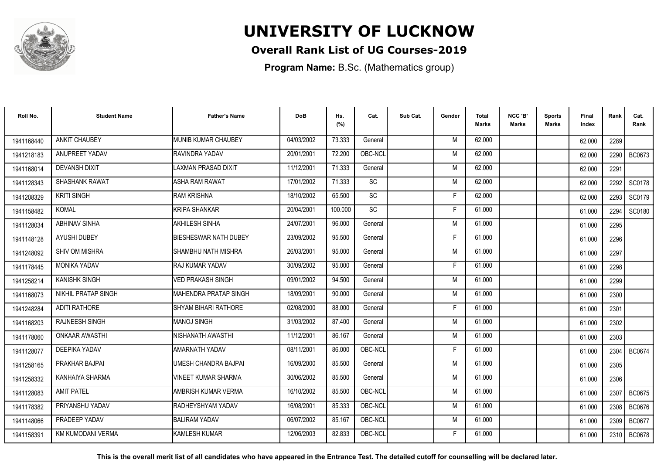

### **Overall Rank List of UG Courses-2019**

**Program Name:** B.Sc. (Mathematics group)

| Roll No.   | <b>Student Name</b>        | <b>Father's Name</b>         | <b>DoB</b> | Hs.<br>(%) | Cat.            | Sub Cat. | Gender | <b>Total</b><br><b>Marks</b> | NCC 'B'<br><b>Marks</b> | Sports<br><b>Marks</b> | Final<br>Index | Rank | Cat.<br>Rank  |
|------------|----------------------------|------------------------------|------------|------------|-----------------|----------|--------|------------------------------|-------------------------|------------------------|----------------|------|---------------|
| 1941168440 | <b>ANKIT CHAUBEY</b>       | MUNIB KUMAR CHAUBEY          | 04/03/2002 | 73.333     | General         |          | M      | 62.000                       |                         |                        | 62.000         | 2289 |               |
| 1941218183 | ANUPREET YADAV             | RAVINDRA YADAV               | 20/01/2001 | 72.200     | OBC-NCL         |          | M      | 62.000                       |                         |                        | 62.000         | 2290 | <b>BC0673</b> |
| 1941168014 | <b>DEVANSH DIXIT</b>       | LAXMAN PRASAD DIXIT          | 11/12/2001 | 71.333     | General         |          | M      | 62.000                       |                         |                        | 62.000         | 2291 |               |
| 1941128343 | SHASHANK RAWAT             | <b>ASHA RAM RAWAT</b>        | 17/01/2002 | 71.333     | $\overline{SC}$ |          | M      | 62.000                       |                         |                        | 62.000         | 2292 | SC0178        |
| 1941208329 | <b>KRITI SINGH</b>         | <b>RAM KRISHNA</b>           | 18/10/2002 | 65.500     | SC              |          | F      | 62.000                       |                         |                        | 62.000         | 2293 | SC0179        |
| 1941158482 | <b>KOMAL</b>               | KRIPA SHANKAR                | 20/04/2001 | 100.000    | SC              |          | F      | 61.000                       |                         |                        | 61.000         | 2294 | SC0180        |
| 1941128034 | <b>ABHINAV SINHA</b>       | AKHILESH SINHA               | 24/07/2001 | 96.000     | General         |          | M      | 61.000                       |                         |                        | 61.000         | 2295 |               |
| 1941148128 | AYUSHI DUBEY               | <b>BIESHESWAR NATH DUBEY</b> | 23/09/2002 | 95.500     | General         |          | F      | 61.000                       |                         |                        | 61.000         | 2296 |               |
| 1941248092 | SHIV OM MISHRA             | SHAMBHU NATH MISHRA          | 26/03/2001 | 95.000     | General         |          | M      | 61.000                       |                         |                        | 61.000         | 2297 |               |
| 1941178445 | <b>MONIKA YADAV</b>        | RAJ KUMAR YADAV              | 30/09/2002 | 95.000     | General         |          | F      | 61.000                       |                         |                        | 61.000         | 2298 |               |
| 1941258214 | <b>KANISHK SINGH</b>       | <b>/ED PRAKASH SINGH</b>     | 09/01/2002 | 94.500     | General         |          | M      | 61.000                       |                         |                        | 61.000         | 2299 |               |
| 1941168073 | <b>NIKHIL PRATAP SINGH</b> | <b>MAHENDRA PRATAP SINGH</b> | 18/09/2001 | 90.000     | General         |          | M      | 61.000                       |                         |                        | 61.000         | 2300 |               |
| 1941248284 | <b>ADITI RATHORE</b>       | <b>SHYAM BIHARI RATHORE</b>  | 02/08/2000 | 88.000     | General         |          |        | 61.000                       |                         |                        | 61.000         | 2301 |               |
| 1941168203 | <b>RAJNEESH SINGH</b>      | <b>MANOJ SINGH</b>           | 31/03/2002 | 87.400     | General         |          | M      | 61.000                       |                         |                        | 61.000         | 2302 |               |
| 1941178060 | <b>ONKAAR AWASTHI</b>      | NISHANATH AWASTHI            | 11/12/2001 | 86.167     | General         |          | M      | 61.000                       |                         |                        | 61.000         | 2303 |               |
| 1941128077 | <b>DEEPIKA YADAV</b>       | <b>AMARNATH YADAV</b>        | 08/11/2001 | 86.000     | OBC-NCL         |          | F      | 61.000                       |                         |                        | 61.000         | 2304 | <b>BC0674</b> |
| 1941258165 | PRAKHAR BAJPAI             | UMESH CHANDRA BAJPAI         | 16/09/2000 | 85.500     | General         |          | M      | 61.000                       |                         |                        | 61.000         | 2305 |               |
| 1941258332 | KANHAIYA SHARMA            | VINEET KUMAR SHARMA          | 30/06/2002 | 85.500     | General         |          | M      | 61.000                       |                         |                        | 61.000         | 2306 |               |
| 1941128083 | <b>AMIT PATEL</b>          | AMBRISH KUMAR VERMA          | 16/10/2002 | 85.500     | OBC-NCL         |          | M      | 61.000                       |                         |                        | 61.000         | 2307 | <b>BC0675</b> |
| 1941178382 | PRIYANSHU YADAV            | RADHEYSHYAM YADAV            | 16/08/2001 | 85.333     | OBC-NCL         |          | M      | 61.000                       |                         |                        | 61.000         | 2308 | <b>BC0676</b> |
| 1941148066 | PRADEEP YADAV              | <b>BALIRAM YADAV</b>         | 06/07/2002 | 85.167     | OBC-NCL         |          | M      | 61.000                       |                         |                        | 61.000         | 2309 | <b>BC0677</b> |
| 1941158391 | <b>KM KUMODANI VERMA</b>   | KAMLESH KUMAR                | 12/06/2003 | 82.833     | OBC-NCL         |          | F      | 61.000                       |                         |                        | 61.000         | 2310 | BC0678        |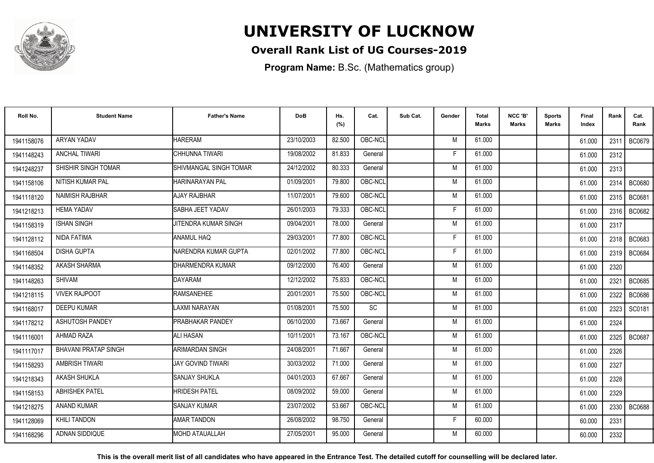

### **Overall Rank List of UG Courses-2019**

**Program Name:** B.Sc. (Mathematics group)

| Roll No.   | <b>Student Name</b>         | <b>Father's Name</b>     | <b>DoB</b> | Hs.<br>(%) | Cat.    | Sub Cat. | Gender | Total<br>Marks | NCC 'B'<br><b>Marks</b> | Sports<br>Marks | Final<br>Index | Rank | Cat.<br>Rank  |
|------------|-----------------------------|--------------------------|------------|------------|---------|----------|--------|----------------|-------------------------|-----------------|----------------|------|---------------|
| 1941158076 | ARYAN YADAV                 | <b>HARERAM</b>           | 23/10/2003 | 82.500     | OBC-NCL |          | M      | 61.000         |                         |                 | 61.000         | 2311 | <b>BC0679</b> |
| 1941148243 | <b>ANCHAL TIWARI</b>        | CHHUNNA TIWARI           | 19/08/2002 | 81.833     | General |          | F      | 61.000         |                         |                 | 61.000         | 2312 |               |
| 1941248237 | SHISHIR SINGH TOMAR         | SHIVMANGAL SINGH TOMAR   | 24/12/2002 | 80.333     | General |          | M      | 61.000         |                         |                 | 61.000         | 2313 |               |
| 1941158106 | NITISH KUMAR PAL            | HARINARAYAN PAL          | 01/09/2001 | 79.800     | OBC-NCL |          | M      | 61.000         |                         |                 | 61.000         | 2314 | <b>BC0680</b> |
| 1941118120 | <b>NAIMISH RAJBHAR</b>      | <b>AJAY RAJBHAR</b>      | 11/07/2001 | 79.600     | OBC-NCL |          | M      | 61.000         |                         |                 | 61.000         | 2315 | BC0681        |
| 1941218213 | <b>HEMA YADAV</b>           | SABHA JEET YADAV         | 26/01/2003 | 79.333     | OBC-NCL |          | F      | 61.000         |                         |                 | 61.000         | 2316 | BC0682        |
| 1941158319 | <b>ISHAN SINGH</b>          | JITENDRA KUMAR SINGH     | 09/04/2001 | 78.000     | General |          | M      | 61.000         |                         |                 | 61.000         | 2317 |               |
| 1941128112 | NIDA FATIMA                 | <b>ANAMUL HAQ</b>        | 29/03/2001 | 77.800     | OBC-NCL |          | F      | 61.000         |                         |                 | 61.000         |      | 2318   BC0683 |
| 1941168504 | <b>DISHA GUPTA</b>          | NARENDRA KUMAR GUPTA     | 02/01/2002 | 77.800     | OBC-NCL |          | -F     | 61.000         |                         |                 | 61.000         |      | 2319   BC0684 |
| 1941148352 | <b>AKASH SHARMA</b>         | DHARMENDRA KUMAR         | 09/12/2000 | 76.400     | General |          | M      | 61.000         |                         |                 | 61.000         | 2320 |               |
| 1941148263 | <b>SHIVAM</b>               | <b>DAYARAM</b>           | 12/12/2002 | 75.833     | OBC-NCL |          | M      | 61.000         |                         |                 | 61.000         | 2321 | BC0685        |
| 1941218115 | <b>VIVEK RAJPOOT</b>        | <b>RAMSANEHEE</b>        | 20/01/2001 | 75.500     | OBC-NCL |          | M      | 61.000         |                         |                 | 61.000         | 2322 | <b>BC0686</b> |
| 1941168017 | <b>DEEPU KUMAR</b>          | <b>LAXMI NARAYAN</b>     | 01/08/2001 | 75.500     | SC      |          | M      | 61.000         |                         |                 | 61.000         | 2323 | SC0181        |
| 1941178212 | <b>ASHUTOSH PANDEY</b>      | <b>PRABHAKAR PANDEY</b>  | 06/10/2000 | 73.667     | General |          | M      | 61.000         |                         |                 | 61.000         | 2324 |               |
| 1941116001 | AHMAD RAZA                  | <b>ALI HASAN</b>         | 10/11/2001 | 73.167     | OBC-NCL |          | M      | 61.000         |                         |                 | 61.000         | 2325 | <b>BC0687</b> |
| 1941117017 | <b>BHAVANI PRATAP SINGH</b> | <b>ARIMARDAN SINGH</b>   | 24/08/2001 | 71.667     | General |          | M      | 61.000         |                         |                 | 61.000         | 2326 |               |
| 1941158293 | AMBRISH TIWARI              | <b>JAY GOVIND TIWARI</b> | 30/03/2002 | 71.000     | General |          | M      | 61.000         |                         |                 | 61.000         | 2327 |               |
| 1941218343 | <b>AKASH SHUKLA</b>         | <b>SANJAY SHUKLA</b>     | 04/01/2003 | 67.667     | General |          | M      | 61.000         |                         |                 | 61.000         | 2328 |               |
| 1941158153 | <b>ABHISHEK PATEL</b>       | <b>HRIDESH PATEL</b>     | 08/09/2002 | 59.000     | General |          | M      | 61.000         |                         |                 | 61.000         | 2329 |               |
| 1941218275 | <b>ANAND KUMAR</b>          | <b>SANJAY KUMAR</b>      | 23/07/2002 | 53.667     | OBC-NCL |          | M      | 61.000         |                         |                 | 61.000         | 2330 | <b>BC0688</b> |
| 1941128069 | <b>KHILI TANDON</b>         | <b>AMAR TANDON</b>       | 26/08/2002 | 98.750     | General |          | E      | 60.000         |                         |                 | 60.000         | 2331 |               |
| 1941168296 | <b>ADNAN SIDDIQUE</b>       | <b>I</b> MOHD ATAUALLAH  | 27/05/2001 | 95.000     | General |          | M      | 60.000         |                         |                 | 60.000         | 2332 |               |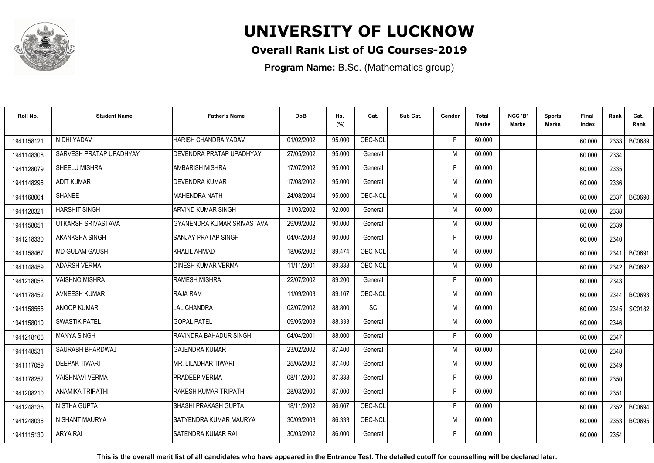

### **Overall Rank List of UG Courses-2019**

**Program Name:** B.Sc. (Mathematics group)

| Roll No.   | <b>Student Name</b>     | <b>Father's Name</b>              | <b>DoB</b> | Hs.<br>(%) | Cat.    | Sub Cat. | Gender | <b>Total</b><br><b>Marks</b> | NCC 'B'<br><b>Marks</b> | <b>Sports</b><br>Marks | Final<br>Index | Rank   | Cat.<br>Rank  |
|------------|-------------------------|-----------------------------------|------------|------------|---------|----------|--------|------------------------------|-------------------------|------------------------|----------------|--------|---------------|
| 1941158121 | NIDHI YADAV             | HARISH CHANDRA YADAV              | 01/02/2002 | 95.000     | OBC-NCL |          | F.     | 60.000                       |                         |                        | 60.000         | 2333 l | <b>BC0689</b> |
| 1941148308 | SARVESH PRATAP UPADHYAY | <b>I</b> DEVENDRA PRATAP UPADHYAY | 27/05/2002 | 95.000     | General |          | M      | 60.000                       |                         |                        | 60.000         | 2334   |               |
| 1941128079 | SHEELU MISHRA           | AMBARISH MISHRA                   | 17/07/2002 | 95.000     | General |          | F      | 60.000                       |                         |                        | 60.000         | 2335   |               |
| 1941148296 | <b>ADIT KUMAR</b>       | DEVENDRA KUMAR                    | 17/08/2002 | 95.000     | General |          | M      | 60.000                       |                         |                        | 60.000         | 2336   |               |
| 1941168064 | <b>SHANEE</b>           | <b>MAHENDRA NATH</b>              | 24/08/2004 | 95.000     | OBC-NCL |          | M      | 60.000                       |                         |                        | 60.000         | 2337   | <b>BC0690</b> |
| 1941128321 | <b>HARSHIT SINGH</b>    | ARVIND KUMAR SINGH                | 31/03/2002 | 92.000     | General |          | M      | 60.000                       |                         |                        | 60.000         | 2338   |               |
| 1941158051 | UTKARSH SRIVASTAVA      | GYANENDRA KUMAR SRIVASTAVA        | 29/09/2002 | 90.000     | General |          | M      | 60.000                       |                         |                        | 60.000         | 2339   |               |
| 1941218330 | AKANKSHA SINGH          | <b>SANJAY PRATAP SINGH</b>        | 04/04/2003 | 90.000     | General |          | F      | 60.000                       |                         |                        | 60.000         | 2340   |               |
| 1941158467 | <b>MD GULAM GAUSH</b>   | KHALIL AHMAD                      | 18/06/2002 | 89.474     | OBC-NCL |          | M      | 60.000                       |                         |                        | 60.000         | 2341   | BC0691        |
| 1941148459 | <b>ADARSH VERMA</b>     | <b>DINESH KUMAR VERMA</b>         | 11/11/2001 | 89.333     | OBC-NCL |          | M      | 60.000                       |                         |                        | 60.000         | 2342   | BC0692        |
| 1941218058 | VAISHNO MISHRA          | <b>RAMESH MISHRA</b>              | 22/07/2002 | 89.200     | General |          | F.     | 60.000                       |                         |                        | 60.000         | 2343   |               |
| 1941178452 | <b>AVNEESH KUMAR</b>    | RAJA RAM                          | 11/09/2003 | 89.167     | OBC-NCL |          | M      | 60.000                       |                         |                        | 60.000         | 2344   | BC0693        |
| 1941158555 | ANOOP KUMAR             | <b>LAL CHANDRA</b>                | 02/07/2002 | 88.800     | SC      |          | M      | 60.000                       |                         |                        | 60.000         | 2345   | SC0182        |
| 1941158010 | <b>SWASTIK PATEL</b>    | <b>GOPAL PATEL</b>                | 09/05/2003 | 88.333     | General |          | M      | 60.000                       |                         |                        | 60.000         | 2346   |               |
| 1941218166 | <b>MANYA SINGH</b>      | <b>RAVINDRA BAHADUR SINGH</b>     | 04/04/2001 | 88.000     | General |          | F      | 60.000                       |                         |                        | 60.000         | 2347   |               |
| 1941148531 | SAURABH BHARDWAJ        | <b>GAJENDRA KUMAR</b>             | 23/02/2002 | 87.400     | General |          | M      | 60.000                       |                         |                        | 60.000         | 2348   |               |
| 1941117059 | <b>DEEPAK TIWARI</b>    | MR. LILADHAR TIWARI               | 25/05/2002 | 87.400     | General |          | M      | 60.000                       |                         |                        | 60.000         | 2349   |               |
| 1941178252 | <b>VAISHNAVI VERMA</b>  | <b>PRADEEP VERMA</b>              | 08/11/2000 | 87.333     | General |          | F      | 60.000                       |                         |                        | 60.000         | 2350   |               |
| 1941208210 | <b>ANAMIKA TRIPATHI</b> | RAKESH KUMAR TRIPATHI             | 28/03/2000 | 87.000     | General |          | F      | 60.000                       |                         |                        | 60.000         | 2351   |               |
| 1941248135 | NISTHA GUPTA            | ISHASHI PRAKASH GUPTA             | 18/11/2002 | 86.667     | OBC-NCL |          | F.     | 60.000                       |                         |                        | 60.000         | 2352   | BC0694        |
| 1941248036 | NISHANT MAURYA          | ISATYENDRA KUMAR MAURYA           | 30/09/2003 | 86.333     | OBC-NCL |          | M      | 60.000                       |                         |                        | 60.000         | 2353   | <b>BC0695</b> |
| 1941115130 | <b>ARYA RAI</b>         | ISATENDRA KUMAR RAI               | 30/03/2002 | 86.000     | General |          | F      | 60.000                       |                         |                        | 60.000         | 2354   |               |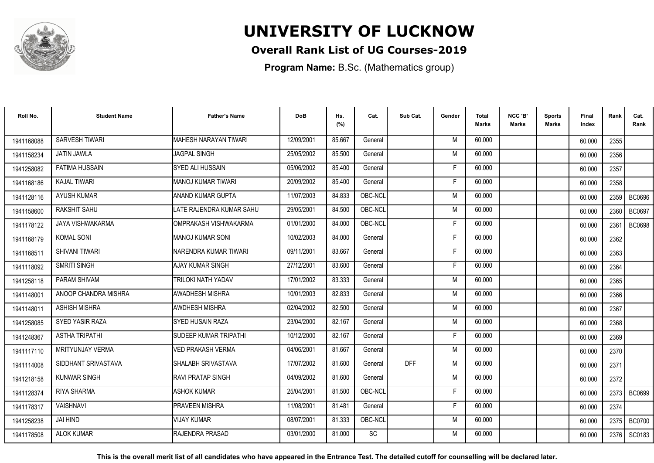

### **Overall Rank List of UG Courses-2019**

**Program Name:** B.Sc. (Mathematics group)

| Roll No.   | <b>Student Name</b>    | <b>Father's Name</b>      | <b>DoB</b> | Hs.<br>(%) | Cat.      | Sub Cat.   | Gender | <b>Total</b><br>Marks | NCC 'B'<br><b>Marks</b> | <b>Sports</b><br>Marks | Final<br>Index | Rank | Cat.<br>Rank  |
|------------|------------------------|---------------------------|------------|------------|-----------|------------|--------|-----------------------|-------------------------|------------------------|----------------|------|---------------|
| 1941168088 | <b>SARVESH TIWARI</b>  | MAHESH NARAYAN TIWARI     | 12/09/2001 | 85.667     | General   |            | M      | 60.000                |                         |                        | 60.000         | 2355 |               |
| 1941158234 | <b>JATIN JAWLA</b>     | <b>JAGPAL SINGH</b>       | 25/05/2002 | 85.500     | General   |            | M      | 60.000                |                         |                        | 60.000         | 2356 |               |
| 1941258082 | <b>FATIMA HUSSAIN</b>  | <b>SYED ALI HUSSAIN</b>   | 05/06/2002 | 85.400     | General   |            | F      | 60.000                |                         |                        | 60.000         | 2357 |               |
| 1941168186 | <b>KAJAL TIWARI</b>    | MANOJ KUMAR TIWARI        | 20/09/2002 | 85.400     | General   |            | E      | 60.000                |                         |                        | 60.000         | 2358 |               |
| 1941128116 | <b>AYUSH KUMAR</b>     | ANAND KUMAR GUPTA         | 11/07/2003 | 84.833     | OBC-NCL   |            | M      | 60.000                |                         |                        | 60.000         | 2359 | <b>BC0696</b> |
| 1941158600 | RAKSHIT SAHU           | LATE RAJENDRA KUMAR SAHU  | 29/05/2001 | 84.500     | OBC-NCL   |            | M      | 60.000                |                         |                        | 60.000         | 2360 | BC0697        |
| 1941178122 | JAYA VISHWAKARMA       | OMPRAKASH VISHWAKARMA     | 01/01/2000 | 84.000     | OBC-NCL   |            | Е      | 60.000                |                         |                        | 60.000         | 2361 | <b>BC0698</b> |
| 1941168179 | <b>KOMAL SONI</b>      | <b>MANOJ KUMAR SONI</b>   | 10/02/2003 | 84.000     | General   |            | E      | 60.000                |                         |                        | 60.000         | 2362 |               |
| 1941168511 | <b>SHIVANI TIWARI</b>  | NARENDRA KUMAR TIWARI     | 09/11/2001 | 83.667     | General   |            | F      | 60.000                |                         |                        | 60.000         | 2363 |               |
| 1941118092 | SMRITI SINGH           | <b>AJAY KUMAR SINGH</b>   | 27/12/2001 | 83.600     | General   |            | F      | 60.000                |                         |                        | 60.000         | 2364 |               |
| 1941258118 | PARAM SHIVAM           | <b>TRILOKI NATH YADAV</b> | 17/01/2002 | 83.333     | General   |            | M      | 60.000                |                         |                        | 60.000         | 2365 |               |
| 1941148001 | ANOOP CHANDRA MISHRA   | AWADHESH MISHRA           | 10/01/2003 | 82.833     | General   |            | M      | 60.000                |                         |                        | 60.000         | 2366 |               |
| 1941148011 | <b>ASHISH MISHRA</b>   | <b>AWDHESH MISHRA</b>     | 02/04/2002 | 82.500     | General   |            | M      | 60.000                |                         |                        | 60.000         | 2367 |               |
| 1941258085 | <b>SYED YASIR RAZA</b> | ISYED HUSAIN RAZA         | 23/04/2000 | 82.167     | General   |            | M      | 60.000                |                         |                        | 60.000         | 2368 |               |
| 1941248367 | <b>ASTHA TRIPATHI</b>  | SUDEEP KUMAR TRIPATHI     | 10/12/2000 | 82.167     | General   |            | Е      | 60.000                |                         |                        | 60.000         | 2369 |               |
| 1941117110 | MRITYUNJAY VERMA       | <b>VED PRAKASH VERMA</b>  | 04/06/2001 | 81.667     | General   |            | M      | 60.000                |                         |                        | 60.000         | 2370 |               |
| 1941114008 | SIDDHANT SRIVASTAVA    | SHALABH SRIVASTAVA        | 17/07/2002 | 81.600     | General   | <b>DFF</b> | M      | 60.000                |                         |                        | 60.000         | 2371 |               |
| 1941218158 | <b>KUNWAR SINGH</b>    | <b>RAVI PRATAP SINGH</b>  | 04/09/2002 | 81.600     | General   |            | M      | 60.000                |                         |                        | 60.000         | 2372 |               |
| 1941128374 | <b>RIYA SHARMA</b>     | <b>ASHOK KUMAR</b>        | 25/04/2001 | 81.500     | OBC-NCL   |            | F      | 60.000                |                         |                        | 60.000         |      | 2373   BC0699 |
| 1941178317 | <b>VAISHNAVI</b>       | <b>PRAVEEN MISHRA</b>     | 11/08/2001 | 81.481     | General   |            | F      | 60.000                |                         |                        | 60.000         | 2374 |               |
| 1941258238 | <b>JAI HIND</b>        | <b>VIJAY KUMAR</b>        | 08/07/2001 | 81.333     | OBC-NCL   |            | M      | 60.000                |                         |                        | 60.000         | 2375 | <b>BC0700</b> |
| 1941178508 | <b>ALOK KUMAR</b>      | RAJENDRA PRASAD           | 03/01/2000 | 81.000     | <b>SC</b> |            | M      | 60.000                |                         |                        | 60.000         |      | 2376   SC0183 |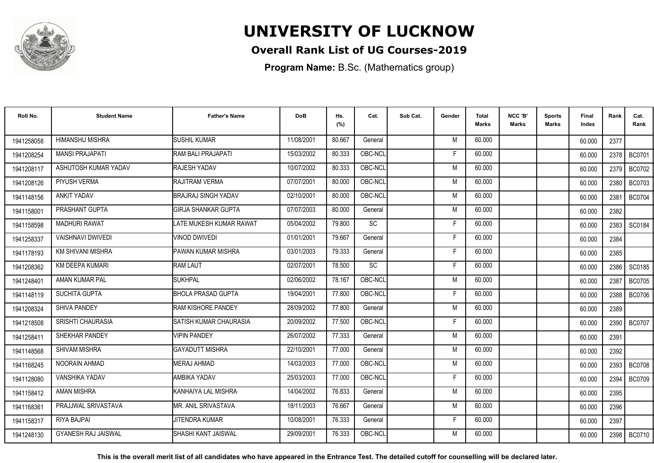

### **Overall Rank List of UG Courses-2019**

**Program Name:** B.Sc. (Mathematics group)

| Roll No.   | <b>Student Name</b>        | <b>Father's Name</b>      | <b>DoB</b> | Hs.<br>(%) | Cat.      | Sub Cat. | Gender | Total<br>Marks | NCC 'B'<br><b>Marks</b> | Sports<br>Marks | Final<br>Index | Rank | Cat.<br>Rank  |
|------------|----------------------------|---------------------------|------------|------------|-----------|----------|--------|----------------|-------------------------|-----------------|----------------|------|---------------|
| 1941258058 | <b>HIMANSHU MISHRA</b>     | <b>SUSHIL KUMAR</b>       | 11/08/2001 | 80.667     | General   |          | M      | 60.000         |                         |                 | 60.000         | 2377 |               |
| 1941208254 | <b>MANSI PRAJAPATI</b>     | RAM BALI PRAJAPATI        | 15/03/2002 | 80.333     | OBC-NCL   |          | F      | 60.000         |                         |                 | 60.000         | 2378 | <b>BC0701</b> |
| 1941208117 | ASHUTOSH KUMAR YADAV       | RAJESH YADAV              | 10/07/2002 | 80.333     | OBC-NCL   |          | M      | 60.000         |                         |                 | 60.000         | 2379 | <b>BC0702</b> |
| 1941208126 | PIYUSH VERMA               | RAJITRAM VERMA            | 07/07/2001 | 80.000     | OBC-NCL   |          | M      | 60.000         |                         |                 | 60.000         | 2380 | <b>BC0703</b> |
| 1941148156 | <b>ANKIT YADAV</b>         | BRAJRAJ SINGH YADAV       | 02/10/2001 | 80.000     | OBC-NCL   |          | M      | 60.000         |                         |                 | 60.000         | 2381 | <b>BC0704</b> |
| 1941158001 | PRASHANT GUPTA             | İGIRJA SHANKAR GUPTA      | 07/07/2003 | 80.000     | General   |          | M      | 60.000         |                         |                 | 60.000         | 2382 |               |
| 1941158598 | <b>MADHURI RAWAT</b>       | LATE MUKESH KUMAR RAWAT   | 05/04/2002 | 79.800     | <b>SC</b> |          | F      | 60.000         |                         |                 | 60.000         | 2383 | SC0184        |
| 1941258337 | <b>VAISHNAVI DWIVEDI</b>   | <b>VINOD DWIVEDI</b>      | 01/01/2001 | 79.667     | General   |          | F      | 60.000         |                         |                 | 60.000         | 2384 |               |
| 1941178193 | KM SHIVANI MISHRA          | PAWAN KUMAR MISHRA        | 03/01/2003 | 79.333     | General   |          | F      | 60.000         |                         |                 | 60.000         | 2385 |               |
| 1941208362 | KM DEEPA KUMARI            | <b>RAM LAUT</b>           | 02/07/2001 | 78.500     | SC        |          | F.     | 60.000         |                         |                 | 60.000         | 2386 | SC0185        |
| 1941248401 | AMAN KUMAR PAL             | <b>SUKHPAL</b>            | 02/06/2002 | 78.167     | OBC-NCL   |          | M      | 60.000         |                         |                 | 60.000         | 2387 | <b>BC0705</b> |
| 1941148119 | <b>SUCHITA GUPTA</b>       | <b>BHOLA PRASAD GUPTA</b> | 19/04/2001 | 77.800     | OBC-NCL   |          | F      | 60.000         |                         |                 | 60.000         | 2388 | <b>BC0706</b> |
| 1941208324 | SHIVA PANDEY               | RAM KISHORE PANDEY        | 28/09/2002 | 77.800     | General   |          | M      | 60.000         |                         |                 | 60.000         | 2389 |               |
| 1941218508 | SRISHTI CHAURASIA          | SATISH KUMAR CHAURASIA    | 20/09/2002 | 77.500     | OBC-NCL   |          | F      | 60.000         |                         |                 | 60.000         | 2390 | <b>BC0707</b> |
| 1941258411 | SHEKHAR PANDEY             | <b>VIPIN PANDEY</b>       | 26/07/2002 | 77.333     | General   |          | M      | 60.000         |                         |                 | 60.000         | 2391 |               |
| 1941148568 | <b>SHIVAM MISHRA</b>       | <b>GAYADUTT MISHRA</b>    | 22/10/2001 | 77.000     | General   |          | M      | 60.000         |                         |                 | 60.000         | 2392 |               |
| 1941168245 | NOORAIN AHMAD              | <b>MERAJ AHMAD</b>        | 14/03/2003 | 77.000     | OBC-NCL   |          | M      | 60.000         |                         |                 | 60.000         |      | 2393   BC0708 |
| 1941128080 | <b>VANSHIKA YADAV</b>      | AMBIKA YADAV              | 25/03/2003 | 77.000     | OBC-NCL   |          | F      | 60.000         |                         |                 | 60.000         | 2394 | <b>BC0709</b> |
| 1941158412 | <b>AMAN MISHRA</b>         | KANHAIYA LAL MISHRA       | 14/04/2002 | 76.833     | General   |          | M      | 60.000         |                         |                 | 60.000         | 2395 |               |
| 1941168361 | PRAJJWAL SRIVASTAVA        | MR. ANIL SRIVASTAVA       | 18/11/2003 | 76.667     | General   |          | M      | 60.000         |                         |                 | 60.000         | 2396 |               |
| 1941158317 | RIYA BAJPAI                | <b>JITENDRA KUMAR</b>     | 10/08/2001 | 76.333     | General   |          | F.     | 60.000         |                         |                 | 60.000         | 2397 |               |
| 1941248130 | <b>GYANESH RAJ JAISWAL</b> | ISHASHI KANT JAISWAL      | 29/09/2001 | 76.333     | OBC-NCL   |          | M      | 60.000         |                         |                 | 60.000         |      | 2398   BC0710 |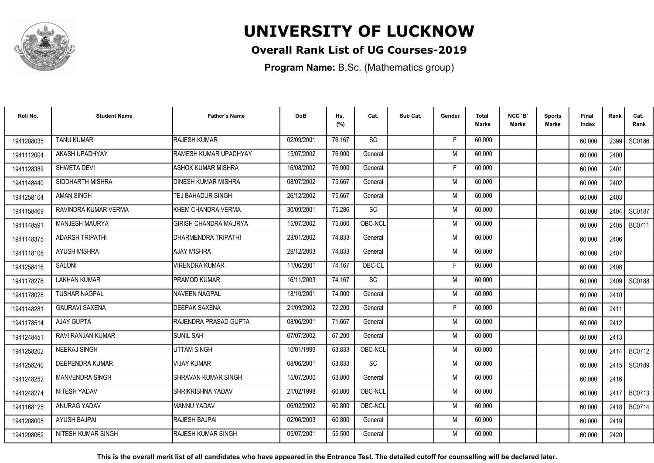

### **Overall Rank List of UG Courses-2019**

**Program Name:** B.Sc. (Mathematics group)

| Roll No.   | <b>Student Name</b>      | <b>Father's Name</b>         | <b>DoB</b> | Hs.<br>(%) | Cat.      | Sub Cat. | Gender | <b>Total</b><br><b>Marks</b> | NCC 'B'<br><b>Marks</b> | Sports<br><b>Marks</b> | <b>Final</b><br>Index | Rank   | Cat.<br>Rank  |
|------------|--------------------------|------------------------------|------------|------------|-----------|----------|--------|------------------------------|-------------------------|------------------------|-----------------------|--------|---------------|
| 1941208035 | <b>TANU KUMARI</b>       | <b>RAJESH KUMAR</b>          | 02/09/2001 | 76.167     | <b>SC</b> |          | F      | 60.000                       |                         |                        | 60.000                | 2399 I | SC0186        |
| 1941112004 | AKASH UPADHYAY           | RAMESH KUMAR UPADHYAY        | 15/07/2002 | 76.000     | General   |          | M      | 60.000                       |                         |                        | 60.000                | 2400   |               |
| 1941128389 | SHWETA DEVI              | <b>ASHOK KUMAR MISHRA</b>    | 16/08/2002 | 76.000     | General   |          | F      | 60.000                       |                         |                        | 60.000                | 2401   |               |
| 1941148440 | SIDDHARTH MISHRA         | <b>DINESH KUMAR MISHRA</b>   | 08/07/2002 | 75.667     | General   |          | M      | 60.000                       |                         |                        | 60.000                | 2402   |               |
| 1941258104 | <b>AMAN SINGH</b>        | TEJ BAHADUR SINGH            | 26/12/2002 | 75.667     | General   |          | M      | 60.000                       |                         |                        | 60.000                | 2403   |               |
| 1941158469 | RAVINDRA KUMAR VERMA     | KHEM CHANDRA VERMA           | 30/09/2001 | 75.286     | SC        |          | M      | 60.000                       |                         |                        | 60.000                | 2404   | SC0187        |
| 1941148591 | MANJESH MAURYA           | <b>GIRISH CHANDRA MAURYA</b> | 15/07/2002 | 75.000     | OBC-NCL   |          | M      | 60.000                       |                         |                        | 60.000                | 2405   | <b>BC0711</b> |
| 1941148375 | <b>ADARSH TRIPATHI</b>   | DHARMENDRA TRIPATHI          | 23/01/2002 | 74.833     | General   |          | M      | 60.000                       |                         |                        | 60.000                | 2406   |               |
| 1941118106 | <b>AYUSH MISHRA</b>      | AJAY MISHRA                  | 29/12/2003 | 74.833     | General   |          | M      | 60.000                       |                         |                        | 60.000                | 2407   |               |
| 1941258416 | SALONI                   | <b>/IRENDRA KUMAR</b>        | 11/06/2001 | 74.167     | OBC-CL    |          | F      | 60.000                       |                         |                        | 60.000                | 2408   |               |
| 1941178276 | <b>LAKHAN KUMAR</b>      | PRAMOD KUMAR                 | 16/11/2003 | 74.167     | <b>SC</b> |          | M      | 60.000                       |                         |                        | 60.000                | 2409   | <b>SC0188</b> |
| 1941178028 | <b>TUSHAR NAGPAL</b>     | <b>NAVEEN NAGPAL</b>         | 18/10/2001 | 74.000     | General   |          | M      | 60.000                       |                         |                        | 60.000                | 2410   |               |
| 194114828  | <b>GAURAVI SAXENA</b>    | <b>DEEPAK SAXENA</b>         | 21/09/2002 | 72.200     | General   |          |        | 60.000                       |                         |                        | 60.000                | 2411   |               |
| 1941178514 | <b>AJAY GUPTA</b>        | <b>RAJENDRA PRASAD GUPTA</b> | 08/06/2001 | 71.667     | General   |          | M      | 60.000                       |                         |                        | 60.000                | 2412   |               |
| 1941248451 | <b>RAVI RANJAN KUMAR</b> | <b>SUNIL SAH</b>             | 07/07/2002 | 67.200     | General   |          | M      | 60.000                       |                         |                        | 60.000                | 2413   |               |
| 1941258202 | <b>NEERAJ SINGH</b>      | UTTAM SINGH                  | 10/01/1999 | 63.833     | OBC-NCL   |          | M      | 60.000                       |                         |                        | 60.000                | 2414   | BC0712        |
| 1941258240 | <b>DEEPENDRA KUMAR</b>   | <b>VIJAY KUMAR</b>           | 08/06/2001 | 63.833     | <b>SC</b> |          | M      | 60.000                       |                         |                        | 60.000                |        | 2415   SC0189 |
| 1941248252 | <b>MANVENDRA SINGH</b>   | <b>SHRAVAN KUMAR SINGH</b>   | 15/07/2000 | 63.800     | General   |          | M      | 60.000                       |                         |                        | 60.000                | 2416   |               |
| 1941248274 | NITESH YADAV             | SHRIKRISHNA YADAV            | 21/02/1998 | 60.800     | OBC-NCL   |          | M      | 60.000                       |                         |                        | 60.000                | 2417   | <b>BC0713</b> |
| 1941168125 | <b>ANURAG YADAV</b>      | <b>MANNU YADAV</b>           | 06/02/2002 | 60.800     | OBC-NCL   |          | M      | 60.000                       |                         |                        | 60.000                | 2418 l | <b>BC0714</b> |
| 1941208005 | <b>AYUSH BAJPAI</b>      | RAJESH BAJPAI                | 02/06/2003 | 60.800     | General   |          | M      | 60.000                       |                         |                        | 60.000                | 2419   |               |
| 1941208062 | NITESH KUMAR SINGH       | <b>IRAJESH KUMAR SINGH</b>   | 05/07/2001 | 55.500     | General   |          | M      | 60.000                       |                         |                        | 60.000                | 2420   |               |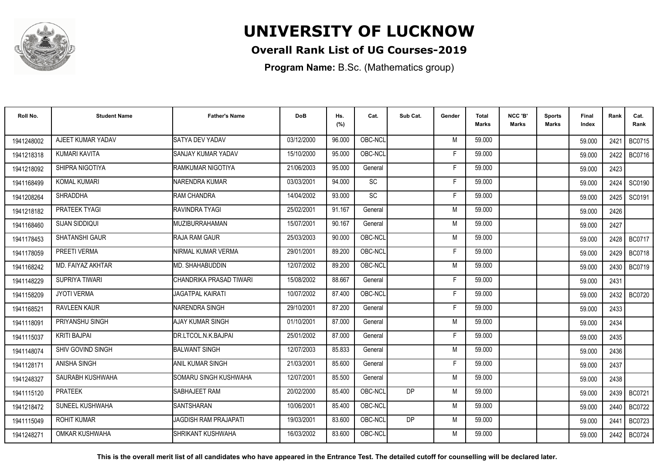

### **Overall Rank List of UG Courses-2019**

**Program Name:** B.Sc. (Mathematics group)

| Roll No.   | <b>Student Name</b>   | <b>Father's Name</b>         | <b>DoB</b> | Hs.<br>(%) | Cat.            | Sub Cat. | Gender | <b>Total</b><br><b>Marks</b> | NCC 'B'<br><b>Marks</b> | Sports<br>Marks | <b>Final</b><br>Index | Rank | Cat.<br>Rank  |
|------------|-----------------------|------------------------------|------------|------------|-----------------|----------|--------|------------------------------|-------------------------|-----------------|-----------------------|------|---------------|
| 1941248002 | AJEET KUMAR YADAV     | SATYA DEV YADAV              | 03/12/2000 | 96.000     | OBC-NCL         |          | M      | 59.000                       |                         |                 | 59,000                | 2421 | <b>BC0715</b> |
| 1941218318 | KUMARI KAVITA         | SANJAY KUMAR YADAV           | 15/10/2000 | 95.000     | OBC-NCL         |          | F      | 59.000                       |                         |                 | 59,000                | 2422 | <b>BC0716</b> |
| 1941218092 | SHIPRA NIGOTIYA       | RAMKUMAR NIGOTIYA            | 21/06/2003 | 95.000     | General         |          | F      | 59.000                       |                         |                 | 59.000                | 2423 |               |
| 1941168499 | <b>KOMAL KUMARI</b>   | NARENDRA KUMAR               | 03/03/2001 | 94.000     | $\overline{SC}$ |          | F      | 59.000                       |                         |                 | 59.000                | 2424 | SC0190        |
| 1941208264 | <b>SHRADDHA</b>       | RAM CHANDRA                  | 14/04/2002 | 93.000     | <b>SC</b>       |          | F      | 59.000                       |                         |                 | 59.000                | 2425 | SC0191        |
| 1941218182 | PRATEEK TYAGI         | <b>RAVINDRA TYAGI</b>        | 25/02/2001 | 91.167     | General         |          | M      | 59.000                       |                         |                 | 59.000                | 2426 |               |
| 1941168460 | <b>SIJAN SIDDIQUI</b> | <b>MUZIBURRAHAMAN</b>        | 15/07/2001 | 90.167     | General         |          | M      | 59.000                       |                         |                 | 59.000                | 2427 |               |
| 1941178453 | SHATANSHI GAUR        | RAJA RAM GAUR                | 25/03/2003 | 90.000     | OBC-NCL         |          | M      | 59.000                       |                         |                 | 59.000                | 2428 | <b>BC0717</b> |
| 1941178059 | PREETI VERMA          | NIRMAL KUMAR VERMA           | 29/01/2001 | 89.200     | OBC-NCL         |          | F      | 59.000                       |                         |                 | 59.000                |      | 2429   BC0718 |
| 1941168242 | MD. FAIYAZ AKHTAR     | MD. SHAHABUDDIN              | 12/07/2002 | 89.200     | OBC-NCL         |          | M      | 59.000                       |                         |                 | 59.000                | 2430 | BC0719        |
| 1941148229 | SUPRIYA TIWARI        | CHANDRIKA PRASAD TIWARI      | 15/08/2002 | 88.667     | General         |          | F      | 59.000                       |                         |                 | 59.000                | 2431 |               |
| 1941158209 | <b>JYOTI VERMA</b>    | <b>JAGATPAL KAIRATI</b>      | 10/07/2002 | 87.400     | OBC-NCL         |          | F.     | 59.000                       |                         |                 | 59.000                | 2432 | <b>BC0720</b> |
| 194116852  | <b>RAVLEEN KAUR</b>   | NARENDRA SINGH               | 29/10/2001 | 87.200     | General         |          | F      | 59.000                       |                         |                 | 59,000                | 2433 |               |
| 1941118091 | PRIYANSHU SINGH       | AJAY KUMAR SINGH             | 01/10/2001 | 87.000     | General         |          | M      | 59.000                       |                         |                 | 59.000                | 2434 |               |
| 1941115037 | <b>KRITI BAJPAI</b>   | DR.LTCOL.N.K.BAJPAI          | 25/01/2002 | 87.000     | General         |          | Е      | 59.000                       |                         |                 | 59.000                | 2435 |               |
| 1941148074 | SHIV GOVIND SINGH     | <b>BALWANT SINGH</b>         | 12/07/2003 | 85.833     | General         |          | M      | 59.000                       |                         |                 | 59.000                | 2436 |               |
| 1941128171 | <b>ANISHA SINGH</b>   | <b>ANIL KUMAR SINGH</b>      | 21/03/2001 | 85.600     | General         |          | F      | 59.000                       |                         |                 | 59.000                | 2437 |               |
| 1941248327 | SAURABH KUSHWAHA      | SOMARU SINGH KUSHWAHA        | 12/07/2001 | 85.500     | General         |          | M      | 59.000                       |                         |                 | 59.000                | 2438 |               |
| 1941115120 | <b>PRATEEK</b>        | SABHAJEET RAM                | 20/02/2000 | 85.400     | OBC-NCL         | DP       | M      | 59.000                       |                         |                 | 59.000                | 2439 | BC0721        |
| 1941218472 | SUNEEL KUSHWAHA       | <b>SANTSHARAN</b>            | 10/06/2001 | 85.400     | OBC-NCL         |          | M      | 59.000                       |                         |                 | 59.000                | 2440 | <b>BC0722</b> |
| 1941115049 | <b>ROHIT KUMAR</b>    | <b>JAGDISH RAM PRAJAPATI</b> | 19/03/2001 | 83.600     | OBC-NCL         | DP       | M      | 59.000                       |                         |                 | 59.000                | 2441 | <b>BC0723</b> |
| 1941248271 | OMKAR KUSHWAHA        | SHRIKANT KUSHWAHA            | 16/03/2002 | 83.600     | OBC-NCL         |          | M      | 59.000                       |                         |                 | 59.000                | 2442 | <b>BC0724</b> |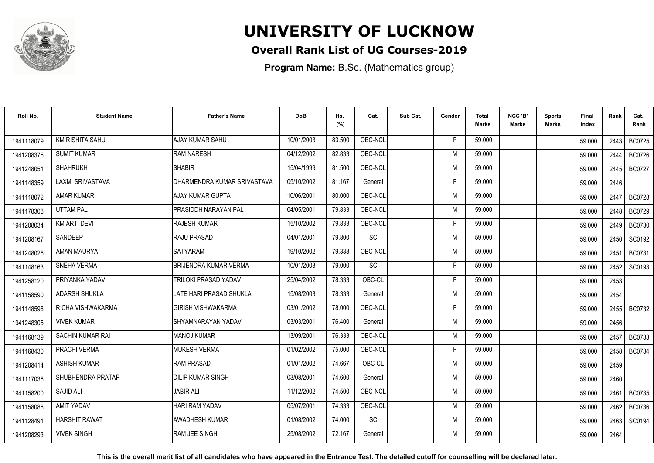

### **Overall Rank List of UG Courses-2019**

**Program Name:** B.Sc. (Mathematics group)

| Roll No.   | <b>Student Name</b>     | <b>Father's Name</b>         | <b>DoB</b> | Hs.<br>(%) | Cat.      | Sub Cat. | Gender | <b>Total</b><br><b>Marks</b> | NCC 'B'<br><b>Marks</b> | <b>Sports</b><br>Marks | Final<br>Index | Rank | Cat.<br>Rank  |
|------------|-------------------------|------------------------------|------------|------------|-----------|----------|--------|------------------------------|-------------------------|------------------------|----------------|------|---------------|
| 1941118079 | <b>KM RISHITA SAHU</b>  | AJAY KUMAR SAHU              | 10/01/2003 | 83.500     | OBC-NCL   |          | F      | 59.000                       |                         |                        | 59,000         | 2443 | <b>BC0725</b> |
| 1941208376 | <b>SUMIT KUMAR</b>      | <b>RAM NARESH</b>            | 04/12/2002 | 82.833     | OBC-NCL   |          | M      | 59.000                       |                         |                        | 59.000         | 2444 | <b>BC0726</b> |
| 1941248051 | <b>SHAHRUKH</b>         | <b>SHABIR</b>                | 15/04/1999 | 81.500     | OBC-NCL   |          | M      | 59.000                       |                         |                        | 59.000         | 2445 | <b>BC0727</b> |
| 1941148359 | LAXMI SRIVASTAVA        | DHARMENDRA KUMAR SRIVASTAVA  | 05/10/2002 | 81.167     | General   |          | F      | 59.000                       |                         |                        | 59.000         | 2446 |               |
| 1941118072 | <b>AMAR KUMAR</b>       | AJAY KUMAR GUPTA             | 10/06/2001 | 80.000     | OBC-NCL   |          | M      | 59.000                       |                         |                        | 59.000         | 2447 | <b>BC0728</b> |
| 1941178308 | <b>UTTAM PAL</b>        | PRASIDDH NARAYAN PAL         | 04/05/2001 | 79.833     | OBC-NCL   |          | M      | 59.000                       |                         |                        | 59,000         | 2448 | <b>BC0729</b> |
| 1941208034 | <b>KM ARTI DEVI</b>     | <b>RAJESH KUMAR</b>          | 15/10/2002 | 79.833     | OBC-NCL   |          | F      | 59.000                       |                         |                        | 59.000         | 2449 | <b>BC0730</b> |
| 1941208167 | SANDEEP                 | <b>RAJU PRASAD</b>           | 04/01/2001 | 79.800     | SC        |          | M      | 59.000                       |                         |                        | 59.000         | 2450 | SC0192        |
| 1941248025 | AMAN MAURYA             | <b>SATYARAM</b>              | 19/10/2002 | 79.333     | OBC-NCL   |          | M      | 59.000                       |                         |                        | 59.000         | 2451 | <b>BC0731</b> |
| 1941148163 | SNEHA VERMA             | <b>BRIJENDRA KUMAR VERMA</b> | 10/01/2003 | 79.000     | <b>SC</b> |          | F      | 59.000                       |                         |                        | 59.000         | 2452 | SC0193        |
| 1941258120 | PRIYANKA YADAV          | TRILOKI PRASAD YADAV         | 25/04/2002 | 78.333     | OBC-CL    |          | F      | 59.000                       |                         |                        | 59.000         | 2453 |               |
| 1941158590 | <b>ADARSH SHUKLA</b>    | LATE HARI PRASAD SHUKLA      | 15/08/2003 | 78.333     | General   |          | M      | 59.000                       |                         |                        | 59.000         | 2454 |               |
| 1941148598 | RICHA VISHWAKARMA       | <b>GIRISH VISHWAKARMA</b>    | 03/01/2002 | 78.000     | OBC-NCL   |          | F      | 59.000                       |                         |                        | 59.000         | 2455 | <b>BC0732</b> |
| 1941248305 | <b>VIVEK KUMAR</b>      | SHYAMNARAYAN YADAV           | 03/03/2001 | 76.400     | General   |          | M      | 59.000                       |                         |                        | 59.000         | 2456 |               |
| 1941168139 | <b>SACHIN KUMAR RAI</b> | <b>MANOJ KUMAR</b>           | 13/09/2001 | 76.333     | OBC-NCL   |          | M      | 59.000                       |                         |                        | 59.000         | 2457 | <b>BC0733</b> |
| 1941168430 | PRACHI VERMA            | <b>MUKESH VERMA</b>          | 01/02/2002 | 75.000     | OBC-NCL   |          | F      | 59.000                       |                         |                        | 59.000         | 2458 | <b>BC0734</b> |
| 1941208414 | <b>ASHISH KUMAR</b>     | <b>RAM PRASAD</b>            | 01/01/2002 | 74.667     | OBC-CL    |          | M      | 59.000                       |                         |                        | 59.000         | 2459 |               |
| 1941117036 | SHUBHENDRA PRATAP       | <b>DILIP KUMAR SINGH</b>     | 03/08/2001 | 74.600     | General   |          | M      | 59.000                       |                         |                        | 59.000         | 2460 |               |
| 1941158200 | SAJID ALI               | <b>JABIR ALI</b>             | 11/12/2002 | 74.500     | OBC-NCL   |          | M      | 59.000                       |                         |                        | 59.000         | 2461 | BC0735        |
| 1941158088 | AMIT YADAV              | <b>HARI RAM YADAV</b>        | 05/07/2001 | 74.333     | OBC-NCL   |          | M      | 59.000                       |                         |                        | 59.000         | 2462 | <b>BC0736</b> |
| 1941128491 | <b>HARSHIT RAWAT</b>    | AWADHESH KUMAR               | 01/08/2002 | 74.000     | <b>SC</b> |          | M      | 59.000                       |                         |                        | 59.000         | 2463 | SC0194        |
| 1941208293 | <b>VIVEK SINGH</b>      | RAM JEE SINGH                | 25/08/2002 | 72.167     | General   |          | M      | 59.000                       |                         |                        | 59.000         | 2464 |               |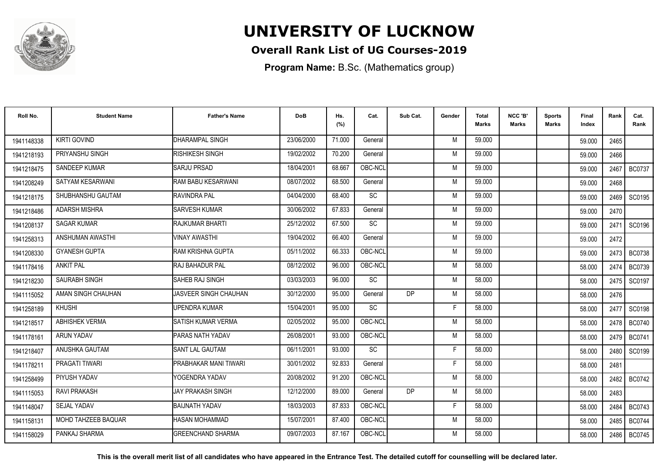

### **Overall Rank List of UG Courses-2019**

**Program Name:** B.Sc. (Mathematics group)

| Roll No.   | <b>Student Name</b>        | <b>Father's Name</b>         | <b>DoB</b> | Hs.<br>(%) | Cat.      | Sub Cat.  | Gender | <b>Total</b><br>Marks | NCC 'B'<br><b>Marks</b> | <b>Sports</b><br><b>Marks</b> | Final<br>Index | Rank | Cat.<br>Rank  |
|------------|----------------------------|------------------------------|------------|------------|-----------|-----------|--------|-----------------------|-------------------------|-------------------------------|----------------|------|---------------|
| 1941148338 | <b>KIRTI GOVIND</b>        | <b>DHARAMPAL SINGH</b>       | 23/06/2000 | 71.000     | General   |           | M      | 59.000                |                         |                               | 59.000         | 2465 |               |
| 1941218193 | PRIYANSHU SINGH            | RISHIKESH SINGH              | 19/02/2002 | 70.200     | General   |           | M      | 59.000                |                         |                               | 59.000         | 2466 |               |
| 1941218475 | SANDEEP KUMAR              | <b>SARJU PRSAD</b>           | 18/04/2001 | 68.667     | OBC-NCL   |           | M      | 59.000                |                         |                               | 59.000         | 2467 | <b>BC0737</b> |
| 1941208249 | SATYAM KESARWANI           | RAM BABU KESARWANI           | 08/07/2002 | 68.500     | General   |           | M      | 59.000                |                         |                               | 59.000         | 2468 |               |
| 1941218175 | SHUBHANSHU GAUTAM          | <b>RAVINDRA PAL</b>          | 04/04/2000 | 68.400     | <b>SC</b> |           | M      | 59.000                |                         |                               | 59.000         | 2469 | SC0195        |
| 1941218486 | <b>ADARSH MISHRA</b>       | <b>SARVESH KUMAR</b>         | 30/06/2002 | 67.833     | General   |           | M      | 59.000                |                         |                               | 59.000         | 2470 |               |
| 1941208137 | <b>SAGAR KUMAR</b>         | <b>RAJKUMAR BHARTI</b>       | 25/12/2002 | 67.500     | <b>SC</b> |           | M      | 59.000                |                         |                               | 59.000         | 2471 | SC0196        |
| 1941258313 | ANSHUMAN AWASTHI           | <b>VINAY AWASTHI</b>         | 19/04/2002 | 66.400     | General   |           | M      | 59.000                |                         |                               | 59.000         | 2472 |               |
| 1941208330 | <b>GYANESH GUPTA</b>       | IRAM KRISHNA GUPTA           | 05/11/2002 | 66.333     | OBC-NCL   |           | M      | 59.000                |                         |                               | 59.000         | 2473 | <b>BC0738</b> |
| 1941178416 | <b>ANKIT PAL</b>           | <b>IRAJ BAHADUR PAL</b>      | 08/12/2002 | 96.000     | OBC-NCL   |           | M      | 58.000                |                         |                               | 58.000         | 2474 | <b>BC0739</b> |
| 1941218230 | SAURABH SINGH              | ISAHEB RAJ SINGH             | 03/03/2003 | 96.000     | SC        |           | M      | 58.000                |                         |                               | 58.000         | 2475 | SC0197        |
| 1941115052 | AMAN SINGH CHAUHAN         | JASVEER SINGH CHAUHAN        | 30/12/2000 | 95.000     | General   | <b>DP</b> | M      | 58.000                |                         |                               | 58.000         | 2476 |               |
| 1941258189 | <b>KHUSHI</b>              | <b>UPENDRA KUMAR</b>         | 15/04/2001 | 95.000     | SC        |           | F      | 58.000                |                         |                               | 58.000         | 2477 | SC0198        |
| 1941218517 | ABHISHEK VERMA             | <b>SATISH KUMAR VERMA</b>    | 02/05/2002 | 95.000     | OBC-NCL   |           | M      | 58.000                |                         |                               | 58.000         | 2478 | <b>BC0740</b> |
| 1941178161 | ARUN YADAV                 | PARAS NATH YADAV             | 26/08/2001 | 93.000     | OBC-NCL   |           | M      | 58.000                |                         |                               | 58.000         | 2479 | <b>BC0741</b> |
| 1941218407 | ANUSHKA GAUTAM             | <b>SANT LAL GAUTAM</b>       | 06/11/2001 | 93.000     | <b>SC</b> |           | F      | 58.000                |                         |                               | 58.000         | 2480 | SC0199        |
| 1941178211 | PRAGATI TIWARI             | <b>PRABHAKAR MANI TIWARI</b> | 30/01/2002 | 92.833     | General   |           | Е      | 58.000                |                         |                               | 58.000         | 2481 |               |
| 1941258499 | PIYUSH YADAV               | YOGENDRA YADAV               | 20/08/2002 | 91.200     | OBC-NCL   |           | M      | 58.000                |                         |                               | 58.000         | 2482 | <b>BC0742</b> |
| 1941115053 | RAVI PRAKASH               | IJAY PRAKASH SINGH           | 12/12/2000 | 89.000     | General   | <b>DP</b> | M      | 58.000                |                         |                               | 58.000         | 2483 |               |
| 1941148047 | <b>SEJAL YADAV</b>         | BAIJNATH YADAV               | 18/03/2003 | 87.833     | OBC-NCL   |           | F.     | 58,000                |                         |                               | 58.000         | 2484 | <b>BC0743</b> |
| 1941158131 | <b>MOHD TAHZEEB BAQUAR</b> | <b>HASAN MOHAMMAD</b>        | 15/07/2001 | 87.400     | OBC-NCL   |           | M      | 58.000                |                         |                               | 58.000         | 2485 | <b>BC0744</b> |
| 1941158029 | PANKAJ SHARMA              | <b>GREENCHAND SHARMA</b>     | 09/07/2003 | 87.167     | OBC-NCL   |           | M      | 58.000                |                         |                               | 58.000         | 2486 | <b>BC0745</b> |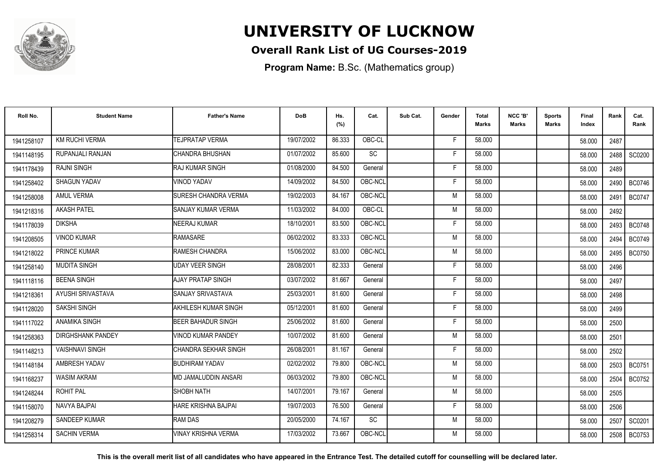

### **Overall Rank List of UG Courses-2019**

**Program Name:** B.Sc. (Mathematics group)

| Roll No.   | <b>Student Name</b>      | <b>Father's Name</b>        | <b>DoB</b> | Hs.<br>(%) | Cat.      | Sub Cat. | Gender | <b>Total</b><br><b>Marks</b> | NCC 'B'<br><b>Marks</b> | Sports<br><b>Marks</b> | Final<br>Index | Rank | Cat.<br>Rank  |
|------------|--------------------------|-----------------------------|------------|------------|-----------|----------|--------|------------------------------|-------------------------|------------------------|----------------|------|---------------|
| 1941258107 | <b>KM RUCHI VERMA</b>    | <b>TEJPRATAP VERMA</b>      | 19/07/2002 | 86.333     | OBC-CL    |          | F      | 58.000                       |                         |                        | 58.000         | 2487 |               |
| 1941148195 | RUPANJALI RANJAN         | CHANDRA BHUSHAN             | 01/07/2002 | 85.600     | SC        |          | F      | 58.000                       |                         |                        | 58.000         | 2488 | SC0200        |
| 1941178439 | <b>RAJNI SINGH</b>       | <b>RAJ KUMAR SINGH</b>      | 01/08/2000 | 84.500     | General   |          | F.     | 58.000                       |                         |                        | 58.000         | 2489 |               |
| 1941258402 | <b>SHAGUN YADAV</b>      | <b>VINOD YADAV</b>          | 14/09/2002 | 84.500     | OBC-NCL   |          | F      | 58.000                       |                         |                        | 58.000         | 2490 | <b>BC0746</b> |
| 1941258008 | <b>AMUL VERMA</b>        | SURESH CHANDRA VERMA        | 19/02/2003 | 84.167     | OBC-NCL   |          | M      | 58.000                       |                         |                        | 58.000         | 2491 | <b>BC0747</b> |
| 1941218316 | <b>AKASH PATEL</b>       | SANJAY KUMAR VERMA          | 11/03/2002 | 84.000     | OBC-CL    |          | M      | 58.000                       |                         |                        | 58.000         | 2492 |               |
| 1941178039 | <b>DIKSHA</b>            | <b>NEERAJ KUMAR</b>         | 18/10/2001 | 83.500     | OBC-NCL   |          | F      | 58.000                       |                         |                        | 58.000         | 2493 | <b>BC0748</b> |
| 1941208505 | <b>VINOD KUMAR</b>       | <b>RAMASARE</b>             | 06/02/2002 | 83.333     | OBC-NCL   |          | M      | 58.000                       |                         |                        | 58.000         | 2494 | <b>BC0749</b> |
| 1941218022 | PRINCE KUMAR             | RAMESH CHANDRA              | 15/06/2002 | 83.000     | OBC-NCL   |          | M      | 58.000                       |                         |                        | 58,000         | 2495 | <b>BC0750</b> |
| 1941258140 | <b>MUDITA SINGH</b>      | <b>UDAY VEER SINGH</b>      | 28/08/2001 | 82.333     | General   |          | F      | 58.000                       |                         |                        | 58.000         | 2496 |               |
| 1941118116 | <b>BEENA SINGH</b>       | AJAY PRATAP SINGH           | 03/07/2002 | 81.667     | General   |          | F      | 58.000                       |                         |                        | 58.000         | 2497 |               |
| 1941218361 | AYUSHI SRIVASTAVA        | SANJAY SRIVASTAVA           | 25/03/2001 | 81.600     | General   |          | F      | 58.000                       |                         |                        | 58.000         | 2498 |               |
| 1941128020 | <b>SAKSHI SINGH</b>      | AKHILESH KUMAR SINGH        | 05/12/2001 | 81.600     | General   |          |        | 58.000                       |                         |                        | 58.000         | 2499 |               |
| 1941117022 | <b>ANAMIKA SINGH</b>     | <b>BEER BAHADUR SINGH</b>   | 25/06/2002 | 81.600     | General   |          | F      | 58.000                       |                         |                        | 58.000         | 2500 |               |
| 1941258363 | <b>DIRGHSHANK PANDEY</b> | VINOD KUMAR PANDEY          | 10/07/2002 | 81.600     | General   |          | M      | 58.000                       |                         |                        | 58.000         | 2501 |               |
| 1941148213 | <b>VAISHNAVI SINGH</b>   | <b>CHANDRA SEKHAR SINGH</b> | 26/08/2001 | 81.167     | General   |          | F      | 58.000                       |                         |                        | 58.000         | 2502 |               |
| 1941148184 | AMBRESH YADAV            | <b>BUDHIRAM YADAV</b>       | 02/02/2002 | 79.800     | OBC-NCL   |          | M      | 58.000                       |                         |                        | 58.000         |      | 2503   BC0751 |
| 1941168237 | <b>WASIM AKRAM</b>       | MD JAMALUDDIN ANSARI        | 06/03/2002 | 79.800     | OBC-NCL   |          | M      | 58.000                       |                         |                        | 58.000         | 2504 | <b>BC0752</b> |
| 1941248244 | <b>ROHIT PAL</b>         | SHOBH NATH                  | 14/07/2001 | 79.167     | General   |          | M      | 58.000                       |                         |                        | 58.000         | 2505 |               |
| 1941158070 | NAVYA BAJPAI             | HARE KRISHNA BAJPAI         | 19/07/2003 | 76.500     | General   |          | F      | 58.000                       |                         |                        | 58.000         | 2506 |               |
| 1941208279 | SANDEEP KUMAR            | <b>RAM DAS</b>              | 20/05/2000 | 74.167     | <b>SC</b> |          | M      | 58.000                       |                         |                        | 58.000         | 2507 | SC0201        |
| 1941258314 | <b>SACHIN VERMA</b>      | VINAY KRISHNA VERMA         | 17/03/2002 | 73.667     | OBC-NCL   |          | M      | 58.000                       |                         |                        | 58.000         | 2508 | BC0753        |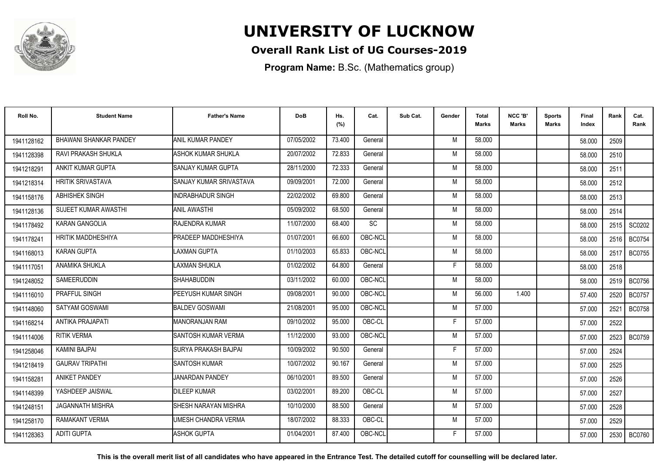

### **Overall Rank List of UG Courses-2019**

**Program Name:** B.Sc. (Mathematics group)

| Roll No.   | <b>Student Name</b>      | <b>Father's Name</b>           | <b>DoB</b> | Hs.<br>(%) | Cat.    | Sub Cat. | Gender | <b>Total</b><br>Marks | NCC 'B'<br><b>Marks</b> | Sports<br><b>Marks</b> | Final<br>Index | Rank | Cat.<br>Rank  |
|------------|--------------------------|--------------------------------|------------|------------|---------|----------|--------|-----------------------|-------------------------|------------------------|----------------|------|---------------|
| 1941128162 | BHAWANI SHANKAR PANDEY   | ANIL KUMAR PANDEY              | 07/05/2002 | 73.400     | General |          | M      | 58.000                |                         |                        | 58.000         | 2509 |               |
| 1941128398 | RAVI PRAKASH SHUKLA      | ASHOK KUMAR SHUKLA             | 20/07/2002 | 72.833     | General |          | M      | 58.000                |                         |                        | 58.000         | 2510 |               |
| 1941218291 | ANKIT KUMAR GUPTA        | <b>ISANJAY KUMAR GUPTA</b>     | 28/11/2000 | 72.333     | General |          | M      | 58.000                |                         |                        | 58.000         | 2511 |               |
| 1941218314 | <b>HRITIK SRIVASTAVA</b> | <b>SANJAY KUMAR SRIVASTAVA</b> | 09/09/2001 | 72.000     | General |          | M      | 58.000                |                         |                        | 58.000         | 2512 |               |
| 1941158176 | <b>ABHISHEK SINGH</b>    | <b>INDRABHADUR SINGH</b>       | 22/02/2002 | 69.800     | General |          | M      | 58.000                |                         |                        | 58.000         | 2513 |               |
| 1941128136 | SUJEET KUMAR AWASTHI     | <b>ANIL AWASTHI</b>            | 05/09/2002 | 68.500     | General |          | M      | 58,000                |                         |                        | 58.000         | 2514 |               |
| 1941178492 | KARAN GANGOLIA           | RAJENDRA KUMAR                 | 11/07/2000 | 68.400     | SC      |          | M      | 58.000                |                         |                        | 58.000         | 2515 | SC0202        |
| 1941178241 | HRITIK MADDHESHIYA       | <b>PRADEEP MADDHESHIYA</b>     | 01/07/2001 | 66.600     | OBC-NCL |          | M      | 58.000                |                         |                        | 58.000         | 2516 | <b>BC0754</b> |
| 1941168013 | <b>KARAN GUPTA</b>       | <b>LAXMAN GUPTA</b>            | 01/10/2003 | 65.833     | OBC-NCL |          | M      | 58.000                |                         |                        | 58.000         | 2517 | <b>BC0755</b> |
| 1941117051 | ANAMIKA SHUKLA           | <b>LAXMAN SHUKLA</b>           | 01/02/2002 | 64.800     | General |          | F      | 58.000                |                         |                        | 58.000         | 2518 |               |
| 1941248052 | SAMEERUDDIN              | <b>SHAHABUDDIN</b>             | 03/11/2002 | 60.000     | OBC-NCL |          | M      | 58.000                |                         |                        | 58.000         | 2519 | <b>BC0756</b> |
| 1941116010 | <b>PRAFFUL SINGH</b>     | PEEYUSH KUMAR SINGH            | 09/08/2001 | 90.000     | OBC-NCL |          | M      | 56.000                | 1.400                   |                        | 57.400         | 2520 | <b>BC0757</b> |
| 1941148060 | SATYAM GOSWAMI           | <b>BALDEV GOSWAMI</b>          | 21/08/2001 | 95.000     | OBC-NCL |          | M      | 57.000                |                         |                        | 57.000         | 2521 | <b>BC0758</b> |
| 1941168214 | <b>ANTIKA PRAJAPATI</b>  | IMANORANJAN RAM                | 09/10/2002 | 95.000     | OBC-CL  |          | F      | 57.000                |                         |                        | 57.000         | 2522 |               |
| 1941114006 | <b>RITIK VERMA</b>       | ISANTOSH KUMAR VERMA           | 11/12/2000 | 93.000     | OBC-NCL |          | M      | 57.000                |                         |                        | 57.000         | 2523 | <b>BC0759</b> |
| 1941258046 | <b>KAMINI BAJPAI</b>     | ISURYA PRAKASH BAJPAI          | 10/09/2002 | 90.500     | General |          | F      | 57.000                |                         |                        | 57.000         | 2524 |               |
| 1941218419 | <b>GAURAV TRIPATHI</b>   | <b>SANTOSH KUMAR</b>           | 10/07/2002 | 90.167     | General |          | M      | 57.000                |                         |                        | 57.000         | 2525 |               |
| 1941158281 | <b>ANIKET PANDEY</b>     | <b>JANARDAN PANDEY</b>         | 06/10/2001 | 89.500     | General |          | M      | 57.000                |                         |                        | 57.000         | 2526 |               |
| 1941148399 | YASHDEEP JAISWAL         | <b>DILEEP KUMAR</b>            | 03/02/2001 | 89.200     | OBC-CL  |          | M      | 57.000                |                         |                        | 57.000         | 2527 |               |
| 1941248151 | <b>JAGANNATH MISHRA</b>  | <b>SHESH NARAYAN MISHRA</b>    | 10/10/2000 | 88.500     | General |          | M      | 57.000                |                         |                        | 57.000         | 2528 |               |
| 1941258170 | <b>RAMAKANT VERMA</b>    | UMESH CHANDRA VERMA            | 18/07/2002 | 88.333     | OBC-CL  |          | M      | 57.000                |                         |                        | 57.000         | 2529 |               |
| 1941128363 | <b>ADITI GUPTA</b>       | <b>ASHOK GUPTA</b>             | 01/04/2001 | 87.400     | OBC-NCL |          | F      | 57.000                |                         |                        | 57.000         |      | 2530   BC0760 |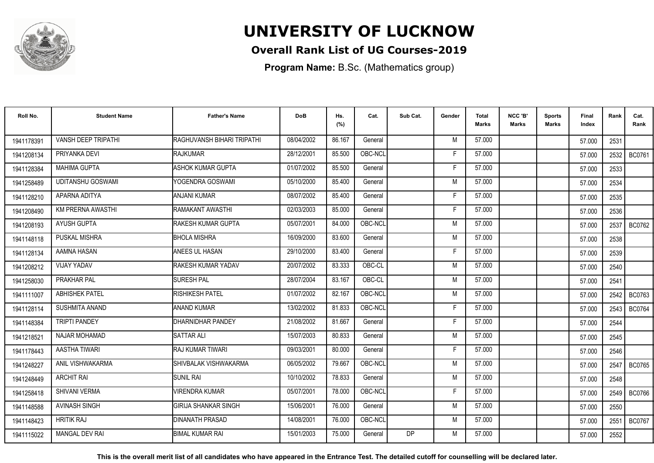

### **Overall Rank List of UG Courses-2019**

**Program Name:** B.Sc. (Mathematics group)

| Roll No.   | <b>Student Name</b>      | <b>Father's Name</b>       | <b>DoB</b> | Hs.<br>(%) | Cat.    | Sub Cat.  | Gender | <b>Total</b><br>Marks | NCC 'B'<br><b>Marks</b> | Sports<br>Marks | Final<br>Index | Rank | Cat.<br>Rank  |
|------------|--------------------------|----------------------------|------------|------------|---------|-----------|--------|-----------------------|-------------------------|-----------------|----------------|------|---------------|
| 1941178391 | VANSH DEEP TRIPATHI      | RAGHUVANSH BIHARI TRIPATHI | 08/04/2002 | 86.167     | General |           | M      | 57.000                |                         |                 | 57.000         | 2531 |               |
| 1941208134 | PRIYANKA DEVI            | RAJKUMAR                   | 28/12/2001 | 85.500     | OBC-NCL |           | F      | 57.000                |                         |                 | 57.000         | 2532 | <b>BC0761</b> |
| 1941128384 | <b>MAHIMA GUPTA</b>      | <b>ASHOK KUMAR GUPTA</b>   | 01/07/2002 | 85.500     | General |           | F      | 57.000                |                         |                 | 57.000         | 2533 |               |
| 1941258489 | <b>UDITANSHU GOSWAMI</b> | YOGENDRA GOSWAMI           | 05/10/2000 | 85.400     | General |           | M      | 57.000                |                         |                 | 57.000         | 2534 |               |
| 1941128210 | APARNA ADITYA            | ANJANI KUMAR               | 08/07/2002 | 85.400     | General |           | F      | 57.000                |                         |                 | 57.000         | 2535 |               |
| 1941208490 | KM PRERNA AWASTHI        | <b>RAMAKANT AWASTHI</b>    | 02/03/2003 | 85.000     | General |           | Е      | 57.000                |                         |                 | 57.000         | 2536 |               |
| 1941208193 | <b>AYUSH GUPTA</b>       | <b>IRAKESH KUMAR GUPTA</b> | 05/07/2001 | 84.000     | OBC-NCL |           | M      | 57.000                |                         |                 | 57.000         | 2537 | <b>BC0762</b> |
| 1941148118 | PUSKAL MISHRA            | <b>BHOLA MISHRA</b>        | 16/09/2000 | 83.600     | General |           | M      | 57.000                |                         |                 | 57.000         | 2538 |               |
| 1941128134 | AAMNA HASAN              | <b>ANEES UL HASAN</b>      | 29/10/2000 | 83.400     | General |           | F      | 57.000                |                         |                 | 57.000         | 2539 |               |
| 1941208212 | <b>VIJAY YADAV</b>       | RAKESH KUMAR YADAV         | 20/07/2002 | 83.333     | OBC-CL  |           | M      | 57.000                |                         |                 | 57.000         | 2540 |               |
| 1941258030 | PRAKHAR PAL              | <b>SURESH PAL</b>          | 28/07/2004 | 83.167     | OBC-CL  |           | M      | 57.000                |                         |                 | 57.000         | 2541 |               |
| 1941111007 | <b>ABHISHEK PATEL</b>    | <b>RISHIKESH PATEL</b>     | 01/07/2002 | 82.167     | OBC-NCL |           | M      | 57.000                |                         |                 | 57.000         | 2542 | <b>BC0763</b> |
| 1941128114 | <b>SUSHMITA ANAND</b>    | <b>ANAND KUMAR</b>         | 13/02/2002 | 81.833     | OBC-NCL |           | E      | 57.000                |                         |                 | 57.000         | 2543 | <b>BC0764</b> |
| 1941148384 | <b>TRIPTI PANDEY</b>     | DHARNIDHAR PANDEY          | 21/08/2002 | 81.667     | General |           | -F     | 57.000                |                         |                 | 57.000         | 2544 |               |
| 1941218521 | NAJAR MOHAMAD            | <b>SATTAR ALI</b>          | 15/07/2003 | 80.833     | General |           | M      | 57.000                |                         |                 | 57.000         | 2545 |               |
| 1941178443 | AASTHA TIWARI            | RAJ KUMAR TIWARI           | 09/03/2001 | 80.000     | General |           | F      | 57.000                |                         |                 | 57.000         | 2546 |               |
| 1941248227 | ANIL VISHWAKARMA         | ISHIVBALAK VISHWAKARMA     | 06/05/2002 | 79.667     | OBC-NCL |           | M      | 57.000                |                         |                 | 57.000         | 2547 | <b>BC0765</b> |
| 1941248449 | <b>ARCHIT RAI</b>        | <b>SUNIL RAI</b>           | 10/10/2002 | 78.833     | General |           | M      | 57.000                |                         |                 | 57.000         | 2548 |               |
| 1941258418 | SHIVANI VERMA            | VIRENDRA KUMAR             | 05/07/2001 | 78.000     | OBC-NCL |           | F      | 57.000                |                         |                 | 57.000         | 2549 | <b>BC0766</b> |
| 1941148588 | <b>AVINASH SINGH</b>     | İGIRIJA SHANKAR SINGH      | 15/06/2001 | 76.000     | General |           | M      | 57.000                |                         |                 | 57.000         | 2550 |               |
| 1941148423 | <b>HRITIK RAJ</b>        | DINANATH PRASAD            | 14/08/2001 | 76.000     | OBC-NCL |           | M      | 57.000                |                         |                 | 57.000         | 2551 | <b>BC0767</b> |
| 1941115022 | <b>MANGAL DEV RAI</b>    | <b>BIMAL KUMAR RAI</b>     | 15/01/2003 | 75.000     | General | <b>DP</b> | M      | 57.000                |                         |                 | 57.000         | 2552 |               |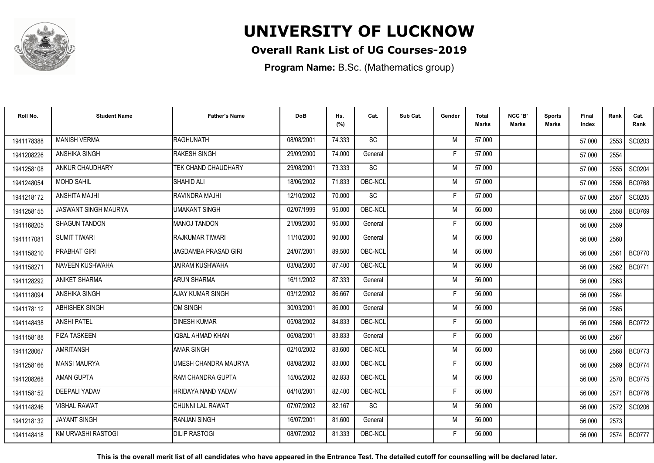

### **Overall Rank List of UG Courses-2019**

**Program Name:** B.Sc. (Mathematics group)

| Roll No.   | <b>Student Name</b>         | <b>Father's Name</b>    | <b>DoB</b> | Hs.<br>(%) | Cat.      | Sub Cat. | Gender | <b>Total</b><br><b>Marks</b> | NCC 'B'<br><b>Marks</b> | Sports<br>Marks | Final<br>Index | Rank | Cat.<br>Rank  |
|------------|-----------------------------|-------------------------|------------|------------|-----------|----------|--------|------------------------------|-------------------------|-----------------|----------------|------|---------------|
| 1941178388 | <b>MANISH VERMA</b>         | RAGHUNATH               | 08/08/2001 | 74.333     | <b>SC</b> |          | M      | 57.000                       |                         |                 | 57.000         | 2553 | SC0203        |
| 1941208226 | ANSHIKA SINGH               | <b>RAKESH SINGH</b>     | 29/09/2000 | 74.000     | General   |          | F      | 57.000                       |                         |                 | 57.000         | 2554 |               |
| 1941258108 | ANKUR CHAUDHARY             | TEK CHAND CHAUDHARY     | 29/08/2001 | 73.333     | SC        |          | M      | 57.000                       |                         |                 | 57.000         | 2555 | SC0204        |
| 1941248054 | <b>MOHD SAHIL</b>           | SHAHID ALI              | 18/06/2002 | 71.833     | OBC-NCL   |          | M      | 57.000                       |                         |                 | 57.000         | 2556 | <b>BC0768</b> |
| 1941218172 | <b>ANSHITA MAJHI</b>        | RAVINDRA MAJHI          | 12/10/2002 | 70.000     | SC        |          | F      | 57.000                       |                         |                 | 57.000         | 2557 | SC0205        |
| 1941258155 | <b>JASWANT SINGH MAURYA</b> | <b>UMAKANT SINGH</b>    | 02/07/1999 | 95.000     | OBC-NCL   |          | M      | 56.000                       |                         |                 | 56.000         | 2558 | <b>BC0769</b> |
| 1941168205 | <b>SHAGUN TANDON</b>        | <b>MANOJ TANDON</b>     | 21/09/2000 | 95.000     | General   |          | F      | 56.000                       |                         |                 | 56.000         | 2559 |               |
| 1941117081 | <b>SUMIT TIWARI</b>         | <b>RAJKUMAR TIWARI</b>  | 11/10/2000 | 90.000     | General   |          | M      | 56.000                       |                         |                 | 56.000         | 2560 |               |
| 1941158210 | <b>PRABHAT GIRI</b>         | JAGDAMBA PRASAD GIRI    | 24/07/2001 | 89.500     | OBC-NCL   |          | M      | 56.000                       |                         |                 | 56.000         | 2561 | BC0770        |
| 1941158271 | NAVEEN KUSHWAHA             | <b>JAIRAM KUSHWAHA</b>  | 03/08/2000 | 87.400     | OBC-NCL   |          | M      | 56.000                       |                         |                 | 56.000         | 2562 | <b>BC0771</b> |
| 1941128292 | ANIKET SHARMA               | <b>ARUN SHARMA</b>      | 16/11/2002 | 87.333     | General   |          | M      | 56.000                       |                         |                 | 56.000         | 2563 |               |
| 1941118094 | ANSHIKA SINGH               | <b>AJAY KUMAR SINGH</b> | 03/12/2002 | 86.667     | General   |          | F.     | 56.000                       |                         |                 | 56.000         | 2564 |               |
| 1941178112 | ABHISHEK SINGH              | <b>OM SINGH</b>         | 30/03/2001 | 86.000     | General   |          | M      | 56.000                       |                         |                 | 56.000         | 2565 |               |
| 1941148438 | <b>ANSHI PATEL</b>          | <b>DINESH KUMAR</b>     | 05/08/2002 | 84.833     | OBC-NCL   |          | F      | 56.000                       |                         |                 | 56.000         | 2566 | <b>BC0772</b> |
| 1941158188 | <b>FIZA TASKEEN</b>         | <b>IQBAL AHMAD KHAN</b> | 06/08/2001 | 83.833     | General   |          | Е      | 56.000                       |                         |                 | 56.000         | 2567 |               |
| 1941128067 | <b>AMRITANSH</b>            | <b>AMAR SINGH</b>       | 02/10/2002 | 83.600     | OBC-NCL   |          | M      | 56.000                       |                         |                 | 56.000         | 2568 | <b>BC0773</b> |
| 1941258166 | <b>MANSI MAURYA</b>         | UMESH CHANDRA MAURYA    | 08/08/2002 | 83.000     | OBC-NCL   |          | F      | 56.000                       |                         |                 | 56.000         | 2569 | <b>BC0774</b> |
| 1941208268 | <b>AMAN GUPTA</b>           | RAM CHANDRA GUPTA       | 15/05/2002 | 82.833     | OBC-NCL   |          | M      | 56.000                       |                         |                 | 56.000         | 2570 | <b>BC0775</b> |
| 1941158152 | <b>DEEPALI YADAV</b>        | HRIDAYA NAND YADAV      | 04/10/2001 | 82.400     | OBC-NCL   |          | F      | 56.000                       |                         |                 | 56.000         | 2571 | <b>BC0776</b> |
| 1941148246 | <b>VISHAL RAWAT</b>         | <b>CHUNNI LAL RAWAT</b> | 07/07/2002 | 82.167     | <b>SC</b> |          | M      | 56.000                       |                         |                 | 56.000         | 2572 | SC0206        |
| 1941218132 | <b>JAYANT SINGH</b>         | RANJAN SINGH            | 16/07/2001 | 81.600     | General   |          | M      | 56.000                       |                         |                 | 56.000         | 2573 |               |
| 1941148418 | <b>KM URVASHI RASTOGI</b>   | <b>DILIP RASTOGI</b>    | 08/07/2002 | 81.333     | OBC-NCL   |          |        | 56.000                       |                         |                 | 56.000         | 2574 | <b>BC0777</b> |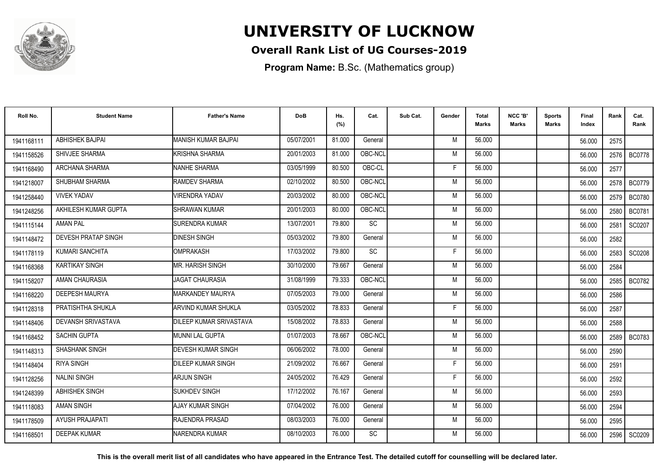

### **Overall Rank List of UG Courses-2019**

**Program Name:** B.Sc. (Mathematics group)

| Roll No.   | <b>Student Name</b>        | <b>Father's Name</b>      | <b>DoB</b> | Hs.<br>(%) | Cat.      | Sub Cat. | Gender | <b>Total</b><br><b>Marks</b> | NCC 'B'<br><b>Marks</b> | <b>Sports</b><br>Marks | Final<br>Index | Rank | Cat.<br>Rank  |
|------------|----------------------------|---------------------------|------------|------------|-----------|----------|--------|------------------------------|-------------------------|------------------------|----------------|------|---------------|
| 1941168111 | <b>ABHISHEK BAJPAI</b>     | MANISH KUMAR BAJPAI       | 05/07/2001 | 81.000     | General   |          | M      | 56.000                       |                         |                        | 56.000         | 2575 |               |
| 1941158526 | SHIVJEE SHARMA             | KRISHNA SHARMA            | 20/01/2003 | 81.000     | OBC-NCL   |          | M      | 56.000                       |                         |                        | 56.000         | 2576 | <b>BC0778</b> |
| 1941168490 | ARCHANA SHARMA             | <b>NANHE SHARMA</b>       | 03/05/1999 | 80.500     | OBC-CL    |          | F      | 56.000                       |                         |                        | 56.000         | 2577 |               |
| 1941218007 | SHUBHAM SHARMA             | RAMDEV SHARMA             | 02/10/2002 | 80.500     | OBC-NCL   |          | M      | 56.000                       |                         |                        | 56.000         | 2578 | <b>BC0779</b> |
| 1941258440 | <b>VIVEK YADAV</b>         | <b>VIRENDRA YADAV</b>     | 20/03/2002 | 80.000     | OBC-NCL   |          | M      | 56.000                       |                         |                        | 56.000         | 2579 | <b>BC0780</b> |
| 1941248256 | AKHILESH KUMAR GUPTA       | <b>SHRAWAN KUMAR</b>      | 20/01/2003 | 80.000     | OBC-NCL   |          | M      | 56.000                       |                         |                        | 56.000         | 2580 | <b>BC0781</b> |
| 1941115144 | <b>AMAN PAL</b>            | <b>SURENDRA KUMAR</b>     | 13/07/2001 | 79.800     | SC        |          | M      | 56.000                       |                         |                        | 56.000         | 2581 | SC0207        |
| 1941148472 | <b>DEVESH PRATAP SINGH</b> | <b>DINESH SINGH</b>       | 05/03/2002 | 79.800     | General   |          | M      | 56.000                       |                         |                        | 56.000         | 2582 |               |
| 1941178119 | KUMARI SANCHITA            | OMPRAKASH                 | 17/03/2002 | 79.800     | SC        |          | F      | 56.000                       |                         |                        | 56.000         | 2583 | SC0208        |
| 1941168368 | <b>KARTIKAY SINGH</b>      | <b>MR. HARISH SINGH</b>   | 30/10/2000 | 79.667     | General   |          | M      | 56.000                       |                         |                        | 56.000         | 2584 |               |
| 1941158207 | AMAN CHAURASIA             | IJAGAT CHAURASIA          | 31/08/1999 | 79.333     | OBC-NCL   |          | M      | 56.000                       |                         |                        | 56.000         | 2585 | <b>BC0782</b> |
| 1941168220 | <b>DEEPESH MAURYA</b>      | IMARKANDEY MAURYA         | 07/05/2003 | 79.000     | General   |          | M      | 56.000                       |                         |                        | 56.000         | 2586 |               |
| 1941128318 | PRATISHTHA SHUKLA          | IARVIND KUMAR SHUKLA      | 03/05/2002 | 78.833     | General   |          | F      | 56.000                       |                         |                        | 56.000         | 2587 |               |
| 1941148406 | DEVANSH SRIVASTAVA         | DILEEP KUMAR SRIVASTAVA   | 15/08/2002 | 78.833     | General   |          | M      | 56.000                       |                         |                        | 56.000         | 2588 |               |
| 1941168452 | <b>SACHIN GUPTA</b>        | IMUNNI LAL GUPTA          | 01/07/2003 | 78.667     | OBC-NCL   |          | M      | 56.000                       |                         |                        | 56.000         | 2589 | <b>BC0783</b> |
| 1941148313 | SHASHANK SINGH             | <b>DEVESH KUMAR SINGH</b> | 06/06/2002 | 78.000     | General   |          | M      | 56.000                       |                         |                        | 56.000         | 2590 |               |
| 1941148404 | <b>RIYA SINGH</b>          | <b>DILEEP KUMAR SINGH</b> | 21/09/2002 | 76.667     | General   |          | F      | 56.000                       |                         |                        | 56.000         | 2591 |               |
| 1941128256 | <b>NALINI SINGH</b>        | <b>ARJUN SINGH</b>        | 24/05/2002 | 76.429     | General   |          | -F     | 56.000                       |                         |                        | 56.000         | 2592 |               |
| 1941248399 | <b>ABHISHEK SINGH</b>      | <b>SUKHDEV SINGH</b>      | 17/12/2002 | 76.167     | General   |          | M      | 56.000                       |                         |                        | 56.000         | 2593 |               |
| 1941118083 | <b>AMAN SINGH</b>          | AJAY KUMAR SINGH          | 07/04/2002 | 76.000     | General   |          | M      | 56.000                       |                         |                        | 56.000         | 2594 |               |
| 1941178509 | <b>AYUSH PRAJAPATI</b>     | <b>RAJENDRA PRASAD</b>    | 08/03/2003 | 76.000     | General   |          | M      | 56.000                       |                         |                        | 56.000         | 2595 |               |
| 1941168501 | <b>DEEPAK KUMAR</b>        | NARENDRA KUMAR            | 08/10/2003 | 76.000     | <b>SC</b> |          | M      | 56.000                       |                         |                        | 56.000         | 2596 | SC0209        |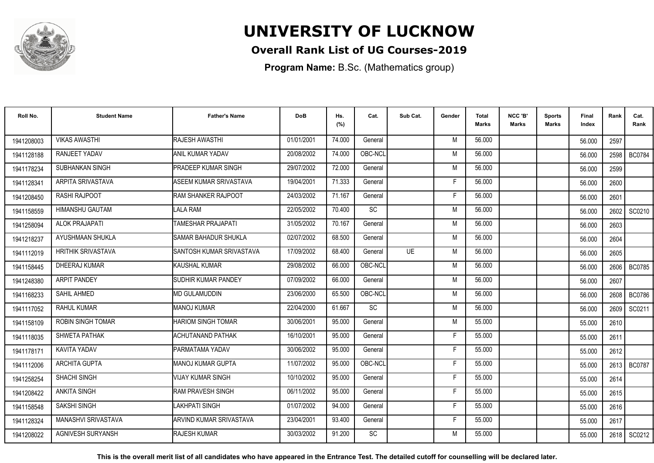

### **Overall Rank List of UG Courses-2019**

**Program Name:** B.Sc. (Mathematics group)

| Roll No.   | <b>Student Name</b>        | <b>Father's Name</b>        | <b>DoB</b> | Hs.<br>(%) | Cat.      | Sub Cat.  | Gender | <b>Total</b><br><b>Marks</b> | NCC 'B'<br><b>Marks</b> | Sports<br>Marks | <b>Final</b><br>Index | Rank | Cat.<br>Rank  |
|------------|----------------------------|-----------------------------|------------|------------|-----------|-----------|--------|------------------------------|-------------------------|-----------------|-----------------------|------|---------------|
| 1941208003 | <b>VIKAS AWASTHI</b>       | <b>RAJESH AWASTHI</b>       | 01/01/2001 | 74.000     | General   |           | M      | 56.000                       |                         |                 | 56.000                | 2597 |               |
| 1941128188 | RANJEET YADAV              | <b>ANIL KUMAR YADAV</b>     | 20/08/2002 | 74.000     | OBC-NCL   |           | M      | 56.000                       |                         |                 | 56.000                | 2598 | <b>BC0784</b> |
| 1941178234 | SUBHANKAN SINGH            | PRADEEP KUMAR SINGH         | 29/07/2002 | 72.000     | General   |           | M      | 56.000                       |                         |                 | 56.000                | 2599 |               |
| 1941128341 | ARPITA SRIVASTAVA          | ASEEM KUMAR SRIVASTAVA      | 19/04/2001 | 71.333     | General   |           | Е      | 56.000                       |                         |                 | 56.000                | 2600 |               |
| 1941208450 | <b>RASHI RAJPOOT</b>       | <b>RAM SHANKER RAJPOOT</b>  | 24/03/2002 | 71.167     | General   |           | F      | 56.000                       |                         |                 | 56.000                | 2601 |               |
| 1941158559 | <b>HIMANSHU GAUTAM</b>     | LALA RAM                    | 22/05/2002 | 70.400     | <b>SC</b> |           | M      | 56.000                       |                         |                 | 56.000                | 2602 | SC0210        |
| 1941258094 | <b>ALOK PRAJAPATI</b>      | <b>TAMESHAR PRAJAPATI</b>   | 31/05/2002 | 70.167     | General   |           | M      | 56.000                       |                         |                 | 56.000                | 2603 |               |
| 1941218237 | AYUSHMAAN SHUKLA           | <b>SAMAR BAHADUR SHUKLA</b> | 02/07/2002 | 68.500     | General   |           | M      | 56.000                       |                         |                 | 56.000                | 2604 |               |
| 1941112019 | <b>HRITHIK SRIVASTAVA</b>  | SANTOSH KUMAR SRIVASTAVA    | 17/09/2002 | 68.400     | General   | <b>UE</b> | M      | 56.000                       |                         |                 | 56.000                | 2605 |               |
| 1941158445 | DHEERAJ KUMAR              | KAUSHAL KUMAR               | 29/08/2002 | 66.000     | OBC-NCL   |           | M      | 56.000                       |                         |                 | 56.000                |      | 2606   BC0785 |
| 1941248380 | ARPIT PANDEY               | <b>SUDHIR KUMAR PANDEY</b>  | 07/09/2002 | 66.000     | General   |           | M      | 56.000                       |                         |                 | 56.000                | 2607 |               |
| 1941168233 | SAHIL AHMED                | <b>MD GULAMUDDIN</b>        | 23/06/2000 | 65.500     | OBC-NCL   |           | M      | 56.000                       |                         |                 | 56.000                | 2608 | <b>BC0786</b> |
| 1941117052 | <b>RAHUL KUMAR</b>         | <b>MANOJ KUMAR</b>          | 22/04/2000 | 61.667     | <b>SC</b> |           | M      | 56.000                       |                         |                 | 56.000                | 2609 | SC0211        |
| 1941158109 | <b>ROBIN SINGH TOMAR</b>   | <b>HARIOM SINGH TOMAR</b>   | 30/06/2001 | 95.000     | General   |           | M      | 55.000                       |                         |                 | 55.000                | 2610 |               |
| 1941118035 | SHWETA PATHAK              | <b>ACHUTANAND PATHAK</b>    | 16/10/2001 | 95.000     | General   |           | Е      | 55.000                       |                         |                 | 55.000                | 2611 |               |
| 1941178171 | KAVITA YADAV               | PARMATAMA YADAV             | 30/06/2002 | 95.000     | General   |           | F      | 55.000                       |                         |                 | 55.000                | 2612 |               |
| 1941112006 | ARCHITA GUPTA              | <b>MANOJ KUMAR GUPTA</b>    | 11/07/2002 | 95.000     | OBC-NCL   |           | F      | 55.000                       |                         |                 | 55.000                |      | 2613   BC0787 |
| 1941258254 | <b>SHACHI SINGH</b>        | VIJAY KUMAR SINGH           | 10/10/2002 | 95.000     | General   |           | F      | 55.000                       |                         |                 | 55.000                | 2614 |               |
| 1941208422 | <b>ANKITA SINGH</b>        | <b>RAM PRAVESH SINGH</b>    | 06/11/2002 | 95.000     | General   |           | F      | 55.000                       |                         |                 | 55.000                | 2615 |               |
| 1941158548 | <b>SAKSHI SINGH</b>        | LAKHPATI SINGH              | 01/07/2002 | 94.000     | General   |           | F      | 55.000                       |                         |                 | 55.000                | 2616 |               |
| 1941128324 | <b>MANASHVI SRIVASTAVA</b> | ARVIND KUMAR SRIVASTAVA     | 23/04/2001 | 93.400     | General   |           | F      | 55.000                       |                         |                 | 55.000                | 2617 |               |
| 1941208022 | <b>AGNIVESH SURYANSH</b>   | <b>RAJESH KUMAR</b>         | 30/03/2002 | 91.200     | <b>SC</b> |           | M      | 55.000                       |                         |                 | 55.000                |      | 2618   SC0212 |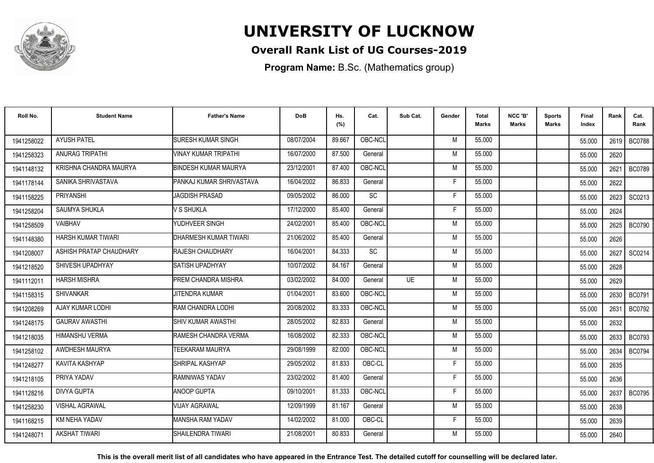

### **Overall Rank List of UG Courses-2019**

**Program Name:** B.Sc. (Mathematics group)

| Roll No.   | <b>Student Name</b>     | <b>Father's Name</b>            | <b>DoB</b> | Hs.<br>(%) | Cat.      | Sub Cat. | Gender | <b>Total</b><br>Marks | NCC 'B'<br><b>Marks</b> | <b>Sports</b><br>Marks | <b>Final</b><br>Index | Rank   | Cat.<br>Rank  |
|------------|-------------------------|---------------------------------|------------|------------|-----------|----------|--------|-----------------------|-------------------------|------------------------|-----------------------|--------|---------------|
| 1941258022 | <b>AYUSH PATEL</b>      | <b>SURESH KUMAR SINGH</b>       | 08/07/2004 | 89.667     | OBC-NCL   |          | M      | 55.000                |                         |                        | 55.000                |        | 2619   BC0788 |
| 1941258323 | ANURAG TRIPATHI         | VINAY KUMAR TRIPATHI            | 16/07/2000 | 87.500     | General   |          | M      | 55.000                |                         |                        | 55.000                | 2620   |               |
| 1941148132 | KRISHNA CHANDRA MAURYA  | <b>BINDESH KUMAR MAURYA</b>     | 23/12/2001 | 87.400     | OBC-NCL   |          | M      | 55.000                |                         |                        | 55.000                | 2621   | <b>BC0789</b> |
| 1941178144 | SANIKA SHRIVASTAVA      | <b>PANKAJ KUMAR SHRIVASTAVA</b> | 16/04/2002 | 86.833     | General   |          | Е      | 55.000                |                         |                        | 55.000                | 2622   |               |
| 1941158225 | <b>PRIYANSHI</b>        | <b>JAGDISH PRASAD</b>           | 09/05/2002 | 86.000     | <b>SC</b> |          | F      | 55.000                |                         |                        | 55.000                | 2623   | SC0213        |
| 1941258204 | <b>SAUMYA SHUKLA</b>    | V S SHUKLA                      | 17/12/2000 | 85.400     | General   |          | Е      | 55.000                |                         |                        | 55.000                | 2624   |               |
| 1941258509 | VAIBHAV                 | YUDHVEER SINGH                  | 24/02/2001 | 85.400     | OBC-NCL   |          | M      | 55.000                |                         |                        | 55.000                | 2625   | <b>BC0790</b> |
| 1941148380 | HARSH KUMAR TIWARI      | <b>IDHARMESH KUMAR TIWARI</b>   | 21/06/2002 | 85.400     | General   |          | M      | 55.000                |                         |                        | 55.000                | 2626   |               |
| 1941208007 | ASHISH PRATAP CHAUDHARY | <b>IRAJESH CHAUDHARY</b>        | 16/04/2001 | 84.333     | <b>SC</b> |          | M      | 55.000                |                         |                        | 55.000                | 2627 l | SC0214        |
| 1941218520 | SHIVESH UPADHYAY        | <b>SATISH UPADHYAY</b>          | 10/07/2002 | 84.167     | General   |          | M      | 55.000                |                         |                        | 55.000                | 2628   |               |
| 1941112011 | <b>HARSH MISHRA</b>     | <b>PREM CHANDRA MISHRA</b>      | 03/02/2002 | 84.000     | General   | UF       | M      | 55.000                |                         |                        | 55.000                | 2629   |               |
| 1941158315 | <b>SHIVANKAR</b>        | <b>JITENDRA KUMAR</b>           | 01/04/2001 | 83.600     | OBC-NCL   |          | M      | 55.000                |                         |                        | 55.000                | 2630   | <b>BC0791</b> |
| 1941208269 | AJAY KUMAR LODHI        | <b>IRAM CHANDRA LODHI</b>       | 20/08/2002 | 83.333     | OBC-NCL   |          | M      | 55.000                |                         |                        | 55.000                | 2631   | BC0792        |
| 1941248175 | <b>GAURAV AWASTHI</b>   | <b>I</b> SHIV KUMAR AWASTHI     | 28/05/2002 | 82.833     | General   |          | M      | 55.000                |                         |                        | 55.000                | 2632   |               |
| 1941218035 | <b>HIMANSHU VERMA</b>   | RAMESH CHANDRA VERMA            | 16/08/2002 | 82.333     | OBC-NCL   |          | M      | 55.000                |                         |                        | 55.000                | 2633   | <b>BC0793</b> |
| 1941258102 | AWDHESH MAURYA          | <b>TEEKARAM MAURYA</b>          | 29/08/1999 | 82.000     | OBC-NCL   |          | M      | 55.000                |                         |                        | 55.000                | 2634   | <b>BC0794</b> |
| 1941248277 | KAVITA KASHYAP          | <b>SHRIPAL KASHYAP</b>          | 29/05/2002 | 81.833     | OBC-CL    |          | F      | 55.000                |                         |                        | 55.000                | 2635   |               |
| 1941218105 | PRIYA YADAV             | <b>IRAMNIWAS YADAV</b>          | 23/02/2002 | 81.400     | General   |          | F      | 55.000                |                         |                        | 55.000                | 2636   |               |
| 1941128216 | <b>DIVYA GUPTA</b>      | <b>ANOOP GUPTA</b>              | 09/10/2001 | 81.333     | OBC-NCL   |          | F      | 55.000                |                         |                        | 55.000                | 2637   | <b>BC0795</b> |
| 1941258230 | <b>VISHAL AGRAWAL</b>   | <b>VIJAY AGRAWAL</b>            | 12/09/1999 | 81.167     | General   |          | M      | 55.000                |                         |                        | 55.000                | 2638   |               |
| 1941168215 | KM NEHA YADAV           | <b>MANSHA RAM YADAV</b>         | 14/02/2002 | 81.000     | OBC-CL    |          | Е      | 55.000                |                         |                        | 55.000                | 2639   |               |
| 1941248071 | <b>AKSHAT TIWARI</b>    | SHAILENDRA TIWARI               | 21/08/2001 | 80.833     | General   |          | M      | 55.000                |                         |                        | 55.000                | 2640   |               |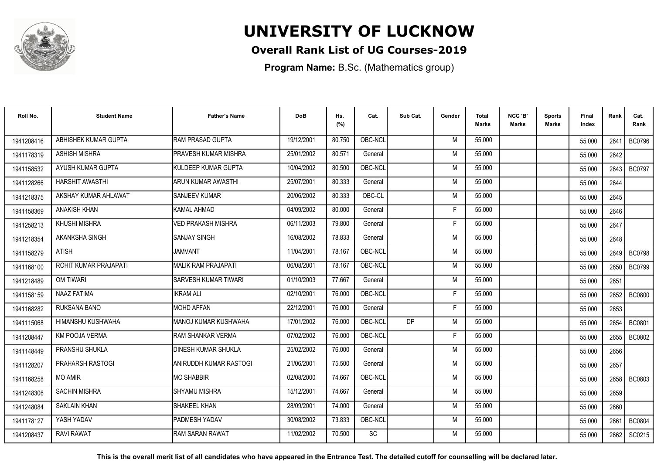

### **Overall Rank List of UG Courses-2019**

**Program Name:** B.Sc. (Mathematics group)

| Roll No.   | <b>Student Name</b>    | <b>Father's Name</b>         | <b>DoB</b> | Hs.<br>(%) | Cat.      | Sub Cat.  | Gender | Total<br>Marks | NCC 'B'<br><b>Marks</b> | Sports<br>Marks | Final<br>Index | Rank   | Cat.<br>Rank  |
|------------|------------------------|------------------------------|------------|------------|-----------|-----------|--------|----------------|-------------------------|-----------------|----------------|--------|---------------|
| 1941208416 | ABHISHEK KUMAR GUPTA   | RAM PRASAD GUPTA             | 19/12/2001 | 80.750     | OBC-NCL   |           | M      | 55.000         |                         |                 | 55.000         | 2641   | <b>BC0796</b> |
| 1941178319 | <b>ASHISH MISHRA</b>   | <b>PRAVESH KUMAR MISHRA</b>  | 25/01/2002 | 80.571     | General   |           | M      | 55.000         |                         |                 | 55.000         | 2642   |               |
| 1941158532 | AYUSH KUMAR GUPTA      | <b>I</b> KULDEEP KUMAR GUPTA | 10/04/2002 | 80.500     | OBC-NCL   |           | M      | 55.000         |                         |                 | 55.000         | 2643   | <b>BC0797</b> |
| 1941128266 | <b>HARSHIT AWASTHI</b> | ARUN KUMAR AWASTHI           | 25/07/2001 | 80.333     | General   |           | M      | 55.000         |                         |                 | 55.000         | 2644   |               |
| 1941218375 | AKSHAY KUMAR AHLAWAT   | <b>SANJEEV KUMAR</b>         | 20/06/2002 | 80.333     | OBC-CL    |           | M      | 55.000         |                         |                 | 55.000         | 2645   |               |
| 1941158369 | <b>ANAKISH KHAN</b>    | KAMAL AHMAD                  | 04/09/2002 | 80.000     | General   |           | Е      | 55.000         |                         |                 | 55.000         | 2646   |               |
| 1941258213 | KHUSHI MISHRA          | <b>VED PRAKASH MISHRA</b>    | 06/11/2003 | 79.800     | General   |           | Е      | 55.000         |                         |                 | 55.000         | 2647   |               |
| 1941218354 | AKANKSHA SINGH         | <b>SANJAY SINGH</b>          | 16/08/2002 | 78.833     | General   |           | M      | 55.000         |                         |                 | 55.000         | 2648   |               |
| 1941158279 | <b>ATISH</b>           | <b>JAMVANT</b>               | 11/04/2001 | 78.167     | OBC-NCL   |           | M      | 55.000         |                         |                 | 55.000         |        | 2649   BC0798 |
| 1941168100 | ROHIT KUMAR PRAJAPATI  | <b>MALIK RAM PRAJAPATI</b>   | 06/08/2001 | 78.167     | OBC-NCL   |           | M      | 55.000         |                         |                 | 55.000         | 2650 l | <b>BC0799</b> |
| 1941218489 | <b>OM TIWARI</b>       | <b>ISARVESH KUMAR TIWARI</b> | 01/10/2003 | 77.667     | General   |           | M      | 55.000         |                         |                 | 55.000         | 2651   |               |
| 1941158159 | <b>NAAZ FATIMA</b>     | <b>IKRAM ALI</b>             | 02/10/2001 | 76.000     | OBC-NCL   |           | F      | 55.000         |                         |                 | 55.000         | 2652   | <b>BC0800</b> |
| 1941168282 | RUKSANA BANO           | <b>MOHD AFFAN</b>            | 22/12/2001 | 76.000     | General   |           | Е      | 55.000         |                         |                 | 55.000         | 2653   |               |
| 1941115068 | HIMANSHU KUSHWAHA      | IMANOJ KUMAR KUSHWAHA        | 17/01/2002 | 76.000     | OBC-NCL   | <b>DP</b> | M      | 55.000         |                         |                 | 55.000         | 2654   | BC0801        |
| 1941208447 | <b>KM POOJA VERMA</b>  | RAM SHANKAR VERMA            | 07/02/2002 | 76.000     | OBC-NCL   |           | Е      | 55.000         |                         |                 | 55.000         | 2655   | <b>BC0802</b> |
| 1941148449 | PRANSHU SHUKLA         | <b>DINESH KUMAR SHUKLA</b>   | 25/02/2002 | 76.000     | General   |           | M      | 55.000         |                         |                 | 55.000         | 2656   |               |
| 1941128207 | PRAHARSH RASTOGI       | ANIRUDDH KUMAR RASTOGI       | 21/06/2001 | 75.500     | General   |           | M      | 55.000         |                         |                 | 55.000         | 2657   |               |
| 1941168258 | <b>MO AMIR</b>         | <b>MO SHABBIR</b>            | 02/08/2000 | 74.667     | OBC-NCL   |           | M      | 55.000         |                         |                 | 55.000         |        | 2658 BC0803   |
| 1941248306 | SACHIN MISHRA          | <b>SHYAMU MISHRA</b>         | 15/12/2001 | 74.667     | General   |           | M      | 55.000         |                         |                 | 55.000         | 2659   |               |
| 1941248084 | <b>SAKLAIN KHAN</b>    | <b>SHAKEEL KHAN</b>          | 28/09/2001 | 74.000     | General   |           | M      | 55.000         |                         |                 | 55.000         | 2660   |               |
| 1941178127 | YASH YADAV             | <b>PADMESH YADAV</b>         | 30/08/2002 | 73.833     | OBC-NCL   |           | M      | 55.000         |                         |                 | 55.000         | 2661   | <b>BC0804</b> |
| 1941208437 | <b>RAVI RAWAT</b>      | <b>RAM SARAN RAWAT</b>       | 11/02/2002 | 70.500     | <b>SC</b> |           | М      | 55.000         |                         |                 | 55.000         | 2662   | SC0215        |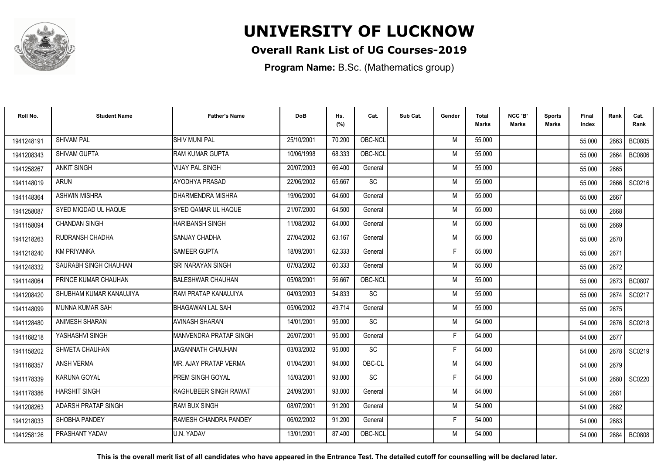

### **Overall Rank List of UG Courses-2019**

**Program Name:** B.Sc. (Mathematics group)

| Roll No.   | <b>Student Name</b>     | <b>Father's Name</b>           | <b>DoB</b> | Hs.<br>(%) | Cat.            | Sub Cat. | Gender | Total<br><b>Marks</b> | NCC 'B'<br><b>Marks</b> | <b>Sports</b><br>Marks | Final<br>Index | Rank   | Cat.<br>Rank  |
|------------|-------------------------|--------------------------------|------------|------------|-----------------|----------|--------|-----------------------|-------------------------|------------------------|----------------|--------|---------------|
| 1941248191 | <b>SHIVAM PAL</b>       | ISHIV MUNI PAL                 | 25/10/2001 | 70.200     | OBC-NCL         |          | M      | 55.000                |                         |                        | 55.000         | 2663   | <b>BC0805</b> |
| 1941208343 | SHIVAM GUPTA            | RAM KUMAR GUPTA                | 10/06/1998 | 68.333     | OBC-NCL         |          | M      | 55.000                |                         |                        | 55.000         | 2664   | <b>BC0806</b> |
| 1941258267 | <b>ANKIT SINGH</b>      | <b>VIJAY PAL SINGH</b>         | 20/07/2003 | 66.400     | General         |          | M      | 55.000                |                         |                        | 55.000         | 2665   |               |
| 1941148019 | <b>ARUN</b>             | AYODHYA PRASAD                 | 22/06/2002 | 65.667     | SC              |          | M      | 55.000                |                         |                        | 55.000         | 2666   | SC0216        |
| 1941148364 | <b>ASHWIN MISHRA</b>    | IDHARMENDRA MISHRA             | 19/06/2000 | 64.600     | General         |          | M      | 55.000                |                         |                        | 55.000         | 2667   |               |
| 1941258087 | SYED MIQDAD UL HAQUE    | <b>SYED QAMAR UL HAQUE</b>     | 21/07/2000 | 64.500     | General         |          | M      | 55.000                |                         |                        | 55.000         | 2668   |               |
| 1941158094 | <b>CHANDAN SINGH</b>    | HARIBANSH SINGH                | 11/08/2002 | 64.000     | General         |          | M      | 55.000                |                         |                        | 55.000         | 2669   |               |
| 1941218263 | RUDRANSH CHADHA         | <b>SANJAY CHADHA</b>           | 27/04/2002 | 63.167     | General         |          | M      | 55.000                |                         |                        | 55.000         | 2670   |               |
| 1941218240 | <b>KM PRIYANKA</b>      | <b>SAMEER GUPTA</b>            | 18/09/2001 | 62.333     | General         |          | Е      | 55.000                |                         |                        | 55.000         | 2671   |               |
| 1941248332 | SAURABH SINGH CHAUHAN   | <b>SRI NARAYAN SINGH</b>       | 07/03/2002 | 60.333     | General         |          | M      | 55.000                |                         |                        | 55.000         | 2672   |               |
| 1941148064 | PRINCE KUMAR CHAUHAN    | <b>BALESHWAR CHAUHAN</b>       | 05/08/2001 | 56.667     | OBC-NCL         |          | M      | 55.000                |                         |                        | 55.000         | 2673   | <b>BC0807</b> |
| 1941208420 | SHUBHAM KUMAR KANAUJIYA | <b>IRAM PRATAP KANAUJIYA</b>   | 04/03/2003 | 54.833     | SC              |          | М      | 55.000                |                         |                        | 55.000         | 2674   | SC0217        |
| 1941148099 | MUNNA KUMAR SAH         | <b>I</b> BHAGAWAN LAL SAH      | 05/06/2002 | 49.714     | General         |          | м      | 55.000                |                         |                        | 55.000         | 2675   |               |
| 1941128480 | <b>ANIMESH SHARAN</b>   | <b>AVINASH SHARAN</b>          | 14/01/2001 | 95.000     | <b>SC</b>       |          | М      | 54.000                |                         |                        | 54.000         | 2676   | SC0218        |
| 1941168218 | YASHASHVI SINGH         | MANVENDRA PRATAP SINGH         | 26/07/2001 | 95.000     | General         |          | Е      | 54.000                |                         |                        | 54.000         | 2677   |               |
| 1941158202 | SHWETA CHAUHAN          | JAGANNATH CHAUHAN              | 03/03/2002 | 95.000     | $\overline{SC}$ |          | Е      | 54.000                |                         |                        | 54.000         | 2678 l | SC0219        |
| 1941168357 | <b>ANSH VERMA</b>       | MR. AJAY PRATAP VERMA          | 01/04/2001 | 94.000     | OBC-CL          |          | M      | 54.000                |                         |                        | 54.000         | 2679   |               |
| 1941178339 | <b>KARUNA GOYAL</b>     | <b>PREM SINGH GOYAL</b>        | 15/03/2001 | 93.000     | <b>SC</b>       |          | F      | 54.000                |                         |                        | 54.000         | 2680   | SC0220        |
| 1941178386 | <b>HARSHIT SINGH</b>    | <b>RAGHUBEER SINGH RAWAT</b>   | 24/09/2001 | 93.000     | General         |          | M      | 54.000                |                         |                        | 54.000         | 2681   |               |
| 1941208263 | ADARSH PRATAP SINGH     | <b>RAM BUX SINGH</b>           | 08/07/2001 | 91.200     | General         |          | M      | 54.000                |                         |                        | 54.000         | 2682   |               |
| 1941218033 | SHOBHA PANDEY           | <b>I</b> RAMESH CHANDRA PANDEY | 06/02/2002 | 91.200     | General         |          | F      | 54.000                |                         |                        | 54.000         | 2683   |               |
| 1941258126 | PRASHANT YADAV          | U.N. YADAV                     | 13/01/2001 | 87.400     | OBC-NCL         |          | M      | 54.000                |                         |                        | 54.000         | 2684   | <b>BC0808</b> |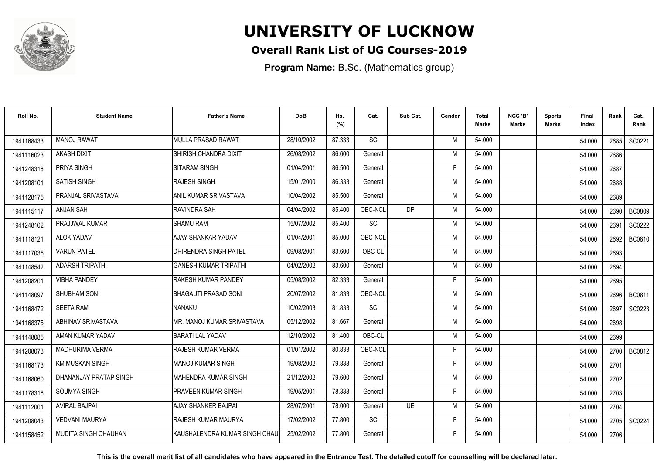

### **Overall Rank List of UG Courses-2019**

**Program Name:** B.Sc. (Mathematics group)

| Roll No.   | <b>Student Name</b>         | <b>Father's Name</b>                   | <b>DoB</b> | Hs.<br>(%) | Cat.    | Sub Cat.  | Gender | Total<br><b>Marks</b> | NCC 'B'<br><b>Marks</b> | <b>Sports</b><br>Marks | Final<br>Index | Rank | Cat.<br>Rank  |
|------------|-----------------------------|----------------------------------------|------------|------------|---------|-----------|--------|-----------------------|-------------------------|------------------------|----------------|------|---------------|
| 1941168433 | <b>MANOJ RAWAT</b>          | MULLA PRASAD RAWAT                     | 28/10/2002 | 87.333     | SC      |           | M      | 54.000                |                         |                        | 54.000         | 2685 | SC0221        |
| 1941116023 | <b>AKASH DIXIT</b>          | SHIRISH CHANDRA DIXIT                  | 26/08/2002 | 86.600     | General |           | M      | 54.000                |                         |                        | 54.000         | 2686 |               |
| 1941248318 | PRIYA SINGH                 | <b>SITARAM SINGH</b>                   | 01/04/2001 | 86.500     | General |           | F      | 54.000                |                         |                        | 54.000         | 2687 |               |
| 1941208101 | <b>SATISH SINGH</b>         | <b>RAJESH SINGH</b>                    | 15/01/2000 | 86.333     | General |           | M      | 54.000                |                         |                        | 54.000         | 2688 |               |
| 1941128175 | PRANJAL SRIVASTAVA          | ANIL KUMAR SRIVASTAVA                  | 10/04/2002 | 85.500     | General |           | M      | 54.000                |                         |                        | 54.000         | 2689 |               |
| 1941115117 | <b>ANJAN SAH</b>            | RAVINDRA SAH                           | 04/04/2002 | 85.400     | OBC-NCL | <b>DP</b> | M      | 54.000                |                         |                        | 54.000         | 2690 | <b>BC0809</b> |
| 1941248102 | PRAJJWAL KUMAR              | <b>SHAMU RAM</b>                       | 15/07/2002 | 85.400     | SC      |           | M      | 54.000                |                         |                        | 54.000         | 2691 | SC0222        |
| 1941118121 | <b>ALOK YADAV</b>           | AJAY SHANKAR YADAV                     | 01/04/2001 | 85.000     | OBC-NCL |           | M      | 54.000                |                         |                        | 54.000         | 2692 | <b>BC0810</b> |
| 1941117035 | <b>VARUN PATEL</b>          | DHIRENDRA SINGH PATEL                  | 09/08/2001 | 83.600     | OBC-CL  |           | M      | 54.000                |                         |                        | 54.000         | 2693 |               |
| 1941148542 | <b>ADARSH TRIPATHI</b>      | <b>GANESH KUMAR TRIPATHI</b>           | 04/02/2002 | 83.600     | General |           | M      | 54.000                |                         |                        | 54.000         | 2694 |               |
| 1941208201 | <b>VIBHA PANDEY</b>         | RAKESH KUMAR PANDEY                    | 05/08/2002 | 82.333     | General |           | F      | 54.000                |                         |                        | 54.000         | 2695 |               |
| 1941148097 | SHUBHAM SONI                | BHAGAUTI PRASAD SONI                   | 20/07/2002 | 81.833     | OBC-NCL |           | M      | 54.000                |                         |                        | 54.000         | 2696 | BC0811        |
| 1941168472 | <b>SEETA RAM</b>            | <b>NANAKU</b>                          | 10/02/2003 | 81.833     | SC      |           | M      | 54.000                |                         |                        | 54.000         | 2697 | SC0223        |
| 1941168375 | ABHINAV SRIVASTAVA          | IMR. MANOJ KUMAR SRIVASTAVA            | 05/12/2002 | 81.667     | General |           | M      | 54.000                |                         |                        | 54.000         | 2698 |               |
| 1941148085 | AMAN KUMAR YADAV            | <b>BARATI LAL YADAV</b>                | 12/10/2002 | 81.400     | OBC-CL  |           | M      | 54.000                |                         |                        | 54.000         | 2699 |               |
| 1941208073 | <b>MADHURIMA VERMA</b>      | <b>RAJESH KUMAR VERMA</b>              | 01/01/2002 | 80.833     | OBC-NCL |           | F      | 54.000                |                         |                        | 54.000         | 2700 | BC0812        |
| 1941168173 | <b>KM MUSKAN SINGH</b>      | <b>MANOJ KUMAR SINGH</b>               | 19/08/2002 | 79.833     | General |           | F      | 54.000                |                         |                        | 54.000         | 2701 |               |
| 1941168060 | DHANANJAY PRATAP SINGH      | MAHENDRA KUMAR SINGH                   | 21/12/2002 | 79.600     | General |           | M      | 54.000                |                         |                        | 54.000         | 2702 |               |
| 1941178316 | SOUMYA SINGH                | <b>PRAVEEN KUMAR SINGH</b>             | 19/05/2001 | 78.333     | General |           | F      | 54.000                |                         |                        | 54.000         | 2703 |               |
| 1941112001 | <b>AVIRAL BAJPAL</b>        | AJAY SHANKER BAJPAI                    | 28/07/2001 | 78.000     | General | <b>UE</b> | M      | 54.000                |                         |                        | 54.000         | 2704 |               |
| 1941208043 | <b>VEDVANI MAURYA</b>       | <b>RAJESH KUMAR MAURYA</b>             | 17/02/2002 | 77.800     | SC      |           | F.     | 54.000                |                         |                        | 54.000         | 2705 | SC0224        |
| 1941158452 | <b>MUDITA SINGH CHAUHAN</b> | <b>I</b> KAUSHALENDRA KUMAR SINGH CHAU | 25/02/2002 | 77.800     | General |           | F      | 54.000                |                         |                        | 54.000         | 2706 |               |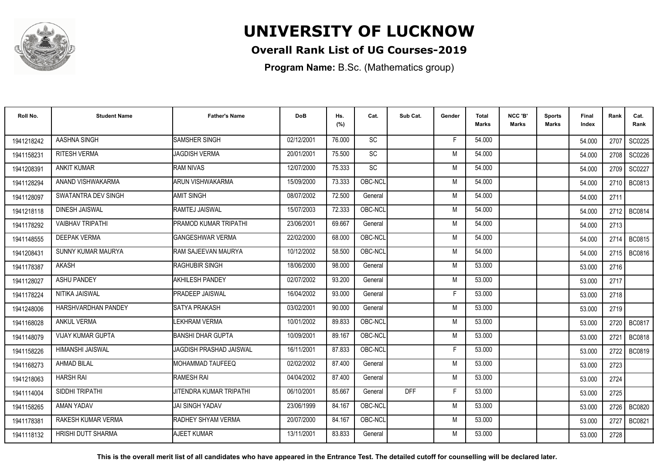

### **Overall Rank List of UG Courses-2019**

**Program Name:** B.Sc. (Mathematics group)

| Roll No.   | <b>Student Name</b>       | <b>Father's Name</b>     | <b>DoB</b> | Hs.<br>(%) | Cat.      | Sub Cat.   | Gender | <b>Total</b><br><b>Marks</b> | NCC 'B'<br><b>Marks</b> | Sports<br><b>Marks</b> | Final<br>Index | Rank | Cat.<br>Rank  |
|------------|---------------------------|--------------------------|------------|------------|-----------|------------|--------|------------------------------|-------------------------|------------------------|----------------|------|---------------|
| 1941218242 | AASHNA SINGH              | SAMSHER SINGH            | 02/12/2001 | 76.000     | <b>SC</b> |            | F      | 54.000                       |                         |                        | 54.000         | 2707 | SC0225        |
| 194115823  | <b>RITESH VERMA</b>       | <b>JAGDISH VERMA</b>     | 20/01/2001 | 75.500     | SC        |            | M      | 54.000                       |                         |                        | 54.000         | 2708 | SC0226        |
| 1941208391 | <b>ANKIT KUMAR</b>        | <b>RAM NIVAS</b>         | 12/07/2000 | 75.333     | <b>SC</b> |            | M      | 54.000                       |                         |                        | 54.000         | 2709 | SC0227        |
| 1941128294 | ANAND VISHWAKARMA         | <b>ARUN VISHWAKARMA</b>  | 15/09/2000 | 73.333     | OBC-NCL   |            | M      | 54.000                       |                         |                        | 54.000         | 2710 | <b>BC0813</b> |
| 1941128097 | SWATANTRA DEV SINGH       | <b>AMIT SINGH</b>        | 08/07/2002 | 72.500     | General   |            | M      | 54.000                       |                         |                        | 54.000         | 2711 |               |
| 1941218118 | <b>DINESH JAISWAL</b>     | RAMTEJ JAISWAL           | 15/07/2003 | 72.333     | OBC-NCL   |            | M      | 54.000                       |                         |                        | 54.000         | 2712 | BC0814        |
| 1941178292 | <b>VAIBHAV TRIPATHI</b>   | PRAMOD KUMAR TRIPATHI    | 23/06/2001 | 69.667     | General   |            | M      | 54.000                       |                         |                        | 54.000         | 2713 |               |
| 1941148555 | <b>DEEPAK VERMA</b>       | <b>GANGESHWAR VERMA</b>  | 22/02/2000 | 68.000     | OBC-NCL   |            | M      | 54.000                       |                         |                        | 54.000         | 2714 | BC0815        |
| 1941208431 | SUNNY KUMAR MAURYA        | RAM SAJEEVAN MAURYA      | 10/12/2002 | 58.500     | OBC-NCL   |            | M      | 54.000                       |                         |                        | 54.000         |      | 2715   BC0816 |
| 1941178387 | <b>AKASH</b>              | <b>RAGHUBIR SINGH</b>    | 18/06/2000 | 98.000     | General   |            | M      | 53.000                       |                         |                        | 53.000         | 2716 |               |
| 1941128027 | <b>ASHU PANDEY</b>        | <b>AKHILESH PANDEY</b>   | 02/07/2002 | 93.200     | General   |            | M      | 53.000                       |                         |                        | 53.000         | 2717 |               |
| 1941178224 | NITIKA JAISWAL            | <b>PRADEEP JAISWAL</b>   | 16/04/2002 | 93.000     | General   |            | F      | 53.000                       |                         |                        | 53.000         | 2718 |               |
| 1941248006 | HARSHVARDHAN PANDEY       | SATYA PRAKASH            | 03/02/2001 | 90.000     | General   |            | M      | 53.000                       |                         |                        | 53.000         | 2719 |               |
| 1941168028 | <b>ANKUL VERMA</b>        | LEKHRAM VERMA            | 10/01/2002 | 89.833     | OBC-NCL   |            | M      | 53.000                       |                         |                        | 53.000         | 2720 | BC0817        |
| 1941148079 | <b>VIJAY KUMAR GUPTA</b>  | <b>BANSHI DHAR GUPTA</b> | 10/09/2001 | 89.167     | OBC-NCL   |            | M      | 53.000                       |                         |                        | 53.000         | 2721 | BC0818        |
| 1941158226 | HIMANSHI JAISWAL          | JAGDISH PRASHAD JAISWAL  | 16/11/2001 | 87.833     | OBC-NCL   |            | F      | 53.000                       |                         |                        | 53.000         | 2722 | BC0819        |
| 1941168273 | <b>AHMAD BILAL</b>        | <b>MOHAMMAD TAUFEEQ</b>  | 02/02/2002 | 87.400     | General   |            | M      | 53.000                       |                         |                        | 53.000         | 2723 |               |
| 1941218063 | <b>HARSH RAI</b>          | <b>RAMESH RAI</b>        | 04/04/2002 | 87.400     | General   |            | M      | 53.000                       |                         |                        | 53.000         | 2724 |               |
| 1941114004 | SIDDHI TRIPATHI           | JITENDRA KUMAR TRIPATHI  | 06/10/2001 | 85.667     | General   | <b>DFF</b> | F      | 53.000                       |                         |                        | 53.000         | 2725 |               |
| 1941158265 | AMAN YADAV                | <b>JAI SINGH YADAV</b>   | 23/06/1999 | 84.167     | OBC-NCL   |            | M      | 53.000                       |                         |                        | 53.000         | 2726 | <b>BC0820</b> |
| 194117838  | RAKESH KUMAR VERMA        | RADHEY SHYAM VERMA       | 20/07/2000 | 84.167     | OBC-NCL   |            | M      | 53.000                       |                         |                        | 53.000         | 2727 | BC0821        |
| 1941118132 | <b>HRISHI DUTT SHARMA</b> | AJEET KUMAR              | 13/11/2001 | 83.833     | General   |            | M      | 53.000                       |                         |                        | 53.000         | 2728 |               |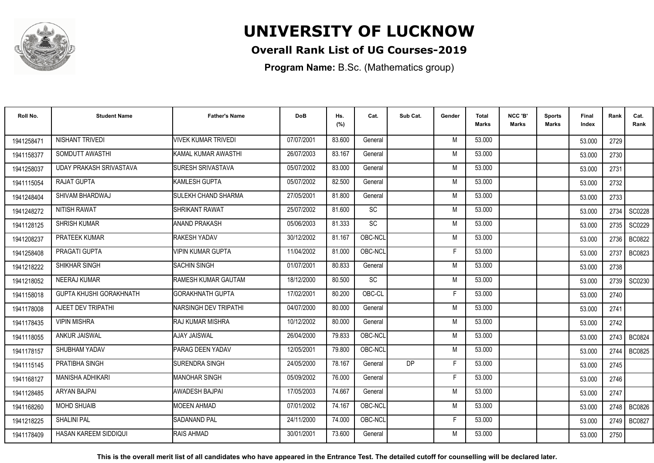

### **Overall Rank List of UG Courses-2019**

**Program Name:** B.Sc. (Mathematics group)

| Roll No.   | <b>Student Name</b>            | <b>Father's Name</b>         | <b>DoB</b> | Hs.<br>(%) | Cat.      | Sub Cat.  | Gender | <b>Total</b><br>Marks | NCC 'B'<br><b>Marks</b> | Sports<br>Marks | Final<br>Index | Rank   | Cat.<br>Rank  |
|------------|--------------------------------|------------------------------|------------|------------|-----------|-----------|--------|-----------------------|-------------------------|-----------------|----------------|--------|---------------|
| 1941258471 | NISHANT TRIVEDI                | <b>VIVEK KUMAR TRIVEDI</b>   | 07/07/2001 | 83.600     | General   |           | M      | 53.000                |                         |                 | 53.000         | 2729   |               |
| 1941158377 | SOMDUTT AWASTHI                | <b>I</b> KAMAL KUMAR AWASTHI | 26/07/2003 | 83.167     | General   |           | M      | 53.000                |                         |                 | 53.000         | 2730   |               |
| 1941258037 | UDAY PRAKASH SRIVASTAVA        | SURESH SRIVASTAVA            | 05/07/2002 | 83.000     | General   |           | M      | 53.000                |                         |                 | 53.000         | 2731   |               |
| 1941115054 | RAJAT GUPTA                    | KAMLESH GUPTA                | 05/07/2002 | 82.500     | General   |           | M      | 53.000                |                         |                 | 53.000         | 2732   |               |
| 1941248404 | SHIVAM BHARDWAJ                | <b>SULEKH CHAND SHARMA</b>   | 27/05/2001 | 81.800     | General   |           | M      | 53.000                |                         |                 | 53.000         | 2733   |               |
| 1941248272 | <b>NITISH RAWAT</b>            | <b>SHRIKANT RAWAT</b>        | 25/07/2002 | 81.600     | <b>SC</b> |           | M      | 53.000                |                         |                 | 53.000         | 2734   | SC0228        |
| 1941128125 | <b>SHRISH KUMAR</b>            | <b>ANAND PRAKASH</b>         | 05/06/2003 | 81.333     | <b>SC</b> |           | M      | 53.000                |                         |                 | 53.000         | 2735   | SC0229        |
| 1941208237 | <b>PRATEEK KUMAR</b>           | RAKESH YADAV                 | 30/12/2002 | 81.167     | OBC-NCL   |           | M      | 53.000                |                         |                 | 53.000         | 2736   | <b>BC0822</b> |
| 1941258408 | PRAGATI GUPTA                  | <b>VIPIN KUMAR GUPTA</b>     | 11/04/2002 | 81.000     | OBC-NCL   |           | F      | 53.000                |                         |                 | 53.000         | 2737   | <b>BC0823</b> |
| 1941218222 | SHIKHAR SINGH                  | <b>SACHIN SINGH</b>          | 01/07/2001 | 80.833     | General   |           | M      | 53.000                |                         |                 | 53.000         | 2738   |               |
| 1941218052 | NEERAJ KUMAR                   | RAMESH KUMAR GAUTAM          | 18/12/2000 | 80.500     | SC        |           | M      | 53.000                |                         |                 | 53.000         | 2739   | SC0230        |
| 1941158018 | <b>GUPTA KHUSHI GORAKHNATH</b> | <b>GORAKHNATH GUPTA</b>      | 17/02/2001 | 80.200     | OBC-CL    |           | F      | 53.000                |                         |                 | 53.000         | 2740   |               |
| 1941178008 | AJEET DEV TRIPATHI             | INARSINGH DEV TRIPATHI       | 04/07/2000 | 80.000     | General   |           | M      | 53.000                |                         |                 | 53.000         | 2741   |               |
| 1941178435 | <b>VIPIN MISHRA</b>            | IRAJ KUMAR MISHRA            | 10/12/2002 | 80.000     | General   |           | M      | 53.000                |                         |                 | 53.000         | 2742   |               |
| 1941118055 | ANKUR JAISWAL                  | <b>AJAY JAISWAL</b>          | 26/04/2000 | 79.833     | OBC-NCL   |           | M      | 53.000                |                         |                 | 53.000         | 2743 l | <b>BC0824</b> |
| 1941178157 | SHUBHAM YADAV                  | PARAG DEEN YADAV             | 12/05/2001 | 79.800     | OBC-NCL   |           | M      | 53.000                |                         |                 | 53.000         | 2744   | <b>BC0825</b> |
| 1941115145 | PRATIBHA SINGH                 | <b>ISURENDRA SINGH</b>       | 24/05/2000 | 78.167     | General   | <b>DP</b> | F      | 53.000                |                         |                 | 53.000         | 2745   |               |
| 1941168127 | <b>MANISHA ADHIKARI</b>        | IMANOHAR SINGH               | 05/09/2002 | 76.000     | General   |           | F      | 53.000                |                         |                 | 53.000         | 2746   |               |
| 1941128485 | <b>ARYAN BAJPAI</b>            | <b>AWADESH BAJPAI</b>        | 17/05/2003 | 74.667     | General   |           | M      | 53.000                |                         |                 | 53.000         | 2747   |               |
| 1941168260 | <b>MOHD SHUAIB</b>             | <b>MOEEN AHMAD</b>           | 07/01/2002 | 74.167     | OBC-NCL   |           | M      | 53.000                |                         |                 | 53.000         | 2748   | <b>BC0826</b> |
| 1941218225 | <b>SHALINI PAL</b>             | <b>SADANAND PAL</b>          | 24/11/2000 | 74.000     | OBC-NCL   |           | F.     | 53.000                |                         |                 | 53.000         | 2749   | <b>BC0827</b> |
| 1941178409 | HASAN KAREEM SIDDIQUI          | RAIS AHMAD                   | 30/01/2001 | 73.600     | General   |           | M      | 53.000                |                         |                 | 53.000         | 2750   |               |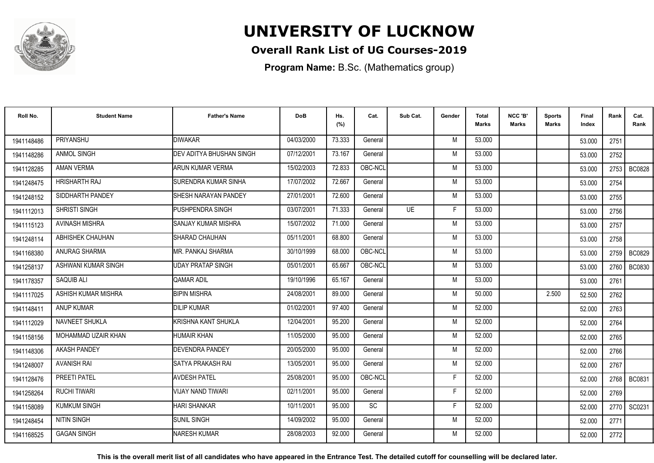

### **Overall Rank List of UG Courses-2019**

**Program Name:** B.Sc. (Mathematics group)

| Roll No.   | <b>Student Name</b>   | <b>Father's Name</b>            | <b>DoB</b> | Hs.<br>(%) | Cat.    | Sub Cat. | Gender | Total<br><b>Marks</b> | NCC 'B'<br><b>Marks</b> | Sports<br>Marks | Final<br>Index | Rank | Cat.<br>Rank  |
|------------|-----------------------|---------------------------------|------------|------------|---------|----------|--------|-----------------------|-------------------------|-----------------|----------------|------|---------------|
| 1941148486 | PRIYANSHU             | <b>DIWAKAR</b>                  | 04/03/2000 | 73.333     | General |          | M      | 53.000                |                         |                 | 53.000         | 2751 |               |
| 1941148286 | ANMOL SINGH           | <b>DEV ADITYA BHUSHAN SINGH</b> | 07/12/2001 | 73.167     | General |          | M      | 53.000                |                         |                 | 53.000         | 2752 |               |
| 1941128285 | <b>AMAN VERMA</b>     | <b>ARUN KUMAR VERMA</b>         | 15/02/2003 | 72.833     | OBC-NCL |          | M      | 53.000                |                         |                 | 53.000         | 2753 | <b>BC0828</b> |
| 1941248475 | <b>HRISHARTH RAJ</b>  | SURENDRA KUMAR SINHA            | 17/07/2002 | 72.667     | General |          | M      | 53.000                |                         |                 | 53.000         | 2754 |               |
| 1941248152 | SIDDHARTH PANDEY      | <b>SHESH NARAYAN PANDEY</b>     | 27/01/2001 | 72.600     | General |          | M      | 53.000                |                         |                 | 53.000         | 2755 |               |
| 1941112013 | SHRISTI SINGH         | PUSHPENDRA SINGH                | 03/07/2001 | 71.333     | General | UF       | F      | 53.000                |                         |                 | 53.000         | 2756 |               |
| 1941115123 | <b>AVINASH MISHRA</b> | SANJAY KUMAR MISHRA             | 15/07/2002 | 71.000     | General |          | M      | 53.000                |                         |                 | 53.000         | 2757 |               |
| 1941248114 | ABHISHEK CHAUHAN      | SHARAD CHAUHAN                  | 05/11/2001 | 68.800     | General |          | M      | 53.000                |                         |                 | 53.000         | 2758 |               |
| 1941168380 | ANURAG SHARMA         | <b>MR. PANKAJ SHARMA</b>        | 30/10/1999 | 68.000     | OBC-NCL |          | M      | 53.000                |                         |                 | 53.000         |      | 2759 BC0829   |
| 1941258137 | ASHWANI KUMAR SINGH   | UDAY PRATAP SINGH               | 05/01/2001 | 65.667     | OBC-NCL |          | M      | 53.000                |                         |                 | 53.000         | 2760 | <b>BC0830</b> |
| 1941178357 | SAQUIB ALI            | QAMAR ADIL                      | 19/10/1996 | 65.167     | General |          | M      | 53.000                |                         |                 | 53.000         | 2761 |               |
| 1941117025 | ASHISH KUMAR MISHRA   | <b>BIPIN MISHRA</b>             | 24/08/2001 | 89.000     | General |          | M      | 50.000                |                         | 2.500           | 52.500         | 2762 |               |
| 1941148411 | <b>ANUP KUMAR</b>     | <b>DILIP KUMAR</b>              | 01/02/2001 | 97.400     | General |          | M      | 52.000                |                         |                 | 52.000         | 2763 |               |
| 1941112029 | NAVNEET SHUKLA        | KRISHNA KANT SHUKLA             | 12/04/2001 | 95.200     | General |          | M      | 52.000                |                         |                 | 52.000         | 2764 |               |
| 1941158156 | MOHAMMAD UZAIR KHAN   | <b>HUMAIR KHAN</b>              | 11/05/2000 | 95.000     | General |          | M      | 52.000                |                         |                 | 52.000         | 2765 |               |
| 1941148306 | <b>AKASH PANDEY</b>   | <b>DEVENDRA PANDEY</b>          | 20/05/2000 | 95.000     | General |          | M      | 52.000                |                         |                 | 52.000         | 2766 |               |
| 1941248007 | <b>AVANISH RAI</b>    | SATYA PRAKASH RAI               | 13/05/2001 | 95.000     | General |          | M      | 52.000                |                         |                 | 52.000         | 2767 |               |
| 1941128476 | PREETI PATEL          | <b>AVDESH PATEL</b>             | 25/08/2001 | 95.000     | OBC-NCL |          | F      | 52.000                |                         |                 | 52.000         |      | 2768   BC0831 |
| 1941258264 | <b>RUCHI TIWARI</b>   | <b>VIJAY NAND TIWARI</b>        | 02/11/2001 | 95.000     | General |          | F      | 52.000                |                         |                 | 52.000         | 2769 |               |
| 1941158089 | <b>KUMKUM SINGH</b>   | <b>HARI SHANKAR</b>             | 10/11/2001 | 95.000     | SC      |          | F      | 52.000                |                         |                 | 52.000         | 2770 | SC0231        |
| 1941248454 | <b>NITIN SINGH</b>    | <b>SUNIL SINGH</b>              | 14/09/2002 | 95.000     | General |          | M      | 52.000                |                         |                 | 52.000         | 2771 |               |
| 1941168525 | <b>GAGAN SINGH</b>    | <b>NARESH KUMAR</b>             | 28/08/2003 | 92.000     | General |          | M      | 52.000                |                         |                 | 52.000         | 2772 |               |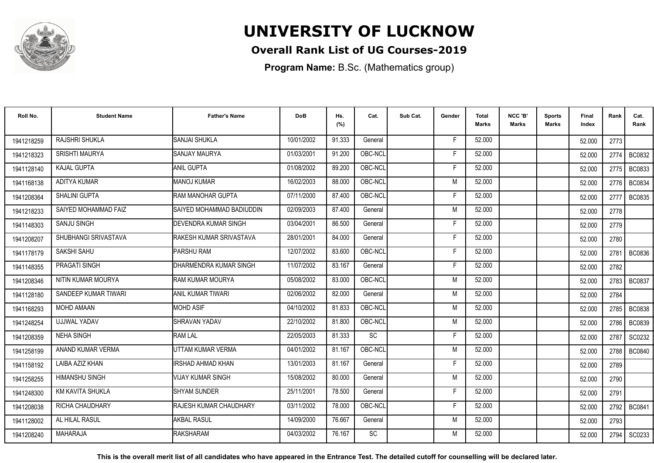

### **Overall Rank List of UG Courses-2019**

**Program Name:** B.Sc. (Mathematics group)

| Roll No.   | <b>Student Name</b>     | <b>Father's Name</b>        | <b>DoB</b> | Hs.<br>(%) | Cat.    | Sub Cat. | Gender | Total<br><b>Marks</b> | NCC 'B'<br><b>Marks</b> | Sports<br>Marks | Final<br>Index | Rank | Cat.<br>Rank  |
|------------|-------------------------|-----------------------------|------------|------------|---------|----------|--------|-----------------------|-------------------------|-----------------|----------------|------|---------------|
| 1941218259 | RAJSHRI SHUKLA          | SANJAI SHUKLA               | 10/01/2002 | 91.333     | General |          | E      | 52.000                |                         |                 | 52.000         | 2773 |               |
| 1941218323 | <b>SRISHTI MAURYA</b>   | <b>SANJAY MAURYA</b>        | 01/03/2001 | 91.200     | OBC-NCL |          | F      | 52.000                |                         |                 | 52.000         | 2774 | <b>BC0832</b> |
| 1941128140 | <b>KAJAL GUPTA</b>      | <b>ANIL GUPTA</b>           | 01/08/2002 | 89.200     | OBC-NCL |          | F.     | 52.000                |                         |                 | 52.000         | 2775 | <b>BC0833</b> |
| 1941168138 | ADITYA KUMAR            | <b>MANOJ KUMAR</b>          | 16/02/2003 | 88.000     | OBC-NCL |          | M      | 52.000                |                         |                 | 52.000         | 2776 | BC0834        |
| 1941208364 | <b>SHALINI GUPTA</b>    | RAM MANOHAR GUPTA           | 07/11/2000 | 87.400     | OBC-NCL |          | F      | 52.000                |                         |                 | 52.000         | 2777 | <b>BC0835</b> |
| 1941218233 | SAIYED MOHAMMAD FAIZ    | SAIYED MOHAMMAD BADIUDDIN   | 02/09/2003 | 87.400     | General |          | M      | 52.000                |                         |                 | 52.000         | 2778 |               |
| 1941148303 | <b>SANJU SINGH</b>      | <b>DEVENDRA KUMAR SINGH</b> | 03/04/2001 | 86.500     | General |          | F      | 52.000                |                         |                 | 52.000         | 2779 |               |
| 1941208207 | SHUBHANGI SRIVASTAVA    | RAKESH KUMAR SRIVASTAVA     | 28/01/2001 | 84.000     | General |          | Е      | 52.000                |                         |                 | 52.000         | 2780 |               |
| 1941178179 | SAKSHI SAHU             | PARSHU RAM                  | 12/07/2002 | 83.600     | OBC-NCL |          | F      | 52.000                |                         |                 | 52.000         | 2781 | BC0836        |
| 1941148355 | PRAGATI SINGH           | DHARMENDRA KUMAR SINGH      | 11/07/2002 | 83.167     | General |          | F      | 52.000                |                         |                 | 52.000         | 2782 |               |
| 1941208346 | NITIN KUMAR MOURYA      | <b>IRAM KUMAR MOURYA</b>    | 05/08/2002 | 83.000     | OBC-NCL |          | M      | 52.000                |                         |                 | 52.000         | 2783 | <b>BC0837</b> |
| 1941128180 | SANDEEP KUMAR TIWARI    | <b>ANIL KUMAR TIWARI</b>    | 02/06/2002 | 82.000     | General |          | M      | 52.000                |                         |                 | 52.000         | 2784 |               |
| 1941168293 | MOHD AMAAN              | <b>MOHD ASIF</b>            | 04/10/2002 | 81.833     | OBC-NCL |          | M      | 52.000                |                         |                 | 52.000         | 2785 | <b>BC0838</b> |
| 1941248254 | <b>UJJWAL YADAV</b>     | SHRAVAN YADAV               | 22/10/2002 | 81.800     | OBC-NCL |          | M      | 52.000                |                         |                 | 52.000         | 2786 | <b>BC0839</b> |
| 1941208359 | <b>NEHA SINGH</b>       | <b>RAM LAL</b>              | 22/05/2003 | 81.333     | SC      |          | Е      | 52.000                |                         |                 | 52.000         | 2787 | SC0232        |
| 1941258199 | ANAND KUMAR VERMA       | UTTAM KUMAR VERMA           | 04/01/2002 | 81.167     | OBC-NCL |          | M      | 52.000                |                         |                 | 52.000         | 2788 | <b>BC0840</b> |
| 1941158192 | LAIBA AZIZ KHAN         | IRSHAD AHMAD KHAN           | 13/01/2003 | 81.167     | General |          | F      | 52.000                |                         |                 | 52.000         | 2789 |               |
| 1941258255 | <b>HIMANSHU SINGH</b>   | VIJAY KUMAR SINGH           | 15/08/2002 | 80.000     | General |          | M      | 52.000                |                         |                 | 52.000         | 2790 |               |
| 1941248300 | <b>KM KAVITA SHUKLA</b> | <b>SHYAM SUNDER</b>         | 25/11/2001 | 78.500     | General |          | F.     | 52.000                |                         |                 | 52.000         | 2791 |               |
| 1941208038 | <b>RICHA CHAUDHARY</b>  | RAJESH KUMAR CHAUDHARY      | 03/11/2002 | 78.000     | OBC-NCL |          | F      | 52.000                |                         |                 | 52.000         | 2792 | <b>BC0841</b> |
| 1941128002 | AL HILAL RASUL          | AKBAL RASUL                 | 14/09/2000 | 76.667     | General |          | M      | 52.000                |                         |                 | 52.000         | 2793 |               |
| 1941208240 | <b>MAHARAJA</b>         | <b>RAKSHARAM</b>            | 04/03/2002 | 76.167     | SC      |          | M      | 52.000                |                         |                 | 52.000         | 2794 | SC0233        |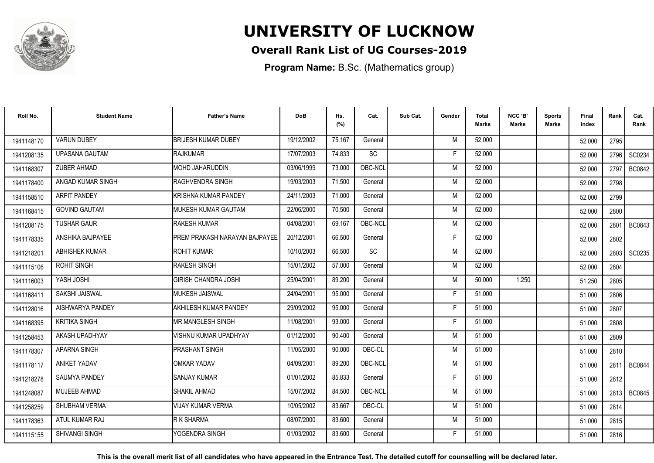

### **Overall Rank List of UG Courses-2019**

**Program Name:** B.Sc. (Mathematics group)

| Roll No.   | <b>Student Name</b>   | <b>Father's Name</b>          | <b>DoB</b> | Hs.<br>(%) | Cat.    | Sub Cat. | Gender | <b>Total</b><br>Marks | NCC 'B'<br><b>Marks</b> | Sports<br><b>Marks</b> | Final<br>Index | Rank   | Cat.<br>Rank  |
|------------|-----------------------|-------------------------------|------------|------------|---------|----------|--------|-----------------------|-------------------------|------------------------|----------------|--------|---------------|
| 1941148170 | <b>VARUN DUBEY</b>    | <b>BRIJESH KUMAR DUBEY</b>    | 19/12/2002 | 75.167     | General |          | M      | 52.000                |                         |                        | 52.000         | 2795   |               |
| 1941208135 | <b>UPASANA GAUTAM</b> | <b>RAJKUMAR</b>               | 17/07/2003 | 74.833     | SC      |          | F      | 52.000                |                         |                        | 52.000         | 2796   | SC0234        |
| 1941168307 | <b>ZUBER AHMAD</b>    | MOHD JAHARUDDIN               | 03/06/1999 | 73.000     | OBC-NCL |          | M      | 52.000                |                         |                        | 52.000         | 2797   | <b>BC0842</b> |
| 1941178400 | ANGAD KUMAR SINGH     | <b>RAGHVENDRA SINGH</b>       | 19/03/2003 | 71.500     | General |          | M      | 52.000                |                         |                        | 52.000         | 2798   |               |
| 1941158510 | <b>ARPIT PANDEY</b>   | KRISHNA KUMAR PANDEY          | 24/11/2003 | 71.000     | General |          | M      | 52.000                |                         |                        | 52.000         | 2799   |               |
| 1941168415 | <b>GOVIND GAUTAM</b>  | MUKESH KUMAR GAUTAM           | 22/06/2000 | 70.500     | General |          | M      | 52.000                |                         |                        | 52.000         | 2800   |               |
| 1941208175 | <b>TUSHAR GAUR</b>    | <b>RAKESH KUMAR</b>           | 04/08/2001 | 69.167     | OBC-NCL |          | M      | 52.000                |                         |                        | 52.000         | 2801   | <b>BC0843</b> |
| 1941178335 | ANSHIKA BAJPAYEE      | PREM PRAKASH NARAYAN BAJPAYEE | 20/12/2001 | 66.500     | General |          | Е      | 52.000                |                         |                        | 52.000         | 2802   |               |
| 1941218201 | <b>ABHISHEK KUMAR</b> | ROHIT KUMAR                   | 10/10/2003 | 66.500     | SC      |          | M      | 52.000                |                         |                        | 52.000         | 2803 l | SC0235        |
| 1941115106 | ROHIT SINGH           | <b>RAKESH SINGH</b>           | 15/01/2002 | 57.000     | General |          | M      | 52.000                |                         |                        | 52.000         | 2804   |               |
| 1941116003 | YASH JOSHI            | <b>GIRISH CHANDRA JOSHI</b>   | 25/04/2001 | 89.200     | General |          | M      | 50.000                | 1.250                   |                        | 51.250         | 2805   |               |
| 1941168411 | <b>SAKSHI JAISWAL</b> | <b>IMUKESH JAISWAL</b>        | 24/04/2001 | 95.000     | General |          | F      | 51.000                |                         |                        | 51.000         | 2806   |               |
| 1941128016 | AISHWARYA PANDEY      | AKHILESH KUMAR PANDEY         | 29/09/2002 | 95.000     | General |          | Е      | 51.000                |                         |                        | 51.000         | 2807   |               |
| 1941168395 | <b>KRITIKA SINGH</b>  | IMR.MANGLESH SINGH            | 11/08/2001 | 93.000     | General |          | F      | 51.000                |                         |                        | 51.000         | 2808   |               |
| 1941258453 | AKASH UPADHYAY        | VISHNU KUMAR UPADHYAY         | 01/12/2000 | 90.400     | General |          | M      | 51.000                |                         |                        | 51.000         | 2809   |               |
| 1941178307 | <b>APARNA SINGH</b>   | <b>PRASHANT SINGH</b>         | 11/05/2000 | 90.000     | OBC-CL  |          | M      | 51.000                |                         |                        | 51.000         | 2810   |               |
| 1941178117 | <b>ANIKET YADAV</b>   | OMKAR YADAV                   | 04/09/2001 | 89.200     | OBC-NCL |          | M      | 51.000                |                         |                        | 51.000         | 2811 l | <b>BC0844</b> |
| 1941218278 | <b>SAUMYA PANDEY</b>  | <b>SANJAY KUMAR</b>           | 01/01/2002 | 85.833     | General |          | F      | 51.000                |                         |                        | 51.000         | 2812   |               |
| 1941248087 | <b>MUJEEB AHMAD</b>   | <b>SHAKIL AHMAD</b>           | 15/07/2002 | 84.500     | OBC-NCL |          | M      | 51.000                |                         |                        | 51.000         | 2813 l | <b>BC0845</b> |
| 1941258259 | <b>SHUBHAM VERMA</b>  | <b>VIJAY KUMAR VERMA</b>      | 10/05/2002 | 83.667     | OBC-CL  |          | M      | 51.000                |                         |                        | 51.000         | 2814   |               |
| 1941178363 | ATUL KUMAR RAJ        | R K SHARMA                    | 08/07/2000 | 83.600     | General |          | M      | 51.000                |                         |                        | 51.000         | 2815   |               |
| 1941115155 | <b>SHIVANGI SINGH</b> | YOGENDRA SINGH                | 01/03/2002 | 83.600     | General |          | F      | 51.000                |                         |                        | 51.000         | 2816   |               |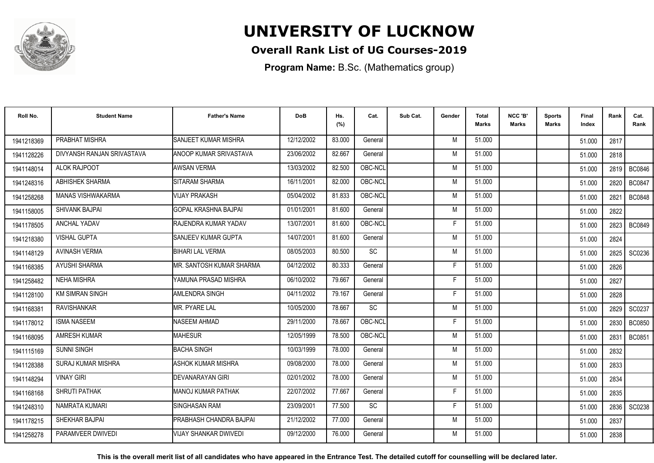

### **Overall Rank List of UG Courses-2019**

**Program Name:** B.Sc. (Mathematics group)

| Roll No.   | <b>Student Name</b>        | <b>Father's Name</b>         | <b>DoB</b> | Hs.<br>(%) | Cat.      | Sub Cat. | Gender | <b>Total</b><br>Marks | NCC 'B'<br><b>Marks</b> | Sports<br><b>Marks</b> | Final<br>Index | Rank   | Cat.<br>Rank  |
|------------|----------------------------|------------------------------|------------|------------|-----------|----------|--------|-----------------------|-------------------------|------------------------|----------------|--------|---------------|
| 1941218369 | PRABHAT MISHRA             | SANJEET KUMAR MISHRA         | 12/12/2002 | 83.000     | General   |          | M      | 51.000                |                         |                        | 51.000         | 2817   |               |
| 1941128226 | DIVYANSH RANJAN SRIVASTAVA | ANOOP KUMAR SRIVASTAVA       | 23/06/2002 | 82.667     | General   |          | M      | 51.000                |                         |                        | 51.000         | 2818   |               |
| 1941148014 | ALOK RAJPOOT               | <b>AWSAN VERMA</b>           | 13/03/2002 | 82.500     | OBC-NCL   |          | M      | 51.000                |                         |                        | 51.000         | 2819   | <b>BC0846</b> |
| 1941248316 | ABHISHEK SHARMA            | SITARAM SHARMA               | 16/11/2001 | 82.000     | OBC-NCL   |          | M      | 51.000                |                         |                        | 51.000         | 2820   | <b>BC0847</b> |
| 1941258268 | <b>MANAS VISHWAKARMA</b>   | <b>VIJAY PRAKASH</b>         | 05/04/2002 | 81.833     | OBC-NCL   |          | M      | 51.000                |                         |                        | 51.000         | 2821   | <b>BC0848</b> |
| 1941158005 | <b>SHIVANK BAJPAI</b>      | GOPAL KRASHNA BAJPAI         | 01/01/2001 | 81.600     | General   |          | M      | 51.000                |                         |                        | 51.000         | 2822   |               |
| 1941178505 | ANCHAL YADAV               | RAJENDRA KUMAR YADAV         | 13/07/2001 | 81.600     | OBC-NCL   |          | F      | 51.000                |                         |                        | 51.000         | 2823   | <b>BC0849</b> |
| 1941218380 | <b>VISHAL GUPTA</b>        | <b>SANJEEV KUMAR GUPTA</b>   | 14/07/2001 | 81.600     | General   |          | M      | 51.000                |                         |                        | 51.000         | 2824   |               |
| 1941148129 | <b>AVINASH VERMA</b>       | <b>BIHARI LAL VERMA</b>      | 08/05/2003 | 80.500     | SC        |          | M      | 51.000                |                         |                        | 51.000         | 2825 l | SC0236        |
| 1941168385 | AYUSHI SHARMA              | MR. SANTOSH KUMAR SHARMA     | 04/12/2002 | 80.333     | General   |          | F      | 51.000                |                         |                        | 51.000         | 2826   |               |
| 1941258482 | <b>NEHA MISHRA</b>         | YAMUNA PRASAD MISHRA         | 06/10/2002 | 79.667     | General   |          | Е      | 51.000                |                         |                        | 51.000         | 2827   |               |
| 1941128100 | <b>KM SIMRAN SINGH</b>     | <b>AMLENDRA SINGH</b>        | 04/11/2002 | 79.167     | General   |          | F      | 51.000                |                         |                        | 51.000         | 2828   |               |
| 1941168381 | <b>RAVISHANKAR</b>         | <b>MR. PYARE LAL</b>         | 10/05/2000 | 78.667     | <b>SC</b> |          | M      | 51.000                |                         |                        | 51.000         | 2829   | SC0237        |
| 1941178012 | <b>ISMA NASEEM</b>         | NASEEM AHMAD                 | 29/11/2000 | 78.667     | OBC-NCL   |          | F      | 51.000                |                         |                        | 51.000         | 2830   | <b>BC0850</b> |
| 1941168095 | <b>AMRESH KUMAR</b>        | <b>MAHESUR</b>               | 12/05/1999 | 78.500     | OBC-NCL   |          | M      | 51.000                |                         |                        | 51.000         | 2831   | BC0851        |
| 1941115169 | <b>SUNNI SINGH</b>         | <b>BACHA SINGH</b>           | 10/03/1999 | 78.000     | General   |          | M      | 51.000                |                         |                        | 51.000         | 2832   |               |
| 1941128388 | <b>SURAJ KUMAR MISHRA</b>  | ASHOK KUMAR MISHRA           | 09/08/2000 | 78.000     | General   |          | M      | 51.000                |                         |                        | 51.000         | 2833   |               |
| 1941148294 | <b>VINAY GIRI</b>          | DEVANARAYAN GIRI             | 02/01/2002 | 78.000     | General   |          | M      | 51.000                |                         |                        | 51.000         | 2834   |               |
| 1941168168 | <b>SHRUTI PATHAK</b>       | IMANOJ KUMAR PATHAK          | 22/07/2002 | 77.667     | General   |          | F      | 51.000                |                         |                        | 51.000         | 2835   |               |
| 1941248310 | NAMRATA KUMARI             | <b>SINGHASAN RAM</b>         | 23/09/2001 | 77.500     | SC        |          | F      | 51.000                |                         |                        | 51.000         | 2836 l | SC0238        |
| 1941178215 | SHEKHAR BAJPAI             | PRABHASH CHANDRA BAJPAI      | 21/12/2002 | 77.000     | General   |          | M      | 51.000                |                         |                        | 51.000         | 2837   |               |
| 1941258278 | PARAMVEER DWIVEDI          | <b>VIJAY SHANKAR DWIVEDI</b> | 09/12/2000 | 76.000     | General   |          | M      | 51.000                |                         |                        | 51.000         | 2838   |               |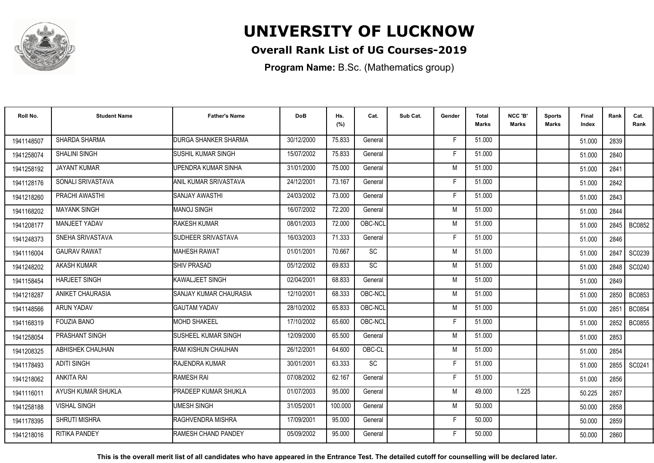

### **Overall Rank List of UG Courses-2019**

**Program Name:** B.Sc. (Mathematics group)

| Roll No.   | <b>Student Name</b>  | <b>Father's Name</b>        | <b>DoB</b> | Hs.<br>(%) | Cat.      | Sub Cat. | Gender | <b>Total</b><br><b>Marks</b> | NCC 'B'<br><b>Marks</b> | Sports<br>Marks | <b>Final</b><br>Index | Rank   | Cat.<br>Rank  |
|------------|----------------------|-----------------------------|------------|------------|-----------|----------|--------|------------------------------|-------------------------|-----------------|-----------------------|--------|---------------|
| 1941148507 | SHARDA SHARMA        | <b>DURGA SHANKER SHARMA</b> | 30/12/2000 | 75.833     | General   |          | F      | 51.000                       |                         |                 | 51.000                | 2839   |               |
| 1941258074 | SHALINI SINGH        | <b>SUSHIL KUMAR SINGH</b>   | 15/07/2002 | 75.833     | General   |          | F      | 51.000                       |                         |                 | 51.000                | 2840   |               |
| 1941258192 | JAYANT KUMAR         | UPENDRA KUMAR SINHA         | 31/01/2000 | 75.000     | General   |          | M      | 51.000                       |                         |                 | 51.000                | 2841   |               |
| 1941128176 | SONALI SRIVASTAVA    | ANIL KUMAR SRIVASTAVA       | 24/12/2001 | 73.167     | General   |          | F      | 51.000                       |                         |                 | 51.000                | 2842   |               |
| 1941218260 | PRACHI AWASTHI       | SANJAY AWASTHI              | 24/03/2002 | 73.000     | General   |          | F      | 51.000                       |                         |                 | 51.000                | 2843   |               |
| 1941168202 | <b>MAYANK SINGH</b>  | <b>MANOJ SINGH</b>          | 16/07/2002 | 72.200     | General   |          | M      | 51.000                       |                         |                 | 51.000                | 2844   |               |
| 1941208177 | <b>MANJEET YADAV</b> | <b>RAKESH KUMAR</b>         | 08/01/2003 | 72.000     | OBC-NCL   |          | M      | 51.000                       |                         |                 | 51.000                | 2845   | <b>BC0852</b> |
| 1941248373 | SNEHA SRIVASTAVA     | SUDHEER SRIVASTAVA          | 16/03/2003 | 71.333     | General   |          | F      | 51.000                       |                         |                 | 51.000                | 2846   |               |
| 1941116004 | <b>GAURAV RAWAT</b>  | <b>MAHESH RAWAT</b>         | 01/01/2001 | 70.667     | <b>SC</b> |          | M      | 51.000                       |                         |                 | 51.000                | 2847   | SC0239        |
| 1941248202 | <b>AKASH KUMAR</b>   | <b>SHIV PRASAD</b>          | 05/12/2002 | 69.833     | <b>SC</b> |          | M      | 51.000                       |                         |                 | 51.000                | 2848 l | SC0240        |
| 1941158454 | <b>HARJEET SINGH</b> | KAWALJEET SINGH             | 02/04/2001 | 68.833     | General   |          | M      | 51.000                       |                         |                 | 51.000                | 2849   |               |
| 1941218287 | ANIKET CHAURASIA     | SANJAY KUMAR CHAURASIA      | 12/10/2001 | 68.333     | OBC-NCL   |          | M      | 51.000                       |                         |                 | 51.000                | 2850   | <b>BC0853</b> |
| 1941148566 | ARUN YADAV           | <b>GAUTAM YADAV</b>         | 28/10/2002 | 65.833     | OBC-NCL   |          | M      | 51.000                       |                         |                 | 51.000                | 2851   | <b>BC0854</b> |
| 1941168319 | <b>FOUZIA BANO</b>   | <b>MOHD SHAKEEL</b>         | 17/10/2002 | 65.600     | OBC-NCL   |          | F      | 51.000                       |                         |                 | 51.000                | 2852   | <b>BC0855</b> |
| 1941258054 | PRASHANT SINGH       | SUSHEEL KUMAR SINGH         | 12/09/2000 | 65.500     | General   |          | M      | 51.000                       |                         |                 | 51.000                | 2853   |               |
| 1941208325 | ABHISHEK CHAUHAN     | RAM KISHUN CHAUHAN          | 26/12/2001 | 64.600     | OBC-CL    |          | M      | 51.000                       |                         |                 | 51.000                | 2854   |               |
| 1941178493 | <b>ADITI SINGH</b>   | RAJENDRA KUMAR              | 30/01/2001 | 63.333     | <b>SC</b> |          | F      | 51.000                       |                         |                 | 51.000                |        | 2855   SC0241 |
| 1941218062 | <b>ANKITA RAI</b>    | <b>RAMESH RAI</b>           | 07/08/2002 | 62.167     | General   |          | F      | 51.000                       |                         |                 | 51.000                | 2856   |               |
| 1941116011 | AYUSH KUMAR SHUKLA   | PRADEEP KUMAR SHUKLA        | 01/07/2003 | 95.000     | General   |          | M      | 49.000                       | 1.225                   |                 | 50.225                | 2857   |               |
| 1941258188 | <b>VISHAL SINGH</b>  | <b>UMESH SINGH</b>          | 31/05/2001 | 100.000    | General   |          | M      | 50.000                       |                         |                 | 50.000                | 2858   |               |
| 1941178395 | <b>SHRUTI MISHRA</b> | <b>RAGHVENDRA MISHRA</b>    | 17/09/2001 | 95.000     | General   |          | F      | 50.000                       |                         |                 | 50.000                | 2859   |               |
| 1941218016 | <b>RITIKA PANDEY</b> | RAMESH CHAND PANDEY         | 05/09/2002 | 95.000     | General   |          | F      | 50.000                       |                         |                 | 50.000                | 2860   |               |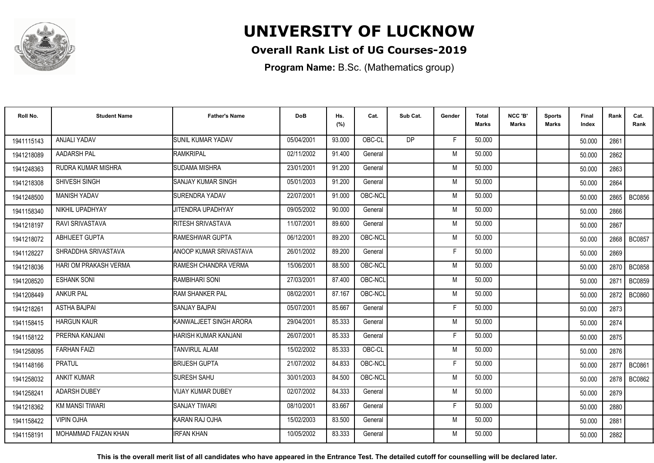

### **Overall Rank List of UG Courses-2019**

**Program Name:** B.Sc. (Mathematics group)

| Roll No.   | <b>Student Name</b>          | <b>Father's Name</b>     | <b>DoB</b> | Hs.<br>(%) | Cat.    | Sub Cat.  | Gender | <b>Total</b><br><b>Marks</b> | NCC 'B'<br><b>Marks</b> | <b>Sports</b><br><b>Marks</b> | Final<br>Index | Rank   | Cat.<br>Rank  |
|------------|------------------------------|--------------------------|------------|------------|---------|-----------|--------|------------------------------|-------------------------|-------------------------------|----------------|--------|---------------|
| 1941115143 | ANJALI YADAV                 | <b>SUNIL KUMAR YADAV</b> | 05/04/2001 | 93.000     | OBC-CL  | <b>DP</b> | F.     | 50.000                       |                         |                               | 50.000         | 2861   |               |
| 1941218089 | <b>AADARSH PAL</b>           | RAMKRIPAL                | 02/11/2002 | 91.400     | General |           | M      | 50.000                       |                         |                               | 50.000         | 2862   |               |
| 1941248363 | RUDRA KUMAR MISHRA           | <b>SUDAMA MISHRA</b>     | 23/01/2001 | 91.200     | General |           | M      | 50.000                       |                         |                               | 50.000         | 2863   |               |
| 1941218308 | SHIVESH SINGH                | ISANJAY KUMAR SINGH      | 05/01/2003 | 91.200     | General |           | M      | 50.000                       |                         |                               | 50.000         | 2864   |               |
| 1941248500 | <b>MANISH YADAV</b>          | <b>SURENDRA YADAV</b>    | 22/07/2001 | 91.000     | OBC-NCL |           | M      | 50.000                       |                         |                               | 50.000         | 2865   | BC0856        |
| 1941158340 | NIKHIL UPADHYAY              | <b>JITENDRA UPADHYAY</b> | 09/05/2002 | 90.000     | General |           | M      | 50.000                       |                         |                               | 50.000         | 2866   |               |
| 1941218197 | <b>RAVI SRIVASTAVA</b>       | <b>RITESH SRIVASTAVA</b> | 11/07/2001 | 89.600     | General |           | M      | 50.000                       |                         |                               | 50.000         | 2867   |               |
| 1941218072 | <b>ABHIJEET GUPTA</b>        | <b>RAMESHWAR GUPTA</b>   | 06/12/2001 | 89.200     | OBC-NCL |           | M      | 50.000                       |                         |                               | 50.000         | 2868   | <b>BC0857</b> |
| 1941128227 | SHRADDHA SRIVASTAVA          | ANOOP KUMAR SRIVASTAVA   | 26/01/2002 | 89.200     | General |           | F      | 50.000                       |                         |                               | 50.000         | 2869   |               |
| 1941218036 | <b>HARI OM PRAKASH VERMA</b> | RAMESH CHANDRA VERMA     | 15/06/2001 | 88.500     | OBC-NCL |           | M      | 50.000                       |                         |                               | 50.000         |        | 2870   BC0858 |
| 1941208520 | <b>ESHANK SONI</b>           | RAMBIHARI SONI           | 27/03/2001 | 87.400     | OBC-NCL |           | M      | 50.000                       |                         |                               | 50.000         | 287    | <b>BC0859</b> |
| 1941208449 | <b>ANKUR PAL</b>             | <b>RAM SHANKER PAL</b>   | 08/02/2001 | 87.167     | OBC-NCL |           | M      | 50.000                       |                         |                               | 50.000         | 2872   | <b>BC0860</b> |
| 1941218261 | <b>ASTHA BAJPAI</b>          | <b>SANJAY BAJPAI</b>     | 05/07/2001 | 85.667     | General |           | Е      | 50.000                       |                         |                               | 50.000         | 2873   |               |
| 1941158415 | <b>HARGUN KAUR</b>           | KANWALJEET SINGH ARORA   | 29/04/2001 | 85.333     | General |           | M      | 50.000                       |                         |                               | 50.000         | 2874   |               |
| 1941158122 | PRERNA KANJANI               | HARISH KUMAR KANJANI     | 26/07/2001 | 85.333     | General |           | Е      | 50.000                       |                         |                               | 50.000         | 2875   |               |
| 1941258095 | <b>FARHAN FAIZI</b>          | <b>TANVIRUL ALAM</b>     | 15/02/2002 | 85.333     | OBC-CL  |           | M      | 50.000                       |                         |                               | 50.000         | 2876   |               |
| 1941148166 | <b>PRATUL</b>                | <b>BRIJESH GUPTA</b>     | 21/07/2002 | 84.833     | OBC-NCL |           | Е      | 50.000                       |                         |                               | 50.000         | 2877 I | <b>BC0861</b> |
| 1941258032 | <b>ANKIT KUMAR</b>           | <b>SURESH SAHU</b>       | 30/01/2003 | 84.500     | OBC-NCL |           | M      | 50.000                       |                         |                               | 50.000         | 2878 l | BC0862        |
| 1941258241 | ADARSH DUBEY                 | VIJAY KUMAR DUBEY        | 02/07/2002 | 84.333     | General |           | M      | 50.000                       |                         |                               | 50.000         | 2879   |               |
| 1941218362 | <b>KM MANSI TIWARI</b>       | <b>SANJAY TIWARI</b>     | 08/10/2001 | 83.667     | General |           | F      | 50.000                       |                         |                               | 50.000         | 2880   |               |
| 1941158422 | <b>VIPIN OJHA</b>            | KARAN RAJ OJHA           | 15/02/2003 | 83.500     | General |           | M      | 50.000                       |                         |                               | 50.000         | 2881   |               |
| 1941158191 | MOHAMMAD FAIZAN KHAN         | <b>IRFAN KHAN</b>        | 10/05/2002 | 83.333     | General |           | M      | 50.000                       |                         |                               | 50.000         | 2882   |               |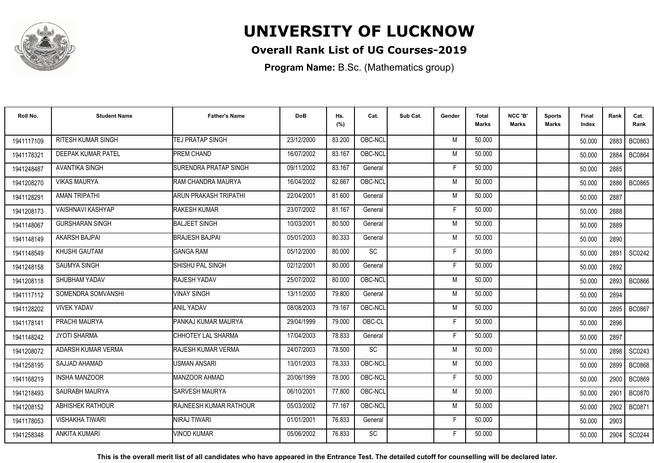

### **Overall Rank List of UG Courses-2019**

**Program Name:** B.Sc. (Mathematics group)

| Roll No.               | <b>Student Name</b>       | <b>Father's Name</b>           | <b>DoB</b> | Hs.<br>(%) | Cat.      | Sub Cat. | Gender | <b>Total</b><br><b>Marks</b> | NCC 'B'<br><b>Marks</b> | Sports<br>Marks | <b>Final</b><br>Index | Rank   | Cat.<br>Rank  |
|------------------------|---------------------------|--------------------------------|------------|------------|-----------|----------|--------|------------------------------|-------------------------|-----------------|-----------------------|--------|---------------|
| 1941117109             | <b>RITESH KUMAR SINGH</b> | <b>TEJ PRATAP SINGH</b>        | 23/12/2000 | 83.200     | OBC-NCL   |          | M      | 50.000                       |                         |                 | 50.000                | 2883 l | BC0863        |
| 1941178321             | DEEPAK KUMAR PATEL        | PREM CHAND                     | 16/07/2002 | 83.167     | OBC-NCL   |          | M      | 50.000                       |                         |                 | 50.000                | 2884   | <b>BC0864</b> |
| 1941248487             | <b>AVANTIKA SINGH</b>     | <b>SURENDRA PRATAP SINGH</b>   | 09/11/2002 | 83.167     | General   |          | F      | 50.000                       |                         |                 | 50.000                | 2885   |               |
| 1941208270             | <b>VIKAS MAURYA</b>       | RAM CHANDRA MAURYA             | 16/04/2002 | 82.667     | OBC-NCL   |          | M      | 50.000                       |                         |                 | 50.000                | 2886   | <b>BC0865</b> |
| 194112829 <sup>-</sup> | <b>AMAN TRIPATHI</b>      | ARUN PRAKASH TRIPATHI          | 22/04/2001 | 81.600     | General   |          | M      | 50.000                       |                         |                 | 50.000                | 2887   |               |
| 1941208173             | <b>VAISHNAVI KASHYAP</b>  | <b>RAKESH KUMAR</b>            | 23/07/2002 | 81.167     | General   |          | F      | 50.000                       |                         |                 | 50.000                | 2888   |               |
| 1941148067             | <b>GURSHARAN SINGH</b>    | <b>BALJEET SINGH</b>           | 10/03/2001 | 80.500     | General   |          | M      | 50.000                       |                         |                 | 50.000                | 2889   |               |
| 1941148149             | <b>AKARSH BAJPAI</b>      | <b>BRAJESH BAJPAI</b>          | 05/01/2003 | 80.333     | General   |          | M      | 50.000                       |                         |                 | 50.000                | 2890   |               |
| 1941148549             | KHUSHI GAUTAM             | <b>GANGA RAM</b>               | 05/12/2000 | 80.000     | <b>SC</b> |          | F      | 50.000                       |                         |                 | 50.000                | 2891   | SC0242        |
| 1941248158             | <b>SAUMYA SINGH</b>       | SHISHU PAL SINGH               | 02/12/2001 | 80.000     | General   |          | F      | 50.000                       |                         |                 | 50.000                | 2892   |               |
| 1941208118             | SHUBHAM YADAV             | RAJESH YADAV                   | 25/07/2002 | 80.000     | OBC-NCL   |          | M      | 50.000                       |                         |                 | 50.000                | 2893   | <b>BC0866</b> |
| 1941117112             | SOMENDRA SOMVANSHI        | <b>VINAY SINGH</b>             | 13/11/2000 | 79.800     | General   |          | M      | 50.000                       |                         |                 | 50.000                | 2894   |               |
| 1941128202             | <b>VIVEK YADAV</b>        | <b>ANIL YADAV</b>              | 08/08/2003 | 79.167     | OBC-NCL   |          | M      | 50.000                       |                         |                 | 50.000                | 2895   | <b>BC0867</b> |
| 1941178141             | PRACHI MAURYA             | PANKAJ KUMAR MAURYA            | 29/04/1999 | 79.000     | OBC-CL    |          | F      | 50.000                       |                         |                 | 50.000                | 2896   |               |
| 1941148242             | <b>JYOTI SHARMA</b>       | CHHOTEY LAL SHARMA             | 17/04/2003 | 78.833     | General   |          | F      | 50.000                       |                         |                 | 50.000                | 2897   |               |
| 1941208072             | ADARSH KUMAR VERMA        | RAJESH KUMAR VERMA             | 24/07/2003 | 78.500     | SC        |          | M      | 50.000                       |                         |                 | 50.000                | 2898   | SC0243        |
| 1941258195             | SAJJAD AHAMAD             | <b>USMAN ANSARI</b>            | 13/01/2003 | 78.333     | OBC-NCL   |          | M      | 50.000                       |                         |                 | 50.000                | 2899   | <b>BC0868</b> |
| 1941168219             | <b>INSHA MANZOOR</b>      | <b>MANZOOR AHMAD</b>           | 20/06/1999 | 78.000     | OBC-NCL   |          | F      | 50.000                       |                         |                 | 50.000                | 2900   | <b>BC0869</b> |
| 1941218493             | SAURABH MAURYA            | <b>SARVESH MAURYA</b>          | 06/10/2001 | 77.800     | OBC-NCL   |          | M      | 50.000                       |                         |                 | 50.000                | 2901   | <b>BC0870</b> |
| 1941208152             | <b>ABHISHEK RATHOUR</b>   | <b>IRAJNEESH KUMAR RATHOUR</b> | 05/03/2002 | 77.167     | OBC-NCL   |          | M      | 50.000                       |                         |                 | 50.000                | 2902   | BC0871        |
| 1941178053             | <b>VISHAKHA TIWARI</b>    | <b>NIRAJ TIWARI</b>            | 01/01/2001 | 76.833     | General   |          | F      | 50.000                       |                         |                 | 50.000                | 2903   |               |
| 1941258348             | <b>ANKITA KUMARI</b>      | <b>/INOD KUMAR</b>             | 05/06/2002 | 76.833     | <b>SC</b> |          | F      | 50.000                       |                         |                 | 50.000                | 2904   | SC0244        |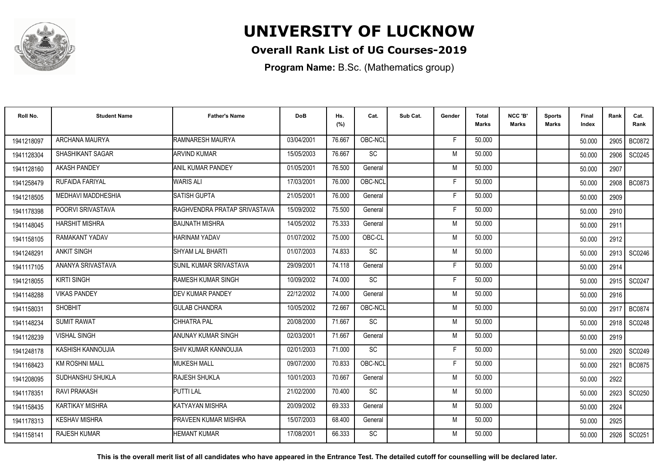

### **Overall Rank List of UG Courses-2019**

**Program Name:** B.Sc. (Mathematics group)

| Roll No.   | <b>Student Name</b>    | <b>Father's Name</b>         | <b>DoB</b> | Hs.<br>(%) | Cat.            | Sub Cat. | Gender | Total<br><b>Marks</b> | NCC 'B'<br><b>Marks</b> | Sports<br>Marks | Final<br>Index | Rank | Cat.<br>Rank  |
|------------|------------------------|------------------------------|------------|------------|-----------------|----------|--------|-----------------------|-------------------------|-----------------|----------------|------|---------------|
| 1941218097 | ARCHANA MAURYA         | RAMNARESH MAURYA             | 03/04/2001 | 76.667     | OBC-NCL         |          | E      | 50.000                |                         |                 | 50.000         | 2905 | <b>BC0872</b> |
| 1941128304 | SHASHIKANT SAGAR       | <b>ARVIND KUMAR</b>          | 15/05/2003 | 76.667     | SC              |          | M      | 50.000                |                         |                 | 50.000         | 2906 | SC0245        |
| 1941128160 | <b>AKASH PANDEY</b>    | <b>ANIL KUMAR PANDEY</b>     | 01/05/2001 | 76.500     | General         |          | M      | 50.000                |                         |                 | 50.000         | 2907 |               |
| 1941258479 | RUFAIDA FARIYAL        | <b>WARIS ALI</b>             | 17/03/2001 | 76.000     | OBC-NCL         |          | F      | 50.000                |                         |                 | 50.000         | 2908 | <b>BC0873</b> |
| 1941218505 | MEDHAVI MADDHESHIA     | SATISH GUPTA                 | 21/05/2001 | 76.000     | General         |          | F      | 50.000                |                         |                 | 50.000         | 2909 |               |
| 1941178398 | POORVI SRIVASTAVA      | RAGHVENDRA PRATAP SRIVASTAVA | 15/09/2002 | 75.500     | General         |          | F      | 50.000                |                         |                 | 50.000         | 2910 |               |
| 1941148045 | <b>HARSHIT MISHRA</b>  | BAIJNATH MISHRA              | 14/05/2002 | 75.333     | General         |          | M      | 50.000                |                         |                 | 50.000         | 2911 |               |
| 1941158105 | <b>RAMAKANT YADAV</b>  | HARINAM YADAV                | 01/07/2002 | 75.000     | OBC-CL          |          | M      | 50.000                |                         |                 | 50.000         | 2912 |               |
| 1941248291 | <b>ANKIT SINGH</b>     | SHYAM LAL BHARTI             | 01/07/2003 | 74.833     | SC              |          | M      | 50.000                |                         |                 | 50.000         |      | 2913   SC0246 |
| 1941117105 | ANANYA SRIVASTAVA      | SUNIL KUMAR SRIVASTAVA       | 29/09/2001 | 74.118     | General         |          | F      | 50.000                |                         |                 | 50.000         | 2914 |               |
| 1941218055 | <b>KIRTI SINGH</b>     | <b>RAMESH KUMAR SINGH</b>    | 10/09/2002 | 74.000     | SC              |          | F      | 50.000                |                         |                 | 50.000         | 2915 | SC0247        |
| 1941148288 | <b>VIKAS PANDEY</b>    | <b>DEV KUMAR PANDEY</b>      | 22/12/2002 | 74.000     | General         |          | M      | 50.000                |                         |                 | 50.000         | 2916 |               |
| 194115803  | <b>SHOBHIT</b>         | <b>GULAB CHANDRA</b>         | 10/05/2002 | 72.667     | OBC-NCL         |          | M      | 50.000                |                         |                 | 50.000         | 2917 | <b>BC0874</b> |
| 1941148234 | <b>SUMIT RAWAT</b>     | CHHATRA PAL                  | 20/08/2000 | 71.667     | SC              |          | M      | 50.000                |                         |                 | 50.000         | 2918 | SC0248        |
| 1941128239 | <b>VISHAL SINGH</b>    | ANUNAY KUMAR SINGH           | 02/03/2001 | 71.667     | General         |          | M      | 50.000                |                         |                 | 50.000         | 2919 |               |
| 1941248178 | KASHISH KANNOUJIA      | SHIV KUMAR KANNOUJIA         | 02/01/2003 | 71.000     | $\overline{SC}$ |          | F      | 50.000                |                         |                 | 50.000         | 2920 | SC0249        |
| 1941168423 | <b>KM ROSHNI MALL</b>  | <b>MUKESH MALL</b>           | 09/07/2000 | 70.833     | OBC-NCL         |          | F      | 50.000                |                         |                 | 50.000         | 2921 | <b>BC0875</b> |
| 1941208095 | SUDHANSHU SHUKLA       | RAJESH SHUKLA                | 10/01/2003 | 70.667     | General         |          | M      | 50.000                |                         |                 | 50.000         | 2922 |               |
| 1941178351 | <b>RAVI PRAKASH</b>    | <b>PUTTI LAL</b>             | 21/02/2000 | 70.400     | SC              |          | M      | 50.000                |                         |                 | 50.000         | 2923 | SC0250        |
| 1941158435 | <b>KARTIKAY MISHRA</b> | <b>KATYAYAN MISHRA</b>       | 20/09/2002 | 69.333     | General         |          | M      | 50.000                |                         |                 | 50.000         | 2924 |               |
| 1941178313 | <b>KESHAV MISHRA</b>   | <b>PRAVEEN KUMAR MISHRA</b>  | 15/07/2003 | 68.400     | General         |          | M      | 50.000                |                         |                 | 50.000         | 2925 |               |
| 1941158141 | <b>RAJESH KUMAR</b>    | HEMANT KUMAR                 | 17/08/2001 | 66.333     | SC              |          | M      | 50.000                |                         |                 | 50.000         |      | 2926 SC0251   |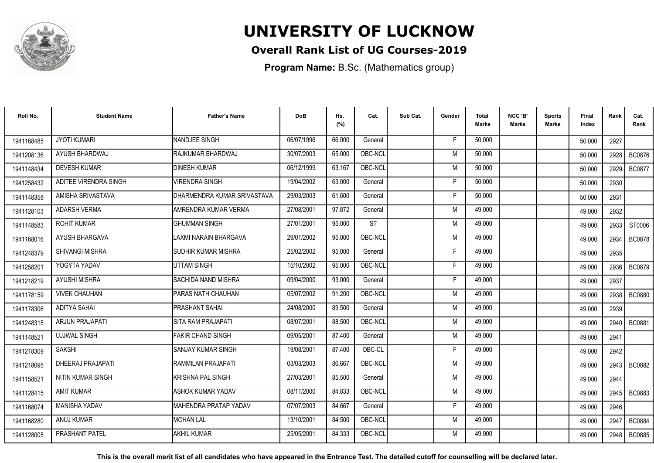

### **Overall Rank List of UG Courses-2019**

**Program Name:** B.Sc. (Mathematics group)

| Roll No.   | <b>Student Name</b>    | <b>Father's Name</b>        | <b>DoB</b> | Hs.<br>(%) | Cat.      | Sub Cat. | Gender | <b>Total</b><br><b>Marks</b> | NCC 'B'<br><b>Marks</b> | <b>Sports</b><br>Marks | Final<br>Index | Rank   | Cat.<br>Rank  |
|------------|------------------------|-----------------------------|------------|------------|-----------|----------|--------|------------------------------|-------------------------|------------------------|----------------|--------|---------------|
| 1941168485 | <b>JYOTI KUMARI</b>    | NANDJEE SINGH               | 06/07/1996 | 66.000     | General   |          | F.     | 50.000                       |                         |                        | 50.000         | 2927   |               |
| 1941208136 | AYUSH BHARDWAJ         | RAJKUMAR BHARDWAJ           | 30/07/2003 | 65.000     | OBC-NCL   |          | M      | 50.000                       |                         |                        | 50.000         | 2928   | <b>BC0876</b> |
| 1941148434 | <b>DEVESH KUMAR</b>    | <b>DINESH KUMAR</b>         | 06/12/1999 | 63.167     | OBC-NCL   |          | M      | 50.000                       |                         |                        | 50.000         | 2929   | <b>BC0877</b> |
| 1941258432 | ADITEE VIRENDRA SINGH  | <b>VIRENDRA SINGH</b>       | 19/04/2002 | 63.000     | General   |          | F      | 50.000                       |                         |                        | 50.000         | 2930   |               |
| 1941148358 | AMISHA SRIVASTAVA      | DHARMENDRA KUMAR SRIVASTAVA | 29/03/2003 | 61.600     | General   |          | F      | 50.000                       |                         |                        | 50.000         | 2931   |               |
| 1941128103 | <b>ADARSH VERMA</b>    | AMRENDRA KUMAR VERMA        | 27/08/2001 | 97.872     | General   |          | M      | 49.000                       |                         |                        | 49.000         | 2932   |               |
| 1941148583 | <b>ROHIT KUMAR</b>     | <b>GHUMMAN SINGH</b>        | 27/01/2001 | 95.000     | <b>ST</b> |          | M      | 49.000                       |                         |                        | 49.000         | 2933   | ST0006        |
| 1941168016 | AYUSH BHARGAVA         | LAXMI NARAIN BHARGAVA       | 29/01/2002 | 95.000     | OBC-NCL   |          | M      | 49.000                       |                         |                        | 49.000         | 2934   | <b>BC0878</b> |
| 1941248379 | <b>SHIVANGI MISHRA</b> | <b>ISUDHIR KUMAR MISHRA</b> | 25/02/2002 | 95.000     | General   |          | F      | 49.000                       |                         |                        | 49.000         | 2935   |               |
| 1941258201 | YOGYTA YADAV           | <b>UTTAM SINGH</b>          | 15/10/2002 | 95.000     | OBC-NCL   |          | F      | 49.000                       |                         |                        | 49.000         | 2936 l | <b>BC0879</b> |
| 1941218219 | <b>AYUSHI MISHRA</b>   | <b>SACHIDA NAND MISHRA</b>  | 09/04/2000 | 93.000     | General   |          | F      | 49.000                       |                         |                        | 49.000         | 2937   |               |
| 1941178159 | <b>VIVEK CHAUHAN</b>   | <b>PARAS NATH CHAUHAN</b>   | 05/07/2002 | 91.200     | OBC-NCL   |          | M      | 49.000                       |                         |                        | 49.000         | 2938   | <b>BC0880</b> |
| 1941178306 | ADITYA SAHAI           | <b>PRASHANT SAHAI</b>       | 24/08/2000 | 89.500     | General   |          | M      | 49.000                       |                         |                        | 49.000         | 2939   |               |
| 1941248315 | <b>ARJUN PRAJAPATI</b> | ISITA RAM PRAJAPATI         | 08/07/2001 | 88.500     | OBC-NCL   |          | M      | 49.000                       |                         |                        | 49.000         | 2940   | <b>BC0881</b> |
| 1941148521 | <b>UJJWAL SINGH</b>    | FAKIR CHAND SINGH           | 09/05/2001 | 87.400     | General   |          | M      | 49.000                       |                         |                        | 49.000         | 2941   |               |
| 1941218309 | <b>SAKSHI</b>          | ISANJAY KUMAR SINGH         | 19/08/2001 | 87.400     | OBC-CL    |          | F      | 49.000                       |                         |                        | 49.000         | 2942   |               |
| 1941218095 | DHEERAJ PRAJAPATI      | RAMMILAN PRAJAPATI          | 03/03/2003 | 86.667     | OBC-NCL   |          | M      | 49.000                       |                         |                        | 49.000         |        | 2943   BC0882 |
| 1941158521 | NITIN KUMAR SINGH      | <b>KRISHNA PAL SINGH</b>    | 27/03/2001 | 85.500     | General   |          | M      | 49.000                       |                         |                        | 49.000         | 2944   |               |
| 1941128415 | <b>AMIT KUMAR</b>      | ASHOK KUMAR YADAV           | 08/11/2000 | 84.833     | OBC-NCL   |          | M      | 49.000                       |                         |                        | 49.000         | 2945 l | BC0883        |
| 1941168074 | <b>MANISHA YADAV</b>   | MAHENDRA PRATAP YADAV       | 07/07/2003 | 84.667     | General   |          | F.     | 49.000                       |                         |                        | 49.000         | 2946   |               |
| 1941168280 | ANUJ KUMAR             | <b>MOHAN LAL</b>            | 13/10/2001 | 84.500     | OBC-NCL   |          | M      | 49.000                       |                         |                        | 49.000         | 2947   | <b>BC0884</b> |
| 1941128005 | PRASHANT PATEL         | AKHIL KUMAR                 | 25/05/2001 | 84.333     | OBC-NCL   |          | M      | 49.000                       |                         |                        | 49.000         | 2948   | <b>BC0885</b> |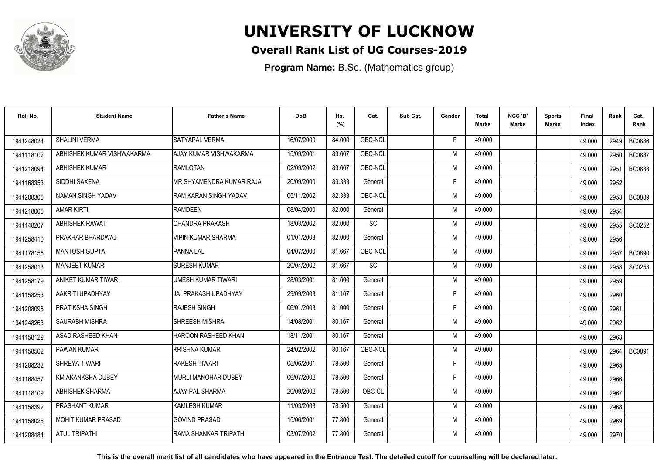

### **Overall Rank List of UG Courses-2019**

**Program Name:** B.Sc. (Mathematics group)

| Roll No.   | <b>Student Name</b>        | <b>Father's Name</b>       | <b>DoB</b> | Hs.<br>(%) | Cat.      | Sub Cat. | Gender | <b>Total</b><br><b>Marks</b> | NCC 'B'<br><b>Marks</b> | <b>Sports</b><br>Marks | Final<br>Index | Rank | Cat.<br>Rank  |
|------------|----------------------------|----------------------------|------------|------------|-----------|----------|--------|------------------------------|-------------------------|------------------------|----------------|------|---------------|
| 1941248024 | SHALINI VERMA              | SATYAPAL VERMA             | 16/07/2000 | 84.000     | OBC-NCL   |          | F.     | 49.000                       |                         |                        | 49.000         | 2949 | <b>BC0886</b> |
| 1941118102 | ABHISHEK KUMAR VISHWAKARMA | AJAY KUMAR VISHWAKARMA     | 15/09/2001 | 83.667     | OBC-NCL   |          | M      | 49.000                       |                         |                        | 49.000         | 2950 | <b>BC0887</b> |
| 1941218094 | <b>ABHISHEK KUMAR</b>      | <b>RAMLOTAN</b>            | 02/09/2002 | 83.667     | OBC-NCL   |          | M      | 49.000                       |                         |                        | 49.000         | 2951 | <b>BC0888</b> |
| 1941168353 | SIDDHI SAXENA              | IMR SHYAMENDRA KUMAR RAJA  | 20/09/2000 | 83.333     | General   |          | F      | 49.000                       |                         |                        | 49.000         | 2952 |               |
| 1941208306 | NAMAN SINGH YADAV          | RAM KARAN SINGH YADAV      | 05/11/2002 | 82.333     | OBC-NCL   |          | M      | 49.000                       |                         |                        | 49.000         | 2953 | <b>BC0889</b> |
| 1941218006 | <b>AMAR KIRTI</b>          | <b>RAMDEEN</b>             | 08/04/2000 | 82.000     | General   |          | M      | 49.000                       |                         |                        | 49.000         | 2954 |               |
| 1941148207 | <b>ABHISHEK RAWAT</b>      | CHANDRA PRAKASH            | 18/03/2002 | 82.000     | <b>SC</b> |          | M      | 49.000                       |                         |                        | 49.000         | 2955 | SC0252        |
| 1941258410 | PRAKHAR BHARDWAJ           | <b>VIPIN KUMAR SHARMA</b>  | 01/01/2003 | 82.000     | General   |          | M      | 49.000                       |                         |                        | 49.000         | 2956 |               |
| 1941178155 | <b>MANTOSH GUPTA</b>       | <b>PANNA LAL</b>           | 04/07/2000 | 81.667     | OBC-NCL   |          | M      | 49.000                       |                         |                        | 49.000         | 2957 | <b>BC0890</b> |
| 1941258013 | <b>MANJEET KUMAR</b>       | <b>SURESH KUMAR</b>        | 20/04/2002 | 81.667     | <b>SC</b> |          | M      | 49.000                       |                         |                        | 49.000         | 2958 | SC0253        |
| 1941258179 | ANIKET KUMAR TIWARI        | <b>UMESH KUMAR TIWARI</b>  | 28/03/2001 | 81.600     | General   |          | M      | 49.000                       |                         |                        | 49.000         | 2959 |               |
| 1941158253 | AAKRITI UPADHYAY           | JAI PRAKASH UPADHYAY       | 29/09/2003 | 81.167     | General   |          | F      | 49.000                       |                         |                        | 49.000         | 2960 |               |
| 1941208098 | PRATIKSHA SINGH            | <b>RAJESH SINGH</b>        | 06/01/2003 | 81.000     | General   |          | Е      | 49.000                       |                         |                        | 49.000         | 2961 |               |
| 1941248263 | SAURABH MISHRA             | <b>SHREESH MISHRA</b>      | 14/08/2001 | 80.167     | General   |          | M      | 49.000                       |                         |                        | 49.000         | 2962 |               |
| 1941158129 | ASAD RASHEED KHAN          | <b>HAROON RASHEED KHAN</b> | 18/11/2001 | 80.167     | General   |          | M      | 49.000                       |                         |                        | 49.000         | 2963 |               |
| 1941158502 | <b>PAWAN KUMAR</b>         | KRISHNA KUMAR              | 24/02/2002 | 80.167     | OBC-NCL   |          | M      | 49.000                       |                         |                        | 49.000         | 2964 | <b>BC0891</b> |
| 1941208232 | SHREYA TIWARI              | RAKESH TIWARI              | 05/06/2001 | 78.500     | General   |          | F      | 49.000                       |                         |                        | 49.000         | 2965 |               |
| 1941168457 | KM AKANKSHA DUBEY          | MURLI MANOHAR DUBEY        | 06/07/2002 | 78.500     | General   |          | F      | 49.000                       |                         |                        | 49.000         | 2966 |               |
| 1941118109 | ABHISHEK SHARMA            | AJAY PAL SHARMA            | 20/09/2002 | 78.500     | OBC-CL    |          | M      | 49.000                       |                         |                        | 49.000         | 2967 |               |
| 1941158392 | <b>PRASHANT KUMAR</b>      | <b>KAMLESH KUMAR</b>       | 11/03/2003 | 78.500     | General   |          | M      | 49.000                       |                         |                        | 49.000         | 2968 |               |
| 1941158025 | <b>MOHIT KUMAR PRASAD</b>  | <b>GOVIND PRASAD</b>       | 15/06/2001 | 77.800     | General   |          | M      | 49.000                       |                         |                        | 49.000         | 2969 |               |
| 1941208484 | <b>ATUL TRIPATHI</b>       | IRAMA SHANKAR TRIPATHI     | 03/07/2002 | 77.800     | General   |          | M      | 49.000                       |                         |                        | 49.000         | 2970 |               |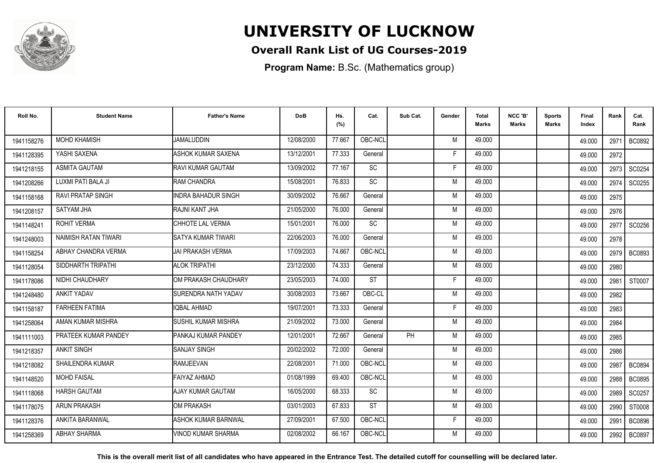

### **Overall Rank List of UG Courses-2019**

**Program Name:** B.Sc. (Mathematics group)

| Roll No.   | <b>Student Name</b>      | <b>Father's Name</b>       | <b>DoB</b> | Hs.<br>(%) | Cat.      | Sub Cat.  | Gender | <b>Total</b><br>Marks | NCC 'B'<br><b>Marks</b> | Sports<br><b>Marks</b> | Final<br>Index | Rank | Cat.<br>Rank  |
|------------|--------------------------|----------------------------|------------|------------|-----------|-----------|--------|-----------------------|-------------------------|------------------------|----------------|------|---------------|
| 1941158276 | <b>MOHD KHAMISH</b>      | <b>JAMALUDDIN</b>          | 12/08/2000 | 77.667     | OBC-NCL   |           | M      | 49.000                |                         |                        | 49.000         | 2971 | BC0892        |
| 1941128395 | YASHI SAXENA             | <b>ASHOK KUMAR SAXENA</b>  | 13/12/2001 | 77.333     | General   |           | F      | 49.000                |                         |                        | 49.000         | 2972 |               |
| 1941218155 | <b>ASMITA GAUTAM</b>     | RAVI KUMAR GAUTAM          | 13/09/2002 | 77.167     | SC        |           | F.     | 49.000                |                         |                        | 49.000         | 2973 | SC0254        |
| 1941208266 | LUXMI PATI BALA JI       | RAM CHANDRA                | 15/08/2001 | 76.833     | SC        |           | M      | 49.000                |                         |                        | 49.000         | 2974 | SC0255        |
| 1941158168 | <b>RAVI PRATAP SINGH</b> | <b>INDRA BAHADUR SINGH</b> | 30/09/2002 | 76.667     | General   |           | M      | 49.000                |                         |                        | 49.000         | 2975 |               |
| 1941208157 | <b>SATYAM JHA</b>        | RAJNI KANT JHA             | 21/05/2000 | 76.000     | General   |           | M      | 49.000                |                         |                        | 49.000         | 2976 |               |
| 1941148241 | ROHIT VERMA              | CHHOTE LAL VERMA           | 15/01/2001 | 76.000     | SC        |           | M      | 49.000                |                         |                        | 49.000         | 2977 | SC0256        |
| 1941248003 | NAIMISH RATAN TIWARI     | <b>SATYA KUMAR TIWARI</b>  | 22/06/2003 | 76.000     | General   |           | M      | 49.000                |                         |                        | 49.000         | 2978 |               |
| 1941158254 | ABHAY CHANDRA VERMA      | JAI PRAKASH VERMA          | 17/09/2003 | 74.667     | OBC-NCL   |           | M      | 49.000                |                         |                        | 49.000         |      | 2979   BC0893 |
| 1941128054 | SIDDHARTH TRIPATHI       | <b>ALOK TRIPATHI</b>       | 23/12/2000 | 74.333     | General   |           | M      | 49.000                |                         |                        | 49.000         | 2980 |               |
| 1941178086 | NIDHI CHAUDHARY          | OM PRAKASH CHAUDHARY       | 23/05/2003 | 74.000     | <b>ST</b> |           | Е      | 49.000                |                         |                        | 49.000         | 2981 | ST0007        |
| 1941248480 | <b>ANKIT YADAV</b>       | <b>SURENDRA NATH YADAV</b> | 30/08/2003 | 73.667     | OBC-CL    |           | M      | 49.000                |                         |                        | 49.000         | 2982 |               |
| 1941158187 | <b>FARHEEN FATIMA</b>    | <b>IQBAL AHMAD</b>         | 19/07/2001 | 73.333     | General   |           | Е      | 49.000                |                         |                        | 49.000         | 2983 |               |
| 1941258064 | AMAN KUMAR MISHRA        | İSUSHIL KUMAR MISHRA       | 21/09/2002 | 73.000     | General   |           | M      | 49.000                |                         |                        | 49.000         | 2984 |               |
| 1941111003 | PRATEEK KUMAR PANDEY     | PANKAJ KUMAR PANDEY        | 12/01/2001 | 72.667     | General   | <b>PH</b> | M      | 49.000                |                         |                        | 49.000         | 2985 |               |
| 1941218357 | <b>ANKIT SINGH</b>       | <b>SANJAY SINGH</b>        | 20/02/2002 | 72.000     | General   |           | M      | 49.000                |                         |                        | 49.000         | 2986 |               |
| 1941218082 | <b>SHAILENDRA KUMAR</b>  | <b>RAMJEEVAN</b>           | 22/08/2001 | 71.000     | OBC-NCL   |           | M      | 49.000                |                         |                        | 49.000         | 2987 | <b>BC0894</b> |
| 1941148520 | <b>MOHD FAISAL</b>       | FAIYAZ AHMAD               | 01/08/1999 | 69.400     | OBC-NCL   |           | M      | 49.000                |                         |                        | 49.000         | 2988 | <b>BC0895</b> |
| 1941118068 | <b>HARSH GAUTAM</b>      | AJAY KUMAR GAUTAM          | 16/05/2000 | 68.333     | <b>SC</b> |           | M      | 49.000                |                         |                        | 49.000         | 2989 | SC0257        |
| 1941178075 | <b>ARUN PRAKASH</b>      | OM PRAKASH                 | 03/01/2003 | 67.833     | <b>ST</b> |           | M      | 49.000                |                         |                        | 49.000         | 2990 | ST0008        |
| 1941128376 | <b>ANKITA BARANWAL</b>   | ASHOK KUMAR BARNWAL        | 27/09/2001 | 67.500     | OBC-NCL   |           | F      | 49.000                |                         |                        | 49.000         | 2991 | <b>BC0896</b> |
| 1941258369 | <b>ABHAY SHARMA</b>      | <b>VINOD KUMAR SHARMA</b>  | 02/08/2002 | 66.167     | OBC-NCL   |           | M      | 49.000                |                         |                        | 49.000         | 2992 | <b>BC0897</b> |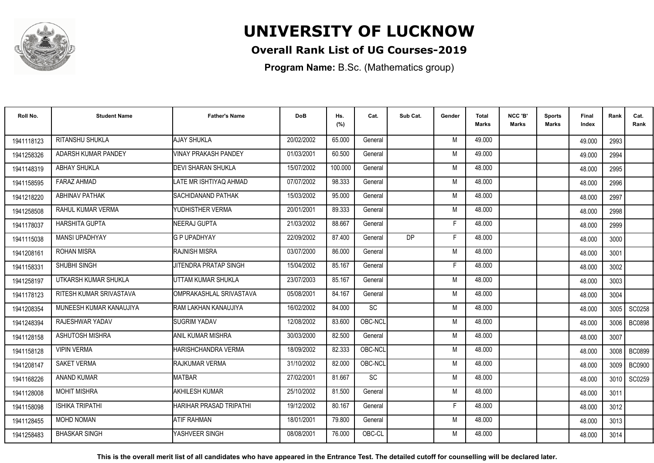

### **Overall Rank List of UG Courses-2019**

**Program Name:** B.Sc. (Mathematics group)

| Roll No.   | <b>Student Name</b>     | <b>Father's Name</b>         | <b>DoB</b> | Hs.<br>(%) | Cat.      | Sub Cat.  | Gender | <b>Total</b><br>Marks | NCC 'B'<br><b>Marks</b> | Sports<br>Marks | Final<br>Index | Rank   | Cat.<br>Rank  |
|------------|-------------------------|------------------------------|------------|------------|-----------|-----------|--------|-----------------------|-------------------------|-----------------|----------------|--------|---------------|
| 1941118123 | RITANSHU SHUKLA         | <b>AJAY SHUKLA</b>           | 20/02/2002 | 65.000     | General   |           | M      | 49.000                |                         |                 | 49.000         | 2993   |               |
| 1941258326 | ADARSH KUMAR PANDEY     | <b>VINAY PRAKASH PANDEY</b>  | 01/03/2001 | 60.500     | General   |           | M      | 49.000                |                         |                 | 49.000         | 2994   |               |
| 1941148319 | <b>ABHAY SHUKLA</b>     | <b>I</b> DEVI SHARAN SHUKLA  | 15/07/2002 | 100.000    | General   |           | M      | 48.000                |                         |                 | 48.000         | 2995   |               |
| 1941158595 | <b>FARAZ AHMAD</b>      | LATE MR ISHTIYAQ AHMAD       | 07/07/2002 | 98.333     | General   |           | M      | 48.000                |                         |                 | 48.000         | 2996   |               |
| 1941218220 | <b>ABHINAV PATHAK</b>   | <b>ISACHIDANAND PATHAK</b>   | 15/03/2002 | 95.000     | General   |           | M      | 48.000                |                         |                 | 48.000         | 2997   |               |
| 1941258508 | RAHUL KUMAR VERMA       | YUDHISTHER VERMA             | 20/01/2001 | 89.333     | General   |           | M      | 48.000                |                         |                 | 48.000         | 2998   |               |
| 1941178037 | <b>HARSHITA GUPTA</b>   | NEERAJ GUPTA                 | 21/03/2002 | 88.667     | General   |           | F      | 48.000                |                         |                 | 48.000         | 2999   |               |
| 1941115038 | <b>MANSI UPADHYAY</b>   | <b>G P UPADHYAY</b>          | 22/09/2002 | 87.400     | General   | <b>DP</b> | F      | 48.000                |                         |                 | 48.000         | 3000   |               |
| 1941208161 | <b>ROHAN MISRA</b>      | <b>RAJNISH MISRA</b>         | 03/07/2000 | 86.000     | General   |           | M      | 48.000                |                         |                 | 48.000         | 3001   |               |
| 1941158331 | SHUBHI SINGH            | <b>JITENDRA PRATAP SINGH</b> | 15/04/2002 | 85.167     | General   |           | F      | 48.000                |                         |                 | 48.000         | 3002   |               |
| 1941258197 | UTKARSH KUMAR SHUKLA    | UTTAM KUMAR SHUKLA           | 23/07/2003 | 85.167     | General   |           | M      | 48.000                |                         |                 | 48.000         | 3003   |               |
| 1941178123 | RITESH KUMAR SRIVASTAVA | OMPRAKASHLAL SRIVASTAVA      | 05/08/2001 | 84.167     | General   |           | M      | 48.000                |                         |                 | 48.000         | 3004   |               |
| 1941208354 | MUNEESH KUMAR KANAUJIYA | RAM LAKHAN KANAUJIYA         | 16/02/2002 | 84.000     | SC        |           | M      | 48.000                |                         |                 | 48.000         | 3005 l | SC0258        |
| 1941248394 | RAJESHWAR YADAV         | <b>SUGRIM YADAV</b>          | 12/08/2002 | 83.600     | OBC-NCL   |           | M      | 48.000                |                         |                 | 48.000         | 3006   | <b>BC0898</b> |
| 1941128158 | <b>ASHUTOSH MISHRA</b>  | ANIL KUMAR MISHRA            | 30/03/2000 | 82.500     | General   |           | M      | 48.000                |                         |                 | 48.000         | 3007   |               |
| 1941158128 | <b>VIPIN VERMA</b>      | HARISHCHANDRA VERMA          | 18/09/2002 | 82.333     | OBC-NCL   |           | M      | 48.000                |                         |                 | 48.000         | 3008   | <b>BC0899</b> |
| 1941208147 | <b>SAKET VERMA</b>      | <b>RAJKUMAR VERMA</b>        | 31/10/2002 | 82.000     | OBC-NCL   |           | M      | 48.000                |                         |                 | 48.000         | 3009   | <b>BC0900</b> |
| 1941168226 | <b>ANAND KUMAR</b>      | <b>MATBAR</b>                | 27/02/2001 | 81.667     | <b>SC</b> |           | M      | 48.000                |                         |                 | 48.000         |        | 3010 SC0259   |
| 1941128008 | <b>MOHIT MISHRA</b>     | <b>AKHILESH KUMAR</b>        | 25/10/2002 | 81.500     | General   |           | M      | 48.000                |                         |                 | 48.000         | 3011   |               |
| 1941158098 | <b>ISHIKA TRIPATHI</b>  | HARIHAR PRASAD TRIPATHI      | 19/12/2002 | 80.167     | General   |           | F      | 48.000                |                         |                 | 48.000         | 3012   |               |
| 1941128455 | <b>MOHD NOMAN</b>       | <b>ATIF RAHMAN</b>           | 18/01/2001 | 79.800     | General   |           | M      | 48.000                |                         |                 | 48.000         | 3013   |               |
| 1941258483 | <b>BHASKAR SINGH</b>    | YASHVEER SINGH               | 08/08/2001 | 76.000     | OBC-CL    |           | М      | 48.000                |                         |                 | 48.000         | 3014   |               |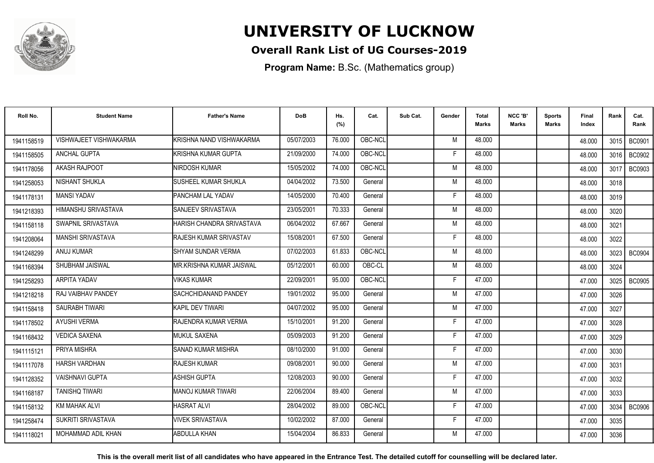

### **Overall Rank List of UG Courses-2019**

**Program Name:** B.Sc. (Mathematics group)

| Roll No.   | <b>Student Name</b>       | <b>Father's Name</b>          | <b>DoB</b> | Hs.<br>(%) | Cat.    | Sub Cat. | Gender | <b>Total</b><br><b>Marks</b> | NCC 'B'<br><b>Marks</b> | <b>Sports</b><br>Marks | Final<br>Index | Rank | Cat.<br>Rank  |
|------------|---------------------------|-------------------------------|------------|------------|---------|----------|--------|------------------------------|-------------------------|------------------------|----------------|------|---------------|
| 1941158519 | VISHWAJEET VISHWAKARMA    | KRISHNA NAND VISHWAKARMA      | 05/07/2003 | 76.000     | OBC-NCL |          | M      | 48.000                       |                         |                        | 48.000         | 3015 | <b>BC0901</b> |
| 1941158505 | <b>ANCHAL GUPTA</b>       | İKRISHNA KUMAR GUPTA          | 21/09/2000 | 74.000     | OBC-NCL |          | E      | 48.000                       |                         |                        | 48.000         | 3016 | <b>BC0902</b> |
| 1941178056 | AKASH RAJPOOT             | NIRDOSH KUMAR                 | 15/05/2002 | 74.000     | OBC-NCL |          | M      | 48.000                       |                         |                        | 48.000         | 3017 | <b>BC0903</b> |
| 1941258053 | NISHANT SHUKLA            | <b>SUSHEEL KUMAR SHUKLA</b>   | 04/04/2002 | 73.500     | General |          | M      | 48.000                       |                         |                        | 48.000         | 3018 |               |
| 1941178131 | <b>MANSI YADAV</b>        | PANCHAM LAL YADAV             | 14/05/2000 | 70.400     | General |          | F      | 48.000                       |                         |                        | 48.000         | 3019 |               |
| 1941218393 | HIMANSHU SRIVASTAVA       | SANJEEV SRIVASTAVA            | 23/05/2001 | 70.333     | General |          | M      | 48.000                       |                         |                        | 48.000         | 3020 |               |
| 1941158118 | SWAPNIL SRIVASTAVA        | HARISH CHANDRA SRIVASTAVA     | 06/04/2002 | 67.667     | General |          | M      | 48.000                       |                         |                        | 48.000         | 3021 |               |
| 1941208064 | MANSHI SRIVASTAVA         | <b>RAJESH KUMAR SRIVASTAV</b> | 15/08/2001 | 67.500     | General |          | E      | 48.000                       |                         |                        | 48.000         | 3022 |               |
| 1941248299 | ANUJ KUMAR                | ISHYAM SUNDAR VERMA           | 07/02/2003 | 61.833     | OBC-NCL |          | M      | 48.000                       |                         |                        | 48.000         | 3023 | <b>BC0904</b> |
| 1941168394 | SHUBHAM JAISWAL           | IMR.KRISHNA KUMAR JAISWAL     | 05/12/2001 | 60.000     | OBC-CL  |          | M      | 48.000                       |                         |                        | 48.000         | 3024 |               |
| 1941258293 | ARPITA YADAV              | <b>VIKAS KUMAR</b>            | 22/09/2001 | 95.000     | OBC-NCL |          | F      | 47.000                       |                         |                        | 47.000         | 3025 | <b>BC0905</b> |
| 1941218218 | RAJ VAIBHAV PANDEY        | <b>SACHCHIDANAND PANDEY</b>   | 19/01/2002 | 95.000     | General |          | M      | 47.000                       |                         |                        | 47.000         | 3026 |               |
| 1941158418 | SAURABH TIWARI            | İKAPIL DEV TIWARI             | 04/07/2002 | 95.000     | General |          | M      | 47.000                       |                         |                        | 47.000         | 3027 |               |
| 1941178502 | <b>AYUSHI VERMA</b>       | <b>RAJENDRA KUMAR VERMA</b>   | 15/10/2001 | 91.200     | General |          | F      | 47.000                       |                         |                        | 47.000         | 3028 |               |
| 1941168432 | <b>VEDICA SAXENA</b>      | <b>MUKUL SAXENA</b>           | 05/09/2003 | 91.200     | General |          | Е      | 47.000                       |                         |                        | 47.000         | 3029 |               |
| 1941115121 | PRIYA MISHRA              | <b>SANAD KUMAR MISHRA</b>     | 08/10/2000 | 91.000     | General |          | F      | 47.000                       |                         |                        | 47.000         | 3030 |               |
| 1941117078 | HARSH VARDHAN             | <b>RAJESH KUMAR</b>           | 09/08/2001 | 90.000     | General |          | M      | 47.000                       |                         |                        | 47.000         | 3031 |               |
| 1941128352 | <b>VAISHNAVI GUPTA</b>    | <b>ASHISH GUPTA</b>           | 12/08/2003 | 90.000     | General |          | F      | 47.000                       |                         |                        | 47.000         | 3032 |               |
| 1941168187 | <b>TANISHO TIWARI</b>     | MANOJ KUMAR TIWARI            | 22/06/2004 | 89.400     | General |          | M      | 47.000                       |                         |                        | 47.000         | 3033 |               |
| 1941158132 | KM MAHAK ALVI             | <b>HASRAT ALVI</b>            | 28/04/2002 | 89.000     | OBC-NCL |          | Е      | 47.000                       |                         |                        | 47.000         | 3034 | <b>BC0906</b> |
| 1941258474 | <b>SUKRITI SRIVASTAVA</b> | VIVEK SRIVASTAVA              | 10/02/2002 | 87.000     | General |          | F.     | 47.000                       |                         |                        | 47.000         | 3035 |               |
| 1941118021 | MOHAMMAD ADIL KHAN        | <b>ABDULLA KHAN</b>           | 15/04/2004 | 86.833     | General |          | M      | 47.000                       |                         |                        | 47.000         | 3036 |               |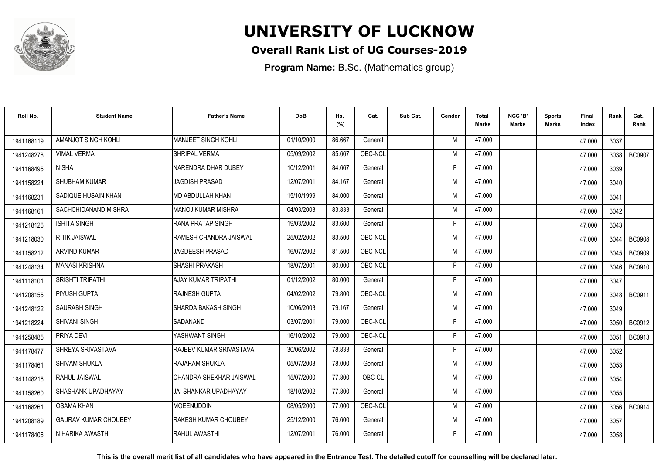

### **Overall Rank List of UG Courses-2019**

**Program Name:** B.Sc. (Mathematics group)

| Roll No.   | <b>Student Name</b>         | <b>Father's Name</b>        | <b>DoB</b> | Hs.<br>(%) | Cat.    | Sub Cat. | Gender | Total<br>Marks | NCC 'B'<br><b>Marks</b> | Sports<br>Marks | Final<br>Index | Rank   | Cat.<br>Rank  |
|------------|-----------------------------|-----------------------------|------------|------------|---------|----------|--------|----------------|-------------------------|-----------------|----------------|--------|---------------|
| 1941168119 | AMANJOT SINGH KOHLI         | MANJEET SINGH KOHLI         | 01/10/2000 | 86.667     | General |          | M      | 47.000         |                         |                 | 47.000         | 3037   |               |
| 1941248278 | <b>VIMAL VERMA</b>          | <b>SHRIPAL VERMA</b>        | 05/09/2002 | 85.667     | OBC-NCL |          | M      | 47.000         |                         |                 | 47.000         | 3038   | <b>BC0907</b> |
| 1941168495 | <b>NISHA</b>                | NARENDRA DHAR DUBEY         | 10/12/2001 | 84.667     | General |          | F      | 47.000         |                         |                 | 47.000         | 3039   |               |
| 1941158224 | SHUBHAM KUMAR               | <b>JAGDISH PRASAD</b>       | 12/07/2001 | 84.167     | General |          | M      | 47.000         |                         |                 | 47.000         | 3040   |               |
| 1941168231 | SADIQUE HUSAIN KHAN         | IMD ABDULLAH KHAN           | 15/10/1999 | 84.000     | General |          | M      | 47.000         |                         |                 | 47.000         | 3041   |               |
| 1941168161 | SACHCHIDANAND MISHRA        | IMANOJ KUMAR MISHRA         | 04/03/2003 | 83.833     | General |          | M      | 47.000         |                         |                 | 47.000         | 3042   |               |
| 1941218126 | <b>ISHITA SINGH</b>         | <b>IRANA PRATAP SINGH</b>   | 19/03/2002 | 83.600     | General |          | F      | 47.000         |                         |                 | 47.000         | 3043   |               |
| 1941218030 | <b>RITIK JAISWAL</b>        | RAMESH CHANDRA JAISWAL      | 25/02/2002 | 83.500     | OBC-NCL |          | M      | 47.000         |                         |                 | 47.000         | 3044   | <b>BC0908</b> |
| 1941158212 | <b>ARVIND KUMAR</b>         | <b>JAGDEESH PRASAD</b>      | 16/07/2002 | 81.500     | OBC-NCL |          | M      | 47.000         |                         |                 | 47.000         | 3045 l | <b>BC0909</b> |
| 1941248134 | <b>MANASI KRISHNA</b>       | <b>SHASHI PRAKASH</b>       | 18/07/2001 | 80.000     | OBC-NCL |          | F      | 47.000         |                         |                 | 47.000         | 3046 l | <b>BC0910</b> |
| 1941118101 | <b>SRISHTI TRIPATHI</b>     | <b>AJAY KUMAR TRIPATHI</b>  | 01/12/2002 | 80.000     | General |          | F      | 47.000         |                         |                 | 47.000         | 3047   |               |
| 1941208155 | PIYUSH GUPTA                | <b>RAJNESH GUPTA</b>        | 04/02/2002 | 79.800     | OBC-NCL |          | M      | 47.000         |                         |                 | 47.000         | 3048   | BC0911        |
| 1941248122 | SAURABH SINGH               | SHARDA BAKASH SINGH         | 10/06/2003 | 79.167     | General |          | M      | 47.000         |                         |                 | 47.000         | 3049   |               |
| 1941218224 | <b>SHIVANI SINGH</b>        | SADANAND                    | 03/07/2001 | 79.000     | OBC-NCL |          | F      | 47.000         |                         |                 | 47.000         | 3050   | BC0912        |
| 1941258485 | PRIYA DEVI                  | YASHWANT SINGH              | 16/10/2002 | 79.000     | OBC-NCL |          | Е      | 47.000         |                         |                 | 47.000         | 3051   | BC0913        |
| 1941178477 | SHREYA SRIVASTAVA           | RAJEEV KUMAR SRIVASTAVA     | 30/06/2002 | 78.833     | General |          | F      | 47.000         |                         |                 | 47.000         | 3052   |               |
| 1941178461 | SHIVAM SHUKLA               | <b>RAJARAM SHUKLA</b>       | 05/07/2003 | 78.000     | General |          | M      | 47.000         |                         |                 | 47.000         | 3053   |               |
| 1941148216 | RAHUL JAISWAL               | İCHANDRA SHEKHAR JAISWAL    | 15/07/2000 | 77.800     | OBC-CL  |          | M      | 47.000         |                         |                 | 47.000         | 3054   |               |
| 1941158260 | SHASHANK UPADHAYAY          | IJAI SHANKAR UPADHAYAY      | 18/10/2002 | 77.800     | General |          | M      | 47.000         |                         |                 | 47.000         | 3055   |               |
| 1941168261 | <b>OSAMA KHAN</b>           | MOEENUDDIN                  | 08/05/2000 | 77.000     | OBC-NCL |          | M      | 47.000         |                         |                 | 47.000         | 3056   | <b>BC0914</b> |
| 1941208189 | <b>GAURAV KUMAR CHOUBEY</b> | <b>RAKESH KUMAR CHOUBEY</b> | 25/12/2000 | 76.600     | General |          | M      | 47.000         |                         |                 | 47.000         | 3057   |               |
| 1941178406 | NIHARIKA AWASTHI            | RAHUL AWASTHI               | 12/07/2001 | 76.000     | General |          | F      | 47.000         |                         |                 | 47.000         | 3058   |               |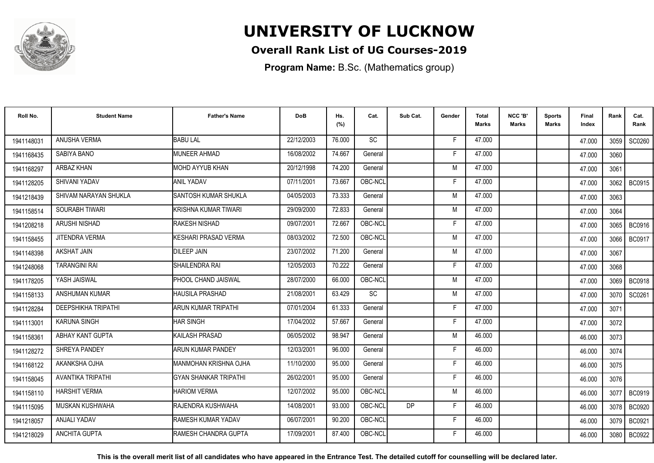

### **Overall Rank List of UG Courses-2019**

**Program Name:** B.Sc. (Mathematics group)

| Roll No.   | <b>Student Name</b>      | <b>Father's Name</b>         | <b>DoB</b> | Hs.<br>(%) | Cat.      | Sub Cat.  | Gender | Total<br><b>Marks</b> | NCC 'B'<br><b>Marks</b> | Sports<br>Marks | Final<br>Index | Rank   | Cat.<br>Rank  |
|------------|--------------------------|------------------------------|------------|------------|-----------|-----------|--------|-----------------------|-------------------------|-----------------|----------------|--------|---------------|
| 1941148031 | <b>ANUSHA VERMA</b>      | <b>BABU LAL</b>              | 22/12/2003 | 76.000     | <b>SC</b> |           | E      | 47.000                |                         |                 | 47.000         | 3059 l | SC0260        |
| 1941168435 | SABIYA BANO              | MUNEER AHMAD                 | 16/08/2002 | 74.667     | General   |           | F      | 47.000                |                         |                 | 47.000         | 3060   |               |
| 1941168297 | ARBAZ KHAN               | MOHD AYYUB KHAN              | 20/12/1998 | 74.200     | General   |           | M      | 47.000                |                         |                 | 47.000         | 3061   |               |
| 1941128205 | SHIVANI YADAV            | <b>ANIL YADAV</b>            | 07/11/2001 | 73.667     | OBC-NCL   |           | F      | 47.000                |                         |                 | 47.000         | 3062   | <b>BC0915</b> |
| 1941218439 | SHIVAM NARAYAN SHUKLA    | SANTOSH KUMAR SHUKLA         | 04/05/2003 | 73.333     | General   |           | M      | 47.000                |                         |                 | 47.000         | 3063   |               |
| 1941158514 | SOURABH TIWARI           | KRISHNA KUMAR TIWARI         | 29/09/2000 | 72.833     | General   |           | M      | 47.000                |                         |                 | 47.000         | 3064   |               |
| 1941208218 | ARUSHI NISHAD            | RAKESH NISHAD                | 09/07/2001 | 72.667     | OBC-NCL   |           | F      | 47.000                |                         |                 | 47.000         | 3065   | <b>BC0916</b> |
| 1941158455 | JITENDRA VERMA           | KESHARI PRASAD VERMA         | 08/03/2002 | 72.500     | OBC-NCL   |           | M      | 47.000                |                         |                 | 47.000         | 3066   | BC0917        |
| 1941148398 | AKSHAT JAIN              | <b>DILEEP JAIN</b>           | 23/07/2002 | 71.200     | General   |           | M      | 47.000                |                         |                 | 47.000         | 3067   |               |
| 1941248068 | <b>TARANGINI RAI</b>     | SHAILENDRA RAI               | 12/05/2003 | 70.222     | General   |           | F      | 47.000                |                         |                 | 47.000         | 3068   |               |
| 1941178205 | YASH JAISWAL             | PHOOL CHAND JAISWAL          | 28/07/2000 | 66.000     | OBC-NCL   |           | M      | 47.000                |                         |                 | 47.000         | 3069   | <b>BC0918</b> |
| 1941158133 | ANSHUMAN KUMAR           | <b>HAUSILA PRASHAD</b>       | 21/08/2001 | 63.429     | SC        |           | M      | 47.000                |                         |                 | 47.000         | 3070   | SC0261        |
| 1941128284 | DEEPSHIKHA TRIPATHI      | ARUN KUMAR TRIPATHI          | 07/01/2004 | 61.333     | General   |           |        | 47.000                |                         |                 | 47.000         | 3071   |               |
| 1941113001 | <b>KARUNA SINGH</b>      | <b>HAR SINGH</b>             | 17/04/2002 | 57.667     | General   |           | F      | 47.000                |                         |                 | 47.000         | 3072   |               |
| 1941158361 | ABHAY KANT GUPTA         | KAILASH PRASAD               | 06/05/2002 | 98.947     | General   |           | M      | 46.000                |                         |                 | 46.000         | 3073   |               |
| 1941128272 | SHREYA PANDEY            | <b>ARUN KUMAR PANDEY</b>     | 12/03/2001 | 96.000     | General   |           | F      | 46.000                |                         |                 | 46.000         | 3074   |               |
| 1941168122 | AKANKSHA OJHA            | <b>MANMOHAN KRISHNA OJHA</b> | 11/10/2000 | 95.000     | General   |           | F      | 46.000                |                         |                 | 46.000         | 3075   |               |
| 1941158045 | <b>AVANTIKA TRIPATHI</b> | <b>GYAN SHANKAR TRIPATHI</b> | 26/02/2001 | 95.000     | General   |           | F      | 46.000                |                         |                 | 46.000         | 3076   |               |
| 1941158110 | <b>HARSHIT VERMA</b>     | <b>HARIOM VERMA</b>          | 12/07/2002 | 95.000     | OBC-NCL   |           | M      | 46.000                |                         |                 | 46.000         | 3077   | <b>BC0919</b> |
| 1941115095 | MUSKAN KUSHWAHA          | RAJENDRA KUSHWAHA            | 14/08/2001 | 93.000     | OBC-NCL   | <b>DP</b> | F      | 46.000                |                         |                 | 46.000         | 3078   | <b>BC0920</b> |
| 1941218057 | ANJALI YADAV             | RAMESH KUMAR YADAV           | 06/07/2001 | 90.200     | OBC-NCL   |           | F      | 46.000                |                         |                 | 46.000         | 3079   | BC0921        |
| 1941218029 | ANCHITA GUPTA            | RAMESH CHANDRA GUPTA         | 17/09/2001 | 87.400     | OBC-NCL   |           | F      | 46.000                |                         |                 | 46.000         | 3080   | <b>BC0922</b> |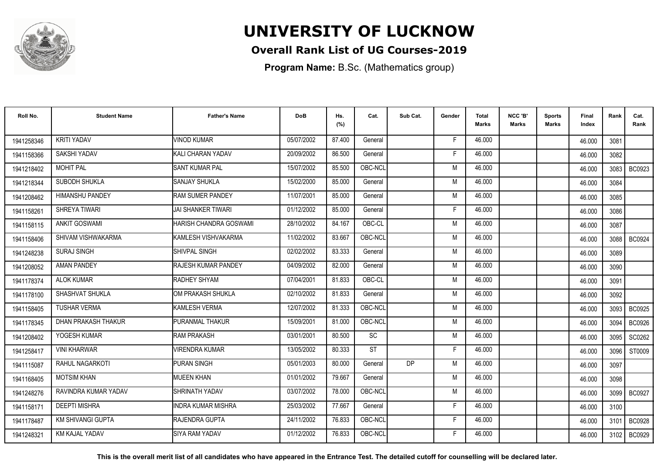

### **Overall Rank List of UG Courses-2019**

**Program Name:** B.Sc. (Mathematics group)

| Roll No.   | <b>Student Name</b>    | <b>Father's Name</b>      | <b>DoB</b> | Hs.<br>(%) | Cat.      | Sub Cat. | Gender | Total<br><b>Marks</b> | NCC 'B'<br><b>Marks</b> | Sports<br>Marks | Final<br>Index | Rank | Cat.<br>Rank  |
|------------|------------------------|---------------------------|------------|------------|-----------|----------|--------|-----------------------|-------------------------|-----------------|----------------|------|---------------|
| 1941258346 | <b>KRITI YADAV</b>     | <b>VINOD KUMAR</b>        | 05/07/2002 | 87.400     | General   |          | E      | 46.000                |                         |                 | 46.000         | 3081 |               |
| 1941158366 | SAKSHI YADAV           | KALI CHARAN YADAV         | 20/09/2002 | 86.500     | General   |          | F      | 46.000                |                         |                 | 46.000         | 3082 |               |
| 1941218402 | <b>MOHIT PAL</b>       | <b>SANT KUMAR PAL</b>     | 15/07/2002 | 85.500     | OBC-NCL   |          | M      | 46.000                |                         |                 | 46.000         | 3083 | <b>BC0923</b> |
| 1941218344 | SUBODH SHUKLA          | <b>SANJAY SHUKLA</b>      | 15/02/2000 | 85.000     | General   |          | M      | 46.000                |                         |                 | 46.000         | 3084 |               |
| 1941208462 | <b>HIMANSHU PANDEY</b> | <b>RAM SUMER PANDEY</b>   | 11/07/2001 | 85.000     | General   |          | M      | 46.000                |                         |                 | 46.000         | 3085 |               |
| 1941158261 | SHREYA TIWARI          | <b>JAI SHANKER TIWARI</b> | 01/12/2002 | 85.000     | General   |          | F      | 46.000                |                         |                 | 46.000         | 3086 |               |
| 1941158115 | <b>ANKIT GOSWAMI</b>   | HARISH CHANDRA GOSWAMI    | 28/10/2002 | 84.167     | OBC-CL    |          | M      | 46.000                |                         |                 | 46.000         | 3087 |               |
| 1941158406 | SHIVAM VISHWAKARMA     | KAMLESH VISHVAKARMA       | 11/02/2002 | 83.667     | OBC-NCL   |          | M      | 46.000                |                         |                 | 46.000         |      | 3088   BC0924 |
| 1941248238 | <b>SURAJ SINGH</b>     | <b>SHIVPAL SINGH</b>      | 02/02/2002 | 83.333     | General   |          | M      | 46.000                |                         |                 | 46.000         | 3089 |               |
| 1941208052 | AMAN PANDEY            | RAJESH KUMAR PANDEY       | 04/09/2002 | 82.000     | General   |          | M      | 46.000                |                         |                 | 46.000         | 3090 |               |
| 1941178374 | <b>ALOK KUMAR</b>      | RADHEY SHYAM              | 07/04/2001 | 81.833     | OBC-CL    |          | M      | 46.000                |                         |                 | 46.000         | 3091 |               |
| 1941178100 | SHASHVAT SHUKLA        | OM PRAKASH SHUKLA         | 02/10/2002 | 81.833     | General   |          | M      | 46.000                |                         |                 | 46.000         | 3092 |               |
| 1941158405 | <b>TUSHAR VERMA</b>    | KAMLESH VERMA             | 12/07/2002 | 81.333     | OBC-NCL   |          | M      | 46.000                |                         |                 | 46.000         | 3093 | <b>BC0925</b> |
| 1941178345 | DHAN PRAKASH THAKUR    | PURANMAL THAKUR           | 15/09/2001 | 81.000     | OBC-NCL   |          | M      | 46.000                |                         |                 | 46.000         | 3094 | <b>BC0926</b> |
| 1941208402 | YOGESH KUMAR           | <b>RAM PRAKASH</b>        | 03/01/2001 | 80.500     | SC        |          | M      | 46.000                |                         |                 | 46.000         | 3095 | SC0262        |
| 1941258417 | <b>VINI KHARWAR</b>    | <b>VIRENDRA KUMAR</b>     | 13/05/2002 | 80.333     | <b>ST</b> |          | F      | 46.000                |                         |                 | 46.000         | 3096 | ST0009        |
| 1941115087 | RAHUL NAGARKOTI        | PURAN SINGH               | 05/01/2003 | 80.000     | General   | DP       | M      | 46.000                |                         |                 | 46.000         | 3097 |               |
| 1941168405 | <b>MOTSIM KHAN</b>     | <b>MUEEN KHAN</b>         | 01/01/2002 | 79.667     | General   |          | M      | 46.000                |                         |                 | 46.000         | 3098 |               |
| 1941248276 | RAVINDRA KUMAR YADAV   | SHRINATH YADAV            | 03/07/2002 | 78.000     | OBC-NCL   |          | M      | 46.000                |                         |                 | 46.000         | 3099 | <b>BC0927</b> |
| 1941158171 | <b>DEEPTI MISHRA</b>   | NDRA KUMAR MISHRA         | 25/03/2002 | 77.667     | General   |          | F      | 46.000                |                         |                 | 46.000         | 3100 |               |
| 1941178487 | KM SHIVANGI GUPTA      | RAJENDRA GUPTA            | 24/11/2002 | 76.833     | OBC-NCL   |          | F      | 46.000                |                         |                 | 46.000         | 3101 | <b>BC0928</b> |
| 1941248321 | <b>KM KAJAL YADAV</b>  | <b>SIYA RAM YADAV</b>     | 01/12/2002 | 76.833     | OBC-NCL   |          | F      | 46.000                |                         |                 | 46.000         | 3102 | <b>BC0929</b> |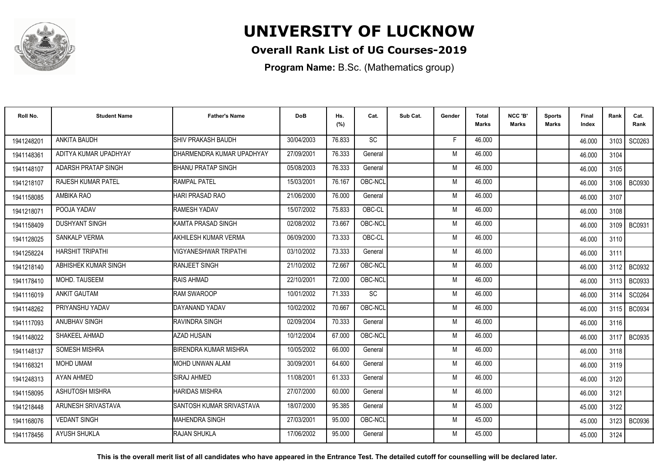

### **Overall Rank List of UG Courses-2019**

**Program Name:** B.Sc. (Mathematics group)

| Roll No.   | <b>Student Name</b>       | <b>Father's Name</b>         | <b>DoB</b> | Hs.<br>(%) | Cat.      | Sub Cat. | Gender | Total<br><b>Marks</b> | NCC 'B'<br><b>Marks</b> | Sports<br>Marks | Final<br>Index | Rank   | Cat.<br>Rank  |
|------------|---------------------------|------------------------------|------------|------------|-----------|----------|--------|-----------------------|-------------------------|-----------------|----------------|--------|---------------|
| 1941248201 | ANKITA BAUDH              | SHIV PRAKASH BAUDH           | 30/04/2003 | 76.833     | <b>SC</b> |          | F.     | 46.000                |                         |                 | 46.000         | 3103   | SC0263        |
| 1941148361 | ADITYA KUMAR UPADHYAY     | DHARMENDRA KUMAR UPADHYAY    | 27/09/2001 | 76.333     | General   |          | M      | 46.000                |                         |                 | 46.000         | 3104   |               |
| 1941148107 | ADARSH PRATAP SINGH       | <b>BHANU PRATAP SINGH</b>    | 05/08/2003 | 76.333     | General   |          | M      | 46.000                |                         |                 | 46.000         | 3105   |               |
| 1941218107 | <b>RAJESH KUMAR PATEL</b> | <b>RAMPAL PATEL</b>          | 15/03/2001 | 76.167     | OBC-NCL   |          | M      | 46.000                |                         |                 | 46.000         | 3106   | <b>BC0930</b> |
| 1941158085 | AMBIKA RAO                | <b>HARI PRASAD RAO</b>       | 21/06/2000 | 76.000     | General   |          | M      | 46.000                |                         |                 | 46.000         | 3107   |               |
| 1941218071 | POOJA YADAV               | <b>RAMESH YADAV</b>          | 15/07/2002 | 75.833     | OBC-CL    |          | M      | 46.000                |                         |                 | 46.000         | 3108   |               |
| 1941158409 | <b>DUSHYANT SINGH</b>     | KAMTA PRASAD SINGH           | 02/08/2002 | 73.667     | OBC-NCL   |          | M      | 46.000                |                         |                 | 46.000         | 3109   | <b>BC0931</b> |
| 1941128025 | <b>SANKALP VERMA</b>      | AKHILESH KUMAR VERMA         | 06/09/2000 | 73.333     | OBC-CL    |          | M      | 46.000                |                         |                 | 46.000         | 3110   |               |
| 1941258224 | <b>HARSHIT TRIPATHI</b>   | <b>VIGYANESHWAR TRIPATHI</b> | 03/10/2002 | 73.333     | General   |          | M      | 46.000                |                         |                 | 46.000         | 3111   |               |
| 1941218140 | ABHISHEK KUMAR SINGH      | <b>RANJEET SINGH</b>         | 21/10/2002 | 72.667     | OBC-NCL   |          | M      | 46.000                |                         |                 | 46.000         | 3112 l | <b>BC0932</b> |
| 1941178410 | MOHD. TAUSEEM             | <b>RAIS AHMAD</b>            | 22/10/2001 | 72.000     | OBC-NCL   |          | M      | 46.000                |                         |                 | 46.000         | 3113   | <b>BC0933</b> |
| 1941116019 | <b>ANKIT GAUTAM</b>       | <b>RAM SWAROOP</b>           | 10/01/2002 | 71.333     | SC        |          | M      | 46.000                |                         |                 | 46.000         | 3114   | SC0264        |
| 1941148262 | PRIYANSHU YADAV           | DAYANAND YADAV               | 10/02/2002 | 70.667     | OBC-NCL   |          | M      | 46.000                |                         |                 | 46.000         | 3115   | <b>BC0934</b> |
| 1941117093 | <b>ANUBHAV SINGH</b>      | RAVINDRA SINGH               | 02/09/2004 | 70.333     | General   |          | M      | 46.000                |                         |                 | 46.000         | 3116   |               |
| 1941148022 | SHAKEEL AHMAD             | <b>AZAD HUSAIN</b>           | 10/12/2004 | 67.000     | OBC-NCL   |          | M      | 46.000                |                         |                 | 46.000         | 3117   | <b>BC0935</b> |
| 1941148137 | <b>SOMESH MISHRA</b>      | <b>BIRENDRA KUMAR MISHRA</b> | 10/05/2002 | 66.000     | General   |          | M      | 46.000                |                         |                 | 46.000         | 3118   |               |
| 1941168321 | MOHD UMAM                 | <b>MOHD UNWAN ALAM</b>       | 30/09/2001 | 64.600     | General   |          | M      | 46.000                |                         |                 | 46.000         | 3119   |               |
| 1941248313 | AYAN AHMED                | <b>SIRAJ AHMED</b>           | 11/08/2001 | 61.333     | General   |          | M      | 46.000                |                         |                 | 46.000         | 3120   |               |
| 1941158095 | ASHUTOSH MISHRA           | <b>HARIDAS MISHRA</b>        | 27/07/2000 | 60.000     | General   |          | M      | 46.000                |                         |                 | 46.000         | 3121   |               |
| 1941218448 | ARUNESH SRIVASTAVA        | ISANTOSH KUMAR SRIVASTAVA    | 18/07/2000 | 95.385     | General   |          | M      | 45.000                |                         |                 | 45.000         | 3122   |               |
| 1941168076 | <b>VEDANT SINGH</b>       | IMAHENDRA SINGH              | 27/03/2001 | 95.000     | OBC-NCL   |          | M      | 45.000                |                         |                 | 45.000         | 3123   | <b>BC0936</b> |
| 1941178456 | <b>AYUSH SHUKLA</b>       | RAJAN SHUKLA                 | 17/06/2002 | 95.000     | General   |          | M      | 45.000                |                         |                 | 45.000         | 3124   |               |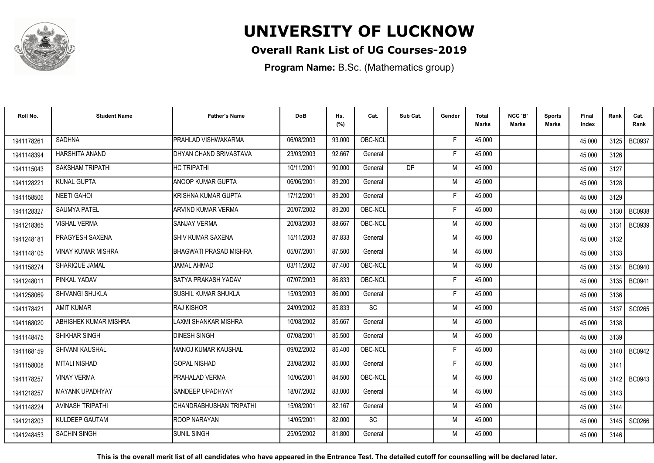

### **Overall Rank List of UG Courses-2019**

**Program Name:** B.Sc. (Mathematics group)

| Roll No.   | <b>Student Name</b>       | <b>Father's Name</b>        | <b>DoB</b> | Hs.<br>(%) | Cat.      | Sub Cat.  | Gender | <b>Total</b><br>Marks | NCC 'B'<br><b>Marks</b> | Sports<br>Marks | Final<br>Index | Rank | Cat.<br>Rank  |
|------------|---------------------------|-----------------------------|------------|------------|-----------|-----------|--------|-----------------------|-------------------------|-----------------|----------------|------|---------------|
| 1941178261 | <b>SADHNA</b>             | PRAHLAD VISHWAKARMA         | 06/08/2003 | 93.000     | OBC-NCL   |           | -F     | 45.000                |                         |                 | 45.000         |      | 3125 BC0937   |
| 1941148394 | HARSHITA ANAND            | DHYAN CHAND SRIVASTAVA      | 23/03/2003 | 92.667     | General   |           | F      | 45.000                |                         |                 | 45.000         | 3126 |               |
| 1941115043 | <b>SAKSHAM TRIPATHI</b>   | <b>HC TRIPATHI</b>          | 10/11/2001 | 90.000     | General   | <b>DP</b> | M      | 45.000                |                         |                 | 45.000         | 3127 |               |
| 1941128221 | <b>KUNAL GUPTA</b>        | <b>ANOOP KUMAR GUPTA</b>    | 06/06/2001 | 89.200     | General   |           | M      | 45.000                |                         |                 | 45.000         | 3128 |               |
| 1941158506 | <b>NEETI GAHOI</b>        | İKRISHNA KUMAR GUPTA        | 17/12/2001 | 89.200     | General   |           | F      | 45.000                |                         |                 | 45.000         | 3129 |               |
| 1941128327 | <b>SAUMYA PATEL</b>       | ARVIND KUMAR VERMA          | 20/07/2002 | 89.200     | OBC-NCL   |           | Е      | 45.000                |                         |                 | 45.000         | 3130 | <b>BC0938</b> |
| 1941218365 | <b>VISHAL VERMA</b>       | <b>SANJAY VERMA</b>         | 20/03/2003 | 88.667     | OBC-NCL   |           | M      | 45.000                |                         |                 | 45.000         | 3131 | <b>BC0939</b> |
| 1941248181 | PRAGYESH SAXENA           | <b>I</b> SHIV KUMAR SAXENA  | 15/11/2003 | 87.833     | General   |           | M      | 45.000                |                         |                 | 45.000         | 3132 |               |
| 1941148105 | <b>VINAY KUMAR MISHRA</b> | BHAGWATI PRASAD MISHRA      | 05/07/2001 | 87.500     | General   |           | M      | 45.000                |                         |                 | 45.000         | 3133 |               |
| 1941158274 | SHARIQUE JAMAL            | <b>JAMAL AHMAD</b>          | 03/11/2002 | 87.400     | OBC-NCL   |           | M      | 45.000                |                         |                 | 45.000         | 3134 | <b>BC0940</b> |
| 1941248011 | PINKAL YADAV              | SATYA PRAKASH YADAV         | 07/07/2003 | 86.833     | OBC-NCL   |           | F      | 45.000                |                         |                 | 45.000         | 3135 | <b>BC0941</b> |
| 1941258069 | <b>SHIVANGI SHUKLA</b>    | İSUSHIL KUMAR SHUKLA        | 15/03/2003 | 86.000     | General   |           | F      | 45.000                |                         |                 | 45.000         | 3136 |               |
| 1941178421 | <b>AMIT KUMAR</b>         | <b>RAJ KISHOR</b>           | 24/09/2002 | 85.833     | <b>SC</b> |           | M      | 45.000                |                         |                 | 45.000         | 3137 | SC0265        |
| 1941168020 | ABHISHEK KUMAR MISHRA     | <b>LAXMI SHANKAR MISHRA</b> | 10/08/2002 | 85.667     | General   |           | M      | 45.000                |                         |                 | 45.000         | 3138 |               |
| 1941148475 | SHIKHAR SINGH             | <b>DINESH SINGH</b>         | 07/08/2001 | 85.500     | General   |           | M      | 45.000                |                         |                 | 45.000         | 3139 |               |
| 1941168159 | SHIVANI KAUSHAL           | MANOJ KUMAR KAUSHAL         | 09/02/2002 | 85.400     | OBC-NCL   |           | F      | 45.000                |                         |                 | 45.000         | 3140 | <b>BC0942</b> |
| 1941158008 | <b>MITALI NISHAD</b>      | <b>GOPAL NISHAD</b>         | 23/08/2002 | 85.000     | General   |           | E      | 45.000                |                         |                 | 45.000         | 3141 |               |
| 1941178257 | <b>VINAY VERMA</b>        | PRAHALAD VERMA              | 10/06/2001 | 84.500     | OBC-NCL   |           | M      | 45.000                |                         |                 | 45.000         | 3142 | BC0943        |
| 1941218257 | <b>MAYANK UPADHYAY</b>    | <b>SANDEEP UPADHYAY</b>     | 18/07/2002 | 83.000     | General   |           | M      | 45.000                |                         |                 | 45.000         | 3143 |               |
| 1941148224 | <b>AVINASH TRIPATHI</b>   | İCHANDRABHUSHAN TRIPATHI    | 15/08/2001 | 82.167     | General   |           | M      | 45.000                |                         |                 | 45.000         | 3144 |               |
| 1941218203 | <b>KULDEEP GAUTAM</b>     | <b>ROOP NARAYAN</b>         | 14/05/2001 | 82.000     | <b>SC</b> |           | M      | 45.000                |                         |                 | 45.000         | 3145 | SC0266        |
| 1941248453 | <b>SACHIN SINGH</b>       | <b>SUNIL SINGH</b>          | 25/05/2002 | 81.800     | General   |           | M      | 45.000                |                         |                 | 45.000         | 3146 |               |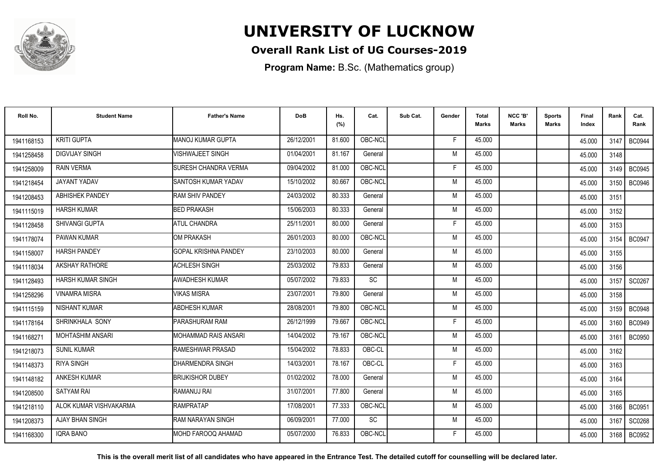

### **Overall Rank List of UG Courses-2019**

**Program Name:** B.Sc. (Mathematics group)

| Roll No.   | <b>Student Name</b>     | <b>Father's Name</b>        | <b>DoB</b> | Hs.<br>(%) | Cat.    | Sub Cat. | Gender | <b>Total</b><br><b>Marks</b> | NCC 'B'<br><b>Marks</b> | Sports<br>Marks | <b>Final</b><br>Index | Rank | Cat.<br>Rank  |
|------------|-------------------------|-----------------------------|------------|------------|---------|----------|--------|------------------------------|-------------------------|-----------------|-----------------------|------|---------------|
| 1941168153 | <b>KRITI GUPTA</b>      | MANOJ KUMAR GUPTA           | 26/12/2001 | 81.600     | OBC-NCL |          | F      | 45.000                       |                         |                 | 45.000                | 3147 | <b>BC0944</b> |
| 1941258458 | <b>DIGVIJAY SINGH</b>   | <b>/ISHWAJEET SINGH</b>     | 01/04/2001 | 81.167     | General |          | M      | 45.000                       |                         |                 | 45.000                | 3148 |               |
| 1941258009 | <b>RAIN VERMA</b>       | SURESH CHANDRA VERMA        | 09/04/2002 | 81.000     | OBC-NCL |          | F      | 45.000                       |                         |                 | 45.000                | 3149 | <b>BC0945</b> |
| 1941218454 | JAYANT YADAV            | SANTOSH KUMAR YADAV         | 15/10/2002 | 80.667     | OBC-NCL |          | M      | 45.000                       |                         |                 | 45.000                | 3150 | <b>BC0946</b> |
| 1941208453 | <b>ABHISHEK PANDEY</b>  | <b>RAM SHIV PANDEY</b>      | 24/03/2002 | 80.333     | General |          | M      | 45.000                       |                         |                 | 45.000                | 3151 |               |
| 1941115019 | <b>HARSH KUMAR</b>      | <b>BED PRAKASH</b>          | 15/06/2003 | 80.333     | General |          | M      | 45.000                       |                         |                 | 45.000                | 3152 |               |
| 1941128458 | <b>SHIVANGI GUPTA</b>   | <b>ATUL CHANDRA</b>         | 25/11/2001 | 80.000     | General |          | F      | 45.000                       |                         |                 | 45.000                | 3153 |               |
| 1941178074 | PAWAN KUMAR             | <b>OM PRAKASH</b>           | 26/01/2003 | 80.000     | OBC-NCL |          | M      | 45.000                       |                         |                 | 45.000                | 3154 | <b>BC0947</b> |
| 1941158007 | <b>HARSH PANDEY</b>     | <b>GOPAL KRISHNA PANDEY</b> | 23/10/2003 | 80.000     | General |          | M      | 45.000                       |                         |                 | 45.000                | 3155 |               |
| 1941118034 | <b>AKSHAY RATHORE</b>   | ACHLESH SINGH               | 25/03/2002 | 79.833     | General |          | M      | 45.000                       |                         |                 | 45.000                | 3156 |               |
| 1941128493 | HARSH KUMAR SINGH       | <b>AWADHESH KUMAR</b>       | 05/07/2002 | 79.833     | SC      |          | M      | 45.000                       |                         |                 | 45.000                | 3157 | SC0267        |
| 1941258296 | <b>VINAMRA MISRA</b>    | <b>VIKAS MISRA</b>          | 23/07/2001 | 79.800     | General |          | M      | 45.000                       |                         |                 | 45.000                | 3158 |               |
| 1941115159 | <b>NISHANT KUMAR</b>    | ABDHESH KUMAR               | 28/08/2001 | 79.800     | OBC-NCL |          | M      | 45.000                       |                         |                 | 45.000                | 3159 | <b>BC0948</b> |
| 1941178164 | SHRINKHALA SONY         | <b>PARASHURAM RAM</b>       | 26/12/1999 | 79.667     | OBC-NCL |          | F      | 45.000                       |                         |                 | 45.000                | 3160 | <b>BC0949</b> |
| 1941168271 | <b>MOHTASHIM ANSARI</b> | <b>MOHAMMAD RAIS ANSARI</b> | 14/04/2002 | 79.167     | OBC-NCL |          | M      | 45.000                       |                         |                 | 45.000                | 3161 | <b>BC0950</b> |
| 1941218073 | <b>SUNIL KUMAR</b>      | RAMESHWAR PRASAD            | 15/04/2002 | 78.833     | OBC-CL  |          | M      | 45.000                       |                         |                 | 45.000                | 3162 |               |
| 1941148373 | <b>RIYA SINGH</b>       | <b>DHARMENDRA SINGH</b>     | 14/03/2001 | 78.167     | OBC-CL  |          | F      | 45.000                       |                         |                 | 45.000                | 3163 |               |
| 1941148182 | <b>ANKESH KUMAR</b>     | <b>BRIJKISHOR DUBEY</b>     | 01/02/2002 | 78.000     | General |          | M      | 45.000                       |                         |                 | 45.000                | 3164 |               |
| 1941208500 | <b>SATYAM RAI</b>       | RAMANUJ RAI                 | 31/07/2001 | 77.800     | General |          | M      | 45.000                       |                         |                 | 45.000                | 3165 |               |
| 1941218110 | ALOK KUMAR VISHVAKARMA  | <b>RAMPRATAP</b>            | 17/08/2001 | 77.333     | OBC-NCL |          | M      | 45.000                       |                         |                 | 45.000                | 3166 | <b>BC0951</b> |
| 1941208373 | AJAY BHAN SINGH         | <b>RAM NARAYAN SINGH</b>    | 06/09/2001 | 77.000     | SC      |          | M      | 45.000                       |                         |                 | 45.000                | 3167 | SC0268        |
| 1941168300 | <b>IQRA BANO</b>        | MOHD FAROOQ AHAMAD          | 05/07/2000 | 76.833     | OBC-NCL |          |        | 45.000                       |                         |                 | 45.000                | 3168 | <b>BC0952</b> |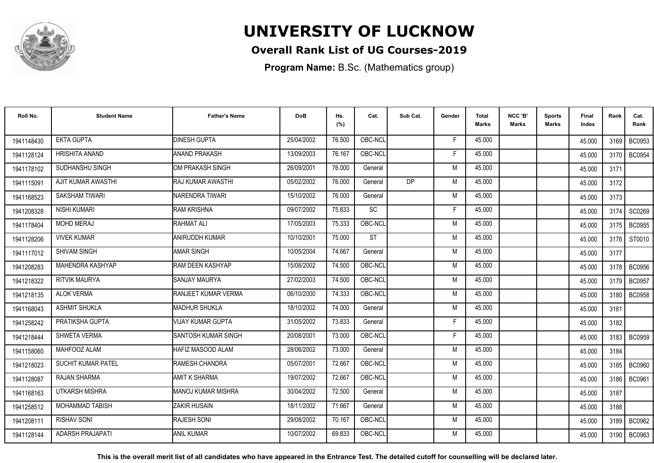

### **Overall Rank List of UG Courses-2019**

**Program Name:** B.Sc. (Mathematics group)

| Roll No.   | <b>Student Name</b>       | <b>Father's Name</b>       | <b>DoB</b> | Hs.<br>(%) | Cat.      | Sub Cat.  | Gender | <b>Total</b><br><b>Marks</b> | NCC 'B'<br><b>Marks</b> | <b>Sports</b><br><b>Marks</b> | Final<br>Index | Rank   | Cat.<br>Rank  |
|------------|---------------------------|----------------------------|------------|------------|-----------|-----------|--------|------------------------------|-------------------------|-------------------------------|----------------|--------|---------------|
| 1941148430 | <b>EKTA GUPTA</b>         | <b>DINESH GUPTA</b>        | 25/04/2002 | 76.500     | OBC-NCL   |           | F.     | 45.000                       |                         |                               | 45.000         | 3169 I | BC0953        |
| 1941128124 | <b>HRISHITA ANAND</b>     | <b>ANAND PRAKASH</b>       | 13/09/2003 | 76.167     | OBC-NCL   |           | F      | 45.000                       |                         |                               | 45.000         | 3170 l | <b>BC0954</b> |
| 1941178102 | SUDHANSHU SINGH           | OM PRAKASH SINGH           | 26/09/2001 | 76.000     | General   |           | M      | 45.000                       |                         |                               | 45.000         | 3171   |               |
| 1941115091 | AJIT KUMAR AWASTHI        | IRAJ KUMAR AWASTHI         | 05/02/2002 | 76.000     | General   | <b>DP</b> | M      | 45.000                       |                         |                               | 45.000         | 3172   |               |
| 1941168523 | SAKSHAM TIWARI            | INARENDRA TIWARI           | 15/10/2002 | 76.000     | General   |           | M      | 45.000                       |                         |                               | 45.000         | 3173   |               |
| 1941208328 | <b>NISHI KUMARI</b>       | <b>RAM KRISHNA</b>         | 09/07/2002 | 75.833     | SC        |           | Е      | 45.000                       |                         |                               | 45.000         | 3174   | SC0269        |
| 1941178404 | <b>MOHD MERAJ</b>         | <b>RAHMAT ALI</b>          | 17/05/2003 | 75.333     | OBC-NCL   |           | M      | 45.000                       |                         |                               | 45.000         | 3175   | <b>BC0955</b> |
| 1941128206 | <b>VIVEK KUMAR</b>        | ANIRUDDH KUMAR             | 10/10/2001 | 75.000     | <b>ST</b> |           | M      | 45.000                       |                         |                               | 45.000         | 3176   | ST0010        |
| 1941117012 | SHIVAM SINGH              | <b>AMAR SINGH</b>          | 10/05/2004 | 74.667     | General   |           | M      | 45.000                       |                         |                               | 45.000         | 3177   |               |
| 1941208283 | MAHENDRA KASHYAP          | RAM DEEN KASHYAP           | 15/08/2002 | 74.500     | OBC-NCL   |           | M      | 45.000                       |                         |                               | 45.000         |        | 3178   BC0956 |
| 1941218322 | <b>RITVIK MAURYA</b>      | <b>SANJAY MAURYA</b>       | 27/02/2003 | 74.500     | OBC-NCL   |           | M      | 45.000                       |                         |                               | 45.000         | 3179   | <b>BC0957</b> |
| 1941218135 | <b>ALOK VERMA</b>         | <b>RANJEET KUMAR VERMA</b> | 06/10/2000 | 74.333     | OBC-NCL   |           | M      | 45.000                       |                         |                               | 45.000         | 3180   | <b>BC0958</b> |
| 1941168043 | <b>ASHMIT SHUKLA</b>      | <b>MADHUR SHUKLA</b>       | 18/10/2002 | 74.000     | General   |           | M      | 45.000                       |                         |                               | 45.000         | 3181   |               |
| 1941258242 | PRATIKSHA GUPTA           | <b>VIJAY KUMAR GUPTA</b>   | 31/05/2002 | 73.833     | General   |           | F.     | 45.000                       |                         |                               | 45.000         | 3182   |               |
| 1941218444 | SHWETA VERMA              | SANTOSH KUMAR SINGH        | 20/08/2001 | 73.000     | OBC-NCL   |           | Е      | 45.000                       |                         |                               | 45.000         | 3183   | <b>BC0959</b> |
| 1941158060 | MAHFOOZ ALAM              | HAFIZ MASOOD ALAM          | 28/06/2002 | 73.000     | General   |           | M      | 45.000                       |                         |                               | 45.000         | 3184   |               |
| 1941218023 | <b>SUCHIT KUMAR PATEL</b> | <b>RAMESH CHANDRA</b>      | 05/07/2001 | 72.667     | OBC-NCL   |           | M      | 45.000                       |                         |                               | 45.000         |        | 3185   BC0960 |
| 1941128087 | RAJAN SHARMA              | AMIT K SHARMA              | 19/07/2002 | 72.667     | OBC-NCL   |           | M      | 45.000                       |                         |                               | 45.000         | 3186 I | <b>BC0961</b> |
| 1941168163 | <b>UTKARSH MISHRA</b>     | IMANOJ KUMAR MISHRA        | 30/04/2002 | 72.500     | General   |           | M      | 45.000                       |                         |                               | 45.000         | 3187   |               |
| 1941258512 | <b>MOHAMMAD TABISH</b>    | <b>ZAKIR HUSAIN</b>        | 18/11/2002 | 71.667     | General   |           | M      | 45.000                       |                         |                               | 45.000         | 3188   |               |
| 1941208111 | <b>RISHAV SONI</b>        | <b>RAJESH SONI</b>         | 29/08/2002 | 70.167     | OBC-NCL   |           | M      | 45.000                       |                         |                               | 45.000         | 3189   | BC0962        |
| 1941128144 | <b>ADARSH PRAJAPATI</b>   | <b>ANIL KUMAR</b>          | 10/07/2002 | 69.833     | OBC-NCL   |           | M      | 45.000                       |                         |                               | 45.000         | 3190   | BC0963        |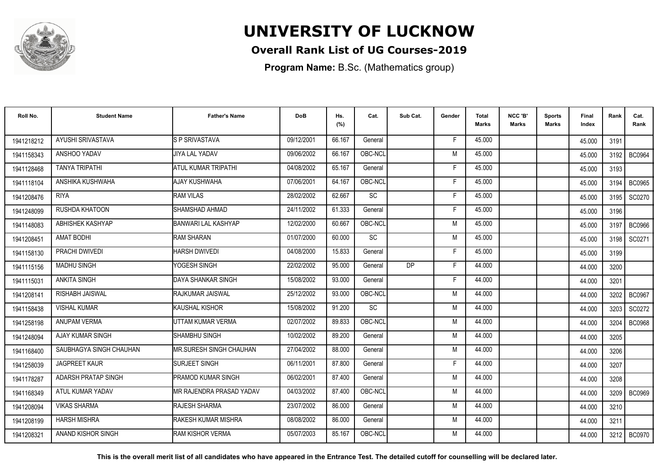

### **Overall Rank List of UG Courses-2019**

**Program Name:** B.Sc. (Mathematics group)

| Roll No.   | <b>Student Name</b>     | <b>Father's Name</b>            | <b>DoB</b> | Hs.<br>(%) | Cat.            | Sub Cat.  | Gender | <b>Total</b><br>Marks | NCC 'B'<br><b>Marks</b> | Sports<br><b>Marks</b> | Final<br>Index | Rank | Cat.<br>Rank  |
|------------|-------------------------|---------------------------------|------------|------------|-----------------|-----------|--------|-----------------------|-------------------------|------------------------|----------------|------|---------------|
| 1941218212 | AYUSHI SRIVASTAVA       | S P SRIVASTAVA                  | 09/12/2001 | 66.167     | General         |           | -F     | 45.000                |                         |                        | 45.000         | 3191 |               |
| 1941158343 | ANSHOO YADAV            | <b>JIYA LAL YADAV</b>           | 09/06/2002 | 66.167     | OBC-NCL         |           | M      | 45.000                |                         |                        | 45.000         | 3192 | <b>BC0964</b> |
| 1941128468 | <b>TANYA TRIPATHI</b>   | ATUL KUMAR TRIPATHI             | 04/08/2002 | 65.167     | General         |           | F.     | 45.000                |                         |                        | 45.000         | 3193 |               |
| 1941118104 | ANSHIKA KUSHWAHA        | AJAY KUSHWAHA                   | 07/06/2001 | 64.167     | OBC-NCL         |           | Е      | 45.000                |                         |                        | 45.000         | 3194 | <b>BC0965</b> |
| 1941208476 | <b>RIYA</b>             | <b>RAM VILAS</b>                | 28/02/2002 | 62.667     | <b>SC</b>       |           | F      | 45.000                |                         |                        | 45.000         | 3195 | SC0270        |
| 1941248099 | RUSHDA KHATOON          | SHAMSHAD AHMAD                  | 24/11/2002 | 61.333     | General         |           | F      | 45.000                |                         |                        | 45.000         | 3196 |               |
| 1941148083 | ABHISHEK KASHYAP        | <b>BANWARI LAL KASHYAP</b>      | 12/02/2000 | 60.667     | OBC-NCL         |           | M      | 45.000                |                         |                        | 45.000         | 3197 | <b>BC0966</b> |
| 1941208451 | <b>AMAT BODHI</b>       | <b>RAM SHARAN</b>               | 01/07/2000 | 60.000     | $\overline{SC}$ |           | M      | 45.000                |                         |                        | 45.000         | 3198 | SC0271        |
| 1941158130 | PRACHI DWIVEDI          | <b>HARSH DWIVEDI</b>            | 04/08/2000 | 15.833     | General         |           | F      | 45.000                |                         |                        | 45.000         | 3199 |               |
| 1941115156 | <b>MADHU SINGH</b>      | YOGESH SINGH                    | 22/02/2002 | 95.000     | General         | <b>DP</b> | F      | 44.000                |                         |                        | 44.000         | 3200 |               |
| 1941115031 | ANKITA SINGH            | DAYA SHANKAR SINGH              | 15/08/2002 | 93.000     | General         |           | F      | 44.000                |                         |                        | 44.000         | 3201 |               |
| 1941208141 | RISHABH JAISWAL         | <b>RAJKUMAR JAISWAL</b>         | 25/12/2002 | 93.000     | OBC-NCL         |           | M      | 44.000                |                         |                        | 44.000         | 3202 | <b>BC0967</b> |
| 1941158438 | <b>VISHAL KUMAR</b>     | KAUSHAL KISHOR                  | 15/08/2002 | 91.200     | <b>SC</b>       |           | M      | 44.000                |                         |                        | 44.000         | 3203 | SC0272        |
| 1941258198 | <b>ANUPAM VERMA</b>     | UTTAM KUMAR VERMA               | 02/07/2002 | 89.833     | OBC-NCL         |           | M      | 44.000                |                         |                        | 44.000         | 3204 | <b>BC0968</b> |
| 1941248094 | <b>AJAY KUMAR SINGH</b> | <b>SHAMBHU SINGH</b>            | 10/02/2002 | 89.200     | General         |           | M      | 44.000                |                         |                        | 44.000         | 3205 |               |
| 1941168400 | SAUBHAGYA SINGH CHAUHAN | <b>MR.SURESH SINGH CHAUHAN</b>  | 27/04/2002 | 88.000     | General         |           | M      | 44.000                |                         |                        | 44.000         | 3206 |               |
| 1941258039 | <b>JAGPREET KAUR</b>    | <b>SURJEET SINGH</b>            | 06/11/2001 | 87.800     | General         |           | F      | 44.000                |                         |                        | 44.000         | 3207 |               |
| 1941178287 | ADARSH PRATAP SINGH     | <b>PRAMOD KUMAR SINGH</b>       | 06/02/2001 | 87.400     | General         |           | M      | 44.000                |                         |                        | 44.000         | 3208 |               |
| 1941168349 | ATUL KUMAR YADAV        | <b>MR RAJENDRA PRASAD YADAV</b> | 04/03/2002 | 87.400     | OBC-NCL         |           | M      | 44.000                |                         |                        | 44.000         | 3209 | <b>BC0969</b> |
| 1941208094 | <b>VIKAS SHARMA</b>     | RAJESH SHARMA                   | 23/07/2002 | 86.000     | General         |           | M      | 44.000                |                         |                        | 44.000         | 3210 |               |
| 1941208199 | <b>HARSH MISHRA</b>     | <b>I</b> RAKESH KUMAR MISHRA    | 08/08/2002 | 86.000     | General         |           | M      | 44.000                |                         |                        | 44.000         | 3211 |               |
| 1941208321 | ANAND KISHOR SINGH      | <b>RAM KISHOR VERMA</b>         | 05/07/2003 | 85.167     | OBC-NCL         |           | M      | 44.000                |                         |                        | 44.000         | 3212 | <b>BC0970</b> |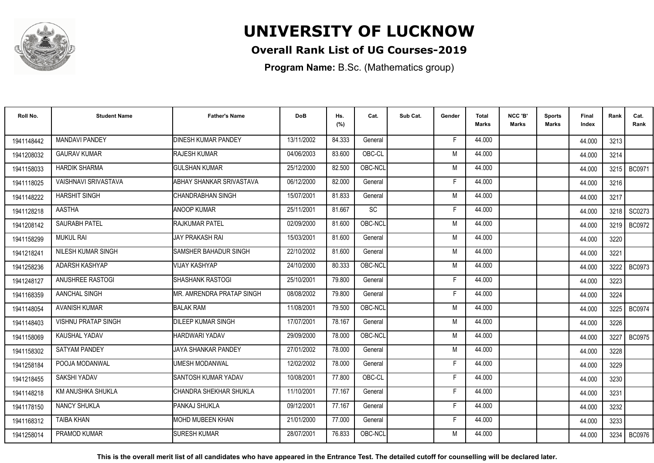

### **Overall Rank List of UG Courses-2019**

**Program Name:** B.Sc. (Mathematics group)

| Roll No.   | <b>Student Name</b>        | <b>Father's Name</b>            | <b>DoB</b> | Hs.<br>(%) | Cat.      | Sub Cat. | Gender | <b>Total</b><br>Marks | NCC 'B'<br><b>Marks</b> | Sports<br>Marks | Final<br>Index | Rank | Cat.<br>Rank  |
|------------|----------------------------|---------------------------------|------------|------------|-----------|----------|--------|-----------------------|-------------------------|-----------------|----------------|------|---------------|
| 1941148442 | <b>MANDAVI PANDEY</b>      | <b>DINESH KUMAR PANDEY</b>      | 13/11/2002 | 84.333     | General   |          | -F     | 44.000                |                         |                 | 44.000         | 3213 |               |
| 1941208032 | <b>GAURAV KUMAR</b>        | <b>RAJESH KUMAR</b>             | 04/06/2003 | 83.600     | OBC-CL    |          | M      | 44.000                |                         |                 | 44.000         | 3214 |               |
| 1941158033 | <b>HARDIK SHARMA</b>       | <b>GULSHAN KUMAR</b>            | 25/12/2000 | 82.500     | OBC-NCL   |          | M      | 44.000                |                         |                 | 44.000         | 3215 | <b>BC0971</b> |
| 1941118025 | VAISHNAVI SRIVASTAVA       | <b>ABHAY SHANKAR SRIVASTAVA</b> | 06/12/2000 | 82.000     | General   |          | E      | 44.000                |                         |                 | 44.000         | 3216 |               |
| 1941148222 | <b>HARSHIT SINGH</b>       | ICHANDRABHAN SINGH              | 15/07/2001 | 81.833     | General   |          | M      | 44.000                |                         |                 | 44.000         | 3217 |               |
| 1941128218 | <b>AASTHA</b>              | <b>ANOOP KUMAR</b>              | 25/11/2001 | 81.667     | <b>SC</b> |          | Е      | 44.000                |                         |                 | 44.000         | 3218 | SC0273        |
| 1941208142 | <b>SAURABH PATEL</b>       | <b>RAJKUMAR PATEL</b>           | 02/09/2000 | 81.600     | OBC-NCL   |          | M      | 44.000                |                         |                 | 44.000         | 3219 | <b>BC0972</b> |
| 1941158299 | <b>MUKUL RAI</b>           | <b>JAY PRAKASH RAI</b>          | 15/03/2001 | 81.600     | General   |          | M      | 44.000                |                         |                 | 44.000         | 3220 |               |
| 1941218241 | NILESH KUMAR SINGH         | ISAMSHER BAHADUR SINGH          | 22/10/2002 | 81.600     | General   |          | M      | 44.000                |                         |                 | 44.000         | 3221 |               |
| 1941258236 | ADARSH KASHYAP             | <b>VIJAY KASHYAP</b>            | 24/10/2000 | 80.333     | OBC-NCL   |          | M      | 44.000                |                         |                 | 44.000         | 3222 | <b>BC0973</b> |
| 1941248127 | ANUSHREE RASTOGI           | SHASHANK RASTOGI                | 25/10/2001 | 79.800     | General   |          | Е      | 44.000                |                         |                 | 44.000         | 3223 |               |
| 1941168359 | AANCHAL SINGH              | MR. AMRENDRA PRATAP SINGH       | 08/08/2002 | 79.800     | General   |          | F      | 44.000                |                         |                 | 44.000         | 3224 |               |
| 1941148054 | <b>AVANISH KUMAR</b>       | <b>BALAK RAM</b>                | 11/08/2001 | 79.500     | OBC-NCL   |          | M      | 44.000                |                         |                 | 44.000         | 3225 | BC0974        |
| 1941148403 | <b>VISHNU PRATAP SINGH</b> | <b>DILEEP KUMAR SINGH</b>       | 17/07/2001 | 78.167     | General   |          | M      | 44.000                |                         |                 | 44.000         | 3226 |               |
| 1941158069 | KAUSHAL YADAV              | HARDWARI YADAV                  | 29/09/2000 | 78.000     | OBC-NCL   |          | M      | 44.000                |                         |                 | 44.000         | 3227 | <b>BC0975</b> |
| 1941158302 | <b>SATYAM PANDEY</b>       | JAYA SHANKAR PANDEY             | 27/01/2002 | 78.000     | General   |          | M      | 44.000                |                         |                 | 44.000         | 3228 |               |
| 1941258184 | POOJA MODANWAL             | <b>UMESH MODANWAL</b>           | 12/02/2002 | 78.000     | General   |          | F      | 44.000                |                         |                 | 44.000         | 3229 |               |
| 1941218455 | SAKSHI YADAV               | SANTOSH KUMAR YADAV             | 10/08/2001 | 77.800     | OBC-CL    |          | F      | 44.000                |                         |                 | 44.000         | 3230 |               |
| 1941148218 | KM ANUSHKA SHUKLA          | CHANDRA SHEKHAR SHUKLA          | 11/10/2001 | 77.167     | General   |          | F      | 44.000                |                         |                 | 44.000         | 3231 |               |
| 1941178150 | <b>NANCY SHUKLA</b>        | PANKAJ SHUKLA                   | 09/12/2001 | 77.167     | General   |          | F      | 44.000                |                         |                 | 44.000         | 3232 |               |
| 1941168312 | <b>TAIBA KHAN</b>          | IMOHD MUBEEN KHAN               | 21/01/2000 | 77.000     | General   |          | E      | 44.000                |                         |                 | 44.000         | 3233 |               |
| 1941258014 | PRAMOD KUMAR               | <b>SURESH KUMAR</b>             | 28/07/2001 | 76.833     | OBC-NCL   |          | M      | 44.000                |                         |                 | 44.000         | 3234 | <b>BC0976</b> |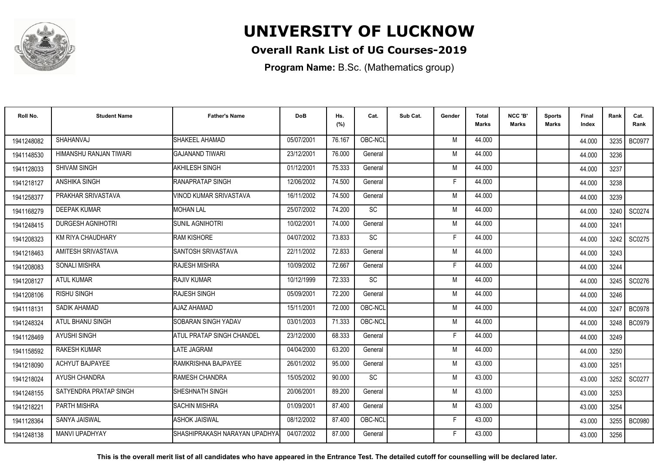

### **Overall Rank List of UG Courses-2019**

**Program Name:** B.Sc. (Mathematics group)

| Roll No.   | <b>Student Name</b>       | <b>Father's Name</b>            | <b>DoB</b> | Hs.<br>(%) | Cat.      | Sub Cat. | Gender | Total<br><b>Marks</b> | NCC 'B'<br><b>Marks</b> | <b>Sports</b><br>Marks | Final<br>Index | Rank | Cat.<br>Rank  |
|------------|---------------------------|---------------------------------|------------|------------|-----------|----------|--------|-----------------------|-------------------------|------------------------|----------------|------|---------------|
| 1941248082 | SHAHANVAJ                 | SHAKEEL AHAMAD                  | 05/07/2001 | 76.167     | OBC-NCL   |          | M      | 44.000                |                         |                        | 44.000         | 3235 | <b>BC0977</b> |
| 1941148530 | HIMANSHU RANJAN TIWARI    | IGAJANAND TIWARI                | 23/12/2001 | 76.000     | General   |          | M      | 44.000                |                         |                        | 44.000         | 3236 |               |
| 1941128033 | <b>SHIVAM SINGH</b>       | AKHILESH SINGH                  | 01/12/2001 | 75.333     | General   |          | M      | 44.000                |                         |                        | 44.000         | 3237 |               |
| 1941218127 | <b>ANSHIKA SINGH</b>      | <b>IRANAPRATAP SINGH</b>        | 12/06/2002 | 74.500     | General   |          | F      | 44.000                |                         |                        | 44.000         | 3238 |               |
| 1941258377 | PRAKHAR SRIVASTAVA        | VINOD KUMAR SRIVASTAVA          | 16/11/2002 | 74.500     | General   |          | M      | 44.000                |                         |                        | 44.000         | 3239 |               |
| 1941168279 | <b>DEEPAK KUMAR</b>       | <b>MOHAN LAL</b>                | 25/07/2002 | 74.200     | SC        |          | M      | 44.000                |                         |                        | 44.000         | 3240 | SC0274        |
| 1941248415 | <b>DURGESH AGNIHOTRI</b>  | <b>SUNIL AGNIHOTRI</b>          | 10/02/2001 | 74.000     | General   |          | M      | 44.000                |                         |                        | 44.000         | 3241 |               |
| 1941208323 | KM RIYA CHAUDHARY         | <b>RAM KISHORE</b>              | 04/07/2002 | 73.833     | <b>SC</b> |          | F      | 44.000                |                         |                        | 44.000         | 3242 | SC0275        |
| 1941218463 | <b>AMITESH SRIVASTAVA</b> | ISANTOSH SRIVASTAVA             | 22/11/2002 | 72.833     | General   |          | M      | 44.000                |                         |                        | 44.000         | 3243 |               |
| 1941208083 | <b>SONALI MISHRA</b>      | <b>RAJESH MISHRA</b>            | 10/09/2002 | 72.667     | General   |          | F      | 44.000                |                         |                        | 44.000         | 3244 |               |
| 1941208127 | <b>ATUL KUMAR</b>         | <b>RAJIV KUMAR</b>              | 10/12/1999 | 72.333     | <b>SC</b> |          | M      | 44.000                |                         |                        | 44.000         | 3245 | SC0276        |
| 1941208106 | <b>RISHU SINGH</b>        | RAJESH SINGH                    | 05/09/2001 | 72.200     | General   |          | M      | 44.000                |                         |                        | 44.000         | 3246 |               |
| 1941118131 | SADIK AHAMAD              | AJAZ AHAMAD                     | 15/11/2001 | 72.000     | OBC-NCL   |          | M      | 44.000                |                         |                        | 44.000         | 3247 | <b>BC0978</b> |
| 1941248324 | ATUL BHANU SINGH          | <b>SOBARAN SINGH YADAV</b>      | 03/01/2003 | 71.333     | OBC-NCL   |          | M      | 44.000                |                         |                        | 44.000         | 3248 | <b>BC0979</b> |
| 1941128469 | <b>AYUSHI SINGH</b>       | ATUL PRATAP SINGH CHANDEL       | 23/12/2000 | 68.333     | General   |          | F      | 44.000                |                         |                        | 44.000         | 3249 |               |
| 1941158592 | <b>RAKESH KUMAR</b>       | LATE JAGRAM                     | 04/04/2000 | 63.200     | General   |          | M      | 44.000                |                         |                        | 44.000         | 3250 |               |
| 1941218090 | ACHYUT BAJPAYEE           | RAMKRISHNA BAJPAYEE             | 26/01/2002 | 95.000     | General   |          | M      | 43.000                |                         |                        | 43.000         | 3251 |               |
| 1941218024 | AYUSH CHANDRA             | RAMESH CHANDRA                  | 15/05/2002 | 90.000     | SC        |          | M      | 43.000                |                         |                        | 43.000         | 3252 | SC0277        |
| 1941248155 | SATYENDRA PRATAP SINGH    | SHESHNATH SINGH                 | 20/06/2001 | 89.200     | General   |          | M      | 43.000                |                         |                        | 43.000         | 3253 |               |
| 1941218221 | <b>PARTH MISHRA</b>       | <b>SACHIN MISHRA</b>            | 01/09/2001 | 87.400     | General   |          | M      | 43.000                |                         |                        | 43.000         | 3254 |               |
| 1941128364 | SANYA JAISWAL             | <b>ASHOK JAISWAL</b>            | 08/12/2002 | 87.400     | OBC-NCL   |          | F.     | 43.000                |                         |                        | 43.000         | 3255 | <b>BC0980</b> |
| 1941248138 | <b>MANVI UPADHYAY</b>     | ISHASHIPRAKASH NARAYAN UPADHYAI | 04/07/2002 | 87.000     | General   |          | F      | 43.000                |                         |                        | 43.000         | 3256 |               |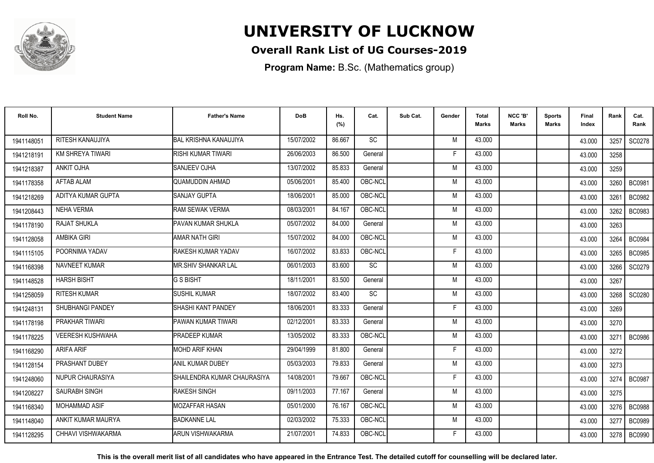

### **Overall Rank List of UG Courses-2019**

**Program Name:** B.Sc. (Mathematics group)

| Roll No.   | <b>Student Name</b>     | <b>Father's Name</b>         | <b>DoB</b> | Hs.<br>(%) | Cat.      | Sub Cat. | Gender | Total<br><b>Marks</b> | NCC 'B'<br><b>Marks</b> | <b>Sports</b><br>Marks | Final<br>Index | Rank | Cat.<br>Rank  |
|------------|-------------------------|------------------------------|------------|------------|-----------|----------|--------|-----------------------|-------------------------|------------------------|----------------|------|---------------|
| 1941148051 | RITESH KANAUJIYA        | <b>BAL KRISHNA KANAUJIYA</b> | 15/07/2002 | 86.667     | SC        |          | M      | 43.000                |                         |                        | 43.000         | 3257 | SC0278        |
| 1941218191 | <b>KM SHREYA TIWARI</b> | <b>RISHI KUMAR TIWARI</b>    | 26/06/2003 | 86.500     | General   |          | F      | 43.000                |                         |                        | 43.000         | 3258 |               |
| 1941218387 | <b>ANKIT OJHA</b>       | <b>SANJEEV OJHA</b>          | 13/07/2002 | 85.833     | General   |          | M      | 43.000                |                         |                        | 43.000         | 3259 |               |
| 1941178358 | <b>AFTAB ALAM</b>       | QUAMUDDIN AHMAD              | 05/06/2001 | 85.400     | OBC-NCL   |          | M      | 43.000                |                         |                        | 43.000         | 3260 | <b>BC0981</b> |
| 1941218269 | ADITYA KUMAR GUPTA      | <b>SANJAY GUPTA</b>          | 18/06/2001 | 85.000     | OBC-NCL   |          | M      | 43.000                |                         |                        | 43.000         | 3261 | <b>BC0982</b> |
| 1941208443 | <b>NEHA VERMA</b>       | <b>RAM SEWAK VERMA</b>       | 08/03/2001 | 84.167     | OBC-NCL   |          | M      | 43.000                |                         |                        | 43.000         | 3262 | <b>BC0983</b> |
| 1941178190 | <b>RAJAT SHUKLA</b>     | PAVAN KUMAR SHUKLA           | 05/07/2002 | 84.000     | General   |          | M      | 43.000                |                         |                        | 43.000         | 3263 |               |
| 1941128058 | <b>AMBIKA GIRI</b>      | <b>AMAR NATH GIRI</b>        | 15/07/2002 | 84.000     | OBC-NCL   |          | M      | 43.000                |                         |                        | 43.000         | 3264 | <b>BC0984</b> |
| 1941115105 | POORNIMA YADAV          | RAKESH KUMAR YADAV           | 16/07/2002 | 83.833     | OBC-NCL   |          | F      | 43.000                |                         |                        | 43.000         | 3265 | <b>BC0985</b> |
| 1941168398 | NAVNEET KUMAR           | <b>MR.SHIV SHANKAR LAL</b>   | 06/01/2003 | 83.600     | SC        |          | M      | 43.000                |                         |                        | 43.000         | 3266 | SC0279        |
| 1941148528 | <b>HARSH BISHT</b>      | G S BISHT                    | 18/11/2001 | 83.500     | General   |          | M      | 43.000                |                         |                        | 43.000         | 3267 |               |
| 1941258059 | <b>RITESH KUMAR</b>     | <b>SUSHIL KUMAR</b>          | 18/07/2002 | 83.400     | <b>SC</b> |          | M      | 43.000                |                         |                        | 43.000         | 3268 | SC0280        |
| 1941248131 | SHUBHANGI PANDEY        | <b>SHASHI KANT PANDEY</b>    | 18/06/2001 | 83.333     | General   |          | Е      | 43.000                |                         |                        | 43.000         | 3269 |               |
| 1941178198 | PRAKHAR TIWARI          | PAWAN KUMAR TIWARI           | 02/12/2001 | 83.333     | General   |          | M      | 43.000                |                         |                        | 43.000         | 3270 |               |
| 1941178225 | <b>VEERESH KUSHWAHA</b> | <b>PRADEEP KUMAR</b>         | 13/05/2002 | 83.333     | OBC-NCL   |          | M      | 43.000                |                         |                        | 43.000         | 3271 | <b>BC0986</b> |
| 1941168290 | ARIFA ARIF              | <b>MOHD ARIF KHAN</b>        | 29/04/1999 | 81.800     | General   |          | F      | 43.000                |                         |                        | 43.000         | 3272 |               |
| 1941128154 | PRASHANT DUBEY          | ANIL KUMAR DUBEY             | 05/03/2003 | 79.833     | General   |          | M      | 43.000                |                         |                        | 43.000         | 3273 |               |
| 1941248060 | NUPUR CHAURASIYA        | SHAILENDRA KUMAR CHAURASIYA  | 14/08/2001 | 79.667     | OBC-NCL   |          | F      | 43.000                |                         |                        | 43.000         | 3274 | <b>BC0987</b> |
| 1941208227 | SAURABH SINGH           | <b>RAKESH SINGH</b>          | 09/11/2003 | 77.167     | General   |          | M      | 43.000                |                         |                        | 43.000         | 3275 |               |
| 1941168340 | <b>MOHAMMAD ASIF</b>    | <b>IMOZAFFAR HASAN</b>       | 05/01/2000 | 76.167     | OBC-NCL   |          | M      | 43.000                |                         |                        | 43.000         | 3276 | <b>BC0988</b> |
| 1941148040 | ANKIT KUMAR MAURYA      | <b>BADKANNE LAL</b>          | 02/03/2002 | 75.333     | OBC-NCL   |          | M      | 43.000                |                         |                        | 43.000         | 3277 | <b>BC0989</b> |
| 1941128295 | CHHAVI VISHWAKARMA      | ARUN VISHWAKARMA             | 21/07/2001 | 74.833     | OBC-NCL   |          | F      | 43.000                |                         |                        | 43.000         | 3278 | <b>BC0990</b> |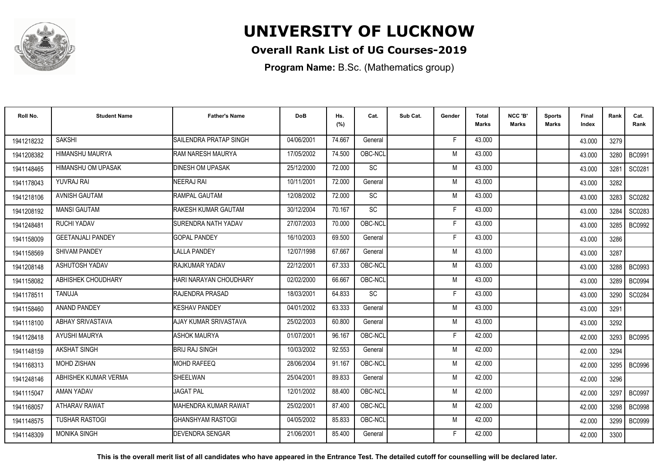

### **Overall Rank List of UG Courses-2019**

**Program Name:** B.Sc. (Mathematics group)

| Roll No.   | <b>Student Name</b>       | <b>Father's Name</b>       | <b>DoB</b> | Hs.<br>(%) | Cat.            | Sub Cat. | Gender | Total<br><b>Marks</b> | NCC 'B'<br><b>Marks</b> | <b>Sports</b><br>Marks | Final<br>Index | Rank | Cat.<br>Rank  |
|------------|---------------------------|----------------------------|------------|------------|-----------------|----------|--------|-----------------------|-------------------------|------------------------|----------------|------|---------------|
| 1941218232 | <b>SAKSHI</b>             | SAILENDRA PRATAP SINGH     | 04/06/2001 | 74.667     | General         |          | F.     | 43.000                |                         |                        | 43.000         | 3279 |               |
| 1941208382 | HIMANSHU MAURYA           | RAM NARESH MAURYA          | 17/05/2002 | 74.500     | OBC-NCL         |          | M      | 43.000                |                         |                        | 43.000         | 3280 | <b>BC0991</b> |
| 1941148465 | <b>HIMANSHU OM UPASAK</b> | <b>DINESH OM UPASAK</b>    | 25/12/2000 | 72.000     | <b>SC</b>       |          | M      | 43.000                |                         |                        | 43.000         | 3281 | SC0281        |
| 1941178043 | <b>YUVRAJ RAI</b>         | NEERAJ RAI                 | 10/11/2001 | 72.000     | General         |          | M      | 43.000                |                         |                        | 43.000         | 3282 |               |
| 1941218106 | <b>AVNISH GAUTAM</b>      | RAMPAL GAUTAM              | 12/08/2002 | 72.000     | <b>SC</b>       |          | M      | 43.000                |                         |                        | 43.000         | 3283 | SC0282        |
| 1941208192 | <b>MANSI GAUTAM</b>       | RAKESH KUMAR GAUTAM        | 30/12/2004 | 70.167     | SC              |          | E      | 43.000                |                         |                        | 43.000         | 3284 | SC0283        |
| 1941248481 | RUCHI YADAV               | <b>SURENDRA NATH YADAV</b> | 27/07/2003 | 70.000     | OBC-NCL         |          | E      | 43.000                |                         |                        | 43.000         | 3285 | <b>BC0992</b> |
| 1941158009 | <b>GEETANJALI PANDEY</b>  | <b>GOPAL PANDEY</b>        | 16/10/2003 | 69.500     | General         |          | F      | 43.000                |                         |                        | 43.000         | 3286 |               |
| 1941158569 | <b>SHIVAM PANDEY</b>      | <b>LALLA PANDEY</b>        | 12/07/1998 | 67.667     | General         |          | M      | 43.000                |                         |                        | 43.000         | 3287 |               |
| 1941208148 | <b>ASHUTOSH YADAV</b>     | RAJKUMAR YADAV             | 22/12/2001 | 67.333     | OBC-NCL         |          | M      | 43.000                |                         |                        | 43.000         | 3288 | <b>BC0993</b> |
| 1941158082 | ABHISHEK CHOUDHARY        | HARI NARAYAN CHOUDHARY     | 02/02/2000 | 66.667     | OBC-NCL         |          | M      | 43.000                |                         |                        | 43.000         | 3289 | <b>BC0994</b> |
| 1941178511 | TANUJA                    | RAJENDRA PRASAD            | 18/03/2001 | 64.833     | $\overline{SC}$ |          | F      | 43.000                |                         |                        | 43.000         | 3290 | SC0284        |
| 1941158460 | ANAND PANDEY              | <b>KESHAV PANDEY</b>       | 04/01/2002 | 63.333     | General         |          | M      | 43.000                |                         |                        | 43.000         | 3291 |               |
| 1941118100 | <b>ABHAY SRIVASTAVA</b>   | AJAY KUMAR SRIVASTAVA      | 25/02/2003 | 60.800     | General         |          | M      | 43.000                |                         |                        | 43.000         | 3292 |               |
| 1941128418 | AYUSHI MAURYA             | <b>ASHOK MAURYA</b>        | 01/07/2001 | 96.167     | OBC-NCL         |          | Е      | 42.000                |                         |                        | 42.000         | 3293 | <b>BC0995</b> |
| 1941148159 | AKSHAT SINGH              | <b>BRIJ RAJ SINGH</b>      | 10/03/2002 | 92.553     | General         |          | M      | 42.000                |                         |                        | 42.000         | 3294 |               |
| 1941168313 | <b>MOHD ZISHAN</b>        | <b>MOHD RAFEEQ</b>         | 28/06/2004 | 91.167     | OBC-NCL         |          | M      | 42.000                |                         |                        | 42.000         |      | 3295   BC0996 |
| 1941248146 | ABHISHEK KUMAR VERMA      | <b>SHEELWAN</b>            | 25/04/2001 | 89.833     | General         |          | M      | 42.000                |                         |                        | 42.000         | 3296 |               |
| 1941115047 | AMAN YADAV                | <b>JAGAT PAL</b>           | 12/01/2002 | 88.400     | OBC-NCL         |          | M      | 42.000                |                         |                        | 42.000         | 3297 | <b>BC0997</b> |
| 1941168057 | <b>ATHARAV RAWAT</b>      | IMAHENDRA KUMAR RAWAT      | 25/02/2001 | 87.400     | OBC-NCL         |          | M      | 42.000                |                         |                        | 42.000         | 3298 | <b>BC0998</b> |
| 1941148575 | TUSHAR RASTOGI            | IGHANSHYAM RASTOGI         | 04/05/2002 | 85.833     | OBC-NCL         |          | M      | 42.000                |                         |                        | 42.000         | 3299 | <b>BC0999</b> |
| 1941148309 | <b>MONIKA SINGH</b>       | <b>DEVENDRA SENGAR</b>     | 21/06/2001 | 85.400     | General         |          | F      | 42.000                |                         |                        | 42.000         | 3300 |               |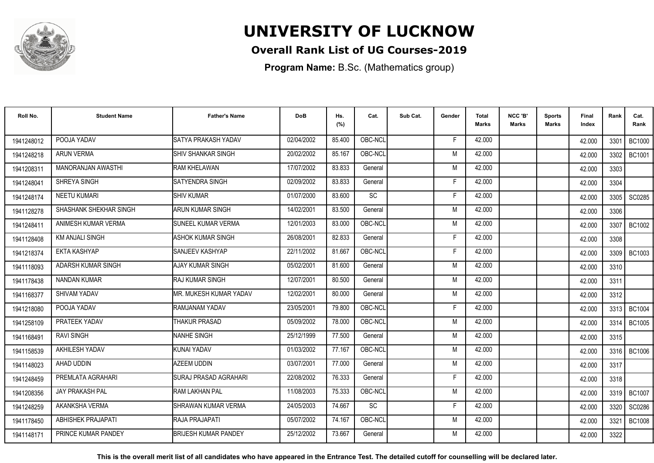

### **Overall Rank List of UG Courses-2019**

**Program Name:** B.Sc. (Mathematics group)

| Roll No.   | <b>Student Name</b>       | <b>Father's Name</b>          | <b>DoB</b> | Hs.<br>(%) | Cat.    | Sub Cat. | Gender | Total<br>Marks | NCC 'B'<br><b>Marks</b> | Sports<br>Marks | Final<br>Index | Rank   | Cat.<br>Rank  |
|------------|---------------------------|-------------------------------|------------|------------|---------|----------|--------|----------------|-------------------------|-----------------|----------------|--------|---------------|
| 1941248012 | POOJA YADAV               | SATYA PRAKASH YADAV           | 02/04/2002 | 85.400     | OBC-NCL |          | E      | 42.000         |                         |                 | 42.000         | 3301   | <b>BC1000</b> |
| 1941248218 | <b>ARUN VERMA</b>         | <b>SHIV SHANKAR SINGH</b>     | 20/02/2002 | 85.167     | OBC-NCL |          | M      | 42.000         |                         |                 | 42.000         | 3302   | BC1001        |
| 1941208311 | <b>MANORANJAN AWASTHI</b> | <b>RAM KHELAWAN</b>           | 17/07/2002 | 83.833     | General |          | M      | 42.000         |                         |                 | 42.000         | 3303   |               |
| 1941248041 | SHREYA SINGH              | SATYENDRA SINGH               | 02/09/2002 | 83.833     | General |          | Е      | 42.000         |                         |                 | 42.000         | 3304   |               |
| 1941248174 | <b>NEETU KUMARI</b>       | <b>SHIV KUMAR</b>             | 01/07/2000 | 83.600     | SC      |          | F      | 42.000         |                         |                 | 42.000         | 3305   | SC0285        |
| 1941128278 | SHASHANK SHEKHAR SINGH    | ARUN KUMAR SINGH              | 14/02/2001 | 83.500     | General |          | M      | 42.000         |                         |                 | 42.000         | 3306   |               |
| 1941248411 | ANIMESH KUMAR VERMA       | <b>SUNEEL KUMAR VERMA</b>     | 12/01/2003 | 83.000     | OBC-NCL |          | M      | 42.000         |                         |                 | 42.000         | 3307   | <b>BC1002</b> |
| 1941128408 | <b>KM ANJALI SINGH</b>    | <b>ASHOK KUMAR SINGH</b>      | 26/08/2001 | 82.833     | General |          | F      | 42.000         |                         |                 | 42.000         | 3308   |               |
| 1941218374 | EKTA KASHYAP              | SANJEEV KASHYAP               | 22/11/2002 | 81.667     | OBC-NCL |          | F      | 42.000         |                         |                 | 42.000         |        | 3309   BC1003 |
| 1941118093 | ADARSH KUMAR SINGH        | AJAY KUMAR SINGH              | 05/02/2001 | 81.600     | General |          | M      | 42.000         |                         |                 | 42.000         | 3310   |               |
| 1941178438 | <b>NANDAN KUMAR</b>       | IRAJ KUMAR SINGH              | 12/07/2001 | 80.500     | General |          | M      | 42.000         |                         |                 | 42.000         | 3311   |               |
| 1941168377 | SHIVAM YADAV              | <b>MR. MUKESH KUMAR YADAV</b> | 12/02/2001 | 80.000     | General |          | M      | 42.000         |                         |                 | 42.000         | 3312   |               |
| 1941218080 | POOJA YADAV               | RAMJANAM YADAV                | 23/05/2001 | 79.800     | OBC-NCL |          |        | 42.000         |                         |                 | 42.000         | 3313 I | <b>BC1004</b> |
| 1941258109 | PRATEEK YADAV             | <b>THAKUR PRASAD</b>          | 05/09/2002 | 78.000     | OBC-NCL |          | M      | 42.000         |                         |                 | 42.000         | 3314   | <b>BC1005</b> |
| 1941168491 | <b>RAVI SINGH</b>         | NANHE SINGH                   | 25/12/1999 | 77.500     | General |          | M      | 42.000         |                         |                 | 42.000         | 3315   |               |
| 1941158539 | AKHILESH YADAV            | KUNAI YADAV                   | 01/03/2002 | 77.167     | OBC-NCL |          | M      | 42.000         |                         |                 | 42.000         |        | 3316   BC1006 |
| 1941148023 | AHAD UDDIN                | <b>AZEEM UDDIN</b>            | 03/07/2001 | 77.000     | General |          | M      | 42.000         |                         |                 | 42.000         | 3317   |               |
| 1941248459 | PREMLATA AGRAHARI         | SURAJ PRASAD AGRAHARI         | 22/08/2002 | 76.333     | General |          | F      | 42.000         |                         |                 | 42.000         | 3318   |               |
| 1941208356 | <b>JAY PRAKASH PAL</b>    | <b>RAM LAKHAN PAL</b>         | 11/08/2003 | 75.333     | OBC-NCL |          | M      | 42.000         |                         |                 | 42.000         | 3319   | <b>BC1007</b> |
| 1941248259 | AKANKSHA VERMA            | <b>SHRAWAN KUMAR VERMA</b>    | 24/05/2003 | 74.667     | SC      |          | F      | 42.000         |                         |                 | 42.000         | 3320   | SC0286        |
| 1941178450 | <b>ABHISHEK PRAJAPATI</b> | RAJA PRAJAPATI                | 05/07/2002 | 74.167     | OBC-NCL |          | M      | 42.000         |                         |                 | 42.000         | 3321   | <b>BC1008</b> |
| 1941148171 | PRINCE KUMAR PANDEY       | <b>BRIJESH KUMAR PANDEY</b>   | 25/12/2002 | 73.667     | General |          | M      | 42.000         |                         |                 | 42.000         | 3322   |               |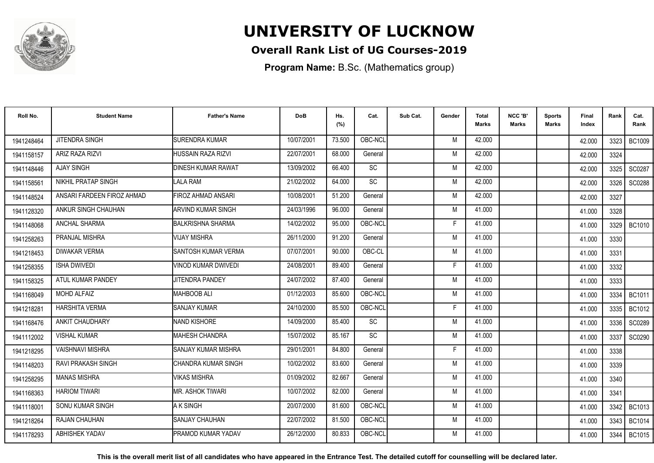

### **Overall Rank List of UG Courses-2019**

**Program Name:** B.Sc. (Mathematics group)

| Roll No.               | <b>Student Name</b>        | <b>Father's Name</b>       | <b>DoB</b> | Hs.<br>(%) | Cat.      | Sub Cat. | Gender | <b>Total</b><br><b>Marks</b> | NCC 'B'<br><b>Marks</b> | Sports<br>Marks | Final<br>Index | Rank | Cat.<br>Rank  |
|------------------------|----------------------------|----------------------------|------------|------------|-----------|----------|--------|------------------------------|-------------------------|-----------------|----------------|------|---------------|
| 1941248464             | <b>JITENDRA SINGH</b>      | <b>SURENDRA KUMAR</b>      | 10/07/2001 | 73.500     | OBC-NCL   |          | M      | 42.000                       |                         |                 | 42.000         | 3323 | <b>BC1009</b> |
| 1941158157             | <b>ARIZ RAZA RIZVI</b>     | <b>HUSSAIN RAZA RIZVI</b>  | 22/07/2001 | 68.000     | General   |          | M      | 42.000                       |                         |                 | 42.000         | 3324 |               |
| 1941148446             | <b>AJAY SINGH</b>          | <b>DINESH KUMAR RAWAT</b>  | 13/09/2002 | 66.400     | <b>SC</b> |          | M      | 42.000                       |                         |                 | 42.000         | 3325 | SC0287        |
| 194115856              | NIKHIL PRATAP SINGH        | LALA RAM                   | 21/02/2002 | 64.000     | SC        |          | M      | 42.000                       |                         |                 | 42.000         | 3326 | SC0288        |
| 1941148524             | ANSARI FARDEEN FIROZ AHMAD | FIROZ AHMAD ANSARI         | 10/08/2001 | 51.200     | General   |          | M      | 42.000                       |                         |                 | 42.000         | 3327 |               |
| 1941128320             | ANKUR SINGH CHAUHAN        | <b>ARVIND KUMAR SINGH</b>  | 24/03/1996 | 96.000     | General   |          | M      | 41.000                       |                         |                 | 41.000         | 3328 |               |
| 1941148068             | <b>ANCHAL SHARMA</b>       | <b>BALKRISHNA SHARMA</b>   | 14/02/2002 | 95.000     | OBC-NCL   |          | F      | 41.000                       |                         |                 | 41.000         | 3329 | <b>BC1010</b> |
| 1941258263             | PRANJAL MISHRA             | <b>VIJAY MISHRA</b>        | 26/11/2000 | 91.200     | General   |          | M      | 41.000                       |                         |                 | 41.000         | 3330 |               |
| 1941218453             | <b>DIWAKAR VERMA</b>       | <b>SANTOSH KUMAR VERMA</b> | 07/07/2001 | 90.000     | OBC-CL    |          | M      | 41.000                       |                         |                 | 41.000         | 3331 |               |
| 1941258355             | <b>ISHA DWIVEDI</b>        | VINOD KUMAR DWIVEDI        | 24/08/2001 | 89.400     | General   |          | F      | 41.000                       |                         |                 | 41.000         | 3332 |               |
| 1941158325             | ATUL KUMAR PANDEY          | JITENDRA PANDEY            | 24/07/2002 | 87.400     | General   |          | M      | 41.000                       |                         |                 | 41.000         | 3333 |               |
| 1941168049             | <b>MOHD ALFAIZ</b>         | <b>MAHBOOB ALI</b>         | 01/12/2003 | 85.600     | OBC-NCL   |          | M      | 41.000                       |                         |                 | 41.000         | 3334 | BC1011        |
| 194121828              | <b>HARSHITA VERMA</b>      | <b>SANJAY KUMAR</b>        | 24/10/2000 | 85.500     | OBC-NCL   |          |        | 41.000                       |                         |                 | 41.000         | 3335 | <b>BC1012</b> |
| 1941168476             | <b>ANKIT CHAUDHARY</b>     | <b>NAND KISHORE</b>        | 14/09/2000 | 85.400     | SC        |          | M      | 41.000                       |                         |                 | 41.000         | 3336 | SC0289        |
| 1941112002             | <b>VISHAL KUMAR</b>        | <b>MAHESH CHANDRA</b>      | 15/07/2002 | 85.167     | SC        |          | M      | 41.000                       |                         |                 | 41.000         | 3337 | SC0290        |
| 1941218295             | <b>VAISHNAVI MISHRA</b>    | <b>SANJAY KUMAR MISHRA</b> | 29/01/2001 | 84.800     | General   |          | F      | 41.000                       |                         |                 | 41.000         | 3338 |               |
| 1941148203             | <b>RAVI PRAKASH SINGH</b>  | CHANDRA KUMAR SINGH        | 10/02/2002 | 83.600     | General   |          | M      | 41.000                       |                         |                 | 41.000         | 3339 |               |
| 1941258295             | <b>MANAS MISHRA</b>        | VIKAS MISHRA               | 01/09/2002 | 82.667     | General   |          | M      | 41.000                       |                         |                 | 41.000         | 3340 |               |
| 1941168363             | <b>HARIOM TIWARI</b>       | MR. ASHOK TIWARI           | 10/07/2002 | 82.000     | General   |          | M      | 41.000                       |                         |                 | 41.000         | 3341 |               |
| 194111800 <sup>*</sup> | SONU KUMAR SINGH           | A K SINGH                  | 20/07/2000 | 81.600     | OBC-NCL   |          | M      | 41.000                       |                         |                 | 41.000         | 3342 | <b>BC1013</b> |
| 1941218264             | RAJAN CHAUHAN              | SANJAY CHAUHAN             | 22/07/2002 | 81.500     | OBC-NCL   |          | M      | 41.000                       |                         |                 | 41.000         | 3343 | <b>BC1014</b> |
| 1941178293             | <b>ABHISHEK YADAV</b>      | PRAMOD KUMAR YADAV         | 26/12/2000 | 80.833     | OBC-NCL   |          | M      | 41.000                       |                         |                 | 41.000         | 3344 | <b>BC1015</b> |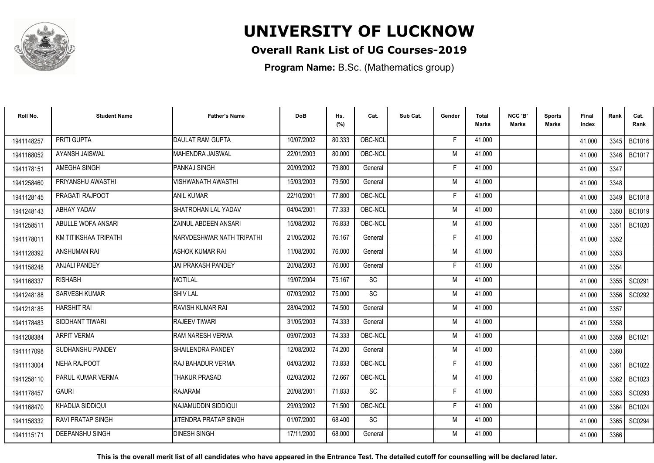

### **Overall Rank List of UG Courses-2019**

**Program Name:** B.Sc. (Mathematics group)

| Roll No.   | <b>Student Name</b>      | <b>Father's Name</b>         | <b>DoB</b> | Hs.<br>(%) | Cat.      | Sub Cat. | Gender | <b>Total</b><br>Marks | NCC 'B'<br><b>Marks</b> | Sports<br>Marks | Final<br>Index | Rank   | Cat.<br>Rank  |
|------------|--------------------------|------------------------------|------------|------------|-----------|----------|--------|-----------------------|-------------------------|-----------------|----------------|--------|---------------|
| 1941148257 | PRITI GUPTA              | <b>DAULAT RAM GUPTA</b>      | 10/07/2002 | 80.333     | OBC-NCL   |          | F      | 41.000                |                         |                 | 41.000         | 3345 I | BC1016        |
| 1941168052 | <b>AYANSH JAISWAL</b>    | IMAHENDRA JAISWAL            | 22/01/2003 | 80.000     | OBC-NCL   |          | M      | 41.000                |                         |                 | 41.000         | 3346   | BC1017        |
| 1941178151 | AMEGHA SINGH             | PANKAJ SINGH                 | 20/09/2002 | 79.800     | General   |          | F      | 41.000                |                         |                 | 41.000         | 3347   |               |
| 1941258460 | PRIYANSHU AWASTHI        | <b>VISHWANATH AWASTHI</b>    | 15/03/2003 | 79.500     | General   |          | M      | 41.000                |                         |                 | 41.000         | 3348   |               |
| 1941128145 | PRAGATI RAJPOOT          | <b>ANIL KUMAR</b>            | 22/10/2001 | 77.800     | OBC-NCL   |          | F      | 41.000                |                         |                 | 41.000         | 3349   | <b>BC1018</b> |
| 1941248143 | ABHAY YADAV              | SHATROHAN LAL YADAV          | 04/04/2001 | 77.333     | OBC-NCL   |          | M      | 41.000                |                         |                 | 41.000         | 3350   | <b>BC1019</b> |
| 1941258511 | ABULLE WOFA ANSARI       | ZAINUL ABDEEN ANSARI         | 15/08/2002 | 76.833     | OBC-NCL   |          | M      | 41.000                |                         |                 | 41.000         | 3351   | BC1020        |
| 1941178011 | KM TITIKSHAA TRIPATHI    | NARVDESHWAR NATH TRIPATHI    | 21/05/2002 | 76.167     | General   |          | F      | 41.000                |                         |                 | 41.000         | 3352   |               |
| 1941128392 | <b>ANSHUMAN RAI</b>      | ASHOK KUMAR RAI              | 11/08/2000 | 76.000     | General   |          | M      | 41.000                |                         |                 | 41.000         | 3353   |               |
| 1941158248 | <b>ANJALI PANDEY</b>     | <b>JAI PRAKASH PANDEY</b>    | 20/08/2003 | 76.000     | General   |          | F      | 41.000                |                         |                 | 41.000         | 3354   |               |
| 1941168337 | <b>RISHABH</b>           | MOTILAL                      | 19/07/2004 | 75.167     | <b>SC</b> |          | M      | 41.000                |                         |                 | 41.000         | 3355   | SC0291        |
| 1941248188 | SARVESH KUMAR            | <b>SHIV LAL</b>              | 07/03/2002 | 75.000     | SC        |          | M      | 41.000                |                         |                 | 41.000         | 3356   | SC0292        |
| 1941218185 | <b>HARSHIT RAI</b>       | RAVISH KUMAR RAI             | 28/04/2002 | 74.500     | General   |          | M      | 41.000                |                         |                 | 41.000         | 3357   |               |
| 1941178483 | SIDDHANT TIWARI          | <b>RAJEEV TIWARI</b>         | 31/05/2003 | 74.333     | General   |          | M      | 41.000                |                         |                 | 41.000         | 3358   |               |
| 1941208384 | <b>ARPIT VERMA</b>       | <b>RAM NARESH VERMA</b>      | 09/07/2003 | 74.333     | OBC-NCL   |          | M      | 41.000                |                         |                 | 41.000         | 3359   | BC1021        |
| 1941117098 | SUDHANSHU PANDEY         | SHAILENDRA PANDEY            | 12/08/2002 | 74.200     | General   |          | M      | 41.000                |                         |                 | 41.000         | 3360   |               |
| 1941113004 | NEHA RAJPOOT             | RAJ BAHADUR VERMA            | 04/03/2002 | 73.833     | OBC-NCL   |          | E      | 41.000                |                         |                 | 41.000         | 3361   | <b>BC1022</b> |
| 1941258110 | PARUL KUMAR VERMA        | <b>THAKUR PRASAD</b>         | 02/03/2002 | 72.667     | OBC-NCL   |          | M      | 41.000                |                         |                 | 41.000         | 3362   | BC1023        |
| 1941178457 | <b>GAURI</b>             | <b>RAJARAM</b>               | 20/08/2001 | 71.833     | <b>SC</b> |          | F.     | 41.000                |                         |                 | 41.000         | 3363   | SC0293        |
| 1941168470 | KHADIJA SIDDIQUI         | INAJAMUDDIN SIDDIQUI         | 29/03/2002 | 71.500     | OBC-NCL   |          | Е      | 41.000                |                         |                 | 41.000         | 3364   | BC1024        |
| 1941158332 | <b>RAVI PRATAP SINGH</b> | <b>JITENDRA PRATAP SINGH</b> | 01/07/2000 | 68.400     | <b>SC</b> |          | M      | 41.000                |                         |                 | 41.000         | 3365   | SC0294        |
| 1941115171 | <b>DEEPANSHU SINGH</b>   | <b>DINESH SINGH</b>          | 17/11/2000 | 68.000     | General   |          | M      | 41.000                |                         |                 | 41.000         | 3366   |               |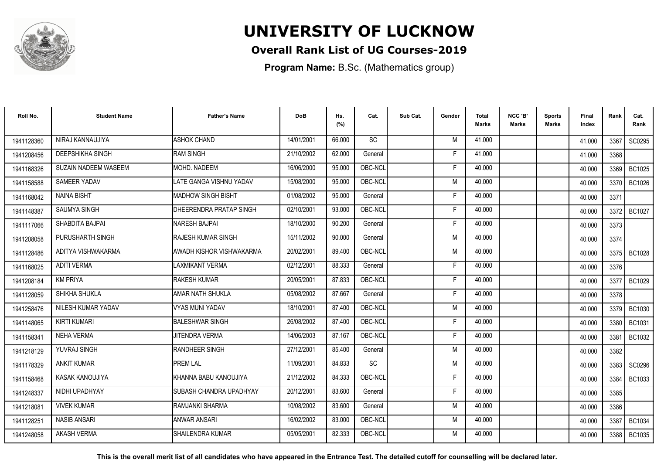

### **Overall Rank List of UG Courses-2019**

**Program Name:** B.Sc. (Mathematics group)

| Roll No.   | <b>Student Name</b>         | <b>Father's Name</b>      | <b>DoB</b> | Hs.<br>(%) | Cat.      | Sub Cat. | Gender | <b>Total</b><br><b>Marks</b> | NCC 'B'<br><b>Marks</b> | <b>Sports</b><br>Marks | Final<br>Index | Rank | Cat.<br>Rank  |
|------------|-----------------------------|---------------------------|------------|------------|-----------|----------|--------|------------------------------|-------------------------|------------------------|----------------|------|---------------|
| 1941128360 | NIRAJ KANNAUJIYA            | <b>ASHOK CHAND</b>        | 14/01/2001 | 66.000     | SC        |          | M      | 41.000                       |                         |                        | 41.000         | 3367 | SC0295        |
| 1941208456 | <b>DEEPSHIKHA SINGH</b>     | <b>RAM SINGH</b>          | 21/10/2002 | 62.000     | General   |          | Е      | 41.000                       |                         |                        | 41.000         | 3368 |               |
| 1941168326 | <b>SUZAIN NADEEM WASEEM</b> | <b>MOHD, NADEEM</b>       | 16/06/2000 | 95.000     | OBC-NCL   |          | E      | 40.000                       |                         |                        | 40.000         | 3369 | <b>BC1025</b> |
| 1941158588 | SAMEER YADAV                | LATE GANGA VISHNU YADAV   | 15/08/2000 | 95.000     | OBC-NCL   |          | M      | 40.000                       |                         |                        | 40.000         | 3370 | BC1026        |
| 1941168042 | <b>NAINA BISHT</b>          | <b>MADHOW SINGH BISHT</b> | 01/08/2002 | 95.000     | General   |          | F.     | 40.000                       |                         |                        | 40.000         | 3371 |               |
| 1941148387 | SAUMYA SINGH                | DHEERENDRA PRATAP SINGH   | 02/10/2001 | 93.000     | OBC-NCL   |          | F      | 40.000                       |                         |                        | 40.000         | 3372 | <b>BC1027</b> |
| 1941117066 | SHABDITA BAJPAI             | <b>NARESH BAJPAI</b>      | 18/10/2000 | 90.200     | General   |          | F      | 40.000                       |                         |                        | 40.000         | 3373 |               |
| 1941208058 | PURUSHARTH SINGH            | <b>RAJESH KUMAR SINGH</b> | 15/11/2002 | 90.000     | General   |          | M      | 40.000                       |                         |                        | 40.000         | 3374 |               |
| 1941128486 | ADITYA VISHWAKARMA          | AWADH KISHOR VISHWAKARMA  | 20/02/2001 | 89.400     | OBC-NCL   |          | M      | 40.000                       |                         |                        | 40.000         | 3375 | BC1028        |
| 1941168025 | <b>ADITI VERMA</b>          | LAXMIKANT VERMA           | 02/12/2001 | 88.333     | General   |          | F      | 40.000                       |                         |                        | 40.000         | 3376 |               |
| 1941208184 | <b>KM PRIYA</b>             | <b>RAKESH KUMAR</b>       | 20/05/2001 | 87.833     | OBC-NCL   |          | E      | 40.000                       |                         |                        | 40.000         | 3377 | <b>BC1029</b> |
| 1941128059 | SHIKHA SHUKLA               | AMAR NATH SHUKLA          | 05/08/2002 | 87.667     | General   |          | F      | 40.000                       |                         |                        | 40.000         | 3378 |               |
| 1941258476 | NILESH KUMAR YADAV          | <b>VYAS MUNI YADAV</b>    | 18/10/2001 | 87.400     | OBC-NCL   |          | M      | 40.000                       |                         |                        | 40.000         | 3379 | <b>BC1030</b> |
| 1941148065 | <b>KIRTI KUMARI</b>         | <b>BALESHWAR SINGH</b>    | 26/08/2002 | 87.400     | OBC-NCL   |          | F      | 40.000                       |                         |                        | 40.000         | 3380 | <b>BC1031</b> |
| 1941158341 | <b>NEHA VERMA</b>           | <b>JITENDRA VERMA</b>     | 14/06/2003 | 87.167     | OBC-NCL   |          | F      | 40.000                       |                         |                        | 40.000         | 3381 | BC1032        |
| 1941218129 | YUVRAJ SINGH                | <b>RANDHEER SINGH</b>     | 27/12/2001 | 85.400     | General   |          | M      | 40.000                       |                         |                        | 40.000         | 3382 |               |
| 1941178329 | <b>ANKIT KUMAR</b>          | <b>PREM LAL</b>           | 11/09/2001 | 84.833     | <b>SC</b> |          | M      | 40.000                       |                         |                        | 40.000         |      | 3383 SC0296   |
| 1941158468 | <b>KASAK KANOUJIYA</b>      | KHANNA BABU KANOUJIYA     | 21/12/2002 | 84.333     | OBC-NCL   |          | F      | 40.000                       |                         |                        | 40.000         | 3384 | BC1033        |
| 1941248337 | NIDHI UPADHYAY              | SUBASH CHANDRA UPADHYAY   | 20/12/2001 | 83.600     | General   |          | F      | 40.000                       |                         |                        | 40.000         | 3385 |               |
| 1941218081 | <b>VIVEK KUMAR</b>          | <b>IRAMJANKI SHARMA</b>   | 10/08/2002 | 83.600     | General   |          | M      | 40.000                       |                         |                        | 40.000         | 3386 |               |
| 1941128251 | <b>NASIB ANSARI</b>         | <b>ANWAR ANSARI</b>       | 16/02/2002 | 83.000     | OBC-NCL   |          | M      | 40.000                       |                         |                        | 40.000         | 3387 | <b>BC1034</b> |
| 1941248058 | <b>AKASH VERMA</b>          | <b>I</b> SHAILENDRA KUMAR | 05/05/2001 | 82.333     | OBC-NCL   |          | M      | 40.000                       |                         |                        | 40.000         | 3388 | <b>BC1035</b> |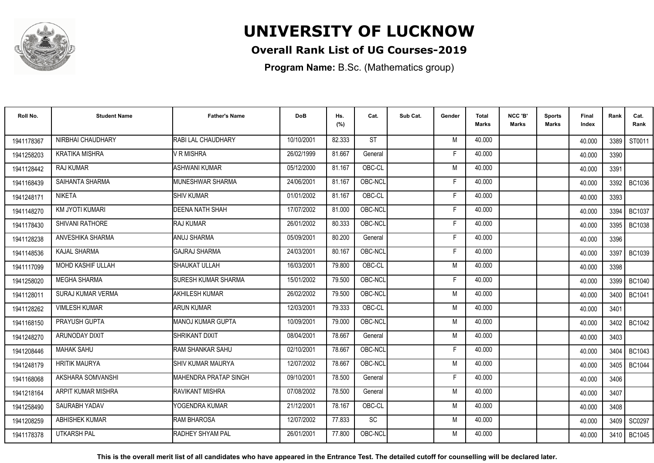

### **Overall Rank List of UG Courses-2019**

**Program Name:** B.Sc. (Mathematics group)

| Roll No.   | <b>Student Name</b>      | <b>Father's Name</b>         | <b>DoB</b> | Hs.<br>(%) | Cat.      | Sub Cat. | Gender | <b>Total</b><br><b>Marks</b> | NCC 'B'<br><b>Marks</b> | <b>Sports</b><br><b>Marks</b> | Final<br>Index | Rank   | Cat.<br>Rank  |
|------------|--------------------------|------------------------------|------------|------------|-----------|----------|--------|------------------------------|-------------------------|-------------------------------|----------------|--------|---------------|
| 1941178367 | NIRBHAI CHAUDHARY        | <b>RABI LAL CHAUDHARY</b>    | 10/10/2001 | 82.333     | <b>ST</b> |          | M      | 40.000                       |                         |                               | 40.000         | 3389 I | ST0011        |
| 1941258203 | <b>KRATIKA MISHRA</b>    | V R MISHRA                   | 26/02/1999 | 81.667     | General   |          | F      | 40.000                       |                         |                               | 40.000         | 3390   |               |
| 1941128442 | <b>RAJ KUMAR</b>         | <b>ASHWANI KUMAR</b>         | 05/12/2000 | 81.167     | OBC-CL    |          | M      | 40.000                       |                         |                               | 40.000         | 3391   |               |
| 1941168439 | SAIHANTA SHARMA          | MUNESHWAR SHARMA             | 24/06/2001 | 81.167     | OBC-NCL   |          | F      | 40.000                       |                         |                               | 40.000         | 3392   | BC1036        |
| 1941248171 | <b>NIKETA</b>            | <b>SHIV KUMAR</b>            | 01/01/2002 | 81.167     | OBC-CL    |          | F      | 40.000                       |                         |                               | 40.000         | 3393   |               |
| 1941148270 | <b>KM JYOTI KUMARI</b>   | <b>DEENA NATH SHAH</b>       | 17/07/2002 | 81.000     | OBC-NCL   |          | E      | 40.000                       |                         |                               | 40.000         | 3394   | BC1037        |
| 1941178430 | <b>SHIVANI RATHORE</b>   | RAJ KUMAR                    | 26/01/2002 | 80.333     | OBC-NCL   |          | F      | 40.000                       |                         |                               | 40.000         | 3395   | <b>BC1038</b> |
| 1941128238 | ANVESHIKA SHARMA         | ANUJ SHARMA                  | 05/09/2001 | 80.200     | General   |          | F      | 40.000                       |                         |                               | 40.000         | 3396   |               |
| 1941148536 | <b>KAJAL SHARMA</b>      | <b>GAJRAJ SHARMA</b>         | 24/03/2001 | 80.167     | OBC-NCL   |          | F      | 40.000                       |                         |                               | 40.000         | 3397   | BC1039        |
| 1941117099 | MOHD KASHIF ULLAH        | SHAUKAT ULLAH                | 16/03/2001 | 79.800     | OBC-CL    |          | M      | 40.000                       |                         |                               | 40.000         | 3398   |               |
| 1941258020 | <b>MEGHA SHARMA</b>      | <b>I</b> SURESH KUMAR SHARMA | 15/01/2002 | 79.500     | OBC-NCL   |          | E      | 40.000                       |                         |                               | 40.000         | 3399   | <b>BC1040</b> |
| 1941128011 | <b>SURAJ KUMAR VERMA</b> | <b>AKHILESH KUMAR</b>        | 26/02/2002 | 79.500     | OBC-NCL   |          | M      | 40.000                       |                         |                               | 40.000         | 3400   | <b>BC1041</b> |
| 1941128262 | <b>VIMLESH KUMAR</b>     | <b>ARUN KUMAR</b>            | 12/03/2001 | 79.333     | OBC-CL    |          | M      | 40.000                       |                         |                               | 40.000         | 3401   |               |
| 1941168150 | PRAYUSH GUPTA            | MANOJ KUMAR GUPTA            | 10/09/2001 | 79.000     | OBC-NCL   |          | M      | 40.000                       |                         |                               | 40.000         | 3402   | <b>BC1042</b> |
| 1941248270 | <b>ARUNODAY DIXIT</b>    | <b>SHRIKANT DIXIT</b>        | 08/04/2001 | 78.667     | General   |          | M      | 40.000                       |                         |                               | 40.000         | 3403   |               |
| 1941208446 | <b>MAHAK SAHU</b>        | <b>RAM SHANKAR SAHU</b>      | 02/10/2001 | 78.667     | OBC-NCL   |          | F      | 40.000                       |                         |                               | 40.000         | 3404   | BC1043        |
| 1941248179 | <b>HRITIK MAURYA</b>     | <b>I</b> SHIV KUMAR MAURYA   | 12/07/2002 | 78.667     | OBC-NCL   |          | M      | 40.000                       |                         |                               | 40.000         | 3405 l | <b>BC1044</b> |
| 1941168068 | AKSHARA SOMVANSHI        | <b>MAHENDRA PRATAP SINGH</b> | 09/10/2001 | 78.500     | General   |          | F      | 40.000                       |                         |                               | 40.000         | 3406   |               |
| 1941218164 | ARPIT KUMAR MISHRA       | RAVIKANT MISHRA              | 07/08/2002 | 78.500     | General   |          | M      | 40.000                       |                         |                               | 40.000         | 3407   |               |
| 1941258490 | SAURABH YADAV            | YOGENDRA KUMAR               | 21/12/2001 | 78.167     | OBC-CL    |          | M      | 40.000                       |                         |                               | 40.000         | 3408   |               |
| 1941208259 | <b>ABHISHEK KUMAR</b>    | <b>RAM BHAROSA</b>           | 12/07/2002 | 77.833     | <b>SC</b> |          | M      | 40.000                       |                         |                               | 40.000         | 3409   | SC0297        |
| 1941178378 | <b>UTKARSH PAL</b>       | RADHEY SHYAM PAL             | 26/01/2001 | 77.800     | OBC-NCL   |          | M      | 40.000                       |                         |                               | 40.000         | 3410   | <b>BC1045</b> |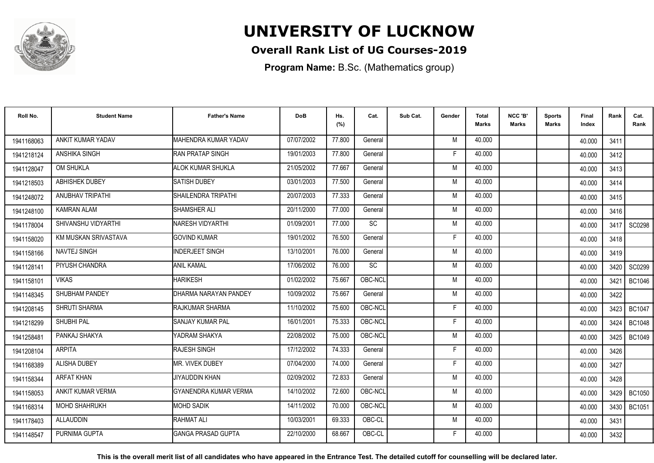

### **Overall Rank List of UG Courses-2019**

**Program Name:** B.Sc. (Mathematics group)

| Roll No.   | <b>Student Name</b>     | <b>Father's Name</b>      | <b>DoB</b> | Hs.<br>(%) | Cat.      | Sub Cat. | Gender | <b>Total</b><br><b>Marks</b> | NCC 'B'<br><b>Marks</b> | <b>Sports</b><br>Marks | Final<br>Index | Rank | Cat.<br>Rank  |
|------------|-------------------------|---------------------------|------------|------------|-----------|----------|--------|------------------------------|-------------------------|------------------------|----------------|------|---------------|
| 1941168063 | ANKIT KUMAR YADAV       | MAHENDRA KUMAR YADAV      | 07/07/2002 | 77.800     | General   |          | M      | 40.000                       |                         |                        | 40.000         | 3411 |               |
| 1941218124 | ANSHIKA SINGH           | <b>RAN PRATAP SINGH</b>   | 19/01/2003 | 77.800     | General   |          | F      | 40.000                       |                         |                        | 40.000         | 3412 |               |
| 1941128047 | OM SHUKLA               | <b>ALOK KUMAR SHUKLA</b>  | 21/05/2002 | 77.667     | General   |          | M      | 40.000                       |                         |                        | 40.000         | 3413 |               |
| 1941218503 | <b>ABHISHEK DUBEY</b>   | <b>SATISH DUBEY</b>       | 03/01/2003 | 77.500     | General   |          | M      | 40.000                       |                         |                        | 40.000         | 3414 |               |
| 1941248072 | <b>ANUBHAV TRIPATHI</b> | SHAILENDRA TRIPATHI       | 20/07/2003 | 77.333     | General   |          | M      | 40.000                       |                         |                        | 40.000         | 3415 |               |
| 1941248100 | <b>KAMRAN ALAM</b>      | SHAMSHER ALI              | 20/11/2000 | 77.000     | General   |          | M      | 40.000                       |                         |                        | 40.000         | 3416 |               |
| 1941178004 | SHIVANSHU VIDYARTHI     | <b>NARESH VIDYARTHI</b>   | 01/09/2001 | 77.000     | SC        |          | M      | 40.000                       |                         |                        | 40.000         | 3417 | <b>SC0298</b> |
| 1941158020 | KM MUSKAN SRIVASTAVA    | <b>GOVIND KUMAR</b>       | 19/01/2002 | 76.500     | General   |          | F      | 40.000                       |                         |                        | 40.000         | 3418 |               |
| 1941158166 | NAVTEJ SINGH            | INDERJEET SINGH           | 13/10/2001 | 76.000     | General   |          | M      | 40.000                       |                         |                        | 40.000         | 3419 |               |
| 1941128141 | PIYUSH CHANDRA          | <b>ANIL KAMAL</b>         | 17/06/2002 | 76.000     | <b>SC</b> |          | M      | 40.000                       |                         |                        | 40.000         |      | 3420 SC0299   |
| 1941158101 | <b>VIKAS</b>            | <b>HARIKESH</b>           | 01/02/2002 | 75.667     | OBC-NCL   |          | M      | 40.000                       |                         |                        | 40.000         | 3421 | <b>BC1046</b> |
| 1941148345 | <b>SHUBHAM PANDEY</b>   | DHARMA NARAYAN PANDEY     | 10/09/2002 | 75.667     | General   |          | M      | 40.000                       |                         |                        | 40.000         | 3422 |               |
| 1941208145 | <b>SHRUTI SHARMA</b>    | RAJKUMAR SHARMA           | 11/10/2002 | 75.600     | OBC-NCL   |          | F      | 40.000                       |                         |                        | 40.000         | 3423 | <b>BC1047</b> |
| 1941218299 | <b>SHUBHI PAL</b>       | <b>SANJAY KUMAR PAL</b>   | 16/01/2001 | 75.333     | OBC-NCL   |          | F      | 40.000                       |                         |                        | 40.000         | 3424 | <b>BC1048</b> |
| 1941258481 | PANKAJ SHAKYA           | YADRAM SHAKYA             | 22/08/2002 | 75.000     | OBC-NCL   |          | M      | 40.000                       |                         |                        | 40.000         | 3425 | <b>BC1049</b> |
| 1941208104 | <b>ARPITA</b>           | <b>RAJESH SINGH</b>       | 17/12/2002 | 74.333     | General   |          | F      | 40.000                       |                         |                        | 40.000         | 3426 |               |
| 1941168389 | <b>ALISHA DUBEY</b>     | <b>MR. VIVEK DUBEY</b>    | 07/04/2000 | 74.000     | General   |          | Е      | 40.000                       |                         |                        | 40.000         | 3427 |               |
| 1941158344 | <b>ARFAT KHAN</b>       | JIYAUDDIN KHAN            | 02/09/2002 | 72.833     | General   |          | M      | 40.000                       |                         |                        | 40.000         | 3428 |               |
| 1941158053 | ANKIT KUMAR VERMA       | GYANENDRA KUMAR VERMA     | 14/10/2002 | 72.600     | OBC-NCL   |          | M      | 40.000                       |                         |                        | 40.000         | 3429 | <b>BC1050</b> |
| 1941168314 | <b>MOHD SHAHRUKH</b>    | <b>MOHD SADIK</b>         | 14/11/2002 | 70.000     | OBC-NCL   |          | M      | 40.000                       |                         |                        | 40.000         | 3430 | <b>BC1051</b> |
| 1941178403 | ALLAUDDIN               | RAHMAT ALI                | 10/03/2001 | 69.333     | OBC-CL    |          | M      | 40.000                       |                         |                        | 40.000         | 3431 |               |
| 1941148547 | PURNIMA GUPTA           | <b>GANGA PRASAD GUPTA</b> | 22/10/2000 | 68.667     | OBC-CL    |          |        | 40.000                       |                         |                        | 40.000         | 3432 |               |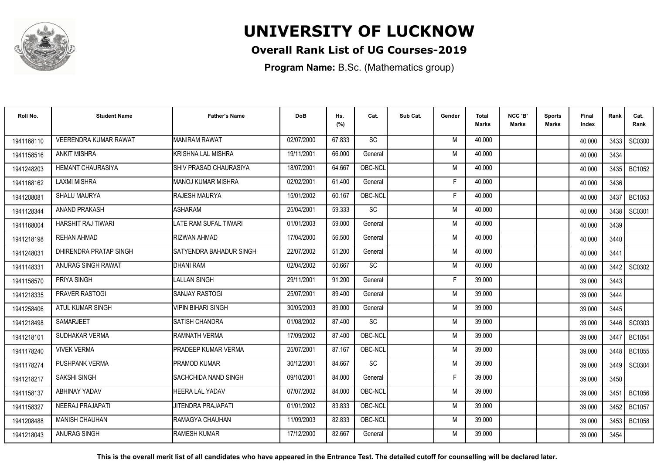

### **Overall Rank List of UG Courses-2019**

**Program Name:** B.Sc. (Mathematics group)

| Roll No.   | <b>Student Name</b>          | <b>Father's Name</b>            | <b>DoB</b> | Hs.<br>(%) | Cat.      | Sub Cat. | Gender | <b>Total</b><br>Marks | NCC 'B'<br><b>Marks</b> | Sports<br><b>Marks</b> | Final<br>Index | Rank   | Cat.<br>Rank  |
|------------|------------------------------|---------------------------------|------------|------------|-----------|----------|--------|-----------------------|-------------------------|------------------------|----------------|--------|---------------|
| 1941168110 | <b>VEERENDRA KUMAR RAWAT</b> | <b>MANIRAM RAWAT</b>            | 02/07/2000 | 67.833     | <b>SC</b> |          | M      | 40.000                |                         |                        | 40.000         | 3433 l | SC0300        |
| 1941158516 | <b>ANKIT MISHRA</b>          | <b>KRISHNA LAL MISHRA</b>       | 19/11/2001 | 66.000     | General   |          | M      | 40.000                |                         |                        | 40.000         | 3434   |               |
| 1941248203 | HEMANT CHAURASIYA            | <b>I</b> SHIV PRASAD CHAURASIYA | 18/07/2001 | 64.667     | OBC-NCL   |          | M      | 40.000                |                         |                        | 40.000         | 3435   | <b>BC1052</b> |
| 1941168162 | <b>LAXMI MISHRA</b>          | <b>MANOJ KUMAR MISHRA</b>       | 02/02/2001 | 61.400     | General   |          | Е      | 40.000                |                         |                        | 40.000         | 3436   |               |
| 1941208081 | SHALU MAURYA                 | <b>RAJESH MAURYA</b>            | 15/01/2002 | 60.167     | OBC-NCL   |          | F      | 40.000                |                         |                        | 40.000         | 3437   | <b>BC1053</b> |
| 1941128344 | ANAND PRAKASH                | <b>ASHARAM</b>                  | 25/04/2001 | 59.333     | <b>SC</b> |          | M      | 40.000                |                         |                        | 40.000         | 3438   | SC0301        |
| 1941168004 | HARSHIT RAJ TIWARI           | LATE RAM SUFAL TIWARI           | 01/01/2003 | 59.000     | General   |          | M      | 40.000                |                         |                        | 40.000         | 3439   |               |
| 1941218198 | REHAN AHMAD                  | RIZWAN AHMAD                    | 17/04/2000 | 56.500     | General   |          | M      | 40.000                |                         |                        | 40.000         | 3440   |               |
| 1941248031 | DHIRENDRA PRATAP SINGH       | SATYENDRA BAHADUR SINGH         | 22/07/2002 | 51.200     | General   |          | M      | 40.000                |                         |                        | 40.000         | 3441   |               |
| 1941148331 | ANURAG SINGH RAWAT           | <b>DHANI RAM</b>                | 02/04/2002 | 50.667     | SC        |          | M      | 40.000                |                         |                        | 40.000         | 3442   | SC0302        |
| 1941158570 | PRIYA SINGH                  | <b>LALLAN SINGH</b>             | 29/11/2001 | 91.200     | General   |          | Е      | 39.000                |                         |                        | 39.000         | 3443   |               |
| 1941218335 | <b>PRAVER RASTOGI</b>        | <b>SANJAY RASTOGI</b>           | 25/07/2001 | 89.400     | General   |          | M      | 39.000                |                         |                        | 39.000         | 3444   |               |
| 1941258406 | ATUL KUMAR SINGH             | <b>VIPIN BIHARI SINGH</b>       | 30/05/2003 | 89.000     | General   |          | M      | 39.000                |                         |                        | 39.000         | 3445   |               |
| 1941218498 | <b>SAMARJEET</b>             | <b>SATISH CHANDRA</b>           | 01/08/2002 | 87.400     | <b>SC</b> |          | M      | 39.000                |                         |                        | 39.000         | 3446   | SC0303        |
| 1941218101 | SUDHAKAR VERMA               | RAMNATH VERMA                   | 17/09/2002 | 87.400     | OBC-NCL   |          | M      | 39.000                |                         |                        | 39.000         | 3447   | BC1054        |
| 1941178240 | <b>VIVEK VERMA</b>           | <b>PRADEEP KUMAR VERMA</b>      | 25/07/2001 | 87.167     | OBC-NCL   |          | M      | 39.000                |                         |                        | 39.000         | 3448   | <b>BC1055</b> |
| 1941178274 | <b>PUSHPANK VERMA</b>        | <b>PRAMOD KUMAR</b>             | 30/12/2001 | 84.667     | <b>SC</b> |          | M      | 39.000                |                         |                        | 39.000         | 3449   | SC0304        |
| 1941218217 | SAKSHI SINGH                 | SACHCHIDA NAND SINGH            | 09/10/2001 | 84.000     | General   |          | F      | 39.000                |                         |                        | 39.000         | 3450   |               |
| 1941158137 | <b>ABHINAY YADAV</b>         | <b>HEERA LAL YADAV</b>          | 07/07/2002 | 84.000     | OBC-NCL   |          | M      | 39.000                |                         |                        | 39.000         | 3451   | <b>BC1056</b> |
| 1941158327 | NEERAJ PRAJAPATI             | <b>JITENDRA PRAJAPATI</b>       | 01/01/2002 | 83.833     | OBC-NCL   |          | M      | 39.000                |                         |                        | 39.000         | 3452   | <b>BC1057</b> |
| 1941208488 | <b>MANISH CHAUHAN</b>        | <b>RAMAGYA CHAUHAN</b>          | 11/09/2003 | 82.833     | OBC-NCL   |          | M      | 39.000                |                         |                        | 39.000         | 3453   | <b>BC1058</b> |
| 1941218043 | <b>ANURAG SINGH</b>          | <b>RAMESH KUMAR</b>             | 17/12/2000 | 82.667     | General   |          | M      | 39.000                |                         |                        | 39.000         | 3454   |               |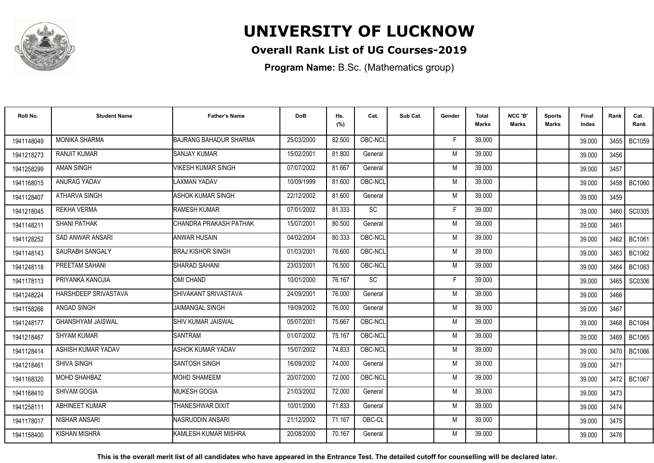

### **Overall Rank List of UG Courses-2019**

**Program Name:** B.Sc. (Mathematics group)

| Roll No.   | <b>Student Name</b>      | <b>Father's Name</b>          | <b>DoB</b> | Hs.<br>(%) | Cat.      | Sub Cat. | Gender | <b>Total</b><br>Marks | NCC 'B'<br><b>Marks</b> | Sports<br>Marks | Final<br>Index | Rank   | Cat.<br>Rank  |
|------------|--------------------------|-------------------------------|------------|------------|-----------|----------|--------|-----------------------|-------------------------|-----------------|----------------|--------|---------------|
| 1941148049 | <b>MONIKA SHARMA</b>     | <b>BAJRANG BAHADUR SHARMA</b> | 25/03/2000 | 82.500     | OBC-NCL   |          | F      | 39.000                |                         |                 | 39.000         |        | 3455   BC1059 |
| 1941218273 | <b>RANJIT KUMAR</b>      | <b>SANJAY KUMAR</b>           | 15/02/2001 | 81.800     | General   |          | M      | 39.000                |                         |                 | 39.000         | 3456   |               |
| 1941258299 | <b>AMAN SINGH</b>        | <b>VIKESH KUMAR SINGH</b>     | 07/07/2002 | 81.667     | General   |          | M      | 39.000                |                         |                 | 39.000         | 3457   |               |
| 1941168015 | ANURAG YADAV             | <b>LAXMAN YADAV</b>           | 10/09/1999 | 81.600     | OBC-NCL   |          | M      | 39.000                |                         |                 | 39.000         | 3458   | <b>BC1060</b> |
| 1941128407 | ATHARVA SINGH            | ASHOK KUMAR SINGH             | 22/12/2002 | 81.600     | General   |          | M      | 39.000                |                         |                 | 39.000         | 3459   |               |
| 1941218045 | <b>REKHA VERMA</b>       | <b>RAMESH KUMAR</b>           | 07/01/2002 | 81.333     | <b>SC</b> |          | Е      | 39.000                |                         |                 | 39.000         | 3460   | SC0305        |
| 1941148211 | <b>SHANI PATHAK</b>      | ICHANDRA PRAKASH PATHAK       | 15/07/2001 | 80.500     | General   |          | M      | 39.000                |                         |                 | 39.000         | 3461   |               |
| 1941128252 | SAD ANWAR ANSARI         | <b>ANWAR HUSAIN</b>           | 04/02/2004 | 80.333     | OBC-NCL   |          | M      | 39.000                |                         |                 | 39.000         | 3462   | <b>BC1061</b> |
| 1941148143 | SAURABH SANGALY          | IBRAJ KISHOR SINGH            | 01/03/2001 | 76.600     | OBC-NCL   |          | M      | 39.000                |                         |                 | 39.000         | 3463 I | BC1062        |
| 1941248118 | PREETAM SAHANI           | SHARAD SAHANI                 | 23/03/2001 | 76.500     | OBC-NCL   |          | M      | 39.000                |                         |                 | 39.000         | 3464   | BC1063        |
| 1941178113 | PRIYANKA KANOJIA         | OMI CHAND                     | 10/01/2000 | 76.167     | SC        |          | Е      | 39.000                |                         |                 | 39.000         | 3465   | SC0306        |
| 1941248224 | HARSHDEEP SRIVASTAVA     | <b>I</b> SHIVAKANT SRIVASTAVA | 24/09/2001 | 76.000     | General   |          | M      | 39.000                |                         |                 | 39.000         | 3466   |               |
| 1941158266 | ANGAD SINGH              | <b>JAIMANGAL SINGH</b>        | 19/09/2002 | 76.000     | General   |          | M      | 39.000                |                         |                 | 39.000         | 3467   |               |
| 1941248177 | <b>GHANSHYAM JAISWAL</b> | ISHIV KUMAR JAISWAL           | 05/07/2001 | 75.667     | OBC-NCL   |          | M      | 39.000                |                         |                 | 39.000         | 3468   | <b>BC1064</b> |
| 1941218467 | <b>SHYAM KUMAR</b>       | <b>SANTRAM</b>                | 01/07/2002 | 75.167     | OBC-NCL   |          | M      | 39.000                |                         |                 | 39.000         | 3469   | BC1065        |
| 1941128414 | ASHISH KUMAR YADAV       | <b>ASHOK KUMAR YADAV</b>      | 15/07/2002 | 74.833     | OBC-NCL   |          | M      | 39.000                |                         |                 | 39.000         | 3470   | <b>BC1066</b> |
| 1941218461 | <b>SHIVA SINGH</b>       | <b>SANTOSH SINGH</b>          | 16/09/2002 | 74.000     | General   |          | M      | 39.000                |                         |                 | 39.000         | 3471   |               |
| 1941168320 | <b>MOHD SHAHBAZ</b>      | <b>MOHD SHAMEEM</b>           | 20/07/2000 | 72.000     | OBC-NCL   |          | M      | 39.000                |                         |                 | 39.000         | 3472   | <b>BC1067</b> |
| 1941168410 | SHIVAM GOGIA             | <b>MUKESH GOGIA</b>           | 21/03/2002 | 72.000     | General   |          | M      | 39.000                |                         |                 | 39.000         | 3473   |               |
| 1941258111 | <b>ABHINEET KUMAR</b>    | <b>THANESHWAR DIXIT</b>       | 10/01/2000 | 71.833     | General   |          | M      | 39.000                |                         |                 | 39.000         | 3474   |               |
| 1941178017 | NISHAR ANSARI            | INASRUDDIN ANSARI             | 21/12/2002 | 71.167     | OBC-CL    |          | M      | 39.000                |                         |                 | 39.000         | 3475   |               |
| 1941158400 | <b>KISHAN MISHRA</b>     | KAMLESH KUMAR MISHRA          | 20/08/2000 | 70.167     | General   |          | М      | 39.000                |                         |                 | 39.000         | 3476   |               |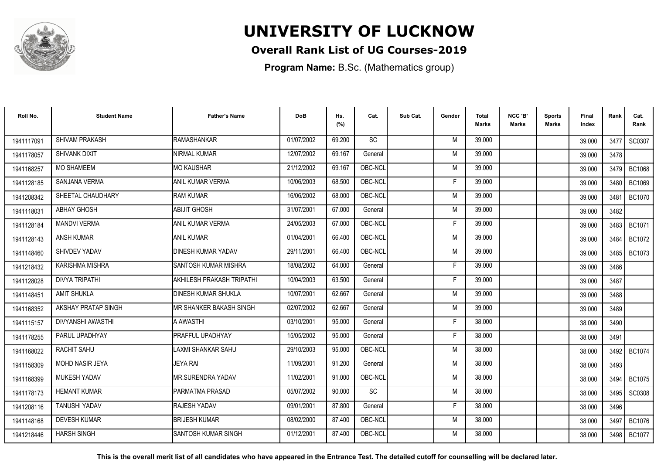

### **Overall Rank List of UG Courses-2019**

**Program Name:** B.Sc. (Mathematics group)

| Roll No.   | <b>Student Name</b>    | <b>Father's Name</b>        | <b>DoB</b> | Hs.<br>(%) | Cat.    | Sub Cat. | Gender | Total<br><b>Marks</b> | NCC 'B'<br><b>Marks</b> | <b>Sports</b><br>Marks | Final<br>Index | Rank   | Cat.<br>Rank  |
|------------|------------------------|-----------------------------|------------|------------|---------|----------|--------|-----------------------|-------------------------|------------------------|----------------|--------|---------------|
| 1941117091 | SHIVAM PRAKASH         | RAMASHANKAR                 | 01/07/2002 | 69.200     | SC      |          | M      | 39.000                |                         |                        | 39.000         | 3477   | SC0307        |
| 1941178057 | SHIVANK DIXIT          | <b>NIRMAL KUMAR</b>         | 12/07/2002 | 69.167     | General |          | M      | 39.000                |                         |                        | 39.000         | 3478   |               |
| 1941168257 | <b>MO SHAMEEM</b>      | <b>MO KAUSHAR</b>           | 21/12/2002 | 69.167     | OBC-NCL |          | M      | 39.000                |                         |                        | 39.000         | 3479   | <b>BC1068</b> |
| 1941128185 | <b>SANJANA VERMA</b>   | <b>ANIL KUMAR VERMA</b>     | 10/06/2003 | 68.500     | OBC-NCL |          | F      | 39.000                |                         |                        | 39.000         | 3480   | <b>BC1069</b> |
| 1941208342 | SHEETAL CHAUDHARY      | <b>RAM KUMAR</b>            | 16/06/2002 | 68,000     | OBC-NCL |          | M      | 39.000                |                         |                        | 39.000         | 3481   | <b>BC1070</b> |
| 1941118031 | <b>ABHAY GHOSH</b>     | ABIJIT GHOSH                | 31/07/2001 | 67.000     | General |          | M      | 39.000                |                         |                        | 39.000         | 3482   |               |
| 1941128184 | <b>MANDVI VERMA</b>    | <b>ANIL KUMAR VERMA</b>     | 24/05/2003 | 67.000     | OBC-NCL |          | F      | 39.000                |                         |                        | 39.000         | 3483   | BC1071        |
| 1941128143 | <b>ANSH KUMAR</b>      | <b>ANIL KUMAR</b>           | 01/04/2001 | 66.400     | OBC-NCL |          | M      | 39.000                |                         |                        | 39.000         | 3484   | <b>BC1072</b> |
| 1941148460 | SHIVDEV YADAV          | <b>DINESH KUMAR YADAV</b>   | 29/11/2001 | 66.400     | OBC-NCL |          | M      | 39.000                |                         |                        | 39.000         | 3485 I | <b>BC1073</b> |
| 1941218432 | <b>KARISHMA MISHRA</b> | <b>SANTOSH KUMAR MISHRA</b> | 18/08/2002 | 64.000     | General |          | F      | 39.000                |                         |                        | 39.000         | 3486   |               |
| 1941128028 | <b>DIVYA TRIPATHI</b>  | AKHILESH PRAKASH TRIPATHI   | 10/04/2003 | 63.500     | General |          | F.     | 39.000                |                         |                        | 39.000         | 3487   |               |
| 1941148451 | <b>AMIT SHUKLA</b>     | <b>DINESH KUMAR SHUKLA</b>  | 10/07/2001 | 62.667     | General |          | M      | 39.000                |                         |                        | 39.000         | 3488   |               |
| 1941168352 | AKSHAY PRATAP SINGH    | IMR SHANKER BAKASH SINGH    | 02/07/2002 | 62.667     | General |          | M      | 39.000                |                         |                        | 39.000         | 3489   |               |
| 1941115157 | DIVYANSHI AWASTHI      | A AWASTHI                   | 03/10/2001 | 95.000     | General |          | F      | 38.000                |                         |                        | 38.000         | 3490   |               |
| 1941178255 | PARUL UPADHYAY         | <b>PRAFFUL UPADHYAY</b>     | 15/05/2002 | 95.000     | General |          | F      | 38.000                |                         |                        | 38.000         | 3491   |               |
| 1941168022 | RACHIT SAHU            | <b>LAXMI SHANKAR SAHU</b>   | 29/10/2003 | 95.000     | OBC-NCL |          | M      | 38.000                |                         |                        | 38.000         | 3492   | <b>BC1074</b> |
| 1941158309 | MOHD NASIR JEYA        | <b>JEYA RAI</b>             | 11/09/2001 | 91.200     | General |          | M      | 38.000                |                         |                        | 38.000         | 3493   |               |
| 1941168399 | <b>MUKESH YADAV</b>    | <b>MR.SURENDRA YADAV</b>    | 11/02/2001 | 91.000     | OBC-NCL |          | M      | 38,000                |                         |                        | 38.000         | 3494   | <b>BC1075</b> |
| 1941178173 | <b>HEMANT KUMAR</b>    | PARMATMA PRASAD             | 05/07/2002 | 90.000     | SC      |          | M      | 38.000                |                         |                        | 38.000         | 3495   | <b>SC0308</b> |
| 1941208116 | <b>TANUSHI YADAV</b>   | <b>RAJESH YADAV</b>         | 09/01/2001 | 87.800     | General |          | F.     | 38.000                |                         |                        | 38.000         | 3496   |               |
| 1941148168 | <b>DEVESH KUMAR</b>    | <b>BRIJESH KUMAR</b>        | 08/02/2000 | 87.400     | OBC-NCL |          | M      | 38.000                |                         |                        | 38.000         | 3497   | <b>BC1076</b> |
| 1941218446 | <b>HARSH SINGH</b>     | ISANTOSH KUMAR SINGH        | 01/12/2001 | 87.400     | OBC-NCL |          | M      | 38.000                |                         |                        | 38.000         | 3498   | <b>BC1077</b> |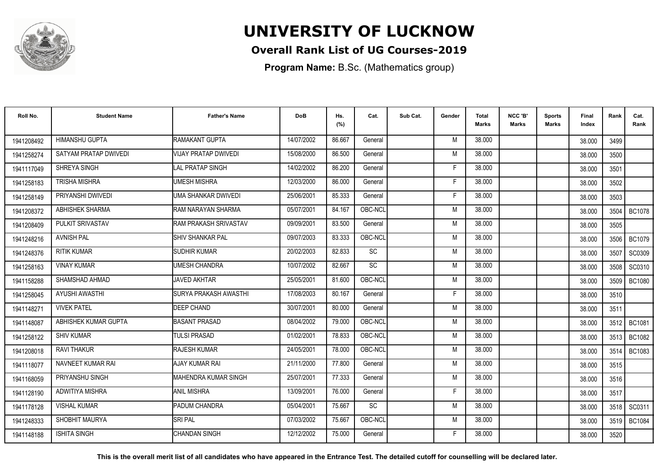

### **Overall Rank List of UG Courses-2019**

**Program Name:** B.Sc. (Mathematics group)

| Roll No.   | <b>Student Name</b>    | <b>Father's Name</b>         | <b>DoB</b> | Hs.<br>(%) | Cat.      | Sub Cat. | Gender | Total<br><b>Marks</b> | NCC 'B'<br><b>Marks</b> | <b>Sports</b><br>Marks | Final<br>Index | Rank | Cat.<br>Rank  |
|------------|------------------------|------------------------------|------------|------------|-----------|----------|--------|-----------------------|-------------------------|------------------------|----------------|------|---------------|
| 1941208492 | <b>HIMANSHU GUPTA</b>  | RAMAKANT GUPTA               | 14/07/2002 | 86.667     | General   |          | M      | 38.000                |                         |                        | 38.000         | 3499 |               |
| 1941258274 | SATYAM PRATAP DWIVEDI  | <b>VIJAY PRATAP DWIVEDI</b>  | 15/08/2000 | 86.500     | General   |          | M      | 38.000                |                         |                        | 38.000         | 3500 |               |
| 1941117049 | SHREYA SINGH           | LAL PRATAP SINGH             | 14/02/2002 | 86.200     | General   |          | F      | 38.000                |                         |                        | 38.000         | 3501 |               |
| 1941258183 | <b>TRISHA MISHRA</b>   | <b>UMESH MISHRA</b>          | 12/03/2000 | 86.000     | General   |          | F      | 38.000                |                         |                        | 38.000         | 3502 |               |
| 1941258149 | PRIYANSHI DWIVEDI      | UMA SHANKAR DWIVEDI          | 25/06/2001 | 85.333     | General   |          | F      | 38.000                |                         |                        | 38.000         | 3503 |               |
| 1941208372 | <b>ABHISHEK SHARMA</b> | RAM NARAYAN SHARMA           | 05/07/2001 | 84.167     | OBC-NCL   |          | M      | 38.000                |                         |                        | 38.000         | 3504 | <b>BC1078</b> |
| 1941208409 | PULKIT SRIVASTAV       | <b>RAM PRAKASH SRIVASTAV</b> | 09/09/2001 | 83.500     | General   |          | M      | 38.000                |                         |                        | 38.000         | 3505 |               |
| 1941248216 | <b>AVNISH PAL</b>      | <b>SHIV SHANKAR PAL</b>      | 09/07/2003 | 83.333     | OBC-NCL   |          | M      | 38.000                |                         |                        | 38.000         |      | 3506   BC1079 |
| 1941248376 | <b>RITIK KUMAR</b>     | <b>SUDHIR KUMAR</b>          | 20/02/2003 | 82.833     | <b>SC</b> |          | M      | 38.000                |                         |                        | 38.000         | 3507 | <b>SC0309</b> |
| 1941258163 | <b>VINAY KUMAR</b>     | <b>UMESH CHANDRA</b>         | 10/07/2002 | 82.667     | <b>SC</b> |          | M      | 38.000                |                         |                        | 38.000         | 3508 | SC0310        |
| 1941158288 | SHAMSHAD AHMAD         | <b>JAVED AKHTAR</b>          | 25/05/2001 | 81.600     | OBC-NCL   |          | M      | 38.000                |                         |                        | 38.000         | 3509 | <b>BC1080</b> |
| 1941258045 | <b>AYUSHI AWASTHI</b>  | <b>SURYA PRAKASH AWASTHI</b> | 17/08/2003 | 80.167     | General   |          | F      | 38,000                |                         |                        | 38.000         | 3510 |               |
| 1941148271 | <b>VIVEK PATEL</b>     | DEEP CHAND                   | 30/07/2001 | 80.000     | General   |          | M      | 38.000                |                         |                        | 38.000         | 3511 |               |
| 1941148087 | ABHISHEK KUMAR GUPTA   | <b>BASANT PRASAD</b>         | 08/04/2002 | 79.000     | OBC-NCL   |          | M      | 38.000                |                         |                        | 38.000         | 3512 | <b>BC1081</b> |
| 1941258122 | <b>SHIV KUMAR</b>      | <b>TULSI PRASAD</b>          | 01/02/2001 | 78.833     | OBC-NCL   |          | M      | 38.000                |                         |                        | 38.000         | 3513 | <b>BC1082</b> |
| 1941208018 | <b>RAVI THAKUR</b>     | <b>RAJESH KUMAR</b>          | 24/05/2001 | 78.000     | OBC-NCL   |          | M      | 38.000                |                         |                        | 38.000         | 3514 | <b>BC1083</b> |
| 1941118077 | NAVNEET KUMAR RAI      | <b>AJAY KUMAR RAI</b>        | 21/11/2000 | 77.800     | General   |          | M      | 38.000                |                         |                        | 38.000         | 3515 |               |
| 1941168059 | PRIYANSHU SINGH        | <b>MAHENDRA KUMAR SINGH</b>  | 25/07/2001 | 77.333     | General   |          | M      | 38,000                |                         |                        | 38.000         | 3516 |               |
| 1941128190 | ADWITIYA MISHRA        | <b>ANIL MISHRA</b>           | 13/09/2001 | 76.000     | General   |          | F      | 38.000                |                         |                        | 38.000         | 3517 |               |
| 1941178128 | <b>VISHAL KUMAR</b>    | <b>PADUM CHANDRA</b>         | 05/04/2001 | 75.667     | <b>SC</b> |          | M      | 38.000                |                         |                        | 38.000         | 3518 | SC0311        |
| 1941248333 | SHOBHIT MAURYA         | <b>SRI PAL</b>               | 07/03/2002 | 75.667     | OBC-NCL   |          | M      | 38.000                |                         |                        | 38.000         | 3519 | <b>BC1084</b> |
| 1941148188 | <b>ISHITA SINGH</b>    | <b>CHANDAN SINGH</b>         | 12/12/2002 | 75.000     | General   |          | F      | 38.000                |                         |                        | 38.000         | 3520 |               |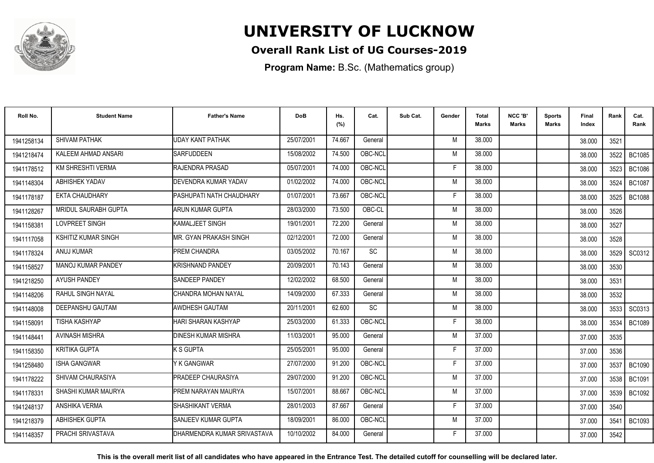

### **Overall Rank List of UG Courses-2019**

**Program Name:** B.Sc. (Mathematics group)

| Roll No.   | <b>Student Name</b>        | <b>Father's Name</b>         | <b>DoB</b> | Hs.<br>(%) | Cat.      | Sub Cat. | Gender | Total<br><b>Marks</b> | NCC 'B'<br><b>Marks</b> | <b>Sports</b><br>Marks | Final<br>Index | Rank   | Cat.<br>Rank  |
|------------|----------------------------|------------------------------|------------|------------|-----------|----------|--------|-----------------------|-------------------------|------------------------|----------------|--------|---------------|
| 1941258134 | SHIVAM PATHAK              | <b>UDAY KANT PATHAK</b>      | 25/07/2001 | 74.667     | General   |          | M      | 38.000                |                         |                        | 38.000         | 3521   |               |
| 1941218474 | KALEEM AHMAD ANSARI        | <b>SARFUDDEEN</b>            | 15/08/2002 | 74.500     | OBC-NCL   |          | M      | 38.000                |                         |                        | 38.000         | 3522   | <b>BC1085</b> |
| 1941178512 | <b>KM SHRESHTI VERMA</b>   | <b>RAJENDRA PRASAD</b>       | 05/07/2001 | 74.000     | OBC-NCL   |          | F      | 38.000                |                         |                        | 38.000         | 3523   | <b>BC1086</b> |
| 1941148304 | <b>ABHISHEK YADAV</b>      | <b>DEVENDRA KUMAR YADAV</b>  | 01/02/2002 | 74.000     | OBC-NCL   |          | M      | 38.000                |                         |                        | 38.000         | 3524   | <b>BC1087</b> |
| 1941178187 | <b>EKTA CHAUDHARY</b>      | PASHUPATI NATH CHAUDHARY     | 01/07/2001 | 73.667     | OBC-NCL   |          | F      | 38.000                |                         |                        | 38.000         | 3525   | <b>BC1088</b> |
| 1941128267 | MRIDUL SAURABH GUPTA       | ARUN KUMAR GUPTA             | 28/03/2000 | 73.500     | OBC-CL    |          | M      | 38.000                |                         |                        | 38.000         | 3526   |               |
| 1941158381 | LOVPREET SINGH             | <b>IKAMALJEET SINGH</b>      | 19/01/2001 | 72.200     | General   |          | M      | 38.000                |                         |                        | 38.000         | 3527   |               |
| 1941117058 | <b>KSHITIZ KUMAR SINGH</b> | MR. GYAN PRAKASH SINGH       | 02/12/2001 | 72.000     | General   |          | M      | 38.000                |                         |                        | 38.000         | 3528   |               |
| 1941178324 | ANUJ KUMAR                 | <b>PREM CHANDRA</b>          | 03/05/2002 | 70.167     | <b>SC</b> |          | M      | 38.000                |                         |                        | 38.000         | 3529   | SC0312        |
| 1941158527 | MANOJ KUMAR PANDEY         | KRISHNAND PANDEY             | 20/09/2001 | 70.143     | General   |          | M      | 38.000                |                         |                        | 38.000         | 3530   |               |
| 1941218250 | <b>AYUSH PANDEY</b>        | <b>SANDEEP PANDEY</b>        | 12/02/2002 | 68.500     | General   |          | M      | 38.000                |                         |                        | 38.000         | 3531   |               |
| 1941148206 | RAHUL SINGH NAYAL          | CHANDRA MOHAN NAYAL          | 14/09/2000 | 67.333     | General   |          | M      | 38,000                |                         |                        | 38.000         | 3532   |               |
| 1941148008 | DEEPANSHU GAUTAM           | AWDHESH GAUTAM               | 20/11/2001 | 62.600     | SC        |          | M      | 38.000                |                         |                        | 38.000         | 3533   | SC0313        |
| 1941158091 | <b>TISHA KASHYAP</b>       | HARI SHARAN KASHYAP          | 25/03/2000 | 61.333     | OBC-NCL   |          | F      | 38.000                |                         |                        | 38.000         | 3534   | <b>BC1089</b> |
| 1941148441 | <b>AVINASH MISHRA</b>      | <b>IDINESH KUMAR MISHRA</b>  | 11/03/2001 | 95.000     | General   |          | M      | 37.000                |                         |                        | 37.000         | 3535   |               |
| 1941158350 | <b>KRITIKA GUPTA</b>       | <b>K S GUPTA</b>             | 25/05/2001 | 95.000     | General   |          | F      | 37.000                |                         |                        | 37.000         | 3536   |               |
| 1941258480 | <b>ISHA GANGWAR</b>        | Y K GANGWAR                  | 27/07/2000 | 91.200     | OBC-NCL   |          | F      | 37.000                |                         |                        | 37.000         | 3537   | <b>BC1090</b> |
| 1941178222 | SHIVAM CHAURASIYA          | <b>PRADEEP CHAURASIYA</b>    | 29/07/2000 | 91.200     | OBC-NCL   |          | M      | 37,000                |                         |                        | 37.000         | 3538 l | <b>BC1091</b> |
| 1941178331 | SHASHI KUMAR MAURYA        | PREM NARAYAN MAURYA          | 15/07/2001 | 88.667     | OBC-NCL   |          | M      | 37.000                |                         |                        | 37.000         | 3539   | BC1092        |
| 1941248137 | ANSHIKA VERMA              | ISHASHIKANT VERMA            | 28/01/2003 | 87.667     | General   |          | F      | 37.000                |                         |                        | 37.000         | 3540   |               |
| 1941218379 | <b>ABHISHEK GUPTA</b>      | SANJEEV KUMAR GUPTA          | 18/09/2001 | 86.000     | OBC-NCL   |          | M      | 37.000                |                         |                        | 37.000         | 3541   | <b>BC1093</b> |
| 1941148357 | PRACHI SRIVASTAVA          | IDHARMENDRA KUMAR SRIVASTAVA | 10/10/2002 | 84.000     | General   |          | F      | 37.000                |                         |                        | 37.000         | 3542   |               |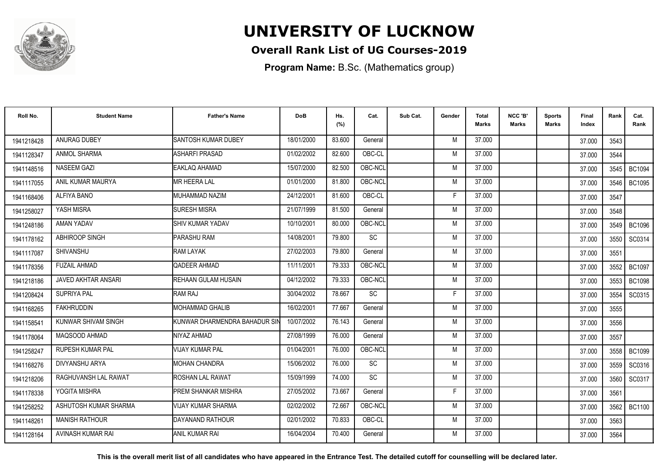

### **Overall Rank List of UG Courses-2019**

**Program Name:** B.Sc. (Mathematics group)

| Roll No.   | <b>Student Name</b>     | <b>Father's Name</b>          | <b>DoB</b> | Hs.<br>(%) | Cat.      | Sub Cat. | Gender | <b>Total</b><br>Marks | NCC 'B'<br><b>Marks</b> | Sports<br><b>Marks</b> | Final<br>Index | Rank   | Cat.<br>Rank  |
|------------|-------------------------|-------------------------------|------------|------------|-----------|----------|--------|-----------------------|-------------------------|------------------------|----------------|--------|---------------|
| 1941218428 | ANURAG DUBEY            | <b>SANTOSH KUMAR DUBEY</b>    | 18/01/2000 | 83.600     | General   |          | M      | 37.000                |                         |                        | 37.000         | 3543   |               |
| 1941128347 | ANMOL SHARMA            | <b>ASHARFI PRASAD</b>         | 01/02/2002 | 82.600     | OBC-CL    |          | M      | 37.000                |                         |                        | 37.000         | 3544   |               |
| 1941148516 | <b>NASEEM GAZI</b>      | EAKLAQ AHAMAD                 | 15/07/2000 | 82.500     | OBC-NCL   |          | M      | 37.000                |                         |                        | 37.000         | 3545   | <b>BC1094</b> |
| 1941117055 | ANIL KUMAR MAURYA       | <b>MR HEERA LAL</b>           | 01/01/2000 | 81.800     | OBC-NCL   |          | M      | 37.000                |                         |                        | 37.000         | 3546   | <b>BC1095</b> |
| 1941168406 | ALFIYA BANO             | MUHAMMAD NAZIM                | 24/12/2001 | 81.600     | OBC-CL    |          | F      | 37.000                |                         |                        | 37.000         | 3547   |               |
| 1941258027 | YASH MISRA              | <b>SURESH MISRA</b>           | 21/07/1999 | 81.500     | General   |          | M      | 37,000                |                         |                        | 37.000         | 3548   |               |
| 1941248186 | AMAN YADAV              | SHIV KUMAR YADAV              | 10/10/2001 | 80.000     | OBC-NCL   |          | M      | 37.000                |                         |                        | 37.000         | 3549   | <b>BC1096</b> |
| 1941178162 | ABHIROOP SINGH          | PARASHU RAM                   | 14/08/2001 | 79.800     | SC        |          | M      | 37.000                |                         |                        | 37.000         | 3550   | SC0314        |
| 1941117087 | <b>SHIVANSHU</b>        | <b>RAM LAYAK</b>              | 27/02/2003 | 79.800     | General   |          | M      | 37.000                |                         |                        | 37.000         | 3551   |               |
| 1941178356 | <b>FUZAIL AHMAD</b>     | QADEER AHMAD                  | 11/11/2001 | 79.333     | OBC-NCL   |          | M      | 37.000                |                         |                        | 37.000         | 3552   | <b>BC1097</b> |
| 1941218186 | JAVED AKHTAR ANSARI     | REHAAN GULAM HUSAIN           | 04/12/2002 | 79.333     | OBC-NCL   |          | M      | 37.000                |                         |                        | 37.000         | 3553   | <b>BC1098</b> |
| 1941208424 | SUPRIYA PAL             | RAM RAJ                       | 30/04/2002 | 78.667     | <b>SC</b> |          | F      | 37.000                |                         |                        | 37.000         | 3554   | SC0315        |
| 1941168265 | <b>FAKHRUDDIN</b>       | IMOHAMMAD GHALIB              | 16/02/2001 | 77.667     | General   |          | M      | 37.000                |                         |                        | 37.000         | 3555   |               |
| 1941158541 | KUNWAR SHIVAM SINGH     | KUNWAR DHARMENDRA BAHADUR SII | 10/07/2002 | 76.143     | General   |          | M      | 37.000                |                         |                        | 37.000         | 3556   |               |
| 1941178064 | MAQSOOD AHMAD           | NIYAZ AHMAD                   | 27/08/1999 | 76.000     | General   |          | M      | 37.000                |                         |                        | 37.000         | 3557   |               |
| 1941258247 | <b>RUPESH KUMAR PAL</b> | <b>VIJAY KUMAR PAL</b>        | 01/04/2001 | 76.000     | OBC-NCL   |          | M      | 37.000                |                         |                        | 37.000         | 3558   | <b>BC1099</b> |
| 1941168276 | DIVYANSHU ARYA          | <b>MOHAN CHANDRA</b>          | 15/06/2002 | 76.000     | <b>SC</b> |          | M      | 37.000                |                         |                        | 37.000         | 3559 l | SC0316        |
| 1941218206 | RAGHUVANSH LAL RAWAT    | <b>ROSHAN LAL RAWAT</b>       | 15/09/1999 | 74.000     | SC        |          | M      | 37.000                |                         |                        | 37.000         | 3560   | SC0317        |
| 1941178338 | YOGITA MISHRA           | <b>PREM SHANKAR MISHRA</b>    | 27/05/2002 | 73.667     | General   |          | E      | 37.000                |                         |                        | 37.000         | 3561   |               |
| 1941258252 | ASHUTOSH KUMAR SHARMA   | <b>VIJAY KUMAR SHARMA</b>     | 02/02/2002 | 72.667     | OBC-NCL   |          | M      | 37.000                |                         |                        | 37.000         | 3562   | <b>BC1100</b> |
| 1941148261 | <b>MANISH RATHOUR</b>   | DAYANAND RATHOUR              | 02/01/2002 | 70.833     | OBC-CL    |          | M      | 37.000                |                         |                        | 37.000         | 3563   |               |
| 1941128164 | AVINASH KUMAR RAI       | <b>ANIL KUMAR RAI</b>         | 16/04/2004 | 70.400     | General   |          | M      | 37.000                |                         |                        | 37.000         | 3564   |               |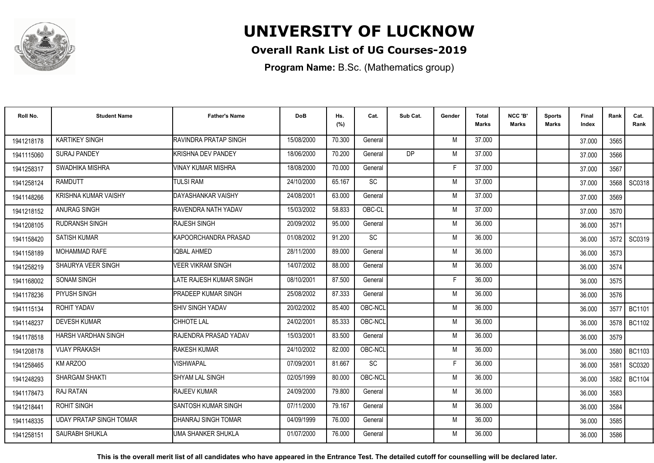

### **Overall Rank List of UG Courses-2019**

**Program Name:** B.Sc. (Mathematics group)

| Roll No.   | <b>Student Name</b>            | <b>Father's Name</b>       | <b>DoB</b> | Hs.<br>(%) | Cat.      | Sub Cat.  | Gender | <b>Total</b><br><b>Marks</b> | NCC 'B'<br><b>Marks</b> | <b>Sports</b><br>Marks | Final<br>Index | Rank | Cat.<br>Rank  |
|------------|--------------------------------|----------------------------|------------|------------|-----------|-----------|--------|------------------------------|-------------------------|------------------------|----------------|------|---------------|
| 1941218178 | <b>KARTIKEY SINGH</b>          | RAVINDRA PRATAP SINGH      | 15/08/2000 | 70.300     | General   |           | M      | 37.000                       |                         |                        | 37.000         | 3565 |               |
| 1941115060 | <b>SURAJ PANDEY</b>            | <b>KRISHNA DEV PANDEY</b>  | 18/06/2000 | 70.200     | General   | <b>DP</b> | M      | 37.000                       |                         |                        | 37.000         | 3566 |               |
| 1941258317 | SWADHIKA MISHRA                | <b>VINAY KUMAR MISHRA</b>  | 18/08/2000 | 70.000     | General   |           | F      | 37.000                       |                         |                        | 37.000         | 3567 |               |
| 1941258124 | <b>RAMDUTT</b>                 | <b>TULSI RAM</b>           | 24/10/2000 | 65.167     | <b>SC</b> |           | M      | 37.000                       |                         |                        | 37.000         | 3568 | SC0318        |
| 1941148266 | <b>KRISHNA KUMAR VAISHY</b>    | DAYASHANKAR VAISHY         | 24/08/2001 | 63.000     | General   |           | M      | 37.000                       |                         |                        | 37.000         | 3569 |               |
| 1941218152 | ANURAG SINGH                   | RAVENDRA NATH YADAV        | 15/03/2002 | 58.833     | OBC-CL    |           | M      | 37.000                       |                         |                        | 37.000         | 3570 |               |
| 1941208105 | <b>RUDRANSH SINGH</b>          | RAJESH SINGH               | 20/09/2002 | 95.000     | General   |           | M      | 36.000                       |                         |                        | 36.000         | 3571 |               |
| 1941158420 | <b>SATISH KUMAR</b>            | KAPOORCHANDRA PRASAD       | 01/08/2002 | 91.200     | <b>SC</b> |           | M      | 36.000                       |                         |                        | 36.000         |      | 3572 SC0319   |
| 1941158189 | <b>MOHAMMAD RAFE</b>           | <b>IQBAL AHMED</b>         | 28/11/2000 | 89.000     | General   |           | M      | 36.000                       |                         |                        | 36.000         | 3573 |               |
| 1941258219 | SHAURYA VEER SINGH             | VEER VIKRAM SINGH          | 14/07/2002 | 88.000     | General   |           | M      | 36.000                       |                         |                        | 36.000         | 3574 |               |
| 1941168002 | <b>SONAM SINGH</b>             | LATE RAJESH KUMAR SINGH    | 08/10/2001 | 87.500     | General   |           | F      | 36.000                       |                         |                        | 36.000         | 3575 |               |
| 1941178236 | PIYUSH SINGH                   | <b>PRADEEP KUMAR SINGH</b> | 25/08/2002 | 87.333     | General   |           | M      | 36,000                       |                         |                        | 36.000         | 3576 |               |
| 1941115134 | <b>ROHIT YADAV</b>             | <b>SHIV SINGH YADAV</b>    | 20/02/2002 | 85.400     | OBC-NCL   |           | M      | 36.000                       |                         |                        | 36.000         | 3577 | <b>BC1101</b> |
| 1941148237 | <b>DEVESH KUMAR</b>            | <b>CHHOTE LAL</b>          | 24/02/2001 | 85.333     | OBC-NCL   |           | M      | 36.000                       |                         |                        | 36.000         | 3578 | <b>BC1102</b> |
| 1941178518 | HARSH VARDHAN SINGH            | RAJENDRA PRASAD YADAV      | 15/03/2001 | 83.500     | General   |           | M      | 36.000                       |                         |                        | 36.000         | 3579 |               |
| 1941208178 | <b>VIJAY PRAKASH</b>           | <b>RAKESH KUMAR</b>        | 24/10/2002 | 82.000     | OBC-NCL   |           | M      | 36.000                       |                         |                        | 36.000         | 3580 | <b>BC1103</b> |
| 1941258465 | KM ARZOO                       | VISHWAPAL                  | 07/09/2001 | 81.667     | <b>SC</b> |           | F      | 36,000                       |                         |                        | 36.000         | 3581 | SC0320        |
| 1941248293 | SHARGAM SHAKTI                 | ISHYAM LAL SINGH           | 02/05/1999 | 80.000     | OBC-NCL   |           | M      | 36,000                       |                         |                        | 36.000         | 3582 | <b>BC1104</b> |
| 1941178473 | <b>RAJ RATAN</b>               | RAJEEV KUMAR               | 24/09/2000 | 79.800     | General   |           | M      | 36.000                       |                         |                        | 36.000         | 3583 |               |
| 1941218441 | <b>ROHIT SINGH</b>             | ISANTOSH KUMAR SINGH       | 07/11/2000 | 79.167     | General   |           | M      | 36.000                       |                         |                        | 36.000         | 3584 |               |
| 1941148335 | <b>UDAY PRATAP SINGH TOMAR</b> | DHANRAJ SINGH TOMAR        | 04/09/1999 | 76.000     | General   |           | M      | 36.000                       |                         |                        | 36.000         | 3585 |               |
| 1941258151 | SAURABH SHUKLA                 | UMA SHANKER SHUKLA         | 01/07/2000 | 76.000     | General   |           | M      | 36.000                       |                         |                        | 36.000         | 3586 |               |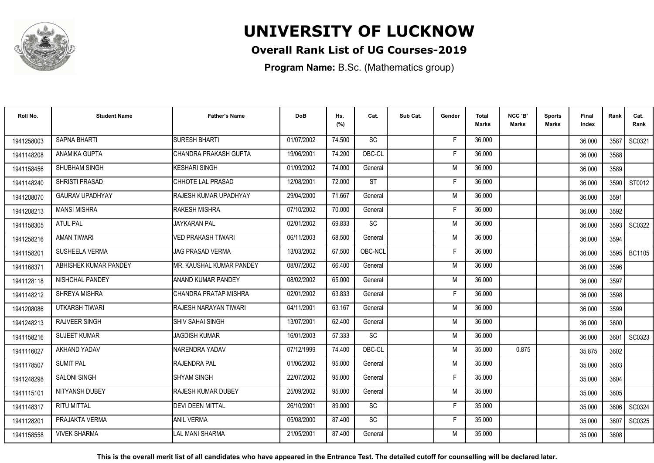

### **Overall Rank List of UG Courses-2019**

**Program Name:** B.Sc. (Mathematics group)

| Roll No.   | <b>Student Name</b>    | <b>Father's Name</b>         | <b>DoB</b> | Hs.<br>(%) | Cat.      | Sub Cat. | Gender | Total<br><b>Marks</b> | NCC 'B'<br><b>Marks</b> | Sports<br>Marks | Final<br>Index | Rank | Cat.<br>Rank |
|------------|------------------------|------------------------------|------------|------------|-----------|----------|--------|-----------------------|-------------------------|-----------------|----------------|------|--------------|
| 1941258003 | <b>SAPNA BHARTI</b>    | <b>SURESH BHARTI</b>         | 01/07/2002 | 74.500     | <b>SC</b> |          | E      | 36,000                |                         |                 | 36.000         | 3587 | SC0321       |
| 1941148208 | ANAMIKA GUPTA          | CHANDRA PRAKASH GUPTA        | 19/06/2001 | 74.200     | OBC-CL    |          | F      | 36.000                |                         |                 | 36.000         | 3588 |              |
| 1941158456 | SHUBHAM SINGH          | KESHARI SINGH                | 01/09/2002 | 74.000     | General   |          | M      | 36.000                |                         |                 | 36.000         | 3589 |              |
| 1941148240 | SHRISTI PRASAD         | CHHOTE LAL PRASAD            | 12/08/2001 | 72.000     | <b>ST</b> |          | F      | 36.000                |                         |                 | 36.000         | 3590 | ST0012       |
| 1941208070 | <b>GAURAV UPADHYAY</b> | <b>RAJESH KUMAR UPADHYAY</b> | 29/04/2000 | 71.667     | General   |          | M      | 36.000                |                         |                 | 36.000         | 3591 |              |
| 1941208213 | <b>MANSI MISHRA</b>    | <b>RAKESH MISHRA</b>         | 07/10/2002 | 70.000     | General   |          | F      | 36.000                |                         |                 | 36.000         | 3592 |              |
| 1941158305 | <b>ATUL PAL</b>        | <b>JAYKARAN PAL</b>          | 02/01/2002 | 69.833     | <b>SC</b> |          | M      | 36.000                |                         |                 | 36.000         | 3593 | SC0322       |
| 1941258216 | <b>AMAN TIWARI</b>     | VED PRAKASH TIWARI           | 06/11/2003 | 68.500     | General   |          | M      | 36.000                |                         |                 | 36.000         | 3594 |              |
| 1941158201 | SUSHEELA VERMA         | JAG PRASAD VERMA             | 13/03/2002 | 67.500     | OBC-NCL   |          | F      | 36.000                |                         |                 | 36.000         | 3595 | BC1105       |
| 1941168371 | ABHISHEK KUMAR PANDEY  | MR. KAUSHAL KUMAR PANDEY     | 08/07/2002 | 66.400     | General   |          | M      | 36.000                |                         |                 | 36.000         | 3596 |              |
| 1941128118 | NISHCHAL PANDEY        | ANAND KUMAR PANDEY           | 08/02/2002 | 65.000     | General   |          | M      | 36.000                |                         |                 | 36.000         | 3597 |              |
| 1941148212 | SHREYA MISHRA          | CHANDRA PRATAP MISHRA        | 02/01/2002 | 63.833     | General   |          | F      | 36.000                |                         |                 | 36.000         | 3598 |              |
| 1941208086 | UTKARSH TIWARI         | RAJESH NARAYAN TIWARI        | 04/11/2001 | 63.167     | General   |          | M      | 36.000                |                         |                 | 36.000         | 3599 |              |
| 1941248213 | RAJVEER SINGH          | <b>SHIV SAHAI SINGH</b>      | 13/07/2001 | 62.400     | General   |          | M      | 36.000                |                         |                 | 36.000         | 3600 |              |
| 1941158216 | <b>SUJEET KUMAR</b>    | <b>JAGDISH KUMAR</b>         | 16/01/2003 | 57.333     | SC        |          | M      | 36.000                |                         |                 | 36.000         | 3601 | SC0323       |
| 1941116027 | AKHAND YADAV           | NARENDRA YADAV               | 07/12/1999 | 74.400     | OBC-CL    |          | M      | 35.000                | 0.875                   |                 | 35.875         | 3602 |              |
| 1941178507 | <b>SUMIT PAL</b>       | RAJENDRA PAL                 | 01/06/2002 | 95.000     | General   |          | M      | 35.000                |                         |                 | 35.000         | 3603 |              |
| 1941248298 | <b>SALONI SINGH</b>    | <b>SHYAM SINGH</b>           | 22/07/2002 | 95.000     | General   |          | F      | 35.000                |                         |                 | 35.000         | 3604 |              |
| 1941115101 | NITYANSH DUBEY         | RAJESH KUMAR DUBEY           | 25/09/2002 | 95.000     | General   |          | M      | 35.000                |                         |                 | 35.000         | 3605 |              |
| 1941148317 | <b>RITU MITTAL</b>     | <b>DEVI DEEN MITTAL</b>      | 26/10/2001 | 89.000     | <b>SC</b> |          | F      | 35.000                |                         |                 | 35.000         | 3606 | SC0324       |
| 194112820  | PRAJAKTA VERMA         | <b>ANIL VERMA</b>            | 05/08/2000 | 87.400     | SC        |          | F      | 35.000                |                         |                 | 35.000         | 3607 | SC0325       |
| 1941158558 | <b>VIVEK SHARMA</b>    | LAL MANI SHARMA              | 21/05/2001 | 87.400     | General   |          | M      | 35.000                |                         |                 | 35.000         | 3608 |              |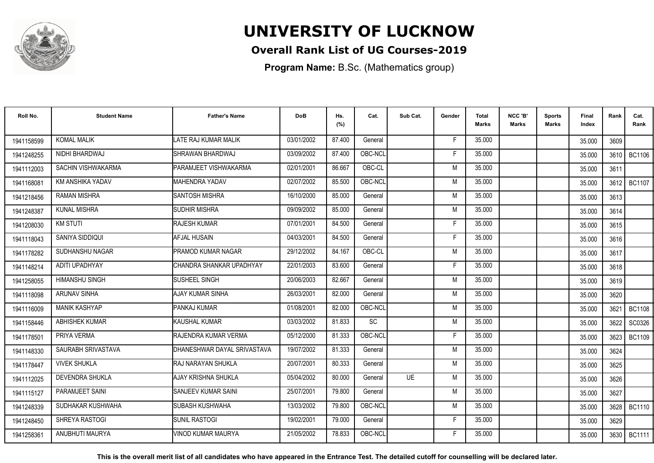

### **Overall Rank List of UG Courses-2019**

**Program Name:** B.Sc. (Mathematics group)

| Roll No.   | <b>Student Name</b>    | <b>Father's Name</b>        | <b>DoB</b> | Hs.<br>(%) | Cat.      | Sub Cat.  | Gender | Total<br><b>Marks</b> | NCC 'B'<br><b>Marks</b> | Sports<br>Marks | Final<br>Index | Rank   | Cat.<br>Rank  |
|------------|------------------------|-----------------------------|------------|------------|-----------|-----------|--------|-----------------------|-------------------------|-----------------|----------------|--------|---------------|
| 1941158599 | <b>KOMAL MALIK</b>     | LATE RAJ KUMAR MALIK        | 03/01/2002 | 87.400     | General   |           | E      | 35.000                |                         |                 | 35.000         | 3609   |               |
| 1941248255 | NIDHI BHARDWAJ         | SHRAWAN BHARDWAJ            | 03/09/2002 | 87.400     | OBC-NCL   |           | F      | 35.000                |                         |                 | 35.000         | 3610   | <b>BC1106</b> |
| 1941112003 | SACHIN VISHWAKARMA     | PARAMJEET VISHWAKARMA       | 02/01/2001 | 86.667     | OBC-CL    |           | M      | 35.000                |                         |                 | 35.000         | 3611   |               |
| 194116808  | KM ANSHIKA YADAV       | <b>MAHENDRA YADAV</b>       | 02/07/2002 | 85.500     | OBC-NCL   |           | M      | 35.000                |                         |                 | 35.000         | 3612 l | <b>BC1107</b> |
| 1941218456 | <b>RAMAN MISHRA</b>    | <b>SANTOSH MISHRA</b>       | 16/10/2000 | 85.000     | General   |           | M      | 35.000                |                         |                 | 35.000         | 3613   |               |
| 1941248387 | <b>KUNAL MISHRA</b>    | <b>SUDHIR MISHRA</b>        | 09/09/2002 | 85.000     | General   |           | M      | 35.000                |                         |                 | 35.000         | 3614   |               |
| 1941208030 | <b>KM STUTI</b>        | <b>RAJESH KUMAR</b>         | 07/01/2001 | 84.500     | General   |           | F      | 35.000                |                         |                 | 35.000         | 3615   |               |
| 1941118043 | SANIYA SIDDIQUI        | <b>AFJAL HUSAIN</b>         | 04/03/2001 | 84.500     | General   |           | F      | 35.000                |                         |                 | 35.000         | 3616   |               |
| 1941178282 | SUDHANSHU NAGAR        | <b>PRAMOD KUMAR NAGAR</b>   | 29/12/2002 | 84.167     | OBC-CL    |           | M      | 35.000                |                         |                 | 35.000         | 3617   |               |
| 1941148214 | ADITI UPADHYAY         | CHANDRA SHANKAR UPADHYAY    | 22/01/2003 | 83.600     | General   |           | F      | 35.000                |                         |                 | 35.000         | 3618   |               |
| 1941258055 | <b>HIMANSHU SINGH</b>  | SUSHEEL SINGH               | 20/06/2003 | 82.667     | General   |           | M      | 35.000                |                         |                 | 35.000         | 3619   |               |
| 1941118098 | <b>ARUNAV SINHA</b>    | <b>AJAY KUMAR SINHA</b>     | 26/03/2001 | 82.000     | General   |           | M      | 35.000                |                         |                 | 35.000         | 3620   |               |
| 1941116009 | <b>MANIK KASHYAP</b>   | PANKAJ KUMAR                | 01/08/2001 | 82.000     | OBC-NCL   |           | M      | 35.000                |                         |                 | 35.000         | 3621   | <b>BC1108</b> |
| 1941158446 | ABHISHEK KUMAR         | <b>KAUSHAL KUMAR</b>        | 03/03/2002 | 81.833     | <b>SC</b> |           | M      | 35.000                |                         |                 | 35.000         | 3622   | SC0326        |
| 1941178501 | PRIYA VERMA            | RAJENDRA KUMAR VERMA        | 05/12/2000 | 81.333     | OBC-NCL   |           | E      | 35.000                |                         |                 | 35.000         | 3623   | <b>BC1109</b> |
| 1941148330 | SAURABH SRIVASTAVA     | DHANESHWAR DAYAL SRIVASTAVA | 19/07/2002 | 81.333     | General   |           | M      | 35.000                |                         |                 | 35.000         | 3624   |               |
| 1941178447 | <b>VIVEK SHUKLA</b>    | RAJ NARAYAN SHUKLA          | 20/07/2001 | 80.333     | General   |           | M      | 35.000                |                         |                 | 35.000         | 3625   |               |
| 1941112025 | <b>DEVENDRA SHUKLA</b> | AJAY KRISHNA SHUKLA         | 05/04/2002 | 80.000     | General   | <b>UE</b> | M      | 35.000                |                         |                 | 35.000         | 3626   |               |
| 1941115127 | PARAMJEET SAINI        | SANJEEV KUMAR SAINI         | 25/07/2001 | 79.800     | General   |           | M      | 35.000                |                         |                 | 35.000         | 3627   |               |
| 1941248339 | SUDHAKAR KUSHWAHA      | <b>SUBASH KUSHWAHA</b>      | 13/03/2002 | 79.800     | OBC-NCL   |           | M      | 35.000                |                         |                 | 35.000         | 3628   | <b>BC1110</b> |
| 1941248450 | SHREYA RASTOGI         | <b>SUNIL RASTOGI</b>        | 19/02/2001 | 79.000     | General   |           | F      | 35.000                |                         |                 | 35.000         | 3629   |               |
| 1941258361 | ANUBHUTI MAURYA        | VINOD KUMAR MAURYA          | 21/05/2002 | 78.833     | OBC-NCL   |           | F      | 35.000                |                         |                 | 35.000         | 3630   | BC1111        |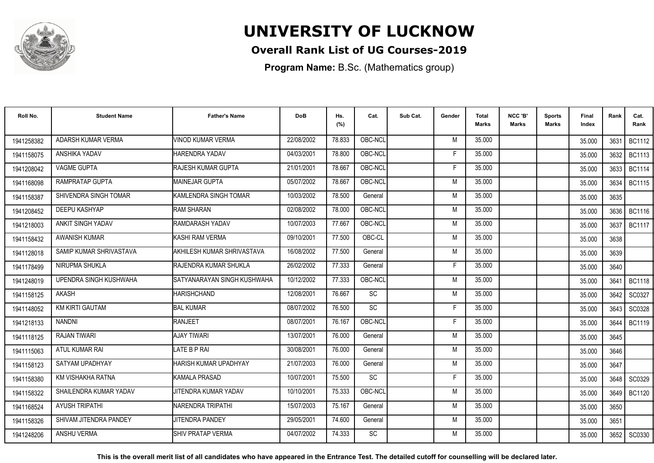

### **Overall Rank List of UG Courses-2019**

**Program Name:** B.Sc. (Mathematics group)

| Roll No.   | <b>Student Name</b>     | <b>Father's Name</b>        | <b>DoB</b> | Hs.<br>(%) | Cat.      | Sub Cat. | Gender | Total<br><b>Marks</b> | NCC 'B'<br><b>Marks</b> | Sports<br>Marks | Final<br>Index | Rank | Cat.<br>Rank  |
|------------|-------------------------|-----------------------------|------------|------------|-----------|----------|--------|-----------------------|-------------------------|-----------------|----------------|------|---------------|
| 1941258382 | ADARSH KUMAR VERMA      | VINOD KUMAR VERMA           | 22/08/2002 | 78.833     | OBC-NCL   |          | M      | 35.000                |                         |                 | 35.000         | 3631 | <b>BC1112</b> |
| 1941158075 | <b>ANSHIKA YADAV</b>    | HARENDRA YADAV              | 04/03/2001 | 78.800     | OBC-NCL   |          | F      | 35.000                |                         |                 | 35.000         | 3632 | <b>BC1113</b> |
| 1941208042 | VAGME GUPTA             | <b>RAJESH KUMAR GUPTA</b>   | 21/01/2001 | 78.667     | OBC-NCL   |          | F      | 35.000                |                         |                 | 35.000         | 3633 | <b>BC1114</b> |
| 1941168098 | RAMPRATAP GUPTA         | <b>MAINEJAR GUPTA</b>       | 05/07/2002 | 78.667     | OBC-NCL   |          | M      | 35.000                |                         |                 | 35.000         | 3634 | <b>BC1115</b> |
| 1941158387 | SHIVENDRA SINGH TOMAR   | KAMLENDRA SINGH TOMAR       | 10/03/2002 | 78.500     | General   |          | M      | 35.000                |                         |                 | 35.000         | 3635 |               |
| 1941208452 | DEEPU KASHYAP           | <b>RAM SHARAN</b>           | 02/08/2002 | 78.000     | OBC-NCL   |          | M      | 35.000                |                         |                 | 35.000         | 3636 | <b>BC1116</b> |
| 1941218003 | ANKIT SINGH YADAV       | <b>RAMDARASH YADAV</b>      | 10/07/2003 | 77.667     | OBC-NCL   |          | M      | 35.000                |                         |                 | 35.000         | 3637 | <b>BC1117</b> |
| 1941158432 | <b>AWANISH KUMAR</b>    | KASHI RAM VERMA             | 09/10/2001 | 77.500     | OBC-CL    |          | M      | 35.000                |                         |                 | 35.000         | 3638 |               |
| 1941128018 | SAMIP KUMAR SHRIVASTAVA | AKHILESH KUMAR SHRIVASTAVA  | 16/08/2002 | 77.500     | General   |          | M      | 35.000                |                         |                 | 35.000         | 3639 |               |
| 1941178499 | NIRUPMA SHUKLA          | RAJENDRA KUMAR SHUKLA       | 26/02/2002 | 77.333     | General   |          | F      | 35.000                |                         |                 | 35.000         | 3640 |               |
| 1941248019 | UPENDRA SINGH KUSHWAHA  | SATYANARAYAN SINGH KUSHWAHA | 10/12/2002 | 77.333     | OBC-NCL   |          | M      | 35.000                |                         |                 | 35.000         | 3641 | <b>BC1118</b> |
| 1941158125 | AKASH                   | <b>HARISHCHAND</b>          | 12/08/2001 | 76.667     | SC        |          | M      | 35.000                |                         |                 | 35.000         | 3642 | SC0327        |
| 1941148052 | <b>KM KIRTI GAUTAM</b>  | <b>BAL KUMAR</b>            | 08/07/2002 | 76.500     | SC        |          |        | 35.000                |                         |                 | 35.000         | 3643 | SC0328        |
| 1941218133 | <b>NANDNI</b>           | <b>RANJEET</b>              | 08/07/2001 | 76.167     | OBC-NCL   |          | F      | 35.000                |                         |                 | 35.000         | 3644 | <b>BC1119</b> |
| 1941118125 | <b>RAJAN TIWARI</b>     | <b>AJAY TIWARI</b>          | 13/07/2001 | 76.000     | General   |          | M      | 35.000                |                         |                 | 35.000         | 3645 |               |
| 1941115063 | ATUL KUMAR RAI          | LATE B P RAI                | 30/08/2001 | 76.000     | General   |          | M      | 35.000                |                         |                 | 35.000         | 3646 |               |
| 1941158123 | SATYAM UPADHYAY         | HARISH KUMAR UPADHYAY       | 21/07/2003 | 76.000     | General   |          | M      | 35.000                |                         |                 | 35.000         | 3647 |               |
| 1941158380 | KM VISHAKHA RATNA       | <b>KAMALA PRASAD</b>        | 10/07/2001 | 75.500     | SC        |          | F      | 35.000                |                         |                 | 35.000         | 3648 | SC0329        |
| 1941158322 | SHAILENDRA KUMAR YADAV  | JITENDRA KUMAR YADAV        | 10/10/2001 | 75.333     | OBC-NCL   |          | M      | 35.000                |                         |                 | 35.000         | 3649 | <b>BC1120</b> |
| 1941168524 | <b>AYUSH TRIPATHI</b>   | <b>NARENDRA TRIPATHI</b>    | 15/07/2003 | 75.167     | General   |          | M      | 35.000                |                         |                 | 35.000         | 3650 |               |
| 1941158326 | SHIVAM JITENDRA PANDEY  | JITENDRA PANDEY             | 29/05/2001 | 74.600     | General   |          | M      | 35.000                |                         |                 | 35.000         | 3651 |               |
| 1941248206 | ANSHU VERMA             | <b>SHIV PRATAP VERMA</b>    | 04/07/2002 | 74.333     | <b>SC</b> |          | M      | 35.000                |                         |                 | 35.000         | 3652 | SC0330        |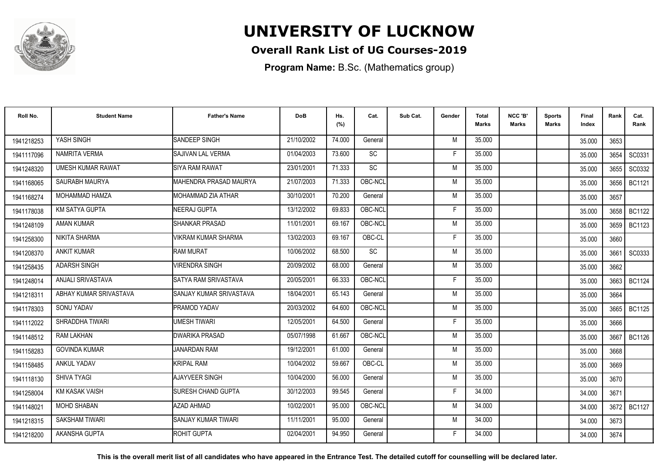

### **Overall Rank List of UG Courses-2019**

**Program Name:** B.Sc. (Mathematics group)

| Roll No.   | <b>Student Name</b>      | <b>Father's Name</b>           | <b>DoB</b> | Hs.<br>(%) | Cat.      | Sub Cat. | Gender | Total<br><b>Marks</b> | NCC 'B'<br><b>Marks</b> | Sports<br>Marks | Final<br>Index | Rank | Cat.<br>Rank  |
|------------|--------------------------|--------------------------------|------------|------------|-----------|----------|--------|-----------------------|-------------------------|-----------------|----------------|------|---------------|
| 1941218253 | YASH SINGH               | SANDEEP SINGH                  | 21/10/2002 | 74.000     | General   |          | M      | 35.000                |                         |                 | 35.000         | 3653 |               |
| 1941117096 | NAMRITA VERMA            | <b>SAJIVAN LAL VERMA</b>       | 01/04/2003 | 73.600     | <b>SC</b> |          | F      | 35.000                |                         |                 | 35.000         | 3654 | SC0331        |
| 1941248320 | <b>UMESH KUMAR RAWAT</b> | <b>SIYA RAM RAWAT</b>          | 23/01/2001 | 71.333     | <b>SC</b> |          | M      | 35.000                |                         |                 | 35.000         | 3655 | SC0332        |
| 1941168065 | SAURABH MAURYA           | MAHENDRA PRASAD MAURYA         | 21/07/2003 | 71.333     | OBC-NCL   |          | M      | 35.000                |                         |                 | 35.000         | 3656 | <b>BC1121</b> |
| 1941168274 | MOHAMMAD HAMZA           | MOHAMMAD ZIA ATHAR             | 30/10/2001 | 70.200     | General   |          | M      | 35.000                |                         |                 | 35.000         | 3657 |               |
| 1941178038 | <b>KM SATYA GUPTA</b>    | <b>NEERAJ GUPTA</b>            | 13/12/2002 | 69.833     | OBC-NCL   |          | Е      | 35.000                |                         |                 | 35.000         | 3658 | <b>BC1122</b> |
| 1941248109 | <b>AMAN KUMAR</b>        | <b>SHANKAR PRASAD</b>          | 11/01/2001 | 69.167     | OBC-NCL   |          | M      | 35.000                |                         |                 | 35.000         | 3659 | <b>BC1123</b> |
| 1941258300 | NIKITA SHARMA            | <b>VIKRAM KUMAR SHARMA</b>     | 13/02/2003 | 69.167     | OBC-CL    |          | F      | 35.000                |                         |                 | 35.000         | 3660 |               |
| 1941208370 | <b>ANKIT KUMAR</b>       | <b>RAM MURAT</b>               | 10/06/2002 | 68.500     | <b>SC</b> |          | M      | 35.000                |                         |                 | 35.000         | 3661 | SC0333        |
| 1941258435 | <b>ADARSH SINGH</b>      | <b>VIRENDRA SINGH</b>          | 20/09/2002 | 68.000     | General   |          | M      | 35.000                |                         |                 | 35.000         | 3662 |               |
| 1941248014 | ANJALI SRIVASTAVA        | SATYA RAM SRIVASTAVA           | 20/05/2001 | 66.333     | OBC-NCL   |          | F      | 35.000                |                         |                 | 35.000         | 3663 | <b>BC1124</b> |
| 1941218311 | ABHAY KUMAR SRIVASTAVA   | <b>SANJAY KUMAR SRIVASTAVA</b> | 18/04/2001 | 65.143     | General   |          | M      | 35.000                |                         |                 | 35.000         | 3664 |               |
| 1941178303 | SONU YADAV               | <b>PRAMOD YADAV</b>            | 20/03/2002 | 64.600     | OBC-NCL   |          | M      | 35.000                |                         |                 | 35.000         | 3665 | <b>BC1125</b> |
| 1941112022 | SHRADDHA TIWARI          | <b>UMESH TIWARI</b>            | 12/05/2001 | 64.500     | General   |          | F      | 35.000                |                         |                 | 35.000         | 3666 |               |
| 1941148512 | <b>RAM LAKHAN</b>        | DWARIKA PRASAD                 | 05/07/1998 | 61.667     | OBC-NCL   |          | M      | 35.000                |                         |                 | 35.000         | 3667 | <b>BC1126</b> |
| 1941158283 | <b>GOVINDA KUMAR</b>     | <b>JANARDAN RAM</b>            | 19/12/2001 | 61.000     | General   |          | M      | 35.000                |                         |                 | 35.000         | 3668 |               |
| 1941158485 | ANKUL YADAV              | <b>KRIPAL RAM</b>              | 10/04/2002 | 59.667     | OBC-CL    |          | M      | 35.000                |                         |                 | 35.000         | 3669 |               |
| 1941118130 | SHIVA TYAGI              | AJAYVEER SINGH                 | 10/04/2000 | 56.000     | General   |          | M      | 35.000                |                         |                 | 35.000         | 3670 |               |
| 1941258004 | <b>KM KASAK VAISH</b>    | <b>SURESH CHAND GUPTA</b>      | 30/12/2003 | 99.545     | General   |          | F      | 34.000                |                         |                 | 34.000         | 3671 |               |
| 1941148021 | <b>MOHD SHABAN</b>       | AZAD AHMAD                     | 10/02/2001 | 95.000     | OBC-NCL   |          | M      | 34.000                |                         |                 | 34.000         | 3672 | <b>BC1127</b> |
| 1941218315 | SAKSHAM TIWARI           | ISANJAY KUMAR TIWARI           | 11/11/2001 | 95.000     | General   |          | M      | 34.000                |                         |                 | 34.000         | 3673 |               |
| 1941218200 | AKANSHA GUPTA            | ROHIT GUPTA                    | 02/04/2001 | 94.950     | General   |          | F      | 34.000                |                         |                 | 34.000         | 3674 |               |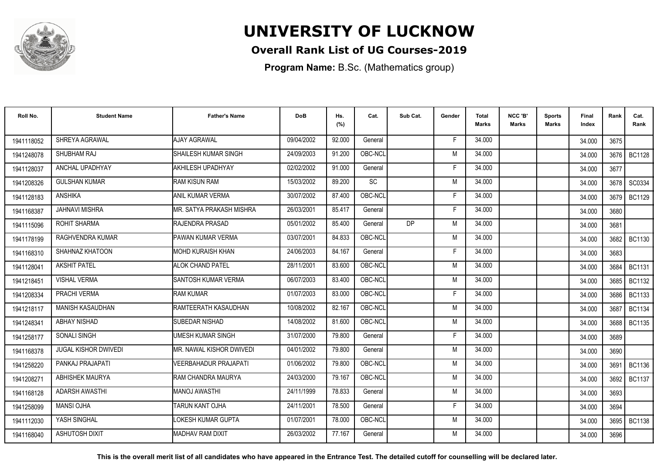

### **Overall Rank List of UG Courses-2019**

**Program Name:** B.Sc. (Mathematics group)

| Roll No.   | <b>Student Name</b>    | <b>Father's Name</b>       | <b>DoB</b> | Hs.<br>(%) | Cat.      | Sub Cat. | Gender | <b>Total</b><br><b>Marks</b> | NCC 'B'<br><b>Marks</b> | <b>Sports</b><br>Marks | Final<br>Index | Rank | Cat.<br>Rank  |
|------------|------------------------|----------------------------|------------|------------|-----------|----------|--------|------------------------------|-------------------------|------------------------|----------------|------|---------------|
| 1941118052 | SHREYA AGRAWAL         | <b>AJAY AGRAWAL</b>        | 09/04/2002 | 92.000     | General   |          | F      | 34.000                       |                         |                        | 34.000         | 3675 |               |
| 1941248078 | SHUBHAM RAJ            | SHAILESH KUMAR SINGH       | 24/09/2003 | 91.200     | OBC-NCL   |          | M      | 34.000                       |                         |                        | 34.000         | 3676 | <b>BC1128</b> |
| 1941128037 | ANCHAL UPADHYAY        | AKHILESH UPADHYAY          | 02/02/2002 | 91.000     | General   |          | F      | 34.000                       |                         |                        | 34.000         | 3677 |               |
| 1941208326 | <b>GULSHAN KUMAR</b>   | <b>RAM KISUN RAM</b>       | 15/03/2002 | 89.200     | <b>SC</b> |          | M      | 34.000                       |                         |                        | 34.000         | 3678 | SC0334        |
| 1941128183 | <b>ANSHIKA</b>         | <b>ANIL KUMAR VERMA</b>    | 30/07/2002 | 87.400     | OBC-NCL   |          | F      | 34.000                       |                         |                        | 34.000         | 3679 | BC1129        |
| 1941168387 | <b>JAHNAVI MISHRA</b>  | MR. SATYA PRAKASH MISHRA   | 26/03/2001 | 85.417     | General   |          | F      | 34.000                       |                         |                        | 34.000         | 3680 |               |
| 1941115096 | ROHIT SHARMA           | <b>RAJENDRA PRASAD</b>     | 05/01/2002 | 85.400     | General   | DP       | M      | 34.000                       |                         |                        | 34.000         | 3681 |               |
| 1941178199 | RAGHVENDRA KUMAR       | PAWAN KUMAR VERMA          | 03/07/2001 | 84.833     | OBC-NCL   |          | M      | 34.000                       |                         |                        | 34.000         |      | 3682 BC1130   |
| 1941168310 | SHAHNAZ KHATOON        | <b>MOHD KURAISH KHAN</b>   | 24/06/2003 | 84.167     | General   |          | F      | 34.000                       |                         |                        | 34.000         | 3683 |               |
| 1941128041 | <b>AKSHIT PATEL</b>    | <b>ALOK CHAND PATEL</b>    | 28/11/2001 | 83.600     | OBC-NCL   |          | M      | 34.000                       |                         |                        | 34.000         | 3684 | <b>BC1131</b> |
| 1941218451 | <b>VISHAL VERMA</b>    | <b>SANTOSH KUMAR VERMA</b> | 06/07/2003 | 83.400     | OBC-NCL   |          | M      | 34.000                       |                         |                        | 34.000         | 3685 | <b>BC1132</b> |
| 1941208334 | PRACHI VERMA           | <b>RAM KUMAR</b>           | 01/07/2003 | 83.000     | OBC-NCL   |          | F      | 34.000                       |                         |                        | 34.000         | 3686 | <b>BC1133</b> |
| 1941218117 | MANISH KASAUDHAN       | RAMTEERATH KASAUDHAN       | 10/08/2002 | 82.167     | OBC-NCL   |          | M      | 34.000                       |                         |                        | 34.000         | 3687 | <b>BC1134</b> |
| 1941248341 | <b>ABHAY NISHAD</b>    | SUBEDAR NISHAD             | 14/08/2002 | 81.600     | OBC-NCL   |          | M      | 34.000                       |                         |                        | 34.000         | 3688 | <b>BC1135</b> |
| 1941258177 | <b>SONALI SINGH</b>    | <b>UMESH KUMAR SINGH</b>   | 31/07/2000 | 79.800     | General   |          | Е      | 34.000                       |                         |                        | 34.000         | 3689 |               |
| 1941168378 | JUGAL KISHOR DWIVEDI   | MR. NAWAL KISHOR DWIVEDI   | 04/01/2002 | 79.800     | General   |          | M      | 34.000                       |                         |                        | 34.000         | 3690 |               |
| 1941258220 | PANKAJ PRAJAPATI       | VEERBAHADUR PRAJAPATI      | 01/06/2002 | 79.800     | OBC-NCL   |          | M      | 34.000                       |                         |                        | 34.000         |      | 3691   BC1136 |
| 1941208271 | <b>ABHISHEK MAURYA</b> | RAM CHANDRA MAURYA         | 24/03/2000 | 79.167     | OBC-NCL   |          | M      | 34.000                       |                         |                        | 34.000         | 3692 | <b>BC1137</b> |
| 1941168128 | ADARSH AWASTHI         | <b>MANOJ AWASTHI</b>       | 24/11/1999 | 78.833     | General   |          | M      | 34.000                       |                         |                        | 34.000         | 3693 |               |
| 1941258099 | <b>MANSI OJHA</b>      | <b>TARUN KANT OJHA</b>     | 24/11/2001 | 78.500     | General   |          | F      | 34.000                       |                         |                        | 34.000         | 3694 |               |
| 1941112030 | YASH SINGHAL           | LOKESH KUMAR GUPTA         | 01/07/2001 | 78.000     | OBC-NCL   |          | M      | 34.000                       |                         |                        | 34.000         | 3695 | <b>BC1138</b> |
| 1941168040 | <b>ASHUTOSH DIXIT</b>  | <b>MADHAV RAM DIXIT</b>    | 26/03/2002 | 77.167     | General   |          | M      | 34.000                       |                         |                        | 34.000         | 3696 |               |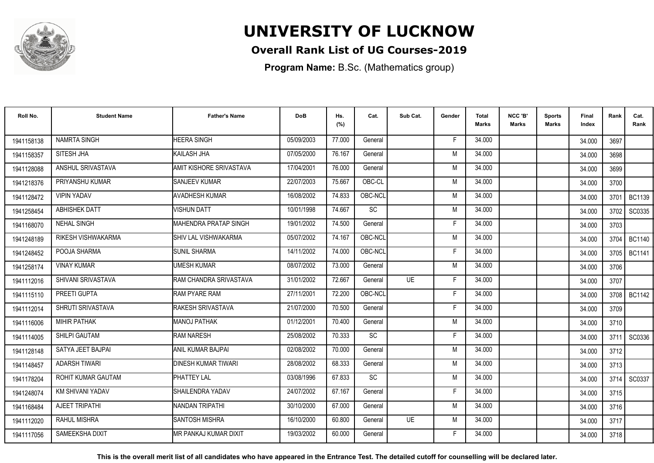

### **Overall Rank List of UG Courses-2019**

**Program Name:** B.Sc. (Mathematics group)

| Roll No.   | <b>Student Name</b>    | <b>Father's Name</b>           | <b>DoB</b> | Hs.<br>(%) | Cat.      | Sub Cat.  | Gender | <b>Total</b><br>Marks | NCC 'B'<br><b>Marks</b> | Sports<br><b>Marks</b> | Final<br>Index | Rank   | Cat.<br>Rank  |
|------------|------------------------|--------------------------------|------------|------------|-----------|-----------|--------|-----------------------|-------------------------|------------------------|----------------|--------|---------------|
| 1941158138 | <b>NAMRTA SINGH</b>    | <b>HEERA SINGH</b>             | 05/09/2003 | 77.000     | General   |           | -F     | 34.000                |                         |                        | 34.000         | 3697   |               |
| 1941158357 | SITESH JHA             | KAILASH JHA                    | 07/05/2000 | 76.167     | General   |           | M      | 34.000                |                         |                        | 34.000         | 3698   |               |
| 1941128088 | ANSHUL SRIVASTAVA      | <b>AMIT KISHORE SRIVASTAVA</b> | 17/04/2001 | 76.000     | General   |           | M      | 34.000                |                         |                        | 34.000         | 3699   |               |
| 1941218376 | PRIYANSHU KUMAR        | <b>SANJEEV KUMAR</b>           | 22/07/2003 | 75.667     | OBC-CL    |           | M      | 34.000                |                         |                        | 34.000         | 3700   |               |
| 1941128472 | <b>VIPIN YADAV</b>     | <b>AVADHESH KUMAR</b>          | 16/08/2002 | 74.833     | OBC-NCL   |           | M      | 34.000                |                         |                        | 34.000         | 3701   | <b>BC1139</b> |
| 1941258454 | <b>ABHISHEK DATT</b>   | <b>VISHUN DATT</b>             | 10/01/1998 | 74.667     | SC        |           | M      | 34.000                |                         |                        | 34.000         | 3702   | SC0335        |
| 1941168070 | NEHAL SINGH            | <b>MAHENDRA PRATAP SINGH</b>   | 19/01/2002 | 74.500     | General   |           | F      | 34.000                |                         |                        | 34.000         | 3703   |               |
| 1941248189 | RIKESH VISHWAKARMA     | <b>SHIV LAL VISHWAKARMA</b>    | 05/07/2002 | 74.167     | OBC-NCL   |           | M      | 34.000                |                         |                        | 34.000         | 3704 l | <b>BC1140</b> |
| 1941248452 | POOJA SHARMA           | <b>SUNIL SHARMA</b>            | 14/11/2002 | 74.000     | OBC-NCL   |           | E      | 34.000                |                         |                        | 34.000         |        | 3705   BC1141 |
| 1941258174 | <b>VINAY KUMAR</b>     | <b>UMESH KUMAR</b>             | 08/07/2002 | 73.000     | General   |           | M      | 34.000                |                         |                        | 34.000         | 3706   |               |
| 1941112016 | SHIVANI SRIVASTAVA     | RAM CHANDRA SRIVASTAVA         | 31/01/2002 | 72.667     | General   | <b>UE</b> | F      | 34.000                |                         |                        | 34.000         | 3707   |               |
| 1941115110 | PREETI GUPTA           | <b>RAM PYARE RAM</b>           | 27/11/2001 | 72.200     | OBC-NCL   |           | Е      | 34.000                |                         |                        | 34.000         | 3708   | <b>BC1142</b> |
| 1941112014 | SHRUTI SRIVASTAVA      | RAKESH SRIVASTAVA              | 21/07/2000 | 70.500     | General   |           | Е      | 34.000                |                         |                        | 34.000         | 3709   |               |
| 1941116006 | <b>MIHIR PATHAK</b>    | <b>MANOJ PATHAK</b>            | 01/12/2001 | 70.400     | General   |           | M      | 34.000                |                         |                        | 34.000         | 3710   |               |
| 1941114005 | SHILPI GAUTAM          | <b>RAM NARESH</b>              | 25/08/2002 | 70.333     | <b>SC</b> |           | Е      | 34.000                |                         |                        | 34.000         | 3711   | SC0336        |
| 1941128148 | SATYA JEET BAJPAI      | ANIL KUMAR BAJPAI              | 02/08/2002 | 70.000     | General   |           | M      | 34.000                |                         |                        | 34.000         | 3712   |               |
| 1941148457 | <b>ADARSH TIWARI</b>   | DINESH KUMAR TIWARI            | 28/08/2002 | 68.333     | General   |           | M      | 34.000                |                         |                        | 34.000         | 3713   |               |
| 1941178204 | ROHIT KUMAR GAUTAM     | <b>PHATTEY LAL</b>             | 03/08/1996 | 67.833     | <b>SC</b> |           | M      | 34.000                |                         |                        | 34.000         | 3714   | SC0337        |
| 1941248074 | KM SHIVANI YADAV       | SHAILENDRA YADAV               | 24/07/2002 | 67.167     | General   |           | E      | 34.000                |                         |                        | 34.000         | 3715   |               |
| 1941168484 | AJEET TRIPATHI         | INANDAN TRIPATHI               | 30/10/2000 | 67.000     | General   |           | M      | 34.000                |                         |                        | 34.000         | 3716   |               |
| 1941112020 | RAHUL MISHRA           | <b>SANTOSH MISHRA</b>          | 16/10/2000 | 60.800     | General   | <b>UE</b> | M      | 34.000                |                         |                        | 34.000         | 3717   |               |
| 1941117056 | <b>SAMEEKSHA DIXIT</b> | IMR PANKAJ KUMAR DIXIT         | 19/03/2002 | 60.000     | General   |           | F      | 34.000                |                         |                        | 34.000         | 3718   |               |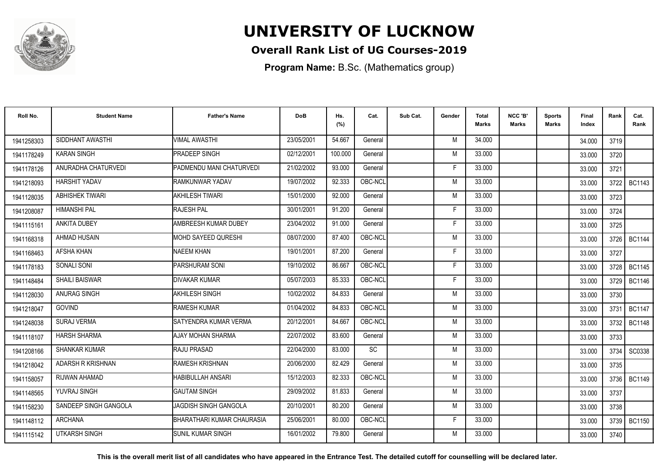

### **Overall Rank List of UG Courses-2019**

**Program Name:** B.Sc. (Mathematics group)

| Roll No.   | <b>Student Name</b>      | <b>Father's Name</b>       | <b>DoB</b> | Hs.<br>(%) | Cat.    | Sub Cat. | Gender | <b>Total</b><br>Marks | NCC 'B'<br><b>Marks</b> | Sports<br>Marks | Final<br>Index | Rank   | Cat.<br>Rank  |
|------------|--------------------------|----------------------------|------------|------------|---------|----------|--------|-----------------------|-------------------------|-----------------|----------------|--------|---------------|
| 1941258303 | SIDDHANT AWASTHI         | <b>VIMAL AWASTHI</b>       | 23/05/2001 | 54.667     | General |          | M      | 34.000                |                         |                 | 34.000         | 3719   |               |
| 1941178249 | <b>KARAN SINGH</b>       | <b>PRADEEP SINGH</b>       | 02/12/2001 | 100.000    | General |          | M      | 33.000                |                         |                 | 33.000         | 3720   |               |
| 1941178126 | ANURADHA CHATURVEDI      | PADMENDU MANI CHATURVEDI   | 21/02/2002 | 93.000     | General |          | E      | 33.000                |                         |                 | 33.000         | 3721   |               |
| 1941218093 | HARSHIT YADAV            | RAMKUNWAR YADAV            | 19/07/2002 | 92.333     | OBC-NCL |          | M      | 33.000                |                         |                 | 33.000         | 3722   | <b>BC1143</b> |
| 1941128035 | <b>ABHISHEK TIWARI</b>   | AKHILESH TIWARI            | 15/01/2000 | 92.000     | General |          | M      | 33.000                |                         |                 | 33.000         | 3723   |               |
| 1941208087 | <b>HIMANSHI PAL</b>      | <b>RAJESH PAL</b>          | 30/01/2001 | 91.200     | General |          | Е      | 33.000                |                         |                 | 33.000         | 3724   |               |
| 1941115161 | ANKITA DUBEY             | AMBREESH KUMAR DUBEY       | 23/04/2002 | 91.000     | General |          | F      | 33.000                |                         |                 | 33.000         | 3725   |               |
| 1941168318 | <b>AHMAD HUSAIN</b>      | IMOHD SAYEED QURESHI       | 08/07/2000 | 87.400     | OBC-NCL |          | M      | 33.000                |                         |                 | 33.000         |        | 3726   BC1144 |
| 1941168463 | <b>AFSHA KHAN</b>        | <b>NAEEM KHAN</b>          | 19/01/2001 | 87.200     | General |          | F      | 33.000                |                         |                 | 33.000         | 3727   |               |
| 1941178183 | <b>SONALI SONI</b>       | PARSHURAM SONI             | 19/10/2002 | 86.667     | OBC-NCL |          | F      | 33.000                |                         |                 | 33.000         | 3728 I | <b>BC1145</b> |
| 1941148484 | <b>SHAILI BAISWAR</b>    | <b>DIVAKAR KUMAR</b>       | 05/07/2003 | 85.333     | OBC-NCL |          | Е      | 33.000                |                         |                 | 33.000         | 3729   | <b>BC1146</b> |
| 1941128030 | ANURAG SINGH             | <b>AKHILESH SINGH</b>      | 10/02/2002 | 84.833     | General |          | M      | 33.000                |                         |                 | 33.000         | 3730   |               |
| 1941218047 | <b>GOVIND</b>            | <b>RAMESH KUMAR</b>        | 01/04/2002 | 84.833     | OBC-NCL |          | M      | 33.000                |                         |                 | 33.000         | 3731   | <b>BC1147</b> |
| 1941248038 | SURAJ VERMA              | SATYENDRA KUMAR VERMA      | 20/12/2001 | 84.667     | OBC-NCL |          | M      | 33.000                |                         |                 | 33.000         | 3732   | <b>BC1148</b> |
| 1941118107 | <b>HARSH SHARMA</b>      | AJAY MOHAN SHARMA          | 22/07/2002 | 83.600     | General |          | M      | 33.000                |                         |                 | 33.000         | 3733   |               |
| 1941208166 | <b>SHANKAR KUMAR</b>     | <b>RAJU PRASAD</b>         | 22/04/2000 | 83.000     | SC      |          | M      | 33.000                |                         |                 | 33.000         | 3734   | SC0338        |
| 1941218042 | <b>ADARSH R KRISHNAN</b> | RAMESH KRISHNAN            | 20/06/2000 | 82.429     | General |          | M      | 33.000                |                         |                 | 33.000         | 3735   |               |
| 1941158057 | RIJWAN AHAMAD            | <b>HABIBULLAH ANSARI</b>   | 15/12/2003 | 82.333     | OBC-NCL |          | M      | 33.000                |                         |                 | 33.000         |        | 3736   BC1149 |
| 1941148565 | YUVRAJ SINGH             | <b>GAUTAM SINGH</b>        | 29/09/2002 | 81.833     | General |          | M      | 33.000                |                         |                 | 33.000         | 3737   |               |
| 1941158230 | SANDEEP SINGH GANGOLA    | JAGDISH SINGH GANGOLA      | 20/10/2001 | 80.200     | General |          | M      | 33.000                |                         |                 | 33.000         | 3738   |               |
| 1941148112 | <b>ARCHANA</b>           | BHARATHARI KUMAR CHAURASIA | 25/06/2001 | 80.000     | OBC-NCL |          | F.     | 33.000                |                         |                 | 33.000         | 3739 I | <b>BC1150</b> |
| 1941115142 | <b>UTKARSH SINGH</b>     | <b>I</b> SUNIL KUMAR SINGH | 16/01/2002 | 79.800     | General |          | M      | 33.000                |                         |                 | 33.000         | 3740   |               |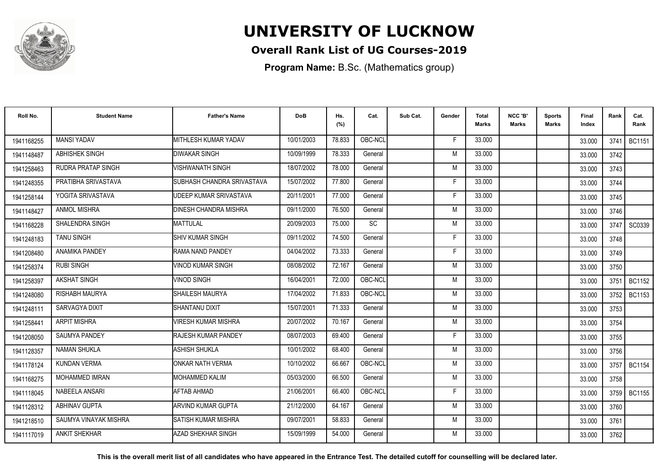

### **Overall Rank List of UG Courses-2019**

**Program Name:** B.Sc. (Mathematics group)

| Roll No.   | <b>Student Name</b>   | <b>Father's Name</b>         | <b>DoB</b> | Hs.<br>(%) | Cat.      | Sub Cat. | Gender | Total<br>Marks | NCC 'B'<br><b>Marks</b> | Sports<br>Marks | Final<br>Index | Rank | Cat.<br>Rank  |
|------------|-----------------------|------------------------------|------------|------------|-----------|----------|--------|----------------|-------------------------|-----------------|----------------|------|---------------|
| 1941168255 | <b>MANSI YADAV</b>    | <b>IMITHLESH KUMAR YADAV</b> | 10/01/2003 | 78.833     | OBC-NCL   |          | E      | 33.000         |                         |                 | 33.000         | 3741 | <b>BC1151</b> |
| 1941148487 | ABHISHEK SINGH        | <b>DIWAKAR SINGH</b>         | 10/09/1999 | 78.333     | General   |          | M      | 33.000         |                         |                 | 33.000         | 3742 |               |
| 1941258463 | RUDRA PRATAP SINGH    | <b>VISHWANATH SINGH</b>      | 18/07/2002 | 78.000     | General   |          | M      | 33.000         |                         |                 | 33.000         | 3743 |               |
| 1941248355 | PRATIBHA SRIVASTAVA   | SUBHASH CHANDRA SRIVASTAVA   | 15/07/2002 | 77.800     | General   |          | F      | 33.000         |                         |                 | 33.000         | 3744 |               |
| 1941258144 | YOGITA SRIVASTAVA     | UDEEP KUMAR SRIVASTAVA       | 20/11/2001 | 77.000     | General   |          | -F     | 33.000         |                         |                 | 33.000         | 3745 |               |
| 1941148427 | <b>ANMOL MISHRA</b>   | <b>DINESH CHANDRA MISHRA</b> | 09/11/2000 | 76.500     | General   |          | M      | 33.000         |                         |                 | 33.000         | 3746 |               |
| 1941168228 | SHALENDRA SINGH       | <b>MATTULAL</b>              | 20/09/2003 | 75.000     | <b>SC</b> |          | M      | 33.000         |                         |                 | 33.000         | 3747 | SC0339        |
| 1941248183 | <b>TANU SINGH</b>     | <b>SHIV KUMAR SINGH</b>      | 09/11/2002 | 74.500     | General   |          | F      | 33.000         |                         |                 | 33.000         | 3748 |               |
| 1941208480 | <b>ANAMIKA PANDEY</b> | RAMA NAND PANDEY             | 04/04/2002 | 73.333     | General   |          | F      | 33.000         |                         |                 | 33.000         | 3749 |               |
| 1941258374 | <b>RUBI SINGH</b>     | <b>VINOD KUMAR SINGH</b>     | 08/08/2002 | 72.167     | General   |          | M      | 33.000         |                         |                 | 33.000         | 3750 |               |
| 1941258397 | AKSHAT SINGH          | <b>VINOD SINGH</b>           | 16/04/2001 | 72.000     | OBC-NCL   |          | M      | 33.000         |                         |                 | 33.000         | 3751 | <b>BC1152</b> |
| 1941248080 | <b>RISHABH MAURYA</b> | SHAILESH MAURYA              | 17/04/2002 | 71.833     | OBC-NCL   |          | M      | 33.000         |                         |                 | 33.000         | 3752 | <b>BC1153</b> |
| 1941248111 | SARVAGYA DIXIT        | <b>SHANTANU DIXIT</b>        | 15/07/2001 | 71.333     | General   |          | M      | 33.000         |                         |                 | 33.000         | 3753 |               |
| 1941258441 | <b>ARPIT MISHRA</b>   | <b>VIRESH KUMAR MISHRA</b>   | 20/07/2002 | 70.167     | General   |          | M      | 33.000         |                         |                 | 33.000         | 3754 |               |
| 1941208050 | SAUMYA PANDEY         | <b>RAJESH KUMAR PANDEY</b>   | 08/07/2003 | 69.400     | General   |          | F      | 33.000         |                         |                 | 33.000         | 3755 |               |
| 1941128357 | <b>NAMAN SHUKLA</b>   | <b>ASHISH SHUKLA</b>         | 10/01/2002 | 68.400     | General   |          | M      | 33.000         |                         |                 | 33.000         | 3756 |               |
| 1941178124 | <b>KUNDAN VERMA</b>   | ONKAR NATH VERMA             | 10/10/2002 | 66.667     | OBC-NCL   |          | M      | 33.000         |                         |                 | 33.000         |      | 3757 BC1154   |
| 1941168275 | <b>MOHAMMED IMRAN</b> | IMOHAMMED KALIM              | 05/03/2000 | 66.500     | General   |          | M      | 33.000         |                         |                 | 33.000         | 3758 |               |
| 1941118045 | NABEELA ANSARI        | <b>AFTAB AHMAD</b>           | 21/06/2001 | 66.400     | OBC-NCL   |          | E      | 33.000         |                         |                 | 33.000         | 3759 | <b>BC1155</b> |
| 1941128312 | <b>ABHINAV GUPTA</b>  | ARVIND KUMAR GUPTA           | 21/12/2000 | 64.167     | General   |          | M      | 33.000         |                         |                 | 33.000         | 3760 |               |
| 1941218510 | SAUMYA VINAYAK MISHRA | ISATISH KUMAR MISHRA         | 09/07/2001 | 58.833     | General   |          | M      | 33.000         |                         |                 | 33.000         | 3761 |               |
| 1941117019 | <b>ANKIT SHEKHAR</b>  | AZAD SHEKHAR SINGH           | 15/09/1999 | 54.000     | General   |          | M      | 33.000         |                         |                 | 33.000         | 3762 |               |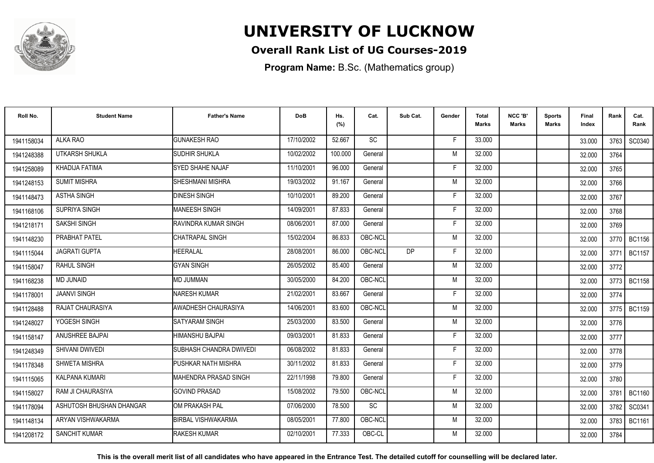

### **Overall Rank List of UG Courses-2019**

**Program Name:** B.Sc. (Mathematics group)

| Roll No.   | <b>Student Name</b>      | <b>Father's Name</b>         | <b>DoB</b> | Hs.<br>(%) | Cat.      | Sub Cat. | Gender | Total<br><b>Marks</b> | NCC 'B'<br><b>Marks</b> | Sports<br>Marks | Final<br>Index | Rank   | Cat.<br>Rank  |
|------------|--------------------------|------------------------------|------------|------------|-----------|----------|--------|-----------------------|-------------------------|-----------------|----------------|--------|---------------|
| 1941158034 | ALKA RAO                 | <b>GUNAKESH RAO</b>          | 17/10/2002 | 52.667     | <b>SC</b> |          | E      | 33.000                |                         |                 | 33.000         | 3763 l | SC0340        |
| 1941248388 | UTKARSH SHUKLA           | SUDHIR SHUKLA                | 10/02/2002 | 100.000    | General   |          | M      | 32.000                |                         |                 | 32.000         | 3764   |               |
| 1941258089 | KHADIJA FATIMA           | SYED SHAHE NAJAF             | 11/10/2001 | 96.000     | General   |          | F.     | 32.000                |                         |                 | 32.000         | 3765   |               |
| 1941248153 | <b>SUMIT MISHRA</b>      | SHESHMANI MISHRA             | 19/03/2002 | 91.167     | General   |          | M      | 32.000                |                         |                 | 32.000         | 3766   |               |
| 1941148473 | <b>ASTHA SINGH</b>       | <b>DINESH SINGH</b>          | 10/10/2001 | 89.200     | General   |          | F      | 32.000                |                         |                 | 32.000         | 3767   |               |
| 1941168106 | SUPRIYA SINGH            | <b>MANEESH SINGH</b>         | 14/09/2001 | 87.833     | General   |          | F      | 32.000                |                         |                 | 32.000         | 3768   |               |
| 1941218171 | <b>SAKSHI SINGH</b>      | RAVINDRA KUMAR SINGH         | 08/06/2001 | 87.000     | General   |          | F      | 32.000                |                         |                 | 32.000         | 3769   |               |
| 1941148230 | PRABHAT PATEL            | CHATRAPAL SINGH              | 15/02/2004 | 86.833     | OBC-NCL   |          | M      | 32.000                |                         |                 | 32.000         |        | 3770 BC1156   |
| 1941115044 | <b>JAGRATI GUPTA</b>     | HEERALAL                     | 28/08/2001 | 86.000     | OBC-NCL   | DP       | F      | 32.000                |                         |                 | 32.000         | 3771   | BC1157        |
| 1941158047 | <b>RAHUL SINGH</b>       | <b>GYAN SINGH</b>            | 26/05/2002 | 85.400     | General   |          | M      | 32.000                |                         |                 | 32.000         | 3772   |               |
| 1941168238 | <b>MD JUNAID</b>         | <b>MD JUMMAN</b>             | 30/05/2000 | 84.200     | OBC-NCL   |          | M      | 32.000                |                         |                 | 32.000         | 3773   | <b>BC1158</b> |
| 1941178001 | <b>JAANVI SINGH</b>      | NARESH KUMAR                 | 21/02/2001 | 83.667     | General   |          | F      | 32.000                |                         |                 | 32.000         | 3774   |               |
| 1941128488 | RAJAT CHAURASIYA         | AWADHESH CHAURASIYA          | 14/06/2001 | 83.600     | OBC-NCL   |          | M      | 32.000                |                         |                 | 32.000         |        | 3775   BC1159 |
| 1941248027 | YOGESH SINGH             | SATYARAM SINGH               | 25/03/2000 | 83.500     | General   |          | M      | 32.000                |                         |                 | 32.000         | 3776   |               |
| 1941158147 | ANUSHREE BAJPAI          | HIMANSHU BAJPAI              | 09/03/2001 | 81.833     | General   |          | Е      | 32.000                |                         |                 | 32.000         | 3777   |               |
| 1941248349 | SHIVANI DWIVEDI          | SUBHASH CHANDRA DWIVEDI      | 06/08/2002 | 81.833     | General   |          | F      | 32.000                |                         |                 | 32.000         | 3778   |               |
| 1941178348 | SHWETA MISHRA            | PUSHKAR NATH MISHRA          | 30/11/2002 | 81.833     | General   |          | F      | 32.000                |                         |                 | 32.000         | 3779   |               |
| 1941115065 | <b>KALPANA KUMARI</b>    | <b>MAHENDRA PRASAD SINGH</b> | 22/11/1998 | 79.800     | General   |          | F      | 32.000                |                         |                 | 32.000         | 3780   |               |
| 1941158027 | <b>RAM JI CHAURASIYA</b> | <b>GOVIND PRASAD</b>         | 15/08/2002 | 79.500     | OBC-NCL   |          | M      | 32.000                |                         |                 | 32.000         | 3781   | <b>BC1160</b> |
| 1941178094 | ASHUTOSH BHUSHAN DHANGAR | OM PRAKASH PAL               | 07/06/2000 | 78.500     | SC        |          | M      | 32.000                |                         |                 | 32.000         | 3782   | SC0341        |
| 1941148134 | ARYAN VISHWAKARMA        | <b>BIRBAL VISHWAKARMA</b>    | 08/05/2001 | 77.800     | OBC-NCL   |          | M      | 32.000                |                         |                 | 32.000         | 3783   | <b>BC1161</b> |
| 1941208172 | <b>SANCHIT KUMAR</b>     | <b>RAKESH KUMAR</b>          | 02/10/2001 | 77.333     | OBC-CL    |          | M      | 32.000                |                         |                 | 32.000         | 3784   |               |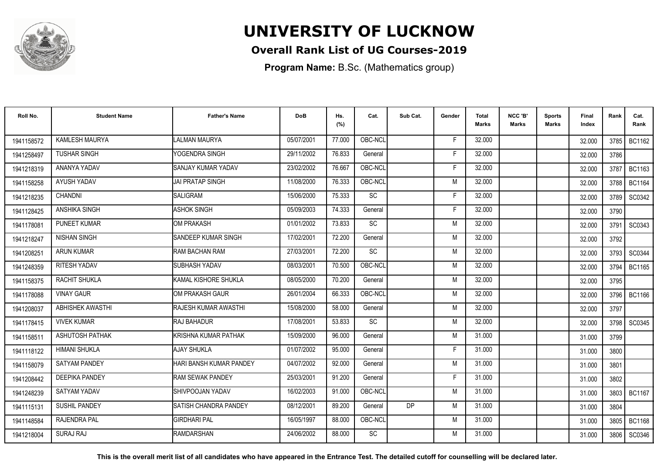

### **Overall Rank List of UG Courses-2019**

**Program Name:** B.Sc. (Mathematics group)

| Roll No.   | <b>Student Name</b>   | <b>Father's Name</b>         | <b>DoB</b> | Hs.<br>(%) | Cat.      | Sub Cat. | Gender | <b>Total</b><br><b>Marks</b> | NCC 'B'<br><b>Marks</b> | Sports<br>Marks | Final<br>Index | Rank | Cat.<br>Rank  |
|------------|-----------------------|------------------------------|------------|------------|-----------|----------|--------|------------------------------|-------------------------|-----------------|----------------|------|---------------|
| 1941158572 | KAMLESH MAURYA        | LALMAN MAURYA                | 05/07/2001 | 77.000     | OBC-NCL   |          | F      | 32.000                       |                         |                 | 32.000         |      | 3785 BC1162   |
| 1941258497 | <b>TUSHAR SINGH</b>   | YOGENDRA SINGH               | 29/11/2002 | 76.833     | General   |          | F      | 32.000                       |                         |                 | 32.000         | 3786 |               |
| 1941218319 | ANANYA YADAV          | SANJAY KUMAR YADAV           | 23/02/2002 | 76.667     | OBC-NCL   |          | F      | 32.000                       |                         |                 | 32.000         | 3787 | <b>BC1163</b> |
| 1941158258 | AYUSH YADAV           | <b>JAI PRATAP SINGH</b>      | 11/08/2000 | 76.333     | OBC-NCL   |          | M      | 32.000                       |                         |                 | 32.000         | 3788 | <b>BC1164</b> |
| 1941218235 | <b>CHANDNI</b>        | <b>SALIGRAM</b>              | 15/06/2000 | 75.333     | SC        |          | F      | 32.000                       |                         |                 | 32.000         | 3789 | SC0342        |
| 1941128425 | ANSHIKA SINGH         | <b>ASHOK SINGH</b>           | 05/09/2003 | 74.333     | General   |          | E      | 32.000                       |                         |                 | 32.000         | 3790 |               |
| 1941178081 | PUNEET KUMAR          | OM PRAKASH                   | 01/01/2002 | 73.833     | <b>SC</b> |          | M      | 32.000                       |                         |                 | 32.000         | 3791 | SC0343        |
| 1941218247 | <b>NISHAN SINGH</b>   | SANDEEP KUMAR SINGH          | 17/02/2001 | 72.200     | General   |          | M      | 32.000                       |                         |                 | 32.000         | 3792 |               |
| 194120825  | <b>ARUN KUMAR</b>     | RAM BACHAN RAM               | 27/03/2001 | 72.200     | <b>SC</b> |          | M      | 32.000                       |                         |                 | 32.000         |      | 3793 SC0344   |
| 1941248359 | RITESH YADAV          | SUBHASH YADAV                | 08/03/2001 | 70.500     | OBC-NCL   |          | M      | 32.000                       |                         |                 | 32.000         | 3794 | <b>BC1165</b> |
| 1941158375 | <b>RACHIT SHUKLA</b>  | KAMAL KISHORE SHUKLA         | 08/05/2000 | 70.200     | General   |          | M      | 32.000                       |                         |                 | 32.000         | 3795 |               |
| 1941178088 | <b>VINAY GAUR</b>     | OM PRAKASH GAUR              | 26/01/2004 | 66.333     | OBC-NCL   |          | M      | 32.000                       |                         |                 | 32.000         | 3796 | <b>BC1166</b> |
| 1941208037 | ABHISHEK AWASTHI      | RAJESH KUMAR AWASTHI         | 15/08/2000 | 58.000     | General   |          | M      | 32.000                       |                         |                 | 32.000         | 3797 |               |
| 1941178415 | <b>VIVEK KUMAR</b>    | <b>RAJ BAHADUR</b>           | 17/08/2001 | 53.833     | <b>SC</b> |          | M      | 32.000                       |                         |                 | 32.000         | 3798 | SC0345        |
| 1941158511 | ASHUTOSH PATHAK       | KRISHNA KUMAR PATHAK         | 15/09/2000 | 96.000     | General   |          | M      | 31.000                       |                         |                 | 31.000         | 3799 |               |
| 1941118122 | <b>HIMANI SHUKLA</b>  | <b>AJAY SHUKLA</b>           | 01/07/2002 | 95.000     | General   |          | F      | 31.000                       |                         |                 | 31.000         | 3800 |               |
| 1941158079 | <b>SATYAM PANDEY</b>  | HARI BANSH KUMAR PANDEY      | 04/07/2002 | 92.000     | General   |          | M      | 31.000                       |                         |                 | 31.000         | 3801 |               |
| 1941208442 | <b>DEEPIKA PANDEY</b> | <b>RAM SEWAK PANDEY</b>      | 25/03/2001 | 91.200     | General   |          | F      | 31.000                       |                         |                 | 31.000         | 3802 |               |
| 1941248239 | SATYAM YADAV          | SHIVPOOJAN YADAV             | 16/02/2003 | 91.000     | OBC-NCL   |          | M      | 31.000                       |                         |                 | 31.000         | 3803 | BC1167        |
| 1941115131 | <b>SUSHIL PANDEY</b>  | <b>SATISH CHANDRA PANDEY</b> | 08/12/2001 | 89.200     | General   | DP       | M      | 31.000                       |                         |                 | 31.000         | 3804 |               |
| 1941148584 | <b>RAJENDRA PAL</b>   | <b>GIRDHARI PAL</b>          | 16/05/1997 | 88.000     | OBC-NCL   |          | M      | 31.000                       |                         |                 | 31.000         | 3805 | <b>BC1168</b> |
| 1941218004 | <b>SURAJ RAJ</b>      | <b>RAMDARSHAN</b>            | 24/06/2002 | 88.000     | <b>SC</b> |          | M      | 31.000                       |                         |                 | 31.000         | 3806 | SC0346        |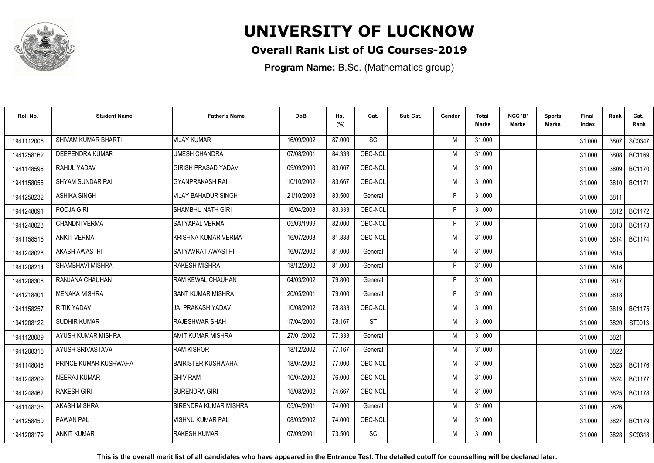

### **Overall Rank List of UG Courses-2019**

**Program Name:** B.Sc. (Mathematics group)

| Roll No.   | <b>Student Name</b>   | <b>Father's Name</b>         | <b>DoB</b> | Hs.<br>(%) | Cat.      | Sub Cat. | Gender | <b>Total</b><br><b>Marks</b> | NCC 'B'<br><b>Marks</b> | Sports<br>Marks | Final<br>Index | Rank | Cat.<br>Rank  |
|------------|-----------------------|------------------------------|------------|------------|-----------|----------|--------|------------------------------|-------------------------|-----------------|----------------|------|---------------|
| 1941112005 | SHIVAM KUMAR BHARTI   | <b>VIJAY KUMAR</b>           | 16/09/2002 | 87.000     | <b>SC</b> |          | M      | 31.000                       |                         |                 | 31.000         | 3807 | SC0347        |
| 1941258162 | DEEPENDRA KUMAR       | UMESH CHANDRA                | 07/08/2001 | 84.333     | OBC-NCL   |          | M      | 31.000                       |                         |                 | 31.000         | 3808 | <b>BC1169</b> |
| 1941148596 | RAHUL YADAV           | <b>GIRISH PRASAD YADAV</b>   | 09/09/2000 | 83.667     | OBC-NCL   |          | M      | 31.000                       |                         |                 | 31.000         | 3809 | <b>BC1170</b> |
| 1941158056 | SHYAM SUNDAR RAI      | <b>GYANPRAKASH RAI</b>       | 10/10/2002 | 83.667     | OBC-NCL   |          | M      | 31.000                       |                         |                 | 31.000         | 3810 | <b>BC1171</b> |
| 1941258232 | <b>ASHIKA SINGH</b>   | VIJAY BAHADUR SINGH          | 21/10/2003 | 83.500     | General   |          | F      | 31.000                       |                         |                 | 31.000         | 3811 |               |
| 1941248091 | POOJA GIRI            | <b>SHAMBHU NATH GIRI</b>     | 16/04/2003 | 83.333     | OBC-NCL   |          | E      | 31.000                       |                         |                 | 31.000         | 3812 | <b>BC1172</b> |
| 1941248023 | <b>CHANDNI VERMA</b>  | SATYAPAL VERMA               | 05/03/1999 | 82.000     | OBC-NCL   |          | F      | 31.000                       |                         |                 | 31.000         | 3813 | <b>BC1173</b> |
| 1941158515 | <b>ANKIT VERMA</b>    | <b>KRISHNA KUMAR VERMA</b>   | 16/07/2003 | 81.833     | OBC-NCL   |          | M      | 31.000                       |                         |                 | 31.000         | 3814 | <b>BC1174</b> |
| 1941248028 | <b>AKASH AWASTHI</b>  | SATYAVRAT AWASTHI            | 16/07/2002 | 81.000     | General   |          | M      | 31.000                       |                         |                 | 31.000         | 3815 |               |
| 1941208214 | SHAMBHAVI MISHRA      | RAKESH MISHRA                | 18/12/2002 | 81.000     | General   |          | F      | 31.000                       |                         |                 | 31.000         | 3816 |               |
| 1941208308 | RANJANA CHAUHAN       | RAM KEWAL CHAUHAN            | 04/03/2002 | 79.800     | General   |          | F      | 31.000                       |                         |                 | 31.000         | 3817 |               |
| 1941218401 | <b>MENAKA MISHRA</b>  | <b>SANT KUMAR MISHRA</b>     | 20/05/2001 | 79.000     | General   |          | F      | 31.000                       |                         |                 | 31.000         | 3818 |               |
| 1941158257 | <b>RITIK YADAV</b>    | <b>JAI PRAKASH YADAV</b>     | 10/08/2002 | 78.833     | OBC-NCL   |          | M      | 31.000                       |                         |                 | 31.000         | 3819 | <b>BC1175</b> |
| 1941208122 | <b>SUDHIR KUMAR</b>   | <b>RAJESHWAR SHAH</b>        | 17/04/2000 | 78.167     | <b>ST</b> |          | M      | 31.000                       |                         |                 | 31.000         | 3820 | ST0013        |
| 1941128089 | AYUSH KUMAR MISHRA    | <b>AMIT KUMAR MISHRA</b>     | 27/01/2002 | 77.333     | General   |          | M      | 31.000                       |                         |                 | 31.000         | 3821 |               |
| 1941208315 | AYUSH SRIVASTAVA      | <b>RAM KISHOR</b>            | 18/12/2002 | 77.167     | General   |          | M      | 31.000                       |                         |                 | 31.000         | 3822 |               |
| 1941148048 | PRINCE KUMAR KUSHWAHA | <b>BAIRISTER KUSHWAHA</b>    | 18/04/2002 | 77.000     | OBC-NCL   |          | M      | 31.000                       |                         |                 | 31.000         |      | 3823   BC1176 |
| 1941248209 | <b>NEERAJ KUMAR</b>   | <b>SHIV RAM</b>              | 10/04/2002 | 76.000     | OBC-NCL   |          | M      | 31.000                       |                         |                 | 31.000         | 3824 | <b>BC1177</b> |
| 1941248462 | <b>RAKESH GIRI</b>    | SURENDRA GIRI                | 15/08/2002 | 74.667     | OBC-NCL   |          | M      | 31.000                       |                         |                 | 31.000         | 3825 | <b>BC1178</b> |
| 1941148136 | <b>AKASH MISHRA</b>   | <b>BIRENDRA KUMAR MISHRA</b> | 05/04/2001 | 74.000     | General   |          | M      | 31.000                       |                         |                 | 31.000         | 3826 |               |
| 1941258450 | <b>PAWAN PAL</b>      | VISHNU KUMAR PAL             | 08/03/2002 | 74.000     | OBC-NCL   |          | M      | 31.000                       |                         |                 | 31.000         | 3827 | <b>BC1179</b> |
| 1941208179 | <b>ANKIT KUMAR</b>    | <b>RAKESH KUMAR</b>          | 07/09/2001 | 73.500     | <b>SC</b> |          | M      | 31.000                       |                         |                 | 31.000         | 3828 | SC0348        |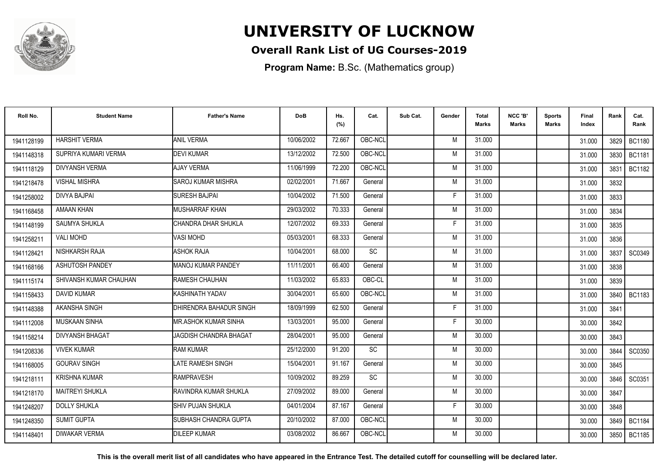

### **Overall Rank List of UG Courses-2019**

**Program Name:** B.Sc. (Mathematics group)

| Roll No.   | <b>Student Name</b>    | <b>Father's Name</b>          | <b>DoB</b> | Hs.<br>(%) | Cat.    | Sub Cat. | Gender | <b>Total</b><br><b>Marks</b> | NCC 'B'<br><b>Marks</b> | Sports<br><b>Marks</b> | Final<br>Index | Rank | Cat.<br>Rank  |
|------------|------------------------|-------------------------------|------------|------------|---------|----------|--------|------------------------------|-------------------------|------------------------|----------------|------|---------------|
| 1941128199 | <b>HARSHIT VERMA</b>   | <b>ANIL VERMA</b>             | 10/06/2002 | 72.667     | OBC-NCL |          | M      | 31.000                       |                         |                        | 31.000         |      | 3829 BC1180   |
| 1941148318 | SUPRIYA KUMARI VERMA   | <b>DEVI KUMAR</b>             | 13/12/2002 | 72.500     | OBC-NCL |          | M      | 31.000                       |                         |                        | 31.000         | 3830 | <b>BC1181</b> |
| 1941118129 | <b>DIVYANSH VERMA</b>  | <b>AJAY VERMA</b>             | 11/06/1999 | 72.200     | OBC-NCL |          | M      | 31.000                       |                         |                        | 31.000         | 3831 | <b>BC1182</b> |
| 1941218478 | <b>VISHAL MISHRA</b>   | <b>SAROJ KUMAR MISHRA</b>     | 02/02/2001 | 71.667     | General |          | M      | 31.000                       |                         |                        | 31.000         | 3832 |               |
| 1941258002 | <b>DIVYA BAJPAI</b>    | <b>SURESH BAJPAI</b>          | 10/04/2002 | 71.500     | General |          | F      | 31.000                       |                         |                        | 31.000         | 3833 |               |
| 1941168458 | <b>AMAAN KHAN</b>      | <b>MUSHARRAF KHAN</b>         | 29/03/2002 | 70.333     | General |          | M      | 31.000                       |                         |                        | 31.000         | 3834 |               |
| 1941148199 | SAUMYA SHUKLA          | CHANDRA DHAR SHUKLA           | 12/07/2002 | 69.333     | General |          | F      | 31.000                       |                         |                        | 31.000         | 3835 |               |
| 1941258211 | <b>VALI MOHD</b>       | VASI MOHD                     | 05/03/2001 | 68.333     | General |          | M      | 31.000                       |                         |                        | 31.000         | 3836 |               |
| 1941128421 | NISHKARSH RAJA         | ASHOK RAJA                    | 10/04/2001 | 68.000     | SC      |          | M      | 31.000                       |                         |                        | 31.000         | 3837 | SC0349        |
| 1941168166 | ASHUTOSH PANDEY        | <b>MANOJ KUMAR PANDEY</b>     | 11/11/2001 | 66.400     | General |          | M      | 31.000                       |                         |                        | 31.000         | 3838 |               |
| 1941115174 | SHIVANSH KUMAR CHAUHAN | RAMESH CHAUHAN                | 11/03/2002 | 65.833     | OBC-CL  |          | M      | 31.000                       |                         |                        | 31.000         | 3839 |               |
| 1941158433 | <b>DAVID KUMAR</b>     | KASHINATH YADAV               | 30/04/2001 | 65.600     | OBC-NCL |          | M      | 31.000                       |                         |                        | 31.000         | 3840 | <b>BC1183</b> |
| 1941148388 | AKANSHA SINGH          | DHIRENDRA BAHADUR SINGH       | 18/09/1999 | 62.500     | General |          |        | 31.000                       |                         |                        | 31.000         | 3841 |               |
| 1941112008 | <b>MUSKAAN SINHA</b>   | <b>MR.ASHOK KUMAR SINHA</b>   | 13/03/2001 | 95.000     | General |          | F      | 30.000                       |                         |                        | 30.000         | 3842 |               |
| 1941158214 | <b>DIVYANSH BHAGAT</b> | <b>JAGDISH CHANDRA BHAGAT</b> | 28/04/2001 | 95.000     | General |          | M      | 30.000                       |                         |                        | 30.000         | 3843 |               |
| 1941208336 | <b>VIVEK KUMAR</b>     | <b>RAM KUMAR</b>              | 25/12/2000 | 91.200     | SC      |          | M      | 30.000                       |                         |                        | 30.000         | 3844 | SC0350        |
| 1941168005 | <b>GOURAV SINGH</b>    | LATE RAMESH SINGH             | 15/04/2001 | 91.167     | General |          | M      | 30.000                       |                         |                        | 30.000         | 3845 |               |
| 1941218111 | <b>KRISHNA KUMAR</b>   | <b>RAMPRAVESH</b>             | 10/09/2002 | 89.259     | SC      |          | M      | 30.000                       |                         |                        | 30.000         | 3846 | SC0351        |
| 1941218170 | <b>MAITREYI SHUKLA</b> | RAVINDRA KUMAR SHUKLA         | 27/09/2002 | 89.000     | General |          | M      | 30.000                       |                         |                        | 30.000         | 3847 |               |
| 1941248207 | <b>DOLLY SHUKLA</b>    | <b>SHIV PUJAN SHUKLA</b>      | 04/01/2004 | 87.167     | General |          | F      | 30.000                       |                         |                        | 30.000         | 3848 |               |
| 1941248350 | <b>SUMIT GUPTA</b>     | SUBHASH CHANDRA GUPTA         | 20/10/2002 | 87.000     | OBC-NCL |          | M      | 30.000                       |                         |                        | 30.000         | 3849 | <b>BC1184</b> |
| 1941148401 | <b>DIWAKAR VERMA</b>   | <b>DILEEP KUMAR</b>           | 03/08/2002 | 86.667     | OBC-NCL |          | M      | 30.000                       |                         |                        | 30.000         | 3850 | <b>BC1185</b> |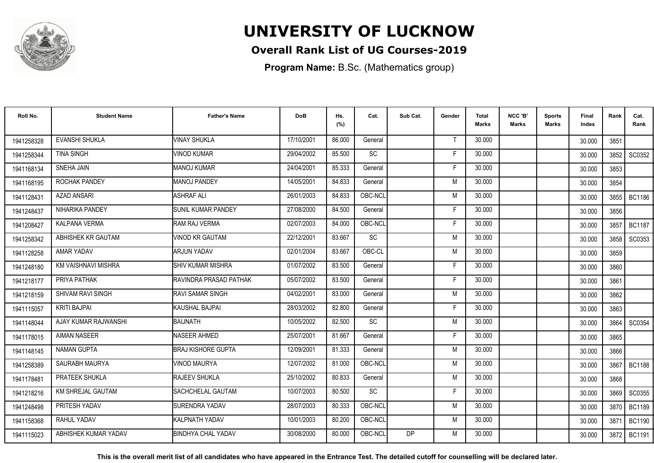

### **Overall Rank List of UG Courses-2019**

**Program Name:** B.Sc. (Mathematics group)

| Roll No.   | <b>Student Name</b>      | <b>Father's Name</b>      | <b>DoB</b> | Hs.<br>(%) | Cat.    | Sub Cat.  | Gender | Total<br>Marks | NCC 'B'<br><b>Marks</b> | Sports<br>Marks | Final<br>Index | Rank | Cat.<br>Rank  |
|------------|--------------------------|---------------------------|------------|------------|---------|-----------|--------|----------------|-------------------------|-----------------|----------------|------|---------------|
| 1941258328 | <b>EVANSHI SHUKLA</b>    | <b>VINAY SHUKLA</b>       | 17/10/2001 | 86.000     | General |           | Т      | 30.000         |                         |                 | 30.000         | 3851 |               |
| 1941258344 | <b>TINA SINGH</b>        | <b>VINOD KUMAR</b>        | 29/04/2002 | 85.500     | SC      |           | F      | 30.000         |                         |                 | 30.000         | 3852 | SC0352        |
| 1941168134 | SNEHA JAIN               | <b>MANOJ KUMAR</b>        | 24/04/2001 | 85.333     | General |           | F      | 30.000         |                         |                 | 30.000         | 3853 |               |
| 1941168195 | ROCHAK PANDEY            | MANOJ PANDEY              | 14/05/2001 | 84.833     | General |           | M      | 30.000         |                         |                 | 30.000         | 3854 |               |
| 1941128431 | <b>AZAD ANSARI</b>       | <b>ASHRAF ALI</b>         | 26/01/2003 | 84.833     | OBC-NCL |           | M      | 30.000         |                         |                 | 30.000         | 3855 | <b>BC1186</b> |
| 1941248437 | NIHARIKA PANDEY          | <b>SUNIL KUMAR PANDEY</b> | 27/08/2000 | 84.500     | General |           | F      | 30.000         |                         |                 | 30.000         | 3856 |               |
| 1941208427 | <b>KALPANA VERMA</b>     | RAM RAJ VERMA             | 02/07/2003 | 84.000     | OBC-NCL |           | E      | 30.000         |                         |                 | 30.000         | 3857 | <b>BC1187</b> |
| 1941258342 | ABHISHEK KR GAUTAM       | <b>VINOD KR GAUTAM</b>    | 22/12/2001 | 83.667     | SC      |           | M      | 30.000         |                         |                 | 30.000         | 3858 | SC0353        |
| 1941128258 | AMAR YADAV               | <b>ARJUN YADAV</b>        | 02/01/2004 | 83.667     | OBC-CL  |           | M      | 30.000         |                         |                 | 30.000         | 3859 |               |
| 1941248180 | KM VAISHNAVI MISHRA      | <b>SHIV KUMAR MISHRA</b>  | 01/07/2002 | 83.500     | General |           | F      | 30.000         |                         |                 | 30.000         | 3860 |               |
| 1941218177 | PRIYA PATHAK             | RAVINDRA PRASAD PATHAK    | 05/07/2002 | 83.500     | General |           | F      | 30.000         |                         |                 | 30.000         | 3861 |               |
| 1941218159 | <b>SHIVAM RAVI SINGH</b> | <b>IRAVI SAMAR SINGH</b>  | 04/02/2001 | 83.000     | General |           | M      | 30.000         |                         |                 | 30.000         | 3862 |               |
| 1941115057 | <b>KRITI BAJPAI</b>      | KAUSHAL BAJPAI            | 28/03/2002 | 82.800     | General |           |        | 30.000         |                         |                 | 30.000         | 3863 |               |
| 1941148044 | AJAY KUMAR RAJWANSHI     | BAIJNATH                  | 10/05/2002 | 82.500     | SC      |           | M      | 30.000         |                         |                 | 30.000         | 3864 | SC0354        |
| 1941178015 | <b>AIMAN NASEER</b>      | <b>NASEER AHMED</b>       | 25/07/2001 | 81.667     | General |           | F      | 30.000         |                         |                 | 30.000         | 3865 |               |
| 1941148145 | <b>NAMAN GUPTA</b>       | <b>BRAJ KISHORE GUPTA</b> | 12/09/2001 | 81.333     | General |           | M      | 30.000         |                         |                 | 30.000         | 3866 |               |
| 1941258389 | SAURABH MAURYA           | <b>VINOD MAURYA</b>       | 12/07/2002 | 81.000     | OBC-NCL |           | M      | 30.000         |                         |                 | 30.000         |      | 3867   BC1188 |
| 1941178481 | PRATEEK SHUKLA           | <b>RAJEEV SHUKLA</b>      | 25/10/2002 | 80.833     | General |           | M      | 30.000         |                         |                 | 30.000         | 3868 |               |
| 1941218216 | KM SHREJAL GAUTAM        | <b>SACHCHELAL GAUTAM</b>  | 10/07/2003 | 80.500     | SC      |           | F      | 30.000         |                         |                 | 30.000         | 3869 | SC0355        |
| 1941248498 | PRITESH YADAV            | <b>SURENDRA YADAV</b>     | 28/07/2003 | 80.333     | OBC-NCL |           | M      | 30.000         |                         |                 | 30.000         | 3870 | <b>BC1189</b> |
| 1941158368 | RAHUL YADAV              | KALPNATH YADAV            | 10/01/2003 | 80.200     | OBC-NCL |           | M      | 30.000         |                         |                 | 30.000         | 387' | <b>BC1190</b> |
| 1941115023 | ABHISHEK KUMAR YADAV     | <b>BINDHYA CHAL YADAV</b> | 30/08/2000 | 80.000     | OBC-NCL | <b>DP</b> | M      | 30.000         |                         |                 | 30.000         | 3872 | <b>BC1191</b> |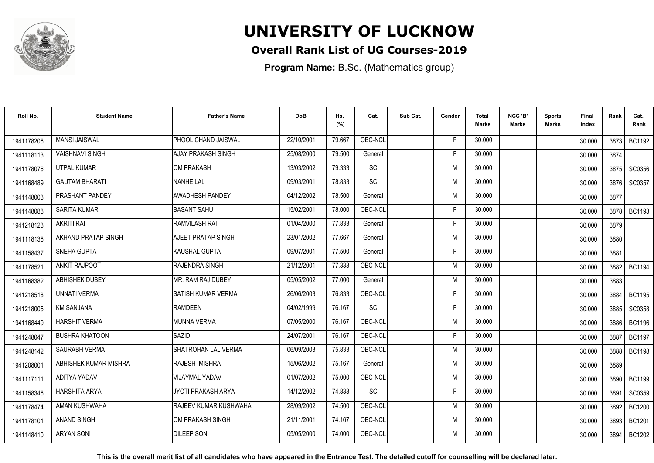

### **Overall Rank List of UG Courses-2019**

**Program Name:** B.Sc. (Mathematics group)

| Roll No.   | <b>Student Name</b>    | <b>Father's Name</b>           | <b>DoB</b> | Hs.<br>(%) | Cat.            | Sub Cat. | Gender | <b>Total</b><br><b>Marks</b> | NCC 'B'<br><b>Marks</b> | Sports<br>Marks | Final<br>Index | Rank   | Cat.<br>Rank  |
|------------|------------------------|--------------------------------|------------|------------|-----------------|----------|--------|------------------------------|-------------------------|-----------------|----------------|--------|---------------|
| 1941178206 | <b>MANSI JAISWAL</b>   | PHOOL CHAND JAISWAL            | 22/10/2001 | 79.667     | OBC-NCL         |          | F      | 30.000                       |                         |                 | 30.000         |        | 3873 BC1192   |
| 1941118113 | <b>VAISHNAVI SINGH</b> | AJAY PRAKASH SINGH             | 25/08/2000 | 79.500     | General         |          | F      | 30.000                       |                         |                 | 30.000         | 3874   |               |
| 1941178076 | UTPAL KUMAR            | <b>OM PRAKASH</b>              | 13/03/2002 | 79.333     | SC              |          | M      | 30.000                       |                         |                 | 30.000         | 3875   | SC0356        |
| 1941168489 | <b>GAUTAM BHARATI</b>  | <b>NANHE LAL</b>               | 09/03/2001 | 78.833     | $\overline{SC}$ |          | M      | 30.000                       |                         |                 | 30.000         | 3876   | SC0357        |
| 1941148003 | PRASHANT PANDEY        | AWADHESH PANDEY                | 04/12/2002 | 78.500     | General         |          | M      | 30.000                       |                         |                 | 30.000         | 3877   |               |
| 1941148088 | <b>SARITA KUMARI</b>   | <b>BASANT SAHU</b>             | 15/02/2001 | 78.000     | OBC-NCL         |          | F      | 30.000                       |                         |                 | 30.000         | 3878   | <b>BC1193</b> |
| 1941218123 | <b>AKRITI RAI</b>      | RAMVILASH RAI                  | 01/04/2000 | 77.833     | General         |          | F      | 30.000                       |                         |                 | 30.000         | 3879   |               |
| 1941118136 | AKHAND PRATAP SINGH    | AJEET PRATAP SINGH             | 23/01/2002 | 77.667     | General         |          | M      | 30.000                       |                         |                 | 30.000         | 3880   |               |
| 1941158437 | <b>SNEHA GUPTA</b>     | KAUSHAL GUPTA                  | 09/07/2001 | 77.500     | General         |          | F      | 30.000                       |                         |                 | 30.000         | 3881   |               |
| 1941178521 | <b>ANKIT RAJPOOT</b>   | RAJENDRA SINGH                 | 21/12/2001 | 77.333     | OBC-NCL         |          | M      | 30.000                       |                         |                 | 30.000         | 3882 l | <b>BC1194</b> |
| 1941168382 | ABHISHEK DUBEY         | MR. RAM RAJ DUBEY              | 05/05/2002 | 77.000     | General         |          | M      | 30.000                       |                         |                 | 30.000         | 3883   |               |
| 1941218518 | <b>UNNATI VERMA</b>    | SATISH KUMAR VERMA             | 26/06/2003 | 76.833     | OBC-NCL         |          | F.     | 30.000                       |                         |                 | 30.000         | 3884   | <b>BC1195</b> |
| 1941218005 | <b>KM SANJANA</b>      | <b>RAMDEEN</b>                 | 04/02/1999 | 76.167     | <b>SC</b>       |          | F      | 30.000                       |                         |                 | 30,000         | 3885   | SC0358        |
| 1941168449 | <b>HARSHIT VERMA</b>   | <b>MUNNA VERMA</b>             | 07/05/2000 | 76.167     | OBC-NCL         |          | M      | 30.000                       |                         |                 | 30.000         | 3886   | <b>BC1196</b> |
| 1941248047 | <b>BUSHRA KHATOON</b>  | <b>SAZID</b>                   | 24/07/2001 | 76.167     | OBC-NCL         |          | Е      | 30.000                       |                         |                 | 30.000         | 3887   | <b>BC1197</b> |
| 1941248142 | SAURABH VERMA          | SHATROHAN LAL VERMA            | 06/09/2003 | 75.833     | OBC-NCL         |          | M      | 30.000                       |                         |                 | 30.000         | 3888   | <b>BC1198</b> |
| 194120800  | ABHISHEK KUMAR MISHRA  | RAJESH MISHRA                  | 15/06/2002 | 75.167     | General         |          | M      | 30.000                       |                         |                 | 30.000         | 3889   |               |
| 1941117111 | ADITYA YADAV           | VIJAYMAL YADAV                 | 01/07/2002 | 75.000     | OBC-NCL         |          | M      | 30.000                       |                         |                 | 30.000         | 3890   | BC1199        |
| 1941158346 | <b>HARSHITA ARYA</b>   | JYOTI PRAKASH ARYA             | 14/12/2002 | 74.833     | SC              |          | F      | 30.000                       |                         |                 | 30.000         | 3891   | SC0359        |
| 1941178474 | AMAN KUSHWAHA          | <b>I</b> RAJEEV KUMAR KUSHWAHA | 28/09/2002 | 74.500     | OBC-NCL         |          | M      | 30.000                       |                         |                 | 30.000         | 3892   | <b>BC1200</b> |
| 1941178101 | <b>ANAND SINGH</b>     | OM PRAKASH SINGH               | 21/11/2001 | 74.167     | OBC-NCL         |          | M      | 30.000                       |                         |                 | 30.000         | 3893   | <b>BC1201</b> |
| 1941148410 | <b>ARYAN SONI</b>      | <b>DILEEP SONI</b>             | 05/05/2000 | 74.000     | OBC-NCL         |          | M      | 30.000                       |                         |                 | 30.000         | 3894   | <b>BC1202</b> |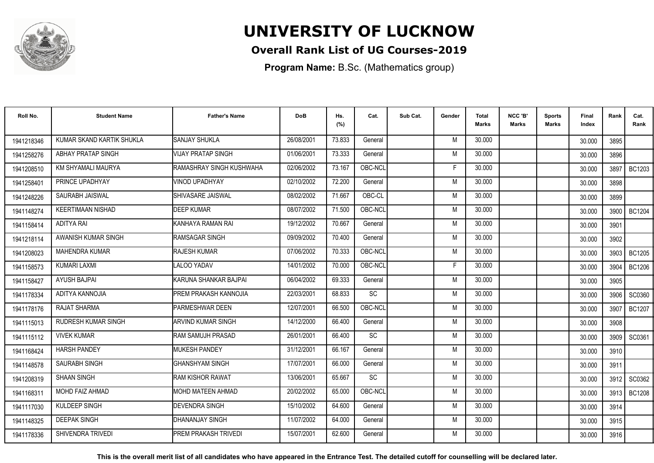

### **Overall Rank List of UG Courses-2019**

**Program Name:** B.Sc. (Mathematics group)

| Roll No.   | <b>Student Name</b>        | <b>Father's Name</b>         | <b>DoB</b> | Hs.<br>(%) | Cat.    | Sub Cat. | Gender | <b>Total</b><br>Marks | NCC 'B'<br><b>Marks</b> | Sports<br>Marks | Final<br>Index | Rank   | Cat.<br>Rank  |
|------------|----------------------------|------------------------------|------------|------------|---------|----------|--------|-----------------------|-------------------------|-----------------|----------------|--------|---------------|
| 1941218346 | KUMAR SKAND KARTIK SHUKLA  | <b>SANJAY SHUKLA</b>         | 26/08/2001 | 73.833     | General |          | M      | 30.000                |                         |                 | 30.000         | 3895   |               |
| 1941258276 | <b>ABHAY PRATAP SINGH</b>  | VIJAY PRATAP SINGH           | 01/06/2001 | 73.333     | General |          | M      | 30.000                |                         |                 | 30.000         | 3896   |               |
| 1941208510 | KM SHYAMALI MAURYA         | RAMASHRAY SINGH KUSHWAHA     | 02/06/2002 | 73.167     | OBC-NCL |          | F      | 30.000                |                         |                 | 30.000         | 3897   | <b>BC1203</b> |
| 1941258401 | PRINCE UPADHYAY            | VINOD UPADHYAY               | 02/10/2002 | 72.200     | General |          | M      | 30.000                |                         |                 | 30.000         | 3898   |               |
| 1941248226 | SAURABH JAISWAL            | <b>I</b> SHIVASARE JAISWAL   | 08/02/2002 | 71.667     | OBC-CL  |          | M      | 30.000                |                         |                 | 30.000         | 3899   |               |
| 1941148274 | <b>KEERTIMAAN NISHAD</b>   | <b>DEEP KUMAR</b>            | 08/07/2002 | 71.500     | OBC-NCL |          | M      | 30.000                |                         |                 | 30.000         | 3900   | <b>BC1204</b> |
| 1941158414 | <b>ADITYA RAI</b>          | IKANHAYA RAMAN RAI           | 19/12/2002 | 70.667     | General |          | M      | 30.000                |                         |                 | 30.000         | 3901   |               |
| 1941218114 | AWANISH KUMAR SINGH        | RAMSAGAR SINGH               | 09/09/2002 | 70.400     | General |          | M      | 30.000                |                         |                 | 30.000         | 3902   |               |
| 1941208023 | <b>MAHENDRA KUMAR</b>      | <b>RAJESH KUMAR</b>          | 07/06/2002 | 70.333     | OBC-NCL |          | M      | 30.000                |                         |                 | 30.000         | 3903 I | BC1205        |
| 1941158573 | <b>KUMARI LAXMI</b>        | LALOO YADAV                  | 14/01/2002 | 70.000     | OBC-NCL |          | F      | 30.000                |                         |                 | 30.000         | 3904   | <b>BC1206</b> |
| 1941158427 | <b>AYUSH BAJPAI</b>        | KARUNA SHANKAR BAJPAI        | 06/04/2002 | 69.333     | General |          | M      | 30.000                |                         |                 | 30.000         | 3905   |               |
| 1941178334 | ADITYA KANNOJIA            | <b>PREM PRAKASH KANNOJIA</b> | 22/03/2001 | 68.833     | SC      |          | M      | 30.000                |                         |                 | 30.000         | 3906   | SC0360        |
| 1941178176 | RAJAT SHARMA               | <b>PARMESHWAR DEEN</b>       | 12/07/2001 | 66.500     | OBC-NCL |          | M      | 30.000                |                         |                 | 30.000         | 3907   | <b>BC1207</b> |
| 1941115013 | <b>RUDRESH KUMAR SINGH</b> | <b>ARVIND KUMAR SINGH</b>    | 14/12/2000 | 66.400     | General |          | M      | 30.000                |                         |                 | 30.000         | 3908   |               |
| 1941115112 | <b>VIVEK KUMAR</b>         | RAM SAMUJH PRASAD            | 26/01/2001 | 66.400     | SC      |          | M      | 30.000                |                         |                 | 30.000         | 3909   | SC0361        |
| 1941168424 | <b>HARSH PANDEY</b>        | <b>MUKESH PANDEY</b>         | 31/12/2001 | 66.167     | General |          | M      | 30.000                |                         |                 | 30.000         | 3910   |               |
| 1941148578 | <b>SAURABH SINGH</b>       | IGHANSHYAM SINGH             | 17/07/2001 | 66.000     | General |          | M      | 30.000                |                         |                 | 30.000         | 3911   |               |
| 1941208319 | <b>SHAAN SINGH</b>         | <b>IRAM KISHOR RAWAT</b>     | 13/06/2001 | 65.667     | SC      |          | M      | 30.000                |                         |                 | 30.000         | 3912   | SC0362        |
| 1941168311 | <b>MOHD FAIZ AHMAD</b>     | MOHD MATEEN AHMAD            | 20/02/2002 | 65.000     | OBC-NCL |          | M      | 30.000                |                         |                 | 30.000         | 3913   | <b>BC1208</b> |
| 1941117030 | KULDEEP SINGH              | <b>DEVENDRA SINGH</b>        | 15/10/2002 | 64.600     | General |          | M      | 30.000                |                         |                 | 30.000         | 3914   |               |
| 1941148325 | <b>DEEPAK SINGH</b>        | DHANANJAY SINGH              | 11/07/2002 | 64.000     | General |          | M      | 30.000                |                         |                 | 30.000         | 3915   |               |
| 1941178336 | SHIVENDRA TRIVEDI          | PREM PRAKASH TRIVEDI         | 15/07/2001 | 62.600     | General |          | M      | 30.000                |                         |                 | 30.000         | 3916   |               |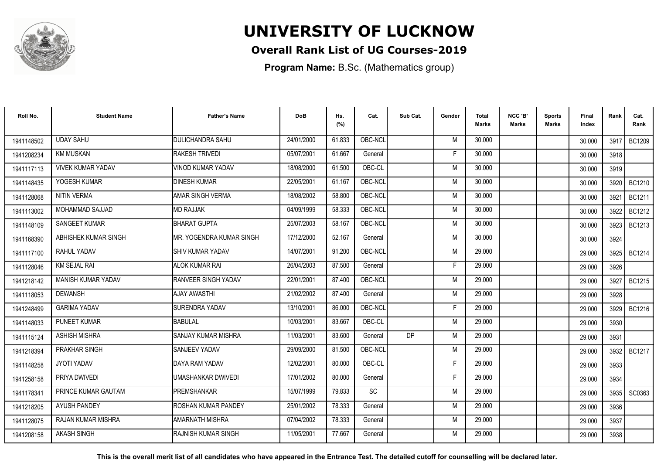

### **Overall Rank List of UG Courses-2019**

**Program Name:** B.Sc. (Mathematics group)

| Roll No.   | <b>Student Name</b>       | <b>Father's Name</b>        | <b>DoB</b> | Hs.<br>(%) | Cat.    | Sub Cat. | Gender | <b>Total</b><br>Marks | NCC 'B'<br><b>Marks</b> | <b>Sports</b><br><b>Marks</b> | Final<br>Index | Rank   | Cat.<br>Rank  |
|------------|---------------------------|-----------------------------|------------|------------|---------|----------|--------|-----------------------|-------------------------|-------------------------------|----------------|--------|---------------|
| 1941148502 | <b>UDAY SAHU</b>          | <b>DULICHANDRA SAHU</b>     | 24/01/2000 | 61.833     | OBC-NCL |          | M      | 30.000                |                         |                               | 30.000         | 3917 l | BC1209        |
| 1941208234 | <b>KM MUSKAN</b>          | <b>RAKESH TRIVEDI</b>       | 05/07/2001 | 61.667     | General |          | F      | 30.000                |                         |                               | 30.000         | 3918   |               |
| 1941117113 | <b>VIVEK KUMAR YADAV</b>  | VINOD KUMAR YADAV           | 18/08/2000 | 61.500     | OBC-CL  |          | M      | 30.000                |                         |                               | 30.000         | 3919   |               |
| 1941148435 | YOGESH KUMAR              | <b>DINESH KUMAR</b>         | 22/05/2001 | 61.167     | OBC-NCL |          | M      | 30.000                |                         |                               | 30.000         | 3920   | BC1210        |
| 1941128068 | <b>NITIN VERMA</b>        | AMAR SINGH VERMA            | 18/08/2002 | 58.800     | OBC-NCL |          | M      | 30.000                |                         |                               | 30.000         | 3921   | BC1211        |
| 1941113002 | <b>MOHAMMAD SAJJAD</b>    | <b>MD RAJJAK</b>            | 04/09/1999 | 58.333     | OBC-NCL |          | M      | 30.000                |                         |                               | 30.000         | 3922   | <b>BC1212</b> |
| 1941148109 | <b>SANGEET KUMAR</b>      | <b>BHARAT GUPTA</b>         | 25/07/2003 | 58.167     | OBC-NCL |          | M      | 30.000                |                         |                               | 30.000         | 3923   | BC1213        |
| 1941168390 | ABHISHEK KUMAR SINGH      | IMR. YOGENDRA KUMAR SINGH   | 17/12/2000 | 52.167     | General |          | M      | 30.000                |                         |                               | 30.000         | 3924   |               |
| 1941117100 | RAHUL YADAV               | <b>I</b> SHIV KUMAR YADAV   | 14/07/2001 | 91.200     | OBC-NCL |          | M      | 29.000                |                         |                               | 29.000         | 3925   | BC1214        |
| 1941128046 | <b>KM SEJAL RAI</b>       | <b>ALOK KUMAR RAI</b>       | 26/04/2003 | 87.500     | General |          | F      | 29.000                |                         |                               | 29.000         | 3926   |               |
| 1941218142 | <b>MANISH KUMAR YADAV</b> | <b>RANVEER SINGH YADAV</b>  | 22/01/2001 | 87.400     | OBC-NCL |          | M      | 29.000                |                         |                               | 29.000         | 3927   | <b>BC1215</b> |
| 1941118053 | <b>DEWANSH</b>            | AJAY AWASTHI                | 21/02/2002 | 87.400     | General |          | M      | 29.000                |                         |                               | 29.000         | 3928   |               |
| 1941248499 | <b>GARIMA YADAV</b>       | <b>SURENDRA YADAV</b>       | 13/10/2001 | 86.000     | OBC-NCL |          |        | 29,000                |                         |                               | 29.000         | 3929 I | BC1216        |
| 1941148033 | <b>PUNEET KUMAR</b>       | <b>BABULAL</b>              | 10/03/2001 | 83.667     | OBC-CL  |          | M      | 29,000                |                         |                               | 29.000         | 3930   |               |
| 1941115124 | <b>ASHISH MISHRA</b>      | <b>SANJAY KUMAR MISHRA</b>  | 11/03/2001 | 83.600     | General | DP.      | M      | 29,000                |                         |                               | 29.000         | 3931   |               |
| 1941218394 | PRAKHAR SINGH             | <b>SANJEEV YADAV</b>        | 29/09/2000 | 81.500     | OBC-NCL |          | M      | 29.000                |                         |                               | 29.000         | 3932   | <b>BC1217</b> |
| 1941148258 | <b>JYOTI YADAV</b>        | DAYA RAM YADAV              | 12/02/2001 | 80.000     | OBC-CL  |          | F      | 29,000                |                         |                               | 29.000         | 3933   |               |
| 1941258158 | PRIYA DWIVEDI             | UMASHANKAR DWIVEDI          | 17/01/2002 | 80.000     | General |          | F      | 29.000                |                         |                               | 29.000         | 3934   |               |
| 1941178341 | PRINCE KUMAR GAUTAM       | <b>PREMSHANKAR</b>          | 15/07/1999 | 79.833     | SC      |          | M      | 29.000                |                         |                               | 29.000         | 3935   | SC0363        |
| 1941218205 | <b>AYUSH PANDEY</b>       | ROSHAN KUMAR PANDEY         | 25/01/2002 | 78.333     | General |          | M      | 29.000                |                         |                               | 29.000         | 3936   |               |
| 1941128075 | RAJAN KUMAR MISHRA        | AMARNATH MISHRA             | 07/04/2002 | 78.333     | General |          | M      | 29.000                |                         |                               | 29.000         | 3937   |               |
| 1941208158 | <b>AKASH SINGH</b>        | <b>IRAJNISH KUMAR SINGH</b> | 11/05/2001 | 77.667     | General |          | M      | 29.000                |                         |                               | 29.000         | 3938   |               |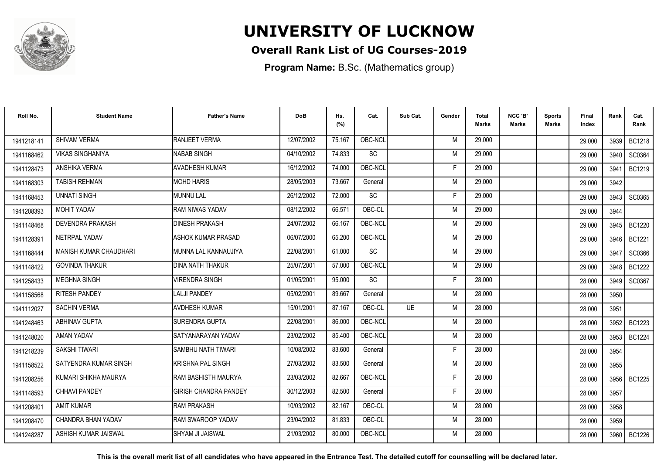

### **Overall Rank List of UG Courses-2019**

**Program Name:** B.Sc. (Mathematics group)

| Roll No.               | <b>Student Name</b>       | <b>Father's Name</b>         | <b>DoB</b> | Hs.<br>(%) | Cat.      | Sub Cat.  | Gender | Total<br><b>Marks</b> | NCC 'B'<br><b>Marks</b> | Sports<br>Marks | Final<br>Index | Rank   | Cat.<br>Rank  |
|------------------------|---------------------------|------------------------------|------------|------------|-----------|-----------|--------|-----------------------|-------------------------|-----------------|----------------|--------|---------------|
| 1941218141             | <b>SHIVAM VERMA</b>       | <b>RANJEET VERMA</b>         | 12/07/2002 | 75.167     | OBC-NCL   |           | M      | 29,000                |                         |                 | 29.000         | 3939   | <b>BC1218</b> |
| 1941168462             | <b>VIKAS SINGHANIYA</b>   | <b>NABAB SINGH</b>           | 04/10/2002 | 74.833     | <b>SC</b> |           | M      | 29.000                |                         |                 | 29.000         | 3940   | SC0364        |
| 1941128473             | ANSHIKA VERMA             | <b>AVADHESH KUMAR</b>        | 16/12/2002 | 74.000     | OBC-NCL   |           | F      | 29.000                |                         |                 | 29.000         | 3941   | BC1219        |
| 1941168303             | <b>TABISH REHMAN</b>      | <b>MOHD HARIS</b>            | 28/05/2003 | 73.667     | General   |           | M      | 29.000                |                         |                 | 29.000         | 3942   |               |
| 1941168453             | <b>UNNATI SINGH</b>       | <b>MUNNU LAL</b>             | 26/12/2002 | 72.000     | SC        |           | F      | 29.000                |                         |                 | 29.000         | 3943   | SC0365        |
| 1941208393             | MOHIT YADAV               | RAM NIWAS YADAV              | 08/12/2002 | 66.571     | OBC-CL    |           | M      | 29.000                |                         |                 | 29.000         | 3944   |               |
| 1941148468             | DEVENDRA PRAKASH          | <b>DINESH PRAKASH</b>        | 24/07/2002 | 66.167     | OBC-NCL   |           | M      | 29.000                |                         |                 | 29.000         | 3945   | <b>BC1220</b> |
| 194112839 <sup>-</sup> | NETRPAL YADAV             | <b>ASHOK KUMAR PRASAD</b>    | 06/07/2000 | 65.200     | OBC-NCL   |           | M      | 29.000                |                         |                 | 29.000         | 3946 I | <b>BC1221</b> |
| 1941168444             | MANISH KUMAR CHAUDHARI    | MUNNA LAL KANNAUJIYA         | 22/08/2001 | 61.000     | SC        |           | M      | 29.000                |                         |                 | 29.000         | 3947   | SC0366        |
| 1941148422             | <b>GOVINDA THAKUR</b>     | <b>DINA NATH THAKUR</b>      | 25/07/2001 | 57.000     | OBC-NCL   |           | M      | 29.000                |                         |                 | 29.000         | 3948   | <b>BC1222</b> |
| 1941258433             | <b>MEGHNA SINGH</b>       | <b>/IRENDRA SINGH</b>        | 01/05/2001 | 95.000     | <b>SC</b> |           | F      | 28.000                |                         |                 | 28,000         | 3949   | SC0367        |
| 1941158568             | <b>RITESH PANDEY</b>      | <b>LALJI PANDEY</b>          | 05/02/2001 | 89.667     | General   |           | M      | 28.000                |                         |                 | 28.000         | 3950   |               |
| 1941112027             | <b>SACHIN VERMA</b>       | <b>AVDHESH KUMAR</b>         | 15/01/2001 | 87.167     | OBC-CL    | <b>UE</b> | M      | 28.000                |                         |                 | 28.000         | 3951   |               |
| 1941248463             | <b>ABHINAV GUPTA</b>      | <b>SURENDRA GUPTA</b>        | 22/08/2001 | 86.000     | OBC-NCL   |           | M      | 28.000                |                         |                 | 28.000         | 3952   | <b>BC1223</b> |
| 1941248020             | AMAN YADAV                | SATYANARAYAN YADAV           | 23/02/2002 | 85.400     | OBC-NCL   |           | M      | 28.000                |                         |                 | 28.000         | 3953   | <b>BC1224</b> |
| 1941218239             | SAKSHI TIWARI             | SAMBHU NATH TIWARI           | 10/08/2002 | 83.600     | General   |           | F      | 28.000                |                         |                 | 28.000         | 3954   |               |
| 1941158522             | SATYENDRA KUMAR SINGH     | KRISHNA PAL SINGH            | 27/03/2002 | 83.500     | General   |           | M      | 28.000                |                         |                 | 28.000         | 3955   |               |
| 1941208256             | KUMARI SHIKHA MAURYA      | RAM BASHISTH MAURYA          | 23/03/2002 | 82.667     | OBC-NCL   |           | F      | 28.000                |                         |                 | 28.000         | 3956   | BC1225        |
| 1941148593             | <b>CHHAVI PANDEY</b>      | <b>GIRISH CHANDRA PANDEY</b> | 30/12/2003 | 82.500     | General   |           | F      | 28.000                |                         |                 | 28.000         | 3957   |               |
| 1941208401             | <b>AMIT KUMAR</b>         | <b>RAM PRAKASH</b>           | 10/03/2002 | 82.167     | OBC-CL    |           | M      | 28,000                |                         |                 | 28.000         | 3958   |               |
| 1941208470             | <b>CHANDRA BHAN YADAV</b> | RAM SWAROOP YADAV            | 23/04/2002 | 81.833     | OBC-CL    |           | M      | 28.000                |                         |                 | 28.000         | 3959   |               |
| 1941248287             | ASHISH KUMAR JAISWAL      | <b>SHYAM JI JAISWAL</b>      | 21/03/2002 | 80.000     | OBC-NCL   |           | M      | 28.000                |                         |                 | 28.000         |        | 3960   BC1226 |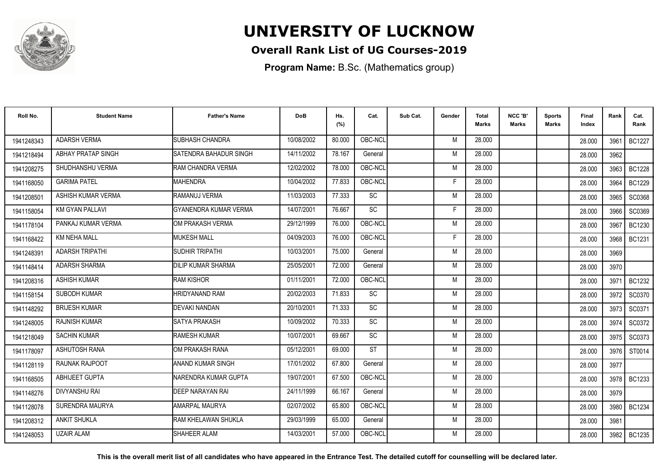

### **Overall Rank List of UG Courses-2019**

**Program Name:** B.Sc. (Mathematics group)

| Roll No.   | <b>Student Name</b>    | <b>Father's Name</b>         | <b>DoB</b> | Hs.<br>(%) | Cat.      | Sub Cat. | Gender | <b>Total</b><br><b>Marks</b> | NCC 'B'<br><b>Marks</b> | Sports<br>Marks | <b>Final</b><br>Index | Rank | Cat.<br>Rank  |
|------------|------------------------|------------------------------|------------|------------|-----------|----------|--------|------------------------------|-------------------------|-----------------|-----------------------|------|---------------|
| 1941248343 | <b>ADARSH VERMA</b>    | <b>SUBHASH CHANDRA</b>       | 10/08/2002 | 80.000     | OBC-NCL   |          | M      | 28.000                       |                         |                 | 28,000                | 3961 | <b>BC1227</b> |
| 1941218494 | ABHAY PRATAP SINGH     | SATENDRA BAHADUR SINGH       | 14/11/2002 | 78.167     | General   |          | M      | 28.000                       |                         |                 | 28,000                | 3962 |               |
| 1941208275 | SHUDHANSHU VERMA       | RAM CHANDRA VERMA            | 12/02/2002 | 78.000     | OBC-NCL   |          | M      | 28.000                       |                         |                 | 28.000                | 3963 | <b>BC1228</b> |
| 1941168050 | <b>GARIMA PATEL</b>    | <b>MAHENDRA</b>              | 10/04/2002 | 77.833     | OBC-NCL   |          | Е      | 28.000                       |                         |                 | 28.000                | 3964 | <b>BC1229</b> |
| 194120850  | ASHISH KUMAR VERMA     | RAMANUJ VERMA                | 11/03/2003 | 77.333     | SC        |          | M      | 28.000                       |                         |                 | 28.000                | 3965 | SC0368        |
| 1941158054 | <b>KM GYAN PALLAVI</b> | <b>GYANENDRA KUMAR VERMA</b> | 14/07/2001 | 76.667     | <b>SC</b> |          | E      | 28,000                       |                         |                 | 28.000                | 3966 | SC0369        |
| 1941178104 | PANKAJ KUMAR VERMA     | OM PRAKASH VERMA             | 29/12/1999 | 76.000     | OBC-NCL   |          | M      | 28.000                       |                         |                 | 28.000                | 3967 | <b>BC1230</b> |
| 1941168422 | <b>KM NEHA MALL</b>    | <b>MUKESH MALL</b>           | 04/09/2003 | 76.000     | OBC-NCL   |          | F      | 28,000                       |                         |                 | 28.000                | 3968 | <b>BC1231</b> |
| 1941248391 | <b>ADARSH TRIPATHI</b> | <b>SUDHIR TRIPATHI</b>       | 10/03/2001 | 75.000     | General   |          | M      | 28.000                       |                         |                 | 28.000                | 3969 |               |
| 1941148414 | <b>ADARSH SHARMA</b>   | <b>DILIP KUMAR SHARMA</b>    | 25/05/2001 | 72.000     | General   |          | M      | 28.000                       |                         |                 | 28.000                | 3970 |               |
| 1941208316 | <b>ASHISH KUMAR</b>    | <b>RAM KISHOR</b>            | 01/11/2001 | 72.000     | OBC-NCL   |          | M      | 28.000                       |                         |                 | 28.000                | 3971 | BC1232        |
| 1941158154 | <b>SUBODH KUMAR</b>    | HRIDYANAND RAM               | 20/02/2003 | 71.833     | <b>SC</b> |          | M      | 28.000                       |                         |                 | 28.000                | 3972 | SC0370        |
| 1941148292 | <b>BRIJESH KUMAR</b>   | <b>DEVAKI NANDAN</b>         | 20/10/2001 | 71.333     | <b>SC</b> |          | M      | 28,000                       |                         |                 | 28,000                | 3973 | SC0371        |
| 1941248005 | <b>RAJNISH KUMAR</b>   | <b>SATYA PRAKASH</b>         | 10/09/2002 | 70.333     | <b>SC</b> |          | M      | 28,000                       |                         |                 | 28.000                | 3974 | SC0372        |
| 1941218049 | <b>SACHIN KUMAR</b>    | <b>RAMESH KUMAR</b>          | 10/07/2001 | 69.667     | SC        |          | M      | 28.000                       |                         |                 | 28.000                | 3975 | SC0373        |
| 1941178097 | ASHUTOSH RANA          | OM PRAKASH RANA              | 05/12/2001 | 69.000     | <b>ST</b> |          | M      | 28.000                       |                         |                 | 28.000                | 3976 | ST0014        |
| 1941128119 | <b>RAUNAK RAJPOOT</b>  | <b>ANAND KUMAR SINGH</b>     | 17/01/2002 | 67.800     | General   |          | M      | 28,000                       |                         |                 | 28.000                | 3977 |               |
| 1941168505 | ABHIJEET GUPTA         | NARENDRA KUMAR GUPTA         | 19/07/2001 | 67.500     | OBC-NCL   |          | M      | 28,000                       |                         |                 | 28.000                | 3978 | BC1233        |
| 1941148276 | <b>DIVYANSHU RAI</b>   | DEEP NARAYAN RAI             | 24/11/1999 | 66.167     | General   |          | M      | 28.000                       |                         |                 | 28.000                | 3979 |               |
| 1941128078 | SURENDRA MAURYA        | AMARPAL MAURYA               | 02/07/2002 | 65.800     | OBC-NCL   |          | M      | 28,000                       |                         |                 | 28,000                | 3980 | <b>BC1234</b> |
| 1941208312 | <b>ANKIT SHUKLA</b>    | RAM KHELAWAN SHUKLA          | 29/03/1999 | 65.000     | General   |          | M      | 28,000                       |                         |                 | 28.000                | 3981 |               |
| 1941248053 | <b>UZAIR ALAM</b>      | SHAHEER ALAM                 | 14/03/2001 | 57.000     | OBC-NCL   |          | M      | 28.000                       |                         |                 | 28.000                | 3982 | BC1235        |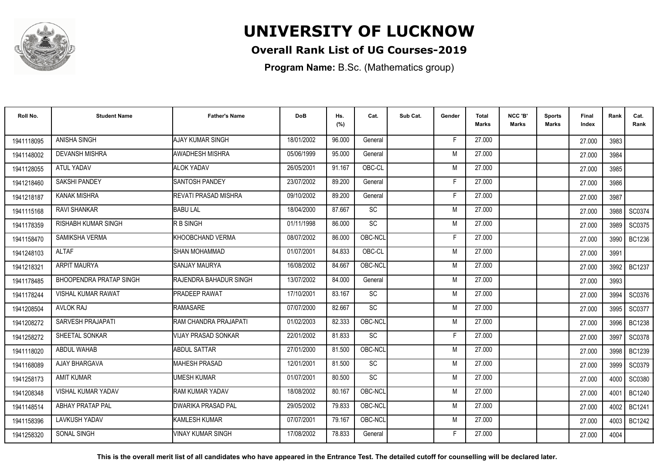

### **Overall Rank List of UG Courses-2019**

**Program Name:** B.Sc. (Mathematics group)

| Roll No.   | <b>Student Name</b>            | <b>Father's Name</b>         | <b>DoB</b> | Hs.<br>(%) | Cat.      | Sub Cat. | Gender | Total<br><b>Marks</b> | NCC 'B'<br><b>Marks</b> | Sports<br>Marks | Final<br>Index | Rank   | Cat.<br>Rank  |
|------------|--------------------------------|------------------------------|------------|------------|-----------|----------|--------|-----------------------|-------------------------|-----------------|----------------|--------|---------------|
| 1941118095 | ANISHA SINGH                   | <b>AJAY KUMAR SINGH</b>      | 18/01/2002 | 96.000     | General   |          | F.     | 27,000                |                         |                 | 27.000         | 3983   |               |
| 1941148002 | <b>DEVANSH MISHRA</b>          | AWADHESH MISHRA              | 05/06/1999 | 95.000     | General   |          | M      | 27.000                |                         |                 | 27.000         | 3984   |               |
| 1941128055 | ATUL YADAV                     | <b>ALOK YADAV</b>            | 26/05/2001 | 91.167     | OBC-CL    |          | M      | 27.000                |                         |                 | 27.000         | 3985   |               |
| 1941218460 | <b>SAKSHI PANDEY</b>           | <b>SANTOSH PANDEY</b>        | 23/07/2002 | 89.200     | General   |          | E      | 27,000                |                         |                 | 27.000         | 3986   |               |
| 1941218187 | <b>KANAK MISHRA</b>            | <b>IREVATI PRASAD MISHRA</b> | 09/10/2002 | 89.200     | General   |          | -F     | 27,000                |                         |                 | 27.000         | 3987   |               |
| 1941115168 | <b>RAVI SHANKAR</b>            | <b>BABU LAL</b>              | 18/04/2000 | 87.667     | SC        |          | M      | 27,000                |                         |                 | 27.000         | 3988   | SC0374        |
| 1941178359 | RISHABH KUMAR SINGH            | R B SINGH                    | 01/11/1998 | 86.000     | SC        |          | M      | 27.000                |                         |                 | 27.000         | 3989   | SC0375        |
| 1941158470 | SAMIKSHA VERMA                 | KHOOBCHAND VERMA             | 08/07/2002 | 86.000     | OBC-NCL   |          | E      | 27,000                |                         |                 | 27.000         | 3990   | <b>BC1236</b> |
| 1941248103 | <b>ALTAF</b>                   | <b>SHAN MOHAMMAD</b>         | 01/07/2001 | 84.833     | OBC-CL    |          | M      | 27.000                |                         |                 | 27.000         | 3991   |               |
| 1941218321 | <b>ARPIT MAURYA</b>            | <b>SANJAY MAURYA</b>         | 16/08/2002 | 84.667     | OBC-NCL   |          | M      | 27.000                |                         |                 | 27.000         | 3992 l | <b>BC1237</b> |
| 1941178485 | <b>BHOOPENDRA PRATAP SINGH</b> | RAJENDRA BAHADUR SINGH       | 13/07/2002 | 84.000     | General   |          | M      | 27.000                |                         |                 | 27.000         | 3993   |               |
| 1941178244 | <b>VISHAL KUMAR RAWAT</b>      | <b>PRADEEP RAWAT</b>         | 17/10/2001 | 83.167     | <b>SC</b> |          | M      | 27.000                |                         |                 | 27.000         | 3994   | SC0376        |
| 1941208504 | <b>AVLOK RAJ</b>               | <b>RAMASARE</b>              | 07/07/2000 | 82.667     | <b>SC</b> |          | M      | 27.000                |                         |                 | 27.000         | 3995   | SC0377        |
| 1941208272 | SARVESH PRAJAPATI              | RAM CHANDRA PRAJAPATI        | 01/02/2003 | 82.333     | OBC-NCL   |          | M      | 27,000                |                         |                 | 27.000         | 3996   | <b>BC1238</b> |
| 1941258272 | SHEETAL SONKAR                 | VIJAY PRASAD SONKAR          | 22/01/2002 | 81.833     | SC        |          | F      | 27.000                |                         |                 | 27.000         | 3997   | SC0378        |
| 1941118020 | ABDUL WAHAB                    | <b>ABDUL SATTAR</b>          | 27/01/2000 | 81.500     | OBC-NCL   |          | M      | 27,000                |                         |                 | 27.000         | 3998   | <b>BC1239</b> |
| 1941168089 | AJAY BHARGAVA                  | <b>MAHESH PRASAD</b>         | 12/01/2001 | 81.500     | SC        |          | M      | 27.000                |                         |                 | 27.000         | 3999   | SC0379        |
| 1941258173 | <b>AMIT KUMAR</b>              | <b>UMESH KUMAR</b>           | 01/07/2001 | 80.500     | SC        |          | M      | 27.000                |                         |                 | 27.000         | 4000   | <b>SC0380</b> |
| 1941208348 | <b>VISHAL KUMAR YADAV</b>      | RAM KUMAR YADAV              | 18/08/2002 | 80.167     | OBC-NCL   |          | M      | 27,000                |                         |                 | 27.000         | 4001   | <b>BC1240</b> |
| 1941148514 | <b>ABHAY PRATAP PAL</b>        | DWARIKA PRASAD PAL           | 29/05/2002 | 79.833     | OBC-NCL   |          | M      | 27,000                |                         |                 | 27.000         | 4002   | <b>BC1241</b> |
| 1941158396 | <b>LAVKUSH YADAV</b>           | <b>KAMLESH KUMAR</b>         | 07/07/2001 | 79.167     | OBC-NCL   |          | M      | 27,000                |                         |                 | 27.000         | 4003   | <b>BC1242</b> |
| 1941258320 | SONAL SINGH                    | <b>VINAY KUMAR SINGH</b>     | 17/08/2002 | 78.833     | General   |          | Е      | 27.000                |                         |                 | 27.000         | 4004   |               |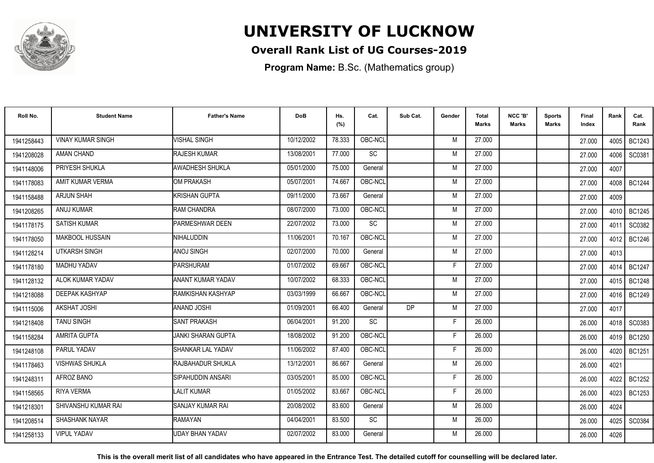

### **Overall Rank List of UG Courses-2019**

**Program Name:** B.Sc. (Mathematics group)

| Roll No.   | <b>Student Name</b>      | <b>Father's Name</b>      | <b>DoB</b> | Hs.<br>(%) | Cat.      | Sub Cat. | Gender | <b>Total</b><br><b>Marks</b> | NCC 'B'<br><b>Marks</b> | Sports<br><b>Marks</b> | Final<br>Index | Rank   | Cat.<br>Rank  |
|------------|--------------------------|---------------------------|------------|------------|-----------|----------|--------|------------------------------|-------------------------|------------------------|----------------|--------|---------------|
| 1941258443 | <b>VINAY KUMAR SINGH</b> | <b>VISHAL SINGH</b>       | 10/12/2002 | 78.333     | OBC-NCL   |          | M      | 27.000                       |                         |                        | 27,000         | 4005 l | BC1243        |
| 1941208028 | AMAN CHAND               | <b>RAJESH KUMAR</b>       | 13/08/2001 | 77.000     | SC        |          | M      | 27.000                       |                         |                        | 27.000         | 4006   | SC0381        |
| 1941148006 | PRIYESH SHUKLA           | <b>AWADHESH SHUKLA</b>    | 05/01/2000 | 75.000     | General   |          | M      | 27.000                       |                         |                        | 27.000         | 4007   |               |
| 1941178083 | AMIT KUMAR VERMA         | <b>OM PRAKASH</b>         | 05/07/2001 | 74.667     | OBC-NCL   |          | M      | 27,000                       |                         |                        | 27.000         | 4008   | <b>BC1244</b> |
| 1941158488 | <b>ARJUN SHAH</b>        | KRISHAN GUPTA             | 09/11/2000 | 73.667     | General   |          | M      | 27.000                       |                         |                        | 27.000         | 4009   |               |
| 1941208265 | ANUJ KUMAR               | RAM CHANDRA               | 08/07/2000 | 73.000     | OBC-NCL   |          | M      | 27.000                       |                         |                        | 27,000         | 4010 l | <b>BC1245</b> |
| 1941178175 | <b>SATISH KUMAR</b>      | PARMESHWAR DEEN           | 22/07/2002 | 73.000     | SC        |          | M      | 27.000                       |                         |                        | 27.000         | 4011   | SC0382        |
| 1941178050 | <b>MAKBOOL HUSSAIN</b>   | NIHALUDDIN                | 11/06/2001 | 70.167     | OBC-NCL   |          | M      | 27.000                       |                         |                        | 27.000         | 4012   | <b>BC1246</b> |
| 1941128214 | <b>UTKARSH SINGH</b>     | ANOJ SINGH                | 02/07/2000 | 70.000     | General   |          | M      | 27.000                       |                         |                        | 27.000         | 4013   |               |
| 1941178180 | MADHU YADAV              | PARSHURAM                 | 01/07/2002 | 69.667     | OBC-NCL   |          | F      | 27.000                       |                         |                        | 27,000         | 4014   | <b>BC1247</b> |
| 1941128132 | ALOK KUMAR YADAV         | ANANT KUMAR YADAV         | 10/07/2002 | 68.333     | OBC-NCL   |          | M      | 27.000                       |                         |                        | 27.000         | 4015   | <b>BC1248</b> |
| 1941218088 | DEEPAK KASHYAP           | <b>IRAMKISHAN KASHYAP</b> | 03/03/1999 | 66.667     | OBC-NCL   |          | M      | 27.000                       |                         |                        | 27.000         | 4016 l | <b>BC1249</b> |
| 1941115006 | <b>AKSHAT JOSHI</b>      | <b>ANAND JOSHI</b>        | 01/09/2001 | 66.400     | General   | DP       | M      | 27.000                       |                         |                        | 27.000         | 4017   |               |
| 1941218408 | <b>TANU SINGH</b>        | <b>SANT PRAKASH</b>       | 06/04/2001 | 91.200     | SC        |          | F      | 26.000                       |                         |                        | 26.000         | 4018   | SC0383        |
| 1941158284 | <b>AMRITA GUPTA</b>      | <b>JANKI SHARAN GUPTA</b> | 18/08/2002 | 91.200     | OBC-NCL   |          | F      | 26,000                       |                         |                        | 26.000         | 4019   | <b>BC1250</b> |
| 1941248108 | PARUL YADAV              | SHANKAR LAL YADAV         | 11/06/2002 | 87.400     | OBC-NCL   |          | F      | 26.000                       |                         |                        | 26.000         | 4020   | <b>BC1251</b> |
| 1941178463 | <b>VISHWAS SHUKLA</b>    | RAJBAHADUR SHUKLA         | 13/12/2001 | 86.667     | General   |          | M      | 26.000                       |                         |                        | 26.000         | 4021   |               |
| 1941248311 | AFROZ BANO               | SIPAHUDDIN ANSARI         | 03/05/2001 | 85.000     | OBC-NCL   |          | F      | 26.000                       |                         |                        | 26.000         | 4022   | <b>BC1252</b> |
| 1941158565 | <b>RIYA VERMA</b>        | <b>LALIT KUMAR</b>        | 01/05/2002 | 83.667     | OBC-NCL   |          | F      | 26.000                       |                         |                        | 26.000         | 4023   | BC1253        |
| 1941218301 | SHIVANSHU KUMAR RAI      | SANJAY KUMAR RAI          | 20/08/2002 | 83.600     | General   |          | M      | 26,000                       |                         |                        | 26.000         | 4024   |               |
| 1941208514 | <b>SHASHANK NAYAR</b>    | <b>RAMAYAN</b>            | 04/04/2001 | 83.500     | <b>SC</b> |          | M      | 26.000                       |                         |                        | 26.000         | 4025   | SC0384        |
| 1941258133 | <b>VIPUL YADAV</b>       | UDAY BHAN YADAV           | 02/07/2002 | 83.000     | General   |          | M      | 26.000                       |                         |                        | 26.000         | 4026   |               |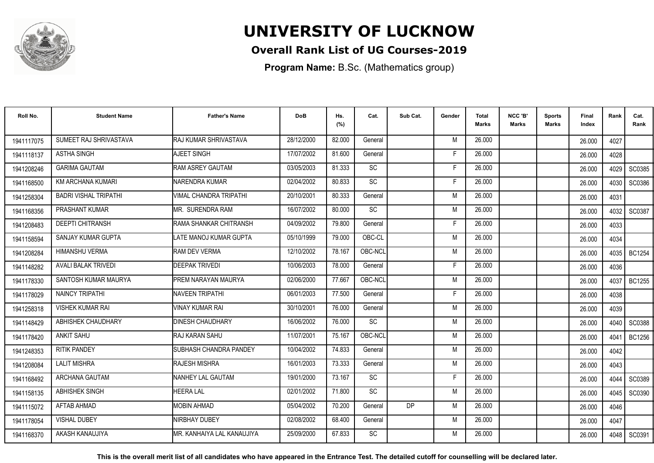

### **Overall Rank List of UG Courses-2019**

**Program Name:** B.Sc. (Mathematics group)

| Roll No.   | <b>Student Name</b>          | <b>Father's Name</b>          | <b>DoB</b> | Hs.<br>(%) | Cat.      | Sub Cat. | Gender | <b>Total</b><br><b>Marks</b> | NCC 'B'<br><b>Marks</b> | <b>Sports</b><br>Marks | Final<br>Index | Rank | Cat.<br>Rank  |
|------------|------------------------------|-------------------------------|------------|------------|-----------|----------|--------|------------------------------|-------------------------|------------------------|----------------|------|---------------|
| 1941117075 | SUMEET RAJ SHRIVASTAVA       | RAJ KUMAR SHRIVASTAVA         | 28/12/2000 | 82.000     | General   |          | M      | 26.000                       |                         |                        | 26.000         | 4027 |               |
| 1941118137 | <b>ASTHA SINGH</b>           | AJEET SINGH                   | 17/07/2002 | 81.600     | General   |          | F      | 26.000                       |                         |                        | 26.000         | 4028 |               |
| 1941208246 | <b>GARIMA GAUTAM</b>         | <b>RAM ASREY GAUTAM</b>       | 03/05/2003 | 81.333     | <b>SC</b> |          | Е      | 26.000                       |                         |                        | 26.000         | 4029 | SC0385        |
| 1941168500 | KM ARCHANA KUMARI            | <b>NARENDRA KUMAR</b>         | 02/04/2002 | 80.833     | <b>SC</b> |          | F      | 26.000                       |                         |                        | 26.000         | 4030 | SC0386        |
| 1941258304 | <b>BADRI VISHAL TRIPATHI</b> | VIMAL CHANDRA TRIPATHI        | 20/10/2001 | 80.333     | General   |          | M      | 26.000                       |                         |                        | 26.000         | 4031 |               |
| 1941168356 | PRASHANT KUMAR               | IMR. SURENDRA RAM             | 16/07/2002 | 80.000     | SC        |          | M      | 26.000                       |                         |                        | 26.000         | 4032 | SC0387        |
| 1941208483 | <b>DEEPTI CHITRANSH</b>      | RAMA SHANKAR CHITRANSH        | 04/09/2002 | 79.800     | General   |          | F      | 26.000                       |                         |                        | 26.000         | 4033 |               |
| 1941158594 | SANJAY KUMAR GUPTA           | LATE MANOJ KUMAR GUPTA        | 05/10/1999 | 79.000     | OBC-CL    |          | M      | 26.000                       |                         |                        | 26.000         | 4034 |               |
| 1941208284 | <b>HIMANSHU VERMA</b>        | <b>RAM DEV VERMA</b>          | 12/10/2002 | 78.167     | OBC-NCL   |          | M      | 26.000                       |                         |                        | 26.000         | 4035 | BC1254        |
| 1941148282 | <b>AVALI BALAK TRIVEDI</b>   | <b>DEEPAK TRIVEDI</b>         | 10/06/2003 | 78.000     | General   |          | F      | 26.000                       |                         |                        | 26.000         | 4036 |               |
| 1941178330 | SANTOSH KUMAR MAURYA         | <b>PREM NARAYAN MAURYA</b>    | 02/06/2000 | 77.667     | OBC-NCL   |          | M      | 26.000                       |                         |                        | 26.000         | 4037 | <b>BC1255</b> |
| 1941178029 | NAINCY TRIPATHI              | <b>NAVEEN TRIPATHI</b>        | 06/01/2003 | 77.500     | General   |          | F      | 26,000                       |                         |                        | 26.000         | 4038 |               |
| 1941258318 | <b>VISHEK KUMAR RAI</b>      | <b>VINAY KUMAR RAI</b>        | 30/10/2001 | 76.000     | General   |          | M      | 26.000                       |                         |                        | 26.000         | 4039 |               |
| 1941148429 | ABHISHEK CHAUDHARY           | <b>I</b> DINESH CHAUDHARY     | 16/06/2002 | 76.000     | SC        |          | M      | 26.000                       |                         |                        | 26.000         | 4040 | SC0388        |
| 1941178420 | <b>ANKIT SAHU</b>            | <b>RAJ KARAN SAHU</b>         | 11/07/2001 | 75.167     | OBC-NCL   |          | M      | 26.000                       |                         |                        | 26.000         | 4041 | BC1256        |
| 1941248353 | <b>RITIK PANDEY</b>          | <b>SUBHASH CHANDRA PANDEY</b> | 10/04/2002 | 74.833     | General   |          | M      | 26.000                       |                         |                        | 26.000         | 4042 |               |
| 1941208084 | <b>LALIT MISHRA</b>          | <b>RAJESH MISHRA</b>          | 16/01/2003 | 73.333     | General   |          | M      | 26.000                       |                         |                        | 26.000         | 4043 |               |
| 1941168492 | ARCHANA GAUTAM               | NANHEY LAL GAUTAM             | 19/01/2000 | 73.167     | <b>SC</b> |          | E      | 26,000                       |                         |                        | 26.000         | 4044 | SC0389        |
| 1941158135 | ABHISHEK SINGH               | <b>IEERA LAL</b>              | 02/01/2002 | 71.800     | SC        |          | M      | 26.000                       |                         |                        | 26.000         | 4045 | SC0390        |
| 1941115072 | AFTAB AHMAD                  | <b>IMOBIN AHMAD</b>           | 05/04/2002 | 70.200     | General   | DP       | M      | 26,000                       |                         |                        | 26.000         | 4046 |               |
| 1941178054 | <b>VISHAL DUBEY</b>          | <b>INIRBHAY DUBEY</b>         | 02/08/2002 | 68.400     | General   |          | M      | 26.000                       |                         |                        | 26.000         | 4047 |               |
| 1941168370 | AKASH KANAUJIYA              | IMR. KANHAIYA LAL KANAUJIYA   | 25/09/2000 | 67.833     | <b>SC</b> |          | M      | 26,000                       |                         |                        | 26.000         | 4048 | SC0391        |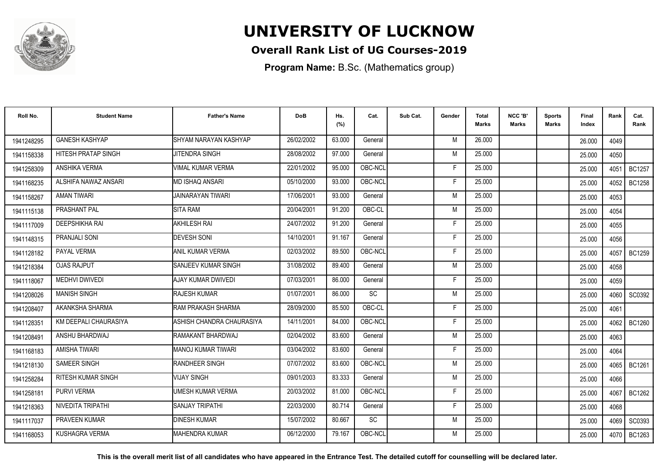

### **Overall Rank List of UG Courses-2019**

**Program Name:** B.Sc. (Mathematics group)

| Roll No.   | <b>Student Name</b>        | <b>Father's Name</b>      | <b>DoB</b> | Hs.<br>(%) | Cat.      | Sub Cat. | Gender | <b>Total</b><br><b>Marks</b> | NCC 'B'<br><b>Marks</b> | <b>Sports</b><br>Marks | Final<br>Index | Rank | Cat.<br>Rank  |
|------------|----------------------------|---------------------------|------------|------------|-----------|----------|--------|------------------------------|-------------------------|------------------------|----------------|------|---------------|
| 1941248295 | <b>GANESH KASHYAP</b>      | SHYAM NARAYAN KASHYAP     | 26/02/2002 | 63.000     | General   |          | M      | 26.000                       |                         |                        | 26.000         | 4049 |               |
| 1941158338 | <b>HITESH PRATAP SINGH</b> | JITENDRA SINGH            | 28/08/2002 | 97.000     | General   |          | M      | 25.000                       |                         |                        | 25.000         | 4050 |               |
| 1941258309 | ANSHIKA VERMA              | VIMAL KUMAR VERMA         | 22/01/2002 | 95.000     | OBC-NCL   |          | F      | 25.000                       |                         |                        | 25.000         | 4051 | <b>BC1257</b> |
| 1941168235 | ALSHIFA NAWAZ ANSARI       | MD ISHAQ ANSARI           | 05/10/2000 | 93.000     | OBC-NCL   |          |        | 25.000                       |                         |                        | 25.000         | 4052 | <b>BC1258</b> |
| 1941158267 | <b>AMAN TIWARI</b>         | JAINARAYAN TIWARI         | 17/06/2001 | 93.000     | General   |          | M      | 25.000                       |                         |                        | 25.000         | 4053 |               |
| 1941115138 | PRASHANT PAL               | <b>SITA RAM</b>           | 20/04/2001 | 91.200     | OBC-CL    |          | M      | 25.000                       |                         |                        | 25.000         | 4054 |               |
| 1941117009 | <b>DEEPSHIKHA RAI</b>      | <b>AKHILESH RAI</b>       | 24/07/2002 | 91.200     | General   |          | F      | 25.000                       |                         |                        | 25.000         | 4055 |               |
| 1941148315 | PRANJALI SONI              | <b>DEVESH SONI</b>        | 14/10/2001 | 91.167     | General   |          | F      | 25.000                       |                         |                        | 25.000         | 4056 |               |
| 1941128182 | PAYAL VERMA                | <b>ANIL KUMAR VERMA</b>   | 02/03/2002 | 89.500     | OBC-NCL   |          | F      | 25.000                       |                         |                        | 25.000         |      | 4057   BC1259 |
| 1941218384 | <b>OJAS RAJPUT</b>         | SANJEEV KUMAR SINGH       | 31/08/2002 | 89.400     | General   |          | M      | 25.000                       |                         |                        | 25.000         | 4058 |               |
| 1941118067 | <b>MEDHVI DWIVEDI</b>      | <b>AJAY KUMAR DWIVEDI</b> | 07/03/2001 | 86.000     | General   |          | F      | 25.000                       |                         |                        | 25.000         | 4059 |               |
| 1941208026 | <b>MANISH SINGH</b>        | <b>RAJESH KUMAR</b>       | 01/07/2001 | 86.000     | SC        |          | M      | 25.000                       |                         |                        | 25.000         | 4060 | SC0392        |
| 1941208407 | AKANKSHA SHARMA            | RAM PRAKASH SHARMA        | 28/09/2000 | 85.500     | OBC-CL    |          | F      | 25.000                       |                         |                        | 25.000         | 4061 |               |
| 194112835  | KM DEEPALI CHAURASIYA      | ASHISH CHANDRA CHAURASIYA | 14/11/2001 | 84.000     | OBC-NCL   |          | E      | 25.000                       |                         |                        | 25.000         | 4062 | <b>BC1260</b> |
| 1941208491 | ANSHU BHARDWAJ             | RAMAKANT BHARDWAJ         | 02/04/2002 | 83.600     | General   |          | M      | 25.000                       |                         |                        | 25.000         | 4063 |               |
| 1941168183 | <b>AMISHA TIWARI</b>       | <b>MANOJ KUMAR TIWARI</b> | 03/04/2002 | 83.600     | General   |          | F      | 25.000                       |                         |                        | 25.000         | 4064 |               |
| 1941218130 | <b>SAMEER SINGH</b>        | <b>RANDHEER SINGH</b>     | 07/07/2002 | 83.600     | OBC-NCL   |          | M      | 25.000                       |                         |                        | 25.000         | 4065 | BC1261        |
| 1941258284 | <b>RITESH KUMAR SINGH</b>  | <b>VIJAY SINGH</b>        | 09/01/2003 | 83.333     | General   |          | M      | 25.000                       |                         |                        | 25.000         | 4066 |               |
| 1941258181 | PURVI VERMA                | UMESH KUMAR VERMA         | 20/03/2002 | 81.000     | OBC-NCL   |          | F      | 25.000                       |                         |                        | 25.000         | 4067 | BC1262        |
| 1941218363 | NIVEDITA TRIPATHI          | <b>SANJAY TRIPATHI</b>    | 22/03/2000 | 80.714     | General   |          | F      | 25.000                       |                         |                        | 25.000         | 4068 |               |
| 1941117037 | <b>PRAVEEN KUMAR</b>       | <b>DINESH KUMAR</b>       | 15/07/2002 | 80.667     | <b>SC</b> |          | M      | 25.000                       |                         |                        | 25.000         | 4069 | SC0393        |
| 1941168053 | <b>KUSHAGRA VERMA</b>      | <b>MAHENDRA KUMAR</b>     | 06/12/2000 | 79.167     | OBC-NCL   |          | M      | 25.000                       |                         |                        | 25.000         | 4070 | BC1263        |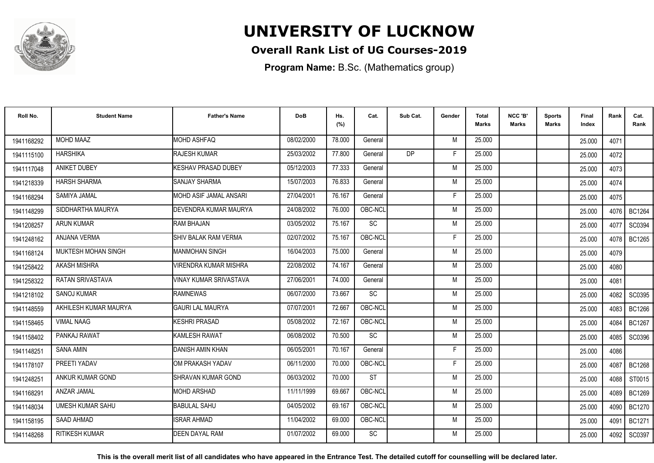

### **Overall Rank List of UG Courses-2019**

**Program Name:** B.Sc. (Mathematics group)

| Roll No.   | <b>Student Name</b>        | <b>Father's Name</b>          | <b>DoB</b> | Hs.<br>(%) | Cat.      | Sub Cat.  | Gender | Total<br>Marks | NCC 'B'<br><b>Marks</b> | Sports<br>Marks | Final<br>Index | Rank   | Cat.<br>Rank  |
|------------|----------------------------|-------------------------------|------------|------------|-----------|-----------|--------|----------------|-------------------------|-----------------|----------------|--------|---------------|
| 1941168292 | <b>MOHD MAAZ</b>           | <b>MOHD ASHFAQ</b>            | 08/02/2000 | 78.000     | General   |           | M      | 25.000         |                         |                 | 25.000         | 4071   |               |
| 1941115100 | <b>HARSHIKA</b>            | <b>RAJESH KUMAR</b>           | 25/03/2002 | 77.800     | General   | <b>DP</b> | F      | 25.000         |                         |                 | 25.000         | 4072   |               |
| 1941117048 | <b>ANIKET DUBEY</b>        | <b>I</b> KESHAV PRASAD DUBEY  | 05/12/2003 | 77.333     | General   |           | M      | 25.000         |                         |                 | 25.000         | 4073   |               |
| 1941218339 | <b>HARSH SHARMA</b>        | <b>SANJAY SHARMA</b>          | 15/07/2003 | 76.833     | General   |           | M      | 25.000         |                         |                 | 25.000         | 4074   |               |
| 1941168294 | SAMIYA JAMAL               | IMOHD ASIF JAMAL ANSARI       | 27/04/2001 | 76.167     | General   |           | F      | 25.000         |                         |                 | 25.000         | 4075   |               |
| 1941148299 | SIDDHARTHA MAURYA          | DEVENDRA KUMAR MAURYA         | 24/08/2002 | 76.000     | OBC-NCL   |           | M      | 25.000         |                         |                 | 25.000         | 4076   | <b>BC1264</b> |
| 1941208257 | <b>ARUN KUMAR</b>          | RAM BHAJAN                    | 03/05/2002 | 75.167     | SC        |           | M      | 25.000         |                         |                 | 25.000         | 4077   | SC0394        |
| 1941248162 | ANJANA VERMA               | <b>SHIV BALAK RAM VERMA</b>   | 02/07/2002 | 75.167     | OBC-NCL   |           | F      | 25.000         |                         |                 | 25.000         | 4078   | <b>BC1265</b> |
| 1941168124 | <b>MUKTESH MOHAN SINGH</b> | IMANMOHAN SINGH               | 16/04/2003 | 75.000     | General   |           | M      | 25.000         |                         |                 | 25.000         | 4079   |               |
| 1941258422 | <b>AKASH MISHRA</b>        | VIRENDRA KUMAR MISHRA         | 22/08/2002 | 74.167     | General   |           | M      | 25.000         |                         |                 | 25.000         | 4080   |               |
| 1941258322 | <b>RATAN SRIVASTAVA</b>    | <b>VINAY KUMAR SRIVASTAVA</b> | 27/06/2001 | 74.000     | General   |           | M      | 25.000         |                         |                 | 25.000         | 4081   |               |
| 1941218102 | <b>SANOJ KUMAR</b>         | <b>RAMNEWAS</b>               | 06/07/2000 | 73.667     | <b>SC</b> |           | M      | 25.000         |                         |                 | 25.000         | 4082   | SC0395        |
| 1941148559 | AKHILESH KUMAR MAURYA      | <b>GAURI LAL MAURYA</b>       | 07/07/2001 | 72.667     | OBC-NCL   |           | M      | 25.000         |                         |                 | 25.000         | 4083   | BC1266        |
| 1941158465 | <b>VIMAL NAAG</b>          | <b>KESHRI PRASAD</b>          | 05/08/2002 | 72.167     | OBC-NCL   |           | M      | 25.000         |                         |                 | 25.000         | 4084   | <b>BC1267</b> |
| 1941158402 | PANKAJ RAWAT               | KAMLESH RAWAT                 | 06/08/2002 | 70.500     | SC        |           | M      | 25.000         |                         |                 | 25.000         | 4085   | SC0396        |
| 1941148251 | <b>SANA AMIN</b>           | DANISH AMIN KHAN              | 06/05/2001 | 70.167     | General   |           | F      | 25.000         |                         |                 | 25.000         | 4086   |               |
| 1941178107 | PREETI YADAV               | IOM PRAKASH YADAV             | 06/11/2000 | 70.000     | OBC-NCL   |           | F      | 25.000         |                         |                 | 25.000         | 4087   | <b>BC1268</b> |
| 1941248251 | ANKUR KUMAR GOND           | SHRAVAN KUMAR GOND            | 06/03/2002 | 70.000     | <b>ST</b> |           | M      | 25.000         |                         |                 | 25.000         | 4088 I | ST0015        |
| 1941168291 | ANZAR JAMAL                | <b>MOHD ARSHAD</b>            | 11/11/1999 | 69.667     | OBC-NCL   |           | M      | 25.000         |                         |                 | 25.000         | 4089   | <b>BC1269</b> |
| 1941148034 | <b>UMESH KUMAR SAHU</b>    | <b>BABULAL SAHU</b>           | 04/05/2002 | 69.167     | OBC-NCL   |           | M      | 25.000         |                         |                 | 25.000         | 4090   | <b>BC1270</b> |
| 1941158195 | SAAD AHMAD                 | <b>ISRAR AHMAD</b>            | 11/04/2002 | 69.000     | OBC-NCL   |           | M      | 25.000         |                         |                 | 25.000         | 4091   | <b>BC1271</b> |
| 1941148268 | <b>RITIKESH KUMAR</b>      | <b>DEEN DAYAL RAM</b>         | 01/07/2002 | 69.000     | <b>SC</b> |           | М      | 25.000         |                         |                 | 25.000         | 4092   | SC0397        |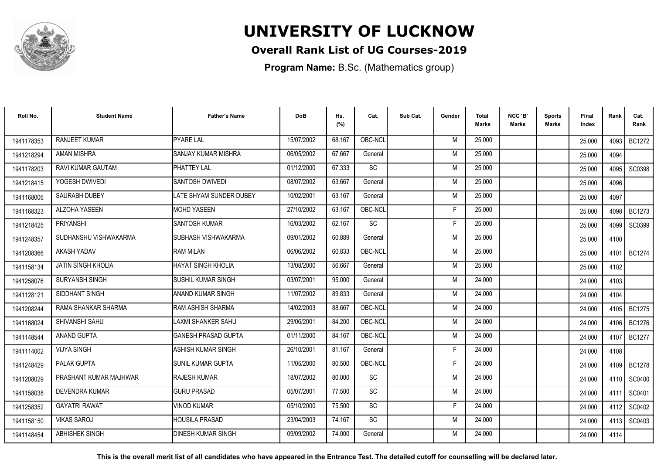

### **Overall Rank List of UG Courses-2019**

**Program Name:** B.Sc. (Mathematics group)

| Roll No.   | <b>Student Name</b>       | <b>Father's Name</b>       | <b>DoB</b> | Hs.<br>(%) | Cat.      | Sub Cat. | Gender | <b>Total</b><br>Marks | NCC 'B'<br><b>Marks</b> | Sports<br><b>Marks</b> | Final<br>Index | Rank   | Cat.<br>Rank  |
|------------|---------------------------|----------------------------|------------|------------|-----------|----------|--------|-----------------------|-------------------------|------------------------|----------------|--------|---------------|
| 1941178353 | <b>RANJEET KUMAR</b>      | <b>PYARE LAL</b>           | 15/07/2002 | 68.167     | OBC-NCL   |          | M      | 25.000                |                         |                        | 25.000         | 4093 I | <b>BC1272</b> |
| 1941218294 | <b>AMAN MISHRA</b>        | <b>SANJAY KUMAR MISHRA</b> | 06/05/2002 | 67.667     | General   |          | M      | 25.000                |                         |                        | 25.000         | 4094   |               |
| 1941178203 | RAVI KUMAR GAUTAM         | <b>PHATTEY LAL</b>         | 01/12/2000 | 67.333     | <b>SC</b> |          | M      | 25.000                |                         |                        | 25.000         | 4095   | SC0398        |
| 1941218415 | YOGESH DWIVEDI            | SANTOSH DWIVEDI            | 08/07/2002 | 63.667     | General   |          | M      | 25.000                |                         |                        | 25.000         | 4096   |               |
| 1941168006 | <b>SAURABH DUBEY</b>      | LATE SHYAM SUNDER DUBEY    | 10/02/2001 | 63.167     | General   |          | M      | 25.000                |                         |                        | 25.000         | 4097   |               |
| 1941168323 | ALZOHA YASEEN             | <b>MOHD YASEEN</b>         | 27/10/2002 | 63.167     | OBC-NCL   |          | Е      | 25.000                |                         |                        | 25.000         | 4098   | <b>BC1273</b> |
| 1941218425 | PRIYANSHI                 | <b>SANTOSH KUMAR</b>       | 16/03/2002 | 62.167     | SC        |          | F      | 25.000                |                         |                        | 25.000         | 4099   | SC0399        |
| 1941248357 | SUDHANSHU VISHWAKARMA     | SUBHASH VISHWAKARMA        | 09/01/2002 | 60.889     | General   |          | M      | 25.000                |                         |                        | 25.000         | 4100   |               |
| 1941208366 | AKASH YADAV               | <b>RAM MILAN</b>           | 06/06/2002 | 60.833     | OBC-NCL   |          | M      | 25.000                |                         |                        | 25.000         | 4101 l | <b>BC1274</b> |
| 1941158134 | <b>JATIN SINGH KHOLIA</b> | <b>HAYAT SINGH KHOLIA</b>  | 13/08/2000 | 56.667     | General   |          | M      | 25.000                |                         |                        | 25.000         | 4102   |               |
| 1941258076 | SURYANSH SINGH            | <b>SUSHIL KUMAR SINGH</b>  | 03/07/2001 | 95.000     | General   |          | M      | 24.000                |                         |                        | 24.000         | 4103   |               |
| 1941128121 | SIDDHANT SINGH            | <b>ANAND KUMAR SINGH</b>   | 11/07/2002 | 89.833     | General   |          | M      | 24.000                |                         |                        | 24.000         | 4104   |               |
| 1941208244 | RAMA SHANKAR SHARMA       | IRAM ASHISH SHARMA         | 14/02/2003 | 88.667     | OBC-NCL   |          | M      | 24.000                |                         |                        | 24.000         | 4105   | <b>BC1275</b> |
| 1941168024 | SHIVANSHI SAHU            | LAXMI SHANKER SAHU         | 29/06/2001 | 84.200     | OBC-NCL   |          | M      | 24.000                |                         |                        | 24.000         | 4106   | BC1276        |
| 1941148544 | <b>ANAND GUPTA</b>        | IGANESH PRASAD GUPTA       | 01/11/2000 | 84.167     | OBC-NCL   |          | M      | 24.000                |                         |                        | 24.000         | 4107   | <b>BC1277</b> |
| 1941114002 | <b>VIJYA SINGH</b>        | IASHISH KUMAR SINGH        | 26/10/2001 | 81.167     | General   |          | E      | 24.000                |                         |                        | 24.000         | 4108   |               |
| 1941248429 | <b>PALAK GUPTA</b>        | ISUNIL KUMAR GUPTA         | 11/05/2000 | 80.500     | OBC-NCL   |          | F      | 24.000                |                         |                        | 24.000         |        | 4109   BC1278 |
| 1941208029 | PRASHANT KUMAR MAJHWAR    | <b>RAJESH KUMAR</b>        | 18/07/2002 | 80.000     | <b>SC</b> |          | M      | 24.000                |                         |                        | 24.000         | 4110 l | SC0400        |
| 1941158038 | <b>DEVENDRA KUMAR</b>     | <b>GURU PRASAD</b>         | 05/07/2001 | 77.500     | SC        |          | M      | 24.000                |                         |                        | 24.000         | 4111   | SC0401        |
| 1941258352 | <b>GAYATRI RAWAT</b>      | <b>VINOD KUMAR</b>         | 05/10/2000 | 75.500     | SC        |          | F      | 24.000                |                         |                        | 24.000         | 4112   | SC0402        |
| 1941158150 | <b>VIKAS SAROJ</b>        | <b>HOUSILA PRASAD</b>      | 23/04/2003 | 74.167     | <b>SC</b> |          | M      | 24.000                |                         |                        | 24.000         | 4113   | SC0403        |
| 1941148454 | <b>ABHISHEK SINGH</b>     | <b>DINESH KUMAR SINGH</b>  | 09/09/2002 | 74.000     | General   |          | M      | 24.000                |                         |                        | 24.000         | 4114   |               |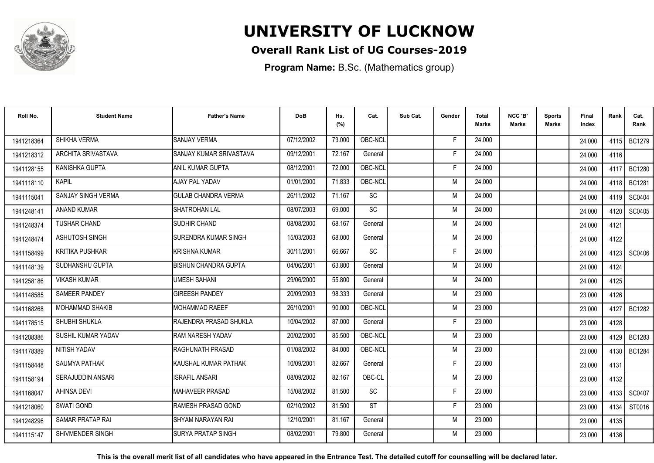

### **Overall Rank List of UG Courses-2019**

**Program Name:** B.Sc. (Mathematics group)

| Roll No.   | <b>Student Name</b>       | <b>Father's Name</b>        | <b>DoB</b> | Hs.<br>(%) | Cat.      | Sub Cat. | Gender | Total<br><b>Marks</b> | NCC 'B'<br><b>Marks</b> | Sports<br>Marks | Final<br>Index | Rank | Cat.<br>Rank  |
|------------|---------------------------|-----------------------------|------------|------------|-----------|----------|--------|-----------------------|-------------------------|-----------------|----------------|------|---------------|
| 1941218364 | SHIKHA VERMA              | <b>SANJAY VERMA</b>         | 07/12/2002 | 73.000     | OBC-NCL   |          | F      | 24.000                |                         |                 | 24.000         | 4115 | BC1279        |
| 1941218312 | <b>ARCHITA SRIVASTAVA</b> | SANJAY KUMAR SRIVASTAVA     | 09/12/2001 | 72.167     | General   |          | F      | 24.000                |                         |                 | 24.000         | 4116 |               |
| 1941128155 | <b>KANISHKA GUPTA</b>     | ANIL KUMAR GUPTA            | 08/12/2001 | 72.000     | OBC-NCL   |          | F      | 24.000                |                         |                 | 24.000         | 4117 | <b>BC1280</b> |
| 1941118110 | <b>KAPIL</b>              | AJAY PAL YADAV              | 01/01/2000 | 71.833     | OBC-NCL   |          | M      | 24.000                |                         |                 | 24.000         | 4118 | <b>BC1281</b> |
| 1941115041 | SANJAY SINGH VERMA        | <b>GULAB CHANDRA VERMA</b>  | 26/11/2002 | 71.167     | SC        |          | M      | 24.000                |                         |                 | 24.000         | 4119 | SC0404        |
| 1941248141 | <b>ANAND KUMAR</b>        | <b>SHATROHAN LAL</b>        | 08/07/2003 | 69.000     | <b>SC</b> |          | M      | 24.000                |                         |                 | 24.000         | 4120 | SC0405        |
| 1941248374 | <b>TUSHAR CHAND</b>       | SUDHIR CHAND                | 08/08/2000 | 68.167     | General   |          | M      | 24.000                |                         |                 | 24.000         | 4121 |               |
| 1941248474 | <b>ASHUTOSH SINGH</b>     | SURENDRA KUMAR SINGH        | 15/03/2003 | 68.000     | General   |          | M      | 24.000                |                         |                 | 24.000         | 4122 |               |
| 1941158499 | <b>KRITIKA PUSHKAR</b>    | KRISHNA KUMAR               | 30/11/2001 | 66.667     | SC        |          | F      | 24.000                |                         |                 | 24.000         |      | 4123 SC0406   |
| 1941148139 | SUDHANSHU GUPTA           | <b>BISHUN CHANDRA GUPTA</b> | 04/06/2001 | 63.800     | General   |          | M      | 24.000                |                         |                 | 24.000         | 4124 |               |
| 1941258186 | <b>VIKASH KUMAR</b>       | <b>UMESH SAHANI</b>         | 29/06/2000 | 55.800     | General   |          | M      | 24.000                |                         |                 | 24.000         | 4125 |               |
| 1941148585 | <b>SAMEER PANDEY</b>      | <b>GIREESH PANDEY</b>       | 20/09/2003 | 98.333     | General   |          | M      | 23,000                |                         |                 | 23.000         | 4126 |               |
| 1941168268 | <b>MOHAMMAD SHAKIB</b>    | <b>MOHAMMAD RAEEF</b>       | 26/10/2001 | 90.000     | OBC-NCL   |          | м      | 23.000                |                         |                 | 23.000         | 4127 | BC1282        |
| 1941178515 | SHUBHI SHUKLA             | RAJENDRA PRASAD SHUKLA      | 10/04/2002 | 87.000     | General   |          | F      | 23.000                |                         |                 | 23.000         | 4128 |               |
| 1941208386 | SUSHIL KUMAR YADAV        | RAM NARESH YADAV            | 20/02/2000 | 85.500     | OBC-NCL   |          | M      | 23.000                |                         |                 | 23.000         | 4129 | BC1283        |
| 1941178389 | NITISH YADAV              | RAGHUNATH PRASAD            | 01/08/2002 | 84.000     | OBC-NCL   |          | M      | 23.000                |                         |                 | 23.000         | 4130 | <b>BC1284</b> |
| 1941158448 | SAUMYA PATHAK             | KAUSHAL KUMAR PATHAK        | 10/09/2001 | 82.667     | General   |          | F      | 23.000                |                         |                 | 23.000         | 4131 |               |
| 1941158194 | <b>SERAJUDDIN ANSARI</b>  | <b>ISRAFIL ANSARI</b>       | 08/09/2002 | 82.167     | OBC-CL    |          | M      | 23.000                |                         |                 | 23.000         | 4132 |               |
| 1941168047 | <b>AHINSA DEVI</b>        | <b>I</b> MAHAVEER PRASAD    | 15/08/2002 | 81.500     | SC        |          | F      | 23,000                |                         |                 | 23.000         | 4133 | SC0407        |
| 1941218060 | SWATI GOND                | RAMESH PRASAD GOND          | 02/10/2002 | 81.500     | <b>ST</b> |          | F      | 23,000                |                         |                 | 23.000         | 4134 | ST0016        |
| 1941248296 | SAMAR PRATAP RAI          | SHYAM NARAYAN RAI           | 12/10/2001 | 81.167     | General   |          | M      | 23.000                |                         |                 | 23.000         | 4135 |               |
| 1941115147 | SHIVMENDER SINGH          | <b>SURYA PRATAP SINGH</b>   | 08/02/2001 | 79.800     | General   |          | M      | 23.000                |                         |                 | 23.000         | 4136 |               |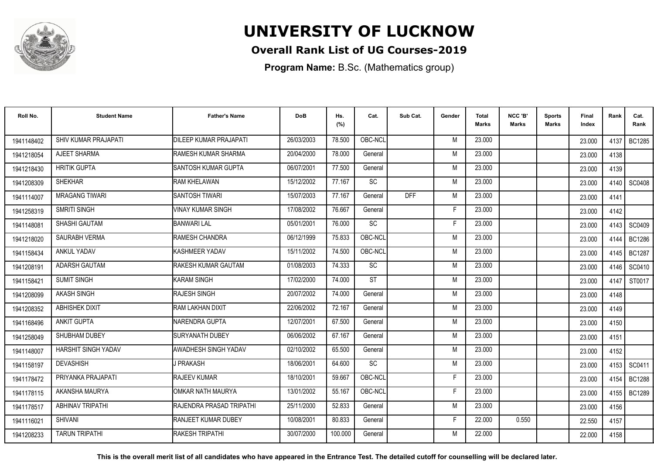

### **Overall Rank List of UG Courses-2019**

**Program Name:** B.Sc. (Mathematics group)

| Roll No.   | <b>Student Name</b>     | <b>Father's Name</b>       | <b>DoB</b> | Hs.<br>(%) | Cat.      | Sub Cat.   | Gender | Total<br>Marks | NCC 'B'<br><b>Marks</b> | Sports<br>Marks | Final<br>Index | Rank   | Cat.<br>Rank  |
|------------|-------------------------|----------------------------|------------|------------|-----------|------------|--------|----------------|-------------------------|-----------------|----------------|--------|---------------|
| 1941148402 | SHIV KUMAR PRAJAPATI    | DILEEP KUMAR PRAJAPATI     | 26/03/2003 | 78.500     | OBC-NCL   |            | M      | 23.000         |                         |                 | 23.000         | 4137   | <b>BC1285</b> |
| 1941218054 | AJEET SHARMA            | RAMESH KUMAR SHARMA        | 20/04/2000 | 78.000     | General   |            | M      | 23.000         |                         |                 | 23.000         | 4138   |               |
| 1941218430 | <b>HRITIK GUPTA</b>     | SANTOSH KUMAR GUPTA        | 06/07/2001 | 77.500     | General   |            | M      | 23.000         |                         |                 | 23.000         | 4139   |               |
| 1941208309 | <b>SHEKHAR</b>          | RAM KHELAWAN               | 15/12/2002 | 77.167     | SC        |            | M      | 23.000         |                         |                 | 23.000         | 4140 l | <b>SC0408</b> |
| 1941114007 | <b>MRAGANG TIWARI</b>   | <b>SANTOSH TIWARI</b>      | 15/07/2003 | 77.167     | General   | <b>DFF</b> | M      | 23.000         |                         |                 | 23.000         | 4141   |               |
| 1941258319 | <b>SMRITI SINGH</b>     | <b>VINAY KUMAR SINGH</b>   | 17/08/2002 | 76.667     | General   |            | F      | 23.000         |                         |                 | 23.000         | 4142   |               |
| 1941148081 | SHASHI GAUTAM           | <b>BANWARI LAL</b>         | 05/01/2001 | 76.000     | <b>SC</b> |            | F      | 23,000         |                         |                 | 23.000         | 4143   | SC0409        |
| 1941218020 | SAURABH VERMA           | RAMESH CHANDRA             | 06/12/1999 | 75.833     | OBC-NCL   |            | M      | 23.000         |                         |                 | 23.000         | 4144   | <b>BC1286</b> |
| 1941158434 | <b>ANKUL YADAV</b>      | KASHMEER YADAV             | 15/11/2002 | 74.500     | OBC-NCL   |            | M      | 23.000         |                         |                 | 23.000         | 4145 I | <b>BC1287</b> |
| 1941208191 | <b>ADARSH GAUTAM</b>    | RAKESH KUMAR GAUTAM        | 01/08/2003 | 74.333     | SC        |            | M      | 23.000         |                         |                 | 23.000         | 4146 I | SC0410        |
| 1941158421 | <b>SUMIT SINGH</b>      | <b>KARAM SINGH</b>         | 17/02/2000 | 74.000     | <b>ST</b> |            | M      | 23.000         |                         |                 | 23.000         | 4147   | ST0017        |
| 1941208099 | AKASH SINGH             | RAJESH SINGH               | 20/07/2002 | 74.000     | General   |            | M      | 23.000         |                         |                 | 23.000         | 4148   |               |
| 1941208352 | ABHISHEK DIXIT          | RAM LAKHAN DIXIT           | 22/06/2002 | 72.167     | General   |            | M      | 23.000         |                         |                 | 23.000         | 4149   |               |
| 1941168496 | <b>ANKIT GUPTA</b>      | NARENDRA GUPTA             | 12/07/2001 | 67.500     | General   |            | M      | 23.000         |                         |                 | 23.000         | 4150   |               |
| 1941258049 | SHUBHAM DUBEY           | <b>SURYANATH DUBEY</b>     | 06/06/2002 | 67.167     | General   |            | M      | 23.000         |                         |                 | 23.000         | 4151   |               |
| 1941148007 | HARSHIT SINGH YADAV     | AWADHESH SINGH YADAV       | 02/10/2002 | 65.500     | General   |            | M      | 23.000         |                         |                 | 23.000         | 4152   |               |
| 1941158197 | <b>DEVASHISH</b>        | J PRAKASH                  | 18/06/2001 | 64.600     | <b>SC</b> |            | M      | 23.000         |                         |                 | 23.000         |        | 4153   SC0411 |
| 1941178472 | PRIYANKA PRAJAPATI      | <b>RAJEEV KUMAR</b>        | 18/10/2001 | 59.667     | OBC-NCL   |            | F      | 23.000         |                         |                 | 23.000         | 4154   | <b>BC1288</b> |
| 1941178115 | AKANSHA MAURYA          | IOMKAR NATH MAURYA         | 13/01/2002 | 55.167     | OBC-NCL   |            | F      | 23.000         |                         |                 | 23.000         | 4155   | <b>BC1289</b> |
| 1941178517 | <b>ABHINAV TRIPATHI</b> | RAJENDRA PRASAD TRIPATHI   | 25/11/2000 | 52.833     | General   |            | M      | 23,000         |                         |                 | 23.000         | 4156   |               |
| 1941116021 | <b>SHIVANI</b>          | <b>RANJEET KUMAR DUBEY</b> | 10/08/2001 | 80.833     | General   |            | F.     | 22,000         | 0.550                   |                 | 22.550         | 4157   |               |
| 1941208233 | <b>TARUN TRIPATHI</b>   | <b>RAKESH TRIPATHI</b>     | 30/07/2000 | 100.000    | General   |            | M      | 22.000         |                         |                 | 22.000         | 4158   |               |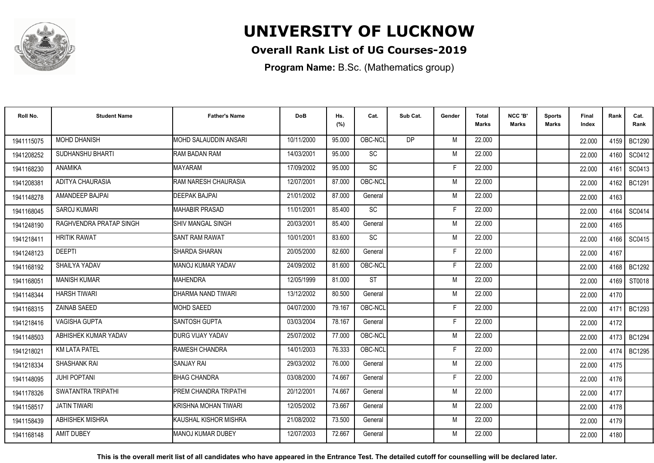

### **Overall Rank List of UG Courses-2019**

**Program Name:** B.Sc. (Mathematics group)

| Roll No.   | <b>Student Name</b>     | <b>Father's Name</b>         | <b>DoB</b> | Hs.<br>(%) | Cat.            | Sub Cat.       | Gender | <b>Total</b><br>Marks | NCC 'B'<br><b>Marks</b> | Sports<br><b>Marks</b> | Final<br>Index | Rank   | Cat.<br>Rank  |
|------------|-------------------------|------------------------------|------------|------------|-----------------|----------------|--------|-----------------------|-------------------------|------------------------|----------------|--------|---------------|
| 1941115075 | <b>MOHD DHANISH</b>     | <b>MOHD SALAUDDIN ANSARI</b> | 10/11/2000 | 95.000     | OBC-NCL         | D <sub>P</sub> | M      | 22.000                |                         |                        | 22.000         |        | 4159   BC1290 |
| 1941208252 | <b>SUDHANSHU BHARTI</b> | <b>RAM BADAN RAM</b>         | 14/03/2001 | 95.000     | SC              |                | M      | 22.000                |                         |                        | 22,000         | 4160   | SC0412        |
| 1941168230 | <b>ANAMIKA</b>          | <b>MAYARAM</b>               | 17/09/2002 | 95.000     | <b>SC</b>       |                | F      | 22.000                |                         |                        | 22.000         | 4161   | SC0413        |
| 1941208381 | ADITYA CHAURASIA        | RAM NARESH CHAURASIA         | 12/07/2001 | 87.000     | OBC-NCL         |                | M      | 22.000                |                         |                        | 22.000         | 4162   | <b>BC1291</b> |
| 1941148278 | AMANDEEP BAJPAI         | <b>DEEPAK BAJPAI</b>         | 21/01/2002 | 87.000     | General         |                | M      | 22.000                |                         |                        | 22.000         | 4163   |               |
| 1941168045 | <b>SAROJ KUMARI</b>     | MAHABIR PRASAD               | 11/01/2001 | 85.400     | <b>SC</b>       |                | Е      | 22.000                |                         |                        | 22,000         | 4164   | SC0414        |
| 1941248190 | RAGHVENDRA PRATAP SINGH | <b>SHIV MANGAL SINGH</b>     | 20/03/2001 | 85.400     | General         |                | M      | 22.000                |                         |                        | 22.000         | 4165   |               |
| 1941218411 | <b>HRITIK RAWAT</b>     | <b>SANT RAM RAWAT</b>        | 10/01/2001 | 83.600     | $\overline{SC}$ |                | M      | 22.000                |                         |                        | 22.000         | 4166   | SC0415        |
| 1941248123 | <b>DEEPTI</b>           | SHARDA SHARAN                | 20/05/2000 | 82.600     | General         |                | E      | 22.000                |                         |                        | 22.000         | 4167   |               |
| 1941168192 | SHAILYA YADAV           | MANOJ KUMAR YADAV            | 24/09/2002 | 81.600     | OBC-NCL         |                | F      | 22.000                |                         |                        | 22.000         | 4168 l | <b>BC1292</b> |
| 1941168051 | <b>MANISH KUMAR</b>     | <b>MAHENDRA</b>              | 12/05/1999 | 81.000     | <b>ST</b>       |                | M      | 22.000                |                         |                        | 22.000         | 4169   | ST0018        |
| 1941148344 | <b>HARSH TIWARI</b>     | DHARMA NAND TIWARI           | 13/12/2002 | 80.500     | General         |                | M      | 22.000                |                         |                        | 22.000         | 4170   |               |
| 1941168315 | <b>ZAINAB SAEED</b>     | <b>MOHD SAEED</b>            | 04/07/2000 | 79.167     | OBC-NCL         |                |        | 22,000                |                         |                        | 22.000         | 4171   | <b>BC1293</b> |
| 1941218416 | <b>VAGISHA GUPTA</b>    | <b>SANTOSH GUPTA</b>         | 03/03/2004 | 78.167     | General         |                | F      | 22,000                |                         |                        | 22.000         | 4172   |               |
| 1941148503 | ABHISHEK KUMAR YADAV    | <b>DURG VIJAY YADAV</b>      | 25/07/2002 | 77.000     | OBC-NCL         |                | M      | 22,000                |                         |                        | 22.000         | 4173   | <b>BC1294</b> |
| 1941218021 | <b>KM LATA PATEL</b>    | <b>RAMESH CHANDRA</b>        | 14/01/2003 | 76.333     | OBC-NCL         |                | E      | 22.000                |                         |                        | 22.000         | 4174   | <b>BC1295</b> |
| 1941218334 | SHASHANK RAI            | <b>SANJAY RAI</b>            | 29/03/2002 | 76.000     | General         |                | M      | 22.000                |                         |                        | 22.000         | 4175   |               |
| 1941148095 | <b>JUHI POPTANI</b>     | <b>BHAG CHANDRA</b>          | 03/08/2000 | 74.667     | General         |                | F      | 22.000                |                         |                        | 22.000         | 4176   |               |
| 1941178326 | SWATANTRA TRIPATHI      | <b>PREM CHANDRA TRIPATHI</b> | 20/12/2001 | 74.667     | General         |                | M      | 22.000                |                         |                        | 22.000         | 4177   |               |
| 1941158517 | <b>JATIN TIWARI</b>     | KRISHNA MOHAN TIWARI         | 12/05/2002 | 73.667     | General         |                | M      | 22.000                |                         |                        | 22.000         | 4178   |               |
| 1941158439 | <b>ABHISHEK MISHRA</b>  | İKAUSHAL KISHOR MISHRA       | 21/08/2002 | 73.500     | General         |                | M      | 22.000                |                         |                        | 22.000         | 4179   |               |
| 1941168148 | <b>AMIT DUBEY</b>       | IMANOJ KUMAR DUBEY           | 12/07/2003 | 72.667     | General         |                | M      | 22.000                |                         |                        | 22.000         | 4180   |               |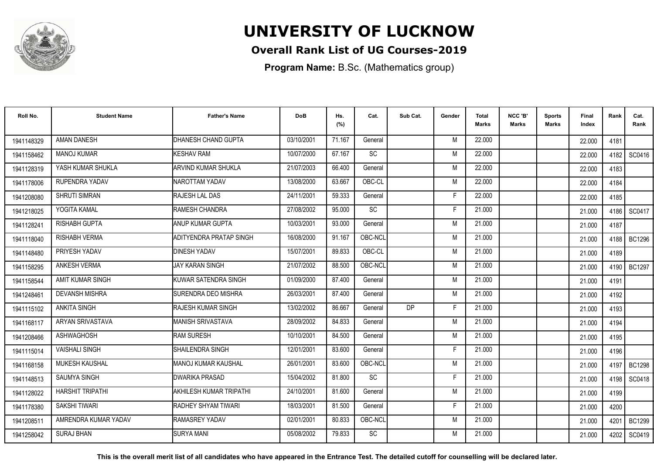

### **Overall Rank List of UG Courses-2019**

**Program Name:** B.Sc. (Mathematics group)

| Roll No.   | <b>Student Name</b>     | <b>Father's Name</b>       | <b>DoB</b> | Hs.<br>(%) | Cat.      | Sub Cat.  | Gender | <b>Total</b><br>Marks | NCC 'B'<br><b>Marks</b> | Sports<br>Marks | <b>Final</b><br>Index | Rank   | Cat.<br>Rank  |
|------------|-------------------------|----------------------------|------------|------------|-----------|-----------|--------|-----------------------|-------------------------|-----------------|-----------------------|--------|---------------|
| 1941148329 | <b>AMAN DANESH</b>      | DHANESH CHAND GUPTA        | 03/10/2001 | 71.167     | General   |           | M      | 22.000                |                         |                 | 22,000                | 4181   |               |
| 1941158462 | <b>MANOJ KUMAR</b>      | KESHAV RAM                 | 10/07/2000 | 67.167     | SC        |           | M      | 22.000                |                         |                 | 22,000                | 4182   | SC0416        |
| 1941128319 | YASH KUMAR SHUKLA       | ARVIND KUMAR SHUKLA        | 21/07/2003 | 66.400     | General   |           | M      | 22.000                |                         |                 | 22.000                | 4183   |               |
| 1941178006 | RUPENDRA YADAV          | NAROTTAM YADAV             | 13/08/2000 | 63.667     | OBC-CL    |           | M      | 22.000                |                         |                 | 22.000                | 4184   |               |
| 1941208080 | <b>SHRUTI SIMRAN</b>    | RAJESH LAL DAS             | 24/11/2001 | 59.333     | General   |           | F      | 22.000                |                         |                 | 22.000                | 4185   |               |
| 1941218025 | YOGITA KAMAL            | RAMESH CHANDRA             | 27/08/2002 | 95.000     | <b>SC</b> |           | E      | 21.000                |                         |                 | 21.000                | 4186   | SC0417        |
| 1941128241 | <b>RISHABH GUPTA</b>    | <b>ANUP KUMAR GUPTA</b>    | 10/03/2001 | 93.000     | General   |           | M      | 21.000                |                         |                 | 21.000                | 4187   |               |
| 1941118040 | RISHABH VERMA           | ADITYENDRA PRATAP SINGH    | 16/08/2000 | 91.167     | OBC-NCL   |           | M      | 21.000                |                         |                 | 21.000                | 4188   | BC1296        |
| 1941148480 | PRIYESH YADAV           | <b>DINESH YADAV</b>        | 15/07/2001 | 89.833     | OBC-CL    |           | M      | 21.000                |                         |                 | 21.000                | 4189   |               |
| 1941158295 | <b>ANKESH VERMA</b>     | <b>JAY KARAN SINGH</b>     | 21/07/2002 | 88.500     | OBC-NCL   |           | M      | 21.000                |                         |                 | 21.000                | 4190 L | BC1297        |
| 1941158544 | AMIT KUMAR SINGH        | KUWAR SATENDRA SINGH       | 01/09/2000 | 87.400     | General   |           | M      | 21.000                |                         |                 | 21.000                | 4191   |               |
| 1941248461 | <b>DEVANSH MISHRA</b>   | SURENDRA DEO MISHRA        | 26/03/2001 | 87.400     | General   |           | M      | 21.000                |                         |                 | 21.000                | 4192   |               |
| 1941115102 | <b>ANKITA SINGH</b>     | RAJESH KUMAR SINGH         | 13/02/2002 | 86.667     | General   | <b>DP</b> | F      | 21.000                |                         |                 | 21.000                | 4193   |               |
| 1941168117 | ARYAN SRIVASTAVA        | <b>MANISH SRIVASTAVA</b>   | 28/09/2002 | 84.833     | General   |           | M      | 21.000                |                         |                 | 21.000                | 4194   |               |
| 1941208466 | ASHWAGHOSH              | <b>RAM SURESH</b>          | 10/10/2001 | 84.500     | General   |           | M      | 21.000                |                         |                 | 21.000                | 4195   |               |
| 1941115014 | <b>VAISHALI SINGH</b>   | SHAILENDRA SINGH           | 12/01/2001 | 83.600     | General   |           | F      | 21.000                |                         |                 | 21.000                | 4196   |               |
| 1941168158 | <b>MUKESH KAUSHAL</b>   | <b>MANOJ KUMAR KAUSHAL</b> | 26/01/2001 | 83.600     | OBC-NCL   |           | M      | 21.000                |                         |                 | 21.000                |        | 4197   BC1298 |
| 1941148513 | <b>SAUMYA SINGH</b>     | <b>DWARIKA PRASAD</b>      | 15/04/2002 | 81.800     | <b>SC</b> |           | F      | 21.000                |                         |                 | 21.000                |        | 4198   SC0418 |
| 1941128022 | <b>HARSHIT TRIPATHI</b> | AKHILESH KUMAR TRIPATHI    | 24/10/2001 | 81.600     | General   |           | M      | 21.000                |                         |                 | 21.000                | 4199   |               |
| 1941178380 | <b>SAKSHI TIWARI</b>    | RADHEY SHYAM TIWARI        | 18/03/2001 | 81.500     | General   |           | F      | 21.000                |                         |                 | 21.000                | 4200   |               |
| 1941208511 | AMRENDRA KUMAR YADAV    | RAMASREY YADAV             | 02/01/2001 | 80.833     | OBC-NCL   |           | M      | 21.000                |                         |                 | 21.000                | 4201   | <b>BC1299</b> |
| 1941258042 | <b>SURAJ BHAN</b>       | <b>SURYA MANI</b>          | 05/08/2002 | 79.833     | <b>SC</b> |           | M      | 21.000                |                         |                 | 21.000                |        | 4202 SC0419   |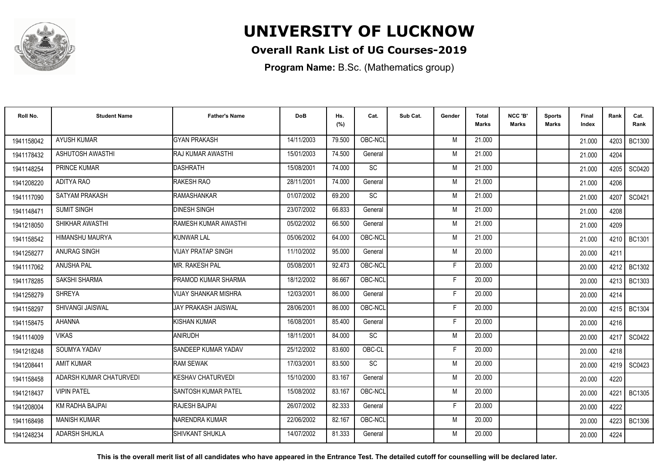

### **Overall Rank List of UG Courses-2019**

**Program Name:** B.Sc. (Mathematics group)

| Roll No.   | <b>Student Name</b>     | <b>Father's Name</b>        | <b>DoB</b> | Hs.<br>(%) | Cat.      | Sub Cat. | Gender | Total<br><b>Marks</b> | NCC 'B'<br><b>Marks</b> | Sports<br><b>Marks</b> | Final<br>Index | Rank | Cat.<br>Rank  |
|------------|-------------------------|-----------------------------|------------|------------|-----------|----------|--------|-----------------------|-------------------------|------------------------|----------------|------|---------------|
| 1941158042 | <b>AYUSH KUMAR</b>      | <b>GYAN PRAKASH</b>         | 14/11/2003 | 79.500     | OBC-NCL   |          | M      | 21.000                |                         |                        | 21.000         | 4203 | <b>BC1300</b> |
| 1941178432 | <b>ASHUTOSH AWASTHI</b> | <b>RAJ KUMAR AWASTHI</b>    | 15/01/2003 | 74.500     | General   |          | M      | 21.000                |                         |                        | 21.000         | 4204 |               |
| 1941148254 | <b>PRINCE KUMAR</b>     | <b>DASHRATH</b>             | 15/08/2001 | 74.000     | <b>SC</b> |          | M      | 21.000                |                         |                        | 21.000         | 4205 | SC0420        |
| 1941208220 | ADITYA RAO              | RAKESH RAO                  | 28/11/2001 | 74.000     | General   |          | M      | 21.000                |                         |                        | 21.000         | 4206 |               |
| 1941117090 | <b>SATYAM PRAKASH</b>   | <b>RAMASHANKAR</b>          | 01/07/2002 | 69.200     | <b>SC</b> |          | M      | 21.000                |                         |                        | 21.000         | 4207 | SC0421        |
| 1941148471 | <b>SUMIT SINGH</b>      | <b>DINESH SINGH</b>         | 23/07/2002 | 66.833     | General   |          | M      | 21.000                |                         |                        | 21.000         | 4208 |               |
| 1941218050 | SHIKHAR AWASTHI         | <b>RAMESH KUMAR AWASTHI</b> | 05/02/2002 | 66.500     | General   |          | M      | 21.000                |                         |                        | 21.000         | 4209 |               |
| 1941158542 | HIMANSHU MAURYA         | KUNWAR LAL                  | 05/06/2002 | 64.000     | OBC-NCL   |          | M      | 21.000                |                         |                        | 21.000         |      | 4210   BC1301 |
| 1941258277 | ANURAG SINGH            | <b>VIJAY PRATAP SINGH</b>   | 11/10/2002 | 95.000     | General   |          | M      | 20.000                |                         |                        | 20.000         | 4211 |               |
| 1941117062 | ANUSHA PAL              | MR. RAKESH PAL              | 05/08/2001 | 92.473     | OBC-NCL   |          | F      | 20.000                |                         |                        | 20.000         | 4212 | <b>BC1302</b> |
| 1941178285 | SAKSHI SHARMA           | PRAMOD KUMAR SHARMA         | 18/12/2002 | 86.667     | OBC-NCL   |          | F      | 20.000                |                         |                        | 20,000         | 4213 | <b>BC1303</b> |
| 1941258279 | <b>SHREYA</b>           | <b>VIJAY SHANKAR MISHRA</b> | 12/03/2001 | 86.000     | General   |          | F      | 20.000                |                         |                        | 20.000         | 4214 |               |
| 1941158297 | <b>SHIVANGI JAISWAL</b> | <b>JAY PRAKASH JAISWAL</b>  | 28/06/2001 | 86.000     | OBC-NCL   |          | D      | 20,000                |                         |                        | 20.000         | 4215 | <b>BC1304</b> |
| 1941158475 | <b>AHANNA</b>           | KISHAN KUMAR                | 16/08/2001 | 85.400     | General   |          | F      | 20.000                |                         |                        | 20.000         | 4216 |               |
| 1941114009 | <b>VIKAS</b>            | ANIRUDH                     | 18/11/2001 | 84.000     | <b>SC</b> |          | M      | 20.000                |                         |                        | 20.000         | 4217 | SC0422        |
| 1941218248 | SOUMYA YADAV            | SANDEEP KUMAR YADAV         | 25/12/2002 | 83.600     | OBC-CL    |          | F      | 20.000                |                         |                        | 20.000         | 4218 |               |
| 1941208441 | <b>AMIT KUMAR</b>       | <b>RAM SEWAK</b>            | 17/03/2001 | 83.500     | <b>SC</b> |          | M      | 20.000                |                         |                        | 20.000         |      | 4219   SC0423 |
| 1941158458 | ADARSH KUMAR CHATURVEDI | KESHAV CHATURVEDI           | 15/10/2000 | 83.167     | General   |          | M      | 20.000                |                         |                        | 20.000         | 4220 |               |
| 1941218437 | <b>VIPIN PATEL</b>      | <b>SANTOSH KUMAR PATEL</b>  | 15/08/2002 | 83.167     | OBC-NCL   |          | M      | 20,000                |                         |                        | 20.000         | 4221 | <b>BC1305</b> |
| 1941208004 | KM RADHA BAJPAI         | RAJESH BAJPAI               | 26/07/2002 | 82.333     | General   |          | F      | 20.000                |                         |                        | 20.000         | 4222 |               |
| 1941168498 | <b>MANISH KUMAR</b>     | NARENDRA KUMAR              | 22/06/2002 | 82.167     | OBC-NCL   |          | M      | 20.000                |                         |                        | 20.000         | 4223 | <b>BC1306</b> |
| 1941248234 | <b>ADARSH SHUKLA</b>    | <b>SHIVKANT SHUKLA</b>      | 14/07/2002 | 81.333     | General   |          | M      | 20.000                |                         |                        | 20.000         | 4224 |               |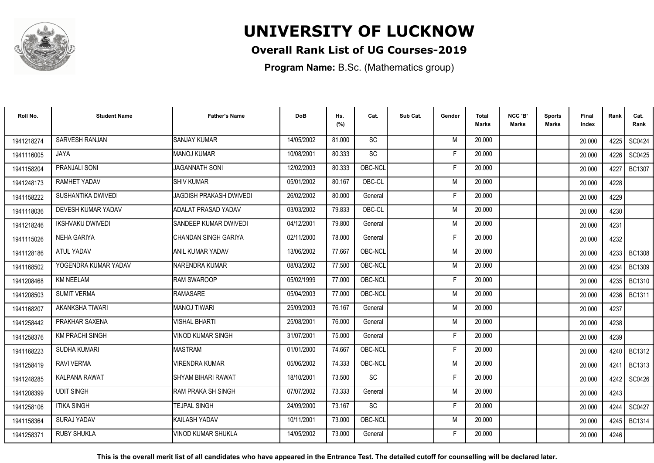

### **Overall Rank List of UG Courses-2019**

**Program Name:** B.Sc. (Mathematics group)

| Roll No.   | <b>Student Name</b>     | <b>Father's Name</b>       | <b>DoB</b> | Hs.<br>(%) | Cat.            | Sub Cat. | Gender | Total<br><b>Marks</b> | NCC 'B'<br><b>Marks</b> | <b>Sports</b><br>Marks | Final<br>Index | Rank   | Cat.<br>Rank  |
|------------|-------------------------|----------------------------|------------|------------|-----------------|----------|--------|-----------------------|-------------------------|------------------------|----------------|--------|---------------|
| 1941218274 | <b>SARVESH RANJAN</b>   | <b>SANJAY KUMAR</b>        | 14/05/2002 | 81.000     | SC              |          | M      | 20.000                |                         |                        | 20.000         | 4225   | SC0424        |
| 1941116005 | JAYA                    | MANOJ KUMAR                | 10/08/2001 | 80.333     | SC              |          | F      | 20.000                |                         |                        | 20.000         | 4226   | SC0425        |
| 1941158204 | PRANJALI SONI           | <b>JAGANNATH SONI</b>      | 12/02/2003 | 80.333     | OBC-NCL         |          | F      | 20.000                |                         |                        | 20.000         | 4227   | <b>BC1307</b> |
| 1941248173 | RAMHET YADAV            | <b>SHIV KUMAR</b>          | 05/01/2002 | 80.167     | OBC-CL          |          | M      | 20.000                |                         |                        | 20.000         | 4228   |               |
| 1941158222 | SUSHANTIKA DWIVEDI      | JAGDISH PRAKASH DWIVEDI    | 26/02/2002 | 80.000     | General         |          | F      | 20,000                |                         |                        | 20.000         | 4229   |               |
| 1941118036 | DEVESH KUMAR YADAV      | <b>ADALAT PRASAD YADAV</b> | 03/03/2002 | 79.833     | OBC-CL          |          | M      | 20,000                |                         |                        | 20.000         | 4230   |               |
| 1941218246 | <b>IKSHVAKU DWIVEDI</b> | SANDEEP KUMAR DWIVEDI      | 04/12/2001 | 79.800     | General         |          | M      | 20.000                |                         |                        | 20.000         | 4231   |               |
| 1941115026 | <b>NEHA GARIYA</b>      | CHANDAN SINGH GARIYA       | 02/11/2000 | 78.000     | General         |          | F      | 20.000                |                         |                        | 20.000         | 4232   |               |
| 1941128186 | <b>ATUL YADAV</b>       | ANIL KUMAR YADAV           | 13/06/2002 | 77.667     | OBC-NCL         |          | M      | 20.000                |                         |                        | 20,000         | 4233   | <b>BC1308</b> |
| 1941168502 | YOGENDRA KUMAR YADAV    | INARENDRA KUMAR            | 08/03/2002 | 77.500     | OBC-NCL         |          | M      | 20.000                |                         |                        | 20,000         | 4234   | <b>BC1309</b> |
| 1941208468 | <b>KM NEELAM</b>        | <b>RAM SWAROOP</b>         | 05/02/1999 | 77.000     | OBC-NCL         |          | F      | 20.000                |                         |                        | 20.000         | 4235   | <b>BC1310</b> |
| 1941208503 | <b>SUMIT VERMA</b>      | <b>RAMASARE</b>            | 05/04/2003 | 77.000     | OBC-NCL         |          | M      | 20,000                |                         |                        | 20.000         | 4236   | BC1311        |
| 1941168207 | AKANKSHA TIWARI         | <b>MANOJ TIWARI</b>        | 25/09/2003 | 76.167     | General         |          | M      | 20,000                |                         |                        | 20.000         | 4237   |               |
| 1941258442 | PRAKHAR SAXENA          | <b>VISHAL BHARTI</b>       | 25/08/2001 | 76.000     | General         |          | M      | 20.000                |                         |                        | 20.000         | 4238   |               |
| 1941258376 | <b>KM PRACHI SINGH</b>  | <b>VINOD KUMAR SINGH</b>   | 31/07/2001 | 75.000     | General         |          | F      | 20,000                |                         |                        | 20.000         | 4239   |               |
| 1941168223 | SUDHA KUMARI            | <b>MASTRAM</b>             | 01/01/2000 | 74.667     | OBC-NCL         |          | F      | 20.000                |                         |                        | 20.000         | 4240 l | <b>BC1312</b> |
| 1941258419 | <b>RAVI VERMA</b>       | <b>VIRENDRA KUMAR</b>      | 05/06/2002 | 74.333     | OBC-NCL         |          | M      | 20.000                |                         |                        | 20,000         | 4241   | <b>BC1313</b> |
| 1941248285 | KALPANA RAWAT           | <b>SHYAM BIHARI RAWAT</b>  | 18/10/2001 | 73.500     | $\overline{SC}$ |          | F      | 20.000                |                         |                        | 20.000         | 4242   | SC0426        |
| 1941208399 | <b>UDIT SINGH</b>       | RAM PRAKA SH SINGH         | 07/07/2002 | 73.333     | General         |          | M      | 20,000                |                         |                        | 20.000         | 4243   |               |
| 1941258106 | <b>ITIKA SINGH</b>      | <b>TEJPAL SINGH</b>        | 24/09/2000 | 73.167     | SC              |          | F      | 20,000                |                         |                        | 20.000         | 4244   | SC0427        |
| 1941158364 | <b>SURAJ YADAV</b>      | KAILASH YADAV              | 10/11/2001 | 73.000     | OBC-NCL         |          | M      | 20.000                |                         |                        | 20.000         | 4245   | <b>BC1314</b> |
| 1941258371 | <b>RUBY SHUKLA</b>      | <b>VINOD KUMAR SHUKLA</b>  | 14/05/2002 | 73.000     | General         |          | F      | 20.000                |                         |                        | 20.000         | 4246   |               |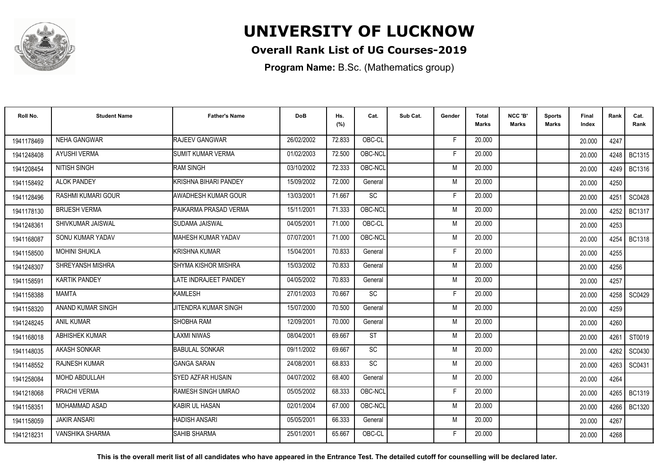

### **Overall Rank List of UG Courses-2019**

**Program Name:** B.Sc. (Mathematics group)

| Roll No.   | <b>Student Name</b>       | <b>Father's Name</b>       | <b>DoB</b> | Hs.<br>(%) | Cat.            | Sub Cat. | Gender | Total<br><b>Marks</b> | NCC 'B'<br><b>Marks</b> | <b>Sports</b><br>Marks | Final<br>Index | Rank | Cat.<br>Rank  |
|------------|---------------------------|----------------------------|------------|------------|-----------------|----------|--------|-----------------------|-------------------------|------------------------|----------------|------|---------------|
| 1941178469 | <b>NEHA GANGWAR</b>       | RAJEEV GANGWAR             | 26/02/2002 | 72.833     | OBC-CL          |          | F      | 20.000                |                         |                        | 20.000         | 4247 |               |
| 1941248408 | <b>AYUSHI VERMA</b>       | <b>SUMIT KUMAR VERMA</b>   | 01/02/2003 | 72.500     | OBC-NCL         |          | E      | 20.000                |                         |                        | 20,000         | 4248 | <b>BC1315</b> |
| 1941208454 | <b>NITISH SINGH</b>       | <b>RAM SINGH</b>           | 03/10/2002 | 72.333     | OBC-NCL         |          | M      | 20,000                |                         |                        | 20.000         | 4249 | <b>BC1316</b> |
| 1941158492 | <b>ALOK PANDEY</b>        | KRISHNA BIHARI PANDEY      | 15/09/2002 | 72.000     | General         |          | M      | 20,000                |                         |                        | 20.000         | 4250 |               |
| 1941128496 | <b>RASHMI KUMARI GOUR</b> | <b>AWADHESH KUMAR GOUR</b> | 13/03/2001 | 71.667     | <b>SC</b>       |          | F      | 20,000                |                         |                        | 20.000         | 4251 | SC0428        |
| 1941178130 | <b>BRIJESH VERMA</b>      | PAIKARMA PRASAD VERMA      | 15/11/2001 | 71.333     | OBC-NCL         |          | M      | 20,000                |                         |                        | 20.000         | 4252 | <b>BC1317</b> |
| 1941248361 | SHIVKUMAR JAISWAL         | <b>SUDAMA JAISWAL</b>      | 04/05/2001 | 71.000     | OBC-CL          |          | M      | 20.000                |                         |                        | 20.000         | 4253 |               |
| 1941168087 | SONU KUMAR YADAV          | <b>MAHESH KUMAR YADAV</b>  | 07/07/2001 | 71.000     | OBC-NCL         |          | M      | 20.000                |                         |                        | 20.000         | 4254 | <b>BC1318</b> |
| 1941158500 | <b>MOHINI SHUKLA</b>      | <b>KRISHNA KUMAR</b>       | 15/04/2001 | 70.833     | General         |          | F      | 20,000                |                         |                        | 20.000         | 4255 |               |
| 1941248307 | SHREYANSH MISHRA          | <b>SHYMA KISHOR MISHRA</b> | 15/03/2002 | 70.833     | General         |          | M      | 20.000                |                         |                        | 20.000         | 4256 |               |
| 1941158591 | <b>KARTIK PANDEY</b>      | LATE INDRAJEET PANDEY      | 04/05/2002 | 70.833     | General         |          | M      | 20.000                |                         |                        | 20.000         | 4257 |               |
| 1941158388 | <b>MAMTA</b>              | KAMLESH                    | 27/01/2003 | 70.667     | $\overline{SC}$ |          | F      | 20.000                |                         |                        | 20.000         | 4258 | SC0429        |
| 1941158320 | ANAND KUMAR SINGH         | JITENDRA KUMAR SINGH       | 15/07/2000 | 70.500     | General         |          | M      | 20.000                |                         |                        | 20.000         | 4259 |               |
| 1941248245 | <b>ANIL KUMAR</b>         | <b>SHOBHA RAM</b>          | 12/09/2001 | 70.000     | General         |          | M      | 20.000                |                         |                        | 20.000         | 4260 |               |
| 1941168018 | <b>ABHISHEK KUMAR</b>     | LAXMI NIWAS                | 08/04/2001 | 69.667     | <b>ST</b>       |          | M      | 20,000                |                         |                        | 20.000         | 4261 | ST0019        |
| 1941148035 | <b>AKASH SONKAR</b>       | <b>BABULAL SONKAR</b>      | 09/11/2002 | 69.667     | <b>SC</b>       |          | M      | 20.000                |                         |                        | 20.000         | 4262 | SC0430        |
| 1941148552 | RAJNESH KUMAR             | <b>GANGA SARAN</b>         | 24/08/2001 | 68.833     | <b>SC</b>       |          | M      | 20.000                |                         |                        | 20.000         | 4263 | SC0431        |
| 1941258084 | MOHD ABDULLAH             | SYED AZFAR HUSAIN          | 04/07/2002 | 68.400     | General         |          | M      | 20,000                |                         |                        | 20.000         | 4264 |               |
| 1941218068 | PRACHI VERMA              | RAMESH SINGH UMRAO         | 05/05/2002 | 68.333     | OBC-NCL         |          | F      | 20.000                |                         |                        | 20.000         | 4265 | <b>BC1319</b> |
| 1941158351 | MOHAMMAD ASAD             | KABIR UL HASAN             | 02/01/2004 | 67.000     | OBC-NCL         |          | M      | 20,000                |                         |                        | 20.000         | 4266 | <b>BC1320</b> |
| 1941158059 | <b>JAKIR ANSARI</b>       | <b>HADISH ANSARI</b>       | 05/05/2001 | 66.333     | General         |          | M      | 20.000                |                         |                        | 20.000         | 4267 |               |
| 1941218231 | <b>VANSHIKA SHARMA</b>    | <b>SAHIB SHARMA</b>        | 25/01/2001 | 65.667     | OBC-CL          |          | F      | 20,000                |                         |                        | 20.000         | 4268 |               |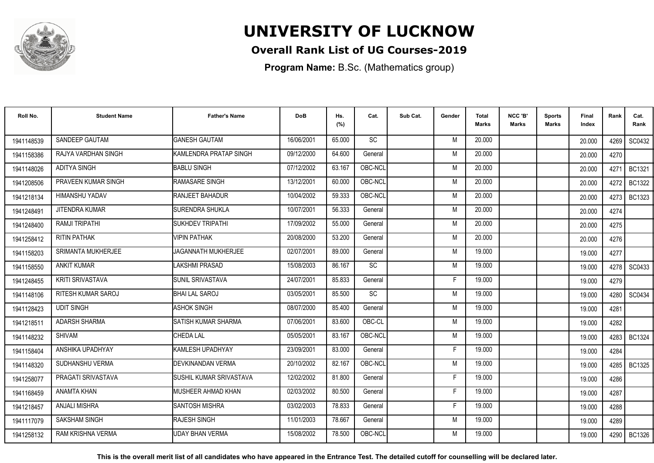

### **Overall Rank List of UG Courses-2019**

**Program Name:** B.Sc. (Mathematics group)

| Roll No.   | <b>Student Name</b>       | <b>Father's Name</b>           | <b>DoB</b> | Hs.<br>(%) | Cat.      | Sub Cat. | Gender | <b>Total</b><br>Marks | NCC 'B'<br><b>Marks</b> | Sports<br><b>Marks</b> | Final<br>Index | Rank   | Cat.<br>Rank  |
|------------|---------------------------|--------------------------------|------------|------------|-----------|----------|--------|-----------------------|-------------------------|------------------------|----------------|--------|---------------|
| 1941148539 | SANDEEP GAUTAM            | <b>GANESH GAUTAM</b>           | 16/06/2001 | 65.000     | <b>SC</b> |          | M      | 20.000                |                         |                        | 20.000         | 4269 l | SC0432        |
| 1941158386 | RAJYA VARDHAN SINGH       | KAMLENDRA PRATAP SINGH         | 09/12/2000 | 64.600     | General   |          | M      | 20.000                |                         |                        | 20.000         | 4270   |               |
| 1941148026 | ADITYA SINGH              | <b>BABLU SINGH</b>             | 07/12/2002 | 63.167     | OBC-NCL   |          | M      | 20.000                |                         |                        | 20.000         | 4271   | <b>BC1321</b> |
| 1941208506 | PRAVEEN KUMAR SINGH       | RAMASARE SINGH                 | 13/12/2001 | 60.000     | OBC-NCL   |          | M      | 20.000                |                         |                        | 20.000         | 4272   | <b>BC1322</b> |
| 1941218134 | HIMANSHU YADAV            | RANJEET BAHADUR                | 10/04/2002 | 59.333     | OBC-NCL   |          | M      | 20.000                |                         |                        | 20.000         | 4273   | <b>BC1323</b> |
| 1941248491 | JITENDRA KUMAR            | <b>SURENDRA SHUKLA</b>         | 10/07/2001 | 56.333     | General   |          | M      | 20.000                |                         |                        | 20.000         | 4274   |               |
| 1941248400 | RAMJI TRIPATHI            | <b>SUKHDEV TRIPATHI</b>        | 17/09/2002 | 55.000     | General   |          | M      | 20.000                |                         |                        | 20.000         | 4275   |               |
| 1941258412 | <b>RITIN PATHAK</b>       | <b>VIPIN PATHAK</b>            | 20/08/2000 | 53.200     | General   |          | M      | 20.000                |                         |                        | 20.000         | 4276   |               |
| 1941158203 | SRIMANTA MUKHERJEE        | JAGANNATH MUKHERJEE            | 02/07/2001 | 89.000     | General   |          | M      | 19.000                |                         |                        | 19.000         | 4277   |               |
| 1941158550 | <b>ANKIT KUMAR</b>        | <b>LAKSHMI PRASAD</b>          | 15/08/2003 | 86.167     | SC        |          | M      | 19.000                |                         |                        | 19.000         |        | 4278 SC0433   |
| 1941248455 | <b>KRITI SRIVASTAVA</b>   | SUNIL SRIVASTAVA               | 24/07/2001 | 85.833     | General   |          | F      | 19.000                |                         |                        | 19.000         | 4279   |               |
| 1941148106 | <b>RITESH KUMAR SAROJ</b> | <b>BHAI LAL SAROJ</b>          | 03/05/2001 | 85.500     | SC        |          | M      | 19.000                |                         |                        | 19.000         | 4280   | SC0434        |
| 1941128423 | <b>UDIT SINGH</b>         | <b>ASHOK SINGH</b>             | 08/07/2000 | 85.400     | General   |          | M      | 19.000                |                         |                        | 19.000         | 4281   |               |
| 1941218511 | <b>ADARSH SHARMA</b>      | ISATISH KUMAR SHARMA           | 07/06/2001 | 83.600     | OBC-CL    |          | M      | 19.000                |                         |                        | 19.000         | 4282   |               |
| 1941148232 | <b>SHIVAM</b>             | <b>CHEDA LAL</b>               | 05/05/2001 | 83.167     | OBC-NCL   |          | M      | 19.000                |                         |                        | 19.000         | 4283   | <b>BC1324</b> |
| 1941158404 | ANSHIKA UPADHYAY          | KAMLESH UPADHYAY               | 23/09/2001 | 83.000     | General   |          | Е      | 19.000                |                         |                        | 19.000         | 4284   |               |
| 1941148320 | SUDHANSHU VERMA           | DEVKINANDAN VERMA              | 20/10/2002 | 82.167     | OBC-NCL   |          | M      | 19.000                |                         |                        | 19.000         |        | 4285   BC1325 |
| 1941258077 | PRAGATI SRIVASTAVA        | <b>SUSHIL KUMAR SRIVASTAVA</b> | 12/02/2002 | 81.800     | General   |          | F      | 19.000                |                         |                        | 19.000         | 4286   |               |
| 1941168459 | <b>ANAMTA KHAN</b>        | MUSHEER AHMAD KHAN             | 02/03/2002 | 80.500     | General   |          | F.     | 19.000                |                         |                        | 19.000         | 4287   |               |
| 1941218457 | <b>ANJALI MISHRA</b>      | <b>SANTOSH MISHRA</b>          | 03/02/2003 | 78.833     | General   |          | F      | 19.000                |                         |                        | 19.000         | 4288   |               |
| 1941117079 | <b>SAKSHAM SINGH</b>      | <b>RAJESH SINGH</b>            | 11/01/2003 | 78.667     | General   |          | M      | 19.000                |                         |                        | 19.000         | 4289   |               |
| 1941258132 | RAM KRISHNA VERMA         | UDAY BHAN VERMA                | 15/08/2002 | 78.500     | OBC-NCL   |          | M      | 19.000                |                         |                        | 19.000         |        | 4290   BC1326 |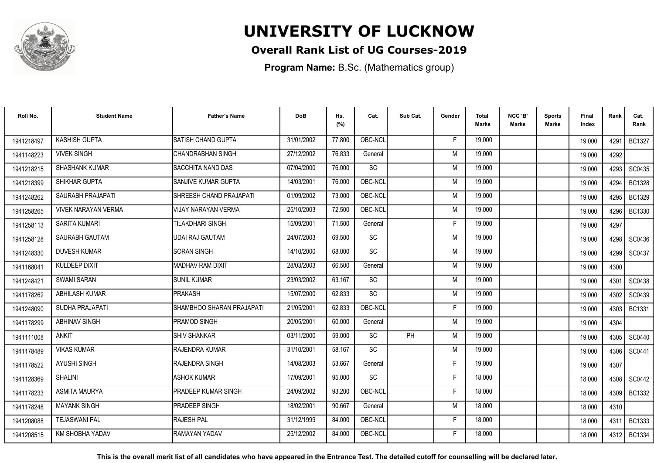

### **Overall Rank List of UG Courses-2019**

**Program Name:** B.Sc. (Mathematics group)

| Roll No.   | <b>Student Name</b>        | <b>Father's Name</b>       | <b>DoB</b> | Hs.<br>(%) | Cat.            | Sub Cat. | Gender | Total<br><b>Marks</b> | NCC 'B'<br><b>Marks</b> | <b>Sports</b><br>Marks | Final<br>Index | Rank | Cat.<br>Rank  |
|------------|----------------------------|----------------------------|------------|------------|-----------------|----------|--------|-----------------------|-------------------------|------------------------|----------------|------|---------------|
| 1941218497 | <b>KASHISH GUPTA</b>       | SATISH CHAND GUPTA         | 31/01/2002 | 77.800     | OBC-NCL         |          | F      | 19.000                |                         |                        | 19.000         | 4291 | <b>BC1327</b> |
| 1941148223 | <b>VIVEK SINGH</b>         | <b>CHANDRABHAN SINGH</b>   | 27/12/2002 | 76.833     | General         |          | M      | 19.000                |                         |                        | 19.000         | 4292 |               |
| 1941218215 | <b>SHASHANK KUMAR</b>      | <b>SACCHITA NAND DAS</b>   | 07/04/2000 | 76.000     | <b>SC</b>       |          | M      | 19.000                |                         |                        | 19.000         | 4293 | SC0435        |
| 1941218399 | SHIKHAR GUPTA              | SANJIVE KUMAR GUPTA        | 14/03/2001 | 76.000     | OBC-NCL         |          | M      | 19.000                |                         |                        | 19.000         | 4294 | <b>BC1328</b> |
| 1941248262 | SAURABH PRAJAPATI          | SHREESH CHAND PRAJAPATI    | 01/09/2002 | 73.000     | OBC-NCL         |          | M      | 19.000                |                         |                        | 19.000         | 4295 | <b>BC1329</b> |
| 1941258265 | <b>VIVEK NARAYAN VERMA</b> | <b>VIJAY NARAYAN VERMA</b> | 25/10/2003 | 72.500     | OBC-NCL         |          | M      | 19.000                |                         |                        | 19.000         | 4296 | <b>BC1330</b> |
| 1941258113 | <b>SARITA KUMARI</b>       | <b>TILAKDHARI SINGH</b>    | 15/09/2001 | 71.500     | General         |          | F      | 19.000                |                         |                        | 19.000         | 4297 |               |
| 1941258128 | SAURABH GAUTAM             | <b>UDAI RAJ GAUTAM</b>     | 24/07/2003 | 69.500     | <b>SC</b>       |          | M      | 19.000                |                         |                        | 19.000         | 4298 | SC0436        |
| 1941248330 | <b>DUVESH KUMAR</b>        | <b>SORAN SINGH</b>         | 14/10/2000 | 68.000     | <b>SC</b>       |          | M      | 19.000                |                         |                        | 19.000         | 4299 | SC0437        |
| 1941168041 | KULDEEP DIXIT              | <b>MADHAV RAM DIXIT</b>    | 28/03/2003 | 66.500     | General         |          | M      | 19.000                |                         |                        | 19.000         | 4300 |               |
| 1941248421 | <b>SWAMI SARAN</b>         | <b>SUNIL KUMAR</b>         | 23/03/2002 | 63.167     | SC              |          | M      | 19.000                |                         |                        | 19.000         | 4301 | SC0438        |
| 1941178262 | <b>ABHILASH KUMAR</b>      | <b>PRAKASH</b>             | 15/07/2000 | 62.833     | $\overline{SC}$ |          | M      | 19.000                |                         |                        | 19.000         | 4302 | SC0439        |
| 1941248090 | SUDHA PRAJAPATI            | SHAMBHOO SHARAN PRAJAPATI  | 21/05/2001 | 62.833     | OBC-NCL         |          | F      | 19.000                |                         |                        | 19.000         | 4303 | <b>BC1331</b> |
| 1941178299 | <b>ABHINAV SINGH</b>       | PRAMOD SINGH               | 20/05/2001 | 60.000     | General         |          | M      | 19.000                |                         |                        | 19.000         | 4304 |               |
| 1941111008 | <b>ANKIT</b>               | <b>SHIV SHANKAR</b>        | 03/11/2000 | 59.000     | <b>SC</b>       | PH       | M      | 19.000                |                         |                        | 19.000         | 4305 | SC0440        |
| 1941178489 | <b>VIKAS KUMAR</b>         | <b>RAJENDRA KUMAR</b>      | 31/10/2001 | 58.167     | <b>SC</b>       |          | M      | 19.000                |                         |                        | 19.000         | 4306 | SC0441        |
| 1941178522 | <b>AYUSHI SINGH</b>        | RAJENDRA SINGH             | 14/08/2003 | 53.667     | General         |          | F      | 19.000                |                         |                        | 19.000         | 4307 |               |
| 1941128369 | <b>SHALINI</b>             | ASHOK KUMAR                | 17/09/2001 | 95.000     | <b>SC</b>       |          | F      | 18,000                |                         |                        | 18.000         | 4308 | SC0442        |
| 1941178233 | <b>ASMITA MAURYA</b>       | PRADEEP KUMAR SINGH        | 24/09/2002 | 93.200     | OBC-NCL         |          | F      | 18.000                |                         |                        | 18.000         | 4309 | <b>BC1332</b> |
| 1941178248 | <b>MAYANK SINGH</b>        | <b>PRADEEP SINGH</b>       | 18/02/2001 | 90.667     | General         |          | M      | 18.000                |                         |                        | 18.000         | 4310 |               |
| 1941208088 | <b>TEJASWANI PAL</b>       | <b>RAJESH PAL</b>          | 31/12/1999 | 84.000     | OBC-NCL         |          | F      | 18.000                |                         |                        | 18.000         | 4311 | <b>BC1333</b> |
| 1941208515 | <b>KM SHOBHA YADAV</b>     | RAMAYAN YADAV              | 25/12/2002 | 84.000     | OBC-NCL         |          | F      | 18.000                |                         |                        | 18.000         | 4312 | <b>BC1334</b> |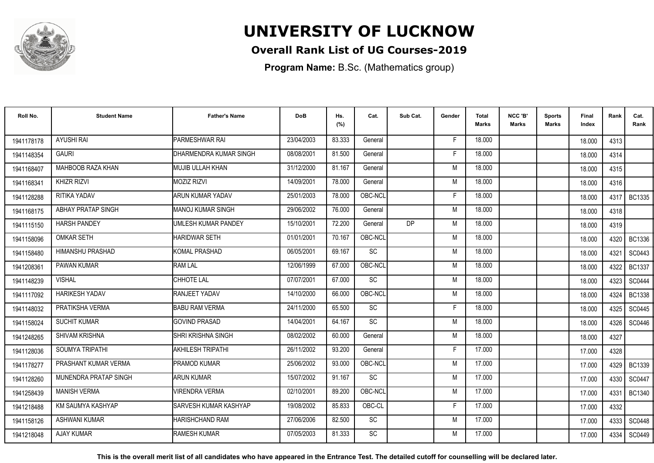

### **Overall Rank List of UG Courses-2019**

**Program Name:** B.Sc. (Mathematics group)

| Roll No.   | <b>Student Name</b>       | <b>Father's Name</b>         | <b>DoB</b> | Hs.<br>(%) | Cat.      | Sub Cat. | Gender | <b>Total</b><br><b>Marks</b> | NCC 'B'<br><b>Marks</b> | <b>Sports</b><br>Marks | Final<br>Index | Rank   | Cat.<br>Rank  |
|------------|---------------------------|------------------------------|------------|------------|-----------|----------|--------|------------------------------|-------------------------|------------------------|----------------|--------|---------------|
| 1941178178 | <b>AYUSHI RAI</b>         | PARMESHWAR RAI               | 23/04/2003 | 83.333     | General   |          | F.     | 18.000                       |                         |                        | 18.000         | 4313   |               |
| 1941148354 | <b>GAURI</b>              | DHARMENDRA KUMAR SINGH       | 08/08/2001 | 81.500     | General   |          | F      | 18.000                       |                         |                        | 18.000         | 4314   |               |
| 1941168407 | MAHBOOB RAZA KHAN         | <b>I</b> MUJIB ULLAH KHAN    | 31/12/2000 | 81.167     | General   |          | M      | 18.000                       |                         |                        | 18.000         | 4315   |               |
| 1941168341 | <b>KHIZR RIZVI</b>        | <b>MOZIZ RIZVI</b>           | 14/09/2001 | 78.000     | General   |          | M      | 18.000                       |                         |                        | 18.000         | 4316   |               |
| 1941128288 | RITIKA YADAV              | <b>ARUN KUMAR YADAV</b>      | 25/01/2003 | 78.000     | OBC-NCL   |          | F.     | 18.000                       |                         |                        | 18.000         | 4317   | <b>BC1335</b> |
| 1941168175 | <b>ABHAY PRATAP SINGH</b> | IMANOJ KUMAR SINGH           | 29/06/2002 | 76.000     | General   |          | M      | 18.000                       |                         |                        | 18.000         | 4318   |               |
| 1941115150 | <b>HARSH PANDEY</b>       | UMLESH KUMAR PANDEY          | 15/10/2001 | 72.200     | General   | DP       | M      | 18.000                       |                         |                        | 18.000         | 4319   |               |
| 1941158096 | <b>OMKAR SETH</b>         | <b>HARIDWAR SETH</b>         | 01/01/2001 | 70.167     | OBC-NCL   |          | M      | 18.000                       |                         |                        | 18.000         |        | 4320   BC1336 |
| 1941158480 | <b>HIMANSHU PRASHAD</b>   | <b>KOMAL PRASHAD</b>         | 06/05/2001 | 69.167     | <b>SC</b> |          | M      | 18.000                       |                         |                        | 18.000         | 4321   | SC0443        |
| 1941208361 | <b>PAWAN KUMAR</b>        | <b>RAM LAL</b>               | 12/06/1999 | 67.000     | OBC-NCL   |          | M      | 18.000                       |                         |                        | 18.000         | 4322   | <b>BC1337</b> |
| 1941148239 | <b>VISHAL</b>             | <b>CHHOTE LAL</b>            | 07/07/2001 | 67.000     | <b>SC</b> |          | M      | 18.000                       |                         |                        | 18.000         | 4323   | SC0444        |
| 1941117092 | <b>HARIKESH YADAV</b>     | RANJEET YADAV                | 14/10/2000 | 66.000     | OBC-NCL   |          | M      | 18.000                       |                         |                        | 18.000         | 4324   | <b>BC1338</b> |
| 1941148032 | PRATIKSHA VERMA           | BABU RAM VERMA               | 24/11/2000 | 65.500     | <b>SC</b> |          | F      | 18.000                       |                         |                        | 18.000         | 4325   | SC0445        |
| 1941158024 | <b>SUCHIT KUMAR</b>       | <b>GOVIND PRASAD</b>         | 14/04/2001 | 64.167     | <b>SC</b> |          | M      | 18.000                       |                         |                        | 18.000         | 4326   | SC0446        |
| 1941248265 | <b>SHIVAM KRISHNA</b>     | SHRI KRISHNA SINGH           | 08/02/2002 | 60.000     | General   |          | M      | 18.000                       |                         |                        | 18.000         | 4327   |               |
| 1941128036 | SOUMYA TRIPATHI           | <b>AKHILESH TRIPATHI</b>     | 26/11/2002 | 93.200     | General   |          | Е      | 17.000                       |                         |                        | 17.000         | 4328   |               |
| 1941178277 | PRASHANT KUMAR VERMA      | <b>PRAMOD KUMAR</b>          | 25/06/2002 | 93.000     | OBC-NCL   |          | M      | 17.000                       |                         |                        | 17.000         |        | 4329   BC1339 |
| 1941128260 | MUNENDRA PRATAP SINGH     | <b>ARUN KUMAR</b>            | 15/07/2002 | 91.167     | <b>SC</b> |          | M      | 17.000                       |                         |                        | 17.000         | 4330 l | SC0447        |
| 1941258439 | <b>MANISH VERMA</b>       | <b>VIRENDRA VERMA</b>        | 02/10/2001 | 89.200     | OBC-NCL   |          | M      | 17.000                       |                         |                        | 17.000         | 4331   | <b>BC1340</b> |
| 1941218488 | KM SAUMYA KASHYAP         | <b>SARVESH KUMAR KASHYAP</b> | 19/08/2002 | 85.833     | OBC-CL    |          | Е      | 17.000                       |                         |                        | 17.000         | 4332   |               |
| 1941158126 | ASHWANI KUMAR             | <b>HARISHCHAND RAM</b>       | 27/06/2006 | 82.500     | <b>SC</b> |          | M      | 17.000                       |                         |                        | 17.000         | 4333   | SC0448        |
| 1941218048 | <b>AJAY KUMAR</b>         | <b>RAMESH KUMAR</b>          | 07/05/2003 | 81.333     | SC        |          | M      | 17.000                       |                         |                        | 17.000         | 4334   | SC0449        |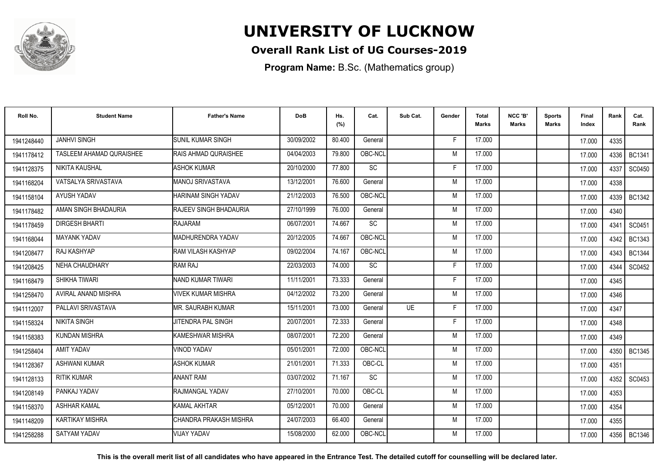

### **Overall Rank List of UG Courses-2019**

**Program Name:** B.Sc. (Mathematics group)

| Roll No.   | <b>Student Name</b>      | <b>Father's Name</b>      | <b>DoB</b> | Hs.<br>(%) | Cat.      | Sub Cat.  | Gender | <b>Total</b><br>Marks | NCC 'B'<br><b>Marks</b> | Sports<br>Marks | Final<br>Index | Rank   | Cat.<br>Rank  |
|------------|--------------------------|---------------------------|------------|------------|-----------|-----------|--------|-----------------------|-------------------------|-----------------|----------------|--------|---------------|
| 1941248440 | <b>JANHVI SINGH</b>      | <b>SUNIL KUMAR SINGH</b>  | 30/09/2002 | 80.400     | General   |           | -F     | 17.000                |                         |                 | 17.000         | 4335   |               |
| 1941178412 | TASLEEM AHAMAD QURAISHEE | RAIS AHMAD QURAISHEE      | 04/04/2003 | 79.800     | OBC-NCL   |           | M      | 17.000                |                         |                 | 17.000         | 4336 l | <b>BC1341</b> |
| 1941128375 | NIKITA KAUSHAL           | <b>ASHOK KUMAR</b>        | 20/10/2000 | 77.800     | SC        |           | F      | 17.000                |                         |                 | 17.000         | 4337   | SC0450        |
| 1941168204 | VATSALYA SRIVASTAVA      | MANOJ SRIVASTAVA          | 13/12/2001 | 76.600     | General   |           | M      | 17.000                |                         |                 | 17.000         | 4338   |               |
| 1941158104 | AYUSH YADAV              | HARINAM SINGH YADAV       | 21/12/2003 | 76.500     | OBC-NCL   |           | M      | 17.000                |                         |                 | 17.000         | 4339   | <b>BC1342</b> |
| 1941178482 | AMAN SINGH BHADAURIA     | RAJEEV SINGH BHADAURIA    | 27/10/1999 | 76.000     | General   |           | M      | 17.000                |                         |                 | 17.000         | 4340   |               |
| 1941178459 | <b>DIRGESH BHARTI</b>    | RAJARAM                   | 06/07/2001 | 74.667     | <b>SC</b> |           | M      | 17.000                |                         |                 | 17.000         | 4341   | SC0451        |
| 1941168044 | <b>MAYANK YADAV</b>      | MADHURENDRA YADAV         | 20/12/2005 | 74.667     | OBC-NCL   |           | M      | 17.000                |                         |                 | 17.000         | 4342   | <b>BC1343</b> |
| 1941208477 | RAJ KASHYAP              | <b>RAM VILASH KASHYAP</b> | 09/02/2004 | 74.167     | OBC-NCL   |           | M      | 17.000                |                         |                 | 17.000         | 4343 I | <b>BC1344</b> |
| 1941208425 | NEHA CHAUDHARY           | <b>RAM RAJ</b>            | 22/03/2003 | 74.000     | SC        |           | F      | 17.000                |                         |                 | 17.000         | 4344   | SC0452        |
| 1941168479 | SHIKHA TIWARI            | NAND KUMAR TIWARI         | 11/11/2001 | 73.333     | General   |           | Е      | 17.000                |                         |                 | 17.000         | 4345   |               |
| 1941258470 | AVIRAL ANAND MISHRA      | <b>VIVEK KUMAR MISHRA</b> | 04/12/2002 | 73.200     | General   |           | M      | 17.000                |                         |                 | 17.000         | 4346   |               |
| 1941112007 | PALLAVI SRIVASTAVA       | IMR. SAURABH KUMAR        | 15/11/2001 | 73.000     | General   | <b>UE</b> | Е      | 17.000                |                         |                 | 17.000         | 4347   |               |
| 1941158324 | <b>NIKITA SINGH</b>      | <b>JITENDRA PAL SINGH</b> | 20/07/2001 | 72.333     | General   |           | -F     | 17.000                |                         |                 | 17.000         | 4348   |               |
| 1941158383 | <b>KUNDAN MISHRA</b>     | KAMESHWAR MISHRA          | 08/07/2001 | 72.200     | General   |           | M      | 17.000                |                         |                 | 17.000         | 4349   |               |
| 1941258404 | AMIT YADAV               | <b>VINOD YADAV</b>        | 05/01/2001 | 72.000     | OBC-NCL   |           | M      | 17.000                |                         |                 | 17.000         | 4350   | <b>BC1345</b> |
| 1941128367 | <b>ASHWANI KUMAR</b>     | <b>ASHOK KUMAR</b>        | 21/01/2001 | 71.333     | OBC-CL    |           | M      | 17.000                |                         |                 | 17.000         | 4351   |               |
| 1941128133 | <b>RITIK KUMAR</b>       | <b>ANANT RAM</b>          | 03/07/2002 | 71.167     | <b>SC</b> |           | M      | 17.000                |                         |                 | 17.000         | 4352   | SC0453        |
| 1941208149 | PANKAJ YADAV             | RAJMANGAL YADAV           | 27/10/2001 | 70.000     | OBC-CL    |           | M      | 17.000                |                         |                 | 17.000         | 4353   |               |
| 1941158370 | <b>ASHHAR KAMAL</b>      | <b>KAMAL AKHTAR</b>       | 05/12/2001 | 70.000     | General   |           | M      | 17.000                |                         |                 | 17.000         | 4354   |               |
| 1941148209 | <b>KARTIKAY MISHRA</b>   | ICHANDRA PRAKASH MISHRA   | 24/07/2003 | 66.400     | General   |           | M      | 17.000                |                         |                 | 17.000         | 4355   |               |
| 1941258288 | <b>SATYAM YADAV</b>      | <b>VIJAY YADAV</b>        | 15/08/2000 | 62.000     | OBC-NCL   |           | M      | 17.000                |                         |                 | 17.000         | 4356   | BC1346        |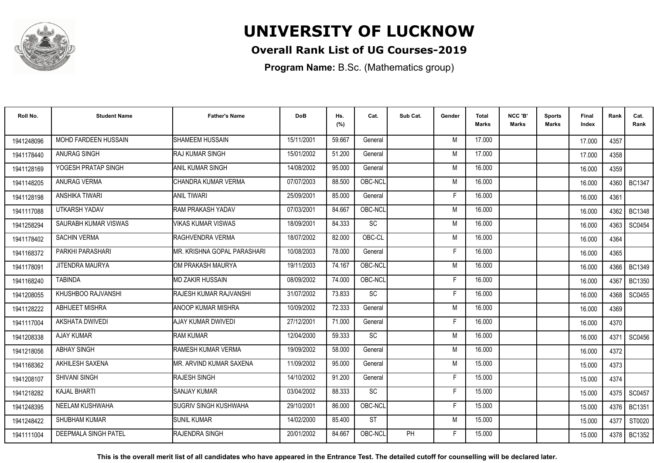

### **Overall Rank List of UG Courses-2019**

**Program Name:** B.Sc. (Mathematics group)

| Roll No.   | <b>Student Name</b>         | <b>Father's Name</b>         | <b>DoB</b> | Hs.<br>(%) | Cat.      | Sub Cat. | Gender | <b>Total</b><br>Marks | NCC 'B'<br><b>Marks</b> | Sports<br><b>Marks</b> | Final<br>Index | Rank   | Cat.<br>Rank  |
|------------|-----------------------------|------------------------------|------------|------------|-----------|----------|--------|-----------------------|-------------------------|------------------------|----------------|--------|---------------|
| 1941248096 | MOHD FARDEEN HUSSAIN        | SHAMEEM HUSSAIN              | 15/11/2001 | 59.667     | General   |          | M      | 17.000                |                         |                        | 17.000         | 4357   |               |
| 1941178440 | ANURAG SINGH                | IRAJ KUMAR SINGH             | 15/01/2002 | 51.200     | General   |          | M      | 17.000                |                         |                        | 17.000         | 4358   |               |
| 1941128169 | YOGESH PRATAP SINGH         | IANIL KUMAR SINGH            | 14/08/2002 | 95.000     | General   |          | M      | 16.000                |                         |                        | 16.000         | 4359   |               |
| 1941148205 | <b>ANURAG VERMA</b>         | CHANDRA KUMAR VERMA          | 07/07/2003 | 88.500     | OBC-NCL   |          | M      | 16.000                |                         |                        | 16.000         | 4360   | <b>BC1347</b> |
| 1941128198 | <b>ANSHIKA TIWARI</b>       | <b>ANIL TIWARI</b>           | 25/09/2001 | 85.000     | General   |          | F      | 16.000                |                         |                        | 16.000         | 4361   |               |
| 1941117088 | <b>UTKARSH YADAV</b>        | <b>RAM PRAKASH YADAV</b>     | 07/03/2001 | 84.667     | OBC-NCL   |          | M      | 16.000                |                         |                        | 16.000         | 4362   | <b>BC1348</b> |
| 1941258294 | SAURABH KUMAR VISWAS        | <b>VIKAS KUMAR VISWAS</b>    | 18/09/2001 | 84.333     | SC        |          | M      | 16.000                |                         |                        | 16.000         | 4363   | SC0454        |
| 1941178402 | <b>SACHIN VERMA</b>         | RAGHVENDRA VERMA             | 18/07/2002 | 82.000     | OBC-CL    |          | M      | 16.000                |                         |                        | 16.000         | 4364   |               |
| 1941168372 | PARKHI PARASHARI            | MR. KRISHNA GOPAL PARASHARI  | 10/08/2003 | 78.000     | General   |          | E      | 16.000                |                         |                        | 16.000         | 4365   |               |
| 1941178091 | JITENDRA MAURYA             | OM PRAKASH MAURYA            | 19/11/2003 | 74.167     | OBC-NCL   |          | M      | 16.000                |                         |                        | 16.000         | 4366   | BC1349        |
| 1941168240 | <b>TABINDA</b>              | <b>MD ZAKIR HUSSAIN</b>      | 08/09/2002 | 74.000     | OBC-NCL   |          | Е      | 16.000                |                         |                        | 16.000         | 4367   | <b>BC1350</b> |
| 1941208055 | KHUSHBOO RAJVANSHI          | RAJESH KUMAR RAJVANSHI       | 31/07/2002 | 73.833     | SC        |          | F      | 16.000                |                         |                        | 16.000         | 4368   | SC0455        |
| 1941128222 | <b>ABHIJEET MISHRA</b>      | <b>ANOOP KUMAR MISHRA</b>    | 10/09/2002 | 72.333     | General   |          | M      | 16.000                |                         |                        | 16.000         | 4369   |               |
| 1941117004 | <b>AKSHATA DWIVEDI</b>      | <b>AJAY KUMAR DWIVEDI</b>    | 27/12/2001 | 71.000     | General   |          | F      | 16.000                |                         |                        | 16.000         | 4370   |               |
| 1941208338 | <b>AJAY KUMAR</b>           | <b>RAM KUMAR</b>             | 12/04/2000 | 59.333     | <b>SC</b> |          | M      | 16.000                |                         |                        | 16.000         | 4371   | SC0456        |
| 1941218056 | <b>ABHAY SINGH</b>          | <b>RAMESH KUMAR VERMA</b>    | 19/09/2002 | 58.000     | General   |          | M      | 16.000                |                         |                        | 16.000         | 4372   |               |
| 1941168362 | <b>AKHILESH SAXENA</b>      | IMR. ARVIND KUMAR SAXENA     | 11/09/2002 | 95.000     | General   |          | M      | 15.000                |                         |                        | 15.000         | 4373   |               |
| 1941208107 | <b>SHIVANI SINGH</b>        | RAJESH SINGH                 | 14/10/2002 | 91.200     | General   |          | F      | 15.000                |                         |                        | 15.000         | 4374   |               |
| 1941218282 | <b>KAJAL BHARTI</b>         | <b>SANJAY KUMAR</b>          | 03/04/2002 | 88.333     | SC        |          | F      | 15.000                |                         |                        | 15.000         | 4375   | SC0457        |
| 1941248395 | NEELAM KUSHWAHA             | <b>SUGRIV SINGH KUSHWAHA</b> | 29/10/2001 | 86.000     | OBC-NCL   |          | F      | 15.000                |                         |                        | 15.000         | 4376 I | <b>BC1351</b> |
| 1941248422 | <b>SHUBHAM KUMAR</b>        | <b>SUNIL KUMAR</b>           | 14/02/2000 | 85.400     | <b>ST</b> |          | M      | 15.000                |                         |                        | 15.000         | 4377   | ST0020        |
| 1941111004 | <b>DEEPMALA SINGH PATEL</b> | <b>RAJENDRA SINGH</b>        | 20/01/2002 | 84.667     | OBC-NCL   | PH       | F      | 15.000                |                         |                        | 15.000         | 4378   | <b>BC1352</b> |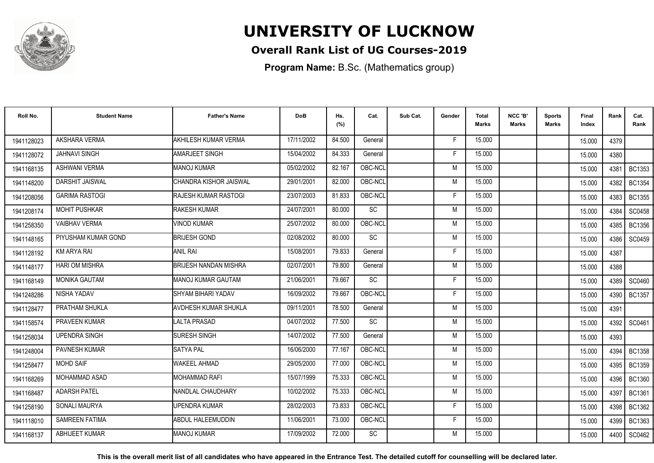

### **Overall Rank List of UG Courses-2019**

**Program Name:** B.Sc. (Mathematics group)

| Roll No.   | <b>Student Name</b>    | <b>Father's Name</b>         | <b>DoB</b> | Hs.<br>(%) | Cat.      | Sub Cat. | Gender | <b>Total</b><br>Marks | NCC 'B'<br><b>Marks</b> | Sports<br>Marks | Final<br>Index | Rank   | Cat.<br>Rank  |
|------------|------------------------|------------------------------|------------|------------|-----------|----------|--------|-----------------------|-------------------------|-----------------|----------------|--------|---------------|
| 1941128023 | AKSHARA VERMA          | <b>AKHILESH KUMAR VERMA</b>  | 17/11/2002 | 84.500     | General   |          | -F     | 15.000                |                         |                 | 15.000         | 4379   |               |
| 1941128072 | <b>JAHNAVI SINGH</b>   | <b>AMARJEET SINGH</b>        | 15/04/2002 | 84.333     | General   |          | F      | 15.000                |                         |                 | 15.000         | 4380   |               |
| 1941168135 | <b>ASHWANI VERMA</b>   | <b>MANOJ KUMAR</b>           | 05/02/2002 | 82.167     | OBC-NCL   |          | M      | 15.000                |                         |                 | 15.000         | 4381   | <b>BC1353</b> |
| 1941148200 | <b>DARSHIT JAISWAL</b> | CHANDRA KISHOR JAISWAL       | 29/01/2001 | 82.000     | OBC-NCL   |          | M      | 15.000                |                         |                 | 15.000         | 4382   | <b>BC1354</b> |
| 1941208056 | <b>GARIMA RASTOGI</b>  | <b>IRAJESH KUMAR RASTOGI</b> | 23/07/2003 | 81.833     | OBC-NCL   |          | F      | 15.000                |                         |                 | 15.000         | 4383   | <b>BC1355</b> |
| 1941208174 | <b>MOHIT PUSHKAR</b>   | <b>RAKESH KUMAR</b>          | 24/07/2001 | 80.000     | <b>SC</b> |          | M      | 15.000                |                         |                 | 15.000         | 4384   | SC0458        |
| 1941258350 | <b>VAIBHAV VERMA</b>   | <b>VINOD KUMAR</b>           | 25/07/2002 | 80.000     | OBC-NCL   |          | M      | 15.000                |                         |                 | 15.000         | 4385   | BC1356        |
| 1941148165 | PIYUSHAM KUMAR GOND    | <b>BRIJESH GOND</b>          | 02/08/2002 | 80.000     | <b>SC</b> |          | M      | 15.000                |                         |                 | 15.000         | 4386   | SC0459        |
| 1941128192 | KM ARYA RAI            | <b>ANIL RAI</b>              | 15/08/2001 | 79.833     | General   |          | F      | 15.000                |                         |                 | 15.000         | 4387   |               |
| 1941148177 | <b>HARI OM MISHRA</b>  | <b>BRIJESH NANDAN MISHRA</b> | 02/07/2001 | 79.800     | General   |          | M      | 15.000                |                         |                 | 15.000         | 4388   |               |
| 1941168149 | <b>MONIKA GAUTAM</b>   | IMANOJ KUMAR GAUTAM          | 21/06/2001 | 79.667     | SC        |          | Е      | 15.000                |                         |                 | 15.000         | 4389   | SC0460        |
| 1941248286 | <b>NISHA YADAV</b>     | SHYAM BIHARI YADAV           | 16/09/2002 | 79.667     | OBC-NCL   |          | F.     | 15.000                |                         |                 | 15.000         | 4390   | <b>BC1357</b> |
| 1941128477 | PRATHAM SHUKLA         | AVDHESH KUMAR SHUKLA         | 09/11/2001 | 78.500     | General   |          | M      | 15.000                |                         |                 | 15.000         | 4391   |               |
| 1941158574 | PRAVEEN KUMAR          | <b>LALTA PRASAD</b>          | 04/07/2002 | 77.500     | <b>SC</b> |          | M      | 15.000                |                         |                 | 15.000         | 4392   | SC0461        |
| 1941258034 | <b>UPENDRA SINGH</b>   | <b>SURESH SINGH</b>          | 14/07/2002 | 77.500     | General   |          | M      | 15.000                |                         |                 | 15.000         | 4393   |               |
| 1941248004 | <b>PAVNESH KUMAR</b>   | <b>SATYA PAL</b>             | 16/06/2000 | 77.167     | OBC-NCL   |          | M      | 15.000                |                         |                 | 15.000         | 4394   | <b>BC1358</b> |
| 1941258477 | <b>MOHD SAIF</b>       | <b>WAKEEL AHMAD</b>          | 29/05/2000 | 77.000     | OBC-NCL   |          | M      | 15.000                |                         |                 | 15.000         | 4395   | <b>BC1359</b> |
| 1941168269 | MOHAMMAD ASAD          | MOHAMMAD RAFI                | 15/07/1999 | 75.333     | OBC-NCL   |          | M      | 15.000                |                         |                 | 15.000         | 4396 I | <b>BC1360</b> |
| 1941168487 | <b>ADARSH PATEL</b>    | NANDLAL CHAUDHARY            | 10/02/2002 | 75.333     | OBC-NCL   |          | M      | 15.000                |                         |                 | 15.000         | 4397   | <b>BC1361</b> |
| 1941258190 | <b>SONALI MAURYA</b>   | UPENDRA KUMAR                | 28/02/2003 | 73.833     | OBC-NCL   |          | Е      | 15.000                |                         |                 | 15.000         | 4398   | <b>BC1362</b> |
| 1941118010 | <b>SAMREEN FATIMA</b>  | ABDUL HALEEMUDDIN            | 11/06/2001 | 73.000     | OBC-NCL   |          | F      | 15.000                |                         |                 | 15.000         | 4399   | BC1363        |
| 1941168137 | ABHIJEET KUMAR         | <b>MANOJ KUMAR</b>           | 17/09/2002 | 72.000     | <b>SC</b> |          | М      | 15.000                |                         |                 | 15.000         | 4400   | SC0462        |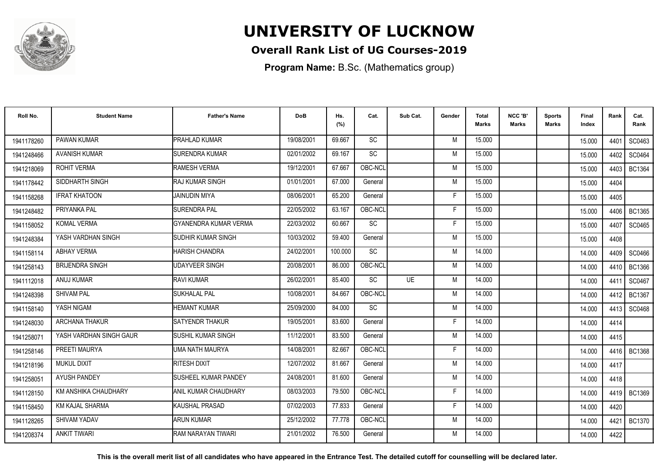

### **Overall Rank List of UG Courses-2019**

**Program Name:** B.Sc. (Mathematics group)

| Roll No.   | <b>Student Name</b>     | <b>Father's Name</b>      | <b>DoB</b> | Hs.<br>(%) | Cat.      | Sub Cat.  | Gender | <b>Total</b><br><b>Marks</b> | NCC 'B'<br><b>Marks</b> | Sports<br><b>Marks</b> | <b>Final</b><br>Index | Rank   | Cat.<br>Rank  |
|------------|-------------------------|---------------------------|------------|------------|-----------|-----------|--------|------------------------------|-------------------------|------------------------|-----------------------|--------|---------------|
| 1941178260 | PAWAN KUMAR             | PRAHLAD KUMAR             | 19/08/2001 | 69.667     | <b>SC</b> |           | M      | 15.000                       |                         |                        | 15.000                | 4401   | SC0463        |
| 1941248466 | <b>AVANISH KUMAR</b>    | <b>SURENDRA KUMAR</b>     | 02/01/2002 | 69.167     | SC        |           | M      | 15.000                       |                         |                        | 15.000                | 4402   | SC0464        |
| 1941218069 | ROHIT VERMA             | RAMESH VERMA              | 19/12/2001 | 67.667     | OBC-NCL   |           | M      | 15.000                       |                         |                        | 15.000                | 4403   | <b>BC1364</b> |
| 1941178442 | SIDDHARTH SINGH         | <b>RAJ KUMAR SINGH</b>    | 01/01/2001 | 67.000     | General   |           | M      | 15.000                       |                         |                        | 15.000                | 4404   |               |
| 1941158268 | <b>IFRAT KHATOON</b>    | JAINUDIN MIYA             | 08/06/2001 | 65.200     | General   |           | F      | 15.000                       |                         |                        | 15.000                | 4405   |               |
| 1941248482 | PRIYANKA PAL            | <b>SURENDRA PAL</b>       | 22/05/2002 | 63.167     | OBC-NCL   |           | F      | 15.000                       |                         |                        | 15.000                | 4406   | <b>BC1365</b> |
| 1941158052 | <b>KOMAL VERMA</b>      | GYANENDRA KUMAR VERMA     | 22/03/2002 | 60.667     | SC        |           | F      | 15.000                       |                         |                        | 15.000                | 4407   | SC0465        |
| 1941248384 | YASH VARDHAN SINGH      | <b>SUDHIR KUMAR SINGH</b> | 10/03/2002 | 59.400     | General   |           | M      | 15.000                       |                         |                        | 15.000                | 4408   |               |
| 1941158114 | <b>ABHAY VERMA</b>      | <b>HARISH CHANDRA</b>     | 24/02/2001 | 100.000    | SC        |           | M      | 14.000                       |                         |                        | 14.000                | 4409   | SC0466        |
| 1941258143 | <b>BRIJENDRA SINGH</b>  | <b>UDAYVEER SINGH</b>     | 20/08/2001 | 86.000     | OBC-NCL   |           | M      | 14.000                       |                         |                        | 14.000                | 4410   | BC1366        |
| 1941112018 | ANUJ KUMAR              | RAVI KUMAR                | 26/02/2001 | 85.400     | <b>SC</b> | <b>UE</b> | M      | 14.000                       |                         |                        | 14.000                | 4411   | SC0467        |
| 1941248398 | <b>SHIVAM PAL</b>       | <b>SUKHALAL PAL</b>       | 10/08/2001 | 84.667     | OBC-NCL   |           | M      | 14.000                       |                         |                        | 14.000                | 4412   | <b>BC1367</b> |
| 1941158140 | YASH NIGAM              | HEMANT KUMAR              | 25/09/2000 | 84.000     | SC        |           | M      | 14.000                       |                         |                        | 14.000                | 4413   | SC0468        |
| 1941248030 | <b>ARCHANA THAKUR</b>   | SATYENDR THAKUR           | 19/05/2001 | 83.600     | General   |           | F      | 14.000                       |                         |                        | 14.000                | 4414   |               |
| 1941258071 | YASH VARDHAN SINGH GAUR | <b>SUSHIL KUMAR SINGH</b> | 11/12/2001 | 83.500     | General   |           | M      | 14.000                       |                         |                        | 14.000                | 4415   |               |
| 1941258146 | PREETI MAURYA           | UMA NATH MAURYA           | 14/08/2001 | 82.667     | OBC-NCL   |           | F      | 14.000                       |                         |                        | 14.000                | 4416 I | <b>BC1368</b> |
| 1941218196 | <b>MUKUL DIXIT</b>      | RITESH DIXIT              | 12/07/2002 | 81.667     | General   |           | M      | 14.000                       |                         |                        | 14.000                | 4417   |               |
| 1941258051 | <b>AYUSH PANDEY</b>     | SUSHEEL KUMAR PANDEY      | 24/08/2001 | 81.600     | General   |           | M      | 14.000                       |                         |                        | 14.000                | 4418   |               |
| 1941128150 | KM ANSHIKA CHAUDHARY    | ANIL KUMAR CHAUDHARY      | 08/03/2003 | 79.500     | OBC-NCL   |           | F      | 14.000                       |                         |                        | 14.000                | 4419   | BC1369        |
| 1941158450 | <b>KM KAJAL SHARMA</b>  | KAUSHAL PRASAD            | 07/02/2003 | 77.833     | General   |           | F      | 14.000                       |                         |                        | 14.000                | 4420   |               |
| 1941128265 | <b>SHIVAM YADAV</b>     | <b>ARUN KUMAR</b>         | 25/12/2002 | 77.778     | OBC-NCL   |           | M      | 14.000                       |                         |                        | 14.000                | 4421   | <b>BC1370</b> |
| 1941208374 | <b>ANKIT TIWARI</b>     | RAM NARAYAN TIWARI        | 21/01/2002 | 76.500     | General   |           | M      | 14.000                       |                         |                        | 14.000                | 4422   |               |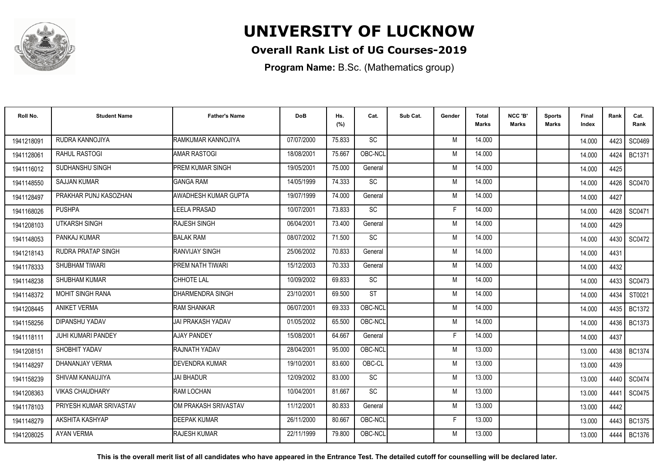

### **Overall Rank List of UG Courses-2019**

**Program Name:** B.Sc. (Mathematics group)

| Roll No.   | <b>Student Name</b>     | <b>Father's Name</b>     | <b>DoB</b> | Hs.<br>(%) | Cat.      | Sub Cat. | Gender | Total<br><b>Marks</b> | NCC 'B'<br><b>Marks</b> | Sports<br>Marks | Final<br>Index | Rank | Cat.<br>Rank  |
|------------|-------------------------|--------------------------|------------|------------|-----------|----------|--------|-----------------------|-------------------------|-----------------|----------------|------|---------------|
| 1941218091 | RUDRA KANNOJIYA         | RAMKUMAR KANNOJIYA       | 07/07/2000 | 75.833     | <b>SC</b> |          | M      | 14.000                |                         |                 | 14.000         | 4423 | SC0469        |
| 1941128061 | RAHUL RASTOGI           | <b>AMAR RASTOGI</b>      | 18/08/2001 | 75.667     | OBC-NCL   |          | M      | 14.000                |                         |                 | 14.000         | 4424 | BC1371        |
| 1941116012 | SUDHANSHU SINGH         | PREM KUMAR SINGH         | 19/05/2001 | 75.000     | General   |          | M      | 14.000                |                         |                 | 14.000         | 4425 |               |
| 1941148550 | <b>SAJJAN KUMAR</b>     | <b>GANGA RAM</b>         | 14/05/1999 | 74.333     | SC        |          | M      | 14.000                |                         |                 | 14.000         | 4426 | SC0470        |
| 1941128497 | PRAKHAR PUNJ KASOZHAN   | AWADHESH KUMAR GUPTA     | 19/07/1999 | 74.000     | General   |          | M      | 14.000                |                         |                 | 14.000         | 4427 |               |
| 1941168026 | <b>PUSHPA</b>           | LEELA PRASAD             | 10/07/2001 | 73.833     | <b>SC</b> |          | F      | 14.000                |                         |                 | 14.000         | 4428 | SC0471        |
| 1941208103 | <b>UTKARSH SINGH</b>    | <b>RAJESH SINGH</b>      | 06/04/2001 | 73.400     | General   |          | M      | 14.000                |                         |                 | 14.000         | 4429 |               |
| 1941148053 | PANKAJ KUMAR            | <b>BALAK RAM</b>         | 08/07/2002 | 71.500     | SC        |          | M      | 14.000                |                         |                 | 14.000         |      | 4430 SC0472   |
| 1941218143 | RUDRA PRATAP SINGH      | RANVIJAY SINGH           | 25/06/2002 | 70.833     | General   |          | M      | 14.000                |                         |                 | 14.000         | 4431 |               |
| 1941178333 | SHUBHAM TIWARI          | PREM NATH TIWARI         | 15/12/2003 | 70.333     | General   |          | M      | 14.000                |                         |                 | 14.000         | 4432 |               |
| 1941148238 | <b>SHUBHAM KUMAR</b>    | CHHOTE LAL               | 10/09/2002 | 69.833     | <b>SC</b> |          | M      | 14.000                |                         |                 | 14.000         | 4433 | SC0473        |
| 1941148372 | <b>MOHIT SINGH RANA</b> | <b>DHARMENDRA SINGH</b>  | 23/10/2001 | 69.500     | <b>ST</b> |          | M      | 14.000                |                         |                 | 14.000         | 4434 | ST0021        |
| 1941208445 | <b>ANIKET VERMA</b>     | <b>RAM SHANKAR</b>       | 06/07/2001 | 69.333     | OBC-NCL   |          | M      | 14.000                |                         |                 | 14.000         | 4435 | <b>BC1372</b> |
| 1941158256 | DIPANSHU YADAV          | <b>JAI PRAKASH YADAV</b> | 01/05/2002 | 65.500     | OBC-NCL   |          | M      | 14.000                |                         |                 | 14.000         | 4436 | <b>BC1373</b> |
| 1941118111 | JUHI KUMARI PANDEY      | <b>AJAY PANDEY</b>       | 15/08/2001 | 64.667     | General   |          | F      | 14.000                |                         |                 | 14.000         | 4437 |               |
| 1941208151 | SHOBHIT YADAV           | RAJNATH YADAV            | 28/04/2001 | 95.000     | OBC-NCL   |          | M      | 13.000                |                         |                 | 13.000         | 4438 | <b>BC1374</b> |
| 1941148297 | DHANANJAY VERMA         | <b>DEVENDRA KUMAR</b>    | 19/10/2001 | 83.600     | OBC-CL    |          | M      | 13.000                |                         |                 | 13.000         | 4439 |               |
| 1941158239 | SHIVAM KANAUJIYA        | <b>JAI BHADUR</b>        | 12/09/2002 | 83.000     | <b>SC</b> |          | M      | 13.000                |                         |                 | 13.000         | 4440 | SC0474        |
| 1941208363 | <b>VIKAS CHAUDHARY</b>  | <b>RAM LOCHAN</b>        | 10/04/2001 | 81.667     | SC        |          | M      | 13.000                |                         |                 | 13.000         | 4441 | SC0475        |
| 1941178103 | PRIYESH KUMAR SRIVASTAV | OM PRAKASH SRIVASTAV     | 11/12/2001 | 80.833     | General   |          | M      | 13.000                |                         |                 | 13.000         | 4442 |               |
| 1941148279 | AKSHITA KASHYAP         | <b>DEEPAK KUMAR</b>      | 26/11/2000 | 80.667     | OBC-NCL   |          | F      | 13.000                |                         |                 | 13.000         | 4443 | <b>BC1375</b> |
| 1941208025 | AYAN VERMA              | <b>RAJESH KUMAR</b>      | 22/11/1999 | 79.800     | OBC-NCL   |          | M      | 13.000                |                         |                 | 13.000         | 4444 | <b>BC1376</b> |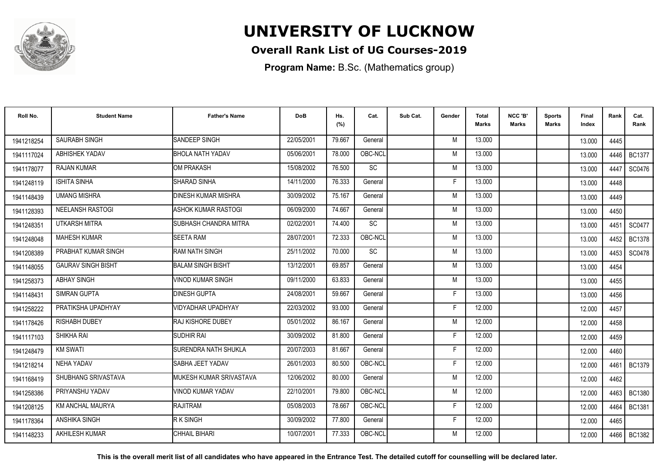

### **Overall Rank List of UG Courses-2019**

**Program Name:** B.Sc. (Mathematics group)

| Roll No.   | <b>Student Name</b>       | <b>Father's Name</b>       | <b>DoB</b> | Hs.<br>(%) | Cat.    | Sub Cat. | Gender | <b>Total</b><br><b>Marks</b> | NCC 'B'<br><b>Marks</b> | Sports<br><b>Marks</b> | Final<br>Index | Rank | Cat.<br>Rank  |
|------------|---------------------------|----------------------------|------------|------------|---------|----------|--------|------------------------------|-------------------------|------------------------|----------------|------|---------------|
| 1941218254 | SAURABH SINGH             | SANDEEP SINGH              | 22/05/2001 | 79.667     | General |          | M      | 13.000                       |                         |                        | 13.000         | 4445 |               |
| 1941117024 | <b>ABHISHEK YADAV</b>     | <b>BHOLA NATH YADAV</b>    | 05/06/2001 | 78.000     | OBC-NCL |          | M      | 13.000                       |                         |                        | 13.000         | 4446 | <b>BC1377</b> |
| 1941178077 | <b>RAJAN KUMAR</b>        | <b>OM PRAKASH</b>          | 15/08/2002 | 76.500     | SC      |          | M      | 13.000                       |                         |                        | 13.000         | 4447 | SC0476        |
| 1941248119 | <b>ISHITA SINHA</b>       | <b>SHARAD SINHA</b>        | 14/11/2000 | 76.333     | General |          | F      | 13.000                       |                         |                        | 13.000         | 4448 |               |
| 1941148439 | <b>UMANG MISHRA</b>       | <b>DINESH KUMAR MISHRA</b> | 30/09/2002 | 75.167     | General |          | M      | 13.000                       |                         |                        | 13.000         | 4449 |               |
| 1941128393 | <b>NEELANSH RASTOGI</b>   | <b>ASHOK KUMAR RASTOGI</b> | 06/09/2000 | 74.667     | General |          | M      | 13.000                       |                         |                        | 13.000         | 4450 |               |
| 1941248351 | UTKARSH MITRA             | SUBHASH CHANDRA MITRA      | 02/02/2001 | 74.400     | SC      |          | M      | 13.000                       |                         |                        | 13.000         | 4451 | SC0477        |
| 1941248048 | <b>MAHESH KUMAR</b>       | <b>SEETA RAM</b>           | 28/07/2001 | 72.333     | OBC-NCL |          | M      | 13.000                       |                         |                        | 13.000         | 4452 | <b>BC1378</b> |
| 1941208389 | PRABHAT KUMAR SINGH       | RAM NATH SINGH             | 25/11/2002 | 70.000     | SC      |          | M      | 13.000                       |                         |                        | 13.000         | 4453 | SC0478        |
| 1941148055 | <b>GAURAV SINGH BISHT</b> | <b>BALAM SINGH BISHT</b>   | 13/12/2001 | 69.857     | General |          | M      | 13.000                       |                         |                        | 13.000         | 4454 |               |
| 1941258373 | <b>ABHAY SINGH</b>        | <b>VINOD KUMAR SINGH</b>   | 09/11/2000 | 63.833     | General |          | M      | 13.000                       |                         |                        | 13.000         | 4455 |               |
| 1941148431 | <b>SIMRAN GUPTA</b>       | <b>DINESH GUPTA</b>        | 24/08/2001 | 59.667     | General |          | F      | 13.000                       |                         |                        | 13.000         | 4456 |               |
| 1941258222 | PRATIKSHA UPADHYAY        | VIDYADHAR UPADHYAY         | 22/03/2002 | 93.000     | General |          |        | 12.000                       |                         |                        | 12.000         | 4457 |               |
| 1941178426 | <b>RISHABH DUBEY</b>      | <b>IRAJ KISHORE DUBEY</b>  | 05/01/2002 | 86.167     | General |          | M      | 12.000                       |                         |                        | 12.000         | 4458 |               |
| 1941117103 | SHIKHA RAI                | <b>SUDHIR RAI</b>          | 30/09/2002 | 81.800     | General |          | F      | 12.000                       |                         |                        | 12.000         | 4459 |               |
| 1941248479 | <b>KM SWATI</b>           | SURENDRA NATH SHUKLA       | 20/07/2003 | 81.667     | General |          | F      | 12.000                       |                         |                        | 12.000         | 4460 |               |
| 1941218214 | <b>NEHA YADAV</b>         | SABHA JEET YADAV           | 26/01/2003 | 80.500     | OBC-NCL |          | F      | 12.000                       |                         |                        | 12.000         |      | 4461 BC1379   |
| 1941168419 | SHUBHANG SRIVASTAVA       | MUKESH KUMAR SRIVASTAVA    | 12/06/2002 | 80.000     | General |          | M      | 12.000                       |                         |                        | 12.000         | 4462 |               |
| 1941258386 | PRIYANSHU YADAV           | VINOD KUMAR YADAV          | 22/10/2001 | 79.800     | OBC-NCL |          | M      | 12.000                       |                         |                        | 12.000         | 4463 | <b>BC1380</b> |
| 1941208125 | KM ANCHAL MAURYA          | RAJITRAM                   | 05/08/2003 | 78.667     | OBC-NCL |          | F      | 12.000                       |                         |                        | 12.000         | 4464 | <b>BC1381</b> |
| 1941178364 | ANSHIKA SINGH             | <b>RKSINGH</b>             | 30/09/2002 | 77.800     | General |          | F      | 12.000                       |                         |                        | 12.000         | 4465 |               |
| 1941148233 | <b>AKHILESH KUMAR</b>     | CHHAIL BIHARI              | 10/07/2001 | 77.333     | OBC-NCL |          | M      | 12.000                       |                         |                        | 12.000         | 4466 | <b>BC1382</b> |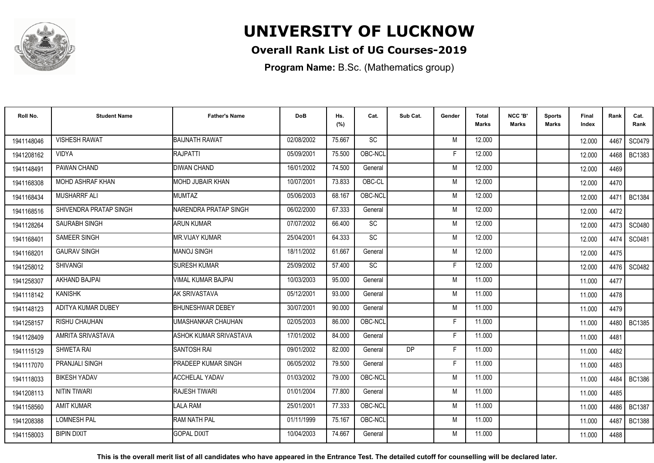

### **Overall Rank List of UG Courses-2019**

**Program Name:** B.Sc. (Mathematics group)

| Roll No.   | <b>Student Name</b>    | <b>Father's Name</b>       | <b>DoB</b> | Hs.<br>(%) | Cat.      | Sub Cat.  | Gender | Total<br><b>Marks</b> | NCC 'B'<br><b>Marks</b> | Sports<br>Marks | Final<br>Index | Rank | Cat.<br>Rank  |
|------------|------------------------|----------------------------|------------|------------|-----------|-----------|--------|-----------------------|-------------------------|-----------------|----------------|------|---------------|
| 1941148046 | <b>VISHESH RAWAT</b>   | <b>BAIJNATH RAWAT</b>      | 02/08/2002 | 75.667     | <b>SC</b> |           | M      | 12.000                |                         |                 | 12.000         | 4467 | SC0479        |
| 1941208162 | <b>VIDYA</b>           | RAJPATTI                   | 05/09/2001 | 75.500     | OBC-NCL   |           | F      | 12.000                |                         |                 | 12.000         | 4468 | <b>BC1383</b> |
| 1941148491 | PAWAN CHAND            | <b>DIWAN CHAND</b>         | 16/01/2002 | 74.500     | General   |           | M      | 12.000                |                         |                 | 12.000         | 4469 |               |
| 1941168308 | MOHD ASHRAF KHAN       | MOHD JUBAIR KHAN           | 10/07/2001 | 73.833     | OBC-CL    |           | M      | 12.000                |                         |                 | 12.000         | 4470 |               |
| 1941168434 | <b>MUSHARRF ALI</b>    | <b>MUMTAZ</b>              | 05/06/2003 | 68.167     | OBC-NCL   |           | M      | 12.000                |                         |                 | 12.000         | 4471 | <b>BC1384</b> |
| 1941168516 | SHIVENDRA PRATAP SINGH | NARENDRA PRATAP SINGH      | 06/02/2000 | 67.333     | General   |           | M      | 12.000                |                         |                 | 12.000         | 4472 |               |
| 1941128264 | <b>SAURABH SINGH</b>   | <b>ARUN KUMAR</b>          | 07/07/2002 | 66.400     | <b>SC</b> |           | M      | 12.000                |                         |                 | 12.000         | 4473 | SC0480        |
| 1941168401 | <b>SAMEER SINGH</b>    | <b>MR.VIJAY KUMAR</b>      | 25/04/2001 | 64.333     | SC        |           | M      | 12.000                |                         |                 | 12.000         | 4474 | SC0481        |
| 1941168201 | <b>GAURAV SINGH</b>    | <b>MANOJ SINGH</b>         | 18/11/2002 | 61.667     | General   |           | M      | 12.000                |                         |                 | 12.000         | 4475 |               |
| 1941258012 | <b>SHIVANGI</b>        | <b>SURESH KUMAR</b>        | 25/09/2002 | 57.400     | SC        |           | F      | 12.000                |                         |                 | 12.000         | 4476 | SC0482        |
| 1941258307 | AKHAND BAJPAI          | VIMAL KUMAR BAJPAI         | 10/03/2003 | 95.000     | General   |           | M      | 11.000                |                         |                 | 11.000         | 4477 |               |
| 1941118142 | <b>KANISHK</b>         | AK SRIVASTAVA              | 05/12/2001 | 93.000     | General   |           | M      | 11.000                |                         |                 | 11.000         | 4478 |               |
| 1941148123 | ADITYA KUMAR DUBEY     | <b>BHUNESHWAR DEBEY</b>    | 30/07/2001 | 90.000     | General   |           | M      | 11.000                |                         |                 | 11.000         | 4479 |               |
| 1941258157 | <b>RISHU CHAUHAN</b>   | UMASHANKAR CHAUHAN         | 02/05/2003 | 86.000     | OBC-NCL   |           | F      | 11.000                |                         |                 | 11.000         | 4480 | <b>BC1385</b> |
| 1941128409 | AMRITA SRIVASTAVA      | ASHOK KUMAR SRIVASTAVA     | 17/01/2002 | 84.000     | General   |           | F      | 11.000                |                         |                 | 11.000         | 4481 |               |
| 1941115129 | SHWETA RAI             | <b>SANTOSH RAI</b>         | 09/01/2002 | 82.000     | General   | <b>DP</b> | F      | 11.000                |                         |                 | 11.000         | 4482 |               |
| 1941117070 | PRANJALI SINGH         | <b>PRADEEP KUMAR SINGH</b> | 06/05/2002 | 79.500     | General   |           | F      | 11.000                |                         |                 | 11.000         | 4483 |               |
| 1941118033 | <b>BIKESH YADAV</b>    | <b>ACCHELAL YADAV</b>      | 01/03/2002 | 79.000     | OBC-NCL   |           | M      | 11.000                |                         |                 | 11.000         | 4484 | <b>BC1386</b> |
| 1941208113 | <b>NITIN TIWARI</b>    | <b>RAJESH TIWARI</b>       | 01/01/2004 | 77.800     | General   |           | M      | 11.000                |                         |                 | 11.000         | 4485 |               |
| 1941158560 | <b>AMIT KUMAR</b>      | LALA RAM                   | 25/01/2001 | 77.333     | OBC-NCL   |           | M      | 11.000                |                         |                 | 11.000         | 4486 | <b>BC1387</b> |
| 1941208388 | <b>LOMNESH PAL</b>     | RAM NATH PAL               | 01/11/1999 | 75.167     | OBC-NCL   |           | M      | 11.000                |                         |                 | 11.000         | 4487 | <b>BC1388</b> |
| 1941158003 | <b>BIPIN DIXIT</b>     | <b>GOPAL DIXIT</b>         | 10/04/2003 | 74.667     | General   |           | M      | 11.000                |                         |                 | 11.000         | 4488 |               |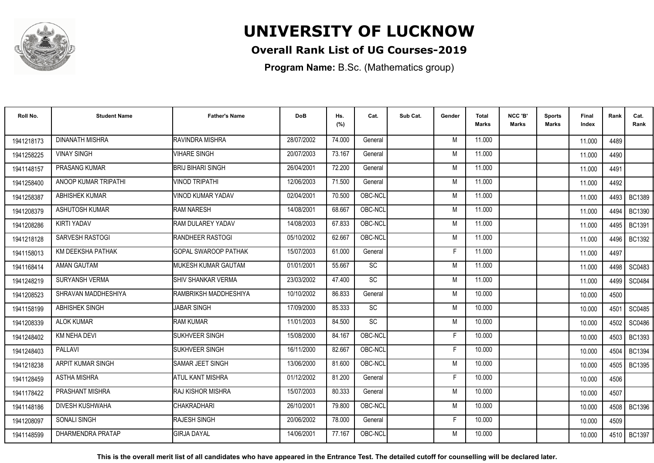

### **Overall Rank List of UG Courses-2019**

**Program Name:** B.Sc. (Mathematics group)

| Roll No.   | <b>Student Name</b>    | <b>Father's Name</b>        | <b>DoB</b> | Hs.<br>(%) | Cat.      | Sub Cat. | Gender | Total<br>Marks | NCC 'B'<br><b>Marks</b> | Sports<br>Marks | Final<br>Index | Rank | Cat.<br>Rank  |
|------------|------------------------|-----------------------------|------------|------------|-----------|----------|--------|----------------|-------------------------|-----------------|----------------|------|---------------|
| 1941218173 | <b>DINANATH MISHRA</b> | RAVINDRA MISHRA             | 28/07/2002 | 74.000     | General   |          | M      | 11.000         |                         |                 | 11.000         | 4489 |               |
| 1941258225 | <b>VINAY SINGH</b>     | <b>VIHARE SINGH</b>         | 20/07/2003 | 73.167     | General   |          | M      | 11.000         |                         |                 | 11.000         | 4490 |               |
| 1941148157 | PRASANG KUMAR          | <b>BRIJ BIHARI SINGH</b>    | 26/04/2001 | 72.200     | General   |          | M      | 11.000         |                         |                 | 11.000         | 4491 |               |
| 1941258400 | ANOOP KUMAR TRIPATHI   | <b>VINOD TRIPATHI</b>       | 12/06/2003 | 71.500     | General   |          | M      | 11.000         |                         |                 | 11.000         | 4492 |               |
| 1941258387 | <b>ABHISHEK KUMAR</b>  | VINOD KUMAR YADAV           | 02/04/2001 | 70.500     | OBC-NCL   |          | M      | 11.000         |                         |                 | 11.000         | 4493 | <b>BC1389</b> |
| 1941208379 | <b>ASHUTOSH KUMAR</b>  | <b>RAM NARESH</b>           | 14/08/2001 | 68.667     | OBC-NCL   |          | M      | 11.000         |                         |                 | 11.000         | 4494 | <b>BC1390</b> |
| 1941208286 | KIRTI YADAV            | <b>RAM DULAREY YADAV</b>    | 14/08/2003 | 67.833     | OBC-NCL   |          | M      | 11.000         |                         |                 | 11.000         | 4495 | <b>BC1391</b> |
| 1941218128 | SARVESH RASTOGI        | <b>RANDHEER RASTOGI</b>     | 05/10/2002 | 62.667     | OBC-NCL   |          | M      | 11.000         |                         |                 | 11.000         | 4496 | <b>BC1392</b> |
| 1941158013 | KM DEEKSHA PATHAK      | <b>GOPAL SWAROOP PATHAK</b> | 15/07/2003 | 61.000     | General   |          | F      | 11.000         |                         |                 | 11.000         | 4497 |               |
| 1941168414 | AMAN GAUTAM            | MUKESH KUMAR GAUTAM         | 01/01/2001 | 55.667     | SC        |          | M      | 11.000         |                         |                 | 11.000         | 4498 | SC0483        |
| 1941248219 | SURYANSH VERMA         | <b>ISHIV SHANKAR VERMA</b>  | 23/03/2002 | 47.400     | <b>SC</b> |          | M      | 11.000         |                         |                 | 11.000         | 4499 | SC0484        |
| 1941208523 | SHRAVAN MADDHESHIYA    | RAMBRIKSH MADDHESHIYA       | 10/10/2002 | 86.833     | General   |          | M      | 10.000         |                         |                 | 10.000         | 4500 |               |
| 1941158199 | ABHISHEK SINGH         | <b>JABAR SINGH</b>          | 17/09/2000 | 85.333     | <b>SC</b> |          | M      | 10.000         |                         |                 | 10.000         | 4501 | SC0485        |
| 1941208339 | <b>ALOK KUMAR</b>      | <b>RAM KUMAR</b>            | 11/01/2003 | 84.500     | <b>SC</b> |          | M      | 10.000         |                         |                 | 10.000         | 4502 | SC0486        |
| 1941248402 | <b>KM NEHA DEVI</b>    | SUKHVEER SINGH              | 15/08/2000 | 84.167     | OBC-NCL   |          | F      | 10.000         |                         |                 | 10.000         | 4503 | <b>BC1393</b> |
| 1941248403 | PALLAVI                | SUKHVEER SINGH              | 16/11/2000 | 82.667     | OBC-NCL   |          | F      | 10.000         |                         |                 | 10.000         | 4504 | <b>BC1394</b> |
| 1941218238 | ARPIT KUMAR SINGH      | SAMAR JEET SINGH            | 13/06/2000 | 81.600     | OBC-NCL   |          | M      | 10.000         |                         |                 | 10.000         | 4505 | <b>BC1395</b> |
| 1941128459 | <b>ASTHA MISHRA</b>    | ATUL KANT MISHRA            | 01/12/2002 | 81.200     | General   |          | F      | 10.000         |                         |                 | 10.000         | 4506 |               |
| 1941178422 | PRASHANT MISHRA        | <b>RAJ KISHOR MISHRA</b>    | 15/07/2003 | 80.333     | General   |          | M      | 10.000         |                         |                 | 10.000         | 4507 |               |
| 1941148186 | <b>DIVESH KUSHWAHA</b> | <b>CHAKRADHARI</b>          | 26/10/2001 | 79.800     | OBC-NCL   |          | M      | 10.000         |                         |                 | 10.000         | 4508 | <b>BC1396</b> |
| 1941208097 | SONALI SINGH           | <b>RAJESH SINGH</b>         | 20/06/2002 | 78.000     | General   |          | F      | 10.000         |                         |                 | 10.000         | 4509 |               |
| 1941148599 | DHARMENDRA PRATAP      | <b>GIRJA DAYAL</b>          | 14/06/2001 | 77.167     | OBC-NCL   |          | M      | 10.000         |                         |                 | 10.000         |      | 4510   BC1397 |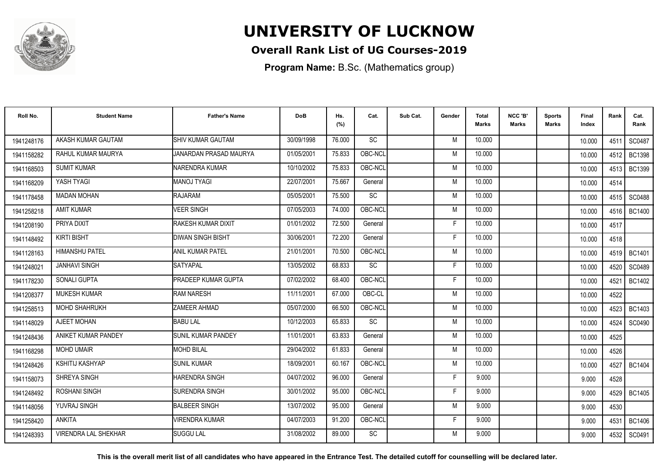

### **Overall Rank List of UG Courses-2019**

**Program Name:** B.Sc. (Mathematics group)

| Roll No.   | <b>Student Name</b>         | <b>Father's Name</b>      | <b>DoB</b> | Hs.<br>(%) | Cat.      | Sub Cat. | Gender | <b>Total</b><br><b>Marks</b> | NCC 'B'<br><b>Marks</b> | Sports<br>Marks | Final<br>Index | Rank | Cat.<br>Rank  |
|------------|-----------------------------|---------------------------|------------|------------|-----------|----------|--------|------------------------------|-------------------------|-----------------|----------------|------|---------------|
| 1941248176 | AKASH KUMAR GAUTAM          | <b>SHIV KUMAR GAUTAM</b>  | 30/09/1998 | 76.000     | <b>SC</b> |          | M      | 10.000                       |                         |                 | 10.000         | 4511 | SC0487        |
| 1941158282 | RAHUL KUMAR MAURYA          | JANARDAN PRASAD MAURYA    | 01/05/2001 | 75.833     | OBC-NCL   |          | M      | 10.000                       |                         |                 | 10.000         | 4512 | <b>BC1398</b> |
| 1941168503 | <b>SUMIT KUMAR</b>          | NARENDRA KUMAR            | 10/10/2002 | 75.833     | OBC-NCL   |          | M      | 10.000                       |                         |                 | 10.000         | 4513 | <b>BC1399</b> |
| 1941168209 | YASH TYAGI                  | <b>MANOJ TYAGI</b>        | 22/07/2001 | 75.667     | General   |          | M      | 10.000                       |                         |                 | 10.000         | 4514 |               |
| 1941178458 | <b>MADAN MOHAN</b>          | <b>RAJARAM</b>            | 05/05/2001 | 75.500     | SC        |          | M      | 10.000                       |                         |                 | 10.000         | 4515 | <b>SC0488</b> |
| 1941258218 | <b>AMIT KUMAR</b>           | <b>VEER SINGH</b>         | 07/05/2003 | 74.000     | OBC-NCL   |          | M      | 10.000                       |                         |                 | 10.000         | 4516 | <b>BC1400</b> |
| 1941208190 | PRIYA DIXIT                 | RAKESH KUMAR DIXIT        | 01/01/2002 | 72.500     | General   |          | F      | 10.000                       |                         |                 | 10.000         | 4517 |               |
| 1941148492 | <b>KIRTI BISHT</b>          | DIWAN SINGH BISHT         | 30/06/2001 | 72.200     | General   |          | F      | 10.000                       |                         |                 | 10.000         | 4518 |               |
| 1941128163 | <b>HIMANSHU PATEL</b>       | <b>ANIL KUMAR PATEL</b>   | 21/01/2001 | 70.500     | OBC-NCL   |          | M      | 10.000                       |                         |                 | 10.000         |      | 4519   BC1401 |
| 1941248021 | <b>JANHAVI SINGH</b>        | <b>SATYAPAL</b>           | 13/05/2002 | 68.833     | SC        |          | F      | 10.000                       |                         |                 | 10.000         | 4520 | SC0489        |
| 1941178230 | SONALI GUPTA                | PRADEEP KUMAR GUPTA       | 07/02/2002 | 68.400     | OBC-NCL   |          | F      | 10.000                       |                         |                 | 10.000         | 4521 | <b>BC1402</b> |
| 1941208377 | MUKESH KUMAR                | <b>RAM NARESH</b>         | 11/11/2001 | 67.000     | OBC-CL    |          | M      | 10.000                       |                         |                 | 10.000         | 4522 |               |
| 1941258513 | <b>MOHD SHAHRUKH</b>        | <b>ZAMEER AHMAD</b>       | 05/07/2000 | 66.500     | OBC-NCL   |          | M      | 10.000                       |                         |                 | 10.000         | 4523 | <b>BC1403</b> |
| 1941148029 | AJEET MOHAN                 | <b>BABU LAL</b>           | 10/12/2003 | 65.833     | <b>SC</b> |          | M      | 10.000                       |                         |                 | 10.000         | 4524 | SC0490        |
| 1941248436 | ANIKET KUMAR PANDEY         | <b>SUNIL KUMAR PANDEY</b> | 11/01/2001 | 63.833     | General   |          | M      | 10.000                       |                         |                 | 10.000         | 4525 |               |
| 1941168298 | <b>MOHD UMAIR</b>           | <b>MOHD BILAL</b>         | 29/04/2002 | 61.833     | General   |          | M      | 10.000                       |                         |                 | 10.000         | 4526 |               |
| 1941248426 | <b>KSHITIJ KASHYAP</b>      | <b>SUNIL KUMAR</b>        | 18/09/2001 | 60.167     | OBC-NCL   |          | M      | 10.000                       |                         |                 | 10.000         | 4527 | BC1404        |
| 1941158073 | <b>SHREYA SINGH</b>         | HARENDRA SINGH            | 04/07/2002 | 96.000     | General   |          | F      | 9.000                        |                         |                 | 9.000          | 4528 |               |
| 1941248492 | <b>ROSHANI SINGH</b>        | <b>SURENDRA SINGH</b>     | 30/01/2002 | 95.000     | OBC-NCL   |          | F      | 9.000                        |                         |                 | 9.000          | 4529 | <b>BC1405</b> |
| 1941148056 | YUVRAJ SINGH                | <b>BALBEER SINGH</b>      | 13/07/2002 | 95.000     | General   |          | M      | 9.000                        |                         |                 | 9.000          | 4530 |               |
| 1941258420 | <b>ANKITA</b>               | VIRENDRA KUMAR            | 04/07/2003 | 91.200     | OBC-NCL   |          | F.     | 9.000                        |                         |                 | 9.000          | 4531 | <b>BC1406</b> |
| 1941248393 | <b>VIRENDRA LAL SHEKHAR</b> | <b>SUGGU LAL</b>          | 31/08/2002 | 89.000     | <b>SC</b> |          | M      | 9.000                        |                         |                 | 9.000          | 4532 | SC0491        |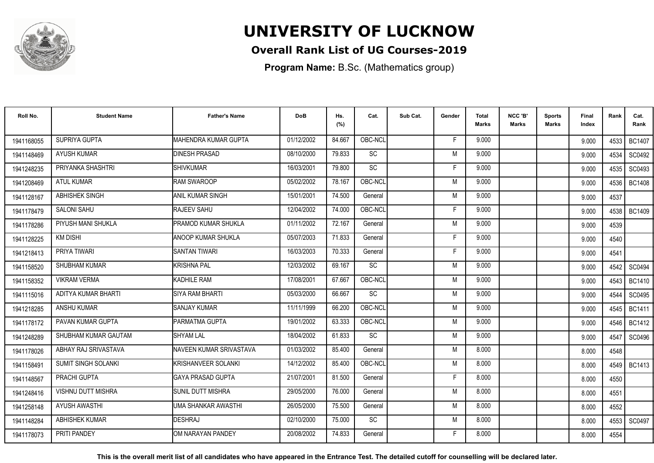

### **Overall Rank List of UG Courses-2019**

**Program Name:** B.Sc. (Mathematics group)

| Roll No.   | <b>Student Name</b>        | <b>Father's Name</b>        | <b>DoB</b> | Hs.<br>(%) | Cat.      | Sub Cat. | Gender | <b>Total</b><br><b>Marks</b> | NCC 'B'<br><b>Marks</b> | <b>Sports</b><br><b>Marks</b> | Final<br>Index | Rank | Cat.<br>Rank  |
|------------|----------------------------|-----------------------------|------------|------------|-----------|----------|--------|------------------------------|-------------------------|-------------------------------|----------------|------|---------------|
| 1941168055 | SUPRIYA GUPTA              | <b>MAHENDRA KUMAR GUPTA</b> | 01/12/2002 | 84.667     | OBC-NCL   |          | F      | 9.000                        |                         |                               | 9.000          | 4533 | <b>BC1407</b> |
| 1941148469 | <b>AYUSH KUMAR</b>         | <b>DINESH PRASAD</b>        | 08/10/2000 | 79.833     | <b>SC</b> |          | M      | 9.000                        |                         |                               | 9.000          | 4534 | SC0492        |
| 1941248235 | PRIYANKA SHASHTRI          | <b>SHIVKUMAR</b>            | 16/03/2001 | 79.800     | SC        |          | F      | 9.000                        |                         |                               | 9.000          | 4535 | SC0493        |
| 1941208469 | <b>ATUL KUMAR</b>          | <b>RAM SWAROOP</b>          | 05/02/2002 | 78.167     | OBC-NCL   |          | M      | 9.000                        |                         |                               | 9.000          | 4536 | <b>BC1408</b> |
| 1941128167 | <b>ABHISHEK SINGH</b>      | <b>ANIL KUMAR SINGH</b>     | 15/01/2001 | 74.500     | General   |          | M      | 9.000                        |                         |                               | 9.000          | 4537 |               |
| 1941178479 | <b>SALONI SAHU</b>         | RAJEEV SAHU                 | 12/04/2002 | 74.000     | OBC-NCL   |          | F      | 9.000                        |                         |                               | 9.000          | 4538 | <b>BC1409</b> |
| 1941178286 | PIYUSH MANI SHUKLA         | PRAMOD KUMAR SHUKLA         | 01/11/2002 | 72.167     | General   |          | M      | 9.000                        |                         |                               | 9.000          | 4539 |               |
| 1941128225 | <b>KM DISHI</b>            | <b>ANOOP KUMAR SHUKLA</b>   | 05/07/2003 | 71.833     | General   |          | F      | 9.000                        |                         |                               | 9.000          | 4540 |               |
| 1941218413 | PRIYA TIWARI               | <b>SANTAN TIWARI</b>        | 16/03/2003 | 70.333     | General   |          | F      | 9.000                        |                         |                               | 9.000          | 4541 |               |
| 1941158520 | SHUBHAM KUMAR              | KRISHNA PAL                 | 12/03/2002 | 69.167     | <b>SC</b> |          | M      | 9.000                        |                         |                               | 9.000          | 4542 | SC0494        |
| 1941158352 | <b>VIKRAM VERMA</b>        | <b>KADHILE RAM</b>          | 17/08/2001 | 67.667     | OBC-NCL   |          | M      | 9.000                        |                         |                               | 9.000          | 4543 | <b>BC1410</b> |
| 1941115016 | ADITYA KUMAR BHARTI        | SIYA RAM BHARTI             | 05/03/2000 | 66.667     | <b>SC</b> |          | M      | 9.000                        |                         |                               | 9.000          | 4544 | SC0495        |
| 1941218285 | <b>ANSHU KUMAR</b>         | <b>SANJAY KUMAR</b>         | 11/11/1999 | 66.200     | OBC-NCL   |          | M      | 9.000                        |                         |                               | 9.000          | 4545 | <b>BC1411</b> |
| 1941178172 | PAVAN KUMAR GUPTA          | PARMATMA GUPTA              | 19/01/2002 | 63.333     | OBC-NCL   |          | M      | 9.000                        |                         |                               | 9.000          | 4546 | <b>BC1412</b> |
| 1941248289 | SHUBHAM KUMAR GAUTAM       | <b>SHYAM LAL</b>            | 18/04/2002 | 61.833     | <b>SC</b> |          | M      | 9.000                        |                         |                               | 9.000          | 4547 | SC0496        |
| 1941178026 | ABHAY RAJ SRIVASTAVA       | NAVEEN KUMAR SRIVASTAVA     | 01/03/2002 | 85.400     | General   |          | M      | 8.000                        |                         |                               | 8.000          | 4548 |               |
| 1941158491 | <b>SUMIT SINGH SOLANKI</b> | KRISHANVEER SOLANKI         | 14/12/2002 | 85.400     | OBC-NCL   |          | M      | 8.000                        |                         |                               | 8.000          |      | 4549   BC1413 |
| 1941148567 | PRACHI GUPTA               | <b>GAYA PRASAD GUPTA</b>    | 21/07/2001 | 81.500     | General   |          | F      | 8.000                        |                         |                               | 8.000          | 4550 |               |
| 1941248416 | VISHNU DUTT MISHRA         | SUNIL DUTT MISHRA           | 29/05/2000 | 76.000     | General   |          | M      | 8.000                        |                         |                               | 8.000          | 4551 |               |
| 1941258148 | <b>AYUSH AWASTHI</b>       | <b>UMA SHANKAR AWASTHI</b>  | 26/05/2000 | 75.500     | General   |          | M      | 8.000                        |                         |                               | 8.000          | 4552 |               |
| 1941148284 | ABHISHEK KUMAR             | <b>DESHRAJ</b>              | 02/10/2000 | 75.000     | <b>SC</b> |          | M      | 8.000                        |                         |                               | 8.000          | 4553 | SC0497        |
| 1941178073 | PRITI PANDEY               | OM NARAYAN PANDEY           | 20/08/2002 | 74.833     | General   |          | F      | 8.000                        |                         |                               | 8.000          | 4554 |               |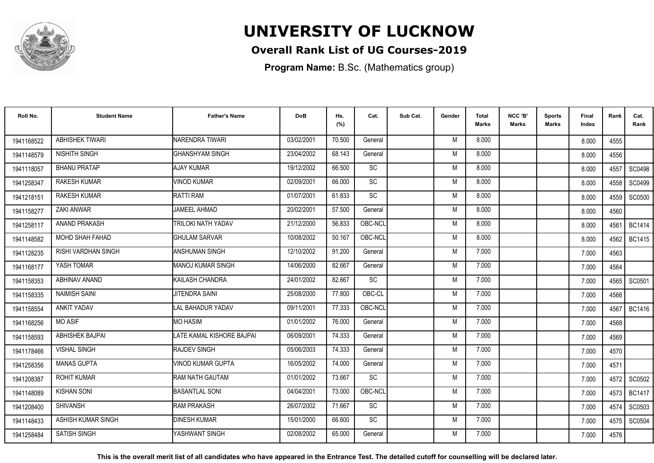

### **Overall Rank List of UG Courses-2019**

**Program Name:** B.Sc. (Mathematics group)

| Roll No.   | <b>Student Name</b>        | <b>Father's Name</b>      | <b>DoB</b> | Hs.<br>(%) | Cat.      | Sub Cat. | Gender | Total<br><b>Marks</b> | NCC 'B'<br><b>Marks</b> | Sports<br>Marks | Final<br>Index | Rank | Cat.<br>Rank  |
|------------|----------------------------|---------------------------|------------|------------|-----------|----------|--------|-----------------------|-------------------------|-----------------|----------------|------|---------------|
| 1941168522 | <b>ABHISHEK TIWARI</b>     | NARENDRA TIWARI           | 03/02/2001 | 70.500     | General   |          | M      | 8.000                 |                         |                 | 8.000          | 4555 |               |
| 1941148579 | NISHITH SINGH              | <b>GHANSHYAM SINGH</b>    | 23/04/2002 | 68.143     | General   |          | M      | 8.000                 |                         |                 | 8.000          | 4556 |               |
| 1941118057 | <b>BHANU PRATAP</b>        | <b>AJAY KUMAR</b>         | 19/12/2002 | 66.500     | <b>SC</b> |          | M      | 8.000                 |                         |                 | 8.000          | 4557 | <b>SC0498</b> |
| 1941258347 | <b>RAKESH KUMAR</b>        | VINOD KUMAR               | 02/09/2001 | 66.000     | SC        |          | M      | 8.000                 |                         |                 | 8.000          | 4558 | SC0499        |
| 1941218151 | <b>RAKESH KUMAR</b>        | <b>RATTI RAM</b>          | 01/07/2001 | 61.833     | <b>SC</b> |          | M      | 8.000                 |                         |                 | 8.000          | 4559 | <b>SC0500</b> |
| 1941158277 | ZAKI ANWAR                 | <b>JAMEEL AHMAD</b>       | 20/02/2001 | 57.500     | General   |          | M      | 8.000                 |                         |                 | 8.000          | 4560 |               |
| 1941258117 | ANAND PRAKASH              | <b>TRILOKI NATH YADAV</b> | 21/12/2000 | 56.833     | OBC-NCL   |          | M      | 8.000                 |                         |                 | 8.000          | 4561 | <b>BC1414</b> |
| 1941148582 | MOHD SHAH FAHAD            | <b>GHULAM SARVAR</b>      | 10/08/2002 | 50.167     | OBC-NCL   |          | M      | 8.000                 |                         |                 | 8.000          | 4562 | <b>BC1415</b> |
| 1941128235 | <b>RISHI VARDHAN SINGH</b> | ANSHUMAN SINGH            | 12/10/2002 | 91.200     | General   |          | M      | 7.000                 |                         |                 | 7.000          | 4563 |               |
| 1941168177 | YASH TOMAR                 | <b>MANOJ KUMAR SINGH</b>  | 14/06/2000 | 82.667     | General   |          | M      | 7.000                 |                         |                 | 7.000          | 4564 |               |
| 1941158353 | ABHINAV ANAND              | KAILASH CHANDRA           | 24/01/2002 | 82.667     | SC        |          | M      | 7.000                 |                         |                 | 7.000          | 4565 | SC0501        |
| 1941158335 | <b>NAIMISH SAINI</b>       | JITENDRA SAINI            | 25/08/2000 | 77.800     | OBC-CL    |          | M      | 7.000                 |                         |                 | 7.000          | 4566 |               |
| 1941158554 | <b>ANKIT YADAV</b>         | LAL BAHADUR YADAV         | 09/11/2001 | 77.333     | OBC-NCL   |          | M      | 7.000                 |                         |                 | 7.000          | 4567 | BC1416        |
| 1941168256 | <b>MO ASIF</b>             | <b>MO HASIM</b>           | 01/01/2002 | 76.000     | General   |          | M      | 7.000                 |                         |                 | 7.000          | 4568 |               |
| 1941158593 | <b>ABHISHEK BAJPAI</b>     | LATE KAMAL KISHORE BAJPAI | 06/09/2001 | 74.333     | General   |          | M      | 7.000                 |                         |                 | 7.000          | 4569 |               |
| 1941178466 | <b>VISHAL SINGH</b>        | <b>RAJDEV SINGH</b>       | 05/06/2003 | 74.333     | General   |          | M      | 7.000                 |                         |                 | 7.000          | 4570 |               |
| 1941258356 | <b>MANAS GUPTA</b>         | VINOD KUMAR GUPTA         | 16/05/2002 | 74.000     | General   |          | M      | 7.000                 |                         |                 | 7.000          | 4571 |               |
| 1941208387 | <b>ROHIT KUMAR</b>         | RAM NATH GAUTAM           | 01/01/2002 | 73.667     | SC        |          | M      | 7.000                 |                         |                 | 7.000          | 4572 | SC0502        |
| 1941148089 | <b>KISHAN SONI</b>         | <b>BASANTLAL SONI</b>     | 04/04/2001 | 73.000     | OBC-NCL   |          | M      | 7.000                 |                         |                 | 7.000          | 4573 | <b>BC1417</b> |
| 1941208400 | <b>SHIVANSH</b>            | <b>RAM PRAKASH</b>        | 26/07/2002 | 71.667     | <b>SC</b> |          | M      | 7.000                 |                         |                 | 7.000          | 4574 | SC0503        |
| 1941148433 | ASHISH KUMAR SINGH         | <b>DINESH KUMAR</b>       | 15/01/2000 | 66.600     | SC        |          | M      | 7.000                 |                         |                 | 7.000          | 4575 | SC0504        |
| 1941258484 | <b>SATISH SINGH</b>        | YASHWANT SINGH            | 02/08/2002 | 65.000     | General   |          | M      | 7.000                 |                         |                 | 7.000          | 4576 |               |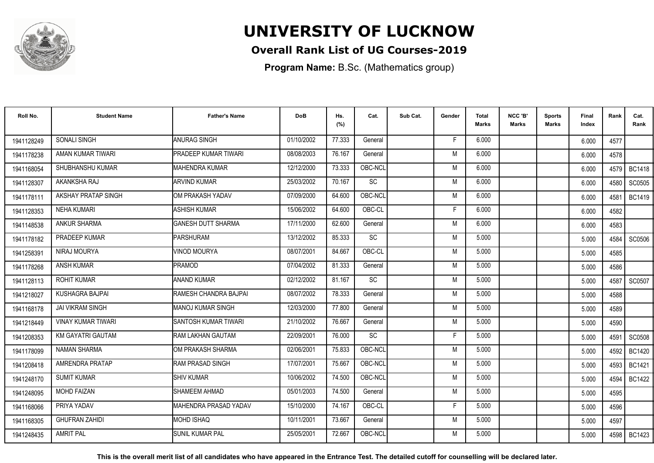

### **Overall Rank List of UG Courses-2019**

**Program Name:** B.Sc. (Mathematics group)

| Roll No.   | <b>Student Name</b>       | <b>Father's Name</b>      | <b>DoB</b> | Hs.<br>(%) | Cat.      | Sub Cat. | Gender | Total<br><b>Marks</b> | NCC 'B'<br><b>Marks</b> | Sports<br>Marks | Final<br>Index | Rank | Cat.<br>Rank  |
|------------|---------------------------|---------------------------|------------|------------|-----------|----------|--------|-----------------------|-------------------------|-----------------|----------------|------|---------------|
| 1941128249 | <b>SONALI SINGH</b>       | <b>ANURAG SINGH</b>       | 01/10/2002 | 77.333     | General   |          | E      | 6.000                 |                         |                 | 6.000          | 4577 |               |
| 1941178238 | AMAN KUMAR TIWARI         | PRADEEP KUMAR TIWARI      | 08/08/2003 | 76.167     | General   |          | M      | 6.000                 |                         |                 | 6.000          | 4578 |               |
| 1941168054 | SHUBHANSHU KUMAR          | <b>MAHENDRA KUMAR</b>     | 12/12/2000 | 73.333     | OBC-NCL   |          | M      | 6.000                 |                         |                 | 6.000          | 4579 | <b>BC1418</b> |
| 1941128307 | AKANKSHA RAJ              | <b>ARVIND KUMAR</b>       | 25/03/2002 | 70.167     | SC        |          | M      | 6.000                 |                         |                 | 6.000          | 4580 | SC0505        |
| 1941178111 | AKSHAY PRATAP SINGH       | OM PRAKASH YADAV          | 07/09/2000 | 64.600     | OBC-NCL   |          | M      | 6.000                 |                         |                 | 6.000          | 4581 | <b>BC1419</b> |
| 1941128353 | NEHA KUMARI               | <b>ASHISH KUMAR</b>       | 15/06/2002 | 64.600     | OBC-CL    |          | F      | 6.000                 |                         |                 | 6.000          | 4582 |               |
| 1941148538 | ANKUR SHARMA              | <b>GANESH DUTT SHARMA</b> | 17/11/2000 | 62.600     | General   |          | M      | 6.000                 |                         |                 | 6.000          | 4583 |               |
| 1941178182 | PRADEEP KUMAR             | <b>PARSHURAM</b>          | 13/12/2002 | 85.333     | SC        |          | M      | 5.000                 |                         |                 | 5.000          | 4584 | SC0506        |
| 1941258391 | NIRAJ MOURYA              | <b>JINOD MOURYA</b>       | 08/07/2001 | 84.667     | OBC-CL    |          | M      | 5.000                 |                         |                 | 5.000          | 4585 |               |
| 1941178268 | <b>ANSH KUMAR</b>         | <b>PRAMOD</b>             | 07/04/2002 | 81.333     | General   |          | M      | 5.000                 |                         |                 | 5.000          | 4586 |               |
| 1941128113 | <b>ROHIT KUMAR</b>        | <b>ANAND KUMAR</b>        | 02/12/2002 | 81.167     | <b>SC</b> |          | M      | 5.000                 |                         |                 | 5.000          | 4587 | SC0507        |
| 1941218027 | <b>KUSHAGRA BAJPAI</b>    | RAMESH CHANDRA BAJPAI     | 08/07/2002 | 78.333     | General   |          | M      | 5.000                 |                         |                 | 5.000          | 4588 |               |
| 1941168178 | <b>JAI VIKRAM SINGH</b>   | <b>MANOJ KUMAR SINGH</b>  | 12/03/2000 | 77.800     | General   |          | M      | 5.000                 |                         |                 | 5.000          | 4589 |               |
| 1941218449 | <b>VINAY KUMAR TIWARI</b> | SANTOSH KUMAR TIWARI      | 21/10/2002 | 76.667     | General   |          | M      | 5.000                 |                         |                 | 5.000          | 4590 |               |
| 1941208353 | KM GAYATRI GAUTAM         | RAM LAKHAN GAUTAM         | 22/09/2001 | 76.000     | SC        |          | F      | 5.000                 |                         |                 | 5.000          | 4591 | <b>SC0508</b> |
| 1941178099 | <b>NAMAN SHARMA</b>       | OM PRAKASH SHARMA         | 02/06/2001 | 75.833     | OBC-NCL   |          | M      | 5.000                 |                         |                 | 5.000          | 4592 | <b>BC1420</b> |
| 1941208418 | AMRENDRA PRATAP           | <b>RAM PRASAD SINGH</b>   | 17/07/2001 | 75.667     | OBC-NCL   |          | M      | 5.000                 |                         |                 | 5.000          | 4593 | <b>BC1421</b> |
| 1941248170 | <b>SUMIT KUMAR</b>        | <b>SHIV KUMAR</b>         | 10/06/2002 | 74.500     | OBC-NCL   |          | M      | 5.000                 |                         |                 | 5.000          | 4594 | <b>BC1422</b> |
| 1941248095 | <b>MOHD FAIZAN</b>        | <b>SHAMEEM AHMAD</b>      | 05/01/2003 | 74.500     | General   |          | M      | 5.000                 |                         |                 | 5.000          | 4595 |               |
| 1941168066 | PRIYA YADAV               | MAHENDRA PRASAD YADAV     | 15/10/2000 | 74.167     | OBC-CL    |          | F      | 5.000                 |                         |                 | 5.000          | 4596 |               |
| 1941168305 | <b>GHUFRAN ZAHIDI</b>     | <b>MOHD ISHAQ</b>         | 10/11/2001 | 73.667     | General   |          | M      | 5.000                 |                         |                 | 5.000          | 4597 |               |
| 1941248435 | <b>AMRIT PAL</b>          | <b>SUNIL KUMAR PAL</b>    | 25/05/2001 | 72.667     | OBC-NCL   |          | M      | 5.000                 |                         |                 | 5.000          | 4598 | BC1423        |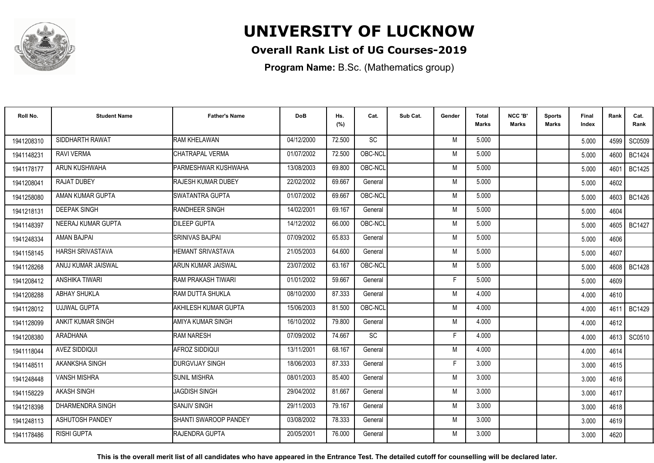

### **Overall Rank List of UG Courses-2019**

**Program Name:** B.Sc. (Mathematics group)

| Roll No.   | <b>Student Name</b>     | <b>Father's Name</b>        | <b>DoB</b> | Hs.<br>(%) | Cat.      | Sub Cat. | Gender | Total<br>Marks | NCC 'B'<br><b>Marks</b> | Sports<br>Marks | Final<br>Index | Rank   | Cat.<br>Rank  |
|------------|-------------------------|-----------------------------|------------|------------|-----------|----------|--------|----------------|-------------------------|-----------------|----------------|--------|---------------|
| 1941208310 | SIDDHARTH RAWAT         | <b>RAM KHELAWAN</b>         | 04/12/2000 | 72.500     | <b>SC</b> |          | M      | 5.000          |                         |                 | 5.000          | 4599 l | SC0509        |
| 1941148231 | <b>RAVI VERMA</b>       | CHATRAPAL VERMA             | 01/07/2002 | 72.500     | OBC-NCL   |          | M      | 5.000          |                         |                 | 5.000          | 4600   | <b>BC1424</b> |
| 1941178177 | ARUN KUSHWAHA           | PARMESHWAR KUSHWAHA         | 13/08/2003 | 69.800     | OBC-NCL   |          | M      | 5.000          |                         |                 | 5.000          | 4601   | <b>BC1425</b> |
| 1941208041 | <b>RAJAT DUBEY</b>      | <b>RAJESH KUMAR DUBEY</b>   | 22/02/2002 | 69.667     | General   |          | M      | 5.000          |                         |                 | 5.000          | 4602   |               |
| 1941258080 | AMAN KUMAR GUPTA        | <b>ISWATANTRA GUPTA</b>     | 01/07/2002 | 69.667     | OBC-NCL   |          | M      | 5.000          |                         |                 | 5.000          | 4603   | <b>BC1426</b> |
| 1941218131 | <b>DEEPAK SINGH</b>     | <b>RANDHEER SINGH</b>       | 14/02/2001 | 69.167     | General   |          | M      | 5.000          |                         |                 | 5.000          | 4604   |               |
| 1941148397 | NEERAJ KUMAR GUPTA      | <b>DILEEP GUPTA</b>         | 14/12/2002 | 66.000     | OBC-NCL   |          | M      | 5.000          |                         |                 | 5.000          | 4605   | <b>BC1427</b> |
| 1941248334 | AMAN BAJPAI             | <b>SRINIVAS BAJPAI</b>      | 07/09/2002 | 65.833     | General   |          | M      | 5.000          |                         |                 | 5.000          | 4606   |               |
| 1941158145 | HARSH SRIVASTAVA        | HEMANT SRIVASTAVA           | 21/05/2003 | 64.600     | General   |          | M      | 5.000          |                         |                 | 5.000          | 4607   |               |
| 1941128268 | ANUJ KUMAR JAISWAL      | ARUN KUMAR JAISWAL          | 23/07/2002 | 63.167     | OBC-NCL   |          | M      | 5.000          |                         |                 | 5.000          | 4608 I | <b>BC1428</b> |
| 1941208412 | ANSHIKA TIWARI          | RAM PRAKASH TIWARI          | 01/01/2002 | 59.667     | General   |          | F      | 5.000          |                         |                 | 5.000          | 4609   |               |
| 1941208288 | <b>ABHAY SHUKLA</b>     | <b>IRAM DUTTA SHUKLA</b>    | 08/10/2000 | 87.333     | General   |          | M      | 4.000          |                         |                 | 4.000          | 4610   |               |
| 1941128012 | <b>UJJWAL GUPTA</b>     | <b>AKHILESH KUMAR GUPTA</b> | 15/06/2003 | 81.500     | OBC-NCL   |          | M      | 4.000          |                         |                 | 4.000          | 4611   | <b>BC1429</b> |
| 1941128099 | ANKIT KUMAR SINGH       | AMIYA KUMAR SINGH           | 16/10/2002 | 79.800     | General   |          | M      | 4.000          |                         |                 | 4.000          | 4612   |               |
| 1941208380 | ARADHANA                | <b>RAM NARESH</b>           | 07/09/2002 | 74.667     | SC        |          | F      | 4.000          |                         |                 | 4.000          | 4613 l | SC0510        |
| 1941118044 | AVEZ SIDDIQUI           | AFROZ SIDDIQUI              | 13/11/2001 | 68.167     | General   |          | M      | 4.000          |                         |                 | 4.000          | 4614   |               |
| 1941148511 | AKANKSHA SINGH          | <b>DURGVIJAY SINGH</b>      | 18/06/2003 | 87.333     | General   |          | F      | 3.000          |                         |                 | 3.000          | 4615   |               |
| 1941248448 | <b>VANSH MISHRA</b>     | <b>SUNIL MISHRA</b>         | 08/01/2003 | 85.400     | General   |          | M      | 3.000          |                         |                 | 3.000          | 4616   |               |
| 1941158229 | AKASH SINGH             | <b>JAGDISH SINGH</b>        | 29/04/2002 | 81.667     | General   |          | M      | 3.000          |                         |                 | 3.000          | 4617   |               |
| 1941218398 | <b>DHARMENDRA SINGH</b> | <b>SANJIV SINGH</b>         | 29/11/2003 | 79.167     | General   |          | M      | 3.000          |                         |                 | 3.000          | 4618   |               |
| 1941248113 | ASHUTOSH PANDEY         | SHANTI SWAROOP PANDEY       | 03/08/2002 | 78.333     | General   |          | M      | 3.000          |                         |                 | 3.000          | 4619   |               |
| 1941178486 | <b>RISHI GUPTA</b>      | <b>IRAJENDRA GUPTA</b>      | 20/05/2001 | 76.000     | General   |          | M      | 3.000          |                         |                 | 3.000          | 4620   |               |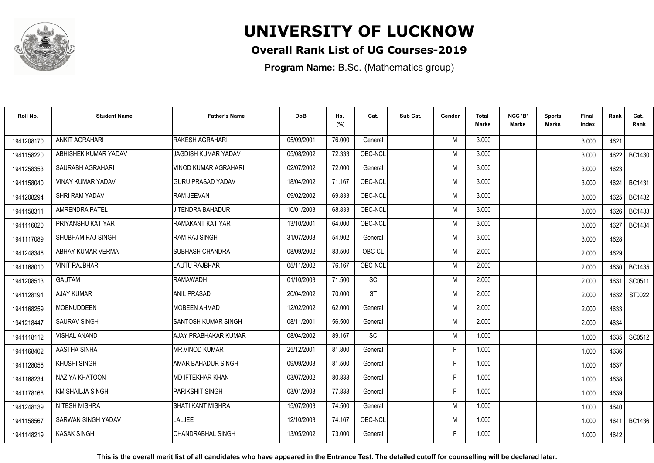

### **Overall Rank List of UG Courses-2019**

**Program Name:** B.Sc. (Mathematics group)

| Roll No.   | <b>Student Name</b>     | <b>Father's Name</b>       | <b>DoB</b> | Hs.<br>(%) | Cat.      | Sub Cat. | Gender | <b>Total</b><br>Marks | NCC 'B'<br><b>Marks</b> | Sports<br>Marks | <b>Final</b><br>Index | Rank | Cat.<br>Rank  |
|------------|-------------------------|----------------------------|------------|------------|-----------|----------|--------|-----------------------|-------------------------|-----------------|-----------------------|------|---------------|
| 1941208170 | <b>ANKIT AGRAHARI</b>   | RAKESH AGRAHARI            | 05/09/2001 | 76.000     | General   |          | M      | 3.000                 |                         |                 | 3.000                 | 4621 |               |
| 1941158220 | ABHISHEK KUMAR YADAV    | <b>JAGDISH KUMAR YADAV</b> | 05/08/2002 | 72.333     | OBC-NCL   |          | M      | 3.000                 |                         |                 | 3.000                 | 4622 | <b>BC1430</b> |
| 1941258353 | SAURABH AGRAHARI        | VINOD KUMAR AGRAHARI       | 02/07/2002 | 72.000     | General   |          | M      | 3.000                 |                         |                 | 3.000                 | 4623 |               |
| 1941158040 | VINAY KUMAR YADAV       | <b>GURU PRASAD YADAV</b>   | 18/04/2002 | 71.167     | OBC-NCL   |          | M      | 3.000                 |                         |                 | 3.000                 | 4624 | <b>BC1431</b> |
| 1941208294 | SHRI RAM YADAV          | RAM JEEVAN                 | 09/02/2002 | 69.833     | OBC-NCL   |          | M      | 3.000                 |                         |                 | 3.000                 | 4625 | <b>BC1432</b> |
| 1941158311 | <b>AMRENDRA PATEL</b>   | JITENDRA BAHADUR           | 10/01/2003 | 68.833     | OBC-NCL   |          | M      | 3.000                 |                         |                 | 3.000                 | 4626 | <b>BC1433</b> |
| 1941116020 | PRIYANSHU KATIYAR       | RAMAKANT KATIYAR           | 13/10/2001 | 64.000     | OBC-NCL   |          | M      | 3.000                 |                         |                 | 3.000                 | 4627 | <b>BC1434</b> |
| 1941117089 | SHUBHAM RAJ SINGH       | <b>RAM RAJ SINGH</b>       | 31/07/2003 | 54.902     | General   |          | M      | 3.000                 |                         |                 | 3.000                 | 4628 |               |
| 1941248346 | ABHAY KUMAR VERMA       | <b>SUBHASH CHANDRA</b>     | 08/09/2002 | 83.500     | OBC-CL    |          | M      | 2.000                 |                         |                 | 2.000                 | 4629 |               |
| 1941168010 | <b>VINIT RAJBHAR</b>    | LAUTU RAJBHAR              | 05/11/2002 | 76.167     | OBC-NCL   |          | M      | 2.000                 |                         |                 | 2.000                 |      | 4630   BC1435 |
| 1941208513 | GAUTAM                  | <b>RAMAWADH</b>            | 01/10/2003 | 71.500     | <b>SC</b> |          | M      | 2.000                 |                         |                 | 2.000                 | 4631 | SC0511        |
| 1941128191 | <b>AJAY KUMAR</b>       | <b>ANIL PRASAD</b>         | 20/04/2002 | 70.000     | <b>ST</b> |          | M      | 2.000                 |                         |                 | 2.000                 | 4632 | ST0022        |
| 1941168259 | <b>MOENUDDEEN</b>       | <b>MOBEEN AHMAD</b>        | 12/02/2002 | 62.000     | General   |          | M      | 2.000                 |                         |                 | 2.000                 | 4633 |               |
| 1941218447 | <b>SAURAV SINGH</b>     | <b>SANTOSH KUMAR SINGH</b> | 08/11/2001 | 56.500     | General   |          | M      | 2.000                 |                         |                 | 2.000                 | 4634 |               |
| 1941118112 | <b>VISHAL ANAND</b>     | AJAY PRABHAKAR KUMAR       | 08/04/2002 | 89.167     | SC        |          | M      | 1.000                 |                         |                 | 1.000                 | 4635 | SC0512        |
| 1941168402 | AASTHA SINHA            | <b>MR.VINOD KUMAR</b>      | 25/12/2001 | 81.800     | General   |          | F.     | 1.000                 |                         |                 | 1.000                 | 4636 |               |
| 1941128056 | KHUSHI SINGH            | AMAR BAHADUR SINGH         | 09/09/2003 | 81.500     | General   |          | F      | 1.000                 |                         |                 | 1.000                 | 4637 |               |
| 1941168234 | NAZIYA KHATOON          | <b>MD IFTEKHAR KHAN</b>    | 03/07/2002 | 80.833     | General   |          | F      | 1.000                 |                         |                 | 1.000                 | 4638 |               |
| 1941178168 | <b>KM SHAILJA SINGH</b> | <b>PARIKSHIT SINGH</b>     | 03/01/2003 | 77.833     | General   |          | F.     | 1.000                 |                         |                 | 1.000                 | 4639 |               |
| 1941248139 | <b>NITESH MISHRA</b>    | <b>SHATI KANT MISHRA</b>   | 15/07/2003 | 74.500     | General   |          | M      | 1.000                 |                         |                 | 1.000                 | 4640 |               |
| 1941158567 | SARWAN SINGH YADAV      | <b>LALJEE</b>              | 12/10/2003 | 74.167     | OBC-NCL   |          | M      | 1.000                 |                         |                 | 1.000                 | 4641 | <b>BC1436</b> |
| 1941148219 | <b>KASAK SINGH</b>      | <b>CHANDRABHAL SINGH</b>   | 13/05/2002 | 73.000     | General   |          | F      | 1.000                 |                         |                 | 1.000                 | 4642 |               |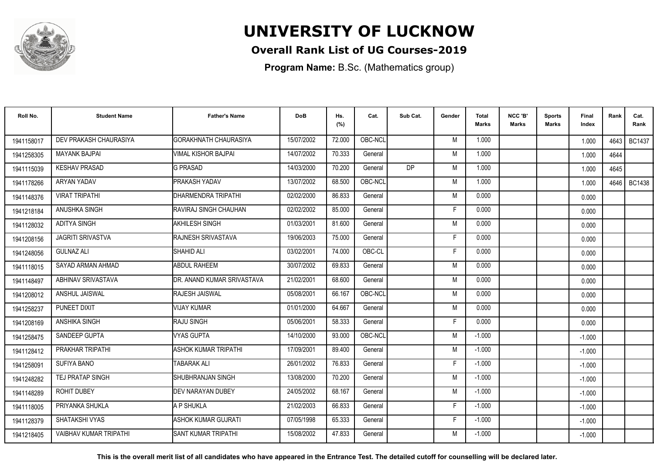

### **Overall Rank List of UG Courses-2019**

**Program Name:** B.Sc. (Mathematics group)

| Roll No.   | <b>Student Name</b>           | <b>Father's Name</b>          | <b>DoB</b> | Hs.<br>(%) | Cat.    | Sub Cat.  | Gender | Total<br>Marks | NCC 'B'<br><b>Marks</b> | Sports<br>Marks | Final<br>Index | Rank | Cat.<br>Rank  |
|------------|-------------------------------|-------------------------------|------------|------------|---------|-----------|--------|----------------|-------------------------|-----------------|----------------|------|---------------|
| 1941158017 | DEV PRAKASH CHAURASIYA        | <b>GORAKHNATH CHAURASIYA</b>  | 15/07/2002 | 72.000     | OBC-NCL |           | M      | 1.000          |                         |                 | 1.000          | 4643 | <b>BC1437</b> |
| 1941258305 | <b>MAYANK BAJPAI</b>          | VIMAL KISHOR BAJPAI           | 14/07/2002 | 70.333     | General |           | M      | 1.000          |                         |                 | 1.000          | 4644 |               |
| 1941115039 | <b>KESHAV PRASAD</b>          | <b>G PRASAD</b>               | 14/03/2000 | 70.200     | General | <b>DP</b> | M      | 1.000          |                         |                 | 1.000          | 4645 |               |
| 1941178266 | ARYAN YADAV                   | PRAKASH YADAV                 | 13/07/2002 | 68.500     | OBC-NCL |           | M      | 1.000          |                         |                 | 1.000          |      | 4646   BC1438 |
| 1941148376 | <b>VIRAT TRIPATHI</b>         | <b>DHARMENDRA TRIPATHI</b>    | 02/02/2000 | 86.833     | General |           | M      | 0.000          |                         |                 | 0.000          |      |               |
| 1941218184 | ANUSHKA SINGH                 | <b>IRAVIRAJ SINGH CHAUHAN</b> | 02/02/2002 | 85.000     | General |           | F      | 0.000          |                         |                 | 0.000          |      |               |
| 1941128032 | <b>ADITYA SINGH</b>           | AKHILESH SINGH                | 01/03/2001 | 81.600     | General |           | M      | 0.000          |                         |                 | 0.000          |      |               |
| 1941208156 | <b>JAGRITI SRIVASTVA</b>      | RAJNESH SRIVASTAVA            | 19/06/2003 | 75.000     | General |           | E      | 0.000          |                         |                 | 0.000          |      |               |
| 1941248056 | <b>GULNAZ ALI</b>             | SHAHID ALI                    | 03/02/2001 | 74.000     | OBC-CL  |           | F      | 0.000          |                         |                 | 0.000          |      |               |
| 1941118015 | SAYAD ARMAN AHMAD             | <b>ABDUL RAHEEM</b>           | 30/07/2002 | 69.833     | General |           | M      | 0.000          |                         |                 | 0.000          |      |               |
| 1941148497 | ABHINAV SRIVASTAVA            | DR. ANAND KUMAR SRIVASTAVA    | 21/02/2001 | 68.600     | General |           | M      | 0.000          |                         |                 | 0.000          |      |               |
| 1941208012 | ANSHUL JAISWAL                | <b>RAJESH JAISWAL</b>         | 05/08/2001 | 66.167     | OBC-NCL |           | M      | 0.000          |                         |                 | 0.000          |      |               |
| 1941258237 | PUNEET DIXIT                  | <b>VIJAY KUMAR</b>            | 01/01/2000 | 64.667     | General |           | M      | 0.000          |                         |                 | 0.000          |      |               |
| 1941208169 | ANSHIKA SINGH                 | <b>RAJU SINGH</b>             | 05/06/2001 | 58.333     | General |           | F.     | 0.000          |                         |                 | 0.000          |      |               |
| 1941258475 | SANDEEP GUPTA                 | <b>VYAS GUPTA</b>             | 14/10/2000 | 93.000     | OBC-NCL |           | M      | $-1.000$       |                         |                 | $-1.000$       |      |               |
| 1941128412 | PRAKHAR TRIPATHI              | <b>ASHOK KUMAR TRIPATHI</b>   | 17/09/2001 | 89.400     | General |           | M      | $-1.000$       |                         |                 | $-1.000$       |      |               |
| 1941258091 | <b>SUFIYA BANO</b>            | <b>TABARAK ALI</b>            | 26/01/2002 | 76.833     | General |           | F      | $-1.000$       |                         |                 | $-1.000$       |      |               |
| 1941248282 | TEJ PRATAP SINGH              | <b>SHUBHRANJAN SINGH</b>      | 13/08/2000 | 70.200     | General |           | M      | $-1.000$       |                         |                 | $-1.000$       |      |               |
| 1941148289 | <b>ROHIT DUBEY</b>            | <b>DEV NARAYAN DUBEY</b>      | 24/05/2002 | 68.167     | General |           | M      | $-1.000$       |                         |                 | $-1.000$       |      |               |
| 1941118005 | PRIYANKA SHUKLA               | A P SHUKLA                    | 21/02/2003 | 66.833     | General |           | F      | $-1.000$       |                         |                 | $-1.000$       |      |               |
| 1941128379 | SHATAKSHI VYAS                | ASHOK KUMAR GUJRATI           | 07/05/1998 | 65.333     | General |           | F      | $-1.000$       |                         |                 | $-1.000$       |      |               |
| 1941218405 | <b>VAIBHAV KUMAR TRIPATHI</b> | <b>SANT KUMAR TRIPATHI</b>    | 15/08/2002 | 47.833     | General |           | M      | $-1.000$       |                         |                 | $-1.000$       |      |               |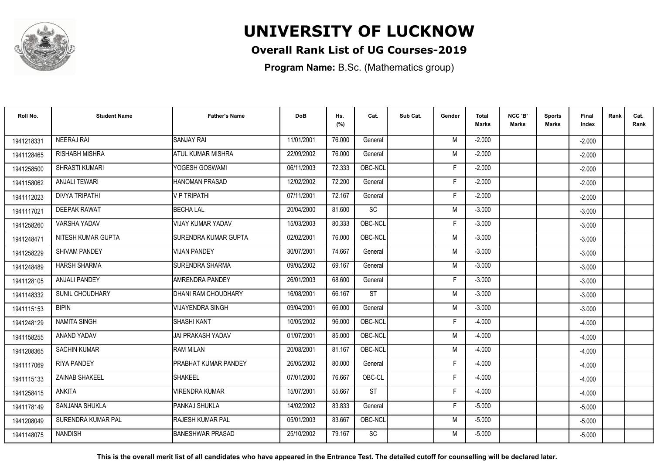

### **Overall Rank List of UG Courses-2019**

**Program Name:** B.Sc. (Mathematics group)

| Roll No.   | <b>Student Name</b>    | <b>Father's Name</b>         | <b>DoB</b> | Hs.<br>(%) | Cat.      | Sub Cat. | Gender | Total<br>Marks | NCC 'B'<br>Marks | <b>Sports</b><br>Marks | <b>Final</b><br>Index | Rank | Cat.<br>Rank |
|------------|------------------------|------------------------------|------------|------------|-----------|----------|--------|----------------|------------------|------------------------|-----------------------|------|--------------|
| 1941218331 | <b>NEERAJ RAI</b>      | <b>SANJAY RAI</b>            | 11/01/2001 | 76.000     | General   |          | M      | $-2.000$       |                  |                        | $-2.000$              |      |              |
| 1941128465 | <b>RISHABH MISHRA</b>  | ATUL KUMAR MISHRA            | 22/09/2002 | 76.000     | General   |          | M      | $-2.000$       |                  |                        | $-2.000$              |      |              |
| 1941258500 | SHRASTI KUMARI         | YOGESH GOSWAMI               | 06/11/2003 | 72.333     | OBC-NCL   |          | F      | $-2.000$       |                  |                        | $-2.000$              |      |              |
| 1941158062 | <b>ANJALI TEWARI</b>   | HANOMAN PRASAD               | 12/02/2002 | 72.200     | General   |          | F      | $-2.000$       |                  |                        | $-2.000$              |      |              |
| 1941112023 | <b>DIVYA TRIPATHI</b>  | V P TRIPATHI                 | 07/11/2001 | 72.167     | General   |          | F.     | $-2.000$       |                  |                        | $-2.000$              |      |              |
| 1941117021 | <b>DEEPAK RAWAT</b>    | <b>BECHALAL</b>              | 20/04/2000 | 81.600     | SC        |          | M      | $-3.000$       |                  |                        | $-3.000$              |      |              |
| 1941258260 | <b>VARSHA YADAV</b>    | VIJAY KUMAR YADAV            | 15/03/2003 | 80.333     | OBC-NCL   |          | F.     | $-3.000$       |                  |                        | $-3.000$              |      |              |
| 1941248471 | NITESH KUMAR GUPTA     | <b>ISURENDRA KUMAR GUPTA</b> | 02/02/2001 | 76.000     | OBC-NCL   |          | M      | $-3.000$       |                  |                        | $-3.000$              |      |              |
| 1941258229 | <b>SHIVAM PANDEY</b>   | <b>VIJAN PANDEY</b>          | 30/07/2001 | 74.667     | General   |          | M      | $-3.000$       |                  |                        | $-3.000$              |      |              |
| 1941248489 | <b>HARSH SHARMA</b>    | <b>SURENDRA SHARMA</b>       | 09/05/2002 | 69.167     | General   |          | M      | $-3.000$       |                  |                        | $-3.000$              |      |              |
| 1941128105 | <b>ANJALI PANDEY</b>   | AMRENDRA PANDEY              | 26/01/2003 | 68.600     | General   |          | F      | $-3.000$       |                  |                        | $-3.000$              |      |              |
| 1941148332 | <b>SUNIL CHOUDHARY</b> | DHANI RAM CHOUDHARY          | 16/08/2001 | 66.167     | <b>ST</b> |          | M      | $-3.000$       |                  |                        | $-3.000$              |      |              |
| 1941115153 | <b>BIPIN</b>           | VIJAYENDRA SINGH             | 09/04/2001 | 66.000     | General   |          | M      | $-3.000$       |                  |                        | $-3.000$              |      |              |
| 1941248129 | <b>NAMITA SINGH</b>    | SHASHI KANT                  | 10/05/2002 | 96.000     | OBC-NCL   |          | F      | $-4.000$       |                  |                        | $-4.000$              |      |              |
| 1941158255 | ANAND YADAV            | JAI PRAKASH YADAV            | 01/07/2001 | 85.000     | OBC-NCL   |          | M      | $-4.000$       |                  |                        | $-4.000$              |      |              |
| 1941208365 | <b>SACHIN KUMAR</b>    | <b>RAM MILAN</b>             | 20/08/2001 | 81.167     | OBC-NCL   |          | M      | $-4.000$       |                  |                        | $-4.000$              |      |              |
| 1941117069 | <b>RIYA PANDEY</b>     | PRABHAT KUMAR PANDEY         | 26/05/2002 | 80.000     | General   |          | F.     | $-4.000$       |                  |                        | $-4.000$              |      |              |
| 1941115133 | ZAINAB SHAKEEL         | SHAKEEL                      | 07/01/2000 | 76.667     | OBC-CL    |          | F      | $-4.000$       |                  |                        | $-4.000$              |      |              |
| 1941258415 | <b>ANKITA</b>          | <b>VIRENDRA KUMAR</b>        | 15/07/2001 | 55.667     | <b>ST</b> |          | F      | $-4.000$       |                  |                        | $-4.000$              |      |              |
| 1941178149 | SANJANA SHUKLA         | PANKAJ SHUKLA                | 14/02/2002 | 83.833     | General   |          | F.     | $-5.000$       |                  |                        | $-5.000$              |      |              |
| 1941208049 | SURENDRA KUMAR PAL     | <b>RAJESH KUMAR PAL</b>      | 05/01/2003 | 83.667     | OBC-NCL   |          | M      | $-5.000$       |                  |                        | $-5.000$              |      |              |
| 1941148075 | <b>NANDISH</b>         | <b>BANESHWAR PRASAD</b>      | 25/10/2002 | 79.167     | <b>SC</b> |          | M      | $-5.000$       |                  |                        | $-5.000$              |      |              |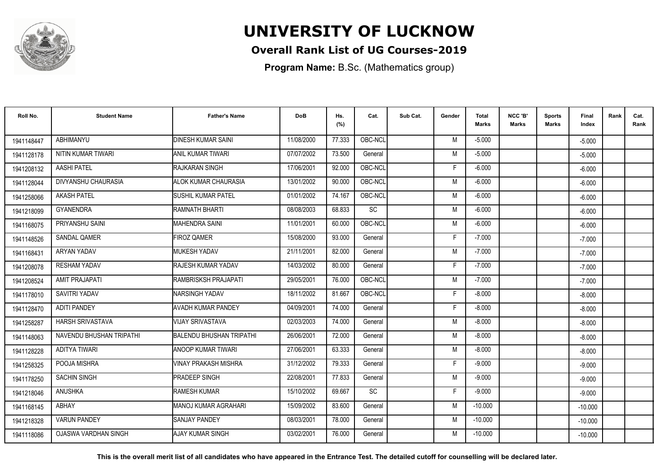

### **Overall Rank List of UG Courses-2019**

**Program Name:** B.Sc. (Mathematics group)

| Roll No.   | <b>Student Name</b>      | <b>Father's Name</b>            | <b>DoB</b> | Hs.<br>(%) | Cat.      | Sub Cat. | Gender | Total<br><b>Marks</b> | NCC 'B'<br>Marks | <b>Sports</b><br>Marks | <b>Final</b><br>Index | Rank | Cat.<br>Rank |
|------------|--------------------------|---------------------------------|------------|------------|-----------|----------|--------|-----------------------|------------------|------------------------|-----------------------|------|--------------|
| 1941148447 | ABHIMANYU                | <b>DINESH KUMAR SAINI</b>       | 11/08/2000 | 77.333     | OBC-NCL   |          | M      | $-5.000$              |                  |                        | $-5.000$              |      |              |
| 1941128178 | NITIN KUMAR TIWARI       | <b>ANIL KUMAR TIWARI</b>        | 07/07/2002 | 73.500     | General   |          | M      | $-5.000$              |                  |                        | $-5.000$              |      |              |
| 1941208132 | <b>AASHI PATEL</b>       | RAJKARAN SINGH                  | 17/06/2001 | 92.000     | OBC-NCL   |          | F      | $-6.000$              |                  |                        | $-6.000$              |      |              |
| 1941128044 | DIVYANSHU CHAURASIA      | ALOK KUMAR CHAURASIA            | 13/01/2002 | 90.000     | OBC-NCL   |          | M      | $-6.000$              |                  |                        | $-6.000$              |      |              |
| 1941258066 | <b>AKASH PATEL</b>       | SUSHIL KUMAR PATEL              | 01/01/2002 | 74.167     | OBC-NCL   |          | M      | $-6.000$              |                  |                        | $-6.000$              |      |              |
| 1941218099 | <b>GYANENDRA</b>         | RAMNATH BHARTI                  | 08/08/2003 | 68.833     | <b>SC</b> |          | M      | $-6.000$              |                  |                        | $-6.000$              |      |              |
| 1941168075 | PRIYANSHU SAINI          | <b>MAHENDRA SAINI</b>           | 11/01/2001 | 60.000     | OBC-NCL   |          | M      | $-6.000$              |                  |                        | $-6.000$              |      |              |
| 1941148526 | SANDAL QAMER             | <b>FIROZ QAMER</b>              | 15/08/2000 | 93.000     | General   |          | F.     | $-7.000$              |                  |                        | $-7.000$              |      |              |
| 1941168431 | ARYAN YADAV              | MUKESH YADAV                    | 21/11/2001 | 82.000     | General   |          | M      | $-7.000$              |                  |                        | $-7.000$              |      |              |
| 1941208078 | <b>RESHAM YADAV</b>      | RAJESH KUMAR YADAV              | 14/03/2002 | 80.000     | General   |          | F      | $-7.000$              |                  |                        | $-7.000$              |      |              |
| 1941208524 | <b>AMIT PRAJAPATI</b>    | RAMBRISKSH PRAJAPATI            | 29/05/2001 | 76.000     | OBC-NCL   |          | M      | $-7.000$              |                  |                        | $-7.000$              |      |              |
| 1941178010 | SAVITRI YADAV            | NARSINGH YADAV                  | 18/11/2002 | 81.667     | OBC-NCL   |          | F.     | $-8.000$              |                  |                        | $-8.000$              |      |              |
| 1941128470 | <b>ADITI PANDEY</b>      | AVADH KUMAR PANDEY              | 04/09/2001 | 74.000     | General   |          | F.     | $-8.000$              |                  |                        | $-8.000$              |      |              |
| 1941258287 | <b>HARSH SRIVASTAVA</b>  | <b>VIJAY SRIVASTAVA</b>         | 02/03/2003 | 74.000     | General   |          | M      | $-8.000$              |                  |                        | $-8.000$              |      |              |
| 1941148063 | NAVENDU BHUSHAN TRIPATHI | <b>BALENDU BHUSHAN TRIPATHI</b> | 26/06/2001 | 72.000     | General   |          | M      | $-8.000$              |                  |                        | $-8.000$              |      |              |
| 1941128228 | <b>ADITYA TIWARI</b>     | <b>ANOOP KUMAR TIWARI</b>       | 27/06/2001 | 63.333     | General   |          | M      | $-8.000$              |                  |                        | $-8.000$              |      |              |
| 1941258325 | POOJA MISHRA             | <b>VINAY PRAKASH MISHRA</b>     | 31/12/2002 | 79.333     | General   |          | F.     | $-9.000$              |                  |                        | $-9.000$              |      |              |
| 1941178250 | <b>SACHIN SINGH</b>      | PRADEEP SINGH                   | 22/08/2001 | 77.833     | General   |          | M      | $-9.000$              |                  |                        | $-9.000$              |      |              |
| 1941218046 | <b>ANUSHKA</b>           | <b>RAMESH KUMAR</b>             | 15/10/2002 | 69.667     | <b>SC</b> |          | F      | $-9.000$              |                  |                        | $-9.000$              |      |              |
| 1941168145 | ABHAY                    | MANOJ KUMAR AGRAHARI            | 15/09/2002 | 83.600     | General   |          | M      | $-10.000$             |                  |                        | $-10.000$             |      |              |
| 1941218328 | <b>VARUN PANDEY</b>      | <b>SANJAY PANDEY</b>            | 08/03/2001 | 78,000     | General   |          | M      | $-10.000$             |                  |                        | $-10.000$             |      |              |
| 1941118086 | OJASWA VARDHAN SINGH     | AJAY KUMAR SINGH                | 03/02/2001 | 76.000     | General   |          | M      | $-10.000$             |                  |                        | $-10.000$             |      |              |